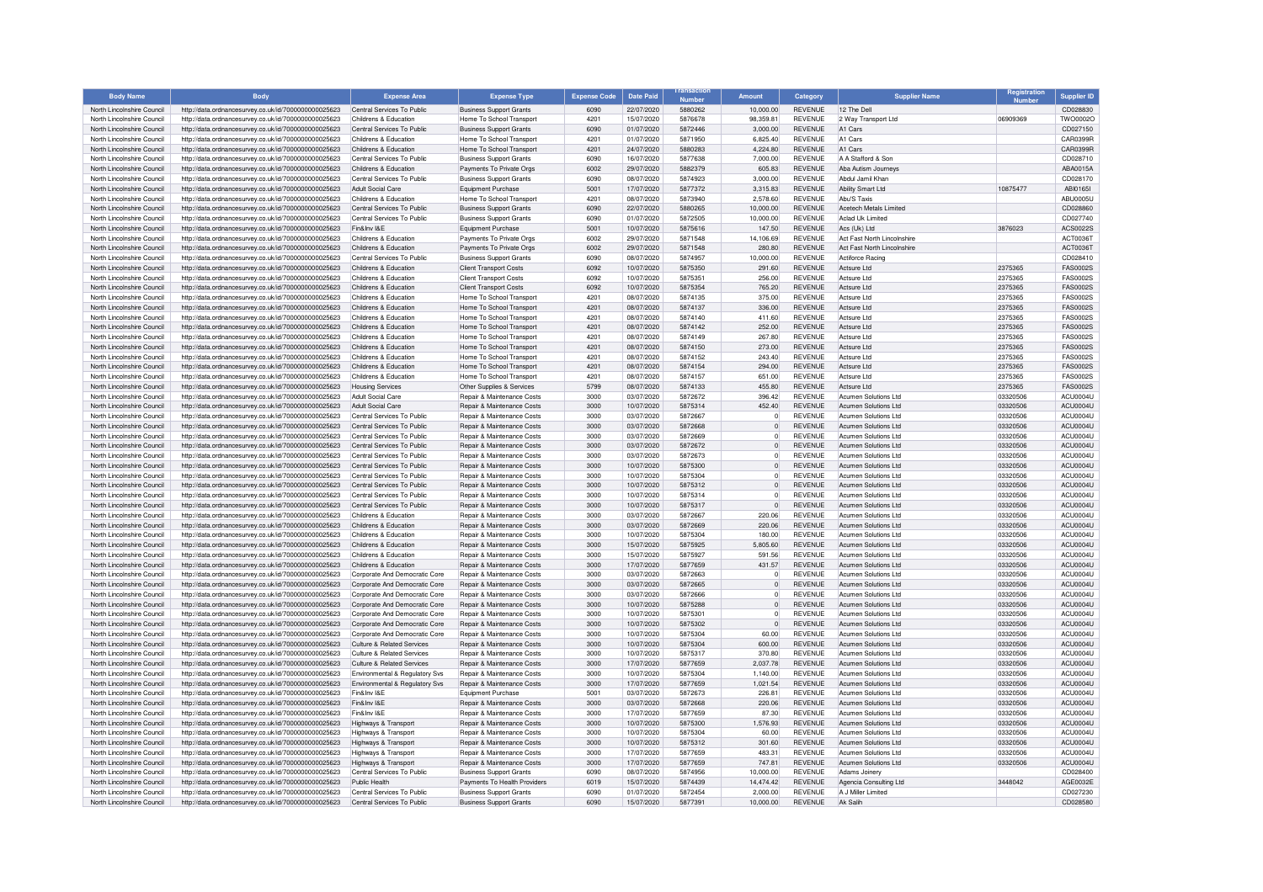| <b>Body Name</b>                                         | <b>Body</b>                                                                                                  | <b>Expense Area</b>                                         | <b>Expense Type</b>                                                 | <b>Expense Code</b> | <b>Date Paid</b>         |                    | <b>Amount</b>                    | Category                         | <b>Supplier Name</b>                                |                      | <b>Supplier ID</b>                 |
|----------------------------------------------------------|--------------------------------------------------------------------------------------------------------------|-------------------------------------------------------------|---------------------------------------------------------------------|---------------------|--------------------------|--------------------|----------------------------------|----------------------------------|-----------------------------------------------------|----------------------|------------------------------------|
| North Lincolnshire Council                               | http://data.ordnancesurvey.co.uk/id/7000000000025623                                                         | Central Services To Public                                  | <b>Business Support Grants</b>                                      | 6090                | 22/07/2020               | 5880262            | 10,000.00                        | <b>REVENUE</b>                   | 12 The Dell                                         |                      | CD028830                           |
| North Lincolnshire Council                               | http://data.ordnancesurvey.co.uk/id/7000000000025623                                                         | Childrens & Education                                       | Home To School Transport                                            | 4201                | 15/07/2020               | 5876678            | 98.359.81                        | <b>REVENUE</b>                   | 2 Way Transport Ltd                                 | 06909369             | TWO0002C                           |
| North Lincolnshire Council                               | http://data.ordnancesurvey.co.uk/id/7000000000025623                                                         | Central Services To Public                                  | <b>Business Support Grants</b>                                      | 6090                | 01/07/2020               | 5872446            | 3.000.00                         | <b>REVENUE</b>                   | A1 Cars                                             |                      | CD027150                           |
| North Lincolnshire Council                               | http://data.ordnancesurvey.co.uk/id/7000000000025623                                                         | Childrens & Education                                       | Home To School Transport                                            | 4201                | 01/07/2020               | 5871950            | 6,825.40                         | <b>REVENUE</b>                   | A1 Cars                                             |                      | CAR0399R                           |
| North Lincolnshire Council                               | http://data.ordnancesurvey.co.uk/id/7000000000025623                                                         | Childrens & Education                                       | Home To School Transport                                            | 4201                | 24/07/2020               | 5880283            | 4.224.80                         | <b>REVENUE</b>                   | A1 Cars                                             |                      | CAR0399B                           |
| North Lincolnshire Council                               | http://data.ordnancesurvey.co.uk/id/7000000000025623                                                         | Central Services To Public                                  | <b>Business Support Grants</b>                                      | 6090                | 16/07/2020               | 5877638            | 7,000.00                         | <b>REVENUE</b>                   | A A Stafford & Son                                  |                      | CD028710                           |
| North Lincolnshire Council                               | http://data.ordnancesurvey.co.uk/id/7000000000025623                                                         | Childrens & Education                                       | Payments To Private Orgs                                            | 6002                | 29/07/2020               | 5882379            | 605.83                           | <b>REVENUE</b>                   | Aba Autism Journeys                                 |                      | ABA0015A                           |
| North Lincolnshire Council<br>North Lincolnshire Council | http://data.ordnancesurvey.co.uk/id/7000000000025623<br>http://data.ordnancesurvey.co.uk/id/7000000000025623 | Central Services To Public                                  | <b>Business Support Grants</b><br>Equipment Purchase                | 6090<br>5001        | 08/07/2020               | 5874923            | 3,000.00<br>3,315.83             | <b>REVENUE</b><br><b>REVENUE</b> | Abdul Jamil Khar<br><b>Ability Smart Ltd</b>        | 10875477             | CD028170<br>ABI01651               |
| North Lincolnshire Council                               | http://data.ordnancesurvey.co.uk/id/7000000000025623                                                         | Adult Social Care<br>Childrens & Education                  | Home To School Transport                                            | 4201                | 17/07/2020<br>08/07/2020 | 5877372<br>5873940 | 2.578.60                         | <b>REVENUE</b>                   | Abu'S Taxis                                         |                      | <b>ABU0005L</b>                    |
| North Lincolnshire Council                               | http://data.ordnancesurvey.co.uk/id/7000000000025623                                                         | Central Services To Public                                  | <b>Business Support Grants</b>                                      | 6090                | 22/07/2020               | 5880265            | 10.000.00                        | <b>REVENUE</b>                   | Acetech Metals Limited                              |                      | CD028860                           |
| North Lincolnshire Council                               | http://data.ordnancesurvey.co.uk/id/7000000000025623                                                         | Central Services To Public                                  | <b>Business Support Grants</b>                                      | 6090                | 01/07/2020               | 5872505            | 10.000.00                        | <b>REVENUE</b>                   | Aclad Uk Limited                                    |                      | CD027740                           |
| North Lincolnshire Council                               | http://data.ordnancesurvey.co.uk/id/7000000000025623                                                         | Fin&Inv I&F                                                 | Equipment Purchase                                                  | 5001                | 10/07/2020               | 5875616            | 147.50                           | <b>REVENUE</b>                   | Acs (Uk) Ltd                                        | 3876023              | ACS0022S                           |
| North Lincolnshire Council                               | http://data.ordnancesurvey.co.uk/id/7000000000025623                                                         | Childrens & Education                                       | Payments To Private Orgs                                            | 6002                | 29/07/2020               | 5871548            | 14,106.69                        | <b>REVENUE</b>                   | Act Fast North Lincolnshire                         |                      | ACT00361                           |
| North Lincolnshire Council                               | http://data.ordnancesurvey.co.uk/id/7000000000025623                                                         | Childrens & Education                                       | Payments To Private Orgs                                            | 6002                | 29/07/2020               | 5871548            | 280.80                           | <b>REVENUE</b>                   | Act East North Lincolnshire                         |                      | ACT0036T                           |
| North Lincolnshire Council                               | http://data.ordnancesurvey.co.uk/id/7000000000025623                                                         | Central Services To Public                                  | <b>Business Support Grants</b>                                      | 6090                | 08/07/2020               | 5874957            | 10.000.00                        | <b>REVENUE</b>                   | Actiforce Racing                                    |                      | CD028410                           |
| North Lincolnshire Council                               | http://data.ordnancesurvey.co.uk/id/7000000000025623                                                         | Childrens & Education                                       | <b>Client Transport Costs</b>                                       | 6092                | 10/07/2020               | 5875350            | 291.60                           | <b>REVENUE</b>                   | Actsure Ltd                                         | 2375365              | <b>FAS0002S</b>                    |
| North Lincolnshire Council                               | http://data.ordnancesurvey.co.uk/id/7000000000025623                                                         | Childrens & Education                                       | <b>Client Transport Costs</b>                                       | 6092                | 10/07/2020               | 5875351            | 256.00                           | <b>REVENUE</b>                   | Actsure Ltd                                         | 2375365              | FAS0002S                           |
| North Lincolnshire Council                               | http://data.ordnancesurvey.co.uk/id/7000000000025623                                                         | Childrens & Education                                       | <b>Client Transport Costs</b>                                       | 6092                | 10/07/2020               | 5875354            | 765.20                           | <b>REVENUE</b>                   | Actsure Ltd                                         | 2375365              | FAS0002S                           |
| North Lincolnshire Council                               | http://data.ordnancesurvev.co.uk/id/7000000000025623                                                         | Childrens & Education                                       | Home To School Transpor                                             | 4201                | 08/07/2020               | 5874135            | 375.00                           | <b>REVENUE</b>                   | Actsure Ltd                                         | 2375365              | <b>FAS0002S</b>                    |
| North Lincolnshire Council                               | http://data.ordnancesurvey.co.uk/id/7000000000025623                                                         | Childrens & Education                                       | Home To School Transport                                            | 4201                | 08/07/2020               | 5874137            | 336.00                           | <b>REVENUE</b>                   | Actsure I td                                        | 2375365              | <b>FAS0002S</b>                    |
| North Lincolnshire Council                               | http://data.ordnancesurvey.co.uk/id/7000000000025623                                                         | Childrens & Education                                       | Home To School Transpor                                             | 4201                | 08/07/2020               | 5874140            | 411.60                           | <b>REVENUE</b>                   | Actsure I td                                        | 2375365              | <b>FAS0002S</b>                    |
| North Lincolnshire Council<br>North Lincolnshire Council | http://data.ordnancesurvey.co.uk/id/7000000000025623                                                         | Childrens & Education<br>Childrens & Education              | Home To School Transport<br>Home To School Transpor                 | 4201<br>4201        | 08/07/2020<br>08/07/2020 | 5874142<br>5874149 | 252.00<br>267.80                 | <b>REVENUE</b><br><b>REVENUE</b> | Actsure Ltd<br>Actsure Ltd                          | 2375365<br>2375365   | <b>FAS0002S</b><br><b>FAS0002S</b> |
| North Lincolnshire Council                               | http://data.ordnancesurvey.co.uk/id/7000000000025623<br>http://data.ordnancesurvey.co.uk/id/7000000000025623 | Childrens & Education                                       | Home To School Transport                                            | 4201                | 08/07/2020               | 5874150            | 273.00                           | <b>REVENUE</b>                   | Actsure Ltd                                         | 2375365              | <b>FAS0002S</b>                    |
| North Lincolnshire Council                               | http://data.ordnancesurvey.co.uk/id/7000000000025623                                                         | Childrens & Education                                       | Home To School Transpor                                             | 4201                | 08/07/2020               | 5874152            | 243.40                           | <b>REVENUE</b>                   | Actsure Ltd                                         | 2375365              | <b>FAS0002S</b>                    |
| North Lincolnshire Council                               | http://data.ordnancesurvey.co.uk/id/7000000000025623                                                         | Childrens & Education                                       | Home To School Transport                                            | 4201                | 08/07/2020               | 5874154            | 294.00                           | <b>REVENUE</b>                   | Actsure Ltd                                         | 2375365              | FAS0002S                           |
| North Lincolnshire Council                               | http://data.ordnancesurvev.co.uk/id/7000000000025623                                                         | Childrens & Education                                       | Home To School Transport                                            | 4201                | 08/07/2020               | 5874157            | 651.00                           | <b>REVENUE</b>                   | Actsure Ltd                                         | 2375365              | FAS0002S                           |
| North Lincolnshire Council                               | http://data.ordnancesurvey.co.uk/id/7000000000025623                                                         | <b>Housing Services</b>                                     | Other Supplies & Services                                           | 5799                | 08/07/2020               | 5874133            | 455.80                           | <b>REVENUE</b>                   | Actsure Ltd                                         | 2375365              | <b>FAS0002S</b>                    |
| North Lincolnshire Council                               | http://data.ordnancesurvey.co.uk/id/7000000000025623                                                         | Adult Social Care                                           | Repair & Maintenance Costs                                          | 3000                | 03/07/2020               | 5872672            | 396.42                           | <b>REVENUE</b>                   | Acumen Solutions Ltd.                               | 03320506             | ACLIDDDAL                          |
| North Lincolnshire Council                               | http://data.ordnancesurvey.co.uk/id/7000000000025623                                                         | Adult Social Care                                           | Repair & Maintenance Costs                                          | 3000                | 10/07/2020               | 5875314            | 452.40                           | REVENUE                          | Acumen Solutions Ltd                                | 03320506             | ACU0004U                           |
| North Lincolnshire Council                               | http://data.ordnancesurvey.co.uk/id/7000000000025623                                                         | Central Services To Public                                  | Repair & Maintenance Costs                                          | 3000                | 03/07/2020               | 5872667            | $\mathbf 0$                      | <b>REVENUE</b>                   | Acumen Solutions Ltd                                | 03320506             | ACU0004L                           |
| North Lincolnshire Council                               | http://data.ordnancesurvey.co.uk/id/7000000000025623                                                         | Central Services To Public                                  | Repair & Maintenance Costs                                          | 3000                | 03/07/2020               | 5872668            | $\Omega$                         | REVENUE                          | Acumen Solutions Ltd                                | 03320506             | ACU0004U                           |
| North Lincolnshire Council                               | http://data.ordnancesurvey.co.uk/id/7000000000025623                                                         | Central Services To Public                                  | Repair & Maintenance Costs                                          | 3000                | 03/07/2020               | 5872669            | $\circ$                          | <b>REVENUE</b>                   | Acumen Solutions Ltd                                | 03320506             | ACU0004U                           |
| North Lincolnshire Council                               | http://data.ordnancesurvey.co.uk/id/7000000000025623                                                         | Central Services To Public                                  | Repair & Maintenance Costs                                          | 3000                | 03/07/2020               | 5872672            | $\Omega$                         | <b>REVENUE</b>                   | Acumen Solutions Ltd                                | 03320506             | ACU0004U                           |
| North Lincolnshire Council                               | http://data.ordnancesurvey.co.uk/id/7000000000025623                                                         | Central Services To Public                                  | Repair & Maintenance Costs                                          | 3000                | 03/07/2020               | 5872673            | $\Omega$                         | <b>REVENUE</b>                   | Acumen Solutions Ltd                                | 03320506             | ACU0004U                           |
| North Lincolnshire Council                               | http://data.ordnancesurvey.co.uk/id/7000000000025623                                                         | Central Services To Public                                  | Repair & Maintenance Costs                                          | 3000                | 10/07/2020               | 5875300            | $\Omega$                         | <b>REVENUE</b>                   | Acumen Solutions Ltd                                | 03320506             | ACU0004U                           |
| North Lincolnshire Council                               | http://data.ordnancesurvey.co.uk/id/7000000000025623                                                         | Central Services To Public                                  | Repair & Maintenance Costs                                          | 3000                | 10/07/2020               | 5875304            | $\Omega$                         | <b>REVENUE</b>                   | Acumen Solutions Ltd                                | 03320506             | ACU0004U                           |
| North Lincolnshire Council                               | http://data.ordnancesurvey.co.uk/id/7000000000025623                                                         | Central Services To Public                                  | Repair & Maintenance Costs                                          | 3000                | 10/07/2020               | 5875312            | $\Omega$                         | REVENUE                          | Acumen Solutions Ltd.                               | 03320506             | ACU0004U                           |
| North Lincolnshire Council<br>North Lincolnshire Council | http://data.ordnancesurvey.co.uk/id/7000000000025623                                                         | Central Services To Public<br>Central Services To Public    | Repair & Maintenance Costs<br>Repair & Maintenance Costs            | 3000<br>3000        | 10/07/2020<br>10/07/2020 | 5875314<br>5875317 | $\overline{0}$<br>$\overline{0}$ | <b>REVENUE</b><br><b>REVENUE</b> | Acumen Solutions Ltd<br>Acumen Solutions Ltd        | 03320506<br>03320506 | ACU0004U<br>ACU0004U               |
| North Lincolnshire Council                               | http://data.ordnancesurvey.co.uk/id/7000000000025623<br>http://data.ordnancesurvey.co.uk/id/7000000000025623 | Childrens & Education                                       | Repair & Maintenance Costs                                          | 3000                | 03/07/2020               | 5872667            | 220.06                           | <b>REVENUE</b>                   | Acumen Solutions Ltd                                | 03320506             | ACU0004U                           |
| North Lincolnshire Council                               | http://data.ordnancesurvey.co.uk/id/7000000000025623                                                         | Childrens & Education                                       | Repair & Maintenance Costs                                          | 3000                | 03/07/2020               | 5872669            | 220.06                           | <b>REVENUE</b>                   | Acumen Solutions Ltd                                | 03320506             | ACU0004U                           |
| North Lincolnshire Council                               | http://data.ordnancesurvey.co.uk/id/7000000000025623                                                         | Childrens & Education                                       | Repair & Maintenance Costs                                          | 3000                | 10/07/2020               | 5875304            | 180.00                           | <b>REVENUE</b>                   | Acumen Solutions Ltd                                | 03320506             | ACU0004U                           |
| North Lincolnshire Council                               | http://data.ordnancesurvey.co.uk/id/7000000000025623                                                         | Childrens & Education                                       | <b>Benair &amp; Maintenance Costs</b>                               | 3000                | 15/07/2020               | 5875925            | 5,805.60                         | <b>REVENUE</b>                   | Acumen Solutions Ltd                                | 03320506             | ACU0004U                           |
| North Lincolnshire Council                               | http://data.ordnancesurvey.co.uk/id/7000000000025623                                                         | Childrens & Education                                       | <b>Benair &amp; Maintenance Costs</b>                               | 3000                | 15/07/2020               | 5875927            | 591.56                           | <b>REVENUE</b>                   | Acumen Solutions Ltd                                | 03320506             | ACU0004U                           |
| North Lincolnshire Council                               | http://data.ordnancesurvey.co.uk/id/7000000000025623                                                         | Childrens & Education                                       | <b>Benair &amp; Maintenance Costs</b>                               | 3000                | 17/07/2020               | 5877659            | 431.57                           | <b>REVENUE</b>                   | Acumen Solutions Ltd.                               | 03320506             | ACU0004U                           |
| North Lincolnshire Council                               | http://data.ordnancesurvey.co.uk/id/7000000000025623                                                         | Corporate And Democratic Core                               | Repair & Maintenance Costs                                          | 3000                | 03/07/2020               | 5872663            | $\mathbf 0$                      | <b>REVENUE</b>                   | Acumen Solutions Ltd                                | 03320506             | ACU0004L                           |
| North Lincolnshire Council                               | http://data.ordnancesurvey.co.uk/id/7000000000025623                                                         | Corporate And Democratic Core                               | Repair & Maintenance Costs                                          | 3000                | 03/07/2020               | 5872665            | $\overline{0}$                   | <b>REVENUE</b>                   | <b>Acumen Solutions Ltd</b>                         | 03320506             | ACU0004U                           |
| North Lincolnshire Council                               | http://data.ordnancesurvey.co.uk/id/7000000000025623                                                         | Corporate And Democratic Core                               | Repair & Maintenance Costs                                          | 3000                | 03/07/2020               | 5872666            | $\circ$                          | <b>REVENUE</b>                   | Acumen Solutions Ltd                                | 03320506             | ACU0004U                           |
| North Lincolnshire Council                               | http://data.ordnancesurvey.co.uk/id/7000000000025623                                                         | Corporate And Democratic Core                               | Repair & Maintenance Costs                                          | 3000                | 10/07/2020               | 5875288            | $\Omega$                         | <b>REVENUE</b>                   | Acumen Solutions Ltd                                | 03320506             | ACU0004U                           |
| North Lincolnshire Council                               | http://data.ordnancesurvey.co.uk/id/7000000000025623                                                         | Corporate And Democratic Core                               | <b>Benair &amp; Maintenance Costs</b>                               | 3000                | 10/07/2020               | 5875301            | $\Omega$                         | <b>REVENUE</b>                   | Acumen Solutions Ltd                                | 03320506             | ACU0004U                           |
| North Lincolnshire Council                               | http://data.ordnancesurvey.co.uk/id/7000000000025623                                                         | Corporate And Democratic Core                               | <b>Benair &amp; Maintenance Costs</b>                               | 3000                | 10/07/2020               | 5875302            | $\Omega$<br>60.00                | <b>REVENUE</b><br><b>REVENUE</b> | Acumen Solutions Ltd<br><b>Acumen Solutions Ltd</b> | 03320506             | ACU0004U<br>ACU0004U               |
| North Lincolnshire Council<br>North Lincolnshire Council | http://data.ordnancesurvey.co.uk/id/7000000000025623                                                         | Cornorate And Democratic Core<br>Culture & Related Services | <b>Benair &amp; Maintenance Costs</b>                               | 3000<br>3000        | 10/07/2020<br>10/07/2020 | 5875304<br>5875304 | 600.00                           | <b>REVENUE</b>                   | Acumen Solutions Ltd.                               | 03320506<br>03320506 | ACU0004U                           |
| North Lincolnshire Council                               | http://data.ordnancesurvey.co.uk/id/7000000000025623                                                         | Culture & Related Services                                  | Repair & Maintenance Costs<br><b>Benair &amp; Maintenance Costs</b> | 3000                |                          | 5875317            | 370.80                           | <b>REVENUE</b>                   | Acumen Solutions Ltd.                               | 03320506             | <b>ACLI0004L</b>                   |
| North Lincolnshire Council                               | http://data.ordnancesurvey.co.uk/id/7000000000025623<br>http://data.ordnancesurvey.co.uk/id/7000000000025623 | Culture & Related Services                                  | Repair & Maintenance Costs                                          | 3000                | 10/07/2020<br>17/07/2020 | 5877659            | 2.037.78                         | <b>REVENUE</b>                   | Acumen Solutions Ltd                                | 03320506             | ACU0004L                           |
| North Lincolnshire Council                               | http://data.ordnancesurvey.co.uk/id/7000000000025623                                                         | Environmental & Regulatory Svs                              | Repair & Maintenance Costs                                          | 3000                | 10/07/2020               | 5875304            | 1.140.00                         | REVENUE                          | Acumen Solutions Ltd                                | 03320506             | ACU0004U                           |
| North Lincolnshire Council                               | http://data.ordnancesurvey.co.uk/id/7000000000025623                                                         | Environmental & Regulatory Svs                              | Repair & Maintenance Costs                                          | 3000                | 17/07/2020               | 5877659            | 1,021.54                         | REVENUE                          | Acumen Solutions Ltd                                | 03320506             | ACU0004U                           |
| North Lincolnshire Council                               | http://data.ordnancesurvey.co.uk/id/7000000000025623                                                         | Fin&Inv I&F                                                 | Equipment Purchase                                                  | 5001                | 03/07/2020               | 5872673            | 226.81                           | <b>REVENUE</b>                   | Acumen Solutions Ltd.                               | 03320506             | ACU0004U                           |
| North Lincolnshire Council                               | http://data.ordnancesurvey.co.uk/id/7000000000025623                                                         | Fin&Inv I&E                                                 | <b>Benair &amp; Maintenance Costs</b>                               | 3000                | 03/07/2020               | 5872668            | 220.06                           | <b>REVENUE</b>                   | Acumen Solutions Ltd                                | 03320506             | ACU0004U                           |
| North Lincolnshire Council                               | http://data.ordnancesurvey.co.uk/id/7000000000025623                                                         | Fin&Inv I&E                                                 | Repair & Maintenance Costs                                          | 3000                | 17/07/2020               | 5877659            | 87.30                            | <b>REVENUE</b>                   | Acumen Solutions Ltd.                               | 03320506             | ACU0004U                           |
| North Lincolnshire Council                               | http://data.ordnancesurvey.co.uk/id/7000000000025623                                                         | Highways & Transport                                        | Repair & Maintenance Costs                                          | 3000                | 10/07/2020               | 5875300            | 1.576.93                         | <b>REVENUE</b>                   | Acumen Solutions Ltd.                               | 03320506             | ACU0004U                           |
| North Lincolnshire Council                               | http://data.ordnancesurvey.co.uk/id/7000000000025623                                                         | Highways & Transport                                        | Repair & Maintenance Costs                                          | 3000                | 10/07/2020               | 5875304            | 60.00                            | <b>REVENUE</b>                   | Acumen Solutions Ltd.                               | 03320506             | <b>ACLI0004L</b>                   |
| North Lincolnshire Council                               | http://data.ordnancesurvey.co.uk/id/7000000000025623                                                         | Highways & Transport                                        | Repair & Maintenance Costs                                          | 3000                | 10/07/2020               | 5875312            | 301.60                           | <b>REVENUE</b>                   | Acumen Solutions Ltd                                | 03320506             | <b>ACLI0004L</b>                   |
| North Lincolnshire Council                               | http://data.ordnancesurvey.co.uk/id/7000000000025623                                                         | Highways & Transport                                        | Repair & Maintenance Costs                                          | 3000                | 17/07/2020               | 5877659            | 483.31                           | REVENUE                          | Acumen Solutions Ltd                                | 03320506             | ACU0004U                           |
| North Lincolnshire Council                               | http://data.ordnancesurvey.co.uk/id/7000000000025623                                                         | Highways & Transport                                        | Repair & Maintenance Costs                                          | 3000                | 17/07/2020               | 5877659            | 747.81                           | REVENUE                          | Acumen Solutions Ltd                                | 03320506             | ACU0004L                           |
| North Lincolnshire Council                               | http://data.ordnancesurvey.co.uk/id/7000000000025623                                                         | Central Services To Public                                  | <b>Business Support Grants</b>                                      | 6090                | 08/07/2020               | 5874956            | 10,000.00                        | <b>REVENUE</b>                   | Adams Joinery                                       |                      | CD028400                           |
| North Lincolnshire Council                               | http://data.ordnancesurvey.co.uk/id/7000000000025623                                                         | Public Health                                               | Payments To Health Providers                                        | 6019                | 15/07/2020               | 5874439            | 14,474.42                        | <b>REVENUE</b>                   | Agencia Consulting Ltd                              | 3448042              | AGE0032E                           |
| North Lincolnshire Council                               | http://data.ordnancesurvey.co.uk/id/7000000000025623                                                         | Central Services To Public                                  | <b>Business Support Grants</b>                                      | 6090<br>6090        | 01/07/2020               | 5872454<br>5877391 | 2.000.00                         | <b>REVENUE</b>                   | A J Miller Limited                                  |                      | CD027230                           |
| North Lincolnshire Council                               | http://data.ordnancesurvey.co.uk/id/7000000000025623                                                         | Central Services To Public                                  | <b>Business Support Grants</b>                                      |                     | 15/07/2020               |                    | 10,000.00                        | <b>REVENUE</b>                   | Ak Salih                                            |                      | CD028580                           |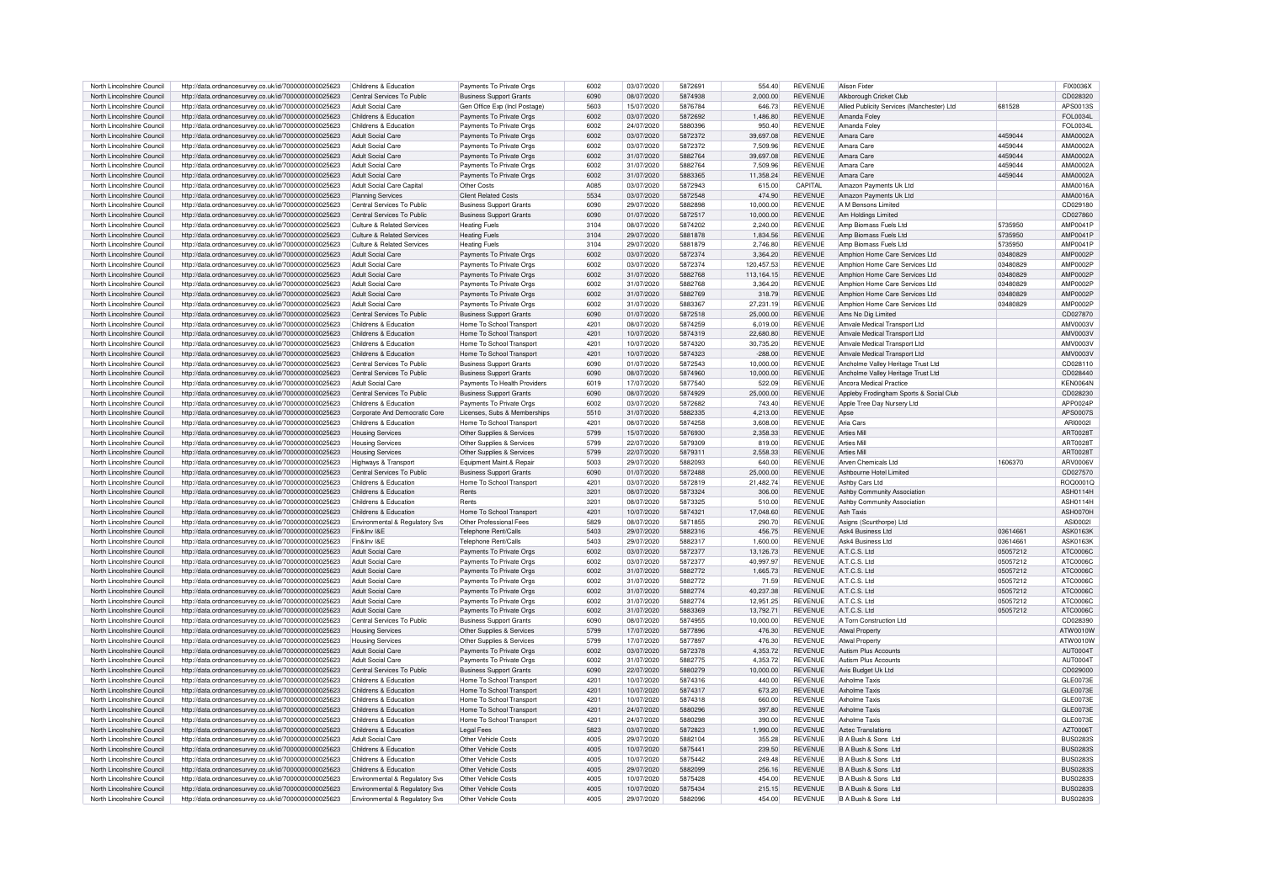| North Lincolnshire Council | http://data.ordnancesurvey.co.uk/id/7000000000025623 | Childrens & Education          | Payments To Private Orgs       | 6002 | 03/07/2020 | 587269  | 554.40     | REVENUE        | <b>Alison Fixter</b>                       |          | FIX0036X        |
|----------------------------|------------------------------------------------------|--------------------------------|--------------------------------|------|------------|---------|------------|----------------|--------------------------------------------|----------|-----------------|
| North Lincolnshire Council | http://data.ordnancesurvey.co.uk/id/7000000000025623 | Central Services To Public     | <b>Business Support Grants</b> | 6090 | 08/07/2020 | 5874938 | 2.000.00   | <b>REVENUE</b> | Alkborough Cricket Club                    |          | CD028320        |
| North Lincolnshire Council | http://data.ordnancesurvey.co.uk/id/7000000000025623 | Adult Social Care              | Gen Office Exp (Incl Postage)  | 5603 | 15/07/2020 | 5876784 | 646.73     | <b>REVENUE</b> | Allied Publicity Services (Manchester) Ltd | 681528   | APS0013S        |
| North Lincolnshire Council | http://data.ordnancesurvey.co.uk/id/7000000000025623 | Childrens & Education          | Payments To Private Orgs       | 6002 | 03/07/2020 | 5872692 | 1,486.80   | <b>REVENUE</b> | Amanda Folev                               |          | FOI 0034L       |
| North Lincolnshire Council |                                                      | Childrens & Education          |                                | 6002 |            | 5880396 |            | <b>REVENUE</b> |                                            |          | FOI 0034        |
|                            | http://data.ordnancesurvey.co.uk/id/7000000000025623 |                                | Payments To Private Orgs       |      | 24/07/2020 |         | 950.40     |                | Amanda Foley                               |          |                 |
| North Lincolnshire Council | http://data.ordnancesurvey.co.uk/id/7000000000025623 | Adult Social Care              | Payments To Private Orgs       | 6002 | 03/07/2020 | 5872372 | 39.697.08  | <b>REVENUE</b> | Amara Care                                 | 4459044  | AMA0002A        |
| North Lincolnshire Council | http://data.ordnancesurvey.co.uk/id/7000000000025623 | <b>Adult Social Care</b>       | Payments To Private Orgs       | 6002 | 03/07/2020 | 5872372 | 7,509.96   | <b>REVENUE</b> | Amara Care                                 | 4459044  | AMA0002/        |
| North Lincolnshire Council | http://data.ordnancesurvey.co.uk/id/7000000000025623 | <b>Adult Social Care</b>       | Payments To Private Orgs       | 6002 | 31/07/2020 | 5882764 | 39.697.08  | <b>REVENUE</b> | Amara Care                                 | 4459044  | AMA0002A        |
| North Lincolnshire Council | http://data.ordnancesurvey.co.uk/id/7000000000025623 | Adult Social Care              | Payments To Private Orgs       | 6002 | 31/07/2020 | 5882764 | 7,509.96   | <b>REVENUE</b> | Amara Care                                 | 4459044  | AMA0002A        |
|                            |                                                      |                                |                                |      |            |         |            |                |                                            |          |                 |
| North Lincolnshire Council | http://data.ordnancesurvey.co.uk/id/7000000000025623 | <b>Adult Social Care</b>       | Payments To Private Orgs       | 6002 | 31/07/2020 | 5883365 | 11.358.24  | <b>REVENUE</b> | Amara Care                                 | 4459044  | AMA0002/        |
| North Lincolnshire Council | http://data.ordnancesurvey.co.uk/id/7000000000025623 | Adult Social Care Capital      | Other Costs                    | A085 | 03/07/2020 | 5872943 | 615.00     | CAPITAL        | Amazon Payments Uk Ltd                     |          | AMA0016/        |
| North Lincolnshire Council | http://data.ordnancesurvey.co.uk/id/7000000000025623 | <b>Planning Services</b>       | <b>Client Related Costs</b>    | 5534 | 03/07/2020 | 5872548 | 474.90     | <b>REVENUE</b> | Amazon Payments Uk Ltd                     |          | AMA0016A        |
| North Lincolnshire Council | http://data.ordnancesurvey.co.uk/id/7000000000025623 | Central Services To Public     | <b>Business Support Grants</b> | 6090 | 29/07/2020 | 5882898 | 10.000.00  | <b>REVENUE</b> | A M Bensons Limited                        |          | CD029180        |
| North Lincolnshire Council | http://data.ordnancesurvey.co.uk/id/7000000000025623 | Central Services To Public     | <b>Business Support Grants</b> | 6090 | 01/07/2020 | 5872517 | 10.000.00  | <b>REVENUE</b> | Am Holdings Limited                        |          | CD027860        |
|                            |                                                      |                                |                                |      |            |         |            |                |                                            |          |                 |
| North Lincolnshire Council | http://data.ordnancesurvey.co.uk/id/7000000000025623 | Culture & Related Services     | <b>Heating Fuels</b>           | 3104 | 08/07/2020 | 5874202 | 2.240.00   | <b>REVENUE</b> | Amp Biomass Fuels Ltd                      | 5735950  | AMP0041P        |
| North Lincolnshire Council | http://data.ordnancesurvey.co.uk/id/7000000000025623 | Culture & Related Services     | <b>Heating Fuels</b>           | 3104 | 29/07/2020 | 5881878 | 1.834.56   | <b>REVENUE</b> | Amp Biomass Fuels Ltd                      | 5735950  | <b>AMP0041P</b> |
| North Lincolnshire Council | http://data.ordnancesurvey.co.uk/id/7000000000025623 | Culture & Related Services     | <b>Heating Fuels</b>           | 3104 | 29/07/2020 | 5881879 | 2,746.80   | <b>REVENUE</b> | Amp Biomass Fuels Ltd                      | 5735950  | AMP0041F        |
| North Lincolnshire Council | http://data.ordnancesurvey.co.uk/id/7000000000025623 | Adult Social Care              | Payments To Private Orgs       | 6002 | 03/07/2020 | 5872374 | 3,364.20   | <b>REVENUE</b> | Amphion Home Care Services Ltd             | 03480829 | AMP0002F        |
| North Lincolnshire Council | http://data.ordnancesurvey.co.uk/id/7000000000025623 | <b>Adult Social Care</b>       | Payments To Private Orgs       | 6002 | 03/07/2020 | 5872374 | 120,457.53 | <b>REVENUE</b> | Amphion Home Care Services Ltd             | 03480829 | AMP0002F        |
|                            |                                                      |                                |                                |      |            |         |            |                |                                            |          |                 |
| North Lincolnshire Council | http://data.ordnancesurvey.co.uk/id/7000000000025623 | Adult Social Care              | Payments To Private Orgs       | 6002 | 31/07/2020 | 5882768 | 113.164.15 | <b>REVENUE</b> | Amphion Home Care Services Ltd             | 03480829 | AMP0002P        |
| North Lincolnshire Council | http://data.ordnancesurvey.co.uk/id/7000000000025623 | Adult Social Care              | Payments To Private Orgs       | 6002 | 31/07/2020 | 5882768 | 3,364.20   | <b>REVENUE</b> | Amphion Home Care Services Ltd             | 03480829 | <b>AMP0002F</b> |
| North Lincolnshire Council | http://data.ordnancesurvey.co.uk/id/7000000000025623 | Adult Social Care              | Payments To Private Orgs       | 6002 | 31/07/2020 | 5882769 | 318.79     | <b>REVENUE</b> | Amphion Home Care Services Ltd             | 03480829 | <b>AMP0002F</b> |
| North Lincolnshire Council | http://data.ordnancesurvey.co.uk/id/7000000000025623 | Adult Social Care              | Payments To Private Orgs       | 6002 | 31/07/2020 | 5883367 | 27.231.19  | <b>REVENUE</b> | Amphion Home Care Services Ltd             | 03480829 | AMP0002P        |
| North Lincolnshire Council | http://data.ordnancesurvey.co.uk/id/7000000000025623 | Central Services To Public     | <b>Business Support Grants</b> | 6090 | 01/07/2020 | 5872518 | 25,000.00  | <b>REVENUE</b> | Ams No Dig Limited                         |          | CD027870        |
|                            |                                                      |                                |                                |      |            |         |            |                |                                            |          |                 |
| North Lincolnshire Council | http://data.ordnancesurvey.co.uk/id/7000000000025623 | Childrens & Education          | Home To School Transport       | 4201 | 08/07/2020 | 5874259 | 6.019.00   | <b>REVENUE</b> | Amvale Medical Transport Ltd               |          | AMV0003\        |
| North Lincolnshire Council | http://data.ordnancesurvey.co.uk/id/7000000000025623 | Childrens & Education          | Home To School Transport       | 4201 | 10/07/2020 | 5874319 | 22,680.80  | <b>REVENUE</b> | Amvale Medical Transport Ltd               |          | AMV0003V        |
| North Lincolnshire Council | http://data.ordnancesurvey.co.uk/id/7000000000025623 | Childrens & Education          | Home To School Transport       | 4201 | 10/07/2020 | 5874320 | 30.735.20  | <b>REVENUE</b> | Amvale Medical Transport Ltd               |          | AMV0003\        |
| North Lincolnshire Council | http://data.ordnancesurvey.co.uk/id/7000000000025623 | Childrens & Education          | Home To School Transport       | 4201 | 10/07/2020 | 5874323 | $-288.00$  | <b>REVENUE</b> | Amvale Medical Transport Ltd               |          | AMV0003\        |
| North Lincolnshire Council | http://data.ordnancesurvey.co.uk/id/7000000000025623 | Central Services To Public     | <b>Business Support Grants</b> | 6090 | 01/07/2020 | 5872543 | 10.000.00  | <b>REVENUE</b> | Ancholme Valley Heritage Trust Ltd         |          | CD028110        |
|                            |                                                      |                                |                                |      |            |         |            |                |                                            |          |                 |
| North Lincolnshire Council | http://data.ordnancesurvey.co.uk/id/7000000000025623 | Central Services To Public     | <b>Business Support Grants</b> | 6090 | 08/07/2020 | 5874960 | 10,000.00  | <b>REVENUE</b> | Ancholme Valley Heritage Trust Ltd         |          | CD028440        |
| North Lincolnshire Council | http://data.ordnancesurvey.co.uk/id/7000000000025623 | Adult Social Care              | Payments To Health Providers   | 6019 | 17/07/2020 | 5877540 | 522.09     | <b>REVENUE</b> | Ancora Medical Practice                    |          | KFN0064M        |
| North Lincolnshire Council | http://data.ordnancesurvey.co.uk/id/7000000000025623 | Central Services To Public     | <b>Business Support Grants</b> | 6090 | 08/07/2020 | 5874929 | 25,000.00  | <b>REVENUE</b> | Appleby Frodingham Sports & Social Club    |          | CD028230        |
| North Lincolnshire Council | http://data.ordnancesurvey.co.uk/id/7000000000025623 | Childrens & Education          | Payments To Private Orgs       | 6002 | 03/07/2020 | 5872682 | 743.40     | <b>REVENUE</b> | Apple Tree Day Nursery Ltd                 |          | APP0024F        |
| North Lincolnshire Council | http://data.ordnancesurvey.co.uk/id/7000000000025623 | Corporate And Democratic Core  | Licenses, Subs & Memberships   | 5510 | 31/07/2020 | 5882335 | 4,213.00   | <b>REVENUE</b> | Apse                                       |          | APS0007S        |
|                            |                                                      |                                |                                |      |            |         |            |                |                                            |          |                 |
| North Lincolnshire Council | http://data.ordnancesurvey.co.uk/id/7000000000025623 | Childrens & Education          | Home To School Transport       | 4201 | 08/07/2020 | 5874258 | 3,608.00   | REVENUE        | Aria Cars                                  |          | ARI0002         |
| North Lincolnshire Council | http://data.ordnancesurvey.co.uk/id/7000000000025623 | <b>Housing Services</b>        | Other Supplies & Services      | 5799 | 15/07/2020 | 5876930 | 2,358.33   | <b>REVENUE</b> | <b>Arties Mill</b>                         |          | ART00281        |
| North Lincolnshire Council | http://data.ordnancesurvey.co.uk/id/7000000000025623 | <b>Housing Services</b>        | Other Supplies & Services      | 5799 | 22/07/2020 | 5879309 | 819.00     | <b>REVENUE</b> | <b>Arties Mill</b>                         |          | ART00281        |
| North Lincolnshire Council | http://data.ordnancesurvey.co.uk/id/7000000000025623 | <b>Housing Services</b>        | Other Supplies & Services      | 5799 | 22/07/2020 | 587931  | 2,558.33   | <b>REVENUE</b> | Arties Mill                                |          | ART00281        |
| North Lincolnshire Council | http://data.ordnancesurvey.co.uk/id/7000000000025623 |                                | Equipment Maint.& Repai        | 5003 | 29/07/2020 | 5882093 | 640.00     | <b>REVENUE</b> | Arven Chemicals Ltd                        | 1606370  | ARV0006V        |
|                            |                                                      | Highways & Transport           |                                |      |            |         |            |                |                                            |          |                 |
| North Lincolnshire Council | http://data.ordnancesurvey.co.uk/id/7000000000025623 | Central Services To Public     | <b>Business Support Grants</b> | 6090 | 01/07/2020 | 5872488 | 25,000.00  | <b>REVENUE</b> | Ashbourne Hotel Limited                    |          | CD027570        |
| North Lincolnshire Council | http://data.ordnancesurvev.co.uk/id/7000000000025623 | Childrens & Education          | Home To School Transport       | 4201 | 03/07/2020 | 5872819 | 21,482.74  | <b>REVENUE</b> | Ashby Cars Ltd                             |          | ROQ0001C        |
| North Lincolnshire Council | http://data.ordnancesurvey.co.uk/id/7000000000025623 | Childrens & Education          | Rents                          | 3201 | 08/07/2020 | 5873324 | 306.00     | <b>REVENUE</b> | Ashby Community Association                |          | <b>ASH0114H</b> |
| North Lincolnshire Council | http://data.ordnancesurvey.co.uk/id/7000000000025623 | Childrens & Education          | Rents                          | 320' | 08/07/2020 | 5873325 | 510.00     | <b>REVENUE</b> | Ashby Community Association                |          | <b>ASH0114H</b> |
| North Lincolnshire Council |                                                      | Childrens & Education          | Home To School Transport       | 4201 | 10/07/2020 | 5874321 | 17.048.60  | <b>REVENUE</b> | Ash Taxis                                  |          | ASH0070H        |
|                            | http://data.ordnancesurvey.co.uk/id/7000000000025623 |                                |                                |      |            |         |            |                |                                            |          |                 |
| North Lincolnshire Council | http://data.ordnancesurvey.co.uk/id/7000000000025623 | Environmental & Regulatory Svs | Other Professional Fees        | 5829 | 08/07/2020 | 5871855 | 290.70     | <b>REVENUE</b> | Asigns (Scunthorpe) Ltd                    |          |                 |
| North Lincolnshire Council |                                                      |                                |                                |      |            |         |            |                |                                            |          | ASI0002         |
| North Lincolnshire Council | http://data.ordnancesurvey.co.uk/id/7000000000025623 | Fin&Inv I&F                    | Telephone Rent/Calls           | 5403 | 29/07/2020 | 5882316 | 456.75     | <b>REVENUE</b> | Ask4 Business Ltd                          | 03614661 | <b>ASK0163K</b> |
|                            | http://data.ordnancesurvey.co.uk/id/7000000000025623 | Fin&Inv I&F                    | Telephone Rent/Calls           | 5403 | 29/07/2020 | 5882317 | 1,600.00   | REVENUE        | Ask4 Business Ltd                          | 03614661 | ASK0163K        |
| North Lincolnshire Council |                                                      | Adult Social Care              |                                | 6002 | 03/07/2020 | 5872377 |            | <b>REVENUE</b> | A.T.C.S. I td                              |          |                 |
|                            | http://data.ordnancesurvey.co.uk/id/7000000000025623 |                                | Payments To Private Orgs       |      |            |         | 13.126.73  |                |                                            | 05057212 | ATC0006C        |
| North Lincolnshire Council | http://data.ordnancesurvey.co.uk/id/7000000000025623 | Adult Social Care              | Payments To Private Oras       | 6002 | 03/07/2020 | 5872377 | 40.997.97  | <b>REVENUE</b> | A.T.C.S. Ltd                               | 05057212 | ATC0006C        |
| North Lincolnshire Council | http://data.ordnancesurvey.co.uk/id/7000000000025623 | Adult Social Care              | Payments To Private Orgs       | 6002 | 31/07/2020 | 5882772 | 1,665.73   | REVENUE        | A.T.C.S. Ltd                               | 05057212 | ATC0006C        |
| North Lincolnshire Council | http://data.ordnancesurvey.co.uk/id/7000000000025623 | <b>Adult Social Care</b>       | Payments To Private Orgs       | 6002 | 31/07/2020 | 5882772 | 71.59      | <b>REVENUE</b> | A.T.C.S. Ltd                               | 05057212 | ATC00060        |
| North Lincolnshire Council | http://data.ordnancesurvey.co.uk/id/7000000000025623 | <b>Adult Social Care</b>       | Payments To Private Orgs       | 6002 | 31/07/2020 | 5882774 | 40.237.38  | <b>REVENUE</b> | A.T.C.S. Ltd                               | 05057212 | ATC0006C        |
|                            | http://data.ordnancesurvey.co.uk/id/7000000000025623 | <b>Adult Social Care</b>       |                                | 6002 | 31/07/2020 |         |            |                |                                            |          |                 |
| North Lincolnshire Council |                                                      |                                | Payments To Private Orgs       |      |            | 5882774 | 12,951.25  | REVENUE        | A.T.C.S. Ltd                               | 05057212 | ATC0006C        |
| North Lincolnshire Council | http://data.ordnancesurvey.co.uk/id/7000000000025623 | Adult Social Care              | Payments To Private Orgs       | 6002 | 31/07/2020 | 5883369 | 13,792.71  | <b>REVENUE</b> | A.T.C.S. I td                              | 05057212 | ATC0006C        |
| North Lincolnshire Council | http://data.ordnancesurvey.co.uk/id/7000000000025623 | Central Services To Public     | <b>Business Support Grants</b> | 6090 | 08/07/2020 | 5874955 | 10.000.00  | <b>REVENUE</b> | A Torn Construction Ltd                    |          | CD028390        |
| North Lincolnshire Council | http://data.ordnancesurvey.co.uk/id/7000000000025623 | <b>Housing Services</b>        | Other Supplies & Services      | 5799 | 17/07/2020 | 5877896 | 476.30     | <b>REVENUE</b> | <b>Atwal Property</b>                      |          | ATW0010W        |
| North Lincolnshire Council | http://data.ordnancesurvey.co.uk/id/7000000000025623 | <b>Housing Services</b>        | Other Supplies & Services      | 5799 | 17/07/2020 | 5877897 | 476.30     | <b>REVENUE</b> | <b>Atwal Property</b>                      |          | ATW0010W        |
| North Lincolnshire Council | http://data.ordnancesurvey.co.uk/id/7000000000025623 | <b>Adult Social Care</b>       | Payments To Private Oras       | 6002 | 03/07/2020 | 5872378 | 4.353.72   | <b>REVENUE</b> | Autism Plus Accounts                       |          | AUT00041        |
|                            |                                                      |                                |                                | cona |            | 5882775 |            |                |                                            |          |                 |
| North Lincolnshire Council | http://data.ordnancesurvey.co.uk/id/7000000000025623 | <b>Adult Social Care</b>       | Payments To Private Orgs       |      | 31/07/2020 |         | 4,353.72   | REVENUE        | Autism Plus Accounts                       |          | AUT00041        |
| North Lincolnshire Council | http://data.ordnancesurvey.co.uk/id/7000000000025623 | Central Services To Public     | <b>Business Support Grants</b> | 6090 | 22/07/2020 | 5880279 | 10.000.00  | <b>REVENUE</b> | Avis Budget Uk Ltd                         |          | CD029000        |
| North Lincolnshire Council | http://data.ordnancesurvey.co.uk/id/7000000000025623 | Childrens & Education          | Home To School Transport       | 4201 | 10/07/2020 | 5874316 | 440.00     | <b>REVENUE</b> | <b>Axholme Taxis</b>                       |          | GLE0073E        |
| North Lincolnshire Council | http://data.ordnancesurvey.co.uk/id/7000000000025623 | Childrens & Education          | Home To School Transport       | 4201 | 10/07/2020 | 5874317 | 673.20     | <b>REVENUE</b> | Ayholme Tayis                              |          | GLE0073E        |
| North Lincolnshire Council |                                                      | Childrens & Education          |                                | 4201 | 10/07/2020 | 5874318 | 660.00     | <b>REVENUE</b> | Ayholme Tayis                              |          |                 |
|                            | http://data.ordnancesurvey.co.uk/id/7000000000025623 |                                | Home To School Transport       |      |            |         |            |                |                                            |          | GLE0073E        |
| North Lincolnshire Council | http://data.ordnancesurvey.co.uk/id/7000000000025623 | Childrens & Education          | Home To School Transport       | 4201 | 24/07/2020 | 5880296 | 397.80     | <b>REVENUE</b> | <b>Axholme Taxis</b>                       |          | GLE0073E        |
| North Lincolnshire Council | http://data.ordnancesurvey.co.uk/id/7000000000025623 | Childrens & Education          | Home To School Transport       | 4201 | 24/07/2020 | 5880298 | 390.00     | REVENUE        | <b>Axholme Taxis</b>                       |          | GLE0073E        |
| North Lincolnshire Council | http://data.ordnancesurvey.co.uk/id/7000000000025623 | Childrens & Education          | Legal Fees                     | 5823 | 03/07/2020 | 5872823 | 1.990.00   | <b>REVENUE</b> | <b>Aztec Translations</b>                  |          | AZT00061        |
| North Lincolnshire Council | http://data.ordnancesurvey.co.uk/id/7000000000025623 | Adult Social Care              | Other Vehicle Costs            | 4005 | 29/07/2020 | 5882104 | 355.28     | <b>REVENUE</b> | B A Bush & Sons Ltd                        |          | <b>BUS02839</b> |
| North Lincolnshire Council | http://data.ordnancesurvey.co.uk/id/7000000000025623 | Childrens & Education          | Other Vehicle Costs            | 4005 | 10/07/2020 | 5875441 | 239.50     | REVENUE        | B A Bush & Sons Ltd                        |          | <b>BUS0283S</b> |
|                            |                                                      | Childrens & Education          |                                | 4005 |            | 5875442 |            |                | B A Bush & Sons Ltd                        |          |                 |
| North Lincolnshire Council | http://data.ordnancesurvey.co.uk/id/7000000000025623 |                                | Other Vehicle Costs            |      | 10/07/2020 |         | 249.48     | REVENUE        |                                            |          | <b>BUS0283S</b> |
| North Lincolnshire Council | http://data.ordnancesurvey.co.uk/id/7000000000025623 | Childrens & Education          | Other Vehicle Costs            | 4005 | 29/07/2020 | 5882099 | 256.16     | <b>REVENUE</b> | B A Bush & Sons Ltd                        |          | <b>BUS0283S</b> |
| North Lincolnshire Council | http://data.ordnancesurvey.co.uk/id/7000000000025623 | Environmental & Regulatory Sys | Other Vehicle Costs            | 4005 | 10/07/2020 | 5875428 | 454.00     | <b>REVENUE</b> | B A Bush & Sons Ltd                        |          | BUS02835        |
| North Lincolnshire Council | http://data.ordnancesurvey.co.uk/id/7000000000025623 | Environmental & Regulatory Svs | Other Vehicle Costs            | 4005 | 10/07/2020 | 5875434 | 215.15     | <b>REVENUE</b> | B A Bush & Sons Ltd                        |          | <b>BUS0283S</b> |
| North Lincolnshire Council | http://data.ordnancesurvey.co.uk/id/7000000000025623 | Environmental & Regulatory Svs | Other Vehicle Costs            | 4005 | 29/07/2020 | 5882096 | 454.00     | <b>REVENUE</b> | B A Bush & Sons Ltd                        |          | <b>BUS0283S</b> |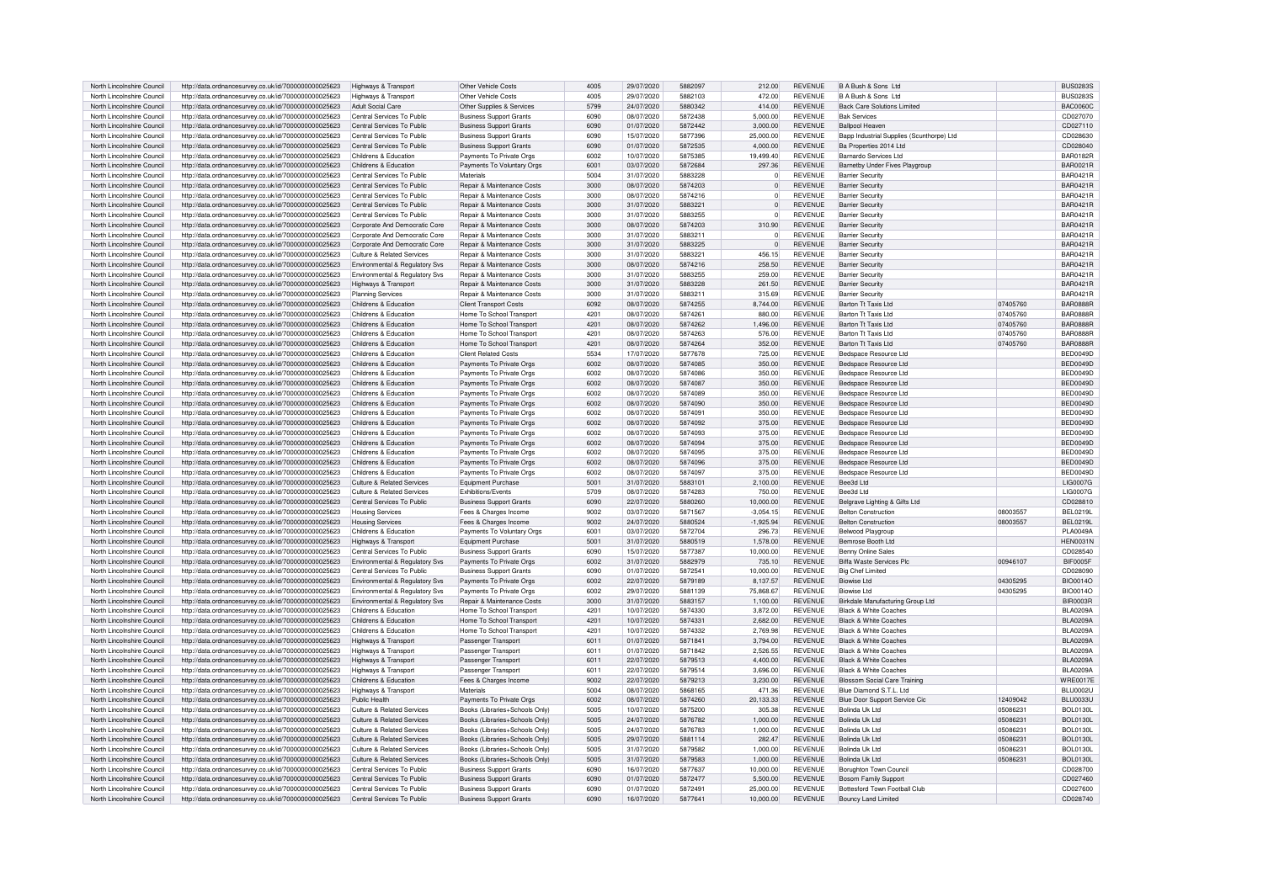| North Lincolnshire Council | http://data.ordnancesurvey.co.uk/id/7000000000025623 | Highways & Transport                       | Other Vehicle Costs                   | 4005 | 29/07/2020 | 5882097 | 212.00         | <b>REVENUE</b> | B A Bush & Sons Ltd                       |          | <b>BUS0283S</b> |
|----------------------------|------------------------------------------------------|--------------------------------------------|---------------------------------------|------|------------|---------|----------------|----------------|-------------------------------------------|----------|-----------------|
| North Lincolnshire Council | http://data.ordnancesurvey.co.uk/id/7000000000025623 | Highways & Transport                       | Other Vehicle Costs                   | 4005 | 29/07/2020 | 5882103 | 472.00         | <b>REVENUE</b> | B A Bush & Sons Ltd                       |          | BUS02835        |
| North Lincolnshire Council | http://data.ordnancesurvey.co.uk/id/7000000000025623 | Adult Social Care                          | Other Supplies & Services             | 5799 | 24/07/2020 | 5880342 | 414.00         | <b>REVENUE</b> | <b>Back Care Solutions Limited</b>        |          | <b>BAC0060C</b> |
| North Lincolnshire Council | http://data.ordnancesurvey.co.uk/id/7000000000025623 | Central Services To Public                 | <b>Business Support Grants</b>        | 6090 | 08/07/2020 | 5872438 | 5,000.00       | <b>REVENUE</b> | <b>Bak Services</b>                       |          | CD027070        |
|                            |                                                      |                                            |                                       |      |            |         |                |                |                                           |          |                 |
| North Lincolnshire Council | http://data.ordnancesurvey.co.uk/id/7000000000025623 | Central Services To Public                 | <b>Business Support Grants</b>        | 6090 | 01/07/2020 | 5872442 | 3,000.00       | <b>REVENUE</b> | <b>Ballpool Heaven</b>                    |          | CD027110        |
| North Lincolnshire Council | http://data.ordnancesurvey.co.uk/id/7000000000025623 | Central Services To Public                 | <b>Business Support Grants</b>        | 6090 | 15/07/2020 | 5877396 | 25,000.00      | <b>REVENUE</b> | Bapp Industrial Supplies (Scunthorpe) Ltd |          | CD028630        |
| North Lincolnshire Council | http://data.ordnancesurvey.co.uk/id/7000000000025623 | Central Services To Public                 | <b>Business Support Grants</b>        | 6090 | 01/07/2020 | 5872535 | 4.000.00       | <b>REVENUE</b> | Ba Properties 2014 Ltd                    |          | CD028040        |
| North Lincolnshire Council | http://data.ordnancesurvey.co.uk/id/7000000000025623 | Childrens & Education                      | Payments To Private Orgs              | 6002 | 10/07/2020 | 5875385 | 19.499.40      | <b>REVENUE</b> | Barnardo Services Ltd                     |          | BAR0182F        |
| North Lincolnshire Council | http://data.ordnancesurvey.co.uk/id/7000000000025623 | Childrens & Education                      | Payments To Voluntary Orgs            | 6001 | 03/07/2020 | 5872684 | 297.36         | <b>REVENUE</b> | Barnetby Under Fives Playgroup            |          | <b>BAR0021F</b> |
| North Lincolnshire Council | http://data.ordnancesurvey.co.uk/id/7000000000025623 | Central Services To Public                 | Materials                             | 5004 | 31/07/2020 | 5883228 | $\overline{0}$ | REVENUE        | <b>Barrier Securit</b>                    |          | <b>BAR0421R</b> |
| North Lincolnshire Council | http://data.ordnancesurvey.co.uk/id/7000000000025623 | Central Services To Public                 | Repair & Maintenance Costs            | 3000 | 08/07/2020 | 5874203 | $\overline{0}$ | <b>REVENUE</b> | <b>Barrier Securit</b>                    |          | <b>BAR0421R</b> |
| North Lincolnshire Council | http://data.ordnancesurvey.co.uk/id/7000000000025623 | Central Services To Public                 | <b>Benair &amp; Maintenance Costs</b> | 3000 | 08/07/2020 | 5874216 | $\Omega$       | <b>REVENUE</b> | <b>Barrier Security</b>                   |          | BAR0421F        |
|                            |                                                      |                                            |                                       | 3000 |            | 5883221 | $\overline{0}$ | <b>REVENUE</b> |                                           |          |                 |
| North Lincolnshire Council | http://data.ordnancesurvey.co.uk/id/7000000000025623 | Central Services To Public                 | Repair & Maintenance Costs            |      | 31/07/2020 |         |                |                | <b>Barrier Security</b>                   |          | <b>BAR0421R</b> |
| North Lincolnshire Council | http://data.ordnancesurvey.co.uk/id/7000000000025623 | Central Services To Public                 | Repair & Maintenance Costs            | 3000 | 31/07/2020 | 5883255 | $\circ$        | <b>REVENUE</b> | <b>Barrier Security</b>                   |          | <b>BAR0421R</b> |
| North Lincolnshire Council | http://data.ordnancesurvey.co.uk/id/7000000000025623 | Corporate And Democratic Core              | Repair & Maintenance Costs            | 3000 | 08/07/2020 | 5874203 | 310.90         | <b>REVENUE</b> | <b>Barrier Security</b>                   |          | BAR0421R        |
| North Lincolnshire Council | http://data.ordnancesurvey.co.uk/id/7000000000025623 | Corporate And Democratic Core              | Repair & Maintenance Costs            | 3000 | 31/07/2020 | 5883211 | $\Omega$       | <b>REVENUE</b> | <b>Barrier Security</b>                   |          | <b>BAR0421R</b> |
| North Lincolnshire Council | http://data.ordnancesurvey.co.uk/id/7000000000025623 | Corporate And Democratic Core              | Repair & Maintenance Costs            | 3000 | 31/07/2020 | 5883225 | $\overline{0}$ | <b>REVENUE</b> | <b>Barrier Security</b>                   |          | BAR0421B        |
| North Lincolnshire Council | http://data.ordnancesurvey.co.uk/id/7000000000025623 | Culture & Related Services                 | Repair & Maintenance Costs            | 3000 | 31/07/2020 | 5883221 | 456.15         | <b>REVENUE</b> | <b>Barrier Security</b>                   |          | BAR0421B        |
| North Lincolnshire Council | http://data.ordnancesurvey.co.uk/id/7000000000025623 | Environmental & Regulatory Svs             | Repair & Maintenance Costs            | 3000 | 08/07/2020 | 5874216 | 258.50         | <b>REVENUE</b> | <b>Barrier Security</b>                   |          | <b>BAR0421R</b> |
| North Lincolnshire Council | http://data.ordnancesurvey.co.uk/id/7000000000025623 | Environmental & Regulatory Svs             | Repair & Maintenance Costs            | 3000 | 31/07/2020 | 5883255 | 259.00         | <b>REVENUE</b> | <b>Barrier Security</b>                   |          | <b>BAR0421R</b> |
| North Lincolnshire Council | http://data.ordnancesurvey.co.uk/id/7000000000025623 | Highways & Transport                       | Repair & Maintenance Costs            | 3000 | 31/07/2020 | 5883228 | 261.50         | <b>REVENUE</b> | <b>Barrier Security</b>                   |          | <b>BAR0421R</b> |
| North Lincolnshire Council | http://data.ordnancesurvey.co.uk/id/7000000000025623 | <b>Planning Services</b>                   | Repair & Maintenance Costs            | 3000 | 31/07/2020 | 5883211 | 315.69         | <b>REVENUE</b> | <b>Barrier Security</b>                   |          | <b>BAR0421R</b> |
|                            |                                                      |                                            |                                       | 6092 |            | 5874255 |                | <b>REVENUE</b> | Barton Tt Taxis Ltd                       | 07405760 | BAR0888F        |
| North Lincolnshire Council | http://data.ordnancesurvey.co.uk/id/7000000000025623 | Childrens & Education                      | <b>Client Transport Costs</b>         |      | 08/07/2020 |         | 8,744.00       |                |                                           |          |                 |
| North Lincolnshire Council | http://data.ordnancesurvey.co.uk/id/7000000000025623 | Childrens & Education                      | Home To School Transport              | 4201 | 08/07/2020 | 5874261 | 880.00         | <b>REVENUE</b> | Barton Tt Taxis Ltd                       | 07405760 | <b>BAR0888R</b> |
| North Lincolnshire Council | http://data.ordnancesurvey.co.uk/id/7000000000025623 | Childrens & Education                      | Home To School Transport              | 4201 | 08/07/2020 | 5874262 | 1,496.00       | <b>REVENUE</b> | <b>Barton Tt Taxis Ltd</b>                | 07405760 | <b>BAR0888R</b> |
| North Lincolnshire Council | http://data.ordnancesurvey.co.uk/id/7000000000025623 | Childrens & Education                      | Home To School Transport              | 4201 | 08/07/2020 | 5874263 | 576.00         | <b>REVENUE</b> | Barton Tt Taxis Ltd                       | 07405760 | <b>BAR0888R</b> |
| North Lincolnshire Council | http://data.ordnancesurvey.co.uk/id/7000000000025623 | Childrens & Education                      | Home To School Transport              | 4201 | 08/07/2020 | 5874264 | 352.00         | <b>REVENUE</b> | Barton Tt Taxis Ltd                       | 07405760 | <b>BAR0888R</b> |
| North Lincolnshire Council | http://data.ordnancesurvey.co.uk/id/7000000000025623 | Childrens & Education                      | <b>Client Related Costs</b>           | 5534 | 17/07/2020 | 5877678 | 725.00         | <b>REVENUE</b> | Bedspace Besource Ltd.                    |          | <b>BED0049D</b> |
| North Lincolnshire Council | http://data.ordnancesurvey.co.uk/id/7000000000025623 | Childrens & Education                      | Payments To Private Orgs              | 6002 | 08/07/2020 | 5874085 | 350.00         | <b>REVENUE</b> | Bedspace Besource Ltd.                    |          | <b>BED0049D</b> |
| North Lincolnshire Council | http://data.ordnancesurvey.co.uk/id/7000000000025623 | Childrens & Education                      | Payments To Private Orgs              | 6002 | 08/07/2020 | 5874086 | 350.00         | <b>REVENUE</b> | Bedspace Resource Ltd                     |          | BED0049D        |
| North Lincolnshire Council | http://data.ordnancesurvey.co.uk/id/7000000000025623 | Childrens & Education                      | Payments To Private Orgs              | 6002 | 08/07/2020 | 5874087 | 350.00         | <b>REVENUE</b> | Bedspace Resource Ltd                     |          | <b>BED0049D</b> |
| North Lincolnshire Council | http://data.ordnancesurvev.co.uk/id/7000000000025623 | Childrens & Education                      | Payments To Private Orgs              | 6002 | 08/07/2020 | 5874089 | 350.00         | <b>REVENUE</b> | Bedspace Resource Ltd                     |          | BED0049D        |
| North Lincolnshire Council |                                                      | Childrens & Education                      | Payments To Private Orgs              | 6002 | 08/07/2020 | 5874090 | 350.00         | <b>REVENUE</b> | Bedspace Besource Ltd                     |          | BED0049D        |
|                            | http://data.ordnancesurvey.co.uk/id/7000000000025623 |                                            |                                       |      |            |         |                |                |                                           |          |                 |
| North Lincolnshire Council | http://data.ordnancesurvey.co.uk/id/7000000000025623 | Childrens & Education                      | Payments To Private Oras              | 6002 | 08/07/2020 | 5874091 | 350.00         | <b>REVENUE</b> | Bedspace Resource Ltd                     |          | <b>BED0049D</b> |
| North Lincolnshire Council | http://data.ordnancesurvey.co.uk/id/7000000000025623 | Childrens & Education                      | Payments To Private Orgs              | 6002 | 08/07/2020 | 5874092 | 375.00         | <b>REVENUE</b> | Bedspace Resource Ltd                     |          | <b>BED0049D</b> |
| North Lincolnshire Council | http://data.ordnancesurvey.co.uk/id/7000000000025623 | Childrens & Education                      | Payments To Private Oras              | 6002 | 08/07/2020 | 5874093 | 375.00         | <b>REVENUE</b> | Bedspace Besource Ltd.                    |          | <b>BED0049D</b> |
| North Lincolnshire Council | http://data.ordnancesurvey.co.uk/id/7000000000025623 | Childrens & Education                      | Payments To Private Orgs              | 6002 | 08/07/2020 | 5874094 | 375.00         | <b>REVENUE</b> | Bedspace Besource Ltd.                    |          | <b>BED0049D</b> |
| North Lincolnshire Council | http://data.ordnancesurvey.co.uk/id/7000000000025623 | Childrens & Education                      | Payments To Private Orgs              | 6002 | 08/07/2020 | 5874095 | 375.00         | <b>REVENUE</b> | Bedspace Besource Ltd                     |          | <b>BED0049D</b> |
| North Lincolnshire Council | http://data.ordnancesurvey.co.uk/id/7000000000025623 | Childrens & Education                      | Payments To Private Orgs              | 6002 | 08/07/2020 | 5874096 | 375.00         | <b>REVENUE</b> | Bedspace Besource Ltd.                    |          | BED0049D        |
| North Lincolnshire Council | http://data.ordnancesurvey.co.uk/id/7000000000025623 | Childrens & Education                      | Payments To Private Oras              | 6002 | 08/07/2020 | 5874097 | 375.00         | <b>REVENUE</b> | Bedspace Besource Ltd                     |          | <b>BED0049D</b> |
| North Lincolnshire Council | http://data.ordnancesurvey.co.uk/id/7000000000025623 | Culture & Related Services                 | Equipment Purchase                    | 5001 | 31/07/2020 | 5883101 | 2,100.00       | <b>REVENUE</b> | Bee3d Ltd                                 |          | LIG0007G        |
| North Lincolnshire Council | http://data.ordnancesurvey.co.uk/id/7000000000025623 | Culture & Related Services                 | Exhibitions/Events                    | 5709 | 08/07/2020 | 5874283 | 750.00         | <b>REVENUE</b> | Bee3d I td                                |          | <b>LIG0007G</b> |
|                            |                                                      |                                            |                                       |      |            |         |                |                |                                           |          |                 |
| North Lincolnshire Council | http://data.ordnancesurvey.co.uk/id/7000000000025623 | Central Services To Public                 | <b>Business Support Grants</b>        | 6090 | 22/07/2020 | 5880260 | 10,000.00      | <b>REVENUE</b> | Belgrave Lighting & Gifts Ltd             |          | CD028810        |
| North Lincolnshire Council | http://data.ordnancesurvey.co.uk/id/7000000000025623 | <b>Housing Services</b>                    | Fees & Charges Income                 | 9002 | 03/07/2020 | 5871567 | $-3,054.15$    | <b>REVENUE</b> | <b>Belton Construction</b>                | 08003557 | <b>BEL0219L</b> |
| North Lincolnshire Council | http://data.ordnancesurvey.co.uk/id/7000000000025623 | <b>Housing Services</b>                    | Fees & Charges Income                 | 9002 | 24/07/2020 | 5880524 | $-1,925.94$    | <b>REVENUE</b> | <b>Belton Construction</b>                | 08003557 | BFI 0219I       |
| North Lincolnshire Council | http://data.ordnancesurvey.co.uk/id/7000000000025623 | Childrens & Education                      | Payments To Voluntary Orgs            | 6001 | 03/07/2020 | 5872704 | 296.73         | <b>REVENUE</b> | <b>Belwood Playgroup</b>                  |          | <b>PLA0049A</b> |
| North Lincolnshire Council | http://data.ordnancesurvey.co.uk/id/7000000000025623 | Highways & Transport                       | Equipment Purchase                    | 5001 | 31/07/2020 | 5880519 | 1,578.00       | <b>REVENUE</b> | Bemrose Booth Ltd                         |          | <b>HEN0031N</b> |
| North Lincolnshire Council | http://data.ordnancesurvey.co.uk/id/7000000000025623 | Central Services To Public                 | <b>Business Support Grants</b>        | 6090 | 15/07/2020 | 5877387 | 10.000.00      | <b>REVENUE</b> | <b>Benny Online Sales</b>                 |          | CD028540        |
| North Lincolnshire Council | http://data.ordnancesurvey.co.uk/id/7000000000025623 | <b>Environmental &amp; Requiatory Sys.</b> | Payments To Private Orgs              | 6002 | 31/07/2020 | 5882979 | 735.10         | <b>REVENUE</b> | <b>Biffa Waste Services Plc</b>           | 00946107 | BIF0005F        |
| North Lincolnshire Council | http://data.ordnancesurvey.co.uk/id/7000000000025623 | Central Services To Public                 | <b>Business Support Grants</b>        | 6090 | 01/07/2020 | 5872541 | 10.000.00      | <b>REVENUE</b> | <b>Big Chef Limited</b>                   |          | CD028090        |
| North Lincolnshire Council | http://data.ordnancesurvey.co.uk/id/7000000000025623 | Environmental & Regulatory Svs             | Payments To Private Orgs              | 6002 | 22/07/2020 | 5879189 | 8.137.57       | <b>REVENUE</b> | <b>Biowise Ltd</b>                        | 04305295 | <b>BIO0014O</b> |
| North Lincolnshire Council | http://data.ordnancesurvey.co.uk/id/7000000000025623 | Environmental & Regulatory Sys             | Payments To Private Oras              | 6002 | 29/07/2020 | 5881139 | 75.868.67      | <b>REVENUE</b> | <b>Biowise Ltd</b>                        | 04305295 | <b>BIO0014C</b> |
| North Lincolnshire Council | http://data.ordnancesurvey.co.uk/id/7000000000025623 | Environmental & Regulatory Svs             | Repair & Maintenance Costs            | 3000 | 31/07/2020 | 5883157 | 1,100.00       | <b>REVENUE</b> | Birkdale Manufacturing Group Ltd          |          | <b>BIR0003R</b> |
| North Lincolnshire Council |                                                      | Childrens & Education                      |                                       | 4201 | 10/07/2020 | 5874330 | 3.872.00       | <b>REVENUE</b> | Black & White Coaches                     |          | BI A0209/       |
|                            | http://data.ordnancesurvey.co.uk/id/7000000000025623 |                                            | Home To School Transport              |      |            |         |                |                |                                           |          |                 |
| North Lincolnshire Council | http://data.ordnancesurvey.co.uk/id/7000000000025623 | Childrens & Education                      | Home To School Transport              | 4201 | 10/07/2020 | 5874331 | 2,682.00       | REVENUE        | <b>Black &amp; White Coaches</b>          |          | <b>BLA0209A</b> |
| North Lincolnshire Council | http://data.ordnancesurvey.co.uk/id/7000000000025623 | Childrens & Education                      | Home To School Transport              | 4201 | 10/07/2020 | 5874332 | 2.769.98       | <b>REVENUE</b> | <b>Black &amp; White Coaches</b>          |          | BL A0209A       |
| North Lincolnshire Council | http://data.ordnancesurvey.co.uk/id/7000000000025623 | Highways & Transport                       | Passenger Transport                   | 6011 | 01/07/2020 | 5871841 | 3.794.00       | <b>REVENUE</b> | <b>Black &amp; White Coaches</b>          |          | <b>BLA0209A</b> |
| North Lincolnshire Council | http://data.ordnancesurvey.co.uk/id/7000000000025623 | Highways & Transport                       | Passenger Transport                   | 6011 | 01/07/2020 | 5871842 | 2,526.55       | <b>REVENUE</b> | Black & White Coaches                     |          | <b>BLA0209A</b> |
| North Lincolnshire Council | http://data.ordnancesurvey.co.uk/id/7000000000025623 | Highways & Transport                       | Passenger Transport                   | 6011 | 22/07/2020 | 5879513 | 4,400.00       | <b>REVENUE</b> | <b>Black &amp; White Coaches</b>          |          | <b>BLA0209A</b> |
| North Lincolnshire Council | http://data.ordnancesurvey.co.uk/id/7000000000025623 | Highways & Transport                       | Passenger Transport                   | 6011 | 22/07/2020 | 5879514 | 3.696.00       | <b>REVENUE</b> | <b>Black &amp; White Coaches</b>          |          | <b>BLA0209A</b> |
| North Lincolnshire Council | http://data.ordnancesurvey.co.uk/id/7000000000025623 | Childrens & Education                      | Fees & Charges Income                 | 9002 | 22/07/2020 | 5879213 | 3.230.00       | <b>REVENUE</b> | <b>Blossom Social Care Training</b>       |          | <b>WRE0017E</b> |
| North Lincolnshire Council | http://data.ordnancesurvey.co.uk/id/7000000000025623 | Highways & Transport                       | Materials                             | 5004 | 08/07/2020 | 5868165 | 471.36         | <b>REVENUE</b> | <b>Blue Diamond S T L Ltd</b>             |          | <b>BLU0002L</b> |
| North Lincolnshire Council | http://data.ordnancesurvey.co.uk/id/7000000000025623 | Public Health                              | Payments To Private Orgs              | 6002 | 08/07/2020 | 5874260 | 20,133.33      | <b>REVENUE</b> | Blue Door Support Service Cic             | 12409042 | <b>BLU0033U</b> |
| North Lincolnshire Council | http://data.ordnancesurvey.co.uk/id/7000000000025623 | Culture & Related Services                 | Books (Libraries+Schools Only)        | 5005 | 10/07/2020 | 5875200 | 305.38         | <b>REVENUE</b> | Bolinda Uk Ltd                            | 0508623  | <b>BOL0130L</b> |
|                            |                                                      |                                            |                                       | 5005 |            | 5876782 |                | <b>REVENUE</b> |                                           |          |                 |
| North Lincolnshire Council | http://data.ordnancesurvey.co.uk/id/7000000000025623 | Culture & Related Services                 | Books (Libraries+Schools Only)        |      | 24/07/2020 |         | 1,000.00       |                | Bolinda Uk Ltd                            | 05086231 | <b>BOL0130L</b> |
| North Lincolnshire Council | http://data.ordnancesurvey.co.uk/id/7000000000025623 | Culture & Related Services                 | Books (Libraries+Schools Only         | 5005 | 24/07/2020 | 5876783 | 1.000.00       | <b>REVENUE</b> | Bolinda Uk I td                           | 05086231 | BOI 0130L       |
| North Lincolnshire Council | http://data.ordnancesurvey.co.uk/id/7000000000025623 | Culture & Related Services                 | Books (Libraries+Schools Only         | 5005 | 29/07/2020 | 5881114 | 282.47         | REVENUE        | Bolinda Uk Ltd                            | 05086231 | <b>BOL0130L</b> |
| North Lincolnshire Council | http://data.ordnancesurvey.co.uk/id/7000000000025623 | Culture & Related Services                 | Books (Libraries+Schools Only)        | 5005 | 31/07/2020 | 5879582 | 1,000.00       | <b>REVENUE</b> | Bolinda Uk I td                           | 05086231 | <b>BOL0130L</b> |
| North Lincolnshire Council | http://data.ordnancesurvey.co.uk/id/7000000000025623 | Culture & Related Services                 | Books (Libraries+Schools Only)        | 5005 | 31/07/2020 | 5879583 | 1,000.00       | <b>REVENUE</b> | Bolinda Uk I td                           | 05086231 | <b>BOL0130L</b> |
| North Lincolnshire Council | http://data.ordnancesurvey.co.uk/id/7000000000025623 | Central Services To Public                 | <b>Business Support Grants</b>        | 6090 | 16/07/2020 | 5877637 | 10.000.00      | <b>REVENUE</b> | Borughton Town Council                    |          | CD028700        |
| North Lincolnshire Council | http://data.ordnancesurvey.co.uk/id/7000000000025623 | Central Services To Public                 | <b>Business Support Grants</b>        | 6090 | 01/07/2020 | 5872477 | 5,500.00       | <b>REVENUE</b> | Bosom Family Support                      |          | CD027460        |
| North Lincolnshire Council | http://data.ordnancesurvev.co.uk/id/7000000000025623 | Central Services To Public                 | <b>Business Support Grants</b>        | 6090 | 01/07/2020 | 5872491 | 25,000.00      | <b>REVENUE</b> | Bottesford Town Football Club             |          | CD027600        |
| North Lincolnshire Council | http://data.ordnancesurvey.co.uk/id/7000000000025623 | Central Services To Public                 | <b>Business Support Grants</b>        | 6090 | 16/07/2020 | 5877641 | 10.000.00      | <b>REVENUE</b> | Bouncy Land Limited                       |          | CD028740        |
|                            |                                                      |                                            |                                       |      |            |         |                |                |                                           |          |                 |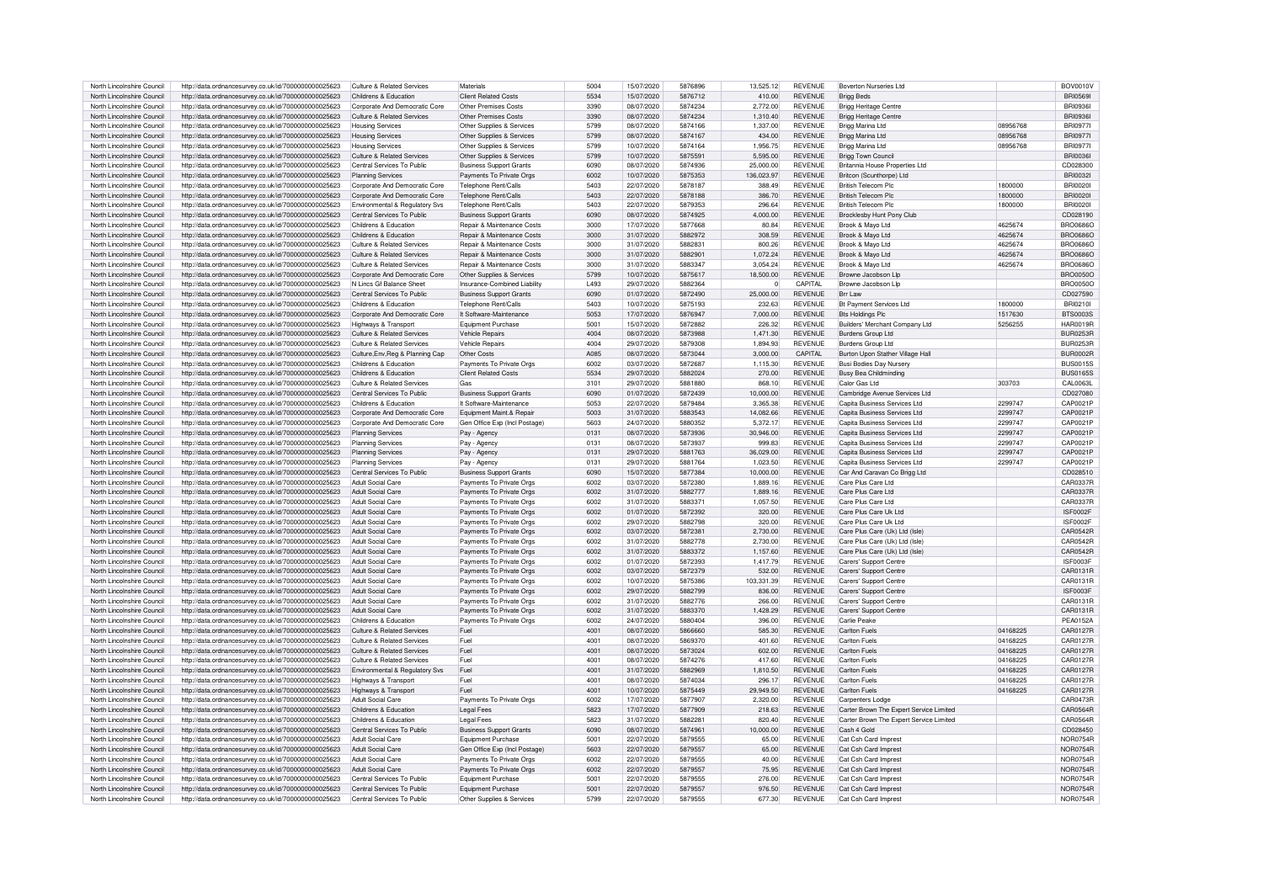| North Lincolnshire Council                               | http://data.ordnancesurvey.co.uk/id/7000000000025623                                                         | Culture & Related Services                               | Materials                                       | 5004         | 15/07/2020               | 5876896            | 13,525.12        | <b>REVENUE</b>                   | <b>Boverton Nurseries Ltd</b>                |          | <b>BOV0010V</b>                    |
|----------------------------------------------------------|--------------------------------------------------------------------------------------------------------------|----------------------------------------------------------|-------------------------------------------------|--------------|--------------------------|--------------------|------------------|----------------------------------|----------------------------------------------|----------|------------------------------------|
|                                                          |                                                                                                              |                                                          |                                                 |              |                          |                    |                  |                                  |                                              |          |                                    |
| North Lincolnshire Council                               | http://data.ordnancesurvey.co.uk/id/7000000000025623                                                         | Childrens & Education                                    | <b>Client Related Costs</b>                     | 5534         | 15/07/2020               | 5876712            | 410.00           | <b>REVENUE</b>                   | <b>Brigg Beds</b>                            |          | <b>BRI0569</b>                     |
| North Lincolnshire Council                               | http://data.ordnancesurvey.co.uk/id/7000000000025623                                                         | Corporate And Democratic Core                            | Other Premises Costs                            | 3390         | 08/07/2020               | 5874234            | 2,772.00         | <b>REVENUE</b>                   | <b>Brigg Heritage Centre</b>                 |          | <b>BRI09361</b>                    |
| North Lincolnshire Council                               | http://data.ordnancesurvey.co.uk/id/7000000000025623                                                         | Culture & Related Services                               | Other Premises Costs                            | 3390         | 08/07/2020               | 5874234            | 1,310.40         | <b>REVENUE</b>                   |                                              |          | <b>BRI09361</b>                    |
|                                                          |                                                                                                              |                                                          |                                                 |              |                          |                    |                  |                                  | <b>Brigg Heritage Centre</b>                 |          |                                    |
| North Lincolnshire Council                               | http://data.ordnancesurvey.co.uk/id/7000000000025623                                                         | <b>Housing Services</b>                                  | Other Supplies & Services                       | 5799         | 08/07/2020               | 5874166            | 1.337.00         | <b>REVENUE</b>                   | Brigg Marina Ltd                             | 08956768 | <b>BRI0977</b>                     |
| North Lincolnshire Council                               | http://data.ordnancesurvey.co.uk/id/7000000000025623                                                         | <b>Housing Services</b>                                  | Other Supplies & Services                       | 5799         | 08/07/2020               | 5874167            | 434.00           | <b>REVENUE</b>                   | Brigg Marina Ltd                             | 08956768 | <b>BRI0977I</b>                    |
|                                                          |                                                                                                              |                                                          |                                                 | 5799         |                          |                    |                  |                                  |                                              |          |                                    |
| North Lincolnshire Council                               | http://data.ordnancesurvey.co.uk/id/7000000000025623                                                         | <b>Housing Services</b>                                  | Other Supplies & Services                       |              | 10/07/2020               | 5874164            | 1,956.75         | REVENUE                          | Brigg Marina Ltd                             | 08956768 | <b>BRI0977I</b>                    |
| North Lincolnshire Council                               | http://data.ordnancesurvey.co.uk/id/7000000000025623                                                         | Culture & Related Services                               | Other Supplies & Services                       | 5799         | 10/07/2020               | 5875591            | 5,595.00         | <b>REVENUE</b>                   | Brigg Town Council                           |          | BRI0036                            |
| North Lincolnshire Council                               | http://data.ordnancesurvey.co.uk/id/7000000000025623                                                         | Central Services To Public                               | <b>Business Support Grants</b>                  | 6090         | 08/07/2020               | 5874936            | 25,000.00        | <b>REVENUE</b>                   | Britannia House Properties Ltd               |          | CD028300                           |
|                                                          |                                                                                                              |                                                          |                                                 |              |                          |                    |                  |                                  |                                              |          |                                    |
| North Lincolnshire Council                               | http://data.ordnancesurvey.co.uk/id/7000000000025623                                                         | <b>Planning Services</b>                                 | Payments To Private Orgs                        | 6002         | 10/07/2020               | 5875353            | 136,023.97       | <b>REVENUE</b>                   | Britcon (Scunthorpe) Ltd                     |          | <b>BRI0032</b>                     |
| North Lincolnshire Council                               | http://data.ordnancesurvey.co.uk/id/7000000000025623                                                         | Corporate And Democratic Core                            | Telephone Rent/Calls                            | 5403         | 22/07/2020               | 5878187            | 388.49           | <b>REVENUE</b>                   | <b>British Telecom Plc</b>                   | 1800000  | <b>BRI0020</b>                     |
| North Lincolnshire Council                               |                                                                                                              | Corporate And Democratic Core                            | Telephone Rent/Calls                            | 5403         | 22/07/2020               | 5878188            | 386.70           | <b>REVENUE</b>                   | <b>British Telecom Plc</b>                   | 1800000  | <b>BRI0020</b>                     |
|                                                          | http://data.ordnancesurvey.co.uk/id/7000000000025623                                                         |                                                          |                                                 |              |                          |                    |                  |                                  |                                              |          |                                    |
| North Lincolnshire Council                               | http://data.ordnancesurvey.co.uk/id/7000000000025623                                                         | Environmental & Regulatory Svs                           | Telephone Rent/Calls                            | 5403         | 22/07/2020               | 5879353            | 296.64           | <b>REVENUE</b>                   | British Telecom Plc                          | 1800000  | <b>BRI0020</b>                     |
| North Lincolnshire Council                               | http://data.ordnancesurvey.co.uk/id/7000000000025623                                                         | Central Services To Public                               | <b>Business Support Grants</b>                  | 6090         | 08/07/2020               | 5874925            | 4,000.00         | <b>REVENUE</b>                   | Brocklesby Hunt Pony Club                    |          | CD028190                           |
|                                                          |                                                                                                              |                                                          |                                                 |              |                          |                    |                  |                                  |                                              |          |                                    |
| North Lincolnshire Council                               | http://data.ordnancesurvey.co.uk/id/7000000000025623                                                         | Childrens & Education                                    | Repair & Maintenance Costs                      | 3000         | 17/07/2020               | 5877668            | 80.84            | <b>REVENUE</b>                   | Brook & Mayo Ltd                             | 4625674  | <b>BRO0686C</b>                    |
| North Lincolnshire Council                               | http://data.ordnancesurvey.co.uk/id/7000000000025623                                                         | Childrens & Education                                    | Repair & Maintenance Costs                      | 3000         | 31/07/2020               | 5882972            | 308.59           | <b>REVENUE</b>                   | Brook & Mayo Ltd                             | 4625674  | <b>BRO0686C</b>                    |
| North Lincolnshire Council                               | http://data.ordnancesurvey.co.uk/id/7000000000025623                                                         | Culture & Related Services                               | Repair & Maintenance Costs                      | 3000         | 31/07/2020               | 588283             | 800.26           | <b>REVENUE</b>                   | Brook & Mayo Ltd                             | 4625674  | <b>BRO0686C</b>                    |
|                                                          |                                                                                                              |                                                          |                                                 |              |                          |                    |                  |                                  |                                              |          |                                    |
| North Lincolnshire Council                               | http://data.ordnancesurvey.co.uk/id/7000000000025623                                                         | Culture & Related Services                               | Repair & Maintenance Costs                      | 3000         | 31/07/2020               | 588290             | 1,072.24         | <b>REVENUE</b>                   | Brook & Mayo Ltd                             | 4625674  | <b>BRO0686C</b>                    |
| North Lincolnshire Council                               | http://data.ordnancesurvey.co.uk/id/7000000000025623                                                         | Culture & Related Services                               | Repair & Maintenance Costs                      | 3000         | 31/07/2020               | 5883347            | 3.054.24         | <b>REVENUE</b>                   | Brook & Mayo Ltd                             | 4625674  | <b>BRO0686C</b>                    |
| North Lincolnshire Council                               | http://data.ordnancesurvey.co.uk/id/7000000000025623                                                         | Corporate And Democratic Core                            | Other Supplies & Services                       | 5799         | 10/07/2020               | 5875617            | 18.500.00        | <b>REVENUE</b>                   | Browne Jacobson Llp                          |          | <b>BRO0050C</b>                    |
|                                                          |                                                                                                              |                                                          |                                                 |              |                          |                    |                  |                                  |                                              |          |                                    |
| North Lincolnshire Council                               | http://data.ordnancesurvey.co.uk/id/7000000000025623                                                         | N Lincs Gf Balance Sheet                                 | Insurance-Combined Liability                    | L493         | 29/07/2020               | 5882364            | $\circ$          | CAPITAL                          | Browne Jacobson Lip                          |          | <b>BRO0050C</b>                    |
| North Lincolnshire Council                               | http://data.ordnancesurvey.co.uk/id/7000000000025623                                                         | Central Services To Public                               | <b>Business Support Grants</b>                  | 6090         | 01/07/2020               | 5872490            | 25,000.00        | <b>REVENUE</b>                   | <b>Brr Law</b>                               |          | CD027590                           |
|                                                          |                                                                                                              |                                                          |                                                 |              |                          |                    |                  |                                  |                                              |          |                                    |
| North Lincolnshire Council                               | http://data.ordnancesurvey.co.uk/id/7000000000025623                                                         | Childrens & Education                                    | Telephone Rent/Calls                            | 5403         | 10/07/2020               | 5875193            | 232.63           | <b>REVENUE</b>                   | Bt Payment Services Ltd                      | 1800000  | BRI0210I                           |
| North Lincolnshire Council                               | http://data.ordnancesurvey.co.uk/id/7000000000025623                                                         | Corporate And Democratic Core                            | It Software-Maintenance                         | 5053         | 17/07/2020               | 5876947            | 7.000.00         | <b>REVENUE</b>                   | <b>Bts Holdings Plc</b>                      | 1517630  | <b>BTS0003S</b>                    |
| North Lincolnshire Council                               | http://data.ordnancesurvey.co.uk/id/7000000000025623                                                         | Highways & Transport                                     | Equipment Purchase                              | 5001         | 15/07/2020               | 5872882            | 226.32           | <b>REVENUE</b>                   | Builders' Merchant Company Ltd               | 5256255  | <b>HAR0019F</b>                    |
|                                                          |                                                                                                              |                                                          |                                                 |              |                          |                    |                  |                                  |                                              |          |                                    |
| North Lincolnshire Council                               | http://data.ordnancesurvey.co.uk/id/7000000000025623                                                         | Culture & Related Services                               | <b>Vehicle Renairs</b>                          | 4004         | 08/07/2020               | 5873988            | 1.471.30         | <b>REVENUE</b>                   | <b>Burdens Group Ltd</b>                     |          | BUR0253B                           |
| North Lincolnshire Council                               | http://data.ordnancesurvev.co.uk/id/7000000000025623                                                         | Culture & Related Services                               | Vehicle Renairs                                 | 4004         | 29/07/2020               | 5879308            | 1.894.93         | <b>REVENUE</b>                   | <b>Burdens Group Ltd</b>                     |          | BUR0253E                           |
| North Lincolnshire Council                               |                                                                                                              |                                                          | Other Costs                                     | <b>A085</b>  | 08/07/2020               | 5873044            | 3.000.00         | CAPITAL                          |                                              |          | BUR0002F                           |
|                                                          | http://data.ordnancesurvey.co.uk/id/7000000000025623                                                         | Culture, Env, Reg & Planning Cap                         |                                                 |              |                          |                    |                  |                                  | Burton Upon Stather Village Hall             |          |                                    |
| North Lincolnshire Council                               | http://data.ordnancesurvey.co.uk/id/7000000000025623                                                         | Childrens & Education                                    | Payments To Private Orgs                        | 6002         | 03/07/2020               | 5872687            | 1.115.30         | <b>REVENUE</b>                   | Busi Bodies Day Nursery                      |          | BUS00155                           |
| North Lincolnshire Council                               | http://data.ordnancesurvey.co.uk/id/7000000000025623                                                         | Childrens & Education                                    | <b>Client Related Costs</b>                     | 5534         | 29/07/2020               | 5882024            | 270.00           | <b>REVENUE</b>                   | <b>Busy Bea Childminding</b>                 |          | BUS01655                           |
|                                                          |                                                                                                              |                                                          |                                                 |              |                          |                    |                  |                                  |                                              |          |                                    |
| North Lincolnshire Council                               | http://data.ordnancesurvey.co.uk/id/7000000000025623                                                         | Culture & Related Services                               | Gas                                             | 3101         | 29/07/2020               | 5881880            | 868.10           | <b>REVENUE</b>                   | Calor Gas Ltd                                | 303703   | CAL0063L                           |
| North Lincolnshire Council                               | http://data.ordnancesurvey.co.uk/id/7000000000025623                                                         | Central Services To Public                               | <b>Business Support Grants</b>                  | 6090         | 01/07/2020               | 5872439            | 10,000.00        | <b>REVENUE</b>                   | Cambridge Avenue Services Ltd                |          | CD027080                           |
| North Lincolnshire Council                               |                                                                                                              | Childrens & Education                                    | It Software-Maintenance                         | 5053         | 22/07/2020               | 5879484            | 3,365.38         | <b>REVENUE</b>                   | Capita Business Services Ltd                 | 2299747  | CAP0021F                           |
|                                                          | http://data.ordnancesurvey.co.uk/id/7000000000025623                                                         |                                                          |                                                 |              |                          |                    |                  |                                  |                                              |          |                                    |
| North Lincolnshire Council                               | http://data.ordnancesurvey.co.uk/id/7000000000025623                                                         | Corporate And Democratic Core                            | Equipment Maint.& Repair                        | 5003         | 31/07/2020               | 5883543            | 14,082.66        | <b>REVENUE</b>                   | Capita Business Services Ltd                 | 2299747  | CAP0021P                           |
| North Lincolnshire Council                               | http://data.ordnancesurvey.co.uk/id/7000000000025623                                                         | Corporate And Democratic Core                            | Gen Office Exp (Incl Postage)                   | 5603         | 24/07/2020               | 5880352            | 5.372.17         | <b>REVENUE</b>                   | Capita Business Services Ltd                 | 2299747  | CAP0021E                           |
|                                                          |                                                                                                              |                                                          |                                                 |              |                          |                    |                  |                                  |                                              |          |                                    |
| North Lincolnshire Council                               | http://data.ordnancesurvey.co.uk/id/7000000000025623                                                         | Planning Services                                        | Pay - Agency                                    | 0131         | 08/07/2020               | 5873936            | 30.946.00        | <b>REVENUE</b>                   | Capita Business Services Ltd                 | 2299747  | CAP0021P                           |
| North Lincolnshire Council                               | http://data.ordnancesurvey.co.uk/id/7000000000025623                                                         | <b>Planning Services</b>                                 | Pay - Agency                                    | 0131         | 08/07/2020               | 5873937            | 999.83           | <b>REVENUE</b>                   | Capita Business Services Ltd                 | 2299747  | CAP0021F                           |
| North Lincolnshire Council                               | http://data.ordnancesurvey.co.uk/id/7000000000025623                                                         | Planning Services                                        | Pay - Agency                                    | 0131         | 29/07/2020               | 5881763            | 36.029.00        | <b>REVENUE</b>                   | Capita Business Services Ltd                 | 2299747  | CAP0021P                           |
|                                                          |                                                                                                              |                                                          |                                                 |              |                          |                    |                  |                                  |                                              |          |                                    |
| North Lincolnshire Council                               | http://data.ordnancesurvey.co.uk/id/7000000000025623                                                         | <b>Planning Services</b>                                 | Pay - Agency                                    | 0131         | 29/07/2020               | 5881764            | 1.023.50         | <b>REVENUE</b>                   | Capita Business Services Ltd                 | 2299747  | CAP0021P                           |
| North Lincolnshire Council                               | http://data.ordnancesurvey.co.uk/id/7000000000025623                                                         | Central Services To Public                               | <b>Business Support Grants</b>                  | 6090         | 15/07/2020               | 5877384            | 10,000.00        | <b>REVENUE</b>                   | Car And Caravan Co Brigg Ltd                 |          | CD028510                           |
|                                                          |                                                                                                              |                                                          |                                                 |              |                          |                    |                  |                                  |                                              |          |                                    |
| North Lincolnshire Council                               | http://data.ordnancesurvey.co.uk/id/7000000000025623                                                         | Adult Social Care                                        | Payments To Private Orgs                        | 6002         | 03/07/2020               | 5872380            | 1.889.16         | <b>REVENUE</b>                   | Care Plus Care Ltd                           |          | CAR0337F                           |
| North Lincolnshire Council                               | http://data.ordnancesurvey.co.uk/id/7000000000025623                                                         | <b>Adult Social Care</b>                                 | Payments To Private Orgs                        | 6002         | 31/07/2020               | 5882777            | 1.889.16         | <b>REVENUE</b>                   | Care Plus Care Ltd                           |          | CAR0337F                           |
| North Lincolnshire Council                               | http://data.ordnancesurvev.co.uk/id/7000000000025623                                                         | <b>Adult Social Care</b>                                 | Payments To Private Orgs                        | 6002         | 31/07/2020               | 588337             | 1,057.50         | <b>REVENUE</b>                   | Care Plus Care Ltd                           |          | <b>CAR0337F</b>                    |
|                                                          |                                                                                                              |                                                          |                                                 |              |                          |                    |                  |                                  |                                              |          |                                    |
| North Lincolnshire Council                               | http://data.ordnancesurvey.co.uk/id/7000000000025623                                                         | Adult Social Care                                        | Payments To Private Orgs                        | 6002         | 01/07/2020               | 5872392            | 320.00           | <b>REVENUE</b>                   | Care Plus Care Uk Ltd                        |          | ISF0002F                           |
| North Lincolnshire Council                               | http://data.ordnancesurvey.co.uk/id/7000000000025623                                                         | Adult Social Care                                        | Payments To Private Orgs                        | 6002         | 29/07/2020               | 5882798            | 320.00           | <b>REVENUE</b>                   | Care Plus Care Uk I to                       |          | ISF0002F                           |
| North Lincolnshire Council                               | http://data.ordnancesurvey.co.uk/id/7000000000025623                                                         | <b>Adult Social Care</b>                                 | Payments To Private Orgs                        | 6002         |                          |                    |                  |                                  | Care Plus Care (Uk) Ltd (Isle)               |          |                                    |
|                                                          |                                                                                                              |                                                          |                                                 |              |                          |                    |                  |                                  |                                              |          |                                    |
| North Lincolnshire Council                               | http://data.ordnancesurvey.co.uk/id/7000000000025623                                                         |                                                          |                                                 |              | 03/07/2020               | 5872381            | 2,730.00         | <b>REVENUE</b>                   |                                              |          | <b>CAR0542F</b>                    |
| North Lincolnshire Council                               |                                                                                                              | <b>Adult Social Care</b>                                 | Payments To Private Orgs                        | 6002         | 31/07/2020               | 5882778            | 2,730.00         | <b>REVENUE</b>                   | Care Plus Care (Uk) Ltd (Isle)               |          | CAR0542F                           |
|                                                          |                                                                                                              |                                                          |                                                 |              |                          |                    |                  |                                  |                                              |          |                                    |
|                                                          | http://data.ordnancesurvey.co.uk/id/7000000000025623                                                         | Adult Social Care                                        | Payments To Private Orgs                        | 6002         | 31/07/2020               | 5883372            | 1.157.60         | <b>REVENUE</b>                   | Care Plus Care (Uk) I td (Isle               |          | <b>CAR0542F</b>                    |
| North Lincolnshire Council                               | http://data.ordnancesurvey.co.uk/id/7000000000025623                                                         | Adult Social Care                                        | Payments To Private Orgs                        | 6002         | 01/07/2020               | 5872393            | 1.417.79         | <b>REVENUE</b>                   | Carers' Support Centre                       |          | ISF0003F                           |
| North Lincolnshire Council                               | http://data.ordnancesurvey.co.uk/id/7000000000025623                                                         | <b>Adult Social Care</b>                                 | Payments To Private Orgs                        | 6002         | 03/07/2020               | 5872379            | 532.00           | <b>REVENUE</b>                   | Carers' Support Centre                       |          | CAR0131F                           |
|                                                          |                                                                                                              |                                                          |                                                 |              |                          |                    |                  |                                  |                                              |          |                                    |
| North Lincolnshire Council                               | http://data.ordnancesurvey.co.uk/id/7000000000025623                                                         | <b>Adult Social Care</b>                                 | Payments To Private Orgs                        | 6002         | 10/07/2020               | 5875386            | 103.331.39       | <b>REVENUE</b>                   | Carers' Support Centre                       |          | CAR0131E                           |
| North Lincolnshire Council                               | http://data.ordnancesurvey.co.uk/id/7000000000025623                                                         | <b>Adult Social Care</b>                                 | Payments To Private Orgs                        | 6002         | 29/07/2020               | 5882799            | 836.00           | <b>REVENUE</b>                   | Carers' Support Centre                       |          | ISF0003F                           |
|                                                          |                                                                                                              |                                                          |                                                 | 6002         |                          |                    |                  |                                  | Carers' Support Centre                       |          |                                    |
| North Lincolnshire Council                               | http://data.ordnancesurvey.co.uk/id/7000000000025623                                                         | <b>Adult Social Care</b>                                 | Payments To Private Orgs                        |              | 31/07/2020               | 5882776            | 266.00           | <b>REVENUE</b>                   |                                              |          | CAR0131F                           |
| North Lincolnshire Council                               | http://data.ordnancesurvey.co.uk/id/7000000000025623                                                         | Adult Social Care                                        | Payments To Private Orgs                        | 6002         | 31/07/2020               | 5883370            | 1,428.29         | <b>REVENUE</b>                   | Carers' Support Centre                       |          | CAR0131E                           |
| North Lincolnshire Council                               | http://data.ordnancesurvey.co.uk/id/7000000000025623                                                         | Childrens & Education                                    | Payments To Private Orgs                        | 6002         | 24/07/2020               | 5880404            | 396.00           | <b>REVENUE</b>                   | Carlie Peake                                 |          | PEA0152A                           |
|                                                          |                                                                                                              |                                                          |                                                 |              |                          |                    |                  |                                  |                                              |          |                                    |
| North Lincolnshire Council                               | http://data.ordnancesurvey.co.uk/id/7000000000025623                                                         | Culture & Related Services                               | Fuel                                            | 4001         | 08/07/2020               | 5866660            | 585.30           | <b>REVENUE</b>                   | Carlton Fuels                                | 04168225 | CAR0127F                           |
| North Lincolnshire Council                               | http://data.ordnancesurvey.co.uk/id/7000000000025623                                                         | Culture & Related Services                               | Fuel                                            | 4001         | 08/07/2020               | 5869370            | 401.60           | <b>REVENUE</b>                   | Carlton Fuels                                | 04168225 | <b>CAR0127F</b>                    |
| North Lincolnshire Council                               | http://data.ordnancesurvey.co.uk/id/7000000000025623                                                         | Culture & Related Services                               | Fuel                                            | 4001         | 08/07/2020               | 5873024            | 602.00           | <b>REVENUE</b>                   | Carlton Fuels                                | 04168225 | <b>CAR0127F</b>                    |
|                                                          |                                                                                                              |                                                          |                                                 |              |                          |                    |                  |                                  |                                              |          |                                    |
| North Lincolnshire Council                               | http://data.ordnancesurvey.co.uk/id/7000000000025623                                                         | Culture & Related Services                               | Fuel                                            | 4001         | 08/07/2020               | 5874276            | 417.60           | <b>REVENUE</b>                   | Carlton Fuels                                | 04168225 | CAR0127F                           |
| North Lincolnshire Council                               | http://data.ordnancesurvey.co.uk/id/7000000000025623                                                         | Environmental & Regulatory Svs                           | Fuel                                            | 4001         | 31/07/2020               | 5882969            | 1.810.50         | <b>REVENUE</b>                   | Carlton Fuels                                | 04168225 | <b>CAR0127F</b>                    |
|                                                          |                                                                                                              |                                                          | Fuel                                            | 4001         | 08/07/2020               | 5874034            | 296.17           | <b>REVENUE</b>                   | Carlton Fuels                                | 04168225 | CAR0127E                           |
| North Lincolnshire Council                               | http://data.ordnancesurvey.co.uk/id/7000000000025623                                                         | Highways & Transport                                     |                                                 |              |                          |                    |                  |                                  |                                              |          |                                    |
| North Lincolnshire Council                               | http://data.ordnancesurvey.co.uk/id/7000000000025623                                                         | Highways & Transport                                     | Fuel                                            | 4001         | 10/07/2020               | 5875449            | 29.949.50        | <b>REVENUE</b>                   | Carlton Fuels                                | 04168225 | <b>CAR0127E</b>                    |
| North Lincolnshire Council                               | http://data.ordnancesurvey.co.uk/id/7000000000025623                                                         | Adult Social Care                                        | Payments To Private Orgs                        | 6002         | 17/07/2020               | 5877907            | 2.320.00         | <b>REVENUE</b>                   | <b>Carpenters Lodge</b>                      |          | CAR0473R                           |
|                                                          |                                                                                                              |                                                          |                                                 |              |                          |                    |                  |                                  |                                              |          |                                    |
| North Lincolnshire Council                               | http://data.ordnancesurvey.co.uk/id/7000000000025623                                                         | Childrens & Education                                    | Legal Fees                                      | 5823         | 17/07/2020               | 5877909            | 218.63           | <b>REVENUE</b>                   | Carter Brown The Expert Service Limited      |          | CAR0564F                           |
| North Lincolnshire Council                               | http://data.ordnancesurvey.co.uk/id/7000000000025623                                                         | Childrens & Education                                    | <b>Legal Fees</b>                               | 5823         | 31/07/2020               | 5882281            | 820.40           | <b>REVENUE</b>                   | Carter Brown The Expert Service Limited      |          | CAR0564R                           |
| North Lincolnshire Council                               |                                                                                                              | Central Services To Public                               |                                                 | 6090         | 08/07/2020               | 5874961            | 10.000.00        |                                  | Cash 4 Gold                                  |          |                                    |
|                                                          | http://data.ordnancesurvey.co.uk/id/7000000000025623                                                         |                                                          | <b>Business Support Grants</b>                  |              |                          |                    |                  | <b>REVENUE</b>                   |                                              |          | CD028450                           |
| North Lincolnshire Council                               | http://data.ordnancesurvev.co.uk/id/7000000000025623                                                         | Adult Social Care                                        | Equipment Purchase                              | 5001         | 22/07/2020               | 5879555            | 65.00            | <b>REVENUE</b>                   | Cat Csh Card Imprest                         |          | NOR0754F                           |
| North Lincolnshire Council                               | http://data.ordnancesurvey.co.uk/id/7000000000025623                                                         | Adult Social Care                                        | Gen Office Exp (Incl Postage)                   | 5603         | 22/07/2020               | 5879557            | 65.00            | <b>REVENUE</b>                   | Cat Csh Card Imprest                         |          | NOR0754R                           |
| North Lincolnshire Council                               |                                                                                                              | Adult Social Care                                        |                                                 | 6002         |                          | 5879555            |                  | <b>REVENUE</b>                   |                                              |          |                                    |
|                                                          | http://data.ordnancesurvey.co.uk/id/7000000000025623                                                         |                                                          | Payments To Private Orgs                        |              | 22/07/2020               |                    | 40.00            |                                  | Cat Csh Card Imprest                         |          | NOR0754R                           |
| North Lincolnshire Council                               | http://data.ordnancesurvey.co.uk/id/7000000000025623                                                         | Adult Social Care                                        | Payments To Private Orgs                        | 6002         | 22/07/2020               | 5879557            | 75.95            | <b>REVENUE</b>                   | Cat Csh Card Imprest                         |          | <b>NOR0754R</b>                    |
| North Lincolnshire Council                               | http://data.ordnancesurvev.co.uk/id/7000000000025623                                                         | Central Services To Public                               | Equipment Purchase                              | 5001         | 22/07/2020               | 5879555            | 276.00           | <b>REVENUE</b>                   | Cat Csh Card Imprest                         |          | <b>NOR0754F</b>                    |
|                                                          |                                                                                                              |                                                          |                                                 |              |                          |                    |                  |                                  |                                              |          |                                    |
| North Lincolnshire Council<br>North Lincolnshire Council | http://data.ordnancesurvey.co.uk/id/7000000000025623<br>http://data.ordnancesurvey.co.uk/id/7000000000025623 | Central Services To Public<br>Central Services To Public | Equipment Purchase<br>Other Supplies & Services | 5001<br>5799 | 22/07/2020<br>22/07/2020 | 5879557<br>5879555 | 976.50<br>677.30 | <b>REVENUE</b><br><b>REVENUE</b> | Cat Csh Card Imprest<br>Cat Csh Card Imprest |          | <b>NOR0754R</b><br><b>NOR0754R</b> |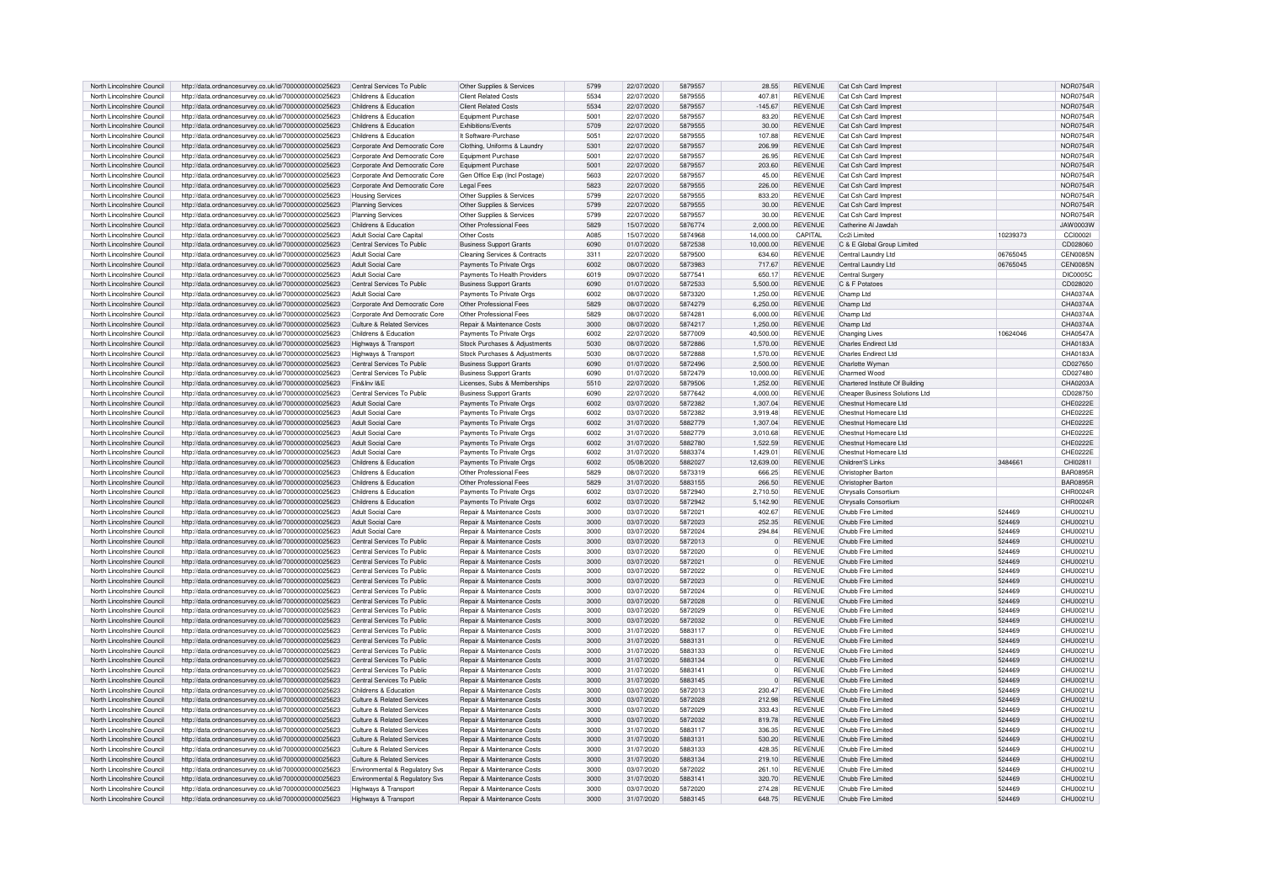| North Lincolnshire Council |                                                                                                              |                                              |                                       |      |            |         |             |                |                                       |          |                 |
|----------------------------|--------------------------------------------------------------------------------------------------------------|----------------------------------------------|---------------------------------------|------|------------|---------|-------------|----------------|---------------------------------------|----------|-----------------|
|                            | http://data.ordnancesurvey.co.uk/id/7000000000025623                                                         | Central Services To Public                   | Other Supplies & Services             | 5799 | 22/07/2020 | 5879557 | 28.55       | <b>REVENUE</b> | Cat Csh Card Imprest                  |          | NOR0754F        |
| North Lincolnshire Council | http://data.ordnancesurvev.co.uk/id/7000000000025623                                                         | Childrens & Education                        | <b>Client Related Costs</b>           | 5534 | 22/07/2020 | 5879555 | 407.81      | <b>REVENUE</b> | Cat Csh Card Imprest                  |          | NOR0754R        |
| North Lincolnshire Council | http://data.ordnancesurvey.co.uk/id/7000000000025623                                                         | Childrens & Education                        | <b>Client Related Costs</b>           | 5534 | 22/07/2020 | 5879557 | $-145.67$   | <b>REVENUE</b> | Cat Csh Card Imprest                  |          | NOR0754R        |
| North Lincolnshire Council |                                                                                                              | Childrens & Education                        | Foujoment Purchase                    | 5001 |            | 5879557 | 83.20       | <b>REVENUE</b> |                                       |          | <b>NOR0754F</b> |
|                            | http://data.ordnancesurvey.co.uk/id/7000000000025623                                                         |                                              |                                       |      | 22/07/2020 |         |             |                | Cat Csh Card Imprest                  |          |                 |
| North Lincolnshire Council | http://data.ordnancesurvey.co.uk/id/7000000000025623                                                         | Childrens & Education                        | Exhibitions/Events                    | 5709 | 22/07/2020 | 5879555 | 30.00       | <b>REVENUE</b> | Cat Csh Card Imprest                  |          | NOR0754R        |
| North Lincolnshire Council | http://data.ordnancesurvey.co.uk/id/7000000000025623                                                         | Childrens & Education                        | It Software-Purchase                  | 5051 | 22/07/2020 | 5879555 | 107.88      | <b>REVENUE</b> | Cat Csh Card Imprest                  |          | NOR0754R        |
| North Lincolnshire Council | http://data.ordnancesurvey.co.uk/id/7000000000025623                                                         | Corporate And Democratic Core                | Clothing, Uniforms & Laundry          | 5301 | 22/07/2020 | 5879557 | 206.99      | <b>REVENUE</b> | Cat Csh Card Imprest                  |          | <b>NOR0754F</b> |
|                            |                                                                                                              |                                              |                                       |      |            |         |             |                |                                       |          |                 |
| North Lincolnshire Council | http://data.ordnancesurvey.co.uk/id/7000000000025623                                                         | Cornorate And Democratic Core                | Equipment Purchase                    | 5001 | 22/07/2020 | 5879557 | 26.95       | <b>REVENUE</b> | Cat Csh Card Imprest                  |          | <b>NOR0754F</b> |
| North Lincolnshire Council | http://data.ordnancesurvey.co.uk/id/7000000000025623                                                         | Corporate And Democratic Core                | Equipment Purchase                    | 5001 | 22/07/2020 | 5879557 | 203.60      | <b>REVENUE</b> | Cat Csh Card Imprest                  |          | <b>NOR0754F</b> |
| North Lincolnshire Council | http://data.ordnancesurvey.co.uk/id/7000000000025623                                                         | Corporate And Democratic Core                | Gen Office Exp (Incl Postage)         | 5603 | 22/07/2020 | 5879557 | 45.00       | <b>REVENUE</b> | Cat Csh Card Imprest                  |          | <b>NOR0754F</b> |
| North Lincolnshire Council | http://data.ordnancesurvey.co.uk/id/7000000000025623                                                         | Corporate And Democratic Core                | Legal Fees                            | 5823 | 22/07/2020 | 5879555 | 226.00      | <b>REVENUE</b> | Cat Csh Card Imprest                  |          | <b>NOR0754F</b> |
|                            |                                                                                                              |                                              |                                       |      |            |         |             |                |                                       |          |                 |
| North Lincolnshire Council | http://data.ordnancesurvey.co.uk/id/7000000000025623                                                         | <b>Housing Services</b>                      | Other Supplies & Services             | 5799 | 22/07/2020 | 5879555 | 833.20      | <b>REVENUE</b> | Cat Csh Card Imprest                  |          | NOR0754F        |
| North Lincolnshire Council | http://data.ordnancesurvey.co.uk/id/7000000000025623                                                         | <b>Planning Services</b>                     | Other Supplies & Services             | 5799 | 22/07/2020 | 5879555 | 30.00       | <b>REVENUE</b> | Cat Csh Card Imprest                  |          | <b>NOR0754F</b> |
| North Lincolnshire Council | http://data.ordnancesurvey.co.uk/id/7000000000025623                                                         | <b>Planning Services</b>                     | Other Supplies & Services             | 5799 | 22/07/2020 | 5879557 | 30.00       | <b>REVENUE</b> | Cat Csh Card Imprest                  |          | <b>NOR0754F</b> |
| North Lincolnshire Council | http://data.ordnancesurvey.co.uk/id/7000000000025623                                                         | Childrens & Education                        | Other Professional Fees               | 5829 | 15/07/2020 | 5876774 | 2,000.00    | <b>REVENUE</b> | Catherine Al Jawdah                   |          | <b>JAW0003W</b> |
| North Lincolnshire Council | http://data.ordnancesurvey.co.uk/id/7000000000025623                                                         | Adult Social Care Capital                    | Other Costs                           | A085 | 15/07/2020 | 5874968 | 14,000.00   | CAPITAL        | Cc2i Limited                          | 10239373 | CCI0002         |
|                            |                                                                                                              |                                              |                                       |      |            |         |             |                |                                       |          |                 |
| North Lincolnshire Council | http://data.ordnancesurvey.co.uk/id/7000000000025623                                                         | Central Services To Public                   | <b>Business Support Grants</b>        | 6090 | 01/07/2020 | 5872538 | 10.000.00   | <b>REVENUE</b> | C & E Global Group Limited            |          | CD028060        |
| North Lincolnshire Council | http://data.ordnancesurvey.co.uk/id/7000000000025623                                                         | Adult Social Care                            | Cleaning Services & Contracts         | 3311 | 22/07/2020 | 5879500 | 634.60      | <b>REVENUE</b> | Central Laundry Ltd                   | 06765045 | <b>CENDOS5N</b> |
| North Lincolnshire Council | http://data.ordnancesurvey.co.uk/id/7000000000025623                                                         | Adult Social Care                            | Payments To Private Orgs              | 6002 | 08/07/2020 | 5873983 | 717.67      | <b>REVENUE</b> | Central Laundry Ltd                   | 06765045 | <b>CEN0085N</b> |
| North Lincolnshire Council | http://data.ordnancesurvey.co.uk/id/7000000000025623                                                         | Adult Social Care                            | Payments To Health Providers          | 6019 | 09/07/2020 | 587754  | 650.17      | <b>REVENUE</b> | Central Surgery                       |          | <b>DIC0005C</b> |
|                            |                                                                                                              |                                              |                                       |      |            |         |             |                |                                       |          |                 |
| North Lincolnshire Council | http://data.ordnancesurvey.co.uk/id/7000000000025623                                                         | Central Services To Public                   | <b>Business Support Grants</b>        | 6090 | 01/07/2020 | 5872533 | 5,500.00    | <b>REVENUE</b> | C & F Potatoes                        |          | CD028020        |
| North Lincolnshire Council | http://data.ordnancesurvey.co.uk/id/7000000000025623                                                         | Adult Social Care                            | Payments To Private Orgs              | 6002 | 08/07/2020 | 5873320 | 1,250.00    | <b>REVENUE</b> | Champ Ltd                             |          | CHA0374A        |
| North Lincolnshire Council | http://data.ordnancesurvey.co.uk/id/7000000000025623                                                         | Corporate And Democratic Core                | Other Professional Fees               | 5829 | 08/07/2020 | 5874279 | 6.250.00    | <b>REVENUE</b> | Champ Ltd                             |          | CHA0374A        |
| North Lincolnshire Council | http://data.ordnancesurvey.co.uk/id/7000000000025623                                                         | Corporate And Democratic Core                | Other Professional Fees               | 5829 | 08/07/2020 | 587428  | 6.000.00    | <b>REVENUE</b> | Champ Ltd                             |          | CHA0374A        |
|                            |                                                                                                              |                                              |                                       |      |            |         |             |                |                                       |          |                 |
| North Lincolnshire Council | http://data.ordnancesurvey.co.uk/id/7000000000025623                                                         | Culture & Related Services                   | Repair & Maintenance Costs            | 3000 | 08/07/2020 | 5874217 | 1,250.00    | <b>REVENUE</b> | Champ Ltd                             |          | CHA0374A        |
| North Lincolnshire Council | http://data.ordnancesurvey.co.uk/id/7000000000025623                                                         | Childrens & Education                        | Payments To Private Orgs              | 6002 | 22/07/2020 | 5877009 | 40.500.00   | <b>REVENUE</b> | Changing Lives                        | 10624046 | CHA0547A        |
| North Lincolnshire Council | http://data.ordnancesurvey.co.uk/id/7000000000025623                                                         | Highways & Transport                         | Stock Purchases & Adiustments         | 5030 | 08/07/2020 | 5872886 | 1,570.00    | <b>REVENUE</b> | Charles Endirect Ltd                  |          | CHA0183A        |
| North Lincolnshire Council | http://data.ordnancesurvey.co.uk/id/7000000000025623                                                         | Highways & Transport                         | Stock Purchases & Adiustments         | 5030 | 08/07/2020 | 5872888 | 1,570.00    | <b>REVENUE</b> | Charles Endirect Ltd                  |          | CHA0183/        |
|                            |                                                                                                              | Central Services To Public                   |                                       | 6090 | 01/07/2020 | 5872496 | 2.500.00    | <b>REVENUE</b> |                                       |          | CD027650        |
| North Lincolnshire Council | http://data.ordnancesurvey.co.uk/id/7000000000025623                                                         |                                              | <b>Business Support Grants</b>        |      |            |         |             |                | Charlotte Wymar                       |          |                 |
| North Lincolnshire Council | http://data.ordnancesurvey.co.uk/id/7000000000025623                                                         | Central Services To Public                   | <b>Business Support Grants</b>        | GOOO | 01/07/2020 | 5872479 | 10.000.00   | <b>REVENUE</b> | Charmed Wood                          |          | CD027480        |
| North Lincolnshire Council | http://data.ordnancesurvey.co.uk/id/7000000000025623                                                         | Fin&Inv I&F                                  | Licenses, Subs & Memberships          | 5510 | 22/07/2020 | 5879506 | 1,252.00    | <b>REVENUE</b> | Chartered Institute Of Building       |          | CHA0203/        |
| North Lincolnshire Council | http://data.ordnancesurvey.co.uk/id/7000000000025623                                                         | Central Services To Public                   | <b>Business Support Grants</b>        | 6090 | 22/07/2020 | 5877642 | 4.000.00    | <b>REVENUE</b> | <b>Cheaper Business Solutions Ltd</b> |          | CD028750        |
|                            |                                                                                                              |                                              |                                       |      |            |         |             |                |                                       |          |                 |
| North Lincolnshire Council | http://data.ordnancesurvey.co.uk/id/7000000000025623                                                         | <b>Adult Social Care</b>                     | Payments To Private Org               | 6002 | 03/07/2020 | 5872382 | 1,307.04    | <b>REVENUE</b> | Chestnut Homecare Ltd                 |          | CHE0222E        |
| North Lincolnshire Council | http://data.ordnancesurvey.co.uk/id/7000000000025623                                                         | <b>Adult Social Care</b>                     | Payments To Private Orgs              | 6002 | 03/07/2020 | 5872382 | 3,919.48    | <b>REVENUE</b> | Chestnut Homecare Ltd                 |          | CHE0222E        |
| North Lincolnshire Council | http://data.ordnancesurvey.co.uk/id/7000000000025623                                                         | <b>Adult Social Care</b>                     | Payments To Private Orgs              | 6002 | 31/07/2020 | 5882779 | 1.307.04    | <b>REVENUE</b> | Chestnut Homecare Ltd                 |          | CHF0222F        |
| North Lincolnshire Council | http://data.ordnancesurvey.co.uk/id/7000000000025623                                                         | Adult Social Care                            | Payments To Private Orgs              | 6002 | 31/07/2020 | 5882779 | 3,010.68    | <b>REVENUE</b> | Chestnut Homecare Ltd                 |          | CHE0222E        |
| North Lincolnshire Council | http://data.ordnancesurvey.co.uk/id/7000000000025623                                                         | <b>Adult Social Care</b>                     | Payments To Private Orgs              | 6002 | 31/07/2020 | 5882780 | 1,522.59    | <b>REVENUE</b> | Chestnut Homecare Ltd                 |          | CHF0222F        |
|                            |                                                                                                              |                                              |                                       |      |            |         |             |                |                                       |          |                 |
|                            |                                                                                                              |                                              |                                       |      |            |         |             |                |                                       |          |                 |
| North Lincolnshire Council | http://data.ordnancesurvey.co.uk/id/7000000000025623                                                         | Adult Social Care                            | Payments To Private Orgs              | 6002 | 31/07/2020 | 5883374 | 1.429.01    | <b>REVENUE</b> | Chestnut Homecare I td.               |          | CHE0222E        |
| North Lincolnshire Council | http://data.ordnancesurvey.co.uk/id/7000000000025623                                                         | Childrens & Education                        | Payments To Private Orgs              | 6002 | 05/08/2020 | 5882027 | 12.639.00   | <b>REVENUE</b> | Children'S Links                      | 3484661  | CHI0281I        |
|                            |                                                                                                              | Childrens & Education                        | Other Professional Fees               | 5829 | 08/07/2020 | 5873319 |             | <b>REVENUE</b> |                                       |          |                 |
| North Lincolnshire Council | http://data.ordnancesurvey.co.uk/id/7000000000025623                                                         |                                              |                                       |      |            |         | 666.25      |                | Christopher Barton                    |          | <b>BAR0895R</b> |
| North Lincolnshire Council | http://data.ordnancesurvey.co.uk/id/7000000000025623                                                         | Childrens & Education                        | Other Professional Fees               | 5829 | 31/07/2020 | 5883155 | 266.50      | <b>REVENUE</b> | Christopher Barton                    |          | <b>BAR0895F</b> |
| North Lincolnshire Council | http://data.ordnancesurvey.co.uk/id/7000000000025623                                                         | Childrens & Education                        | Payments To Private Orgs              | 6002 | 03/07/2020 | 5872940 | 2.710.50    | <b>REVENUE</b> | Chrysalis Consortium                  |          | CHR0024F        |
| North Lincolnshire Council | http://data.ordnancesurvey.co.uk/id/7000000000025623                                                         | Childrens & Education                        | Payments To Private Orgs              | 6002 | 03/07/2020 | 5872942 | 5,142.90    | <b>REVENUE</b> | Chrysalis Consortium                  |          | CHR0024F        |
|                            |                                                                                                              | Adult Social Care                            |                                       | 3000 |            | 5872021 | 402.67      | <b>REVENUE</b> |                                       | 524469   | CHU0021L        |
| North Lincolnshire Council | http://data.ordnancesurvey.co.uk/id/7000000000025623                                                         |                                              | Repair & Maintenance Costs            |      | 03/07/2020 |         |             |                | Chubb Fire Limited                    |          |                 |
| North Lincolnshire Council | http://data.ordnancesurvey.co.uk/id/7000000000025623                                                         | <b>Adult Social Care</b>                     | Repair & Maintenance Costs            | 3000 | 03/07/2020 | 5872023 | 252.35      | <b>REVENUE</b> | Chubb Fire Limited                    | 524469   | CHU0021U        |
| North Lincolnshire Council | http://data.ordnancesurvey.co.uk/id/7000000000025623                                                         | Adult Social Care                            | Repair & Maintenance Costs            | 3000 | 03/07/2020 | 5872024 | 294.84      | <b>REVENUE</b> | Chubb Fire Limited                    | 524469   | CHU0021L        |
| North Lincolnshire Council | http://data.ordnancesurvey.co.uk/id/7000000000025623                                                         | Central Services To Public                   | <b>Benair &amp; Maintenance Costs</b> | 3000 | 03/07/2020 | 5872013 | $\Omega$    | <b>REVENUE</b> | Chubb Fire Limited                    | 524469   | CHU0021L        |
| North Lincolnshire Council | http://data.ordnancesurvey.co.uk/id/7000000000025623                                                         | Central Services To Public                   | <b>Benair &amp; Maintenance Costs</b> | 3000 | 03/07/2020 | 5872020 | n           | <b>REVENUE</b> | Chubb Fire Limited                    | 524469   | CHU0021U        |
|                            |                                                                                                              |                                              |                                       |      |            |         |             |                |                                       |          |                 |
| North Lincolnshire Council | http://data.ordnancesurvey.co.uk/id/7000000000025623                                                         | Central Services To Public                   | Repair & Maintenance Costs            | 3000 | 03/07/2020 | 5872021 | $\Omega$    | <b>REVENUE</b> | Chubb Fire Limited                    | 524469   | CHU0021U        |
| North Lincolnshire Council | http://data.ordnancesurvey.co.uk/id/7000000000025623                                                         | Central Services To Public                   | Repair & Maintenance Costs            | 3000 | 03/07/2020 | 5872022 | $\Omega$    | <b>REVENUE</b> | Chubb Fire Limited                    | 524469   | CHU0021L        |
| North Lincolnshire Council | http://data.ordnancesurvey.co.uk/id/7000000000025623                                                         | Central Services To Public                   | Repair & Maintenance Costs            | 3000 | 03/07/2020 | 5872023 | $\Omega$    | <b>REVENUE</b> | Chubb Fire Limited                    | 524469   | CHU0021L        |
| North Lincolnshire Council | http://data.ordnancesurvey.co.uk/id/7000000000025623                                                         | Central Services To Public                   | <b>Benair &amp; Maintenance Costs</b> | 3000 | 03/07/2020 | 5872024 | $\Omega$    | <b>REVENUE</b> | Chubb Fire Limited                    | 524469   | CHU0021L        |
| North Lincolnshire Council |                                                                                                              | Central Services To Public                   | Repair & Maintenance Costs            | 3000 | 03/07/2020 | 5872028 | $\mathbf 0$ | <b>REVENUE</b> | Chubb Fire Limited                    | 524469   | CHU0021L        |
|                            | http://data.ordnancesurvey.co.uk/id/7000000000025623                                                         |                                              |                                       |      |            |         |             |                |                                       |          |                 |
| North Lincolnshire Council | http://data.ordnancesurvey.co.uk/id/7000000000025623                                                         | Central Services To Public                   | Repair & Maintenance Costs            | 3000 | 03/07/2020 | 5872029 | $\Omega$    | <b>REVENUE</b> | Chubb Fire Limited                    | 524469   | CHU0021L        |
| North Lincolnshire Council | http://data.ordnancesurvey.co.uk/id/7000000000025623                                                         | Central Services To Public                   | Repair & Maintenance Costs            | 3000 | 03/07/2020 | 5872032 | $\mathbf 0$ | <b>REVENUE</b> | Chubb Fire Limited                    | 524469   | CHU0021U        |
| North Lincolnshire Council | http://data.ordnancesurvey.co.uk/id/7000000000025623                                                         | Central Services To Public                   | <b>Benair &amp; Maintenance Costs</b> | 3000 | 31/07/2020 | 5883117 | $\Omega$    | <b>REVENUE</b> | Chubb Fire Limited                    | 524469   | CHU0021L        |
| North Lincolnshire Council | http://data.ordnancesurvey.co.uk/id/7000000000025623                                                         | Central Services To Public                   | <b>Benair &amp; Maintenance Costs</b> | 3000 | 31/07/2020 | 5883131 | $\Omega$    | <b>REVENUE</b> | Chubb Fire Limited                    | 524469   | CHU0021L        |
|                            |                                                                                                              |                                              |                                       | 3000 | 31/07/2020 | 5883133 | $\Omega$    | <b>REVENUE</b> |                                       | 524469   | CHU0021L        |
| North Lincolnshire Council | http://data.ordnancesurvey.co.uk/id/7000000000025623                                                         | Central Services To Public                   | Repair & Maintenance Costs            |      |            |         |             |                | Chubb Fire Limited                    |          |                 |
| North Lincolnshire Council | http://data.ordnancesurvey.co.uk/id/7000000000025623                                                         | Central Services To Public                   | Repair & Maintenance Costs            | 3000 | 31/07/2020 | 5883134 | $\Omega$    | <b>REVENUE</b> | Chubb Fire Limited                    | 524469   | CHU0021L        |
| North Lincolnshire Council | http://data.ordnancesurvey.co.uk/id/7000000000025623                                                         | Central Services To Public                   | <b>Benair &amp; Maintenance Costs</b> | 3000 | 31/07/2020 | 5883141 | $\Omega$    | <b>REVENUE</b> | Chubb Fire Limited                    | 524469   | CHU0021U        |
| North Lincolnshire Council | http://data.ordnancesurvey.co.uk/id/7000000000025623                                                         | Central Services To Public                   | Repair & Maintenance Costs            | 3000 | 31/07/2020 | 5883145 | $\Omega$    | <b>REVENUE</b> | Chubb Fire Limited                    | 524469   | CHU0021U        |
| North Lincolnshire Council | http://data.ordnancesurvey.co.uk/id/7000000000025623                                                         | Childrens & Education                        | Repair & Maintenance Costs            | 3000 | 03/07/2020 | 5872013 | 230.47      | <b>REVENUE</b> | Chubb Fire Limited                    | 524469   | CHI I0021L      |
|                            |                                                                                                              |                                              |                                       |      |            |         |             |                |                                       |          |                 |
| North Lincolnshire Council | http://data.ordnancesurvey.co.uk/id/7000000000025623                                                         | Culture & Related Services                   | Repair & Maintenance Costs            | 3000 | 03/07/2020 | 5872028 | 212.98      | <b>REVENUE</b> | Chubb Fire Limited                    | 524469   | CHU0021L        |
| North Lincolnshire Council | http://data.ordnancesurvey.co.uk/id/7000000000025623                                                         | Culture & Related Services                   | Repair & Maintenance Costs            | 3000 | 03/07/2020 | 5872029 | 333.43      | <b>REVENUE</b> | Chubb Fire Limited                    | 524469   | CHU0021L        |
| North Lincolnshire Council | http://data.ordnancesurvey.co.uk/id/7000000000025623                                                         | Culture & Related Services                   | Repair & Maintenance Costs            | 3000 | 03/07/2020 | 5872032 | 819.78      | <b>REVENUE</b> | Chubb Fire Limited                    | 524469   | CHU0021U        |
| North Lincolnshire Council | http://data.ordnancesurvey.co.uk/id/7000000000025623                                                         | Culture & Related Services                   | Repair & Maintenance Costs            | 3000 | 31/07/2020 | 5883117 | 336.35      | <b>REVENUE</b> | Chubb Fire Limited                    | 524469   | CHU0021U        |
| North Lincolnshire Council |                                                                                                              | <b>Culture &amp; Related Services</b>        | Repair & Maintenance Costs            | 3000 | 31/07/2020 | 588313  | 530.20      | <b>REVENUE</b> | Chubb Fire Limited                    | 524469   |                 |
|                            | http://data.ordnancesurvey.co.uk/id/7000000000025623                                                         |                                              |                                       |      |            |         |             |                |                                       |          | CHU0021U        |
| North Lincolnshire Council | http://data.ordnancesurvey.co.uk/id/7000000000025623                                                         | Culture & Related Services                   | Repair & Maintenance Costs            | 3000 | 31/07/2020 | 5883133 | 428.35      | <b>REVENUE</b> | Chubb Fire Limited                    | 524469   | CHU0021U        |
| North Lincolnshire Council | http://data.ordnancesurvey.co.uk/id/7000000000025623                                                         | Culture & Related Services                   | Repair & Maintenance Costs            | 3000 | 31/07/2020 | 5883134 | 219.10      | <b>REVENUE</b> | Chubb Fire Limited                    | 524469   | CHU0021U        |
| North Lincolnshire Council | http://data.ordnancesurvey.co.uk/id/7000000000025623                                                         | <b>Environmental &amp; Requlatory Sys</b>    | <b>Benair &amp; Maintenance Costs</b> | 3000 | 03/07/2020 | 5872022 | 261.10      | REVENUE        | Chubb Fire Limited                    | 524469   | CHU0021U        |
| North Lincolnshire Council |                                                                                                              |                                              | Repair & Maintenance Costs            | 3000 | 31/07/2020 | 588314  | 320.70      | <b>REVENUE</b> | Chubb Fire Limited                    | 524469   | CHU0021L        |
| North Lincolnshire Council | http://data.ordnancesurvey.co.uk/id/7000000000025623                                                         | Environmental & Regulatory Svs               | <b>Benair &amp; Maintenance Costs</b> | 3000 | 03/07/2020 | 5872020 | 274.28      | <b>REVENUE</b> | Chubb Fire Limited                    | 524469   | CHU0021L        |
| North Lincolnshire Council | http://data.ordnancesurvey.co.uk/id/7000000000025623<br>http://data.ordnancesurvey.co.uk/id/7000000000025623 | Highways & Transport<br>Highways & Transport | <b>Benair &amp; Maintenance Costs</b> | 3000 | 31/07/2020 | 5883145 | 648.75      | <b>REVENUE</b> | Chubb Fire Limited                    | 524469   | CHU0021U        |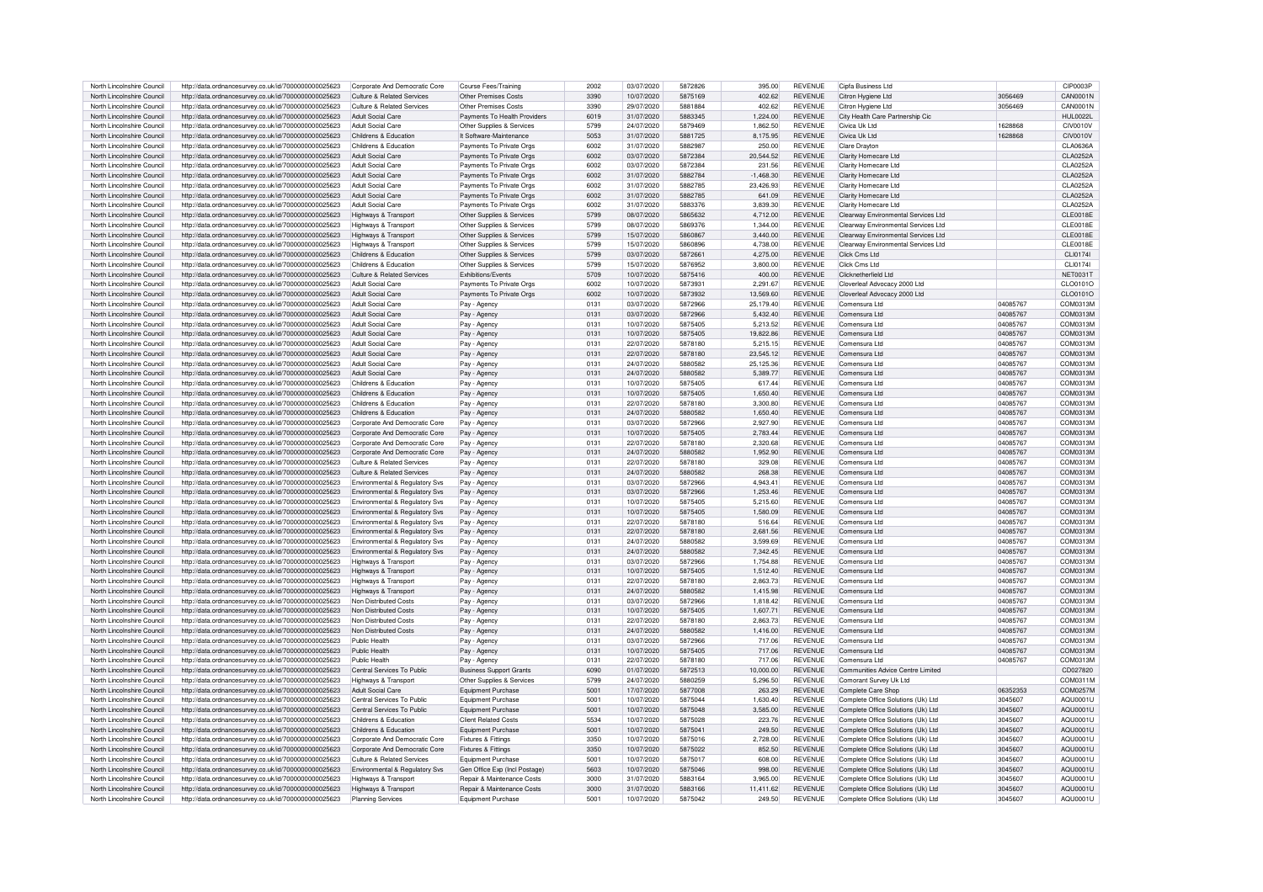| North Lincolnshire Council                               | http://data.ordnancesurvey.co.uk/id/7000000000025623 | Corporate And Democratic Core                  | Course Fees/Training                  | 2002         | 03/07/2020               | 5872826 | 395.00      | <b>REVENUE</b> | Cipfa Business Ltd                  |                      | CIP0003P        |
|----------------------------------------------------------|------------------------------------------------------|------------------------------------------------|---------------------------------------|--------------|--------------------------|---------|-------------|----------------|-------------------------------------|----------------------|-----------------|
| North Lincolnshire Council                               | http://data.ordnancesurvey.co.uk/id/7000000000025623 | Culture & Related Services                     | Other Premises Costs                  | 3390         | 10/07/2020               | 5875169 | 402.62      | <b>REVENUE</b> | Citron Hygiene Ltd                  | 3056469              | CAN0001N        |
| North Lincolnshire Council                               | http://data.ordnancesurvey.co.uk/id/7000000000025623 | Culture & Related Services                     | Other Premises Costs                  | 3390         | 29/07/2020               | 5881884 | 402.62      | <b>REVENUE</b> | Citron Hygiene Ltd                  | 3056469              | CAN0001N        |
| North Lincolnshire Council                               | http://data.ordnancesurvey.co.uk/id/7000000000025623 | Adult Social Care                              | Payments To Health Providers          | 6019         | 31/07/2020               | 5883345 | 1.224.00    | <b>REVENUE</b> | City Health Care Partnership Cic    |                      | HUI 0022L       |
|                                                          |                                                      |                                                |                                       |              |                          |         |             |                |                                     |                      |                 |
| North Lincolnshire Council                               | http://data.ordnancesurvey.co.uk/id/7000000000025623 | Adult Social Care                              | Other Supplies & Services             | 5799         | 24/07/2020               | 5879469 | 1,862.50    | <b>REVENUE</b> | Civica Uk Ltd                       | 1628868              | <b>CIV0010V</b> |
| North Lincolnshire Council                               | http://data.ordnancesurvey.co.uk/id/7000000000025623 | Childrens & Education                          | It Software-Maintenance               | 5053         | 31/07/2020               | 5881725 | 8,175.95    | <b>REVENUE</b> | Civica Uk Ltd                       | 1628868              | <b>CIV0010V</b> |
| North Lincolnshire Council                               | http://data.ordnancesurvey.co.uk/id/7000000000025623 | Childrens & Education                          | Payments To Private Orgs              | 6002         | 31/07/2020               | 5882987 | 250.00      | <b>REVENUE</b> | Clare Drayton                       |                      | CLA0636A        |
| North Lincolnshire Council                               | http://data.ordnancesurvey.co.uk/id/7000000000025623 | Adult Social Care                              | Payments To Private Orgs              | 6002         | 03/07/2020               | 5872384 | 20,544.52   | <b>REVENUE</b> | Clarity Homecare Ltd                |                      | CLA0252A        |
| North Lincolnshire Council                               | http://data.ordnancesurvey.co.uk/id/7000000000025623 | Adult Social Care                              | Payments To Private Orgs              | 6002         | 03/07/2020               | 5872384 | 231.56      | <b>REVENUE</b> | Clarity Homecare Ltd                |                      | CLA0252/        |
| North Lincolnshire Council                               | http://data.ordnancesurvey.co.uk/id/7000000000025623 | <b>Adult Social Care</b>                       | Payments To Private Orgs              | 6002         | 31/07/2020               | 5882784 | $-1,468.30$ | REVENUE        | Clarity Homecare Ltd                |                      | CLA0252/        |
| North Lincolnshire Council                               | http://data.ordnancesurvey.co.uk/id/7000000000025623 | Adult Social Care                              | Payments To Private Orgs              | 6002         | 31/07/2020               | 5882785 | 23.426.93   | <b>REVENUE</b> | Clarity Homecare Ltd                |                      | CLA0252/        |
| North Lincolnshire Council                               | http://data.ordnancesurvey.co.uk/id/7000000000025623 | <b>Adult Social Care</b>                       | Payments To Private Orgs              | 6002         | 31/07/2020               | 5882785 | 641.09      | <b>REVENUE</b> | Clarity Homecare Ltd                |                      | CLA0252A        |
| North Lincolnshire Council                               | http://data.ordnancesurvey.co.uk/id/7000000000025623 | Adult Social Care                              | Payments To Private Orgs              | 6002         | 31/07/2020               | 5883376 | 3.839.30    | <b>REVENUE</b> | Clarity Homecare Ltd                |                      | CLA0252A        |
| North Lincolnshire Council                               | http://data.ordnancesurvey.co.uk/id/7000000000025623 | Highways & Transport                           | Other Supplies & Services             | 5799         | 08/07/2020               | 5865632 | 4.712.00    | <b>REVENUE</b> | Clearway Environmental Services Ltd |                      | <b>CLE0018E</b> |
| North Lincolnshire Council                               | http://data.ordnancesurvey.co.uk/id/7000000000025623 | Highways & Transport                           | Other Supplies & Services             | 5799         | 08/07/2020               | 5869376 | 1,344.00    | <b>REVENUE</b> | Clearway Environmental Services Ltd |                      | CLE0018E        |
| North Lincolnshire Council                               | http://data.ordnancesurvey.co.uk/id/7000000000025623 | Highways & Transport                           | Other Supplies & Services             | 5799         | 15/07/2020               | 5860867 | 3,440.00    | <b>REVENUE</b> | Clearway Environmental Services Ltd |                      | <b>CLE0018E</b> |
| North Lincolnshire Council                               | http://data.ordnancesurvey.co.uk/id/7000000000025623 |                                                |                                       | 5799         | 15/07/2020               | 5860896 | 4.738.00    | <b>REVENUE</b> | Clearway Environmental Services Ltd |                      | <b>CLE0018E</b> |
|                                                          |                                                      | Highways & Transport                           | Other Supplies & Services             |              |                          |         |             |                |                                     |                      |                 |
| North Lincolnshire Council                               | http://data.ordnancesurvey.co.uk/id/7000000000025623 | Childrens & Education                          | Other Supplies & Services             | 5799         | 03/07/2020               | 5872661 | 4,275.00    | <b>REVENUE</b> | Click Cms Ltd                       |                      | CLI0174         |
| North Lincolnshire Council                               | http://data.ordnancesurvey.co.uk/id/7000000000025623 | Childrens & Education                          | Other Supplies & Services             | 5799         | 15/07/2020               | 5876952 | 3.800.00    | <b>REVENUE</b> | Click Cms Ltd                       |                      | CLI01741        |
| North Lincolnshire Council                               | http://data.ordnancesurvey.co.uk/id/7000000000025623 | Culture & Related Services                     | Exhibitions/Events                    | 5709         | 10/07/2020               | 5875416 | 400.00      | <b>REVENUE</b> | Clicknetherfield Ltd                |                      | <b>NET0031T</b> |
| North Lincolnshire Council                               | http://data.ordnancesurvey.co.uk/id/7000000000025623 | Adult Social Care                              | Payments To Private Orgs              | 6002         | 10/07/2020               | 5873931 | 2,291.67    | <b>REVENUE</b> | Cloverleaf Advocacy 2000 Ltd        |                      | CLO0101O        |
| North Lincolnshire Council                               | http://data.ordnancesurvey.co.uk/id/7000000000025623 | Adult Social Care                              | Payments To Private Orgs              | 6002         | 10/07/2020               | 5873932 | 13,569.60   | REVENUE        | Cloverleaf Advocacy 2000 Ltd        |                      | CLO0101O        |
| North Lincolnshire Council                               | http://data.ordnancesurvey.co.uk/id/7000000000025623 | Adult Social Care                              | Pay - Agency                          | 0131         | 03/07/2020               | 5872966 | 25,179.40   | <b>REVENUE</b> | Comensura Ltd                       | 04085767             | COM0313M        |
| North Lincolnshire Council                               | http://data.ordnancesurvey.co.uk/id/7000000000025623 | Adult Social Care                              | Pay - Agency                          | 0131         | 03/07/2020               | 5872966 | 5.432.40    | <b>REVENUE</b> | Comensura Ltd                       | 04085767             | COM0313M        |
| North Lincolnshire Council                               | http://data.ordnancesurvey.co.uk/id/7000000000025623 | Adult Social Care                              | Pay - Agency                          | 0131         | 10/07/2020               | 5875405 | 5,213.52    | <b>REVENUE</b> | Comensura Ltd                       | 04085767             | COM0313M        |
| North Lincolnshire Council                               | http://data.ordnancesurvey.co.uk/id/7000000000025623 | Adult Social Care                              | Pav - Agency                          | 0131         | 10/07/2020               | 5875405 | 19,822.86   | <b>REVENUE</b> | Comensura Ltd                       | 04085767             | COM0313M        |
| North Lincolnshire Council                               | http://data.ordnancesurvey.co.uk/id/7000000000025623 | Adult Social Care                              | Pay - Agency                          | 0131         | 22/07/2020               | 5878180 | 5,215.15    | REVENUE        | Comensura Ltd                       | 04085767             | COM0313M        |
| North Lincolnshire Council                               | http://data.ordnancesurvey.co.uk/id/7000000000025623 | Adult Social Care                              | Pay - Agency                          | 0131         | 22/07/2020               | 5878180 | 23,545.12   | <b>REVENUE</b> | Comensura Ltd                       | 04085767             | COM0313M        |
| North Lincolnshire Council                               | http://data.ordnancesurvey.co.uk/id/7000000000025623 | Adult Social Care                              | Pay - Agency                          | 0131         | 24/07/2020               | 5880582 | 25,125.36   | <b>REVENUE</b> | Comensura Ltd                       | 04085767             | COM0313M        |
| North Lincolnshire Council                               | http://data.ordnancesurvey.co.uk/id/7000000000025623 | Adult Social Care                              | Pay - Agency                          | 0131         | 24/07/2020               | 5880582 | 5.389.77    | <b>REVENUE</b> | Comensura Ltd                       | 04085767             | COM0313M        |
| North Lincolnshire Council                               |                                                      |                                                |                                       |              |                          | 5875405 | 617.44      | <b>REVENUE</b> | Comensura Ltd                       |                      | COM0313M        |
| North Lincolnshire Council                               | http://data.ordnancesurvey.co.uk/id/7000000000025623 | Childrens & Education<br>Childrens & Education | Pay - Agency                          | 0131<br>0131 | 10/07/2020               | 5875405 | 1.650.40    | <b>REVENUE</b> | Comensura Ltd                       | 04085767<br>04085767 | COM0313M        |
|                                                          | http://data.ordnancesurvey.co.uk/id/7000000000025623 |                                                | Pay - Agency                          |              | 10/07/2020               |         |             |                |                                     |                      |                 |
| North Lincolnshire Council                               | http://data.ordnancesurvey.co.uk/id/7000000000025623 | Childrens & Education                          | Pay - Agency                          | 0131         | 22/07/2020               | 5878180 | 3,300.80    | <b>REVENUE</b> | Comensura Ltd                       | 04085767             | COM0313M        |
| North Lincolnshire Council                               | http://data.ordnancesurvey.co.uk/id/7000000000025623 | Childrens & Education                          | Pay - Agency                          | 0131         | 24/07/2020               | 5880582 | 1,650.40    | <b>REVENUE</b> | Comensura Ltd                       | 04085767             | COM0313M        |
| North Lincolnshire Council                               | http://data.ordnancesurvey.co.uk/id/7000000000025623 | Corporate And Democratic Core                  | Pay - Agency                          | 0131         | 03/07/2020               | 5872966 | 2.927.90    | <b>REVENUE</b> | Comensura Ltd                       | 04085767             | COM0313M        |
| North Lincolnshire Council                               | http://data.ordnancesurvey.co.uk/id/7000000000025623 | Corporate And Democratic Core                  | Pay - Agency                          | 0131         | 10/07/2020               | 5875405 | 2,783.44    | <b>REVENUE</b> | Comensura Ltd                       | 04085767             | COM0313M        |
| North Lincolnshire Council                               | http://data.ordnancesurvey.co.uk/id/7000000000025623 | Corporate And Democratic Core                  | Pay - Agency                          | 0131         | 22/07/2020               | 5878180 | 2,320.68    | <b>REVENUE</b> | Comensura Ltd                       | 04085767             | COM0313M        |
| North Lincolnshire Council                               | http://data.ordnancesurvey.co.uk/id/7000000000025623 | Corporate And Democratic Core                  | Pay - Agency                          | 0131         | 24/07/2020               | 5880582 | 1.952.90    | <b>REVENUE</b> | Comensura Ltd                       | 04085767             | COM0313M        |
| North Lincolnshire Council                               | http://data.ordnancesurvey.co.uk/id/7000000000025623 | Culture & Related Services                     | Pay - Agency                          | 0131         | 22/07/2020               | 5878180 | 329.08      | <b>REVENUE</b> | Comensura Ltd                       | 04085767             | COM0313M        |
| North Lincolnshire Council                               | http://data.ordnancesurvey.co.uk/id/7000000000025623 | Culture & Related Services                     | Pay - Agency                          | 0131         | 24/07/2020               | 5880582 | 268.38      | <b>REVENUE</b> | Comensura Ltd                       | 04085767             | COM0313M        |
| North Lincolnshire Council                               | http://data.ordnancesurvey.co.uk/id/7000000000025623 | Environmental & Regulatory Svs                 | Pay - Agency                          | 0131         | 03/07/2020               | 5872966 | 4.943.41    | <b>REVENUE</b> | Comensura Ltd                       | 04085767             | COM0313M        |
| North Lincolnshire Council                               | http://data.ordnancesurvey.co.uk/id/7000000000025623 | Environmental & Regulatory Svs                 | Pay - Agency                          | 0131         | 03/07/2020               | 5872966 | 1.253.46    | <b>REVENUE</b> | Comensura Ltd                       | 04085767             | COM0313M        |
| North Lincolnshire Council                               | http://data.ordnancesurvey.co.uk/id/7000000000025623 | Environmental & Regulatory Svs                 | Pay - Agency                          | 0131         | 10/07/2020               | 5875405 | 5,215.60    | <b>REVENUE</b> | Comensura Ltd                       | 04085767             | COM0313M        |
| North Lincolnshire Council                               | http://data.ordnancesurvey.co.uk/id/7000000000025623 | Environmental & Regulatory Svs                 | Pay - Agency                          | 0131         | 10/07/2020               | 5875405 | 1,580.09    | <b>REVENUE</b> | Comensura Ltd                       | 04085767             | COM0313M        |
| North Lincolnshire Council                               | http://data.ordnancesurvey.co.uk/id/7000000000025623 | Environmental & Regulatory Sys                 | Pay - Agency                          | 0131         | 22/07/2020               | 5878180 | 516.64      | <b>REVENUE</b> | Comensura Ltd                       | 04085767             | COM0313M        |
| North Lincolnshire Council                               | http://data.ordnancesurvey.co.uk/id/7000000000025623 | Environmental & Regulatory Svs                 | Pay - Agency                          | 0131         | 22/07/2020               | 5878180 | 2,681.56    | <b>REVENUE</b> | Comensura Ltd                       | 04085767             | COM0313M        |
| North Lincolnshire Council                               | http://data.ordnancesurvey.co.uk/id/7000000000025623 | Environmental & Regulatory Svs                 | Pay - Agency                          | 0131         | 24/07/2020               | 5880582 | 3.599.69    | <b>REVENUE</b> | Comensura Ltd                       | 04085767             | COM0313M        |
| North Lincolnshire Council                               | http://data.ordnancesurvey.co.uk/id/7000000000025623 | <b>Environmental &amp; Requlatory Sys.</b>     |                                       | 0131         | 24/07/2020               | 5880582 | 7.342.45    | <b>REVENUE</b> | Comensura Ltd                       | 04085767             | COM0313M        |
| North Lincolnshire Council                               | http://data.ordnancesurvey.co.uk/id/7000000000025623 | Highways & Transport                           | Pay - Agency                          | 0131         | 03/07/2020               | 5872966 | 1,754.88    | REVENUE        | Comensura Ltd                       | 04085767             | COM0313M        |
| North Lincolnshire Council                               |                                                      |                                                | Pay - Agency                          | 0131         |                          |         |             | <b>REVENUE</b> |                                     | 04085767             | COM0313M        |
|                                                          | http://data.ordnancesurvey.co.uk/id/7000000000025623 | Highways & Transport                           | Pay - Agency                          |              | 10/07/2020               | 5875405 | 1.512.40    |                | Comensura Ltd                       |                      |                 |
| North Lincolnshire Council                               | http://data.ordnancesurvey.co.uk/id/7000000000025623 | Highways & Transport                           | Pay - Agency                          | 0131         | 22/07/2020               | 5878180 | 2,863.73    | <b>REVENUE</b> | Comensura Ltd                       | 04085767             | COM0313M        |
| North Lincolnshire Council                               | http://data.ordnancesurvey.co.uk/id/7000000000025623 | Highways & Transport                           | Pay - Agency                          | 0131         | 24/07/2020               | 5880582 | 1.415.98    | <b>REVENUE</b> | Comensura Ltd                       | 04085767             | COM0313M        |
| North Lincolnshire Council                               | http://data.ordnancesurvey.co.uk/id/7000000000025623 | Non Distributed Costs                          | Pay - Agency                          | 0131         | 03/07/2020               | 5872966 | 1,818.42    | <b>REVENUE</b> | Comensura Ltd                       | 04085767             | COM0313N        |
| North Lincolnshire Council                               | http://data.ordnancesurvey.co.uk/id/7000000000025623 | Non Distributed Costs                          | Pay - Agency                          | 0131         | 10/07/2020               | 5875405 | 1.607.71    | <b>REVENUE</b> | Comensura Ltd                       | 04085767             | COM0313M        |
| North Lincolnshire Council                               | http://data.ordnancesurvey.co.uk/id/7000000000025623 | Non Distributed Costs                          | Pay - Agency                          | 0131         | 22/07/2020               | 5878180 | 2,863.73    | REVENUE        | Comensura Ltd                       | 04085767             | COM0313M        |
| North Lincolnshire Council                               | http://data.ordnancesurvey.co.uk/id/7000000000025623 | Non Distributed Costs                          | Pay - Agency                          | 0131         | 24/07/2020               | 5880582 | 1.416.00    | <b>REVENUE</b> | Comensura Ltd                       | 04085767             | COM0313M        |
| North Lincolnshire Council                               | http://data.ordnancesurvey.co.uk/id/7000000000025623 | Public Health                                  | Pay - Agency                          | 0131         | 03/07/2020               | 5872966 | 717.06      | <b>REVENUE</b> | Comensura Ltd                       | 04085767             | COM0313M        |
| North Lincolnshire Council                               | http://data.ordnancesurvey.co.uk/id/7000000000025623 | Public Health                                  | Pay - Agency                          | 0131         | 10/07/2020               | 5875405 | 717.06      | <b>REVENUE</b> | Comensura Ltd                       | 04085767             | COM0313M        |
| North Lincolnshire Council                               | http://data.ordnancesurvey.co.uk/id/7000000000025623 | Public Health                                  | Pay - Agency                          | 0131         | 22/07/2020               | 5878180 | 717.06      | <b>REVENUE</b> | Comensura Ltd                       | 04085767             | COM0313M        |
| North Lincolnshire Council                               | http://data.ordnancesurvey.co.uk/id/7000000000025623 | Central Services To Public                     | <b>Business Support Grants</b>        | 6090         | 01/07/2020               | 5872513 | 10.000.00   | <b>REVENUE</b> | Communities Advice Centre Limited   |                      | CD027820        |
| North Lincolnshire Council                               | http://data.ordnancesurvey.co.uk/id/7000000000025623 | Highways & Transport                           | Other Supplies & Services             | 5790         | 24/07/2020               | 5880259 | 5.296.50    | <b>REVENUE</b> | Comorant Survey Uk Ltd              |                      | COM0311M        |
| North Lincolnshire Council                               | http://data.ordnancesurvey.co.uk/id/7000000000025623 | Adult Social Care                              | Equipment Purchase                    | 5001         | 17/07/2020               | 5877008 | 263.29      | <b>REVENUE</b> | Complete Care Shop                  | 06352353             | COM0257M        |
| North Lincolnshire Council                               | http://data.ordnancesurvey.co.uk/id/7000000000025623 | Central Services To Public                     | Equipment Purchase                    | 5001         | 10/07/2020               | 5875044 | 1.630.40    | <b>REVENUE</b> | Complete Office Solutions (Uk) Ltd  | 3045607              | AOU0001U        |
| North Lincolnshire Council                               | http://data.ordnancesurvey.co.uk/id/7000000000025623 | Central Services To Public                     | Equipment Purchase                    | 5001         | 10/07/2020               | 5875048 | 3,585.00    | <b>REVENUE</b> | Complete Office Solutions (Uk) Ltd  | 3045607              | AQU0001U        |
| North Lincolnshire Council                               | http://data.ordnancesurvey.co.uk/id/7000000000025623 | Childrens & Education                          | <b>Client Related Costs</b>           | 5534         | 10/07/2020               | 5875028 | 223.76      | <b>REVENUE</b> | Complete Office Solutions (Uk) Ltd  | 3045607              | AQU0001U        |
| North Lincolnshire Council                               | http://data.ordnancesurvey.co.uk/id/7000000000025623 | Childrens & Education                          | Equipment Purchase                    | 5001         | 10/07/2020               | 5875041 | 249.50      | <b>REVENUE</b> | Complete Office Solutions (Uk) Ltd  | 3045607              | AQU0001U        |
| North Lincolnshire Council                               | http://data.ordnancesurvey.co.uk/id/7000000000025623 | Corporate And Democratic Core                  | Fixtures & Fittings                   | 3350         | 10/07/2020               | 5875016 | 2.728.00    | <b>REVENUE</b> | Complete Office Solutions (Uk) Ltd  | 3045607              | AQU0001U        |
| North Lincolnshire Council                               | http://data.ordnancesurvey.co.uk/id/7000000000025623 | Corporate And Democratic Core                  | Fixtures & Fittings                   | 3350         | 10/07/2020               | 5875022 | 852.50      | <b>REVENUE</b> | Complete Office Solutions (Uk) Ltd  | 3045607              | AQU0001U        |
| North Lincolnshire Council                               | http://data.ordnancesurvey.co.uk/id/7000000000025623 | Culture & Related Services                     | Equipment Purchase                    | 5001         | 10/07/2020               | 5875017 | 608.00      | <b>REVENUE</b> | Complete Office Solutions (Uk) Ltd  | 3045607              | AQU0001U        |
| North Lincolnshire Council                               |                                                      | <b>Environmental &amp; Requiatory Sys.</b>     | Gen Office Exp (Incl Postage          | 5603         | 10/07/2020               | 5875046 | 998.00      | <b>REVENUE</b> | Complete Office Solutions (Uk) Ltd  | 3045607              | AQU0001U        |
|                                                          | http://data.ordnancesurvey.co.uk/id/7000000000025623 |                                                | <b>Benair &amp; Maintenance Costs</b> | 3000         |                          | 5883164 |             | <b>REVENUE</b> | Complete Office Solutions (Uk) I to | 3045607              | AOU0001U        |
| North Lincolnshire Council<br>North Lincolnshire Council | http://data.ordnancesurvey.co.uk/id/7000000000025623 | Highways & Transport                           |                                       | 3000         | 31/07/2020<br>31/07/2020 | 5883166 | 3.965.00    | <b>REVENUE</b> |                                     | 3045607              | AQU0001U        |
|                                                          | http://data.ordnancesurvey.co.uk/id/7000000000025623 | Highways & Transport                           | Repair & Maintenance Costs            |              |                          |         | 11,411.62   |                | Complete Office Solutions (Uk) Ltd  |                      |                 |
| North Lincolnshire Council                               | http://data.ordnancesurvey.co.uk/id/7000000000025623 | <b>Planning Services</b>                       | Equipment Purchase                    | 5001         | 10/07/2020               | 5875042 | 249.50      | <b>REVENUE</b> | Complete Office Solutions (Uk) Ltd  | 3045607              | AQU0001U        |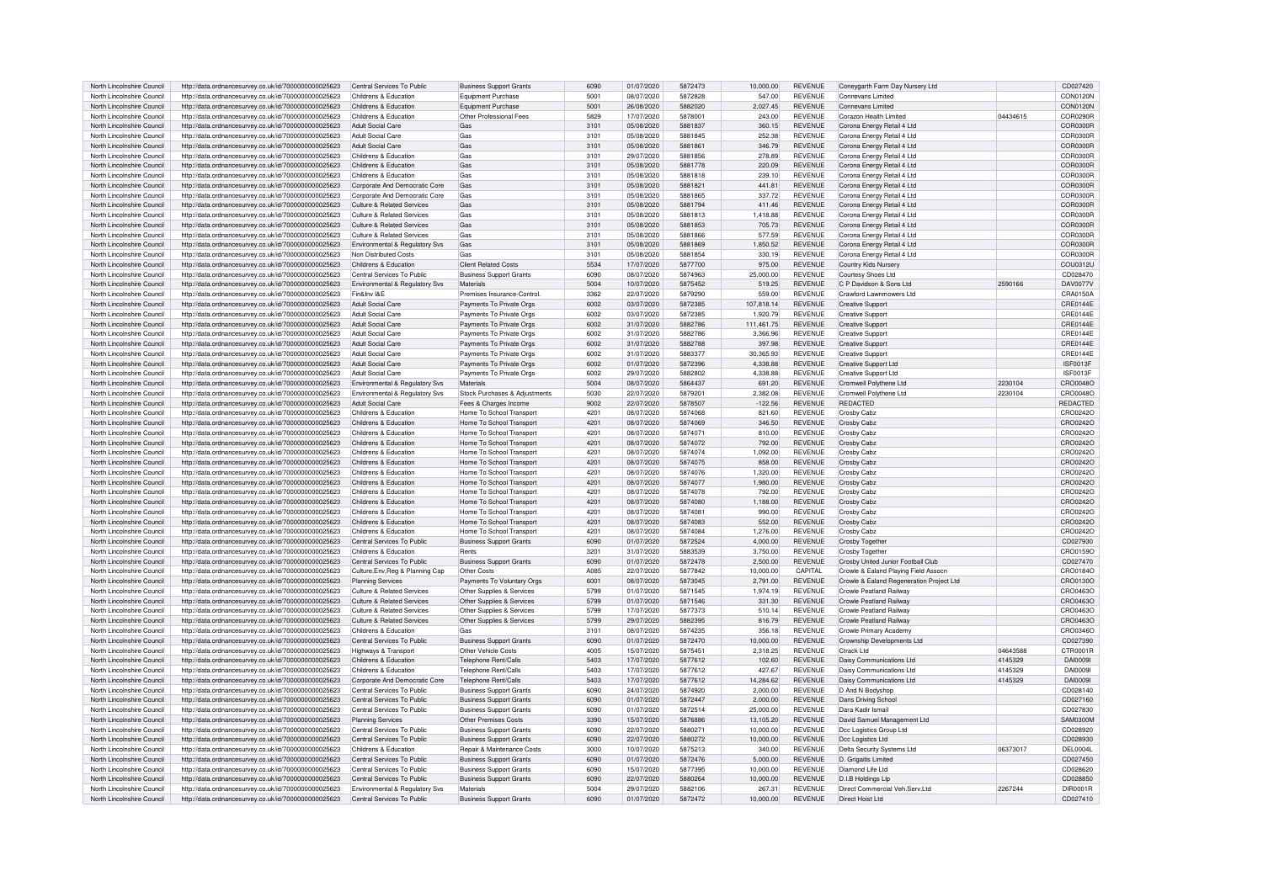| North Lincolnshire Council | http://data.ordnancesurvey.co.uk/id/7000000000025623 | Central Services To Public            | <b>Business Support Grants</b> | 6090 | 01/07/2020 | 5872473 | 10,000.00  | <b>REVENUE</b> | Coneygarth Farm Day Nursery Ltd          |          | CD027420        |
|----------------------------|------------------------------------------------------|---------------------------------------|--------------------------------|------|------------|---------|------------|----------------|------------------------------------------|----------|-----------------|
| North Lincolnshire Council | http://data.ordnancesurvey.co.uk/id/7000000000025623 | Childrens & Education                 | Equipment Purchase             | 500  | 08/07/2020 | 5872828 | 547.00     | <b>REVENUE</b> | Connevans Limited                        |          | CON0120N        |
|                            |                                                      |                                       |                                |      |            |         |            |                |                                          |          |                 |
| North Lincolnshire Council | http://data.ordnancesurvey.co.uk/id/7000000000025623 | Childrens & Education                 | Foujoment Purchase             | 5001 | 26/08/2020 | 5882020 | 2.027.45   | <b>REVENUE</b> | Connevans Limited                        |          | <b>CON0120N</b> |
| North Lincolnshire Council | http://data.ordnancesurvey.co.uk/id/7000000000025623 | Childrens & Education                 | Other Professional Fees        | 5829 | 17/07/2020 | 5878001 | 243.00     | <b>REVENUE</b> | Corazon Health Limited                   | 04434615 | COR0290R        |
| North Lincolnshire Council | http://data.ordnancesurvey.co.uk/id/7000000000025623 | <b>Adult Social Care</b>              | Gas                            | 3101 | 05/08/2020 | 5881837 | 360.15     | <b>REVENUE</b> | Corona Energy Retail 4 Ltd               |          | COB0300E        |
| North Lincolnshire Council | http://data.ordnancesurvey.co.uk/id/7000000000025623 | Adult Social Care                     | Gas                            | 3101 | 05/08/2020 | 5881845 | 252.38     | <b>REVENUE</b> | Corona Energy Retail 4 Ltd               |          | COB0300E        |
| North Lincolnshire Council | http://data.ordnancesurvey.co.uk/id/7000000000025623 | Adult Social Care                     | Gas                            | 3101 | 05/08/2020 | 5881861 | 346.79     | <b>REVENUE</b> | Corona Energy Retail 4 Ltd               |          | COR0300R        |
| North Lincolnshire Council | http://data.ordnancesurvey.co.uk/id/7000000000025623 | Childrens & Education                 | Gas                            | 3101 | 29/07/2020 | 5881856 | 278.89     | REVENUE        | Corona Energy Retail 4 Ltd               |          | COR0300R        |
| North Lincolnshire Council |                                                      | Childrens & Education                 | Gas                            |      | 05/08/2020 | 5881778 |            |                |                                          |          | <b>COR0300F</b> |
|                            | http://data.ordnancesurvey.co.uk/id/7000000000025623 |                                       |                                | 3101 |            |         | 220.09     | REVENUE        | Corona Energy Retail 4 Ltd               |          |                 |
| North Lincolnshire Council | http://data.ordnancesurvey.co.uk/id/7000000000025623 | Childrens & Education                 | Gas                            | 3101 | 05/08/2020 | 5881818 | 239.10     | <b>REVENUE</b> | Corona Energy Retail 4 Ltd               |          | COR0300R        |
| North Lincolnshire Council | http://data.ordnancesurvey.co.uk/id/7000000000025623 | Corporate And Democratic Core         | Gas                            | 3101 | 05/08/2020 | 5881821 | 441.81     | <b>REVENUE</b> | Corona Energy Retail 4 Ltd               |          | COR0300F        |
| North Lincolnshire Council | http://data.ordnancesurvey.co.uk/id/7000000000025623 | Corporate And Democratic Core         | Gas                            | 3101 | 05/08/2020 | 5881865 | 337.72     | <b>REVENUE</b> | Corona Energy Retail 4 Ltd               |          | COR0300E        |
| North Lincolnshire Council | http://data.ordnancesurvey.co.uk/id/7000000000025623 | Culture & Related Services            | Gas                            | 3101 | 05/08/2020 | 5881794 | 411.46     | REVENUE        | Corona Energy Retail 4 Ltd               |          | COR0300R        |
| North Lincolnshire Council | http://data.ordnancesurvey.co.uk/id/7000000000025623 | Culture & Related Services            | Gas                            | 3101 | 05/08/2020 | 5881813 | 1,418.88   | <b>REVENUE</b> | Corona Energy Retail 4 Ltd               |          | COR0300R        |
| North Lincolnshire Council | http://data.ordnancesurvey.co.uk/id/7000000000025623 | Culture & Related Services            | Gas                            | 3101 | 05/08/2020 | 5881853 | 705.73     | <b>REVENUE</b> | Corona Energy Retail 4 Ltd               |          | COR0300R        |
|                            |                                                      |                                       |                                |      |            |         |            |                |                                          |          |                 |
| North Lincolnshire Council | http://data.ordnancesurvey.co.uk/id/7000000000025623 | Culture & Related Services            | Gas                            | 3101 | 05/08/2020 | 5881866 | 577.59     | <b>REVENUE</b> | Corona Energy Retail 4 Ltd               |          | COR0300R        |
| North Lincolnshire Council | http://data.ordnancesurvey.co.uk/id/7000000000025623 | Environmental & Regulatory Svs        | Gas                            | 3101 | 05/08/2020 | 5881869 | 1,850.52   | <b>REVENUE</b> | Corona Energy Retail 4 Ltd               |          | COB0300E        |
| North Lincolnshire Council | http://data.ordnancesurvey.co.uk/id/7000000000025623 | Non Distributed Costs                 | Gas                            | 3101 | 05/08/2020 | 5881854 | 330.19     | <b>REVENUE</b> | Corona Energy Retail 4 Ltd               |          | COR0300R        |
| North Lincolnshire Council | http://data.ordnancesurvey.co.uk/id/7000000000025623 | Childrens & Education                 | Client Related Costs           | 5534 | 17/07/2020 | 5877700 | 975.00     | <b>REVENUE</b> | Country Kids Nursery                     |          | COU0312U        |
| North Lincolnshire Council | http://data.ordnancesurvey.co.uk/id/7000000000025623 | Central Services To Public            | <b>Business Support Grants</b> | 6090 | 08/07/2020 | 5874963 | 25,000.00  | <b>REVENUE</b> | Courtesy Shoes Ltd                       |          | CD028470        |
| North Lincolnshire Council | http://data.ordnancesurvey.co.uk/id/7000000000025623 | Environmental & Regulatory Svs        | Materials                      | 5004 | 10/07/2020 | 5875452 | 519.25     | <b>REVENUE</b> | C P Davidson & Sons Ltd                  | 2590166  | <b>DAV0077V</b> |
| North Lincolnshire Council |                                                      | Fin&Inv I&E                           | Premises Insurance-Control     | 3362 | 22/07/2020 | 5879290 | 559.00     | <b>REVENUE</b> | Crawford Lawnmowers Ltd                  |          | CRA0150A        |
|                            | http://data.ordnancesurvey.co.uk/id/7000000000025623 |                                       |                                |      |            |         |            |                |                                          |          |                 |
| North Lincolnshire Council | http://data.ordnancesurvey.co.uk/id/7000000000025623 | Adult Social Care                     | Payments To Private Orgs       | 6002 | 03/07/2020 | 5872385 | 107,818.14 | REVENUE        | <b>Creative Support</b>                  |          | CRE0144E        |
| North Lincolnshire Council | http://data.ordnancesurvey.co.uk/id/7000000000025623 | Adult Social Care                     | Payments To Private Orgs       | 6002 | 03/07/2020 | 5872385 | 1,920.79   | <b>REVENUE</b> | <b>Creative Support</b>                  |          | CRE0144E        |
| North Lincolnshire Council | http://data.ordnancesurvey.co.uk/id/7000000000025623 | Adult Social Care                     | Payments To Private Orgs       | 6002 | 31/07/2020 | 5882786 | 111,461.75 | <b>REVENUE</b> | <b>Creative Support</b>                  |          | CRE0144E        |
| North Lincolnshire Council | http://data.ordnancesurvey.co.uk/id/7000000000025623 | Adult Social Care                     | Payments To Private Orgs       | 6002 | 31/07/2020 | 5882786 | 3.366.96   | <b>REVENUE</b> | <b>Creative Support</b>                  |          | CRE0144E        |
| North Lincolnshire Council | http://data.ordnancesurvey.co.uk/id/7000000000025623 | Adult Social Care                     | Payments To Private Orgs       | 6002 | 31/07/2020 | 5882788 | 397.98     | <b>REVENUE</b> | <b>Creative Support</b>                  |          | CRE0144E        |
|                            |                                                      |                                       |                                | 6002 |            | 5883377 |            | <b>REVENUE</b> |                                          |          |                 |
| North Lincolnshire Council | http://data.ordnancesurvey.co.uk/id/7000000000025623 | Adult Social Care                     | Payments To Private Orgs       |      | 31/07/2020 |         | 30,365.93  |                | <b>Creative Support</b>                  |          | CRE0144E        |
| North Lincolnshire Council | http://data.ordnancesurvey.co.uk/id/7000000000025623 | <b>Adult Social Care</b>              | Payments To Private Orgs       | 6002 | 01/07/2020 | 5872396 | 4,338.88   | <b>REVENUE</b> | <b>Creative Support Ltd</b>              |          | <b>ISF0013F</b> |
| North Lincolnshire Council | http://data.ordnancesurvey.co.uk/id/7000000000025623 | <b>Adult Social Care</b>              | Payments To Private Orgs       | 6002 | 29/07/2020 | 5882802 | 4,338.88   | REVENUE        | Creative Support Ltd                     |          | ISF0013F        |
| North Lincolnshire Council | http://data.ordnancesurvey.co.uk/id/7000000000025623 | Environmental & Regulatory Sys        | Materials                      | 5004 | 08/07/2020 | 5864437 | 691.20     | <b>REVENUE</b> | Cromwell Polythene Ltd                   | 2230104  | CRO0048C        |
| North Lincolnshire Council | http://data.ordnancesurvey.co.uk/id/7000000000025623 | Environmental & Regulatory Sys        | Stock Purchases & Adjustments  | 5030 | 22/07/2020 | 587920  | 2,382.08   | <b>REVENUE</b> | Cromwell Polythene Ltd                   | 2230104  | CRO0048C        |
| North Lincolnshire Council | http://data.ordnancesurvey.co.uk/id/7000000000025623 | <b>Adult Social Care</b>              | Fees & Charges Income          | 9002 | 22/07/2020 | 5878507 | $-122.56$  | <b>REVENUE</b> | <b>REDACTED</b>                          |          | <b>REDACTED</b> |
| North Lincolnshire Council |                                                      | Childrens & Education                 | Home To School Transpor        | 4201 | 08/07/2020 | 5874068 | 821.60     | <b>REVENUE</b> | Crosby Cab:                              |          | CRO02420        |
|                            | http://data.ordnancesurvey.co.uk/id/7000000000025623 |                                       |                                |      |            |         |            |                |                                          |          |                 |
| North Lincolnshire Council | http://data.ordnancesurvey.co.uk/id/7000000000025623 | Childrens & Education                 | Home To School Transport       | 4201 | 08/07/2020 | 5874069 | 346.50     | <b>REVENUE</b> | Crosby Cabz                              |          | CRO0242C        |
| North Lincolnshire Council | http://data.ordnancesurvey.co.uk/id/7000000000025623 | Childrens & Education                 | Home To School Transport       | 4201 | 08/07/2020 | 5874071 | 810.00     | <b>REVENUE</b> | Crosby Cabz                              |          | CRO0242C        |
| North Lincolnshire Council | http://data.ordnancesurvey.co.uk/id/7000000000025623 | Childrens & Education                 | Home To School Transport       | 4201 | 08/07/2020 | 5874072 | 792.00     | <b>REVENUE</b> | Crosby Cabz                              |          | CRO0242C        |
| North Lincolnshire Council | http://data.ordnancesurvey.co.uk/id/7000000000025623 | Childrens & Education                 | Home To School Transport       | 4201 | 08/07/2020 | 5874074 | 1.092.00   | <b>REVENUE</b> | Crosby Cabz                              |          | CRO0242C        |
| North Lincolnshire Council | http://data.ordnancesurvey.co.uk/id/7000000000025623 | Childrens & Education                 | Home To School Transport       | 4201 | 08/07/2020 | 5874075 | 858.00     | <b>REVENUE</b> | Crosby Cabz                              |          | CRO0242C        |
| North Lincolnshire Council |                                                      | Childrens & Education                 | Home To School Transport       | 4201 | 08/07/2020 | 5874076 | 1,320.00   | <b>REVENUE</b> | Crosby Cab:                              |          | CRO0242C        |
|                            | http://data.ordnancesurvey.co.uk/id/7000000000025623 |                                       |                                |      |            |         |            |                |                                          |          |                 |
| North Lincolnshire Council | http://data.ordnancesurvey.co.uk/id/7000000000025623 | Childrens & Education                 | Home To School Transport       | 4201 | 08/07/2020 | 5874077 | 1,980.00   | <b>REVENUE</b> | Crosby Cabz                              |          | CRO0242C        |
| North Lincolnshire Council | http://data.ordnancesurvey.co.uk/id/7000000000025623 | Childrens & Education                 | Home To School Transport       | 4201 | 08/07/2020 | 5874078 | 792.00     | <b>REVENUE</b> | Crosby Cabz                              |          | CRO0242C        |
| North Lincolnshire Council | http://data.ordnancesurvey.co.uk/id/7000000000025623 | Childrens & Education                 | Home To School Transpor        | 4201 | 08/07/2020 | 5874080 | 1.188.00   | <b>REVENUE</b> | Crosby Cabz                              |          | CRO0242C        |
| North Lincolnshire Council | http://data.ordnancesurvey.co.uk/id/7000000000025623 | Childrens & Education                 | Home To School Transport       | 4201 | 08/07/2020 | 5874081 | 990.00     | <b>REVENUE</b> | Crosby Cabz                              |          | CRO0242C        |
| North Lincolnshire Council | http://data.ordnancesurvey.co.uk/id/7000000000025623 | Childrens & Education                 | Home To School Transport       | 4201 | 08/07/2020 | 5874083 | 552.00     | <b>REVENUE</b> | Crosby Cabz                              |          | CRO02420        |
| North Lincolnshire Council | http://data.ordnancesurvey.co.uk/id/7000000000025623 | Childrens & Education                 | Home To School Transport       | 4201 | 08/07/2020 | 5874084 | 1,276.00   | <b>REVENUE</b> | Crosby Cabz                              |          | CRO0242C        |
|                            |                                                      |                                       |                                |      |            |         |            |                |                                          |          |                 |
| North Lincolnshire Council | http://data.ordnancesurvey.co.uk/id/7000000000025623 | Central Services To Public            | <b>Business Support Grants</b> | 6090 | 01/07/2020 | 5872524 | 4,000.00   | <b>REVENUE</b> | <b>Crosby Together</b>                   |          | CD027930        |
| North Lincolnshire Council | http://data.ordnancesurvey.co.uk/id/7000000000025623 | Childrens & Education                 | Rents                          | 3201 | 31/07/2020 | 5883539 | 3,750.00   | <b>REVENUE</b> | Crosby Together                          |          | CRO0159C        |
| North Lincolnshire Council | http://data.ordnancesurvey.co.uk/id/7000000000025623 | Central Services To Public            | <b>Business Support Grants</b> | 6090 | 01/07/2020 | 5872478 | 2.500.00   | <b>REVENUE</b> | Crosby United Junior Football Club       |          | CD027470        |
| North Lincolnshire Council | http://data.ordnancesurvey.co.uk/id/7000000000025623 | Culture, Env, Reg & Planning Cap      | <b>Other Costs</b>             | A085 | 22/07/2020 | 5877842 | 10,000.00  | <b>CAPITAL</b> | Crowle & Ealand Playing Field Assocn     |          | CRO0184C        |
| North Lincolnshire Council | http://data.ordnancesurvey.co.uk/id/7000000000025623 | <b>Planning Services</b>              | Payments To Voluntary Orgs     | 6001 | 08/07/2020 | 5873045 | 2,791.00   | <b>REVENUE</b> | Crowle & Ealand Regeneration Project Ltd |          | CRO0130C        |
| North Lincolnshire Council | http://data.ordnancesurvey.co.uk/id/7000000000025623 | Culture & Related Services            | Other Supplies & Services      | 5799 | 01/07/2020 | 5871545 | 1,974.19   | <b>REVENUE</b> | Crowle Peatland Railway                  |          | CRO04630        |
|                            |                                                      |                                       |                                | 5799 |            |         |            |                |                                          |          |                 |
| North Lincolnshire Council | http://data.ordnancesurvey.co.uk/id/7000000000025623 | <b>Culture &amp; Related Services</b> | Other Supplies & Services      |      | 01/07/2020 | 5871546 | 331.30     | REVENUE        | Crowle Peatland Railway                  |          | CRO0463C        |
| North Lincolnshire Council | http://data.ordnancesurvey.co.uk/id/7000000000025623 | Culture & Related Services            | Other Supplies & Services      | 5799 | 17/07/2020 | 5877373 | 510.14     | REVENUE        | Crowle Peatland Railway                  |          | CRO04630        |
| North Lincolnshire Council | http://data.ordnancesurvey.co.uk/id/7000000000025623 | Culture & Related Services            | Other Supplies & Services      | 5799 | 29/07/2020 | 5882395 | 816.79     | <b>REVENUE</b> | Crowle Peatland Railway                  |          | CRO0463C        |
| North Lincolnshire Council | http://data.ordnancesurvey.co.uk/id/7000000000025623 | Childrens & Education                 | Gas                            | 3101 | 08/07/2020 | 5874235 | 356.18     | <b>REVENUE</b> | Crowle Primary Academy                   |          | CRO03460        |
| North Lincolnshire Council | http://data.ordnancesurvey.co.uk/id/7000000000025623 | Central Services To Public            | <b>Business Support Grants</b> | 6090 | 01/07/2020 | 5872470 | 10.000.00  | <b>REVENUE</b> | Crownship Developments Ltd               |          | CD027390        |
| North Lincolnshire Council | http://data.ordnancesurvey.co.uk/id/7000000000025623 | Highways & Transport                  | Other Vehicle Costs            | 4005 | 15/07/2020 | 5875451 | 2,318.25   | REVENUE        | Ctrack Ltd                               | 04643588 | CTR0001R        |
| North Lincolnshire Council | http://data.ordnancesurvey.co.uk/id/7000000000025623 | Childrens & Education                 | Telephone Rent/Calls           | 5403 | 17/07/2020 | 5877612 | 102.60     | REVENUE        | Daisy Communications Ltd                 | 4145329  | DAI00091        |
|                            |                                                      |                                       |                                |      |            |         |            |                |                                          |          |                 |
| North Lincolnshire Council | http://data.ordnancesurvey.co.uk/id/7000000000025623 | Childrens & Education                 | Telephone Rent/Calls           | 5403 | 17/07/2020 | 5877612 | 427.67     | <b>REVENUE</b> | Daisy Communications Ltd                 | 4145329  | <b>DAI00091</b> |
| North Lincolnshire Council | http://data.ordnancesurvey.co.uk/id/7000000000025623 | Corporate And Democratic Core         | Telephone Rent/Calls           | 5403 | 17/07/2020 | 5877612 | 14.284.62  | <b>REVENUE</b> | Daisy Communications Ltd                 | 4145329  | <b>DAI0009</b>  |
| North Lincolnshire Council | http://data.ordnancesurvey.co.uk/id/7000000000025623 | Central Services To Public            | <b>Business Support Grants</b> | 6090 | 24/07/2020 | 5874920 | 2.000.00   | <b>REVENUE</b> | D And N Bodyshop                         |          | CD028140        |
| North Lincolnshire Council | http://data.ordnancesurvey.co.uk/id/7000000000025623 | Central Services To Public            | <b>Business Support Grants</b> | 6090 | 01/07/2020 | 5872447 | 2.000.00   | REVENUE        | Dans Driving Schoo                       |          | CD027160        |
| North Lincolnshire Council | http://data.ordnancesurvey.co.uk/id/7000000000025623 | Central Services To Public            | <b>Business Support Grants</b> | 6090 | 01/07/2020 | 5872514 | 25,000.00  | <b>REVENUE</b> | Dara Kadir Ismail                        |          | CD027830        |
| North Lincolnshire Council | http://data.ordnancesurvey.co.uk/id/7000000000025623 | Planning Services                     | Other Premises Costs           | 3390 | 15/07/2020 | 5876886 | 13,105.20  | REVENUE        | David Samuel Management Ltd              |          | <b>SAM0300M</b> |
|                            |                                                      |                                       |                                |      |            |         |            |                |                                          |          |                 |
| North Lincolnshire Council | http://data.ordnancesurvey.co.uk/id/7000000000025623 | Central Services To Public            | <b>Business Support Grants</b> | 6090 | 22/07/2020 | 5880271 | 10.000.00  | <b>REVENUE</b> | Dcc Logistics Group Ltd                  |          | CD028920        |
| North Lincolnshire Council | http://data.ordnancesurvey.co.uk/id/7000000000025623 | Central Services To Public            | <b>Business Support Grants</b> | 6090 | 22/07/2020 | 5880272 | 10,000.00  | <b>REVENUE</b> | Dcc Logistics Ltd                        |          | CD028930        |
| North Lincolnshire Council | http://data.ordnancesurvey.co.uk/id/7000000000025623 | Childrens & Education                 | Repair & Maintenance Costs     | 3000 | 10/07/2020 | 5875213 | 340.00     | REVENUE        | Delta Security Systems Ltd               | 06373017 | DEL0004L        |
| North Lincolnshire Council | http://data.ordnancesurvey.co.uk/id/7000000000025623 | Central Services To Public            | <b>Business Support Grants</b> | 6090 | 01/07/2020 | 5872476 | 5,000.00   | REVENUE        | D. Grigaitis Limited                     |          | CD027450        |
| North Lincolnshire Council | http://data.ordnancesurvey.co.uk/id/7000000000025623 | Central Services To Public            | <b>Business Support Grants</b> | 6090 | 15/07/2020 | 5877395 | 10.000.00  | REVENUE        | Diamond Life Ltd                         |          | CD028620        |
| North Lincolnshire Council |                                                      | Central Services To Public            |                                | 6090 | 22/07/2020 | 5880264 | 10.000.00  | <b>REVENUE</b> | D.I.B Holdings Llp                       |          | CD028850        |
|                            | http://data.ordnancesurvey.co.uk/id/7000000000025623 |                                       | <b>Business Support Grants</b> |      |            |         |            |                |                                          |          |                 |
| North Lincolnshire Council | http://data.ordnancesurvey.co.uk/id/7000000000025623 | Environmental & Regulatory Svs        | Materials                      | 5004 | 29/07/2020 | 5882106 | 267.31     | <b>REVENUE</b> | Direct Commercial Veh Serv I td          | 2267244  | DIR0001R        |
| North Lincolnshire Council | http://data.ordnancesurvey.co.uk/id/7000000000025623 | Central Services To Public            | <b>Business Support Grants</b> | 6090 | 01/07/2020 | 5872472 | 10.000.00  | <b>REVENUE</b> | Direct Hoist Ltd                         |          | CD027410        |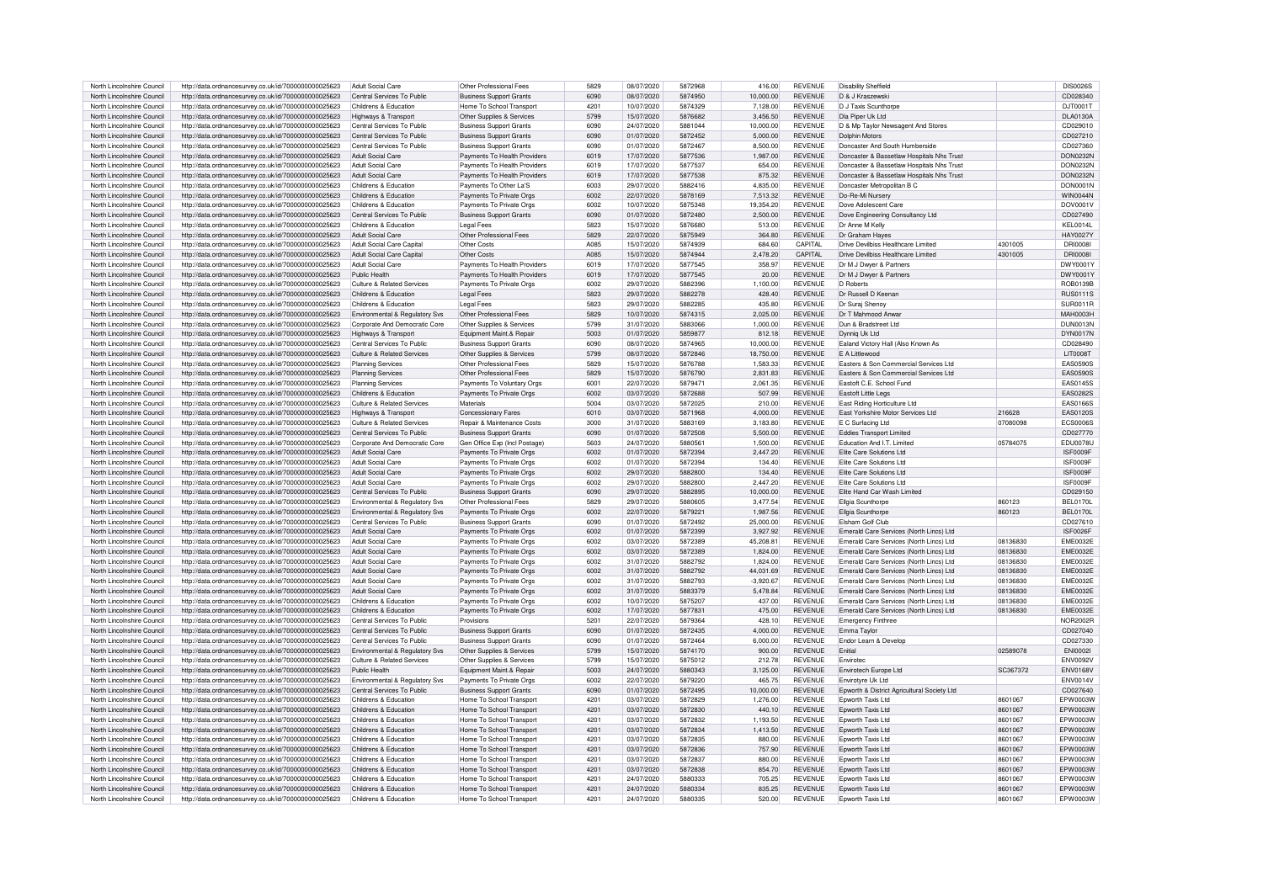| North Lincolnshire Council | http://data.ordnancesurvey.co.uk/id/7000000000025623 | Adult Social Care                          | Other Professional Fees               | 5829 | 08/07/2020 | 5872968 | 416.00      | <b>REVENUE</b> | <b>Disability Sheffield</b>                 |          | <b>DIS0026S</b>   |
|----------------------------|------------------------------------------------------|--------------------------------------------|---------------------------------------|------|------------|---------|-------------|----------------|---------------------------------------------|----------|-------------------|
|                            |                                                      |                                            |                                       | 6090 |            |         |             |                |                                             |          |                   |
| North Lincolnshire Council | http://data.ordnancesurvey.co.uk/id/7000000000025623 | Central Services To Public                 | <b>Business Support Grants</b>        |      | 08/07/2020 | 5874950 | 10,000.00   | <b>REVENUE</b> | D & J Kraszewski                            |          | CD028340          |
| North Lincolnshire Council | http://data.ordnancesurvey.co.uk/id/7000000000025623 | Childrens & Education                      | Home To School Transport              | 4201 | 10/07/2020 | 5874329 | 7,128.00    | <b>REVENUE</b> | D.J Taxis Scunthorne                        |          | D.JT0001T         |
| North Lincolnshire Council | http://data.ordnancesurvey.co.uk/id/7000000000025623 | Highways & Transport                       | Other Supplies & Services             | 5799 | 15/07/2020 | 5876682 | 3.456.50    | <b>REVENUE</b> | Dla Piper Uk Ltd                            |          | <b>DLA0130A</b>   |
| North Lincolnshire Council | http://data.ordnancesurvey.co.uk/id/7000000000025623 | Central Services To Public                 | <b>Business Support Grants</b>        | 6090 | 24/07/2020 | 5881044 | 10,000.00   | <b>REVENUE</b> | D & Mp Taylor Newsagent And Stores          |          | CD029010          |
| North Lincolnshire Council | http://data.ordnancesurvey.co.uk/id/7000000000025623 | Central Services To Public                 | <b>Business Support Grants</b>        | 6090 | 01/07/2020 | 5872452 | 5,000.00    | <b>REVENUE</b> | <b>Dolphin Motors</b>                       |          | CD027210          |
| North Lincolnshire Council | http://data.ordnancesurvey.co.uk/id/7000000000025623 | Central Services To Public                 | <b>Business Support Grants</b>        | 6090 | 01/07/2020 | 5872467 | 8.500.00    | <b>REVENUE</b> | Doncaster And South Humberside              |          | CD027360          |
|                            |                                                      |                                            |                                       |      |            |         |             |                |                                             |          |                   |
| North Lincolnshire Council | http://data.ordnancesurvey.co.uk/id/7000000000025623 | <b>Adult Social Care</b>                   | Payments To Health Providers          | 6019 | 17/07/2020 | 5877536 | 1,987.00    | <b>REVENUE</b> | Doncaster & Bassetlaw Hospitals Nhs Trust   |          | DON0232M          |
| North Lincolnshire Council | http://data.ordnancesurvey.co.uk/id/7000000000025623 | Adult Social Care                          | Payments To Health Providers          | 6019 | 17/07/2020 | 5877537 | 654.00      | <b>REVENUE</b> | Doncaster & Bassetlaw Hospitals Nhs Trust   |          | DON0232M          |
| North Lincolnshire Council | http://data.ordnancesurvey.co.uk/id/7000000000025623 | <b>Adult Social Care</b>                   | Payments To Health Providers          | 6019 | 17/07/2020 | 5877538 | 875.32      | <b>REVENUE</b> | Doncaster & Bassetlaw Hospitals Nhs Trust   |          | <b>DON0232N</b>   |
| North Lincolnshire Council | http://data.ordnancesurvey.co.uk/id/7000000000025623 | Childrens & Education                      | Payments To Other La'S                | 6003 | 29/07/2020 | 5882416 | 4,835.00    | <b>REVENUE</b> | Doncaster Metropolitan B C                  |          | <b>DON0001N</b>   |
| North Lincolnshire Council | http://data.ordnancesurvey.co.uk/id/7000000000025623 | Childrens & Education                      | Payments To Private Orgs              | 6002 | 22/07/2020 | 5878169 | 7.513.32    | <b>REVENUE</b> | Do-Re-Mi Nursery                            |          | <b>WIN0044N</b>   |
|                            |                                                      |                                            |                                       |      | 10/07/2020 | 5875348 | 19.354.20   | <b>REVENUE</b> |                                             |          | DOV0001V          |
| North Lincolnshire Council | http://data.ordnancesurvey.co.uk/id/7000000000025623 | Childrens & Education                      | Payments To Private Orgs              | 6002 |            |         |             |                | Dove Adolescent Care                        |          |                   |
| North Lincolnshire Council | http://data.ordnancesurvey.co.uk/id/7000000000025623 | Central Services To Public                 | <b>Business Support Grants</b>        | 6090 | 01/07/2020 | 5872480 | 2.500.00    | <b>REVENUE</b> | Dove Engineering Consultancy Ltd            |          | CD027490          |
| North Lincolnshire Council | http://data.ordnancesurvey.co.uk/id/7000000000025623 | Childrens & Education                      | Legal Fees                            | 5823 | 15/07/2020 | 5876680 | 513.00      | <b>REVENUE</b> | Dr Anne M Kelly                             |          | KEL0014L          |
| North Lincolnshire Council | http://data.ordnancesurvey.co.uk/id/7000000000025623 | Adult Social Care                          | Other Professional Fees               | 5829 | 22/07/2020 | 5875949 | 364.80      | <b>REVENUE</b> | Dr Graham Haves                             |          | <b>HAY0027Y</b>   |
| North Lincolnshire Council | http://data.ordnancesurvey.co.uk/id/7000000000025623 | Adult Social Care Capital                  | Other Costs                           | A085 | 15/07/2020 | 5874939 | 684.60      | CAPITAL        | Drive Devilbiss Healthcare Limited          | 4301005  | DRI0008I          |
| North Lincolnshire Council |                                                      | Adult Social Care Capital                  | Other Costs                           | A085 | 15/07/2020 | 5874944 | 2.478.20    | CAPITAL        | Drive Devilbiss Healthcare Limited          | 4301005  | <b>DRI0008I</b>   |
|                            | http://data.ordnancesurvey.co.uk/id/7000000000025623 |                                            |                                       |      |            |         |             |                |                                             |          |                   |
| North Lincolnshire Council | http://data.ordnancesurvey.co.uk/id/7000000000025623 | Adult Social Care                          | Payments To Health Providers          | 6019 | 17/07/2020 | 5877545 | 358.97      | <b>REVENUE</b> | Dr M J Dwyer & Partners                     |          | DWY0001\          |
| North Lincolnshire Council | http://data.ordnancesurvey.co.uk/id/7000000000025623 | Public Health                              | Payments To Health Providers          | 6019 | 17/07/2020 | 5877545 | 20.00       | <b>REVENUE</b> | Dr M J Dwyer & Partners                     |          | DWY0001Y          |
| North Lincolnshire Council | http://data.ordnancesurvey.co.uk/id/7000000000025623 | Culture & Related Services                 | Payments To Private Orgs              | 6002 | 29/07/2020 | 5882396 | 1.100.00    | <b>REVENUE</b> | D Roberts                                   |          | ROB0139B          |
| North Lincolnshire Council | http://data.ordnancesurvey.co.uk/id/7000000000025623 | Childrens & Education                      | <b>Legal Fees</b>                     | 5823 | 29/07/2020 | 5882278 | 428.40      | <b>REVENUE</b> | Dr Russell D Keenan                         |          | <b>RUS0111S</b>   |
| North Lincolnshire Council | http://data.ordnancesurvey.co.uk/id/7000000000025623 | Childrens & Education                      | <b>Legal Fees</b>                     | 5823 | 29/07/2020 | 5882285 | 435.80      | <b>REVENUE</b> | Dr Surai Shenov                             |          | SUR0011B          |
| North Lincolnshire Council |                                                      |                                            | Other Professional Fees               | 5829 | 10/07/2020 | 5874315 | 2.025.00    | <b>REVENUE</b> | Dr T Mahmood Anwar                          |          | <b>MAH0003H</b>   |
|                            | http://data.ordnancesurvey.co.uk/id/7000000000025623 | Environmental & Regulatory Svs             |                                       |      |            |         |             |                |                                             |          |                   |
| North Lincolnshire Council | http://data.ordnancesurvey.co.uk/id/7000000000025623 | Corporate And Democratic Core              | Other Supplies & Services             | 5799 | 31/07/2020 | 5883066 | 1.000.00    | <b>REVENUE</b> | Dun & Bradstreet Ltd                        |          | DUN0013N          |
| North Lincolnshire Council | http://data.ordnancesurvey.co.uk/id/7000000000025623 | Highways & Transport                       | Equipment Maint.& Repair              | 5003 | 01/07/2020 | 5859877 | 812.18      | <b>REVENUE</b> | Dynniq Uk Ltd                               |          | DYN0017N          |
| North Lincolnshire Council | http://data.ordnancesurvey.co.uk/id/7000000000025623 | Central Services To Public                 | <b>Business Support Grants</b>        | 6090 | 08/07/2020 | 5874965 | 10.000.00   | <b>REVENUE</b> | Ealand Victory Hall (Also Known As          |          | CD028490          |
| North Lincolnshire Council | http://data.ordnancesurvey.co.uk/id/7000000000025623 | Culture & Related Services                 | Other Supplies & Services             | 5799 | 08/07/2020 | 5872846 | 18,750.00   | <b>REVENUE</b> | F A Littlewood                              |          | <b>LIT0008T</b>   |
|                            |                                                      |                                            | Other Professional Fees               | 5829 |            | 5876788 |             | <b>REVENUE</b> |                                             |          |                   |
| North Lincolnshire Council | http://data.ordnancesurvey.co.uk/id/7000000000025623 | Planning Services                          |                                       |      | 15/07/2020 |         | 1,583.33    |                | Easters & Son Commercial Services Ltd       |          | <b>EAS0590S</b>   |
| North Lincolnshire Council | http://data.ordnancesurvey.co.uk/id/7000000000025623 | <b>Planning Services</b>                   | Other Professional Fees               | 5829 | 15/07/2020 | 5876790 | 2,831.83    | <b>REVENUE</b> | Easters & Son Commercial Services Ltd       |          | <b>EAS0590S</b>   |
| North Lincolnshire Council | http://data.ordnancesurvey.co.uk/id/7000000000025623 | <b>Planning Services</b>                   | Payments To Voluntary Orgs            | 6001 | 22/07/2020 | 5879471 | 2,061.35    | <b>REVENUE</b> | Eastoft C.E. School Fund                    |          | EAS0145S          |
| North Lincolnshire Council | http://data.ordnancesurvey.co.uk/id/7000000000025623 | Childrens & Education                      | Payments To Private Orgs              | 6002 | 03/07/2020 | 5872688 | 507.99      | <b>REVENUE</b> | Fastoft Little Legs                         |          | FAS0282S          |
| North Lincolnshire Council | http://data.ordnancesurvey.co.uk/id/7000000000025623 | Culture & Related Services                 | Materials                             | 5004 | 03/07/2020 | 5872025 | 210.00      | <b>REVENUE</b> | East Riding Horticulture Ltd                |          | EAS0166S          |
| North Lincolnshire Council | http://data.ordnancesurvey.co.uk/id/7000000000025623 | Highways & Transport                       | Concessionary Fares                   | 6010 | 03/07/2020 | 5871968 | 4,000.00    | <b>REVENUE</b> | East Yorkshire Motor Services Ltd           | 216628   | EAS0120S          |
|                            |                                                      |                                            |                                       |      |            |         |             |                |                                             |          |                   |
| North Lincolnshire Council | http://data.ordnancesurvey.co.uk/id/7000000000025623 | Culture & Related Services                 | <b>Benair &amp; Maintenance Costs</b> | 3000 | 31/07/2020 | 5883169 | 3.183.80    | <b>REVENUE</b> | F.C. Surfacing Ltd                          | 07080098 | <b>ECS0006S</b>   |
| North Lincolnshire Council | http://data.ordnancesurvey.co.uk/id/7000000000025623 | Central Services To Public                 | <b>Business Support Grants</b>        | 6090 | 01/07/2020 | 5872508 | 5.500.00    | <b>REVENUE</b> | <b>Eddies Transport Limited</b>             |          | CD027770          |
| North Lincolnshire Council | http://data.ordnancesurvey.co.uk/id/7000000000025623 | Cornorate And Democratic Core              | Gen Office Exp (Incl Postage)         | 5603 | 24/07/2020 | 5880561 | 1.500.00    | <b>REVENUE</b> | Education And I T Limited                   | 05784075 | <b>EDI I0078L</b> |
| North Lincolnshire Council | http://data.ordnancesurvey.co.uk/id/7000000000025623 | Adult Social Care                          | Payments To Private Orgs              | 6002 | 01/07/2020 | 5872394 | 2,447.20    | <b>REVENUE</b> | Flite Care Solutions Ltd                    |          | ISF0009F          |
| North Lincolnshire Council |                                                      | Adult Social Care                          | Payments To Private Oras              | 6002 | 01/07/2020 | 5872394 | 134.40      | <b>REVENUE</b> | Flite Care Solutions Ltd                    |          | ISF0009F          |
|                            | http://data.ordnancesurvey.co.uk/id/7000000000025623 |                                            |                                       |      |            |         |             |                |                                             |          |                   |
| North Lincolnshire Council | http://data.ordnancesurvey.co.uk/id/7000000000025623 | <b>Adult Social Care</b>                   | Payments To Private Orgs              | 6002 | 29/07/2020 | 5882800 | 134.40      | <b>REVENUE</b> | <b>Elite Care Solutions Ltd</b>             |          | ISF0009F          |
| North Lincolnshire Council | http://data.ordnancesurvey.co.uk/id/7000000000025623 | Adult Social Care                          | Payments To Private Oras              | 6002 | 29/07/2020 | 5882800 | 2.447.20    | <b>REVENUE</b> | Elite Care Solutions Ltd                    |          | ISF0009F          |
| North Lincolnshire Council | http://data.ordnancesurvey.co.uk/id/7000000000025623 | Central Services To Public                 | <b>Business Support Grants</b>        | 6090 | 29/07/2020 | 5882895 | 10.000.00   | <b>REVENUE</b> | Elite Hand Car Wash Limited                 |          | CD029150          |
| North Lincolnshire Council | http://data.ordnancesurvey.co.uk/id/7000000000025623 | Environmental & Regulatory Svs             | Other Professional Fees               | 5829 | 29/07/2020 | 5880605 | 3.477.54    | <b>REVENUE</b> | Ellgia Scunthorpe                           | 860123   | <b>BFI 0170L</b>  |
| North Lincolnshire Council | http://data.ordnancesurvey.co.uk/id/7000000000025623 | Environmental & Regulatory Svs             | Payments To Private Orgs              | 6002 | 22/07/2020 | 5879221 | 1,987.56    | <b>REVENUE</b> | Ellgia Scunthorpe                           | 860123   | <b>BFI 0170L</b>  |
|                            |                                                      |                                            |                                       |      |            |         |             |                |                                             |          |                   |
| North Lincolnshire Council | http://data.ordnancesurvey.co.uk/id/7000000000025623 | Central Services To Public                 | <b>Business Support Grants</b>        | 6090 | 01/07/2020 | 5872492 | 25,000.00   | <b>REVENUE</b> | Elsham Golf Club                            |          | CD027610          |
| North Lincolnshire Council | http://data.ordnancesurvey.co.uk/id/7000000000025623 | Adult Social Care                          | Payments To Private Orgs              | 6002 | 01/07/2020 | 5872399 | 3,927.92    | <b>REVENUE</b> | Emerald Care Services (North Lincs) Ltd     |          | ISF0026F          |
| North Lincolnshire Council | http://data.ordnancesurvey.co.uk/id/7000000000025623 | Adult Social Care                          | Payments To Private Orgs              | 6002 | 03/07/2020 | 5872389 | 45,208.81   | <b>REVENUE</b> | Emerald Care Services (North Lincs) Ltd     | 08136830 | EME0032E          |
| North Lincolnshire Council | http://data.ordnancesurvey.co.uk/id/7000000000025623 | Adult Social Care                          | Payments To Private Orgs              | 6002 | 03/07/2020 | 5872389 | 1.824.00    | <b>REVENUE</b> | Emerald Care Services (North Lincs) Ltd     | 08136830 | EME0032E          |
| North Lincolnshire Council | http://data.ordnancesurvey.co.uk/id/7000000000025623 | Adult Social Care                          | Payments To Private Orgs              | 6002 | 31/07/2020 | 5882792 | 1.824.00    | <b>REVENUE</b> | Emerald Care Services (North Lincs) Ltd     | 08136830 | <b>EME0032E</b>   |
| North Lincolnshire Council |                                                      | <b>Adult Social Care</b>                   |                                       | 6002 | 31/07/2020 | 5882792 | 44.031.69   | <b>REVENUE</b> | Emerald Care Services (North Lincs) Ltd     | 08136830 | <b>EME0032E</b>   |
|                            | http://data.ordnancesurvey.co.uk/id/7000000000025623 |                                            | Payments To Private Orgs              |      |            |         |             |                |                                             |          |                   |
| North Lincolnshire Council | http://data.ordnancesurvey.co.uk/id/7000000000025623 | Adult Social Care                          | Payments To Private Orgs              | 6002 | 31/07/2020 | 5882793 | $-3,920.67$ | <b>REVENUE</b> | Emerald Care Services (North Lincs) Ltd     | 08136830 | FMF0032F          |
| North Lincolnshire Council | http://data.ordnancesurvey.co.uk/id/7000000000025623 | Adult Social Care                          | Payments To Private Orgs              | 6002 | 31/07/2020 | 5883379 | 5.478.84    | <b>REVENUE</b> | Emerald Care Services (North Lincs) Ltd     | 08136830 | FMF0032F          |
| North Lincolnshire Council | http://data.ordnancesurvey.co.uk/id/7000000000025623 | Childrens & Education                      | Payments To Private Orgs              | 6002 | 10/07/2020 | 5875207 | 437.00      | REVENUE        | Emerald Care Services (North Lincs) Ltd     | 08136830 | <b>EME0032E</b>   |
| North Lincolnshire Council | http://data.ordnancesurvey.co.uk/id/7000000000025623 | Childrens & Education                      | Payments To Private Orgs              | 6002 | 17/07/2020 | 5877831 | 475.00      | REVENUE        | Emerald Care Services (North Lincs) Ltd     | 08136830 | <b>EME0032E</b>   |
| North Lincolnshire Council | http://data.ordnancesurvey.co.uk/id/7000000000025623 | Central Services To Public                 | Provisions                            | 5201 | 22/07/2020 | 5879364 | 428.10      | <b>REVENUE</b> | <b>Emergency Finthree</b>                   |          | NOR2002F          |
|                            |                                                      |                                            |                                       | 6090 |            | 5872435 |             | <b>REVENUE</b> |                                             |          |                   |
| North Lincolnshire Council | http://data.ordnancesurvey.co.uk/id/7000000000025623 | Central Services To Public                 | <b>Business Support Grants</b>        |      | 01/07/2020 |         | 4,000.00    |                | Emma Taylor                                 |          | CD027040          |
| North Lincolnshire Council | http://data.ordnancesurvey.co.uk/id/7000000000025623 | Central Services To Public                 | <b>Business Support Grants</b>        | 6090 | 01/07/2020 | 5872464 | 6.000.00    | <b>REVENUE</b> | Endor Learn & Develop                       |          | CD027330          |
| North Lincolnshire Council | http://data.ordnancesurvey.co.uk/id/7000000000025623 | <b>Fnvironmental &amp; Requlatory Sys.</b> | Other Supplies & Services             | 5799 | 15/07/2020 | 5874170 | 900.00      | <b>REVENUE</b> | Enitial                                     | 02589078 | <b>ENI0002I</b>   |
| North Lincolnshire Council | http://data.ordnancesurvey.co.uk/id/7000000000025623 | Culture & Related Services                 | Other Supplies & Services             | 5799 | 15/07/2020 | 5875012 | 212.78      | <b>REVENUE</b> | Envirotec                                   |          | <b>ENV0092V</b>   |
| North Lincolnshire Council | http://data.ordnancesurvey.co.uk/id/7000000000025623 | Public Health                              | Equipment Maint.& Repair              | 5003 | 24/07/2020 | 5880343 | 3.125.00    | <b>REVENUE</b> | Envirotech Europe Ltd                       | SC367372 | <b>ENV0168V</b>   |
|                            |                                                      |                                            |                                       | 6002 | 22/07/2020 | 5879220 | 465.75      | <b>REVENUE</b> |                                             |          | <b>ENV0014V</b>   |
| North Lincolnshire Council | http://data.ordnancesurvey.co.uk/id/7000000000025623 | Environmental & Regulatory Svs             | Payments To Private Orgs              |      |            |         |             |                | Envirotvre Uk Ltd                           |          |                   |
| North Lincolnshire Council | http://data.ordnancesurvey.co.uk/id/7000000000025623 | Central Services To Public                 | <b>Business Support Grants</b>        | 6090 | 01/07/2020 | 5872495 | 10.000.00   | <b>REVENUE</b> | Epworth & District Agricultural Society Ltd |          | CD027640          |
| North Lincolnshire Council | http://data.ordnancesurvey.co.uk/id/7000000000025623 | Childrens & Education                      | Home To School Transport              | 4201 | 03/07/2020 | 5872829 | 1.276.00    | <b>REVENUE</b> | <b>Enworth Taxis Ltd</b>                    | 8601067  | EPW0003W          |
| North Lincolnshire Council | http://data.ordnancesurvey.co.uk/id/7000000000025623 | Childrens & Education                      | Home To School Transport              | 4201 | 03/07/2020 | 5872830 | 440.10      | <b>REVENUE</b> | Epworth Taxis Ltd                           | 8601067  | EPW0003W          |
| North Lincolnshire Council | http://data.ordnancesurvey.co.uk/id/7000000000025623 | Childrens & Education                      | Home To School Transport              | 4201 | 03/07/2020 | 5872832 | 1,193.50    | REVENUE        | Epworth Taxis Ltd                           | 8601067  | EPW0003W          |
| North Lincolnshire Council | http://data.ordnancesurvey.co.uk/id/7000000000025623 | Childrens & Education                      | Home To School Transport              | 4201 | 03/07/2020 | 5872834 | 1.413.50    | <b>REVENUE</b> | <b>Enworth Taxis Ltd</b>                    | 8601067  | EPW0003W          |
|                            |                                                      |                                            |                                       |      |            |         |             |                |                                             |          |                   |
| North Lincolnshire Council | http://data.ordnancesurvey.co.uk/id/7000000000025623 | Childrens & Education                      | Home To School Transport              | 4201 | 03/07/2020 | 5872835 | 880.00      | <b>REVENUE</b> | <b>Enworth Taxis Ltd</b>                    | 8601067  | FPW0003W          |
| North Lincolnshire Council | http://data.ordnancesurvey.co.uk/id/7000000000025623 | Childrens & Education                      | Home To School Transport              | 4201 | 03/07/2020 | 5872836 | 757.90      | <b>REVENUE</b> | Epworth Taxis Ltd                           | 8601067  | EPW0003W          |
| North Lincolnshire Council | http://data.ordnancesurvey.co.uk/id/7000000000025623 | Childrens & Education                      | Home To School Transport              | 4201 | 03/07/2020 | 5872837 | 880.00      | <b>REVENUE</b> | Foworth Taxis Ltd                           | 8601067  | EPW0003W          |
| North Lincolnshire Council | http://data.ordnancesurvey.co.uk/id/7000000000025623 | Childrens & Education                      | Home To School Transport              | 4201 | 03/07/2020 | 5872838 | 854.70      | <b>REVENUE</b> | Foworth Taxis I td                          | 8601067  | EPW0003W          |
| North Lincolnshire Council | http://data.ordnancesurvev.co.uk/id/7000000000025623 | Childrens & Education                      | Home To School Transport              | 4201 | 24/07/2020 | 5880333 | 705.25      | <b>REVENUE</b> | <b>Enworth Tavis Ltd</b>                    | 8601067  | <b>EPW0003W</b>   |
| North Lincolnshire Council | http://data.ordnancesurvey.co.uk/id/7000000000025623 | Childrens & Education                      | Home To School Transport              | 4201 | 24/07/2020 | 5880334 | 835.25      | <b>REVENUE</b> | Foworth Taxis I td                          | 8601067  | EPW0003W          |
|                            |                                                      |                                            |                                       |      |            |         |             |                |                                             |          |                   |
| North Lincolnshire Council | http://data.ordnancesurvey.co.uk/id/7000000000025623 | Childrens & Education                      | Home To School Transport              | 4201 | 24/07/2020 | 5880335 | 520.00      | <b>REVENUE</b> | Epworth Taxis Ltd                           | 8601067  | EPW0003W          |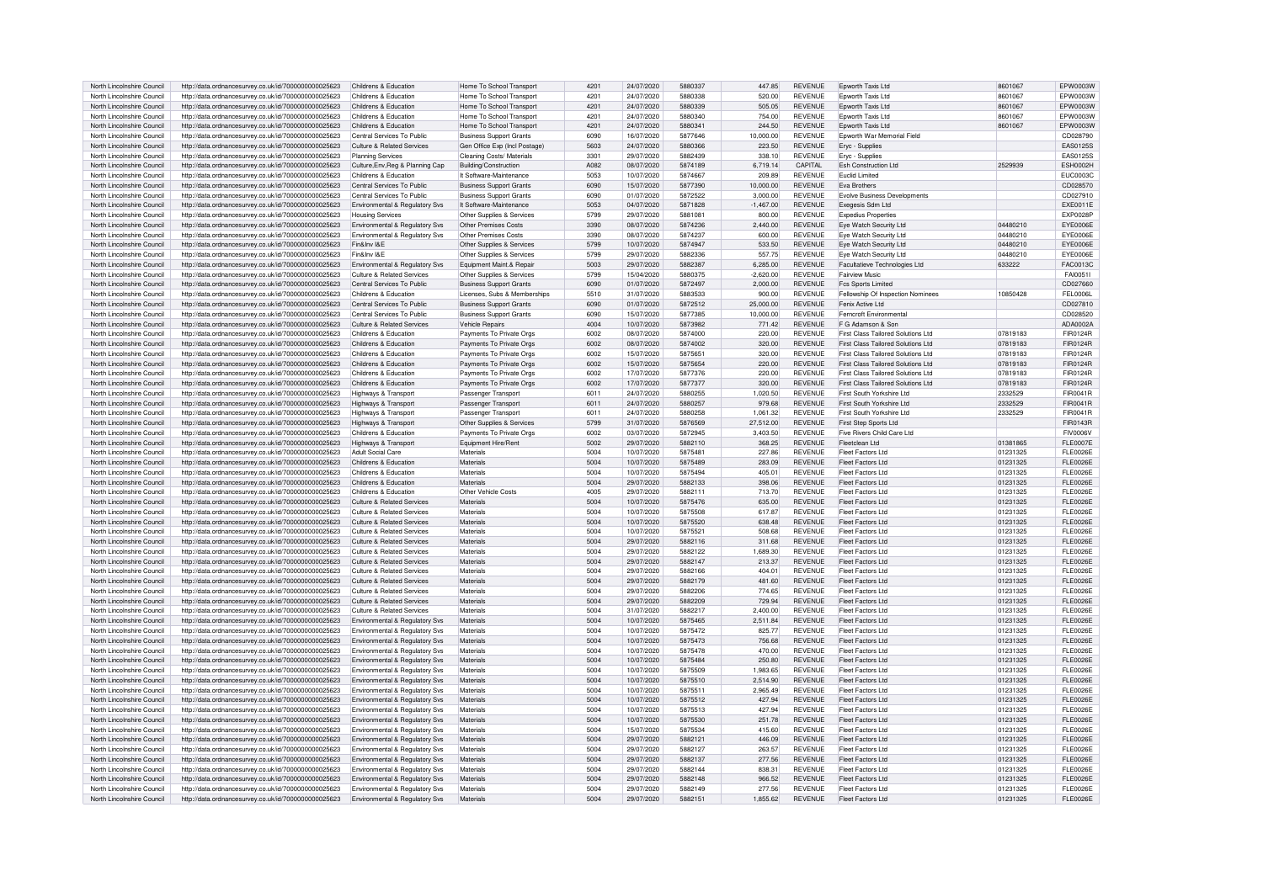| North Lincolnshire Council | http://data.ordnancesurvey.co.uk/id/7000000000025623 | Childrens & Education                      | Home To School Transpor        | 4201 | 24/07/2020 | 5880337 | 447.85      | <b>REVENUE</b> | Epworth Taxis Ltd                         | 8601067  | EPW0003W        |
|----------------------------|------------------------------------------------------|--------------------------------------------|--------------------------------|------|------------|---------|-------------|----------------|-------------------------------------------|----------|-----------------|
| North Lincolnshire Council | http://data.ordnancesurvey.co.uk/id/7000000000025623 | Childrens & Education                      | Home To School Transport       | 420' | 24/07/2020 | 5880338 | 520.00      | <b>REVENUE</b> | Foworth Taxis I to                        | 8601067  | FPW0003W        |
|                            |                                                      |                                            |                                |      |            |         |             |                |                                           |          |                 |
| North Lincolnshire Council | http://data.ordnancesurvey.co.uk/id/7000000000025623 | Childrens & Education                      | Home To School Transpor        | 4201 | 24/07/2020 | 5880339 | 505.05      | <b>REVENUE</b> | <b>Epworth Taxis Ltd</b>                  | 8601067  | EPW0003W        |
| North Lincolnshire Council | http://data.ordnancesurvey.co.uk/id/7000000000025623 | Childrens & Education                      | Home To School Transport       | 4201 | 24/07/2020 | 5880340 | 754.00      | <b>REVENUE</b> | <b>Foworth Taxis Ltd</b>                  | 8601067  | EPW0003W        |
| North Lincolnshire Council | http://data.ordnancesurvey.co.uk/id/7000000000025623 | Childrens & Education                      | Home To School Transpor        | 4201 | 24/07/2020 | 588034  | 244.50      | <b>REVENUE</b> | Foworth Taxis I td                        | 8601067  | FPW0003W        |
| North Lincolnshire Council | http://data.ordnancesurvey.co.uk/id/7000000000025623 | Central Services To Public                 | <b>Business Support Grants</b> | 6090 | 16/07/2020 | 5877646 | 10.000.00   | <b>REVENUE</b> | <b>Foworth War Memorial Field</b>         |          | CD028790        |
| North Lincolnshire Council | http://data.ordnancesurvey.co.uk/id/7000000000025623 | Culture & Related Services                 | Gen Office Exp (Incl Postage)  | 5603 | 24/07/2020 | 5880366 | 223.50      | <b>REVENUE</b> | Eryc - Supplies                           |          | EAS0125S        |
|                            |                                                      |                                            |                                | 3301 |            | 5882439 |             | <b>REVENUE</b> |                                           |          | FAS0125S        |
| North Lincolnshire Council | http://data.ordnancesurvey.co.uk/id/7000000000025623 | <b>Planning Services</b>                   | Cleaning Costs/ Material:      |      | 29/07/2020 |         | 338.10      |                | Eryc - Supplies                           |          |                 |
| North Lincolnshire Council | http://data.ordnancesurvey.co.uk/id/7000000000025623 | Culture, Env, Reg & Planning Cap           | Building/Construction          | A082 | 08/07/2020 | 5874189 | 6,719.14    | CAPITAL        | <b>Esh Construction Ltd</b>               | 2529939  | <b>ESH0002H</b> |
| North Lincolnshire Council | http://data.ordnancesurvey.co.uk/id/7000000000025623 | Childrens & Education                      | It Software-Maintenance        | 5053 | 10/07/2020 | 5874667 | 209.89      | <b>REVENUE</b> | Euclid Limited                            |          | <b>EUC00030</b> |
| North Lincolnshire Council | http://data.ordnancesurvey.co.uk/id/7000000000025623 | Central Services To Public                 | <b>Business Support Grants</b> | 6090 | 15/07/2020 | 5877390 | 10,000.00   | <b>REVENUE</b> | Eva Brothers                              |          | CD028570        |
| North Lincolnshire Council | http://data.ordnancesurvey.co.uk/id/7000000000025623 | Central Services To Public                 | <b>Business Support Grants</b> | 6090 | 01/07/2020 | 5872522 | 3.000.00    | <b>REVENUE</b> | <b>Evolve Business Developments</b>       |          | CD027910        |
| North Lincolnshire Council | http://data.ordnancesurvey.co.uk/id/7000000000025623 | Environmental & Regulatory Svs             | It Software-Maintenance        | 5053 | 04/07/2020 | 5871828 | $-1,467.00$ | <b>REVENUE</b> | Exegesis Sdm Ltd                          |          | EXE0011E        |
| North Lincolnshire Council | http://data.ordnancesurvey.co.uk/id/7000000000025623 | <b>Housing Services</b>                    | Other Supplies & Services      | 5799 | 29/07/2020 | 5881081 | 800.00      | <b>REVENUE</b> | <b>Expedius Properties</b>                |          | <b>EXP0028P</b> |
| North Lincolnshire Council | http://data.ordnancesurvey.co.uk/id/7000000000025623 | Environmental & Regulatory Svs             | Other Premises Costs           | 3390 | 08/07/2020 | 5874236 | 2.440.00    | <b>REVENUE</b> | Eye Watch Security Ltd                    | 04480210 | EYE0006E        |
|                            |                                                      |                                            |                                |      |            |         |             |                |                                           |          |                 |
| North Lincolnshire Council | http://data.ordnancesurvey.co.uk/id/7000000000025623 | Environmental & Regulatory Svs             | Other Premises Costs           | 3390 | 08/07/2020 | 5874237 | 600.00      | <b>REVENUE</b> | Eve Watch Security Ltd                    | 04480210 | EYE0006E        |
| North Lincolnshire Council | http://data.ordnancesurvey.co.uk/id/7000000000025623 | Fin&Inv I&E                                | Other Supplies & Services      | 5799 | 10/07/2020 | 5874947 | 533.50      | <b>REVENUE</b> | Eye Watch Security Ltd                    | 04480210 | FYF0006F        |
| North Lincolnshire Council | http://data.ordnancesurvey.co.uk/id/7000000000025623 | Fin&Inv I&F                                | Other Supplies & Services      | 5799 | 29/07/2020 | 5882336 | 557.75      | <b>REVENUE</b> | Eye Watch Security Ltd                    | 04480210 | EYE0006E        |
| North Lincolnshire Council | http://data.ordnancesurvey.co.uk/id/7000000000025623 | Environmental & Regulatory Svs             | Equipment Maint.& Repair       | 5003 | 29/07/2020 | 5882387 | 6.285.00    | <b>REVENUE</b> | Facultatieve Technologies Ltd             | 633222   | FAC0013C        |
| North Lincolnshire Council | http://data.ordnancesurvey.co.uk/id/7000000000025623 | Culture & Related Services                 | Other Supplies & Services      | 5799 | 15/04/2020 | 5880375 | $-2,620.00$ | <b>REVENUE</b> | <b>Fairview Music</b>                     |          | FAI00511        |
| North Lincolnshire Council | http://data.ordnancesurvey.co.uk/id/7000000000025623 | Central Services To Public                 | <b>Business Support Grants</b> | 6090 | 01/07/2020 | 5872497 | 2.000.00    | <b>REVENUE</b> | <b>Fcs Sports Limited</b>                 |          | CD027660        |
| North Lincolnshire Council | http://data.ordnancesurvey.co.uk/id/7000000000025623 | Childrens & Education                      | Licenses, Subs & Memberships   | 5510 | 31/07/2020 | 5883533 | 900.00      | <b>REVENUE</b> | Fellowship Of Inspection Nominees         | 10850428 | <b>FEL0006L</b> |
| North Lincolnshire Council | http://data.ordnancesurvey.co.uk/id/7000000000025623 | Central Services To Public                 | <b>Business Support Grants</b> | 6090 | 01/07/2020 | 5872512 | 25,000.00   | <b>REVENUE</b> | Fenix Active I td                         |          | CD027810        |
| North Lincolnshire Council | http://data.ordnancesurvey.co.uk/id/7000000000025623 | Central Services To Public                 | <b>Business Support Grants</b> | 6090 | 15/07/2020 | 5877385 | 10,000.00   | <b>REVENUE</b> | Ferncroft Environmenta                    |          | CD028520        |
|                            |                                                      |                                            |                                |      |            |         |             |                |                                           |          |                 |
| North Lincolnshire Council | http://data.ordnancesurvey.co.uk/id/7000000000025623 | Culture & Related Services                 | Vehicle Repairs                | 4004 | 10/07/2020 | 5873982 | 771.42      | <b>REVENUE</b> | F G Adamson & Son                         |          | ADA0002A        |
| North Lincolnshire Council | http://data.ordnancesurvev.co.uk/id/7000000000025623 | Childrens & Education                      | Payments To Private Orgs       | 6002 | 08/07/2020 | 5874000 | 220.00      | <b>REVENUE</b> | First Class Tailored Solutions Ltd        | 07819183 | FIR0124R        |
| North Lincolnshire Council | http://data.ordnancesurvey.co.uk/id/7000000000025623 | Childrens & Education                      | Payments To Private Orgs       | 6002 | 08/07/2020 | 5874002 | 320.00      | <b>REVENUE</b> | First Class Tailored Solutions Ltd        | 07819183 | FIR0124R        |
| North Lincolnshire Council | http://data.ordnancesurvey.co.uk/id/7000000000025623 | Childrens & Education                      | Payments To Private Orgs       | 6002 | 15/07/2020 | 5875651 | 320.00      | <b>REVENUE</b> | First Class Tailored Solutions Ltd        | 07819183 | FIR0124R        |
| North Lincolnshire Council | http://data.ordnancesurvey.co.uk/id/7000000000025623 | Childrens & Education                      | Payments To Private Orgs       | 6002 | 15/07/2020 | 5875654 | 220.00      | <b>REVENUE</b> | First Class Tailored Solutions Ltd        | 07819183 | FIR0124R        |
| North Lincolnshire Council | http://data.ordnancesurvey.co.uk/id/7000000000025623 | Childrens & Education                      | Payments To Private Orgs       | 6002 | 17/07/2020 | 5877376 | 220.00      | <b>REVENUE</b> | First Class Tailored Solutions Ltd        | 07819183 | <b>FIR0124R</b> |
| North Lincolnshire Council | http://data.ordnancesurvey.co.uk/id/7000000000025623 | Childrens & Education                      | Payments To Private Oras       | 6002 | 17/07/2020 | 5877377 | 320.00      | <b>REVENUE</b> | <b>First Class Tailored Solutions Ltd</b> | 07819183 | FIR0124R        |
| North Lincolnshire Council | http://data.ordnancesurvey.co.uk/id/7000000000025623 | Highways & Transpor                        | Passenger Transport            | 6011 | 24/07/2020 | 5880255 | 1,020.50    | <b>REVENUE</b> | First South Yorkshire Ltd                 | 2332529  | FIR0041R        |
| North Lincolnshire Council |                                                      |                                            |                                | 6011 | 24/07/2020 | 5880257 | 979.68      | <b>REVENUE</b> | First South Yorkshire Ltd                 | 2332529  | FIR0041B        |
|                            | http://data.ordnancesurvey.co.uk/id/7000000000025623 | Highways & Transport                       | Passenger Transport            |      |            |         |             |                |                                           |          |                 |
| North Lincolnshire Council | http://data.ordnancesurvey.co.uk/id/7000000000025623 | Highways & Transport                       | Passenger Transport            | 6011 | 24/07/2020 | 5880258 | 1.061.32    | <b>REVENUE</b> | First South Yorkshire Ltd                 | 2332529  | FIR0041R        |
| North Lincolnshire Council | http://data.ordnancesurvey.co.uk/id/7000000000025623 | Highways & Transpor                        | Other Supplies & Services      | 5799 | 31/07/2020 | 5876569 | 27,512.00   | <b>REVENUE</b> | First Step Sports Ltd                     |          | FIR0143R        |
| North Lincolnshire Council | http://data.ordnancesurvey.co.uk/id/7000000000025623 | Childrens & Education                      | Payments To Private Orgs       | 6002 | 03/07/2020 | 5872945 | 3.403.50    | <b>REVENUE</b> | Five Rivers Child Care I to               |          | <b>FIV0006V</b> |
| North Lincolnshire Council | http://data.ordnancesurvey.co.uk/id/7000000000025623 | Highways & Transport                       | Faujoment Hire/Rent            | 5002 | 29/07/2020 | 5882110 | 368.25      | <b>REVENUE</b> | Fleetclean Ltd                            | 01381865 | <b>FLE0007E</b> |
| North Lincolnshire Council | http://data.ordnancesurvey.co.uk/id/7000000000025623 | Adult Social Care                          | Materials                      | 5004 | 10/07/2020 | 5875481 | 227.86      | <b>REVENUE</b> | Fleet Factors Ltd                         | 01231325 | FI F0026F       |
| North Lincolnshire Council | http://data.ordnancesurvey.co.uk/id/7000000000025623 | Childrens & Education                      | Materials                      | 5004 | 10/07/2020 | 5875489 | 283.09      | <b>REVENUE</b> | Fleet Factors Ltd                         | 01231325 | <b>FLE0026E</b> |
| North Lincolnshire Council | http://data.ordnancesurvey.co.uk/id/7000000000025623 | Childrens & Education                      | Materials                      | 5004 | 10/07/2020 | 5875494 | 405.01      | <b>REVENUE</b> | Fleet Factors Ltd                         | 01231325 | FL E0026E       |
| North Lincolnshire Council | http://data.ordnancesurvey.co.uk/id/7000000000025623 | Childrens & Education                      | Materials                      | 5004 | 29/07/2020 | 5882133 | 398.06      | <b>REVENUE</b> | Fleet Factors Ltd                         | 01231325 | FI F0026F       |
| North Lincolnshire Council |                                                      | Childrens & Education                      | Other Vehicle Costs            | 4005 | 29/07/2020 | 5882111 | 713.70      | <b>REVENUE</b> | <b>Fleet Factors Ltd</b>                  |          | <b>FLE0026E</b> |
|                            | http://data.ordnancesurvey.co.uk/id/7000000000025623 |                                            |                                |      |            |         |             |                |                                           | 01231325 |                 |
| North Lincolnshire Council | http://data.ordnancesurvey.co.uk/id/7000000000025623 | Culture & Related Services                 | Materials                      | 5004 | 10/07/2020 | 5875476 | 635.00      | REVENUE        | <b>Fleet Factors Ltd</b>                  | 01231325 | <b>FLE0026E</b> |
| North Lincolnshire Council | http://data.ordnancesurvey.co.uk/id/7000000000025623 | Culture & Related Services                 | Materials                      | 5004 | 10/07/2020 | 5875508 | 617.87      | REVENUE        | <b>Fleet Factors Ltd</b>                  | 01231325 | <b>FLE0026E</b> |
| North Lincolnshire Council | http://data.ordnancesurvey.co.uk/id/7000000000025623 | Culture & Related Services                 | Materials                      | 5004 | 10/07/2020 | 5875520 | 638.48      | <b>REVENUE</b> | Fleet Factors Ltd                         | 01231325 | FI F0026F       |
| North Lincolnshire Council | http://data.ordnancesurvey.co.uk/id/7000000000025623 | <b>Culture &amp; Related Services</b>      | Materials                      | 5004 | 10/07/2020 | 5875521 | 508.68      | <b>REVENUE</b> | <b>Fleet Factors Ltd</b>                  | 01231325 | <b>FLE0026E</b> |
| North Lincolnshire Council | http://data.ordnancesurvey.co.uk/id/7000000000025623 | Culture & Related Services                 | Materials                      | 5004 | 29/07/2020 | 5882116 | 311.68      | <b>REVENUE</b> | Fleet Factors Ltd                         | 01231325 | <b>FLE0026E</b> |
| North Lincolnshire Council | http://data.ordnancesurvey.co.uk/id/7000000000025623 | Culture & Related Services                 | Materials                      | 5004 | 29/07/2020 | 5882122 | 1.689.30    | <b>REVENUE</b> | Fleet Factors Ltd                         | 01231325 | <b>FLE0026E</b> |
| North Lincolnshire Council | http://data.ordnancesurvey.co.uk/id/7000000000025623 | Culture & Related Services                 | Materials                      | 5004 | 29/07/2020 | 5882147 | 213.37      | <b>REVENUE</b> | <b>Fleet Factors Ltd</b>                  | 01231325 | <b>FLE0026E</b> |
| North Lincolnshire Council |                                                      | Culture & Related Services                 | Materials                      | 5004 | 29/07/2020 | 5882166 | 404.01      | <b>REVENUE</b> | <b>Fleet Factors Ltd</b>                  | 01231325 | <b>FLE0026E</b> |
|                            | http://data.ordnancesurvey.co.uk/id/7000000000025623 |                                            |                                |      |            |         |             |                |                                           |          |                 |
| North Lincolnshire Council | http://data.ordnancesurvey.co.uk/id/7000000000025623 | Culture & Related Services                 | Materials                      | 5004 | 29/07/2020 | 5882179 | 481.60      | <b>REVENUE</b> | <b>Fleet Factors Ltd</b>                  | 01231325 | <b>FLE0026E</b> |
| North Lincolnshire Council | http://data.ordnancesurvey.co.uk/id/7000000000025623 | Culture & Related Services                 | Materials                      | 5004 | 29/07/2020 | 5882206 | 774.65      | <b>REVENUE</b> | <b>Fleet Factors Ltd</b>                  | 01231325 | <b>FLE0026E</b> |
| North Lincolnshire Council | http://data.ordnancesurvey.co.uk/id/7000000000025623 | <b>Culture &amp; Related Services</b>      | Materials                      | 5004 | 29/07/2020 | 5882209 | 729.94      | <b>REVENUE</b> | <b>Fleet Factors Ltd</b>                  | 01231325 | <b>FLE0026E</b> |
| North Lincolnshire Council | http://data.ordnancesurvey.co.uk/id/7000000000025623 | Culture & Related Services                 | Materials                      | 5004 | 31/07/2020 | 5882217 | 2,400.00    | <b>REVENUE</b> | <b>Fleet Factors Ltd</b>                  | 01231325 | FI F0026F       |
| North Lincolnshire Council | http://data.ordnancesurvey.co.uk/id/7000000000025623 | Environmental & Regulatory Svs             | Materials                      | 5004 | 10/07/2020 | 5875465 | 2.511.84    | <b>REVENUE</b> | <b>Fleet Factors Ltd</b>                  | 01231325 | <b>FLE0026E</b> |
| North Lincolnshire Council | http://data.ordnancesurvey.co.uk/id/7000000000025623 | Environmental & Regulatory Svs             | Materials                      | 5004 | 10/07/2020 | 5875472 | 825.77      | <b>REVENUE</b> | Fleet Factors Ltd                         | 01231325 | FI F0026F       |
| North Lincolnshire Council | http://data.ordnancesurvey.co.uk/id/7000000000025623 | Environmental & Regulatory Svs             | Materials                      | 5004 | 10/07/2020 | 5875473 | 756.68      | <b>REVENUE</b> | Fleet Factors Ltd                         | 01231325 | FI F0026F       |
| North Lincolnshire Council | http://data.ordnancesurvey.co.uk/id/7000000000025623 | Environmental & Regulatory Svs             | Materials                      | 5004 | 10/07/2020 | 5875478 | 470.00      | <b>REVENUE</b> | Fleet Factors Ltd                         | 01231325 | <b>FLE0026E</b> |
| North Lincolnshire Council | http://data.ordnancesurvey.co.uk/id/7000000000025623 | Environmental & Regulatory Svs             | Materials                      | 5004 | 10/07/2020 | 5875484 | 250.80      | <b>REVENUE</b> | Fleet Factors Ltd                         | 01231325 | <b>FLE0026E</b> |
| North Lincolnshire Council | http://data.ordnancesurvey.co.uk/id/7000000000025623 | Environmental & Regulatory Svs             | Materials                      | 5004 | 10/07/2020 | 5875509 | 1.983.65    | <b>REVENUE</b> | Fleet Factors Ltd                         | 01231325 | <b>FLE0026E</b> |
|                            |                                                      |                                            |                                | 5004 | 10/07/2020 | 5875510 | 2.514.90    | <b>REVENUE</b> |                                           |          | <b>FLE0026E</b> |
| North Lincolnshire Council | http://data.ordnancesurvey.co.uk/id/7000000000025623 | Environmental & Regulatory Svs             | Materials                      |      |            |         |             |                | Fleet Factors Ltd                         | 01231325 |                 |
| North Lincolnshire Council | http://data.ordnancesurvey.co.uk/id/7000000000025623 | Environmental & Regulatory Sys             | Materials                      | 5004 | 10/07/2020 | 5875511 | 296549      | <b>REVENUE</b> | Fleet Factors Ltd                         | 01231325 | <b>FLE0026E</b> |
| North Lincolnshire Council | http://data.ordnancesurvey.co.uk/id/7000000000025623 | Environmental & Regulatory Svs             | Materials                      | 5004 | 10/07/2020 | 5875512 | 427.94      | <b>REVENUE</b> | <b>Fleet Factors Ltd</b>                  | 01231325 | <b>FLE0026E</b> |
| North Lincolnshire Council | http://data.ordnancesurvey.co.uk/id/7000000000025623 | Environmental & Regulatory Svs             | Materials                      | 5004 | 10/07/2020 | 5875513 | 427.94      | <b>REVENUE</b> | <b>Fleet Factors Ltd</b>                  | 01231325 | <b>FLE0026E</b> |
| North Lincolnshire Council | http://data.ordnancesurvey.co.uk/id/7000000000025623 | Environmental & Regulatory Svs             | Materials                      | 5004 | 10/07/2020 | 5875530 | 251.78      | REVENUE        | Fleet Factors Ltd                         | 01231325 | <b>FLE0026E</b> |
| North Lincolnshire Council | http://data.ordnancesurvey.co.uk/id/7000000000025623 | Environmental & Regulatory Svs             | Materials                      | 5004 | 15/07/2020 | 5875534 | 415.60      | <b>REVENUE</b> | Fleet Factors Ltd                         | 01231325 | <b>FLE0026E</b> |
| North Lincolnshire Council | http://data.ordnancesurvey.co.uk/id/7000000000025623 | Environmental & Regulatory Svs             | Materials                      | 5004 | 29/07/2020 | 5882121 | 446.09      | <b>REVENUE</b> | <b>Fleet Factors Ltd</b>                  | 01231325 | <b>FLE0026E</b> |
| North Lincolnshire Council | http://data.ordnancesurvey.co.uk/id/7000000000025623 | Environmental & Regulatory Svs             | Materials                      | 5004 | 29/07/2020 | 5882127 | 263.57      | <b>REVENUE</b> | Fleet Factors Ltd                         | 01231325 | FI F0026F       |
| North Lincolnshire Council | http://data.ordnancesurvey.co.uk/id/7000000000025623 | Environmental & Regulatory Svs             | Materials                      | 5004 | 29/07/2020 | 5882137 | 277.56      | <b>REVENUE</b> | Fleet Factors Ltd                         | 01231325 | <b>FLE0026E</b> |
| North Lincolnshire Council | http://data.ordnancesurvey.co.uk/id/7000000000025623 | <b>Fnvironmental &amp; Regulatory Sys.</b> | Materials                      | 5004 | 29/07/2020 | 5882144 | 838.31      | <b>REVENUE</b> | Fleet Factors Ltd                         | 01231325 | <b>FLE0026E</b> |
|                            |                                                      |                                            |                                | 5004 |            | 5882148 |             | <b>REVENUE</b> |                                           |          | FLF0026F        |
| North Lincolnshire Council | http://data.ordnancesurvey.co.uk/id/7000000000025623 | Environmental & Regulatory Svs             | Materials                      |      | 29/07/2020 |         | 966.52      |                | Fleet Factors Ltd                         | 01231325 |                 |
| North Lincolnshire Council | http://data.ordnancesurvev.co.uk/id/7000000000025623 | Environmental & Regulatory Svs             | Materials                      | 5004 | 29/07/2020 | 5882149 | 277.56      | <b>REVENUE</b> | Fleet Factors Ltd                         | 01231325 | <b>FLE0026E</b> |
| North Lincolnshire Council | http://data.ordnancesurvey.co.uk/id/7000000000025623 | Environmental & Regulatory Sys             | Materials                      | 5004 | 29/07/2020 | 5882151 | 1.855.62    | <b>REVENUE</b> | Fleet Factors Ltd                         | 01231325 | <b>FLE0026E</b> |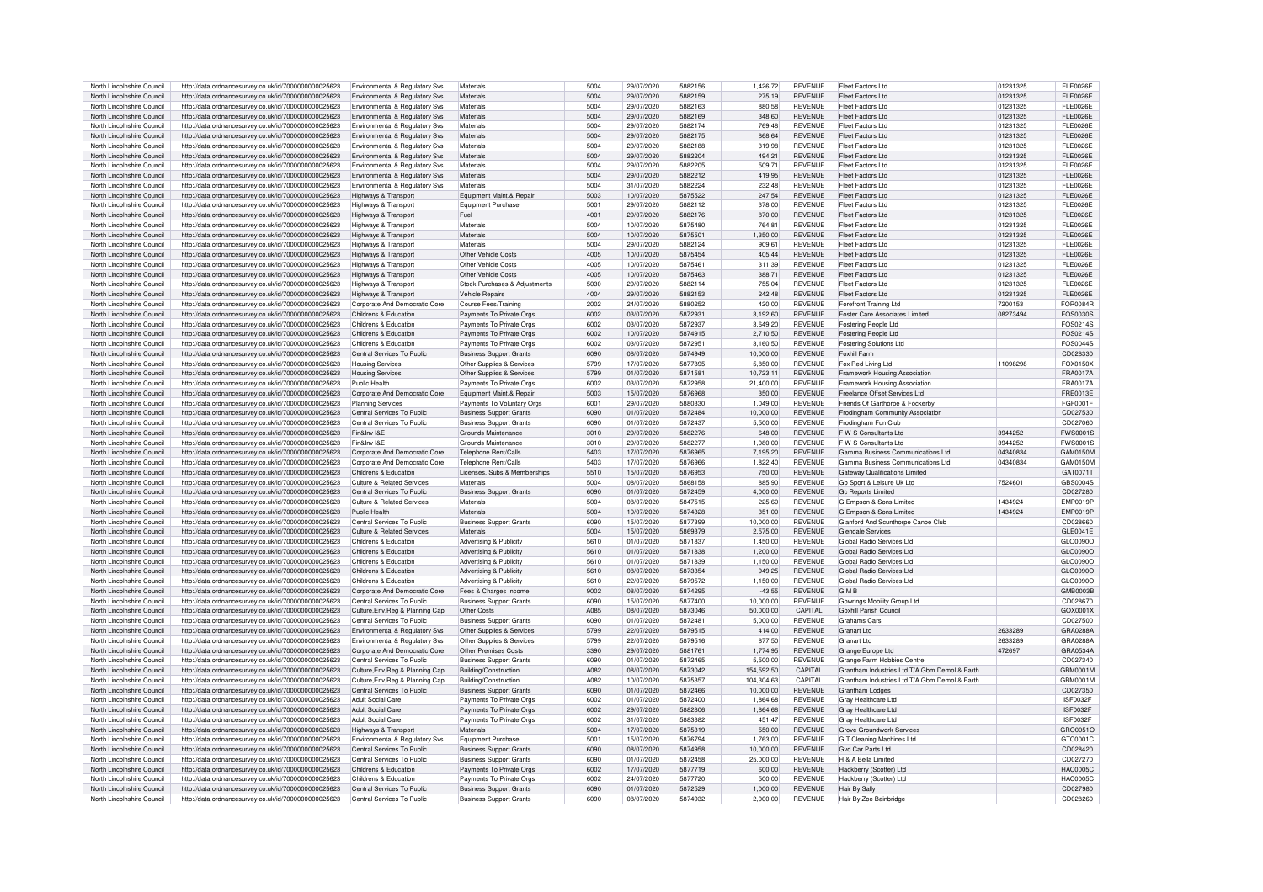| North Lincolnshire Council | http://data.ordnancesurvey.co.uk/id/7000000000025623                                                         | Environmental & Regulatory Svs            | Materials                                                  | 5004        | 29/07/2020 | 5882156 | 1.426.72   | <b>REVENUE</b> | <b>Fleet Factors Ltd</b>                       | 01231325 | <b>FLE0026E</b> |
|----------------------------|--------------------------------------------------------------------------------------------------------------|-------------------------------------------|------------------------------------------------------------|-------------|------------|---------|------------|----------------|------------------------------------------------|----------|-----------------|
| North Lincolnshire Council | http://data.ordnancesurvey.co.uk/id/7000000000025623                                                         | Environmental & Regulatory Svs            | Materials                                                  | 5004        | 29/07/2020 | 5882159 | 275.19     | <b>REVENUE</b> | Fleet Factors Ltd                              | 01231325 | FL E0026E       |
| North Lincolnshire Council | http://data.ordnancesurvey.co.uk/id/7000000000025623                                                         | <b>Environmental &amp; Regulatory Sys</b> | Materials                                                  | 5004        | 29/07/2020 | 5882163 | 880.58     | <b>REVENUE</b> | Fleet Factors Ltd                              | 01231325 | <b>FLE0026E</b> |
|                            |                                                                                                              |                                           |                                                            |             |            |         |            |                |                                                |          |                 |
| North Lincolnshire Council | http://data.ordnancesurvey.co.uk/id/7000000000025623                                                         | <b>Environmental &amp; Requlatory Sys</b> | Materials                                                  | 5004        | 29/07/2020 | 5882169 | 348.60     | <b>REVENUE</b> | Fleet Factors Ltd                              | 01231325 | <b>FLE0026E</b> |
| North Lincolnshire Council | http://data.ordnancesurvey.co.uk/id/7000000000025623                                                         | Environmental & Regulatory Svs            | Materials                                                  | 5004        | 29/07/2020 | 5882174 | 769.48     | <b>REVENUE</b> | Fleet Factors Ltd                              | 01231325 | <b>FLE0026E</b> |
| North Lincolnshire Council | http://data.ordnancesurvey.co.uk/id/7000000000025623                                                         | Environmental & Regulatory Sys            | Materials                                                  | 5004        | 29/07/2020 | 5882175 | 868.64     | <b>REVENUE</b> | Fleet Factors Ltd                              | 01231325 | <b>FLE0026E</b> |
| North Lincolnshire Council | http://data.ordnancesurvey.co.uk/id/7000000000025623                                                         | Environmental & Regulatory Sys            | Materials                                                  | 5004        | 29/07/2020 | 5882188 | 319.98     | <b>REVENUE</b> | <b>Fleet Factors Ltd</b>                       | 01231325 | <b>FLE0026E</b> |
| North Lincolnshire Council | http://data.ordnancesurvey.co.uk/id/7000000000025623                                                         | Environmental & Regulatory Svs            | Materials                                                  | 5004        | 29/07/2020 | 5882204 | 494.21     | <b>REVENUE</b> | Fleet Factors Ltd                              | 01231325 | FL E0026E       |
| North Lincolnshire Council | http://data.ordnancesurvey.co.uk/id/7000000000025623                                                         | Environmental & Regulatory Svs            | Materials                                                  | 5004        | 29/07/2020 | 5882205 | 509.71     | <b>REVENUE</b> | <b>Fleet Factors Ltd</b>                       | 01231325 | <b>FLE0026E</b> |
| North Lincolnshire Council | http://data.ordnancesurvey.co.uk/id/7000000000025623                                                         | Environmental & Regulatory Svs            | Materials                                                  | 5004        | 29/07/2020 | 5882212 | 419.95     | <b>REVENUE</b> | <b>Fleet Factors Ltd</b>                       | 01231325 | <b>FLE0026E</b> |
| North Lincolnshire Council | http://data.ordnancesurvey.co.uk/id/7000000000025623                                                         | Environmental & Regulatory Svs            | Materials                                                  | 5004        | 31/07/2020 | 5882224 | 232.48     | REVENUE        | <b>Fleet Factors Ltd</b>                       | 01231325 | <b>FLE0026E</b> |
| North Lincolnshire Council | http://data.ordnancesurvey.co.uk/id/7000000000025623                                                         | Highways & Transport                      | Equipment Maint.& Repair                                   | 5003        | 10/07/2020 | 5875522 | 247.54     | <b>REVENUE</b> | Fleet Factors Ltd                              | 01231325 | <b>FLE0026E</b> |
|                            |                                                                                                              |                                           |                                                            | 500         |            | 5882112 |            | <b>REVENUE</b> | Fleet Factors Ltd                              |          | FL E0026E       |
| North Lincolnshire Council | http://data.ordnancesurvey.co.uk/id/7000000000025623                                                         | Highways & Transport                      | Equipment Purchase                                         |             | 29/07/2020 |         | 378.00     |                |                                                | 01231325 |                 |
| North Lincolnshire Council | http://data.ordnancesurvey.co.uk/id/7000000000025623                                                         | Highways & Transport                      | Fuel                                                       | 4001        | 29/07/2020 | 5882176 | 870.00     | <b>REVENUE</b> | Fleet Factors Ltd                              | 01231325 | FL E0026E       |
| North Lincolnshire Council | http://data.ordnancesurvey.co.uk/id/7000000000025623                                                         | Highways & Transport                      | Materials                                                  | 5004        | 10/07/2020 | 5875480 | 764.81     | <b>REVENUE</b> | Fleet Factors Ltd                              | 01231325 | <b>FLE0026E</b> |
| North Lincolnshire Council | http://data.ordnancesurvey.co.uk/id/7000000000025623                                                         | Highways & Transport                      | Materials                                                  | 5004        | 10/07/2020 | 5875501 | 1.350.00   | <b>REVENUE</b> | Fleet Factors Ltd                              | 01231325 | <b>FLE0026E</b> |
| North Lincolnshire Council | http://data.ordnancesurvey.co.uk/id/7000000000025623                                                         | Highways & Transport                      | Materials                                                  | 5004        | 29/07/2020 | 5882124 | 909.61     | <b>REVENUE</b> | Fleet Factors Ltd                              | 01231325 | FL E0026E       |
| North Lincolnshire Council | http://data.ordnancesurvey.co.uk/id/7000000000025623                                                         | Highways & Transport                      | Other Vehicle Costs                                        | 4005        | 10/07/2020 | 5875454 | 405.44     | <b>REVENUE</b> | Fleet Factors Ltd                              | 01231325 | <b>FLE0026E</b> |
| North Lincolnshire Council | http://data.ordnancesurvey.co.uk/id/7000000000025623                                                         | Highways & Transport                      | Other Vehicle Costs                                        | 4005        | 10/07/2020 | 5875461 | 311.39     | <b>REVENUE</b> | Fleet Factors Ltd                              | 01231325 | <b>FLE0026E</b> |
| North Lincolnshire Council | http://data.ordnancesurvey.co.uk/id/7000000000025623                                                         | Highways & Transport                      | Other Vehicle Costs                                        | 4005        | 10/07/2020 | 5875463 | 388.71     | <b>REVENUE</b> | Fleet Factors Ltd                              | 01231325 | FI F0026F       |
| North Lincolnshire Council | http://data.ordnancesurvey.co.uk/id/7000000000025623                                                         | Highways & Transport                      | Stock Purchases & Adjustments                              | 5030        | 29/07/2020 | 5882114 | 755.04     | REVENUE        | <b>Fleet Factors Ltd</b>                       | 01231325 | <b>FLE0026E</b> |
| North Lincolnshire Council |                                                                                                              |                                           | <b>Vehicle Repairs</b>                                     | 4004        | 29/07/2020 | 5882153 | 242.48     | REVENUE        | <b>Fleet Factors Ltd</b>                       | 01231325 | <b>FLE0026E</b> |
|                            | http://data.ordnancesurvey.co.uk/id/7000000000025623                                                         | Highways & Transport                      |                                                            |             |            |         |            |                |                                                |          |                 |
| North Lincolnshire Council | http://data.ordnancesurvey.co.uk/id/7000000000025623                                                         | Corporate And Democratic Core             | Course Fees/Training                                       | 2002        | 24/07/2020 | 5880252 | 420.00     | <b>REVENUE</b> | Forefront Training Ltd                         | 7200153  | FOR0084R        |
| North Lincolnshire Council | http://data.ordnancesurvey.co.uk/id/7000000000025623                                                         | Childrens & Education                     | Payments To Private Orgs                                   | 6002        | 03/07/2020 | 5872931 | 3,192.60   | <b>REVENUE</b> | <b>Foster Care Associates Limited</b>          | 08273494 | <b>FOS0030S</b> |
| North Lincolnshire Council | http://data.ordnancesurvey.co.uk/id/7000000000025623                                                         | Childrens & Education                     | Payments To Private Orgs                                   | 6002        | 03/07/2020 | 5872937 | 3,649.20   | REVENUE        | Fostering People Ltd                           |          | FOS0214S        |
| North Lincolnshire Council | http://data.ordnancesurvey.co.uk/id/7000000000025623                                                         | Childrens & Education                     | Payments To Private Orgs                                   | 6002        | 10/07/2020 | 5874915 | 2,710.50   | <b>REVENUE</b> | Fostering People Ltd                           |          | FOS0214S        |
| North Lincolnshire Council | http://data.ordnancesurvey.co.uk/id/7000000000025623                                                         | Childrens & Education                     | Payments To Private Orgs                                   | 6002        | 03/07/2020 | 5872951 | 3.160.50   | <b>REVENUE</b> | <b>Fostering Solutions Ltd</b>                 |          | <b>FOS0044S</b> |
| North Lincolnshire Council | http://data.ordnancesurvey.co.uk/id/7000000000025623                                                         | Central Services To Public                | <b>Business Support Grants</b>                             | 6090        | 08/07/2020 | 5874949 | 10,000.00  | <b>REVENUE</b> | Foxhill Farm                                   |          | CD028330        |
| North Lincolnshire Council | http://data.ordnancesurvey.co.uk/id/7000000000025623                                                         | <b>Housing Services</b>                   | Other Supplies & Services                                  | 5799        | 17/07/2020 | 5877895 | 5.850.00   | <b>REVENUE</b> | Fox Red Living Ltd                             | 11098298 | FOX0150X        |
| North Lincolnshire Council | http://data.ordnancesurvey.co.uk/id/7000000000025623                                                         | <b>Housing Services</b>                   | Other Supplies & Services                                  | 5799        | 01/07/2020 | 5871581 | 10.723.11  | <b>REVENUE</b> | Framework Housing Association                  |          | FRA0017A        |
| North Lincolnshire Council | http://data.ordnancesurvey.co.uk/id/7000000000025623                                                         | Public Health                             | Payments To Private Orgs                                   | 6002        | 03/07/2020 | 5872958 | 21,400.00  | REVENUE        | Framework Housing Association                  |          | <b>FRA0017A</b> |
| North Lincolnshire Council |                                                                                                              | Corporate And Democratic Core             | Equipment Maint.& Repair                                   | 5003        | 15/07/2020 |         | 350.00     | REVENUE        | Freelance Offset Services Ltd                  |          | <b>FRE0013E</b> |
|                            | http://data.ordnancesurvey.co.uk/id/7000000000025623                                                         |                                           |                                                            |             |            | 5876968 |            |                |                                                |          |                 |
| North Lincolnshire Council | http://data.ordnancesurvey.co.uk/id/7000000000025623                                                         | <b>Planning Services</b>                  | Payments To Voluntary Orgs                                 | 6001        | 29/07/2020 | 5880330 | 1.049.00   | <b>REVENUE</b> | Friends Of Garthorpe & Fockerby                |          | FGF0001F        |
| North Lincolnshire Council | http://data.ordnancesurvey.co.uk/id/7000000000025623                                                         | Central Services To Public                | <b>Business Support Grants</b>                             | 6090        | 01/07/2020 | 5872484 | 10.000.00  | REVENUE        | Frodingham Community Association               |          | CD027530        |
| North Lincolnshire Council | http://data.ordnancesurvey.co.uk/id/7000000000025623                                                         | Central Services To Public                | <b>Business Support Grants</b>                             | 6090        | 01/07/2020 | 5872437 | 5,500.00   | REVENUE        | Frodingham Fun Club                            |          | CD027060        |
| North Lincolnshire Council | http://data.ordnancesurvey.co.uk/id/7000000000025623                                                         | Fin&Inv I&E                               | Grounds Maintenance                                        | 3010        | 29/07/2020 | 5882276 | 648.00     | REVENUE        | F W S Consultants Ltd                          | 3944252  | <b>FWS0001S</b> |
| North Lincolnshire Council | http://data.ordnancesurvey.co.uk/id/7000000000025623                                                         | Fin&Inv I&E                               | Grounds Maintenance                                        | 3010        | 29/07/2020 | 5882277 | 1.080.00   | <b>REVENUE</b> | F W S Consultants Ltd                          | 3944252  | <b>FWS0001S</b> |
| North Lincolnshire Council | http://data.ordnancesurvey.co.uk/id/7000000000025623                                                         | Corporate And Democratic Core             | Telephone Rent/Calls                                       | 5403        | 17/07/2020 | 5876965 | 7,195.20   | <b>REVENUE</b> | Gamma Business Communications Ltd              | 04340834 | GAM0150M        |
| North Lincolnshire Council | http://data.ordnancesurvey.co.uk/id/7000000000025623                                                         | Corporate And Democratic Core             | Telephone Rent/Calls                                       | 5403        | 17/07/2020 | 5876966 | 1.822.40   | <b>REVENUE</b> | Gamma Business Communications Ltd              | 04340834 | GAM0150M        |
| North Lincolnshire Council | http://data.ordnancesurvey.co.uk/id/7000000000025623                                                         | Childrens & Education                     | Licenses, Subs & Memberships                               | 5510        | 15/07/2020 | 5876953 | 750.00     | <b>REVENUE</b> | <b>Gateway Qualifications Limited</b>          |          | GAT0071T        |
| North Lincolnshire Council |                                                                                                              | Culture & Related Services                | Materials                                                  | 5004        |            | 5868158 | 885.90     | <b>REVENUE</b> |                                                | 7524601  | GBS0004S        |
|                            | http://data.ordnancesurvey.co.uk/id/7000000000025623                                                         |                                           |                                                            |             | 08/07/2020 |         |            |                | Gb Sport & Leisure Uk Ltd                      |          |                 |
| North Lincolnshire Council | http://data.ordnancesurvey.co.uk/id/7000000000025623                                                         | Central Services To Public                | <b>Business Support Grants</b>                             | 6090        | 01/07/2020 | 5872459 | 4,000.00   | REVENUE        | <b>Gc Reports Limited</b>                      |          | CD027280        |
| North Lincolnshire Council | http://data.ordnancesurvey.co.uk/id/7000000000025623                                                         | Culture & Related Services                | Materials                                                  | 5004        | 08/07/2020 | 5847515 | 225.60     | REVENUE        | G Empson & Sons Limited                        | 1434924  | EMP0019P        |
| North Lincolnshire Council | http://data.ordnancesurvey.co.uk/id/7000000000025623                                                         | Public Health                             | Materials                                                  | 5004        | 10/07/2020 | 5874328 | 351.00     | REVENUE        | G Empson & Sons Limited                        | 1434924  | <b>EMP0019P</b> |
| North Lincolnshire Council | http://data.ordnancesurvey.co.uk/id/7000000000025623                                                         | Central Services To Public                | <b>Business Support Grants</b>                             | 6090        | 15/07/2020 | 5877399 | 10.000.00  | <b>REVENUE</b> | Glanford And Scunthorne Canoe Club             |          | CD028660        |
| North Lincolnshire Council | http://data.ordnancesurvey.co.uk/id/7000000000025623                                                         | Culture & Related Services                | Materials                                                  | 5004        | 15/07/2020 | 5869379 | 2,575.00   | REVENUE        | Glendale Services                              |          | GLE0041E        |
| North Lincolnshire Council | http://data.ordnancesurvey.co.uk/id/7000000000025623                                                         | Childrens & Education                     | Advertising & Publicity                                    | 5610        | 01/07/2020 | 5871837 | 1,450.00   | <b>REVENUE</b> | Global Radio Services Ltd                      |          | GLO0090O        |
| North Lincolnshire Council | http://data.ordnancesurvey.co.uk/id/7000000000025623                                                         | Childrens & Education                     | Advertising & Publicity                                    | 5610        | 01/07/2020 | 5871838 | 1.200.00   | <b>REVENUE</b> | Global Radio Services Ltd                      |          | GLO0090O        |
| North Lincolnshire Council | http://data.ordnancesurvey.co.uk/id/7000000000025623                                                         | Childrens & Education                     | Advertising & Publicity                                    | 5610        | 01/07/2020 | 5871839 | 1.150.00   | <b>REVENUE</b> | Global Radio Services Ltd                      |          | GLO0090O        |
| North Lincolnshire Council | http://data.ordnancesurvey.co.uk/id/7000000000025623                                                         | Childrens & Education                     | Advertising & Publicity                                    | 5610        |            |         |            |                |                                                |          |                 |
| North Lincolnshire Council |                                                                                                              |                                           |                                                            |             |            |         |            | <b>REVENUE</b> | Global Radio Services Ltd                      |          |                 |
| North Lincolnshire Council |                                                                                                              |                                           |                                                            |             | 08/07/2020 | 5873354 | 949.25     |                |                                                |          | GLO0090O        |
|                            | http://data.ordnancesurvey.co.uk/id/7000000000025623                                                         | Childrens & Education                     | Advertising & Publicity                                    | 5610        | 22/07/2020 | 5879572 | 1.150.00   | <b>REVENUE</b> | Global Radio Services Ltd                      |          | GLO0090O        |
|                            | http://data.ordnancesurvey.co.uk/id/7000000000025623                                                         | Corporate And Democratic Core             | Fees & Charges Income                                      | 9002        | 08/07/2020 | 5874295 | $-43.55$   | <b>REVENUE</b> | GMR                                            |          | GMB0003B        |
| North Lincolnshire Council | http://data.ordnancesurvey.co.uk/id/7000000000025623                                                         | Central Services To Public                | <b>Business Support Grants</b>                             | 6090        | 15/07/2020 | 5877400 | 10,000.00  | <b>REVENUE</b> | Gowrings Mobility Group Ltd                    |          | CD028670        |
| North Lincolnshire Council | http://data.ordnancesurvey.co.uk/id/7000000000025623                                                         | Culture, Env, Reg & Planning Cap          | Other Costs                                                | <b>A085</b> | 08/07/2020 | 5873046 | 50.000.00  | CAPITAL        | Goxhill Parish Council                         |          | GOX0001X        |
| North Lincolnshire Council | http://data.ordnancesurvey.co.uk/id/7000000000025623                                                         | Central Services To Public                | <b>Business Support Grants</b>                             | 6090        | 01/07/2020 | 587248  | 5,000.00   | <b>REVENUE</b> | Grahams Cars                                   |          | CD027500        |
| North Lincolnshire Council | http://data.ordnancesurvey.co.uk/id/7000000000025623                                                         | Environmental & Regulatory Svs            | Other Supplies & Services                                  | 5799        | 22/07/2020 | 5879515 | 414.00     | <b>REVENUE</b> | Granart I td                                   | 2633289  | GRA0288A        |
| North Lincolnshire Council | http://data.ordnancesurvey.co.uk/id/7000000000025623                                                         | Environmental & Regulatory Svs            | Other Supplies & Services                                  | 5799        | 22/07/2020 | 5879516 | 877.50     | <b>REVENUE</b> | Granart I td                                   | 2633289  | GRA0288A        |
| North Lincolnshire Council | http://data.ordnancesurvey.co.uk/id/7000000000025623                                                         | Corporate And Democratic Core             | Other Premises Costs                                       | 3390        | 29/07/2020 | 5881761 | 1,774.95   | REVENUE        | Grange Europe Ltd                              | 472697   | GRA0534A        |
| North Lincolnshire Council | http://data.ordnancesurvey.co.uk/id/7000000000025623                                                         | Central Services To Public                | <b>Business Support Grants</b>                             | 6090        | 01/07/2020 | 5872465 | 5,500.00   | REVENUE        | Grange Farm Hobbies Centre                     |          | CD027340        |
| North Lincolnshire Council | http://data.ordnancesurvey.co.uk/id/7000000000025623                                                         | Culture, Env, Reg & Planning Cap          | Building/Construction                                      | A082        | 08/07/2020 | 5873042 | 154.592.50 | CAPITAL        | Grantham Industries Ltd T/A Gbm Demol & Farth  |          | GBM0001M        |
| North Lincolnshire Council |                                                                                                              |                                           |                                                            |             |            | 5875357 |            | CAPITAL        | Grantham Industries I td T/A Gbm Demol & Farth |          |                 |
|                            | http://data.ordnancesurvey.co.uk/id/7000000000025623                                                         | Culture, Env, Reg & Planning Cap          | Building/Construction                                      | A082        | 10/07/2020 | 5872466 | 104.304.63 |                |                                                |          | GBM0001M        |
| North Lincolnshire Council | http://data.ordnancesurvey.co.uk/id/7000000000025623                                                         | Central Services To Public                | <b>Business Support Grants</b>                             | 6090        | 01/07/2020 |         | 10,000.00  | <b>REVENUE</b> | Grantham Lodges                                |          | CD027350        |
| North Lincolnshire Council | http://data.ordnancesurvey.co.uk/id/7000000000025623                                                         | Adult Social Care                         | Payments To Private Orgs                                   | 6002        | 01/07/2020 | 5872400 | 1,864.68   | <b>REVENUE</b> | Grav Healthcare Ltd                            |          | <b>ISF0032F</b> |
| North Lincolnshire Council | http://data.ordnancesurvey.co.uk/id/7000000000025623                                                         | Adult Social Care                         | Payments To Private Orgs                                   | 6002        | 29/07/2020 | 5882806 | 1,864.68   | REVENUE        | Gray Healthcare Ltd                            |          | <b>ISF0032F</b> |
| North Lincolnshire Council | http://data.ordnancesurvey.co.uk/id/7000000000025623                                                         | Adult Social Care                         | Payments To Private Orgs                                   | 6002        | 31/07/2020 | 5883382 | 451.47     | REVENUE        | Gray Healthcare Ltd                            |          | <b>ISF0032F</b> |
| North Lincolnshire Council | http://data.ordnancesurvey.co.uk/id/7000000000025623                                                         | Highways & Transport                      | Materials                                                  | 5004        | 17/07/2020 | 5875319 | 550.00     | <b>REVENUE</b> | Grove Groundwork Services                      |          | GRO0051O        |
| North Lincolnshire Council | http://data.ordnancesurvey.co.uk/id/7000000000025623                                                         | Environmental & Regulatory Svs            | <b>Equipment Purchase</b>                                  | 5001        | 15/07/2020 | 5876794 | 1.763.00   | <b>REVENUE</b> | G T Cleaning Machines Ltd                      |          | GTC0001C        |
| North Lincolnshire Council | http://data.ordnancesurvey.co.uk/id/7000000000025623                                                         | Central Services To Public                | <b>Business Support Grants</b>                             | 6090        | 08/07/2020 | 5874958 | 10,000.00  | <b>REVENUE</b> | Gyd Car Parts Ltd                              |          | CD028420        |
| North Lincolnshire Council | http://data.ordnancesurvey.co.uk/id/7000000000025623                                                         | Central Services To Public                | <b>Business Support Grants</b>                             | 6090        | 01/07/2020 | 5872458 | 25,000.00  | REVENUE        | H & A Bella Limited                            |          | CD027270        |
| North Lincolnshire Council | http://data.ordnancesurvey.co.uk/id/7000000000025623                                                         | Childrens & Education                     | Payments To Private Oras                                   | 6002        | 17/07/2020 | 5877719 | 600.00     | <b>REVENUE</b> | Hackberry (Scotter) Ltd                        |          | <b>HAC0005C</b> |
| North Lincolnshire Council | http://data.ordnancesurvey.co.uk/id/7000000000025623                                                         | Childrens & Education                     |                                                            | 6002        | 24/07/2020 | 5877720 | 500.00     | <b>REVENUE</b> |                                                |          | HAC0005C        |
| North Lincolnshire Council |                                                                                                              | Central Services To Public                | Payments To Private Orgs<br><b>Business Support Grants</b> | 6090        | 01/07/2020 | 5872529 | 1,000.00   | <b>REVENUE</b> | Hackberry (Scotter) Ltd<br>Hair By Sally       |          | CD027980        |
| North Lincolnshire Council | http://data.ordnancesurvey.co.uk/id/7000000000025623<br>http://data.ordnancesurvey.co.uk/id/7000000000025623 | Central Services To Public                | <b>Business Support Grants</b>                             | 6090        | 08/07/2020 | 5874932 | 2.000.00   | <b>REVENUE</b> | Hair By Zoe Bainbridge                         |          | CD028260        |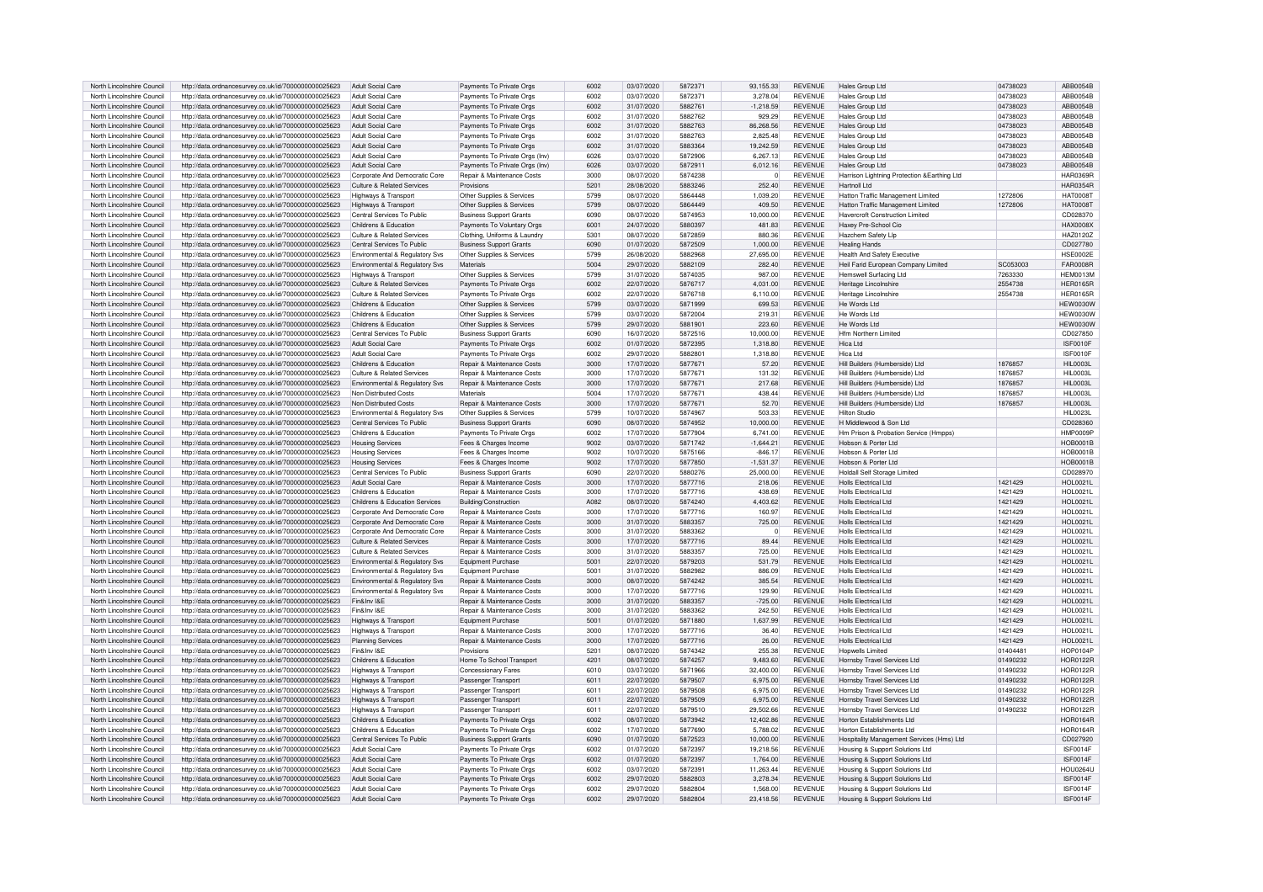| North Lincolnshire Council | http://data.ordnancesurvey.co.uk/id/7000000000025623 | Adult Social Care              | Payments To Private Orgs              | 6002 | 03/07/2020 | 5872371 | 93.155.33   | <b>REVENUE</b> | Hales Group Ltd                               | 04738023 | ABB0054B         |
|----------------------------|------------------------------------------------------|--------------------------------|---------------------------------------|------|------------|---------|-------------|----------------|-----------------------------------------------|----------|------------------|
|                            |                                                      |                                |                                       | 6002 |            |         |             | <b>REVENUE</b> |                                               | 04738023 | ABB0054B         |
| North Lincolnshire Council | http://data.ordnancesurvey.co.uk/id/7000000000025623 | Adult Social Care              | Payments To Private Orgs              |      | 03/07/2020 | 5872371 | 3,278.04    |                | <b>Hales Group Ltd</b>                        |          |                  |
| North Lincolnshire Council | http://data.ordnancesurvey.co.uk/id/7000000000025623 | Adult Social Care              | Payments To Private Orgs              | 6002 | 31/07/2020 | 5882761 | $-1,218.59$ | <b>REVENUE</b> | Hales Group Ltd                               | 04738023 | ABB0054B         |
| North Lincolnshire Council | http://data.ordnancesurvey.co.uk/id/7000000000025623 | Adult Social Care              | Payments To Private Orgs              | 6002 | 31/07/2020 | 5882762 | 929.29      | <b>REVENUE</b> | Hales Group Ltd                               | 04738023 | ABB0054B         |
| North Lincolnshire Council | http://data.ordnancesurvey.co.uk/id/7000000000025623 | <b>Adult Social Care</b>       | Payments To Private Orgs              | 6002 | 31/07/2020 | 5882763 | 86,268.56   | <b>REVENUE</b> | Hales Group Ltd                               | 04738023 | ABB0054B         |
| North Lincolnshire Council | http://data.ordnancesurvey.co.uk/id/7000000000025623 | Adult Social Care              | Payments To Private Orgs              | 6002 | 31/07/2020 | 5882763 | 2,825.48    | <b>REVENUE</b> | Hales Group Ltd                               | 04738023 | ABB0054B         |
| North Lincolnshire Council | http://data.ordnancesurvey.co.uk/id/7000000000025623 | Adult Social Care              | Payments To Private Orgs              | 6002 | 31/07/2020 | 5883364 | 19.242.59   | <b>REVENUE</b> | Hales Group Ltd                               | 04738023 | ABB0054B         |
| North Lincolnshire Council | http://data.ordnancesurvey.co.uk/id/7000000000025623 | Adult Social Care              | Payments To Private Orgs (Inv)        | 6026 | 03/07/2020 | 5872906 | 6,267.13    | <b>REVENUE</b> | <b>Hales Group Ltd</b>                        | 04738023 | ABB0054B         |
|                            |                                                      | <b>Adult Social Care</b>       |                                       | 6026 | 03/07/2020 | 5872911 |             | <b>REVENUE</b> |                                               |          | ABB0054B         |
| North Lincolnshire Council | http://data.ordnancesurvey.co.uk/id/7000000000025623 |                                | Payments To Private Orgs (Inv)        |      |            |         | 6,012.16    |                | <b>Hales Group Ltd</b>                        | 04738023 |                  |
| North Lincolnshire Council | http://data.ordnancesurvev.co.uk/id/7000000000025623 | Corporate And Democratic Core  | Repair & Maintenance Costs            | 3000 | 08/07/2020 | 5874238 | $\Omega$    | <b>REVENUE</b> | Harrison Lightning Protection & Farthing Ltd. |          | <b>HAR0369R</b>  |
| North Lincolnshire Council | http://data.ordnancesurvey.co.uk/id/7000000000025623 | Culture & Related Services     | Provisions                            | 5201 | 28/08/2020 | 5883246 | 252.40      | <b>REVENUE</b> | Hartnoll Ltd                                  |          | <b>HAR0354R</b>  |
| North Lincolnshire Council | http://data.ordnancesurvey.co.uk/id/7000000000025623 | Highways & Transport           | Other Supplies & Services             | 5799 | 08/07/2020 | 5864448 | 1.039.20    | <b>REVENUE</b> | Hatton Traffic Management Limited             | 1272806  | <b>HAT0008T</b>  |
| North Lincolnshire Council | http://data.ordnancesurvey.co.uk/id/7000000000025623 | Highways & Transport           | Other Supplies & Services             | 5799 | 08/07/2020 | 5864449 | 409.50      | <b>REVENUE</b> | Hatton Traffic Management Limited             | 1272806  | <b>HAT0008T</b>  |
| North Lincolnshire Council | http://data.ordnancesurvey.co.uk/id/7000000000025623 | Central Services To Public     | <b>Business Support Grants</b>        | 6090 | 08/07/2020 | 5874953 | 10.000.00   | <b>REVENUE</b> | <b>Havercroft Construction Limited</b>        |          | CD028370         |
|                            |                                                      |                                |                                       |      |            |         |             | <b>REVENUE</b> |                                               |          |                  |
| North Lincolnshire Council | http://data.ordnancesurvey.co.uk/id/7000000000025623 | Childrens & Education          | Payments To Voluntary Orgs            | 6001 | 24/07/2020 | 5880397 | 481.83      |                | Haxey Pre-School Cio                          |          | <b>HAX0008X</b>  |
| North Lincolnshire Council | http://data.ordnancesurvey.co.uk/id/7000000000025623 | Culture & Related Services     | Clothing, Uniforms & Laundry          | 5301 | 08/07/2020 | 5872859 | 880.36      | <b>REVENUE</b> | Hazchem Safety Lip                            |          | HAZ0120Z         |
| North Lincolnshire Council | http://data.ordnancesurvey.co.uk/id/7000000000025623 | Central Services To Public     | <b>Business Support Grants</b>        | 6090 | 01/07/2020 | 5872509 | 1,000.00    | <b>REVENUE</b> | <b>Healing Hands</b>                          |          | CD027780         |
| North Lincolnshire Council | http://data.ordnancesurvey.co.uk/id/7000000000025623 | Environmental & Regulatory Svs | Other Supplies & Services             | 5799 | 26/08/2020 | 5882968 | 27.695.00   | <b>REVENUE</b> | <b>Health And Safety Executive</b>            |          | <b>HSE0002E</b>  |
| North Lincolnshire Council | http://data.ordnancesurvey.co.uk/id/7000000000025623 | Environmental & Regulatory Svs | Materials                             | 5004 | 29/07/2020 | 5882109 | 282.40      | <b>REVENUE</b> | Heil Farid European Company Limited           | SC053003 | FAR0008R         |
| North Lincolnshire Council | http://data.ordnancesurvey.co.uk/id/7000000000025623 | Highways & Transport           | Other Supplies & Services             | 5799 | 31/07/2020 | 5874035 | 987.00      | <b>REVENUE</b> | <b>Hemswell Surfacing Ltd</b>                 | 7263330  | HEM0013M         |
| North Lincolnshire Council | http://data.ordnancesurvey.co.uk/id/7000000000025623 | Culture & Related Services     | Payments To Private Orgs              | 6002 | 22/07/2020 | 5876717 | 4.031.00    | <b>REVENUE</b> | Heritage Lincolnshire                         | 2554738  | <b>HER0165R</b>  |
|                            |                                                      |                                |                                       |      |            |         |             |                |                                               |          |                  |
| North Lincolnshire Council | http://data.ordnancesurvey.co.uk/id/7000000000025623 | Culture & Related Services     | Payments To Private Orgs              | 6002 | 22/07/2020 | 5876718 | 6.110.00    | <b>REVENUE</b> | Heritage Lincolnshire                         | 2554738  | <b>HER0165R</b>  |
| North Lincolnshire Council | http://data.ordnancesurvev.co.uk/id/7000000000025623 | Childrens & Education          | Other Supplies & Services             | 5799 | 03/07/2020 | 5871999 | 699.53      | <b>REVENUE</b> | He Words Ltd                                  |          | HFW0030V         |
| North Lincolnshire Council | http://data.ordnancesurvev.co.uk/id/7000000000025623 | Childrens & Education          | Other Supplies & Services             | 5799 | 03/07/2020 | 5872004 | 219.31      | <b>REVENUE</b> | He Words Ltd                                  |          | HFW0030V         |
| North Lincolnshire Council | http://data.ordnancesurvey.co.uk/id/7000000000025623 | Childrens & Education          | Other Supplies & Services             | 5799 | 29/07/2020 | 5881901 | 223.60      | <b>REVENUE</b> | He Words I to                                 |          | <b>HEW0030W</b>  |
| North Lincolnshire Council | http://data.ordnancesurvey.co.uk/id/7000000000025623 | Central Services To Public     | <b>Business Support Grants</b>        | 6090 | 16/07/2020 | 5872516 | 10.000.00   | <b>REVENUE</b> | <b>Hfm Northern Limited</b>                   |          | CD027850         |
| North Lincolnshire Council | http://data.ordnancesurvey.co.uk/id/7000000000025623 | Adult Social Care              | Payments To Private Orgs              | 6002 | 01/07/2020 | 5872395 | 1.318.80    | <b>REVENUE</b> | <b>Hica Ltd</b>                               |          | <b>ISF0010F</b>  |
|                            |                                                      |                                |                                       | 6002 |            | 5882801 |             | <b>REVENUE</b> |                                               |          |                  |
| North Lincolnshire Council | http://data.ordnancesurvey.co.uk/id/7000000000025623 | <b>Adult Social Care</b>       | Payments To Private Orgs              |      | 29/07/2020 |         | 1,318.80    |                | Hica Ltd                                      |          | ISF0010F         |
| North Lincolnshire Council | http://data.ordnancesurvey.co.uk/id/7000000000025623 | Childrens & Education          | Repair & Maintenance Costs            | 3000 | 17/07/2020 | 5877671 | 57.20       | <b>REVENUE</b> | Hill Builders (Humberside) Ltd                | 1876857  | HII 0003L        |
| North Lincolnshire Council | http://data.ordnancesurvey.co.uk/id/7000000000025623 | Culture & Related Services     | Repair & Maintenance Costs            | 3000 | 17/07/2020 | 5877671 | 131.32      | <b>REVENUE</b> | Hill Builders (Humberside) Ltd                | 1876857  | <b>HIL0003L</b>  |
| North Lincolnshire Council | http://data.ordnancesurvey.co.uk/id/7000000000025623 | Environmental & Regulatory Svs | Repair & Maintenance Costs            | 3000 | 17/07/2020 | 5877671 | 217.68      | <b>REVENUE</b> | Hill Builders (Humberside) Ltd                | 1876857  | <b>HIL0003L</b>  |
| North Lincolnshire Council | http://data.ordnancesurvey.co.uk/id/7000000000025623 | Non Distributed Costs          | Materials                             | 5004 | 17/07/2020 | 5877671 | 438.44      | <b>REVENUE</b> | Hill Builders (Humberside) I to               | 1876857  | <b>HII 0003I</b> |
| North Lincolnshire Council | http://data.ordnancesurvey.co.uk/id/7000000000025623 | Non Distributed Costs          | Repair & Maintenance Costs            | 3000 | 17/07/2020 | 5877671 | 52.70       | <b>REVENUE</b> | Hill Builders (Humberside) Ltd                | 1876857  | <b>HIL0003L</b>  |
|                            |                                                      |                                |                                       | 5799 |            | 5874967 |             | <b>REVENUE</b> | Hilton Studio                                 |          |                  |
| North Lincolnshire Council | http://data.ordnancesurvey.co.uk/id/7000000000025623 | Environmental & Regulatory Svs | Other Supplies & Services             |      | 10/07/2020 |         | 503.33      |                |                                               |          | <b>HIL0023L</b>  |
| North Lincolnshire Council | http://data.ordnancesurvey.co.uk/id/7000000000025623 | Central Services To Public     | <b>Business Support Grants</b>        | 6090 | 08/07/2020 | 5874952 | 10.000.00   | <b>REVENUE</b> | H Middlewood & Son Ltd                        |          | CD028360         |
| North Lincolnshire Council | http://data.ordnancesurvey.co.uk/id/7000000000025623 | Childrens & Education          | Payments To Private Orgs              | 6002 | 17/07/2020 | 5877904 | 6.741.00    | <b>REVENUE</b> | Hm Prison & Probation Service (Hmpps)         |          | HMP0009E         |
| North Lincolnshire Council | http://data.ordnancesurvey.co.uk/id/7000000000025623 | Housing Services               | Fees & Charges Income                 | 9002 | 03/07/2020 | 5871742 | $-1,644.21$ | <b>REVENUE</b> | Hobson & Porter Ltd                           |          | <b>HOB0001B</b>  |
| North Lincolnshire Council | http://data.ordnancesurvey.co.uk/id/7000000000025623 | <b>Housing Services</b>        | Fees & Charges Income                 | 9002 | 10/07/2020 | 5875166 | $-846.17$   | <b>REVENUE</b> | Hobson & Porter Ltd                           |          | <b>HOB0001B</b>  |
| North Lincolnshire Council | http://data.ordnancesurvey.co.uk/id/7000000000025623 | <b>Housing Services</b>        | Fees & Charges Income                 | 9002 | 17/07/2020 | 5877850 | $-1.531.37$ | <b>REVENUE</b> | Hobson & Porter Ltd                           |          | HOB0001E         |
|                            |                                                      |                                |                                       |      |            |         |             |                |                                               |          |                  |
| North Lincolnshire Council | http://data.ordnancesurvey.co.uk/id/7000000000025623 | Central Services To Public     | <b>Business Support Grants</b>        | 6090 | 22/07/2020 | 5880276 | 25,000.00   | <b>REVENUE</b> | <b>Holdall Self Storage Limited</b>           |          | CD028970         |
| North Lincolnshire Council | http://data.ordnancesurvey.co.uk/id/7000000000025623 | <b>Adult Social Care</b>       | Repair & Maintenance Costs            | 3000 | 17/07/2020 | 5877716 | 218.06      | <b>REVENUE</b> | <b>Holls Electrical Ltd</b>                   | 1421429  | <b>HOL0021L</b>  |
| North Lincolnshire Council | http://data.ordnancesurvey.co.uk/id/7000000000025623 | Childrens & Education          | Repair & Maintenance Costs            | 3000 | 17/07/2020 | 5877716 | 438.69      | <b>REVENUE</b> | <b>Holls Electrical Ltd</b>                   | 1421429  | <b>HOL0021L</b>  |
| North Lincolnshire Council | http://data.ordnancesurvey.co.uk/id/7000000000025623 | Childrens & Education Services | Building/Construction                 | A082 | 08/07/2020 | 5874240 | 4.403.62    | <b>REVENUE</b> | Holls Electrical Ltd                          | 1421429  | HOI 0021I        |
| North Lincolnshire Council | http://data.ordnancesurvey.co.uk/id/7000000000025623 | Corporate And Democratic Core  | <b>Benair &amp; Maintenance Costs</b> | 3000 | 17/07/2020 | 5877716 | 160.97      | <b>REVENUE</b> | Holls Electrical Ltd                          | 1421429  | HOI 0021I        |
| North Lincolnshire Council | http://data.ordnancesurvey.co.uk/id/7000000000025623 | Corporate And Democratic Core  | Repair & Maintenance Costs            | 3000 | 31/07/2020 | 5883357 | 725.00      | <b>REVENUE</b> | Holls Flectrical Ltd                          | 1421429  | <b>HOL0021L</b>  |
| North Lincolnshire Council | http://data.ordnancesurvey.co.uk/id/7000000000025623 | Corporate And Democratic Core  | <b>Benair &amp; Maintenance Costs</b> | 3000 | 31/07/2020 | 5883362 | $\Omega$    | <b>REVENUE</b> | Holls Flectrical Ltd                          | 1421429  | <b>HOL0021L</b>  |
|                            |                                                      |                                |                                       |      |            |         |             |                |                                               |          |                  |
| North Lincolnshire Council | http://data.ordnancesurvey.co.uk/id/7000000000025623 | Culture & Related Services     | <b>Benair &amp; Maintenance Costs</b> | 3000 | 17/07/2020 | 5877716 | 89.44       | <b>REVENUE</b> | Holls Flectrical Ltd                          | 1421429  | <b>HOL0021L</b>  |
| North Lincolnshire Council | http://data.ordnancesurvey.co.uk/id/7000000000025623 | Culture & Related Services     | Repair & Maintenance Costs            | 3000 | 31/07/2020 | 5883357 | 725.00      | <b>REVENUE</b> | Holls Electrical Ltd                          | 1421429  | <b>HOL0021L</b>  |
| North Lincolnshire Council | http://data.ordnancesurvey.co.uk/id/7000000000025623 | Environmental & Regulatory Svs | Equipment Purchase                    | 5001 | 22/07/2020 | 5879203 | 531.79      | <b>REVENUE</b> | Holls Flectrical Ltd                          | 1421429  | HOI 0021L        |
| North Lincolnshire Council | http://data.ordnancesurvey.co.uk/id/7000000000025623 | Environmental & Regulatory Sys | Equipment Purchase                    | 5001 | 31/07/2020 | 5882982 | 886.09      | <b>REVENUE</b> | Holls Flectrical Ltd                          | 1421429  | HOI 0021L        |
| North Lincolnshire Council | http://data.ordnancesurvey.co.uk/id/7000000000025623 | Environmental & Regulatory Svs | Repair & Maintenance Costs            | 3000 | 08/07/2020 | 5874242 | 385.54      | <b>REVENUE</b> | Holls Flectrical Ltd                          | 1421429  | <b>HOL0021L</b>  |
| North Lincolnshire Council | http://data.ordnancesurvey.co.uk/id/7000000000025623 | Environmental & Regulatory Svs | Repair & Maintenance Costs            | 3000 | 17/07/2020 | 5877716 | 129.90      | <b>REVENUE</b> | Holls Electrical Ltd                          | 1421429  | HOI 0021L        |
|                            |                                                      |                                |                                       |      |            |         |             | <b>REVENUE</b> |                                               |          |                  |
| North Lincolnshire Council | http://data.ordnancesurvey.co.uk/id/7000000000025623 | Fin&Inv I&E                    | Repair & Maintenance Costs            | 3000 | 31/07/2020 | 5883357 | $-725.00$   |                | <b>Holls Electrical Ltd</b>                   | 1421429  | <b>HOL0021L</b>  |
| North Lincolnshire Council | http://data.ordnancesurvey.co.uk/id/7000000000025623 | Fin&Inv I&F                    | Repair & Maintenance Costs            | 3000 | 31/07/2020 | 5883362 | 242.50      | <b>REVENUE</b> | Holls Flectrical Ltd                          | 1421429  | <b>HOL0021L</b>  |
| North Lincolnshire Council | http://data.ordnancesurvey.co.uk/id/7000000000025623 | Highways & Transport           | Equipment Purchase                    | 5001 | 01/07/2020 | 5871880 | 1.637.99    | <b>REVENUE</b> | Holls Electrical Ltd                          | 1421429  | HOI 00211        |
| North Lincolnshire Council | http://data.ordnancesurvey.co.uk/id/7000000000025623 | Highways & Transport           | Repair & Maintenance Costs            | 3000 | 17/07/2020 | 5877716 | 36.40       | <b>REVENUE</b> | <b>Holls Electrical Ltd</b>                   | 1421429  | <b>HOL0021L</b>  |
| North Lincolnshire Council | http://data.ordnancesurvey.co.uk/id/7000000000025623 | <b>Planning Services</b>       | Repair & Maintenance Costs            | 3000 | 17/07/2020 | 5877716 | 26.00       | <b>REVENUE</b> | Holls Flectrical Ltd                          | 1421429  | <b>HOL0021L</b>  |
| North Lincolnshire Council | http://data.ordnancesurvey.co.uk/id/7000000000025623 | Fin&Inv I&F                    | Provisions                            | 5201 | 08/07/2020 | 5874342 | 255.38      | <b>REVENUE</b> | Honwells I imited                             | 01404481 | <b>HOP0104F</b>  |
| North Lincolnshire Council | http://data.ordnancesurvey.co.uk/id/7000000000025623 | Childrens & Education          | Home To School Transport              | 4201 | 08/07/2020 | 5874257 | 9.483.60    | <b>REVENUE</b> | Homsby Travel Services Ltd                    | 01490232 | <b>HOR0122R</b>  |
|                            |                                                      |                                |                                       |      |            |         |             |                |                                               |          |                  |
| North Lincolnshire Council | http://data.ordnancesurvey.co.uk/id/7000000000025623 | Highways & Transport           | Concessionary Fares                   | 6010 | 03/07/2020 | 5871966 | 32,400.00   | <b>REVENUE</b> | Hornsby Travel Services Ltd                   | 01490232 | <b>HOR0122R</b>  |
| North Lincolnshire Council | http://data.ordnancesurvey.co.uk/id/7000000000025623 | Highways & Transport           | Passenger Transport                   | 6011 | 22/07/2020 | 5879507 | 6,975.00    | <b>REVENUE</b> | Hornsby Travel Services Ltd                   | 01490232 | <b>HOR0122R</b>  |
| North Lincolnshire Council | http://data.ordnancesurvey.co.uk/id/7000000000025623 | Highways & Transport           | Passenger Transport                   | 6011 | 22/07/2020 | 5879508 | 6.975.00    | <b>REVENUE</b> | Homsby Travel Services Ltd                    | 01490232 | <b>HOR0122F</b>  |
| North Lincolnshire Council | http://data.ordnancesurvey.co.uk/id/7000000000025623 | Highways & Transport           | Passenger Transport                   | 6011 | 22/07/2020 | 5879509 | 6.975.00    | <b>REVENUE</b> | Hornsby Travel Services Ltd                   | 01490232 | <b>HOR0122R</b>  |
| North Lincolnshire Council | http://data.ordnancesurvey.co.uk/id/7000000000025623 | Highways & Transport           | Passenger Transport                   | 6011 | 22/07/2020 | 5879510 | 29,502.66   | <b>REVENUE</b> | Hornsby Travel Services Ltd                   | 01490232 | <b>HOR0122F</b>  |
| North Lincolnshire Council | http://data.ordnancesurvey.co.uk/id/7000000000025623 | Childrens & Education          | Payments To Private Orgs              | 6002 | 08/07/2020 | 5873942 | 12,402.86   | REVENUE        | Horton Establishments Ltd                     |          | <b>HOR0164R</b>  |
|                            |                                                      |                                |                                       |      |            |         |             |                |                                               |          |                  |
| North Lincolnshire Council | http://data.ordnancesurvey.co.uk/id/7000000000025623 | Childrens & Education          | Payments To Private Orgs              | 6002 | 17/07/2020 | 5877690 | 5.788.02    | <b>REVENUE</b> | Horton Establishments I td.                   |          | <b>HOR0164R</b>  |
| North Lincolnshire Council | http://data.ordnancesurvey.co.uk/id/7000000000025623 | Central Services To Public     | <b>Business Support Grants</b>        | 6090 | 01/07/2020 | 5872523 | 10.000.00   | <b>REVENUE</b> | Hospitality Management Services (Hms) Ltd     |          | CD027920         |
| North Lincolnshire Council | http://data.ordnancesurvey.co.uk/id/7000000000025623 | Adult Social Care              | Payments To Private Orgs              | 6002 | 01/07/2020 | 5872397 | 19,218.56   | REVENUE        | Housing & Support Solutions Ltd               |          | <b>ISF0014F</b>  |
| North Lincolnshire Council | http://data.ordnancesurvey.co.uk/id/7000000000025623 | Adult Social Care              | Payments To Private Orgs              | 6002 | 01/07/2020 | 5872397 | 1,764.00    | REVENUE        | Housing & Support Solutions Ltd               |          | <b>ISF0014F</b>  |
| North Lincolnshire Council | http://data.ordnancesurvey.co.uk/id/7000000000025623 | Adult Social Care              | Payments To Private Oras              | 6002 | 03/07/2020 | 5872391 | 11.263.44   | <b>REVENUE</b> | Housing & Support Solutions Ltd               |          | <b>HOU0264L</b>  |
| North Lincolnshire Council |                                                      | Adult Social Care              |                                       | 6002 | 29/07/2020 | 5882803 | 3 278 34    | <b>REVENUE</b> |                                               |          | ISE0014E         |
|                            | http://data.ordnancesurvey.co.uk/id/7000000000025623 |                                | Payments To Private Orgs              |      |            |         |             |                | Housing & Support Solutions Ltd               |          |                  |
| North Lincolnshire Council | http://data.ordnancesurvey.co.uk/id/7000000000025623 | Adult Social Care              | Payments To Private Orgs              | 6002 | 29/07/2020 | 5882804 | 1.568.00    | <b>REVENUE</b> | Housing & Support Solutions Ltd               |          | ISF0014F         |
| North Lincolnshire Council | http://data.ordnancesurvey.co.uk/id/7000000000025623 | Adult Social Care              | Payments To Private Oras              | 5002 | 29/07/2020 | 5882804 | 23.418.56   | <b>REVENUE</b> | Housing & Support Solutions Ltd               |          | ISF0014F         |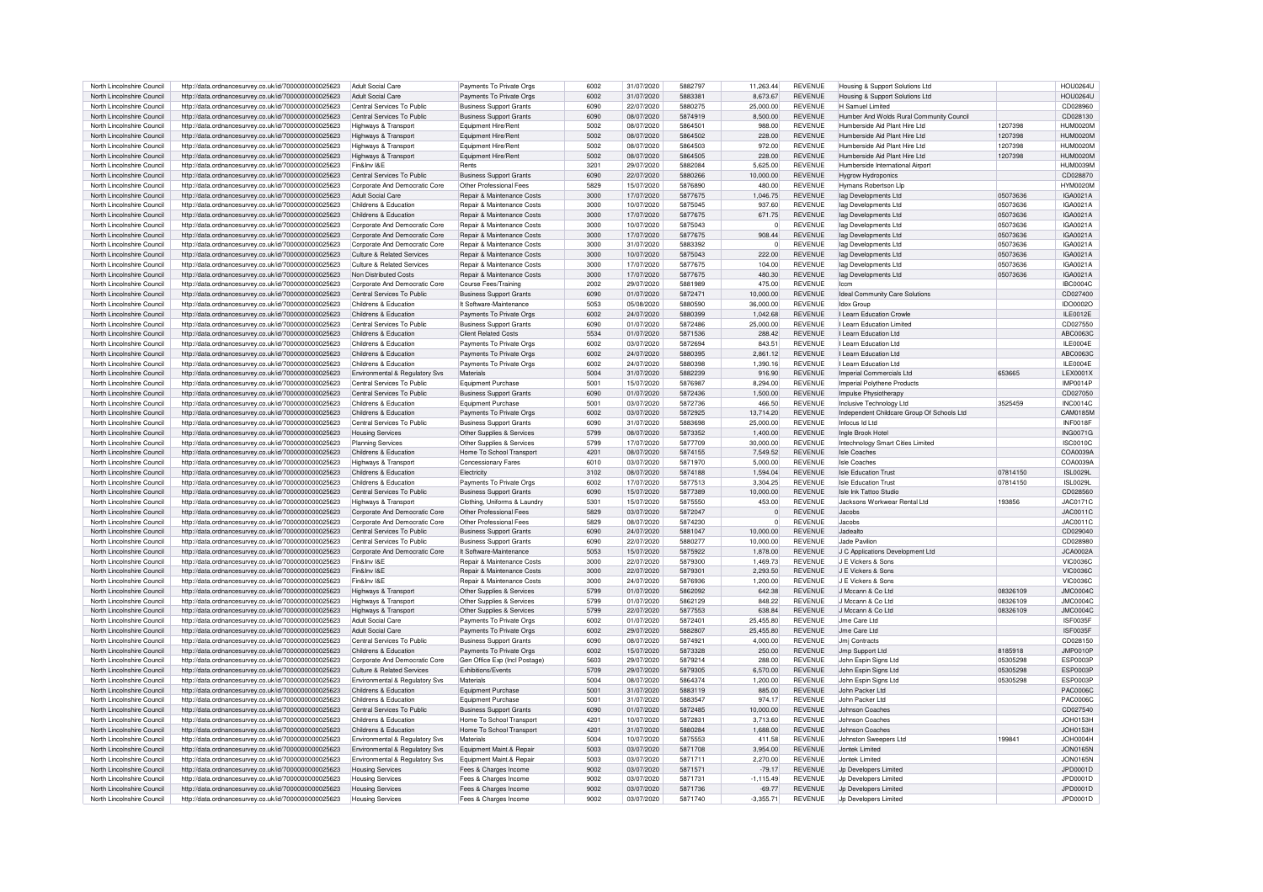| North Lincolnshire Council                               | http://data.ordnancesurvey.co.uk/id/7000000000025623                                                         | Adult Social Care                                      | Payments To Private Orgs                                  | 6002          | 31/07/2020               | 5882797            | 11,263.44             | <b>REVENUE</b>                   | Housing & Support Solutions Ltd            |                      | <b>HOU0264U</b>             |
|----------------------------------------------------------|--------------------------------------------------------------------------------------------------------------|--------------------------------------------------------|-----------------------------------------------------------|---------------|--------------------------|--------------------|-----------------------|----------------------------------|--------------------------------------------|----------------------|-----------------------------|
| North Lincolnshire Council                               | http://data.ordnancesurvey.co.uk/id/7000000000025623                                                         | Adult Social Care                                      | Payments To Private Orgs                                  | 6002          | 31/07/2020               | 5883381            | 8,673.67              | <b>REVENUE</b>                   | Housing & Support Solutions Ltd            |                      | <b>HOLI0264L</b>            |
| North Lincolnshire Council                               | http://data.ordnancesurvey.co.uk/id/7000000000025623                                                         | Central Services To Public                             | <b>Business Support Grants</b>                            | 6090          | 22/07/2020               | 5880275            | 25.000.00             | <b>REVENUE</b>                   | H Samuel Limited                           |                      | CD028960                    |
| North Lincolnshire Council                               | http://data.ordnancesurvey.co.uk/id/7000000000025623                                                         | Central Services To Public                             | <b>Business Support Grants</b>                            | 6090          | 08/07/2020               | 5874919            | 8,500.00              | <b>REVENUE</b>                   | Humber And Wolds Bural Community Council   |                      | CD028130                    |
| North Lincolnshire Council                               | http://data.ordnancesurvey.co.uk/id/7000000000025623                                                         | Highways & Transport                                   | Equipment Hire/Rent                                       | 5002          | 08/07/2020               | 5864501            | 988.00                | <b>REVENUE</b>                   | Humberside Aid Plant Hire I td             | 1207398              | HUM0020M                    |
| North Lincolnshire Council                               | http://data.ordnancesurvey.co.uk/id/7000000000025623                                                         | Highways & Transport                                   | Equipment Hire/Rent                                       | 5002          | 08/07/2020               | 5864502            | 228.00                | <b>REVENUE</b>                   | Humberside Aid Plant Hire I td             | 1207398              | <b>HUM0020M</b>             |
| North Lincolnshire Council                               | http://data.ordnancesurvey.co.uk/id/7000000000025623                                                         | Highways & Transport                                   | Equipment Hire/Rent                                       | 5002          | 08/07/2020               | 5864503            | 972.00                | <b>REVENUE</b>                   | Humberside Aid Plant Hire I td             | 1207398              | HUM0020M                    |
| North Lincolnshire Council                               | http://data.ordnancesurvey.co.uk/id/7000000000025623                                                         | Highways & Transport                                   | Equipment Hire/Rent                                       | 5002          | 08/07/2020               | 5864505            | 228.00                | <b>REVENUE</b>                   | Humberside Aid Plant Hire I td             | 1207398              | HUM0020M                    |
| North Lincolnshire Council                               | http://data.ordnancesurvey.co.uk/id/7000000000025623                                                         | Fin&Inv I&E                                            | Rents                                                     | 320'          | 29/07/2020               | 5882084            | 5,625.00              | <b>REVENUE</b>                   | Humberside International Airport           |                      | HUM0039M                    |
| North Lincolnshire Council                               | http://data.ordnancesurvey.co.uk/id/7000000000025623                                                         | Central Services To Public                             | <b>Business Support Grants</b>                            | 6090          | 22/07/2020               | 5880266            | 10,000.00             | <b>REVENUE</b>                   | <b>Hvarow Hvdroponics</b>                  |                      | CD028870                    |
| North Lincolnshire Council                               | http://data.ordnancesurvey.co.uk/id/7000000000025623                                                         | Corporate And Democratic Core                          | Other Professional Fees                                   | 5829          | 15/07/2020               | 5876890            | 480.00                | <b>REVENUE</b>                   | Hymans Robertson Lip                       |                      | <b>HYM0020M</b>             |
| North Lincolnshire Council                               |                                                                                                              | Adult Social Care                                      | <b>Benair &amp; Maintenance Costs</b>                     | 3000          | 17/07/2020               | 5877675            | 1.046.75              | <b>REVENUE</b>                   |                                            | 05073636             | IGA0021A                    |
|                                                          | http://data.ordnancesurvey.co.uk/id/7000000000025623                                                         |                                                        |                                                           | 3000          |                          |                    |                       | <b>REVENUE</b>                   | lag Developments Ltd                       |                      |                             |
| North Lincolnshire Council                               | http://data.ordnancesurvey.co.uk/id/7000000000025623                                                         | Childrens & Education                                  | Repair & Maintenance Costs                                | 3000          | 10/07/2020               | 5875045            | 937.60                |                                  | lag Developments Ltd                       | 05073636             | IGA0021A                    |
| North Lincolnshire Council                               | http://data.ordnancesurvey.co.uk/id/7000000000025623                                                         | Childrens & Education                                  | Repair & Maintenance Costs                                |               | 17/07/2020               | 5877675            | 671.75                | <b>REVENUE</b>                   | lag Developments Ltd                       | 05073636             | IGA0021A                    |
| North Lincolnshire Council                               | http://data.ordnancesurvey.co.uk/id/7000000000025623                                                         | Corporate And Democratic Core                          | Repair & Maintenance Costs                                | 3000          | 10/07/2020               | 5875043            | $\circ$               | <b>REVENUE</b>                   | lag Developments Ltd.                      | 05073636             | IGA0021A                    |
| North Lincolnshire Council                               | http://data.ordnancesurvey.co.uk/id/7000000000025623                                                         | Corporate And Democratic Core                          | Repair & Maintenance Costs                                | 3000          | 17/07/2020               | 5877675            | 908.44                | <b>REVENUE</b>                   | lag Developments Ltd                       | 05073636             | IGA0021A                    |
| North Lincolnshire Council                               | http://data.ordnancesurvey.co.uk/id/7000000000025623                                                         | Corporate And Democratic Core                          | Repair & Maintenance Costs                                | 3000          | 31/07/2020               | 5883392            | $\overline{0}$        | <b>REVENUE</b>                   | lag Developments Ltd                       | 05073636             | IGA0021A                    |
| North Lincolnshire Council                               | http://data.ordnancesurvey.co.uk/id/7000000000025623                                                         | Culture & Related Services                             | Repair & Maintenance Costs                                | 3000          | 10/07/2020               | 5875043            | 222.00                | <b>REVENUE</b>                   | lag Developments Ltd                       | 05073636             | IGA0021A                    |
| North Lincolnshire Council                               | http://data.ordnancesurvey.co.uk/id/7000000000025623                                                         | Culture & Related Services                             | Repair & Maintenance Costs                                | 3000          | 17/07/2020               | 5877675            | 104.00                | REVENUE                          | lag Developments Ltd                       | 05073636             | IGA0021A                    |
| North Lincolnshire Council                               | http://data.ordnancesurvey.co.uk/id/7000000000025623                                                         | Non Distributed Costs                                  | Repair & Maintenance Costs                                | 3000          | 17/07/2020               | 5877675            | 480.30                | <b>REVENUE</b>                   | lag Developments Ltd                       | 05073636             | IGA0021A                    |
| North Lincolnshire Council                               | http://data.ordnancesurvey.co.uk/id/7000000000025623                                                         | Corporate And Democratic Core                          | Course Fees/Training                                      | 2002          | 29/07/2020               | 5881989            | 475.00                | <b>REVENUE</b>                   | Iccm                                       |                      | <b>IBC0004C</b>             |
| North Lincolnshire Council                               | http://data.ordnancesurvey.co.uk/id/7000000000025623                                                         | Central Services To Public                             | <b>Business Support Grants</b>                            | 6090          | 01/07/2020               | 5872471            | 10,000.00             | <b>REVENUE</b>                   | <b>Ideal Community Care Solutions</b>      |                      | CD027400                    |
| North Lincolnshire Council                               | http://data.ordnancesurvey.co.uk/id/7000000000025623                                                         | Childrens & Education                                  | It Software-Maintenance                                   | 5053          | 05/08/2020               | 5880590            | 36,000.00             | <b>REVENUE</b>                   | <b>Idox Group</b>                          |                      | IDO0002O                    |
| North Lincolnshire Council                               | http://data.ordnancesurvey.co.uk/id/7000000000025623                                                         | Childrens & Education                                  | Payments To Private Orgs                                  | 6002          | 24/07/2020               | 5880399            | 1,042.68              | <b>REVENUE</b>                   | <b>I Learn Education Crowle</b>            |                      | <b>ILE0012E</b>             |
| North Lincolnshire Council                               | http://data.ordnancesurvey.co.uk/id/7000000000025623                                                         | Central Services To Public                             | <b>Business Support Grants</b>                            | 6090          | 01/07/2020               | 5872486            | 25,000.00             | <b>REVENUE</b>                   | I Learn Education Limited                  |                      | CD027550                    |
| North Lincolnshire Council                               | http://data.ordnancesurvey.co.uk/id/7000000000025623                                                         | Childrens & Education                                  | <b>Client Related Costs</b>                               | 5534          | 01/07/2020               | 5871536            | 288.42                | <b>REVENUE</b>                   | <b>I Learn Education Ltd</b>               |                      | ABC0063C                    |
| North Lincolnshire Council                               | http://data.ordnancesurvey.co.uk/id/7000000000025623                                                         | Childrens & Education                                  | Payments To Private Orgs                                  | 6002          | 03/07/2020               | 5872694            | 843.51                | <b>REVENUE</b>                   | I Learn Education Ltd                      |                      | $II$ F0004F                 |
| North Lincolnshire Council                               | http://data.ordnancesurvey.co.uk/id/7000000000025623                                                         | Childrens & Education                                  | Payments To Private Orgs                                  | 6002          | 24/07/2020               | 5880395            | 2.861.12              | <b>REVENUE</b>                   | I Learn Education Ltd                      |                      | ABC0063C                    |
| North Lincolnshire Council                               | http://data.ordnancesurvey.co.uk/id/7000000000025623                                                         | Childrens & Education                                  | Payments To Private Orgs                                  | 6002          | 24/07/2020               | 5880398            | 1.390.16              | <b>REVENUE</b>                   | I Learn Education Ltd                      |                      | ILE0004E                    |
| North Lincolnshire Council                               | http://data.ordnancesurvey.co.uk/id/7000000000025623                                                         | Environmental & Regulatory Svs                         | Materials                                                 | 5004          | 31/07/2020               | 5882239            | 916.90                | <b>REVENUE</b>                   | Imperial Commercials Ltd                   | 653665               | LEX0001X                    |
| North Lincolnshire Council                               | http://data.ordnancesurvey.co.uk/id/7000000000025623                                                         | Central Services To Public                             | Equipment Purchase                                        | 500           | 15/07/2020               | 5876987            | 8,294.00              | <b>REVENUE</b>                   | Imperial Polythene Products                |                      | <b>IMP0014P</b>             |
| North Lincolnshire Council                               | http://data.ordnancesurvey.co.uk/id/7000000000025623                                                         | Central Services To Public                             | <b>Business Support Grants</b>                            | 6090          | 01/07/2020               | 5872436            | 1,500.00              | <b>REVENUE</b>                   | Impulse Physiotherapy                      |                      | CD027050                    |
| North Lincolnshire Council                               | http://data.ordnancesurvey.co.uk/id/7000000000025623                                                         | Childrens & Education                                  | <b>Foujoment Purchase</b>                                 | 500'          | 03/07/2020               | 5872736            | 466.50                | <b>REVENUE</b>                   | Inclusive Technology Ltd                   | 3525459              | <b>INC0014C</b>             |
| North Lincolnshire Council                               | http://data.ordnancesurvey.co.uk/id/7000000000025623                                                         | Childrens & Education                                  | Payments To Private Orgs                                  | 6002          | 03/07/2020               | 5872925            | 13,714.20             | <b>REVENUE</b>                   | Independent Childcare Group Of Schools Ltd |                      | CAM0185M                    |
| North Lincolnshire Council                               | http://data.ordnancesurvey.co.uk/id/7000000000025623                                                         | Central Services To Public                             | <b>Business Support Grants</b>                            | 6090          | 31/07/2020               | 5883698            | 25,000.00             | <b>REVENUE</b>                   | Infocus Id I td                            |                      | INF0018F                    |
| North Lincolnshire Council                               | http://data.ordnancesurvey.co.uk/id/7000000000025623                                                         | <b>Housing Services</b>                                | Other Supplies & Services                                 | 5799          | 08/07/2020               | 5873352            | 1.400.00              | <b>REVENUE</b>                   | Ingle Brook Hotel                          |                      | <b>ING0071G</b>             |
| North Lincolnshire Council                               | http://data.ordnancesurvey.co.uk/id/7000000000025623                                                         | Planning Services                                      | Other Supplies & Services                                 | 5799          | 17/07/2020               | 5877709            | 30,000.00             | <b>REVENUE</b>                   | Intechnology Smart Cities Limited          |                      | <b>ISC0010C</b>             |
| North Lincolnshire Council                               | http://data.ordnancesurvey.co.uk/id/7000000000025623                                                         | Childrens & Education                                  | Home To School Transpor                                   | 4201          | 08/07/2020               | 5874155            | 7.549.52              | <b>REVENUE</b>                   | Isle Coaches                               |                      | COA0039A                    |
| North Lincolnshire Council                               | http://data.ordnancesurvey.co.uk/id/7000000000025623                                                         | Highways & Transport                                   | <b>Concessionary Fares</b>                                | 6010          | 03/07/2020               | 5871970            | 5.000.00              | <b>REVENUE</b>                   | Isle Coaches                               |                      | COA0039A                    |
| North Lincolnshire Council                               | http://data.ordnancesurvey.co.uk/id/7000000000025623                                                         | Childrens & Education                                  | Electricity                                               | 3102          | 08/07/2020               | 5874188            | 1.594.04              | <b>REVENUE</b>                   | <b>Isle Education Trust</b>                | 07814150             | <b>ISL0029L</b>             |
| North Lincolnshire Council                               | http://data.ordnancesurvey.co.uk/id/7000000000025623                                                         | Childrens & Education                                  | Payments To Private Orgs                                  | 6002          | 17/07/2020               | 5877513            | 3.304.25              | <b>REVENUE</b>                   | <b>Isle Education Trust</b>                | 07814150             | ISI 00291                   |
| North Lincolnshire Council                               | http://data.ordnancesurvey.co.uk/id/7000000000025623                                                         | Central Services To Public                             | <b>Business Support Grants</b>                            | 6090          | 15/07/2020               | 5877389            | 10,000.00             | <b>REVENUE</b>                   | Isle Ink Tattoo Studio                     |                      | CD028560                    |
| North Lincolnshire Council                               | http://data.ordnancesurvey.co.uk/id/7000000000025623                                                         | Highways & Transport                                   | Clothing, Uniforms & Laundr                               | 530           | 15/07/2020               | 5875550            | 453.00                | <b>REVENUE</b>                   | Jacksons Workwear Rental Ltd               | 193856               | JAC0171C                    |
| North Lincolnshire Council                               | http://data.ordnancesurvey.co.uk/id/7000000000025623                                                         | Corporate And Democratic Core                          | Other Professional Fees                                   | 5829          | 03/07/2020               | 5872047            | $\overline{0}$        | <b>REVENUE</b>                   | Jacobs                                     |                      | JAC0011C                    |
| North Lincolnshire Council                               | http://data.ordnancesurvey.co.uk/id/7000000000025623                                                         | Cornorate And Democratic Core                          | Other Professional Fees                                   | 5829          | 08/07/2020               | 5874230            | $\Omega$              | <b>REVENUE</b>                   | Jacobs                                     |                      | JAC0011C                    |
| North Lincolnshire Council                               | http://data.ordnancesurvey.co.uk/id/7000000000025623                                                         | Central Services To Public                             | <b>Business Support Grants</b>                            | 6090          | 24/07/2020               | 5881047            | 10,000.00             | <b>REVENUE</b>                   | Jadealto                                   |                      | CD029040                    |
| North Lincolnshire Council                               | http://data.ordnancesurvey.co.uk/id/7000000000025623                                                         | Central Services To Public                             | <b>Business Support Grants</b>                            | 6090          | 22/07/2020               | 5880277            | 10,000.00             | <b>REVENUE</b>                   | Jade Pavilion                              |                      | CD028980                    |
| North Lincolnshire Council                               | http://data.ordnancesurvey.co.uk/id/7000000000025623                                                         | Corporate And Democratic Core                          | It Software-Maintenance                                   | 5053          | 15/07/2020               | 5875922            | 1.878.00              | <b>REVENUE</b>                   | J.C. Applications Development Ltd.         |                      | <b>JCA0002A</b>             |
| North Lincolnshire Council                               | http://data.ordnancesurvey.co.uk/id/7000000000025623                                                         | Fin&Inv I&E                                            | <b>Benair &amp; Maintenance Costs</b>                     | 3000          | 22/07/2020               | 5879300            | 1.469.73              | <b>REVENUE</b>                   | J F Vickers & Sons                         |                      | <b>VIC0036C</b>             |
|                                                          |                                                                                                              | Fin&Inv I&F                                            |                                                           | 3000          |                          | 5879301            |                       | <b>REVENUE</b>                   | J E Vickers & Sons                         |                      | VIC0036C                    |
| North Lincolnshire Council<br>North Lincolnshire Council | http://data.ordnancesurvey.co.uk/id/7000000000025623                                                         | Fin&Inv I&F                                            | Repair & Maintenance Costs<br>Repair & Maintenance Costs  | 3000          | 22/07/2020<br>24/07/2020 | 5876936            | 2.293.50<br>1.200.00  | <b>REVENUE</b>                   | J F Vickers & Sons                         |                      | <b>VIC00360</b>             |
| North Lincolnshire Council                               | http://data.ordnancesurvey.co.uk/id/7000000000025623                                                         |                                                        |                                                           | 5799          | 01/07/2020               | 5862092            | 642.38                | <b>REVENUE</b>                   | J Mccann & Co Ltd                          | 08326109             | <b>JMC0004C</b>             |
|                                                          | http://data.ordnancesurvey.co.uk/id/7000000000025623                                                         | Highways & Transport                                   | Other Supplies & Services                                 | 5799          |                          |                    |                       | <b>REVENUE</b>                   | J Mocann & Co Ltd                          |                      |                             |
| North Lincolnshire Council<br>North Lincolnshire Council | http://data.ordnancesurvey.co.uk/id/7000000000025623<br>http://data.ordnancesurvey.co.uk/id/7000000000025623 | Highways & Transport<br>Highways & Transport           | Other Supplies & Services<br>Other Supplies & Services    | 5799          | 01/07/2020<br>22/07/2020 | 5862129<br>5877553 | 848.22<br>638.84      | <b>REVENUE</b>                   | J Mccann & Co Ltd                          | 08326109<br>08326109 | <b>JMC0004C</b><br>JMC0004C |
| North Lincolnshire Council                               | http://data.ordnancesurvey.co.uk/id/7000000000025623                                                         | Adult Social Care                                      | Payments To Private Orgs                                  | 6002          | 01/07/2020               | 5872401            | 25,455.80             | <b>REVENUE</b>                   | Jme Care Ltd                               |                      | ISF0035F                    |
|                                                          |                                                                                                              | Adult Social Care                                      |                                                           | 6002          | 29/07/2020               | 5882807            |                       | <b>REVENUE</b>                   | Jme Care Ltd                               |                      |                             |
| North Lincolnshire Council<br>North Lincolnshire Council | http://data.ordnancesurvey.co.uk/id/7000000000025623                                                         | Central Services To Public                             | Payments To Private Orgs                                  | 6090          | 08/07/2020               | 5874921            | 25,455.80<br>4.000.00 | <b>REVENUE</b>                   |                                            |                      | ISF0035F<br>CD028150        |
|                                                          | http://data.ordnancesurvey.co.uk/id/7000000000025623                                                         |                                                        | <b>Business Support Grants</b>                            |               |                          |                    |                       |                                  | Jmj Contracts                              |                      |                             |
| North Lincolnshire Council<br>North Lincolnshire Council | http://data.ordnancesurvey.co.uk/id/7000000000025623<br>http://data.ordnancesurvey.co.uk/id/7000000000025623 | Childrens & Education<br>Corporate And Democratic Core | Payments To Private Orgs<br>Gen Office Exp (Incl Postage) | 6002<br>5603  | 15/07/2020<br>29/07/2020 | 5873328<br>5879214 | 250.00<br>288.00      | <b>REVENUE</b><br><b>REVENUE</b> | Jmn Sunnort Ltd<br>John Espin Signs Ltd    | 8185918<br>05305298  | JMP0010P<br>ESP0003P        |
| North Lincolnshire Council                               |                                                                                                              | Culture & Related Services                             | <b>Fxhibitions/Fvents</b>                                 | 5709          | 29/07/2020               | 5879305            | 6.570.00              | <b>REVENUE</b>                   |                                            | 05305298             | ESP0003P                    |
|                                                          | http://data.ordnancesurvey.co.uk/id/7000000000025623                                                         |                                                        |                                                           |               |                          | 5864374            |                       | <b>REVENUE</b>                   | John Espin Signs Ltd                       |                      |                             |
| North Lincolnshire Council                               | http://data.ordnancesurvey.co.uk/id/7000000000025623                                                         | Environmental & Regulatory Svs                         | Materials                                                 | 5004          | 08/07/2020               | 5883119            | 1.200.00              | <b>REVENUE</b>                   | John Espin Signs Ltd                       | 05305298             | ESP0003P                    |
| North Lincolnshire Council                               | http://data.ordnancesurvey.co.uk/id/7000000000025623                                                         | Childrens & Education                                  | Equipment Purchase                                        | $500^{\circ}$ | 31/07/2020               |                    | 885.00                |                                  | John Packer Ltd                            |                      | PAC0006C                    |
| North Lincolnshire Council                               | http://data.ordnancesurvey.co.uk/id/7000000000025623                                                         | Childrens & Education                                  | Equipment Purchase                                        | 500           | 31/07/2020               | 5883547            | 974.17                | <b>REVENUE</b>                   | John Packer Ltd                            |                      | <b>PAC0006C</b>             |
| North Lincolnshire Council                               | http://data.ordnancesurvey.co.uk/id/7000000000025623                                                         | Central Services To Public                             | <b>Business Support Grants</b>                            | 6090          | 01/07/2020               | 5872485            | 10.000.00             | <b>REVENUE</b>                   | Johnson Coaches                            |                      | CD027540                    |
| North Lincolnshire Council                               | http://data.ordnancesurvey.co.uk/id/7000000000025623                                                         | Childrens & Education                                  | Home To School Transport                                  | $420^{\circ}$ | 10/07/2020               | 5872831            | 3,713.60              | <b>REVENUE</b>                   | Johnson Coaches                            |                      | JOH0153H                    |
| North Lincolnshire Council                               | http://data.ordnancesurvey.co.uk/id/7000000000025623                                                         | Childrens & Education                                  | Home To School Transport                                  | $420^{\circ}$ | 31/07/2020               | 5880284            | 1.688.00              | <b>REVENUE</b>                   | Johnson Coaches                            |                      | JOH0153H                    |
| North Lincolnshire Council                               | http://data.ordnancesurvey.co.uk/id/7000000000025623                                                         | Environmental & Regulatory Svs                         | Materials                                                 | 5004          | 10/07/2020               | 5875553            | 411.58                | <b>REVENUE</b>                   | Johnston Sweepers Ltd                      | 199841               | JOH0004H                    |
| North Lincolnshire Council                               | http://data.ordnancesurvey.co.uk/id/7000000000025623                                                         | Environmental & Regulatory Svs                         | Equipment Maint.& Repair                                  | 5003          | 03/07/2020               | 5871708            | 3,954.00              | <b>REVENUE</b>                   | Jontek Limited                             |                      | JON0165N                    |
| North Lincolnshire Council                               | http://data.ordnancesurvey.co.uk/id/7000000000025623                                                         | Environmental & Regulatory Svs                         | Equipment Maint.& Repair                                  | 5003          | 03/07/2020               | 5871711            | 2,270.00              | <b>REVENUE</b>                   | Jontek Limited                             |                      | JON0165N                    |
| North Lincolnshire Council                               | http://data.ordnancesurvey.co.uk/id/7000000000025623                                                         | <b>Housing Services</b>                                | Fees & Charges Income                                     | 9002          | 03/07/2020               | 5871571            | $-79.17$              | <b>REVENUE</b>                   | Jn Developers Limited                      |                      | JPD0001D                    |
| North Lincolnshire Council                               | http://data.ordnancesurvey.co.uk/id/7000000000025623                                                         | <b>Housing Services</b>                                | Fees & Charges Income                                     | 9002          | 03/07/2020               | 5871731            | $-1.115.49$           | <b>REVENUE</b>                   | Jo Developers Limited                      |                      | JPD0001D                    |
| North Lincolnshire Council                               | http://data.ordnancesurvey.co.uk/id/7000000000025623                                                         | <b>Housing Services</b>                                | Fees & Charges Income                                     | 9002          | 03/07/2020               | 5871736            | $-69.77$              | <b>REVENUE</b>                   | Jo Developers Limited                      |                      | JPD0001D                    |
| North Lincolnshire Council                               | http://data.ordnancesurvey.co.uk/id/7000000000025623                                                         | <b>Housing Services</b>                                | Fees & Charges Income                                     | 9002          | 03/07/2020               | 5871740            | $-3.355.71$           | <b>REVENUE</b>                   | Jo Developers Limited                      |                      | JPD0001D                    |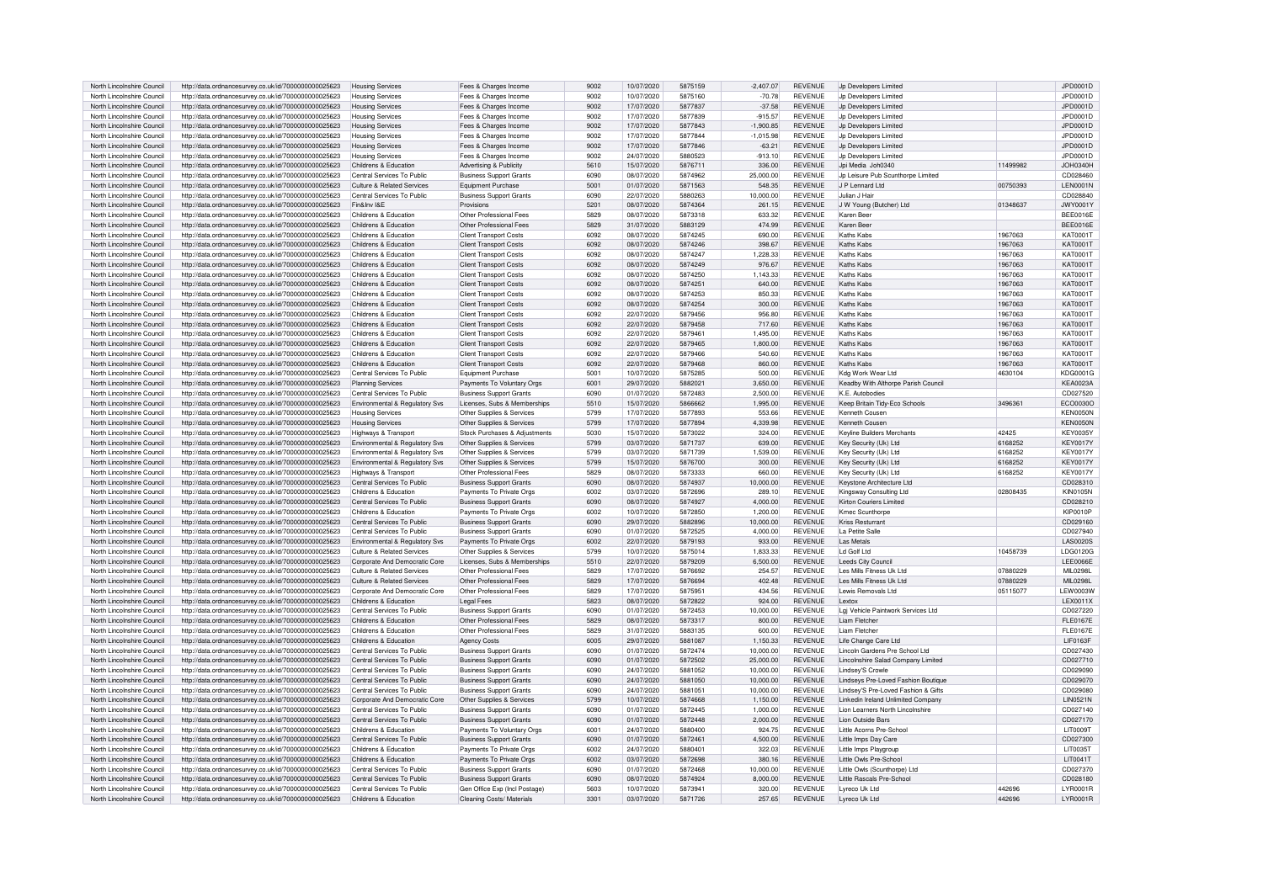| North Lincolnshire Council                               | http://data.ordnancesurvey.co.uk/id/7000000000025623                                                         | <b>Housing Services</b>                                  | Fees & Charges Income                                            | 9002 | 10/07/2020               | 5875159 | $-2,407.07$            | <b>REVENUE</b>                   | Jp Developers Limited                                  |          | JPD0001D             |
|----------------------------------------------------------|--------------------------------------------------------------------------------------------------------------|----------------------------------------------------------|------------------------------------------------------------------|------|--------------------------|---------|------------------------|----------------------------------|--------------------------------------------------------|----------|----------------------|
| North Lincolnshire Council                               | http://data.ordnancesurvey.co.uk/id/7000000000025623                                                         | <b>Housing Services</b>                                  | Fees & Charges Income                                            | 9002 | 10/07/2020               | 5875160 | $-70.78$               | <b>REVENUE</b>                   | Jp Developers Limited                                  |          | JPD0001D             |
| North Lincolnshire Council                               | http://data.ordnancesurvey.co.uk/id/7000000000025623                                                         | <b>Housing Services</b>                                  | Fees & Charges Income                                            | 9002 | 17/07/2020               | 5877837 | $-37.58$               | <b>REVENUE</b>                   | Jn Developers Limited                                  |          | JPD0001D             |
| North Lincolnshire Council                               | http://data.ordnancesurvey.co.uk/id/7000000000025623                                                         |                                                          | Fees & Charges Income                                            | 9002 | 17/07/2020               | 5877839 | $-915.57$              | <b>REVENUE</b>                   | Jn Developers Limited                                  |          | JPD0001D             |
|                                                          |                                                                                                              | Housing Services                                         |                                                                  |      |                          |         |                        |                                  |                                                        |          |                      |
| North Lincolnshire Council                               | http://data.ordnancesurvey.co.uk/id/7000000000025623                                                         | <b>Housing Services</b>                                  | Fees & Charges Income                                            | 9002 | 17/07/2020               | 5877843 | $-1,900.85$            | <b>REVENUE</b>                   | Jp Developers Limited                                  |          | JPD0001D             |
| North Lincolnshire Council                               | http://data.ordnancesurvey.co.uk/id/7000000000025623                                                         | <b>Housing Services</b>                                  | Fees & Charges Income                                            | 9002 | 17/07/2020               | 5877844 | $-1.015.98$            | <b>REVENUE</b>                   | Jp Developers Limited                                  |          | JPD0001D             |
| North Lincolnshire Council                               | http://data.ordnancesurvey.co.uk/id/7000000000025623                                                         | <b>Housing Services</b>                                  | Fees & Charges Income                                            | 9002 | 17/07/2020               | 5877846 | $-63.21$               | <b>REVENUE</b>                   | Jo Developers Limited                                  |          | JPD0001D             |
| North Lincolnshire Council                               | http://data.ordnancesurvey.co.uk/id/7000000000025623                                                         | <b>Housing Services</b>                                  | Fees & Charges Income                                            | 9002 | 24/07/2020               | 5880523 | $-913.10$              | <b>REVENUE</b>                   | Jp Developers Limited                                  |          | JPD0001D             |
| North Lincolnshire Council                               | http://data.ordnancesurvey.co.uk/id/7000000000025623                                                         | Childrens & Education                                    | Advertising & Publicity                                          | 5610 | 15/07/2020               | 5876711 | 336.00                 | <b>REVENUE</b>                   | Jpi Media Joh0340                                      | 11499982 | JOH0340H             |
| North Lincolnshire Council                               | http://data.ordnancesurvey.co.uk/id/7000000000025623                                                         | Central Services To Public                               | <b>Business Support Grants</b>                                   | 6090 | 08/07/2020               | 5874962 | 25,000.00              | <b>REVENUE</b>                   | Jo Leisure Pub Scunthorpe Limited                      |          | CD028460             |
| North Lincolnshire Council                               | http://data.ordnancesurvey.co.uk/id/7000000000025623                                                         | Culture & Related Services                               | Equipment Purchase                                               | 5001 | 01/07/2020               | 5871563 | 548.35                 | <b>REVENUE</b>                   | J P Lennard Ltd                                        | 00750393 | LEN0001N             |
| North Lincolnshire Council                               | http://data.ordnancesurvey.co.uk/id/7000000000025623                                                         | Central Services To Public                               | <b>Business Support Grants</b>                                   | 6090 | 22/07/2020               | 5880263 | 10.000.00              | <b>REVENUE</b>                   | Julian J Hair                                          |          | CD028840             |
| North Lincolnshire Council                               | http://data.ordnancesurvey.co.uk/id/7000000000025623                                                         | Fin&Inv I&F                                              | Provisions                                                       | 5201 | 08/07/2020               | 5874364 | 261.15                 | <b>REVENUE</b>                   | J W Young (Butcher) Ltd                                | 01348637 | <b>JWY0001Y</b>      |
| North Lincolnshire Council                               | http://data.ordnancesurvey.co.uk/id/7000000000025623                                                         | Childrens & Education                                    | Other Professional Fees                                          | 5829 | 08/07/2020               | 5873318 | 633.32                 | <b>REVENUE</b>                   | Karen Beer                                             |          | BEE0016E             |
| North Lincolnshire Council                               |                                                                                                              | Childrens & Education                                    | Other Professional Fees                                          | 5829 | 31/07/2020               | 5883129 | 474.99                 | <b>REVENUE</b>                   | Karen Beer                                             |          | BEE0016E             |
|                                                          | http://data.ordnancesurvey.co.uk/id/7000000000025623                                                         |                                                          |                                                                  |      |                          |         |                        |                                  |                                                        |          |                      |
| North Lincolnshire Council                               | http://data.ordnancesurvey.co.uk/id/7000000000025623                                                         | Childrens & Education                                    | Client Transport Costs                                           | 6092 | 08/07/2020               | 5874245 | 690.00                 | <b>REVENUE</b>                   | Kaths Kabs                                             | 1967063  | <b>KAT0001T</b>      |
| North Lincolnshire Council                               | http://data.ordnancesurvey.co.uk/id/7000000000025623                                                         | Childrens & Education                                    | <b>Client Transport Costs</b>                                    | 6092 | 08/07/2020               | 5874246 | 398.67                 | <b>REVENUE</b>                   | Kaths Kabs                                             | 1967063  | KAT00011             |
| North Lincolnshire Council                               | http://data.ordnancesurvey.co.uk/id/7000000000025623                                                         | Childrens & Education                                    | <b>Client Transport Costs</b>                                    | 6092 | 08/07/2020               | 5874247 | 1.228.33               | <b>REVENUE</b>                   | Kaths Kabs                                             | 1967063  | <b>KAT0001T</b>      |
| North Lincolnshire Council                               | http://data.ordnancesurvey.co.uk/id/7000000000025623                                                         | Childrens & Education                                    | <b>Client Transport Costs</b>                                    | 6092 | 08/07/2020               | 5874249 | 976.67                 | <b>REVENUE</b>                   | Kaths Kabs                                             | 1967063  | <b>KAT0001T</b>      |
| North Lincolnshire Council                               | http://data.ordnancesurvey.co.uk/id/7000000000025623                                                         | Childrens & Education                                    | <b>Client Transport Costs</b>                                    | 6092 | 08/07/2020               | 5874250 | 1,143.33               | <b>REVENUE</b>                   | Kaths Kabs                                             | 1967063  | <b>KAT0001T</b>      |
| North Lincolnshire Council                               | http://data.ordnancesurvey.co.uk/id/7000000000025623                                                         | Childrens & Education                                    | <b>Client Transport Costs</b>                                    | 6092 | 08/07/2020               | 5874251 | 640.00                 | <b>REVENUE</b>                   | Kaths Kabs                                             | 1967063  | <b>KAT0001T</b>      |
| North Lincolnshire Council                               | http://data.ordnancesurvey.co.uk/id/7000000000025623                                                         | Childrens & Education                                    | <b>Client Transport Costs</b>                                    | 6092 | 08/07/2020               | 5874253 | 850.33                 | <b>REVENUE</b>                   | Kaths Kabs                                             | 1967063  | <b>KAT0001T</b>      |
| North Lincolnshire Council                               | http://data.ordnancesurvey.co.uk/id/7000000000025623                                                         | Childrens & Education                                    | <b>Client Transport Costs</b>                                    | 6092 | 08/07/2020               | 5874254 | 300.00                 | <b>REVENUE</b>                   | Kaths Kabs                                             | 1967063  | <b>KAT0001T</b>      |
| North Lincolnshire Council                               | http://data.ordnancesurvey.co.uk/id/7000000000025623                                                         | Childrens & Education                                    | <b>Client Transport Costs</b>                                    | 6092 | 22/07/2020               | 5879456 | 956.80                 | <b>REVENUE</b>                   | Kaths Kabs                                             | 1967063  | <b>KAT0001T</b>      |
| North Lincolnshire Council                               | http://data.ordnancesurvey.co.uk/id/7000000000025623                                                         | Childrens & Education                                    | <b>Client Transport Costs</b>                                    | 6092 | 22/07/2020               | 5879458 | 717.60                 | <b>REVENUE</b>                   | Kathe Kahe                                             | 1967063  | <b>KAT0001T</b>      |
| North Lincolnshire Council                               | http://data.ordnancesurvey.co.uk/id/7000000000025623                                                         | Childrens & Education                                    | <b>Client Transport Costs</b>                                    | 6092 | 22/07/2020               | 5879461 | 1,495.00               | <b>REVENUE</b>                   | Kaths Kabs                                             | 1967063  | <b>KAT0001T</b>      |
| North Lincolnshire Council                               | http://data.ordnancesurvey.co.uk/id/7000000000025623                                                         | Childrens & Education                                    | <b>Client Transport Costs</b>                                    | 6092 | 22/07/2020               | 5879465 | 1.800.00               | <b>REVENUE</b>                   | Kaths Kabs                                             | 1967063  | KAT0001T             |
| North Lincolnshire Council                               |                                                                                                              | Childrens & Education                                    |                                                                  | 6092 | 22/07/2020               | 5879466 |                        | <b>REVENUE</b>                   | Kathe Kahe                                             |          | <b>KAT0001T</b>      |
|                                                          | http://data.ordnancesurvey.co.uk/id/7000000000025623                                                         |                                                          | <b>Client Transport Costs</b>                                    |      |                          |         | 540.60                 |                                  |                                                        | 1967063  |                      |
| North Lincolnshire Council                               | http://data.ordnancesurvey.co.uk/id/7000000000025623                                                         | Childrens & Education                                    | <b>Client Transport Costs</b>                                    | 6092 | 22/07/2020               | 5879468 | 00.068                 | <b>REVENUE</b>                   | Kathe Kahe                                             | 1967063  | KAT0001T             |
| North Lincolnshire Council                               | http://data.ordnancesurvey.co.uk/id/7000000000025623                                                         | Central Services To Public                               | Equipment Purchase                                               | 500  | 10/07/2020               | 5875285 | 500.00                 | <b>REVENUE</b>                   | Kda Work Wear Ltd                                      | 4630104  | KDG0001G             |
| North Lincolnshire Council                               | http://data.ordnancesurvey.co.uk/id/7000000000025623                                                         | <b>Planning Services</b>                                 | Payments To Voluntary Orgs                                       | 6001 | 29/07/2020               | 5882021 | 3,650.00               | <b>REVENUE</b>                   | Keadby With Althorpe Parish Council                    |          | <b>KEA0023A</b>      |
| North Lincolnshire Council                               | http://data.ordnancesurvey.co.uk/id/7000000000025623                                                         | Central Services To Public                               | <b>Business Support Grants</b>                                   | 6090 | 01/07/2020               | 5872483 | 2,500.00               | <b>REVENUE</b>                   | K.F. Autobodies                                        |          | CD027520             |
| North Lincolnshire Council                               | http://data.ordnancesurvey.co.uk/id/7000000000025623                                                         | Environmental & Regulatory Svs                           | Licenses, Subs & Memberships                                     | 5510 | 15/07/2020               | 5866662 | 1.995.00               | <b>REVENUE</b>                   | Keep Britain Tidy-Eco Schools                          | 3496361  | ECO0030C             |
| North Lincolnshire Council                               | http://data.ordnancesurvey.co.uk/id/7000000000025623                                                         | <b>Housing Services</b>                                  | Other Supplies & Services                                        | 5799 | 17/07/2020               | 5877893 | 553.66                 | <b>REVENUE</b>                   | Kenneth Couser                                         |          | KEN0050N             |
| North Lincolnshire Council                               | http://data.ordnancesurvey.co.uk/id/7000000000025623                                                         | <b>Housing Services</b>                                  | Other Supplies & Services                                        | 5799 | 17/07/2020               | 5877894 | 4.339.98               | <b>REVENUE</b>                   | Kenneth Couser                                         |          | KEN0050N             |
| North Lincolnshire Council                               | http://data.ordnancesurvey.co.uk/id/7000000000025623                                                         | Highways & Transport                                     | Stock Purchases & Adiustments                                    | 5030 | 15/07/2020               | 5873022 | 324.00                 | <b>REVENUE</b>                   | Keyline Builders Merchants                             | 42425    | <b>KEY0035Y</b>      |
| North Lincolnshire Council                               | http://data.ordnancesurvey.co.uk/id/7000000000025623                                                         | Environmental & Regulatory Svs                           | Other Supplies & Services                                        | 5799 | 03/07/2020               | 5871737 | 639.00                 | <b>REVENUE</b>                   | Key Security (Uk) Ltd                                  | 6168252  | <b>KEY0017Y</b>      |
| North Lincolnshire Council                               | http://data.ordnancesurvey.co.uk/id/7000000000025623                                                         | Environmental & Regulatory Sys                           | Other Supplies & Services                                        | 5799 | 03/07/2020               | 5871739 | 1.539.00               | <b>REVENUE</b>                   | Key Security (Uk) Ltc                                  | 6168252  | <b>KEY0017Y</b>      |
| North Lincolnshire Council                               | http://data.ordnancesurvey.co.uk/id/7000000000025623                                                         | Environmental & Regulatory Sys                           | Other Supplies & Services                                        | 5799 | 15/07/2020               | 5876700 | 300.00                 | <b>REVENUE</b>                   | Key Security (Uk) Ltd                                  | 6168252  | <b>KEY0017Y</b>      |
| North Lincolnshire Council                               | http://data.ordnancesurvey.co.uk/id/7000000000025623                                                         | Highways & Transport                                     | Other Professional Fees                                          | 5829 | 08/07/2020               | 5873333 | 00.068                 | <b>REVENUE</b>                   | Key Security (Uk) Ltd                                  | 6168252  | <b>KFY0017Y</b>      |
| North Lincolnshire Council                               | http://data.ordnancesurvey.co.uk/id/7000000000025623                                                         | Central Services To Public                               | <b>Business Support Grants</b>                                   | 6090 | 08/07/2020               | 5874937 | 10,000.00              | <b>REVENUE</b>                   | Keystone Architecture Ltd                              |          | CD028310             |
| North Lincolnshire Council                               | http://data.ordnancesurvey.co.uk/id/7000000000025623                                                         | Childrens & Education                                    | Payments To Private Orgs                                         | 6002 | 03/07/2020               | 5872696 | 289.10                 | <b>REVENUE</b>                   | Kingsway Consulting Ltd                                | 02808435 | <b>KIN0105N</b>      |
| North Lincolnshire Council                               | http://data.ordnancesurvey.co.uk/id/7000000000025623                                                         | Central Services To Public                               | <b>Business Support Grants</b>                                   | 6090 | 08/07/2020               | 5874927 | 4,000.00               | <b>REVENUE</b>                   | Kirton Couriers Limited                                |          | CD028210             |
|                                                          |                                                                                                              |                                                          |                                                                  |      |                          |         |                        |                                  |                                                        |          |                      |
| North Lincolnshire Council                               | http://data.ordnancesurvey.co.uk/id/7000000000025623                                                         | Childrens & Education                                    | Payments To Private Orgs                                         | 6002 | 10/07/2020               | 5872850 | 1.200.00               | REVENUE                          | Kmec Scunthorpe                                        |          | <b>KIP0010P</b>      |
| North Lincolnshire Council                               | http://data.ordnancesurvey.co.uk/id/7000000000025623                                                         | Central Services To Public                               | <b>Business Support Grants</b>                                   | 6090 | 29/07/2020               | 5882896 | 10.000.00              | <b>REVENUE</b>                   | Kriss Resturrant                                       |          | CD029160             |
| North Lincolnshire Council                               | http://data.ordnancesurvey.co.uk/id/7000000000025623                                                         | Central Services To Public                               | <b>Business Support Grants</b>                                   | 6090 | 01/07/2020               | 5872525 | 4,000.00               | <b>REVENUE</b>                   | La Petite Salle                                        |          | CD027940             |
| North Lincolnshire Council                               | http://data.ordnancesurvey.co.uk/id/7000000000025623                                                         | Environmental & Regulatory Svs                           | Payments To Private Orgs                                         | 6002 | 22/07/2020               | 5879193 | 933.00                 | <b>REVENUE</b>                   | Las Metals                                             |          | <b>LAS0020S</b>      |
| North Lincolnshire Council                               | http://data.ordnancesurvey.co.uk/id/7000000000025623                                                         | Culture & Related Services                               | Other Supplies & Services                                        | 5799 | 10/07/2020               | 5875014 | 1.833.33               | <b>REVENUE</b>                   | I d Golf I td                                          | 10458739 | LDG0120G             |
| North Lincolnshire Council                               | http://data.ordnancesurvey.co.uk/id/7000000000025623                                                         | Cornorate And Democratic Core                            | Licenses, Subs & Memberships                                     | 5510 | 22/07/2020               | 5879209 | 6.500.00               | <b>REVENUE</b>                   | Leeds City Council                                     |          | <b>LEE0066E</b>      |
| North Lincolnshire Council                               | http://data.ordnancesurvey.co.uk/id/7000000000025623                                                         | Culture & Related Services                               | Other Professional Fees                                          | 5829 | 17/07/2020               | 5876692 | 254.57                 | <b>REVENUE</b>                   | Les Mills Fitness Uk Ltd                               | 07880229 | MIL0298L             |
| North Lincolnshire Council                               | http://data.ordnancesurvey.co.uk/id/7000000000025623                                                         | Culture & Related Services                               | Other Professional Fees                                          | 5829 | 17/07/2020               | 5876694 | 402.48                 | <b>REVENUE</b>                   | Les Mills Fitness Uk Ltd                               | 07880229 | MIL0298I             |
| North Lincolnshire Council                               | http://data.ordnancesurvey.co.uk/id/7000000000025623                                                         | Corporate And Democratic Core                            | Other Professional Fees                                          | 5829 | 17/07/2020               | 5875951 | 434.56                 | <b>REVENUE</b>                   | I ewis Removals I to                                   | 05115077 | <b>LEW0003W</b>      |
| North Lincolnshire Council                               | http://data.ordnancesurvey.co.uk/id/7000000000025623                                                         | Childrens & Education                                    | <b>Legal Fees</b>                                                | 5823 | 08/07/2020               | 5872822 | 924.00                 | <b>REVENUE</b>                   | l extox                                                |          | LEX0011X             |
| North Lincolnshire Council                               | http://data.ordnancesurvey.co.uk/id/7000000000025623                                                         | Central Services To Public                               | <b>Business Support Grants</b>                                   | 6090 | 01/07/2020               | 5872453 | 10,000.00              | REVENUE                          | Lgj Vehicle Paintwork Services Ltd                     |          | CD027220             |
| North Lincolnshire Council                               | http://data.ordnancesurvey.co.uk/id/7000000000025623                                                         | Childrens & Education                                    | Other Professional Fees                                          | 5829 | 08/07/2020               | 5873317 | 800.00                 | <b>REVENUE</b>                   | Liam Fletcher                                          |          | <b>FLE0167E</b>      |
| North Lincolnshire Council                               | http://data.ordnancesurvey.co.uk/id/7000000000025623                                                         | Childrens & Education                                    | Other Professional Fees                                          | 5829 | 31/07/2020               | 5883135 | 600.00                 | <b>REVENUE</b>                   | Liam Fletcher                                          |          | <b>FLE0167E</b>      |
| North Lincolnshire Council                               | http://data.ordnancesurvey.co.uk/id/7000000000025623                                                         | Childrens & Education                                    | <b>Agency Costs</b>                                              | 6005 | 29/07/2020               | 5881087 | 1,150.33               | <b>REVENUE</b>                   | Life Change Care Ltd                                   |          | LIF0163F             |
| North Lincolnshire Council                               | http://data.ordnancesurvey.co.uk/id/7000000000025623                                                         | Central Services To Public                               | <b>Business Support Grants</b>                                   | 6090 | 01/07/2020               | 5872474 | 10,000.00              | REVENUE                          | Lincoln Gardens Pre School Ltd                         |          | CD027430             |
|                                                          |                                                                                                              |                                                          |                                                                  | 6090 |                          | 5872502 |                        |                                  |                                                        |          |                      |
| North Lincolnshire Council<br>North Lincolnshire Council | http://data.ordnancesurvey.co.uk/id/7000000000025623<br>http://data.ordnancesurvey.co.uk/id/7000000000025623 | Central Services To Public<br>Central Services To Public | <b>Business Support Grants</b><br><b>Business Support Grants</b> | 6090 | 01/07/2020<br>24/07/2020 | 5881052 | 25,000.00<br>10.000.00 | <b>REVENUE</b><br><b>REVENUE</b> | Lincolnshire Salad Company Limited<br>Lindsey'S Crowle |          | CD027710<br>CD029090 |
|                                                          |                                                                                                              |                                                          |                                                                  |      |                          |         |                        |                                  |                                                        |          |                      |
| North Lincolnshire Council                               | http://data.ordnancesurvey.co.uk/id/7000000000025623                                                         | Central Services To Public                               | <b>Business Support Grants</b>                                   | 6090 | 24/07/2020               | 5881050 | 10,000.00              | <b>REVENUE</b>                   | Lindseys Pre-Loved Fashion Boutique                    |          | CD029070             |
| North Lincolnshire Council                               | http://data.ordnancesurvey.co.uk/id/7000000000025623                                                         | Central Services To Public                               | <b>Business Support Grants</b>                                   | 6090 | 24/07/2020               | 5881051 | 10.000.00              | <b>REVENUE</b>                   | Lindsey'S Pre-Loved Fashion & Gifts                    |          | CD029080             |
| North Lincolnshire Council                               | http://data.ordnancesurvey.co.uk/id/7000000000025623                                                         | Corporate And Democratic Core                            | Other Supplies & Services                                        | 5799 | 10/07/2020               | 5874668 | 1.150.00               | <b>REVENUE</b>                   | Linkedin Ireland Unlimited Company                     |          | <b>LIN0521N</b>      |
| North Lincolnshire Council                               | http://data.ordnancesurvey.co.uk/id/7000000000025623                                                         | Central Services To Public                               | <b>Business Support Grants</b>                                   | 6090 | 01/07/2020               | 5872445 | 1.000.00               | <b>REVENUE</b>                   | Lion Learners North Lincolnshire                       |          | CD027140             |
| North Lincolnshire Council                               | http://data.ordnancesurvey.co.uk/id/7000000000025623                                                         | Central Services To Public                               | <b>Business Support Grants</b>                                   | 6090 | 01/07/2020               | 5872448 | 2,000.00               | <b>REVENUE</b>                   | Lion Outside Bars                                      |          | CD027170             |
| North Lincolnshire Council                               | http://data.ordnancesurvey.co.uk/id/7000000000025623                                                         | Childrens & Education                                    | Payments To Voluntary Orgs                                       | 600  | 24/07/2020               | 5880400 | 924.75                 | <b>REVENUE</b>                   | Little Acorns Pre-School                               |          | <b>LIT0009T</b>      |
| North Lincolnshire Council                               | http://data.ordnancesurvey.co.uk/id/7000000000025623                                                         | Central Services To Public                               | <b>Business Support Grants</b>                                   | 6090 | 01/07/2020               | 5872461 | 4.500.00               | <b>REVENUE</b>                   | Little Imps Day Care                                   |          | CD027300             |
| North Lincolnshire Council                               | http://data.ordnancesurvey.co.uk/id/7000000000025623                                                         | Childrens & Education                                    | Payments To Private Orgs                                         | 6002 | 24/07/2020               | 5880401 | 322.03                 | <b>REVENUE</b>                   | Little Imps Playgroup                                  |          | LIT0035T             |
| North Lincolnshire Council                               | http://data.ordnancesurvey.co.uk/id/7000000000025623                                                         | Childrens & Education                                    | Payments To Private Orgs                                         | 6002 | 03/07/2020               | 5872698 | 380.16                 | REVENUE                          | Little Owls Pre-School                                 |          | LIT0041T             |
| North Lincolnshire Council                               |                                                                                                              |                                                          |                                                                  |      | 01/07/2020               | 5872468 | 10.000.00              | <b>REVENUE</b>                   | Little Owls (Scunthorne) Ltd                           |          | CD027370             |
|                                                          | http://data.ordnancesurvey.co.uk/id/7000000000025623                                                         | Central Services To Public                               | <b>Business Support Grants</b>                                   | 6090 |                          |         |                        |                                  |                                                        |          |                      |
| North Lincolnshire Council                               | http://data.ordnancesurvey.co.uk/id/7000000000025623                                                         | Central Services To Public                               | <b>Business Support Grants</b>                                   | 6090 | 08/07/2020               | 5874924 | 8.000.00               | <b>REVENUE</b>                   | Little Bascals Pre-School                              |          | CD028180             |
| North Lincolnshire Council                               | http://data.ordnancesurvey.co.uk/id/7000000000025623                                                         | Central Services To Public                               | Gen Office Exp (Incl Postage)                                    | 5603 | 10/07/2020               | 5873941 | 320.00                 | <b>REVENUE</b>                   | Lyreco Uk Ltd                                          | 442696   | LYR0001R             |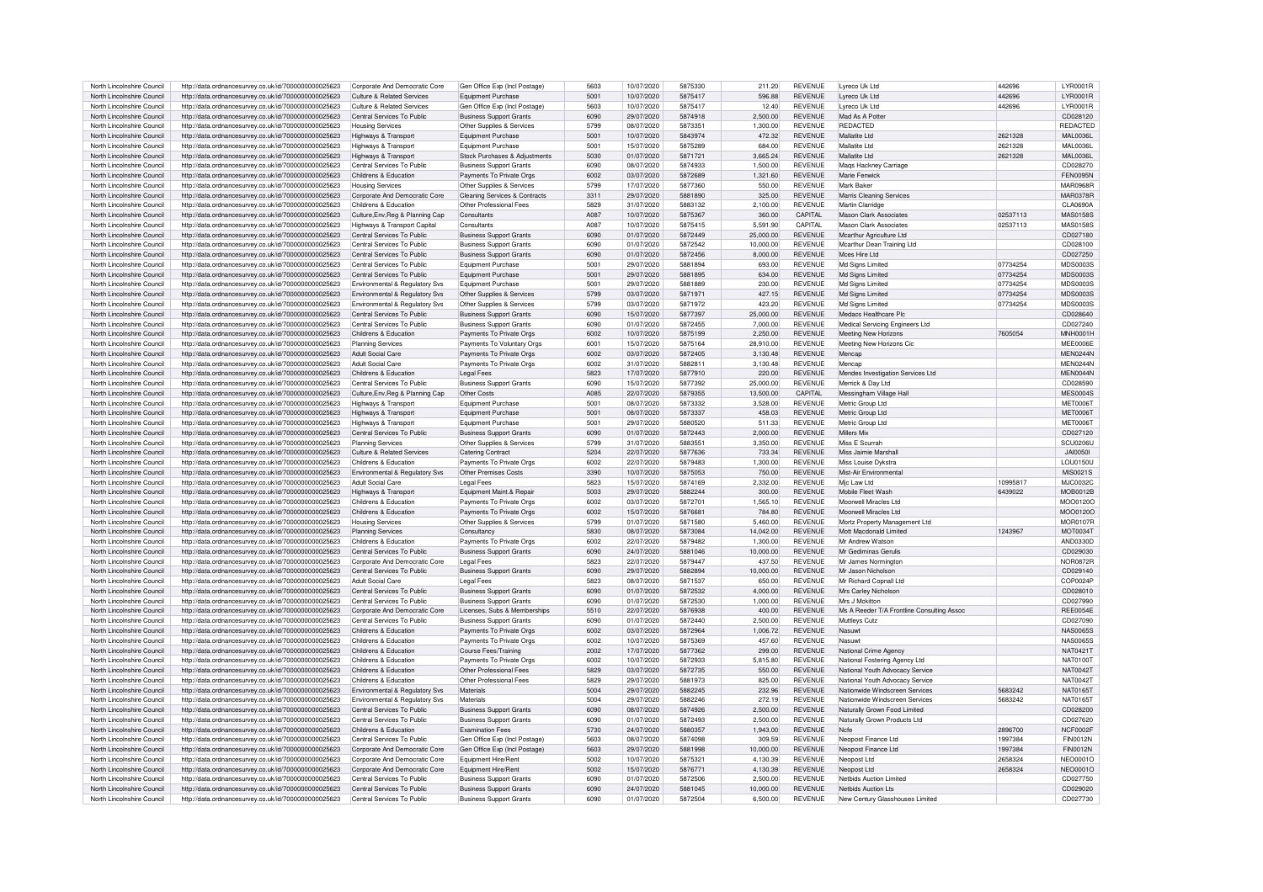| North Lincolnshire Council | http://data.ordnancesurvey.co.uk/id/7000000000025623 | Corporate And Democratic Core              | Gen Office Exp (Incl Postage   | 5603              | 10/07/2020 | 5875330 | 211.20    | <b>REVENUE</b> | Lyreco Uk Ltd                              | 442696   | <b>I YR0001F</b> |
|----------------------------|------------------------------------------------------|--------------------------------------------|--------------------------------|-------------------|------------|---------|-----------|----------------|--------------------------------------------|----------|------------------|
| North Lincolnshire Council | http://data.ordnancesurvey.co.uk/id/7000000000025623 | Culture & Related Services                 | Equipment Purchase             | 5001              | 10/07/2020 | 5875417 | 596.88    | <b>REVENUE</b> | Lyreco Uk Ltd                              | 442696   | <b>I YR0001F</b> |
| North Lincolnshire Council | http://data.ordnancesurvey.co.uk/id/7000000000025623 | Culture & Related Services                 | Gen Office Exp (Incl Postage)  | 5603              | 10/07/2020 | 5875417 | 12.40     | <b>REVENUE</b> | Lyreco Uk Ltd                              | 442696   | <b>I YR0001F</b> |
|                            |                                                      |                                            |                                |                   |            |         |           |                |                                            |          |                  |
| North Lincolnshire Council | http://data.ordnancesurvey.co.uk/id/7000000000025623 | Central Services To Public                 | <b>Business Support Grants</b> | 6090              | 29/07/2020 | 5874918 | 2,500.00  | <b>REVENUE</b> | Mad As A Potter                            |          | CD028120         |
| North Lincolnshire Council | http://data.ordnancesurvey.co.uk/id/7000000000025623 | <b>Housing Services</b>                    | Other Supplies & Services      | 5799              | 08/07/2020 | 587335  | 1.300.00  | <b>REVENUE</b> | REDACTED                                   |          | REDACTED         |
| North Lincolnshire Council | http://data.ordnancesurvey.co.uk/id/7000000000025623 | Highways & Transport                       | Equipment Purchase             | 5001              | 10/07/2020 | 5843974 | 472.32    | <b>REVENUE</b> | Mallatite I td                             | 2621328  | MAI 0036L        |
|                            |                                                      |                                            |                                |                   |            |         |           |                |                                            |          |                  |
| North Lincolnshire Council | http://data.ordnancesurvey.co.uk/id/7000000000025623 | Highways & Transport                       | Equipment Purchase             | 5001              | 15/07/2020 | 5875289 | 684.00    | <b>REVENUE</b> | Mallatite I td                             | 2621328  | MAI 00361        |
| North Lincolnshire Council | http://data.ordnancesurvey.co.uk/id/7000000000025623 | Highways & Transport                       | Stock Purchases & Adjustments  | 5030              | 01/07/2020 | 587172  | 3,665.24  | <b>REVENUE</b> | Mallatite I td                             | 2621328  | <b>MAL0036L</b>  |
| North Lincolnshire Council | http://data.ordnancesurvey.co.uk/id/7000000000025623 | Central Services To Public                 | <b>Business Support Grants</b> | 6090              | 08/07/2020 | 5874933 | 1,500.00  | <b>REVENUE</b> | Mags Hackney Carriage                      |          | CD028270         |
|                            |                                                      |                                            |                                |                   |            |         |           |                |                                            |          |                  |
| North Lincolnshire Council | http://data.ordnancesurvey.co.uk/id/7000000000025623 | Childrens & Education                      | Payments To Private Orgs       | 6002              | 03/07/2020 | 5872689 | 1.321.60  | <b>REVENUE</b> | Marie Fenwick                              |          | <b>FEN0095N</b>  |
| North Lincolnshire Council | http://data.ordnancesurvey.co.uk/id/7000000000025623 | <b>Housing Services</b>                    | Other Supplies & Services      | 5799              | 17/07/2020 | 5877360 | 550.00    | <b>REVENUE</b> | Mark Baker                                 |          | <b>MAR0968R</b>  |
| North Lincolnshire Council |                                                      |                                            |                                | 3311              | 29/07/2020 | 5881890 | 325.00    | <b>REVENUE</b> |                                            |          | <b>MAR0378R</b>  |
|                            | http://data.ordnancesurvey.co.uk/id/7000000000025623 | Corporate And Democratic Core              | Cleaning Services & Contracts  |                   |            |         |           |                | Marris Cleaning Services                   |          |                  |
| North Lincolnshire Council | http://data.ordnancesurvey.co.uk/id/7000000000025623 | Childrens & Education                      | Other Professional Fees        | 5829              | 31/07/2020 | 5883132 | 2,100.00  | <b>REVENUE</b> | Martin Clarridge                           |          | <b>CLA0690A</b>  |
| North Lincolnshire Council | http://data.ordnancesurvey.co.uk/id/7000000000025623 | Culture, Env, Reg & Planning Cap           | Consultants                    | A <sub>0</sub> 87 | 10/07/2020 | 5875367 | 360.00    | <b>CAPITAL</b> | Mason Clark Associates                     | 02537113 | <b>MAS0158S</b>  |
|                            |                                                      |                                            |                                |                   |            |         |           |                |                                            |          |                  |
| North Lincolnshire Council | http://data.ordnancesurvey.co.uk/id/7000000000025623 | Highways & Transport Capital               | Consultants                    | A087              | 10/07/2020 | 5875415 | 5.591.90  | CAPITAI        | <b>Mason Clark Associates</b>              | 02537113 | MAS0158S         |
| North Lincolnshire Council | http://data.ordnancesurvey.co.uk/id/7000000000025623 | Central Services To Public                 | <b>Business Support Grants</b> | 6090              | 01/07/2020 | 5872449 | 25,000.00 | <b>REVENUE</b> | Mcarthur Agriculture Ltd                   |          | CD027180         |
| North Lincolnshire Council | http://data.ordnancesurvey.co.uk/id/7000000000025623 | Central Services To Public                 | <b>Business Support Grants</b> | 6090              | 01/07/2020 | 5872542 | 10,000.00 | <b>REVENUE</b> | Mcarthur Dean Training Ltd                 |          | CD028100         |
|                            |                                                      |                                            |                                |                   |            |         |           |                |                                            |          |                  |
| North Lincolnshire Council | http://data.ordnancesurvey.co.uk/id/7000000000025623 | Central Services To Public                 | <b>Business Support Grants</b> | 6090              | 01/07/2020 | 5872456 | 8.000.00  | <b>REVENUE</b> | Moes Hire I td                             |          | CD027250         |
| North Lincolnshire Council | http://data.ordnancesurvey.co.uk/id/7000000000025623 | Central Services To Public                 | Equipment Purchase             | 5001              | 29/07/2020 | 5881894 | 693.00    | <b>REVENUE</b> | Md Signs Limited                           | 07734254 | MDS0003S         |
| North Lincolnshire Council | http://data.ordnancesurvey.co.uk/id/7000000000025623 | Central Services To Public                 | Equipment Purchase             | 5001              | 29/07/2020 | 5881895 | 634.00    | <b>REVENUE</b> | Md Signs Limited                           | 07734254 | MDS0003S         |
|                            |                                                      |                                            |                                |                   |            |         |           |                |                                            |          |                  |
| North Lincolnshire Council | http://data.ordnancesurvey.co.uk/id/7000000000025623 | <b>Fnvironmental &amp; Requlatory Sys.</b> | Foujoment Purchase             | 5001              | 29/07/2020 | 5881889 | 230.00    | <b>REVENUE</b> | Md Signs Limited                           | 07734254 | <b>MDS0003S</b>  |
| North Lincolnshire Council | http://data.ordnancesurvey.co.uk/id/7000000000025623 | Environmental & Regulatory Svs             | Other Supplies & Services      | 5799              | 03/07/2020 | 5871971 | 427.15    | <b>REVENUE</b> | Md Signs Limited                           | 07734254 | MDS0003S         |
| North Lincolnshire Council | http://data.ordnancesurvey.co.uk/id/7000000000025623 | Environmental & Regulatory Svs             | Other Supplies & Services      | 5799              | 03/07/2020 | 5871972 | 423.20    | <b>REVENUE</b> | Md Signs Limited                           |          | MDS00035         |
|                            |                                                      |                                            |                                |                   |            |         |           |                |                                            | 07734254 |                  |
| North Lincolnshire Council | http://data.ordnancesurvey.co.uk/id/7000000000025623 | Central Services To Public                 | <b>Business Support Grants</b> | 6090              | 15/07/2020 | 5877397 | 25.000.00 | <b>REVENUE</b> | Medacs Healthcare Plc                      |          | CD028640         |
| North Lincolnshire Council | http://data.ordnancesurvey.co.uk/id/7000000000025623 | Central Services To Public                 | <b>Business Support Grants</b> | 6090              | 01/07/2020 | 5872455 | 7.000.00  | <b>REVENUE</b> | Medical Servicing Engineers Ltd            |          | CD027240         |
|                            |                                                      |                                            |                                |                   |            |         |           |                |                                            |          |                  |
| North Lincolnshire Council | http://data.ordnancesurvey.co.uk/id/7000000000025623 | Childrens & Education                      | Payments To Private Orgs       | 6002              | 10/07/2020 | 5875199 | 2.250.00  | <b>REVENUE</b> | Meeting New Horizons                       | 7605054  | <b>MNH0001F</b>  |
| North Lincolnshire Council | http://data.ordnancesurvey.co.uk/id/7000000000025623 | <b>Planning Services</b>                   | Payments To Voluntary Orgs     | 6001              | 15/07/2020 | 5875164 | 28.910.00 | <b>REVENUE</b> | Meeting New Horizons Cic                   |          | MEE0006E         |
| North Lincolnshire Council | http://data.ordnancesurvey.co.uk/id/7000000000025623 | <b>Adult Social Care</b>                   | Payments To Private Orgs       | 6002              | 03/07/2020 | 5872405 | 3,130.48  | <b>REVENUE</b> | Mencac                                     |          | MEN0244N         |
|                            |                                                      |                                            |                                |                   |            |         |           |                |                                            |          |                  |
| North Lincolnshire Council | http://data.ordnancesurvey.co.uk/id/7000000000025623 | Adult Social Care                          | Payments To Private Orgs       | 6002              | 31/07/2020 | 5882811 | 3,130.48  | <b>REVENUE</b> | Mencan                                     |          | MEN0244N         |
| North Lincolnshire Council | http://data.ordnancesurvey.co.uk/id/7000000000025623 | Childrens & Education                      | <b>Legal Fees</b>              | 5823              | 17/07/2020 | 5877910 | 220.00    | <b>REVENUE</b> | Mendes Investigation Services Ltd          |          | MEN0044M         |
| North Lincolnshire Council | http://data.ordnancesurvey.co.uk/id/7000000000025623 | Central Services To Public                 | <b>Business Support Grants</b> | 6090              | 15/07/2020 | 5877392 | 25,000.00 | <b>REVENUE</b> | Merrick & Day Ltd                          |          | CD028590         |
|                            |                                                      |                                            |                                |                   |            |         |           |                |                                            |          |                  |
| North Lincolnshire Council | http://data.ordnancesurvey.co.uk/id/7000000000025623 | Culture, Env, Reg & Planning Cap           | Other Costs                    | A085              | 22/07/2020 | 5879355 | 13,500.00 | CAPITAI        | Messingham Village Hall                    |          | <b>MFS00045</b>  |
| North Lincolnshire Council | http://data.ordnancesurvey.co.uk/id/7000000000025623 | Highways & Transport                       | Foujoment Purchase             | 5001              | 08/07/2020 | 5873332 | 3,528.00  | <b>REVENUE</b> | Metric Group Ltd                           |          | <b>MET0006T</b>  |
| North Lincolnshire Council | http://data.ordnancesurvey.co.uk/id/7000000000025623 |                                            | Equipment Purchase             | 5001              | 08/07/2020 | 5873337 | 458.03    | <b>REVENUE</b> | Metric Group Ltd                           |          | <b>MET0006T</b>  |
|                            |                                                      | Highways & Transport                       |                                |                   |            |         |           |                |                                            |          |                  |
| North Lincolnshire Council | http://data.ordnancesurvey.co.uk/id/7000000000025623 | Highways & Transpor                        | Equipment Purchase             | 5001              | 29/07/2020 | 5880520 | 511.33    | <b>REVENUE</b> | Metric Group Ltd                           |          | MET0006T         |
| North Lincolnshire Council | http://data.ordnancesurvey.co.uk/id/7000000000025623 | Central Services To Public                 | <b>Business Support Grants</b> | 6090              | 01/07/2020 | 5872443 | 2.000.00  | <b>REVENUE</b> | Millers Mix                                |          | CD027120         |
|                            |                                                      |                                            |                                | 5799              |            | 5883551 |           | <b>REVENUE</b> | Miss F Seurrah                             |          |                  |
| North Lincolnshire Council | http://data.ordnancesurvey.co.uk/id/7000000000025623 | <b>Planning Services</b>                   | Other Supplies & Services      |                   | 31/07/2020 |         | 3.350.00  |                |                                            |          | SCU0206L         |
| North Lincolnshire Council | http://data.ordnancesurvey.co.uk/id/7000000000025623 | Culture & Related Services                 | <b>Catering Contract</b>       | 5204              | 22/07/2020 | 5877636 | 733.34    | <b>REVENUE</b> | Miss Jaimie Marshall                       |          | <b>JAI0050I</b>  |
| North Lincolnshire Council | http://data.ordnancesurvey.co.uk/id/7000000000025623 | Childrens & Education                      | Payments To Private Orgs       | 6002              | 22/07/2020 | 5879483 | 1.300.00  | <b>REVENUE</b> | Miss Louise Dykstra                        |          | LOU0150L         |
|                            |                                                      |                                            |                                |                   |            |         |           |                |                                            |          |                  |
| North Lincolnshire Council | http://data.ordnancesurvey.co.uk/id/7000000000025623 | Environmental & Regulatory Svs             | Other Premises Costs           | 3390              | 10/07/2020 | 5875053 | 750.00    | <b>REVENUE</b> | Mist-Air Environmenta                      |          | MIS0021S         |
| North Lincolnshire Council | http://data.ordnancesurvey.co.uk/id/7000000000025623 | Adult Social Care                          | Legal Fees                     | 5823              | 15/07/2020 | 5874169 | 2.332.00  | <b>REVENUE</b> | Mic Law Ltd                                | 10995817 | MJC0032C         |
| North Lincolnshire Council | http://data.ordnancesurvey.co.uk/id/7000000000025623 |                                            |                                | 5003              | 29/07/2020 | 5882244 | 300.00    | <b>REVENUE</b> | Mobile Fleet Wash                          | 6439022  | MOB0012B         |
|                            |                                                      | Highways & Transport                       | Equipment Maint.& Repair       |                   |            |         |           |                |                                            |          |                  |
| North Lincolnshire Council | http://data.ordnancesurvey.co.uk/id/7000000000025623 | Childrens & Education                      | Payments To Private Orgs       | 6002              | 03/07/2020 | 587270  | 1,565.10  | <b>REVENUE</b> | Moorwell Miracles Ltd                      |          | MOO0120C         |
| North Lincolnshire Council | http://data.ordnancesurvey.co.uk/id/7000000000025623 | Childrens & Education                      | Payments To Private Orgs       | 6002              | 15/07/2020 | 5876681 | 784.80    | <b>REVENUE</b> | Moorwell Miracles Ltd                      |          | MOO0120C         |
|                            |                                                      |                                            |                                |                   |            |         |           |                |                                            |          |                  |
| North Lincolnshire Council | http://data.ordnancesurvey.co.uk/id/7000000000025623 | <b>Housing Services</b>                    | Other Supplies & Services      | 5799              | 01/07/2020 | 5871580 | 5,460.00  | <b>REVENUE</b> | Mortz Property Management Ltd              |          | <b>MOR0107F</b>  |
| North Lincolnshire Council | http://data.ordnancesurvey.co.uk/id/7000000000025623 | <b>Planning Services</b>                   | Consultancy                    | 5830              | 08/07/2020 | 5873084 | 14,042.00 | <b>REVENUE</b> | Mott Macdonald Limited                     | 1243967  | <b>MOT0034T</b>  |
| North Lincolnshire Council | http://data.ordnancesurvey.co.uk/id/7000000000025623 | Childrens & Education                      | Payments To Private Orgs       | 6002              | 22/07/2020 | 5879482 | 1.300.00  | <b>REVENUE</b> | Mr Andrew Watson                           |          | AND0330D         |
|                            |                                                      |                                            |                                |                   |            |         |           |                |                                            |          |                  |
| North Lincolnshire Council | http://data.ordnancesurvey.co.uk/id/7000000000025623 | Central Services To Public                 | <b>Business Support Grants</b> | 6090              | 24/07/2020 | 5881046 | 10.000.00 | <b>REVENUE</b> | Mr Gediminas Gerulis                       |          | CD029030         |
| North Lincolnshire Council | http://data.ordnancesurvey.co.uk/id/7000000000025623 | Corporate And Democratic Core              | <b>Legal Fees</b>              | 5823              | 22/07/2020 | 5879447 | 437.50    | <b>REVENUE</b> | Mr James Normington                        |          | NOR0872F         |
| North Lincolnshire Council | http://data.ordnancesurvey.co.uk/id/7000000000025623 | Central Services To Public                 | <b>Business Support Grants</b> | 6090              | 29/07/2020 | 5882894 | 10.000.00 | <b>REVENUE</b> | Mr Jason Nicholson                         |          | CD029140         |
|                            |                                                      |                                            |                                |                   |            |         |           |                |                                            |          |                  |
| North Lincolnshire Council | http://data.ordnancesurvey.co.uk/id/7000000000025623 | <b>Adult Social Care</b>                   | <b>Legal Fees</b>              | 5823              | 08/07/2020 | 5871537 | 650.00    | <b>REVENUE</b> | Mr Richard Copnall Ltd                     |          | COP0024F         |
| North Lincolnshire Council | http://data.ordnancesurvey.co.uk/id/7000000000025623 | Central Services To Public                 | <b>Business Support Grants</b> | 6090              | 01/07/2020 | 5872532 | 4,000.00  | <b>REVENUE</b> | Mrs Carley Nicholson                       |          | CD028010         |
| North Lincolnshire Council | http://data.ordnancesurvey.co.uk/id/7000000000025623 | Central Services To Public                 | <b>Business Support Grants</b> | 6090              | 01/07/2020 | 5872530 | 1.000.00  | <b>REVENUE</b> | Mrs J Mckitton                             |          | CD027990         |
|                            |                                                      |                                            |                                |                   |            |         |           |                |                                            |          |                  |
| North Lincolnshire Council | http://data.ordnancesurvey.co.uk/id/7000000000025623 | Corporate And Democratic Core              | Licenses, Subs & Memberships   | 5510              | 22/07/2020 | 5876938 | 400.00    | <b>REVENUE</b> | Ms A Reeder T/A Frontline Consulting Assoc |          | <b>REE0054E</b>  |
| North Lincolnshire Council | http://data.ordnancesurvey.co.uk/id/7000000000025623 | Central Services To Public                 | <b>Business Support Grants</b> | 6090              | 01/07/2020 | 5872440 | 2.500.00  | <b>REVENUE</b> | Muttlevs Cutz                              |          | CD027090         |
| North Lincolnshire Council | http://data.ordnancesurvey.co.uk/id/7000000000025623 | Childrens & Education                      | Payments To Private Orgs       | 6002              | 03/07/2020 | 5872964 | 1,006.72  | <b>REVENUE</b> | Nasuwi                                     |          | <b>NAS0065S</b>  |
|                            |                                                      |                                            |                                |                   |            |         |           |                |                                            |          |                  |
| North Lincolnshire Council | http://data.ordnancesurvey.co.uk/id/7000000000025623 | Childrens & Education                      | Payments To Private Orgs       | 6002              | 10/07/2020 | 5875369 | 457.60    | <b>REVENUE</b> | Nasuwt                                     |          | <b>NAS0065S</b>  |
| North Lincolnshire Council | http://data.ordnancesurvey.co.uk/id/7000000000025623 | Childrens & Education                      | Course Fees/Training           | 2002              | 17/07/2020 | 5877362 | 299.00    | <b>REVENUE</b> | National Crime Agency                      |          | <b>NAT0421T</b>  |
| North Lincolnshire Council | http://data.ordnancesurvey.co.uk/id/7000000000025623 | Childrens & Education                      | Payments To Private Orgs       | 6002              | 10/07/2020 | 5872933 | 5,815,80  | <b>REVENUE</b> | National Fostering Agency Ltd              |          | <b>NAT0100T</b>  |
|                            |                                                      |                                            |                                |                   |            |         |           |                |                                            |          |                  |
| North Lincolnshire Council | http://data.ordnancesurvey.co.uk/id/7000000000025623 | Childrens & Education                      | Other Professional Fees        | 5829              | 03/07/2020 | 5872735 | 550.00    | <b>REVENUE</b> | National Youth Advocacy Service            |          | NAT00421         |
| North Lincolnshire Council | http://data.ordnancesurvey.co.uk/id/7000000000025623 | Childrens & Education                      | Other Professional Fees        | 5829              | 29/07/2020 | 5881973 | 825.00    | <b>REVENUE</b> | National Youth Advocacy Service            |          | <b>NAT0042T</b>  |
| North Lincolnshire Council |                                                      |                                            | Materials                      | 5004              | 29/07/2020 | 5882245 | 232.96    | <b>REVENUE</b> | Nationwide Windscreen Services             | 5683242  | NAT01651         |
|                            | http://data.ordnancesurvey.co.uk/id/7000000000025623 | Environmental & Regulatory Svs             |                                |                   |            |         |           |                |                                            |          |                  |
| North Lincolnshire Council | http://data.ordnancesurvey.co.uk/id/7000000000025623 | Environmental & Regulatory Svs             | Materials                      | 5004              | 29/07/2020 | 5882246 | 272.19    | <b>REVENUE</b> | Nationwide Windscreen Services             | 5683242  | NAT0165T         |
| North Lincolnshire Council | http://data.ordnancesurvey.co.uk/id/7000000000025623 | Central Services To Public                 | <b>Business Support Grants</b> | 6090              | 08/07/2020 | 5874926 | 2.500.00  | <b>REVENUE</b> | Naturally Grown Food Limited               |          | CD028200         |
|                            | http://data.ordnancesurvey.co.uk/id/7000000000025623 |                                            |                                |                   |            |         |           |                |                                            |          |                  |
| North Lincolnshire Council |                                                      | Central Services To Public                 | <b>Business Support Grants</b> | 6090              | 01/07/2020 | 5872493 | 2,500.00  | REVENUE        | Naturally Grown Products Ltd               |          | CD027620         |
|                            |                                                      |                                            |                                |                   | 24/07/2020 | 5880357 | 1.943.00  | <b>REVENUE</b> | <b>N</b> cfe                               | 2896700  | NCF0002F         |
| North Lincolnshire Council | http://data.ordnancesurvey.co.uk/id/7000000000025623 | Childrens & Education                      | <b>Examination Fees</b>        | 5730              |            |         |           |                |                                            |          |                  |
| North Lincolnshire Council |                                                      | Central Services To Public                 |                                | 5603              | 08/07/2020 | 5874098 | 309.59    | <b>REVENUE</b> | Neopost Finance Ltd                        | 1997384  | FIN0012N         |
|                            | http://data.ordnancesurvey.co.uk/id/7000000000025623 |                                            | Gen Office Exp (Incl Postage)  |                   |            |         |           |                |                                            |          |                  |
| North Lincolnshire Council | http://data.ordnancesurvey.co.uk/id/7000000000025623 | Corporate And Democratic Core              | Gen Office Exp (Incl Postage)  | 5603              | 29/07/2020 | 5881998 | 10,000.00 | REVENUE        | Neopost Finance Ltd                        | 1997384  | <b>FIN0012N</b>  |
| North Lincolnshire Council | http://data.ordnancesurvey.co.uk/id/7000000000025623 | Corporate And Democratic Core              | Equipment Hire/Rent            | 5002              | 10/07/2020 | 5875321 | 4,130.39  | REVENUE        | Neopost Ltd                                | 2658324  | <b>NEO0001C</b>  |
|                            |                                                      |                                            |                                |                   |            |         |           |                |                                            |          |                  |
| North Lincolnshire Council | http://data.ordnancesurvey.co.uk/id/7000000000025623 | Corporate And Democratic Core              | Equipment Hire/Rent            | 5002              | 15/07/2020 | 5876771 | 4.130.39  | <b>REVENUE</b> | Neonost Ltd                                | 2658324  | <b>NEO0001O</b>  |
| North Lincolnshire Council | http://data.ordnancesurvey.co.uk/id/7000000000025623 | Central Services To Public                 | <b>Business Support Grants</b> | 6090              | 01/07/2020 | 5872506 | 2.500.00  | <b>REVENUE</b> | Nethids Auction Limited                    |          | CD027750         |
| North Lincolnshire Council | http://data.ordnancesurvey.co.uk/id/7000000000025623 | Central Services To Public                 | <b>Business Support Grants</b> | 6090              | 24/07/2020 | 5881045 | 10,000.00 | <b>REVENUE</b> | Netbids Auction Lts                        |          | CD029020         |
| North Lincolnshire Council | http://data.ordnancesurvey.co.uk/id/7000000000025623 | Central Services To Public                 | <b>Business Support Grants</b> | 000a              | 01/07/2020 | 5872504 | 6.500.00  | <b>REVENUE</b> | New Century Glasshouses Limited            |          | CD027730         |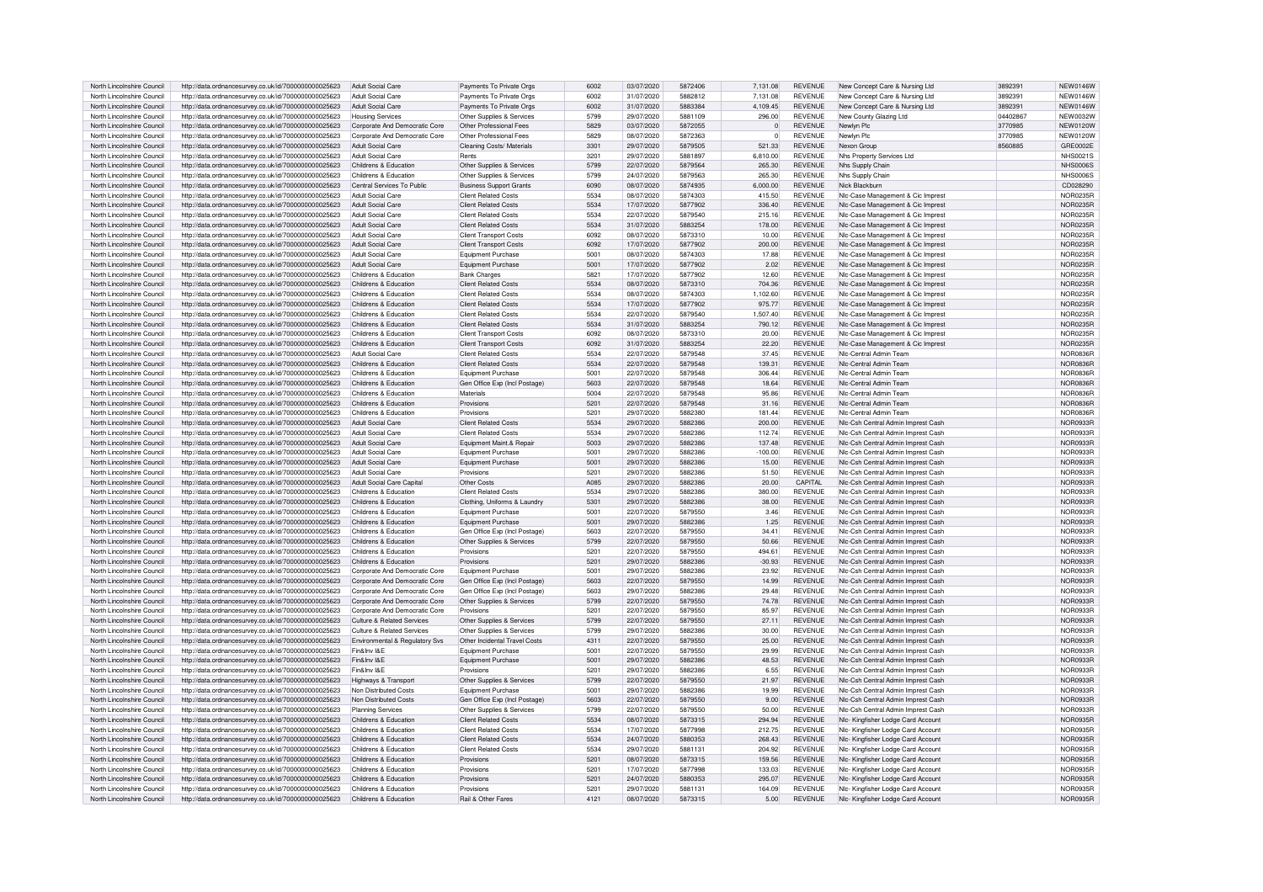| North Lincolnshire Council | http://data.ordnancesurvey.co.uk/id/7000000000025623 | Adult Social Care              | Payments To Private Orgs       | 6002 | 03/07/2020 | 5872406 | 7,131.08       | REVENUE        | New Concept Care & Nursing Ltd     | 3892391 | <b>NEW0146W</b> |
|----------------------------|------------------------------------------------------|--------------------------------|--------------------------------|------|------------|---------|----------------|----------------|------------------------------------|---------|-----------------|
| North Lincolnshire Council | http://data.ordnancesurvey.co.uk/id/7000000000025623 | Adult Social Care              | Payments To Private Orgs       | 6002 | 31/07/2020 | 5882812 | 7,131.08       | <b>REVENUE</b> | New Concept Care & Nursing Ltd     | 3892391 | <b>NEW0146W</b> |
| North Lincolnshire Council | http://data.ordnancesurvey.co.uk/id/7000000000025623 | Adult Social Care              | Payments To Private Orgs       | 6002 | 31/07/2020 | 5883384 | 4,109.45       | <b>REVENUE</b> | New Concept Care & Nursing Ltd     | 3892391 | <b>NEW0146W</b> |
| North Lincolnshire Council | http://data.ordnancesurvey.co.uk/id/7000000000025623 | <b>Housing Services</b>        | Other Supplies & Services      | 5799 | 29/07/2020 | 5881109 | 296.00         | <b>REVENUE</b> | New County Glazing Ltd             | 0440286 | NFW0032W        |
| North Lincolnshire Council | http://data.ordnancesurvey.co.uk/id/7000000000025623 | Corporate And Democratic Core  | Other Professional Fees        | 5829 | 03/07/2020 | 5872055 | $\overline{0}$ | REVENUE        | Newlyn Plc                         | 3770985 | <b>NEW0120W</b> |
| North Lincolnshire Council | http://data.ordnancesurvey.co.uk/id/7000000000025623 | Corporate And Democratic Core  | Other Professional Fees        | 5829 | 08/07/2020 | 5872363 | $\Omega$       | <b>REVENUE</b> | Newlyn Plc                         | 3770985 | <b>NEW0120W</b> |
| North Lincolnshire Council | http://data.ordnancesurvey.co.uk/id/7000000000025623 | Adult Social Care              | Cleaning Costs/ Materials      | 3301 | 29/07/2020 | 5879505 | 521.33         | <b>REVENUE</b> | Nexon Group                        | 8560885 | GRE0002E        |
|                            |                                                      |                                |                                |      |            |         |                |                |                                    |         |                 |
| North Lincolnshire Council | http://data.ordnancesurvey.co.uk/id/7000000000025623 | Adult Social Care              | Rents                          | 3201 | 29/07/2020 | 5881897 | 6,810.00       | <b>REVENUE</b> | Nhs Property Services Ltd.         |         | <b>NHS0021S</b> |
| North Lincolnshire Council | http://data.ordnancesurvey.co.uk/id/7000000000025623 | Childrens & Education          | Other Supplies & Services      | 5799 | 22/07/2020 | 5879564 | 265.30         | <b>REVENUE</b> | Nhs Supply Chain                   |         | NHS00065        |
| North Lincolnshire Council | http://data.ordnancesurvey.co.uk/id/7000000000025623 | Childrens & Education          | Other Supplies & Services      | 5799 | 24/07/2020 | 5879563 | 265.30         | <b>REVENUE</b> | Nhs Supply Chain                   |         | NHS00065        |
| North Lincolnshire Council | http://data.ordnancesurvey.co.uk/id/7000000000025623 | Central Services To Public     | <b>Business Support Grants</b> | 6090 | 08/07/2020 | 5874935 | 6,000.00       | <b>REVENUE</b> | Nick Blackburn                     |         | CD028290        |
| North Lincolnshire Council | http://data.ordnancesurvey.co.uk/id/7000000000025623 | Adult Social Care              | Client Related Cost:           | 5534 | 08/07/2020 | 5874303 | 415.50         | <b>REVENUE</b> | NIc-Case Management & Cic Imprest  |         | NOR0235F        |
| North Lincolnshire Council | http://data.ordnancesurvey.co.uk/id/7000000000025623 | <b>Adult Social Care</b>       | <b>Client Related Costs</b>    | 5534 | 17/07/2020 | 5877902 | 336.40         | <b>REVENUE</b> | NIc-Case Management & Cic Imprest  |         | <b>NOR0235R</b> |
| North Lincolnshire Council | http://data.ordnancesurvey.co.uk/id/7000000000025623 | Adult Social Care              | <b>Client Related Costs</b>    | 5534 | 22/07/2020 | 5879540 | 215.16         | <b>REVENUE</b> | NIc-Case Management & Cic Imprest  |         | <b>NOR0235F</b> |
| North Lincolnshire Council | http://data.ordnancesurvey.co.uk/id/7000000000025623 | Adult Social Care              | <b>Client Related Costs</b>    | 5534 | 31/07/2020 | 5883254 | 178.00         | <b>REVENUE</b> | NIc-Case Management & Cic Imprest  |         | NOR0235R        |
| North Lincolnshire Council | http://data.ordnancesurvey.co.uk/id/7000000000025623 | Adult Social Care              | <b>Client Transport Costs</b>  | 6092 | 08/07/2020 | 5873310 | 10.00          | <b>REVENUE</b> | NIc-Case Management & Cic Imprest  |         | NOR0235F        |
| North Lincolnshire Council | http://data.ordnancesurvey.co.uk/id/7000000000025623 | Adult Social Care              | <b>Client Transport Costs</b>  | 6092 | 17/07/2020 | 5877902 | 200.00         | <b>REVENUE</b> | Nic-Case Management & Cic Imprest  |         | <b>NOR0235R</b> |
| North Lincolnshire Council | http://data.ordnancesurvey.co.uk/id/7000000000025623 | Adult Social Care              | Foujoment Purchase             | 5001 | 08/07/2020 | 5874303 | 17.88          | <b>REVENUE</b> | Nic-Case Management & Cic Imprest  |         | <b>NOR0235R</b> |
| North Lincolnshire Council | http://data.ordnancesurvey.co.uk/id/7000000000025623 | Adult Social Care              | Equipment Purchase             | 5001 | 17/07/2020 | 5877902 | 2.02           | <b>REVENUE</b> | Nic-Case Management & Cic Imprest  |         | <b>NOR0235R</b> |
| North Lincolnshire Council |                                                      |                                |                                | 5821 | 17/07/2020 | 5877902 | 12.60          | <b>REVENUE</b> |                                    |         | NOR0235R        |
|                            | http://data.ordnancesurvey.co.uk/id/7000000000025623 | Childrens & Education          | <b>Bank Charges</b>            |      |            |         |                |                | NIc-Case Management & Cic Imprest  |         |                 |
| North Lincolnshire Council | http://data.ordnancesurvey.co.uk/id/7000000000025623 | Childrens & Education          | <b>Client Related Costs</b>    | 5534 | 08/07/2020 | 5873310 | 704.36         | <b>REVENUE</b> | NIc-Case Management & Cic Imprest  |         | <b>NOR0235R</b> |
| North Lincolnshire Council | http://data.ordnancesurvey.co.uk/id/7000000000025623 | Childrens & Education          | <b>Client Related Costs</b>    | 5534 | 08/07/2020 | 5874303 | 1.102.60       | <b>REVENUE</b> | NIc-Case Management & Cic Imprest  |         | NOR0235R        |
| North Lincolnshire Council | http://data.ordnancesurvey.co.uk/id/7000000000025623 | Childrens & Education          | <b>Client Related Costs</b>    | 5534 | 17/07/2020 | 5877902 | 975.77         | <b>REVENUE</b> | NIc-Case Management & Cic Imprest  |         | NOR0235F        |
| North Lincolnshire Council | http://data.ordnancesurvey.co.uk/id/7000000000025623 | Childrens & Education          | <b>Client Related Costs</b>    | 5534 | 22/07/2020 | 5879540 | 1,507.40       | <b>REVENUE</b> | NIc-Case Management & Cic Imprest  |         | NOR0235R        |
| North Lincolnshire Council | http://data.ordnancesurvey.co.uk/id/7000000000025623 | Childrens & Education          | <b>Client Related Costs</b>    | 5534 | 31/07/2020 | 5883254 | 790.12         | <b>REVENUE</b> | NIc-Case Management & Cic Imprest  |         | <b>NOR0235R</b> |
| North Lincolnshire Council | http://data.ordnancesurvey.co.uk/id/7000000000025623 | Childrens & Education          | <b>Client Transport Costs</b>  | 6092 | 08/07/2020 | 5873310 | 20.00          | REVENUE        | NIc-Case Management & Cic Imprest  |         | NOR0235F        |
| North Lincolnshire Council | http://data.ordnancesurvey.co.uk/id/7000000000025623 | Childrens & Education          | <b>Client Transport Costs</b>  | 6092 | 31/07/2020 | 5883254 | 22.20          | <b>REVENUE</b> | NIc-Case Management & Cic Imprest  |         | NOR0235F        |
| North Lincolnshire Council | http://data.ordnancesurvey.co.uk/id/7000000000025623 | Adult Social Care              | <b>Client Related Costs</b>    | 5534 | 22/07/2020 | 5879548 | 37.45          | <b>REVENUE</b> | Nic-Central Admin Team             |         | NOR0836R        |
| North Lincolnshire Council | http://data.ordnancesurvey.co.uk/id/7000000000025623 | Childrens & Education          | <b>Client Related Costs</b>    | 5534 | 22/07/2020 | 5879548 | 139.31         | <b>REVENUE</b> | Nic-Central Admin Team             |         | NOR0836R        |
| North Lincolnshire Council | http://data.ordnancesurvey.co.uk/id/7000000000025623 | Childrens & Education          | Foujoment Purchase             | 5001 | 22/07/2020 | 5879548 | 306.44         | <b>REVENUE</b> | Nic-Central Admin Team             |         | <b>NOR0836R</b> |
|                            |                                                      |                                |                                |      |            |         |                |                |                                    |         |                 |
| North Lincolnshire Council | http://data.ordnancesurvey.co.uk/id/7000000000025623 | Childrens & Education          | Gen Office Exp (Incl Postage)  | 5603 | 22/07/2020 | 5879548 | 18.64          | <b>REVENUE</b> | Nic-Central Admin Team             |         | NOR0836F        |
| North Lincolnshire Council | http://data.ordnancesurvey.co.uk/id/7000000000025623 | Childrens & Education          | Materials                      | 5004 | 22/07/2020 | 5879548 | 95.86          | <b>REVENUE</b> | Nic-Central Admin Team             |         | <b>NOR0836R</b> |
| North Lincolnshire Council | http://data.ordnancesurvey.co.uk/id/7000000000025623 | Childrens & Education          | Provisions                     | 5201 | 22/07/2020 | 5879548 | 31.16          | <b>REVENUE</b> | Nic-Central Admin Team             |         | <b>NOR0836F</b> |
| North Lincolnshire Council | http://data.ordnancesurvey.co.uk/id/7000000000025623 | Childrens & Education          | Provisions                     | 5201 | 29/07/2020 | 5882380 | 181.44         | <b>REVENUE</b> | Nic-Central Admin Team             |         | <b>NOR0836F</b> |
| North Lincolnshire Council | http://data.ordnancesurvey.co.uk/id/7000000000025623 | Adult Social Care              | <b>Client Related Costs</b>    | 5534 | 29/07/2020 | 5882386 | 200.00         | <b>REVENUE</b> | Nic-Csh Central Admin Imprest Cash |         | NOR0933R        |
| North Lincolnshire Council | http://data.ordnancesurvey.co.uk/id/7000000000025623 | Adult Social Care              | <b>Client Related Cost:</b>    | 5534 | 29/07/2020 | 5882386 | 112.74         | REVENUE        | Nic-Csh Central Admin Imprest Cash |         | <b>NOR0933R</b> |
| North Lincolnshire Council | http://data.ordnancesurvey.co.uk/id/7000000000025623 | <b>Adult Social Care</b>       | Equipment Maint.& Repair       | 5003 | 29/07/2020 | 5882386 | 137.48         | <b>REVENUE</b> | Nic-Csh Central Admin Imprest Cash |         | <b>NOR0933R</b> |
| North Lincolnshire Council | http://data.ordnancesurvey.co.uk/id/7000000000025623 | Adult Social Care              | Equipment Purchase             | 5001 | 29/07/2020 | 5882386 | $-100.00$      | REVENUE        | Nic-Csh Central Admin Imprest Cash |         | NOR0933R        |
| North Lincolnshire Council | http://data.ordnancesurvey.co.uk/id/7000000000025623 | Adult Social Care              | Equipment Purchase             | 5001 | 29/07/2020 | 5882386 | 15.00          | <b>REVENUE</b> | Nic-Csh Central Admin Imprest Cash |         | NOR0933R        |
| North Lincolnshire Council | http://data.ordnancesurvey.co.uk/id/7000000000025623 | Adult Social Care              | Provisions                     | 5201 | 29/07/2020 | 5882386 | 51.50          | <b>REVENUE</b> | Nic-Csh Central Admin Imprest Cash |         | NOR0933R        |
|                            |                                                      |                                |                                |      |            |         |                |                |                                    |         |                 |
| North Lincolnshire Council | http://data.ordnancesurvey.co.uk/id/7000000000025623 | Adult Social Care Capita       | Other Costs                    | A085 | 29/07/2020 | 5882386 | 20.00          | CAPITAL        | Nic-Csh Central Admin Imprest Cash |         | <b>NOR0933R</b> |
| North Lincolnshire Council | http://data.ordnancesurvey.co.uk/id/7000000000025623 | Childrens & Education          | <b>Client Related Costs</b>    | 5534 | 29/07/2020 | 5882386 | 380.00         | <b>REVENUE</b> | Nic-Csh Central Admin Imprest Cash |         | <b>NOR0933R</b> |
| North Lincolnshire Council | http://data.ordnancesurvey.co.uk/id/7000000000025623 | Childrens & Education          | Clothing, Uniforms & Laundry   | 5301 | 29/07/2020 | 5882386 | 38.00          | <b>REVENUE</b> | Nic-Csh Central Admin Imprest Cash |         | <b>NOR0933R</b> |
| North Lincolnshire Council | http://data.ordnancesurvey.co.uk/id/7000000000025623 | Childrens & Education          | Equipment Purchase             | 5001 | 22/07/2020 | 5879550 | 3.46           | <b>REVENUE</b> | Nic-Csh Central Admin Imprest Cash |         | <b>NOR0933R</b> |
| North Lincolnshire Council | http://data.ordnancesurvey.co.uk/id/7000000000025623 | Childrens & Education          | Equipment Purchase             | 5001 | 29/07/2020 | 5882386 | 1.25           | <b>REVENUE</b> | Nic-Csh Central Admin Imprest Cash |         | NOR0933R        |
| North Lincolnshire Council | http://data.ordnancesurvey.co.uk/id/7000000000025623 | Childrens & Education          | Gen Office Exp (Incl Postage)  | 5603 | 22/07/2020 | 5879550 | 34.41          | <b>REVENUE</b> | Nic-Csh Central Admin Imprest Cash |         | NOR0933R        |
| North Lincolnshire Council | http://data.ordnancesurvey.co.uk/id/7000000000025623 | Childrens & Education          | Other Supplies & Services      | 5799 | 22/07/2020 | 5879550 | 50.66          | <b>REVENUE</b> | Nlc-Csh Central Admin Imprest Cash |         | NOR0933F        |
| North Lincolnshire Council | http://data.ordnancesurvey.co.uk/id/7000000000025623 | Childrens & Education          | Provisions                     | 5201 | 22/07/2020 | 5879550 | 494.61         | <b>REVENUE</b> | Nic-Csh Central Admin Imprest Cash |         | NOR0933R        |
| North Lincolnshire Council | http://data.ordnancesurvey.co.uk/id/7000000000025623 | Childrens & Education          | Provisions                     | 5201 | 29/07/2020 | 5882386 | $-30.93$       | <b>REVENUE</b> | Nic-Csh Central Admin Imprest Cash |         | NOR0933R        |
| North Lincolnshire Council | http://data.ordnancesurvey.co.uk/id/7000000000025623 | Corporate And Democratic Core  | Equipment Purchase             | 5001 | 29/07/2020 | 5882386 | 23.92          | <b>REVENUE</b> | Nic-Csh Central Admin Imprest Cash |         | NOR0933F        |
| North Lincolnshire Council | http://data.ordnancesurvey.co.uk/id/7000000000025623 | Corporate And Democratic Core  | Gen Office Exp (Incl Postage)  | 5603 | 22/07/2020 | 5879550 | 14.99          | <b>REVENUE</b> | Nic-Csh Central Admin Imprest Cash |         | NOR0933R        |
|                            |                                                      |                                |                                |      |            | 5882386 |                | <b>REVENUE</b> |                                    |         |                 |
| North Lincolnshire Council | http://data.ordnancesurvey.co.uk/id/7000000000025623 | Corporate And Democratic Core  | Gen Office Exp (Incl Postage)  | 5603 | 29/07/2020 |         | 29.48          |                | Nic-Csh Central Admin Imprest Cash |         | NOR0933R        |
| North Lincolnshire Council | http://data.ordnancesurvey.co.uk/id/7000000000025623 | Corporate And Democratic Core  | Other Supplies & Services      | 5799 | 22/07/2020 | 5879550 | 74.78          | <b>REVENUE</b> | Nic-Csh Central Admin Imprest Cash |         | NOR0933R        |
| North Lincolnshire Council | http://data.ordnancesurvey.co.uk/id/7000000000025623 | Corporate And Democratic Core  | Provisions                     | 5201 | 22/07/2020 | 5879550 | 85.97          | <b>REVENUE</b> | Nic-Csh Central Admin Imprest Cash |         | NOR0933R        |
| North Lincolnshire Council | http://data.ordnancesurvey.co.uk/id/7000000000025623 | Culture & Related Services     | Other Supplies & Services      | 5799 | 22/07/2020 | 5879550 | 27.11          | <b>REVENUE</b> | Nic-Csh Central Admin Imprest Cash |         | <b>NOR0933R</b> |
| North Lincolnshire Council | http://data.ordnancesurvey.co.uk/id/7000000000025623 | Culture & Related Services     | Other Supplies & Services      | 5799 | 29/07/2020 | 5882386 | 30.00          | <b>REVENUE</b> | Nlc-Csh Central Admin Imprest Cash |         | NOR0933F        |
| North Lincolnshire Council | http://data.ordnancesurvey.co.uk/id/7000000000025623 | Environmental & Regulatory Svs | Other Incidental Travel Costs  | 4311 | 22/07/2020 | 5879550 | 25.00          | <b>REVENUE</b> | Nic-Csh Central Admin Imprest Cash |         | NOR0933F        |
| North Lincolnshire Council | http://data.ordnancesurvey.co.uk/id/7000000000025623 | Fin&Inv I&E                    | Equipment Purchase             | 5001 | 22/07/2020 | 5879550 | 29.99          | <b>REVENUE</b> | Nic-Csh Central Admin Imprest Cash |         | NOR0933R        |
| North Lincolnshire Council | http://data.ordnancesurvey.co.uk/id/7000000000025623 | Fin&Inv I&F                    | <b>Equipment Purchase</b>      | 5001 | 29/07/2020 | 5882386 | 48.53          | <b>REVENUE</b> | Nic-Csh Central Admin Imprest Cash |         | NOR0933F        |
| North Lincolnshire Council | http://data.ordnancesurvey.co.uk/id/7000000000025623 | Fin&Inv I&E                    | Provisions                     | 5201 | 29/07/2020 | 5882386 | 6.55           | <b>REVENUE</b> | Nic-Csh Central Admin Imprest Cash |         | NOR0933R        |
| North Lincolnshire Council | http://data.ordnancesurvey.co.uk/id/7000000000025623 | Highways & Transport           | Other Supplies & Services      | 5799 | 22/07/2020 | 5879550 | 21.97          | <b>REVENUE</b> | Nic-Csh Central Admin Imprest Cash |         | NOR0933F        |
| North Lincolnshire Council | http://data.ordnancesurvey.co.uk/id/7000000000025623 | Non Distributed Costs          | Equipment Purchase             | 5001 | 29/07/2020 | 5882386 | 19.99          | <b>REVENUE</b> | Nic-Csh Central Admin Imprest Cash |         | NOR0933F        |
|                            |                                                      |                                |                                |      |            |         |                |                |                                    |         |                 |
| North Lincolnshire Council | http://data.ordnancesurvey.co.uk/id/7000000000025623 | Non Distributed Costs          | Gen Office Exp (Incl Postage)  | 5603 | 22/07/2020 | 5879550 | 9.00           | <b>REVENUE</b> | Nic-Csh Central Admin Imprest Cash |         | NOR0933R        |
| North Lincolnshire Council | http://data.ordnancesurvey.co.uk/id/7000000000025623 | <b>Planning Services</b>       | Other Supplies & Services      | 5799 | 22/07/2020 | 5879550 | 50.00          | <b>REVENUE</b> | Nic-Csh Central Admin Imprest Cash |         | NOR0933R        |
| North Lincolnshire Council | http://data.ordnancesurvey.co.uk/id/7000000000025623 | Childrens & Education          | <b>Client Related Costs</b>    | 5534 | 08/07/2020 | 5873315 | 294.94         | <b>REVENUE</b> | NIc- Kingfisher Lodge Card Account |         | <b>NOR0935R</b> |
| North Lincolnshire Council | http://data.ordnancesurvey.co.uk/id/7000000000025623 | Childrens & Education          | <b>Client Related Costs</b>    | 5534 | 17/07/2020 | 5877998 | 212.75         | <b>REVENUE</b> | Nic- Kingfisher Lodge Card Account |         | NOR0935R        |
| North Lincolnshire Council | http://data.ordnancesurvey.co.uk/id/7000000000025623 | Childrens & Education          | <b>Client Related Costs</b>    | 5534 | 24/07/2020 | 5880353 | 268.43         | <b>REVENUE</b> | NIc- Kingfisher Lodge Card Account |         | <b>NOR0935R</b> |
| North Lincolnshire Council | http://data.ordnancesurvey.co.uk/id/7000000000025623 | Childrens & Education          | <b>Client Related Costs</b>    | 5534 | 29/07/2020 | 5881131 | 204.92         | <b>REVENUE</b> | NIc- Kingfisher Lodge Card Account |         | <b>NOR0935R</b> |
| North Lincolnshire Council | http://data.ordnancesurvey.co.uk/id/7000000000025623 | Childrens & Education          | Provisions                     | 5201 | 08/07/2020 | 5873315 | 159.56         | <b>REVENUE</b> | NIc- Kingfisher Lodge Card Account |         | <b>NOR0935F</b> |
| North Lincolnshire Council | http://data.ordnancesurvey.co.uk/id/7000000000025623 | Childrens & Education          | Provisions                     | 520  | 17/07/2020 | 5877998 | 133.03         | <b>REVENUE</b> | NIc- Kingfisher Lodge Card Account |         | <b>NOR0935R</b> |
| North Lincolnshire Council | http://data.ordnancesurvey.co.uk/id/7000000000025623 | Childrens & Education          | Provisions                     | 5201 | 24/07/2020 | 5880353 | 295.07         | <b>REVENUE</b> | NIc- Kingfisher Lodge Card Account |         | NOR0935F        |
| North Lincolnshire Council | http://data.ordnancesurvey.co.uk/id/7000000000025623 | Childrens & Education          | Provisions                     | 5201 | 29/07/2020 | 5881131 | 164.09         | <b>REVENUE</b> | NIc- Kingfisher Lodge Card Account |         | NOR0935R        |
| North Lincolnshire Council | http://data.ordnancesurvey.co.uk/id/7000000000025623 | Childrens & Education          | Rail & Other Fares             | 4121 | 08/07/2020 | 5873315 | 5.00           | <b>REVENUE</b> | Nic- Kingfisher Lodge Card Account |         | NOR0935R        |
|                            |                                                      |                                |                                |      |            |         |                |                |                                    |         |                 |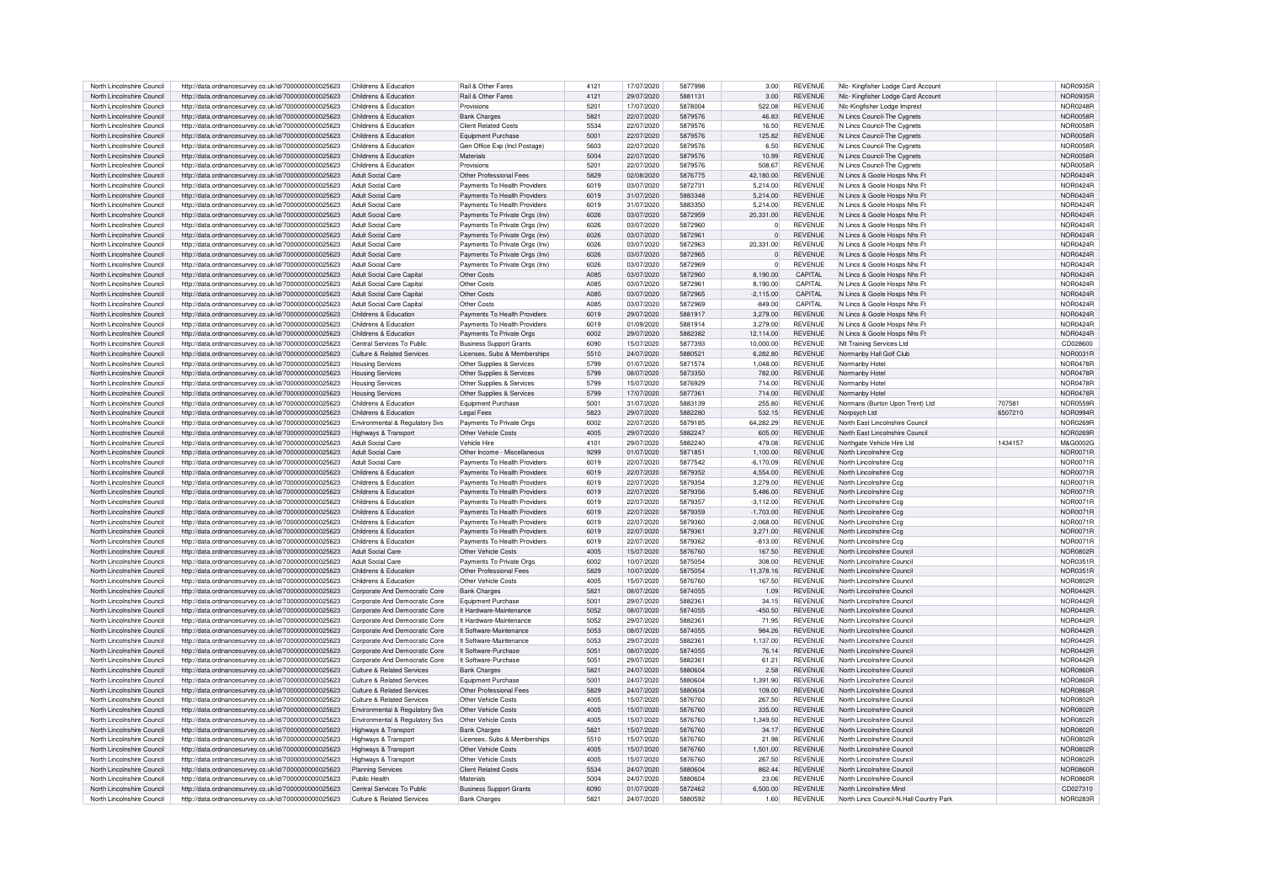| North Lincolnshire Council                               | http://data.ordnancesurvey.co.uk/id/7000000000025623                                                         | Childrens & Education                                    | Rail & Other Fares                                    | 4121         | 17/07/2020               | 5877998            | 3.00             | <b>REVENUE</b>                   | NIc- Kingfisher Lodge Card Account                                 |         | NOR0935F                    |
|----------------------------------------------------------|--------------------------------------------------------------------------------------------------------------|----------------------------------------------------------|-------------------------------------------------------|--------------|--------------------------|--------------------|------------------|----------------------------------|--------------------------------------------------------------------|---------|-----------------------------|
| North Lincolnshire Council                               | http://data.ordnancesurvey.co.uk/id/7000000000025623                                                         | Childrens & Education                                    | <b>Bail &amp; Other Fares</b>                         | 4121         | 29/07/2020               | 5881131            | 3.00             | <b>REVENUE</b>                   |                                                                    |         | NOR0935F                    |
|                                                          |                                                                                                              |                                                          |                                                       |              |                          |                    |                  |                                  | NIc- Kingfisher Lodge Card Account                                 |         |                             |
| North Lincolnshire Council                               | http://data.ordnancesurvey.co.uk/id/7000000000025623                                                         | Childrens & Education                                    | Provisions                                            | 5201         | 17/07/2020               | 5878004            | 522.08           | <b>REVENUE</b>                   | Nic-Kingfisher Lodge Imprest                                       |         | <b>NOR0248F</b>             |
| North Lincolnshire Council                               | http://data.ordnancesurvey.co.uk/id/7000000000025623                                                         | Childrens & Education                                    | <b>Bank Charges</b>                                   | 5821         | 22/07/2020               | 5879576            | 46.83            | <b>REVENUE</b>                   | N Lincs Council-The Cygnets                                        |         | <b>NOR0058F</b>             |
| North Lincolnshire Council                               | http://data.ordnancesurvey.co.uk/id/7000000000025623                                                         | Childrens & Education                                    | <b>Client Related Costs</b>                           | 5534         | 22/07/2020               | 5879576            | 16.50            | REVENUE                          | N Lincs Council-The Cygnets                                        |         | NOR0058F                    |
| North Lincolnshire Council                               | http://data.ordnancesurvey.co.uk/id/7000000000025623                                                         | Childrens & Education                                    | Equipment Purchase                                    | 5001         | 22/07/2020               | 5879576            | 125.82           | <b>REVENUE</b>                   | N Lincs Council-The Cygnets                                        |         | NOR0058F                    |
| North Lincolnshire Council                               | http://data.ordnancesurvey.co.uk/id/7000000000025623                                                         | Childrens & Education                                    | Gen Office Exp (Incl Postage)                         | 5603         | 22/07/2020               | 5879576            | 6.50             | <b>REVENUE</b>                   | N Lincs Council-The Cygnets                                        |         | NOR0058F                    |
| North Lincolnshire Council                               | http://data.ordnancesurvey.co.uk/id/7000000000025623                                                         | Childrens & Education                                    | Materials                                             | 5004         | 22/07/2020               | 5879576            | 10.99            | <b>REVENUE</b>                   | N Lincs Council-The Cygnets                                        |         | <b>NOR0058R</b>             |
| North Lincolnshire Council                               | http://data.ordnancesurvey.co.uk/id/7000000000025623                                                         | Childrens & Education                                    | Provisions                                            | 5201         | 22/07/2020               | 5879576            | 508.67           | <b>REVENUE</b>                   | N Lincs Council-The Cygnets                                        |         | NOR0058F                    |
| North Lincolnshire Council                               | http://data.ordnancesurvey.co.uk/id/7000000000025623                                                         | <b>Adult Social Care</b>                                 | Other Professional Fees                               | 5829         | 02/08/2020               | 5876775            | 42.180.00        | <b>REVENUE</b>                   | N Lincs & Goole Hosps Nhs Ft                                       |         | <b>NOR0424R</b>             |
| North Lincolnshire Council                               | http://data.ordnancesurvey.co.uk/id/7000000000025623                                                         | <b>Adult Social Care</b>                                 | Payments To Health Providers                          | 6019         | 03/07/2020               | 5872731            | 5,214.00         | REVENUE                          | N Lincs & Goole Hosps Nhs Ft                                       |         | <b>NOR0424R</b>             |
| North Lincolnshire Council                               | http://data.ordnancesurvey.co.uk/id/7000000000025623                                                         | Adult Social Care                                        | Payments To Health Providers                          | 6019         | 31/07/2020               | 5883348            | 5.214.00         | <b>REVENUE</b>                   | N Lincs & Goole Hosps Nhs Ft                                       |         | <b>NOR0424F</b>             |
|                                                          |                                                                                                              | Adult Social Care                                        |                                                       | 6019         | 31/07/2020               | 5883350            | 5.214.00         | <b>REVENUE</b>                   |                                                                    |         | <b>NOR0424F</b>             |
| North Lincolnshire Council                               | http://data.ordnancesurvey.co.uk/id/7000000000025623                                                         |                                                          | Payments To Health Providers                          |              |                          |                    |                  |                                  | N Lincs & Goole Hosps Nhs Ft                                       |         |                             |
| North Lincolnshire Council                               | http://data.ordnancesurvey.co.uk/id/7000000000025623                                                         | Adult Social Care                                        | Payments To Private Orgs (Inv)                        | 6026         | 03/07/2020               | 5872959            | 20.331.00        | <b>REVENUE</b>                   | N Lincs & Goole Hosps Nhs Ft                                       |         | <b>NOR0424F</b>             |
| North Lincolnshire Council                               | http://data.ordnancesurvey.co.uk/id/7000000000025623                                                         | Adult Social Care                                        | Payments To Private Orgs (Inv)                        | 6026         | 03/07/2020               | 5872960            | $\overline{0}$   | REVENUE                          | N Lincs & Goole Hosps Nhs Ft                                       |         | NOR0424F                    |
| North Lincolnshire Council                               | http://data.ordnancesurvey.co.uk/id/7000000000025623                                                         | Adult Social Care                                        | Payments To Private Orgs (Inv)                        | 6026         | 03/07/2020               | 5872961            | $\overline{0}$   | <b>REVENUE</b>                   | N Lincs & Goole Hosps Nhs Ft                                       |         | NOR0424F                    |
| North Lincolnshire Council                               | http://data.ordnancesurvey.co.uk/id/7000000000025623                                                         | Adult Social Care                                        | Payments To Private Orgs (Inv)                        | 6026         | 03/07/2020               | 5872963            | 20,331.00        | <b>REVENUE</b>                   | N Lincs & Goole Hosps Nhs Ft                                       |         | <b>NOR0424R</b>             |
| North Lincolnshire Council                               | http://data.ordnancesurvey.co.uk/id/7000000000025623                                                         | Adult Social Care                                        | Payments To Private Orgs (Inv)                        | 6026         | 03/07/2020               | 5872965            | $\Omega$         | <b>REVENUE</b>                   | N Lincs & Goole Hosps Nhs Ft                                       |         | <b>NOR0424F</b>             |
| North Lincolnshire Council                               | http://data.ordnancesurvey.co.uk/id/7000000000025623                                                         | Adult Social Care                                        | Payments To Private Orgs (Inv)                        | 6026         | 03/07/2020               | 5872969            | $\overline{0}$   | <b>REVENUE</b>                   | N Lincs & Goole Hosps Nhs Ft                                       |         | NOR0424F                    |
| North Lincolnshire Council                               | http://data.ordnancesurvey.co.uk/id/7000000000025623                                                         | Adult Social Care Capital                                | Other Costs                                           | A085         | 03/07/2020               | 5872960            | 8,190.00         | CAPITAL                          | N Lincs & Goole Hosps Nhs Ft                                       |         | <b>NOR0424R</b>             |
| North Lincolnshire Council                               | http://data.ordnancesurvey.co.uk/id/7000000000025623                                                         | Adult Social Care Capital                                | Other Costs                                           | A085         | 03/07/2020               | 5872961            | 8.190.00         | CAPITAL                          | N Lincs & Goole Hosps Nhs Ft                                       |         | <b>NOR0424R</b>             |
| North Lincolnshire Council                               | http://data.ordnancesurvey.co.uk/id/7000000000025623                                                         | Adult Social Care Capital                                | Other Costs                                           | A085         | 03/07/2020               | 5872965            | $-2,115.00$      | CAPITAL                          | N Lincs & Goole Hosps Nhs Ft                                       |         | <b>NOR0424R</b>             |
| North Lincolnshire Council                               | http://data.ordnancesurvev.co.uk/id/7000000000025623                                                         | Adult Social Care Capital                                | Other Costs                                           | A085         | 03/07/2020               | 5872969            | $-849.00$        | CAPITAL                          | N Lincs & Goole Hosps Nhs Ft                                       |         | <b>NOR0424F</b>             |
| North Lincolnshire Council                               |                                                                                                              | Childrens & Education                                    | Payments To Health Providers                          | 6019         | 29/07/2020               | 5881917            | 3.279.00         | <b>REVENUE</b>                   |                                                                    |         | <b>NOR0424F</b>             |
|                                                          | http://data.ordnancesurvev.co.uk/id/7000000000025623                                                         |                                                          |                                                       |              |                          |                    |                  |                                  | N Lincs & Goole Hosps Nhs Ft                                       |         |                             |
| North Lincolnshire Council                               | http://data.ordnancesurvey.co.uk/id/7000000000025623                                                         | Childrens & Education                                    | Payments To Health Providers                          | 6019         | 01/09/2020               | 5881914            | 3.279.00         | <b>REVENUE</b>                   | N Lincs & Goole Hosps Nhs Ft                                       |         | <b>NOR0424F</b>             |
| North Lincolnshire Council                               | http://data.ordnancesurvey.co.uk/id/7000000000025623                                                         | Childrens & Education                                    | Payments To Private Orgs                              | 6002         | 29/07/2020               | 5882382            | 12.114.00        | <b>REVENUE</b>                   | N Lincs & Goole Hosps Nhs Ft                                       |         | NOR0424F                    |
| North Lincolnshire Council                               | http://data.ordnancesurvey.co.uk/id/7000000000025623                                                         | Central Services To Public                               | <b>Business Support Grants</b>                        | 6090         | 15/07/2020               | 5877393            | 10.000.00        | <b>REVENUE</b>                   | NIt Training Services Ltd                                          |         | CD028600                    |
| North Lincolnshire Council                               | http://data.ordnancesurvey.co.uk/id/7000000000025623                                                         | Culture & Related Services                               | Licenses, Subs & Memberships                          | 5510         | 24/07/2020               | 5880521            | 6,282.80         | <b>REVENUE</b>                   | Normanby Hall Golf Club                                            |         | NOR0031R                    |
| North Lincolnshire Council                               | http://data.ordnancesurvey.co.uk/id/7000000000025623                                                         | <b>Housing Services</b>                                  | Other Supplies & Services                             | 5799         | 01/07/2020               | 5871574            | 1,048.00         | <b>REVENUE</b>                   | Normanby Hotel                                                     |         | <b>NOR0478R</b>             |
| North Lincolnshire Council                               | http://data.ordnancesurvey.co.uk/id/7000000000025623                                                         | <b>Housing Services</b>                                  | Other Supplies & Services                             | 5799         | 08/07/2020               | 5873350            | 782.00           | <b>REVENUE</b>                   | Normanby Hote                                                      |         | <b>NOR0478F</b>             |
| North Lincolnshire Council                               | http://data.ordnancesurvey.co.uk/id/7000000000025623                                                         | <b>Housing Services</b>                                  | Other Supplies & Services                             | 5799         | 15/07/2020               | 5876929            | 714.00           | <b>REVENUE</b>                   | Normanby Hotel                                                     |         | <b>NOR0478R</b>             |
| North Lincolnshire Council                               | http://data.ordnancesurvey.co.uk/id/7000000000025623                                                         | <b>Housing Services</b>                                  | Other Supplies & Services                             | 5799         | 17/07/2020               | 5877361            | 714.00           | <b>REVENUE</b>                   | Normanby Hotel                                                     |         | <b>NOR0478F</b>             |
| North Lincolnshire Council                               | http://data.ordnancesurvey.co.uk/id/7000000000025623                                                         | Childrens & Education                                    | Foujoment Purchase                                    | 5001         | 31/07/2020               | 5883139            | 255.80           | REVENUE                          | Normans (Burton Upon Trent) Ltd                                    | 707581  | NOR0559R                    |
| North Lincolnshire Council                               | http://data.ordnancesurvey.co.uk/id/7000000000025623                                                         | Childrens & Education                                    | <b>Legal Fees</b>                                     | 5823         | 29/07/2020               | 5882280            | 532.15           | <b>REVENUE</b>                   | Norpsych Ltd                                                       | 6507210 | NOR0994R                    |
|                                                          |                                                                                                              |                                                          |                                                       |              |                          |                    |                  |                                  |                                                                    |         |                             |
| North Lincolnshire Council                               | http://data.ordnancesurvey.co.uk/id/7000000000025623                                                         | Environmental & Regulatory Svs                           | Payments To Private Orgs                              | 6002         | 22/07/2020               | 5879185            | 64.282.29        | <b>REVENUE</b>                   | North East Lincolnshire Council                                    |         | NOR0269R                    |
| North Lincolnshire Council                               | http://data.ordnancesurvey.co.uk/id/7000000000025623                                                         | Highways & Transport                                     | Other Vehicle Costs                                   | 4005         | 29/07/2020               | 5882247            | 605.00           | <b>REVENUE</b>                   | North East Lincolnshire Council                                    |         | <b>NOR0269R</b>             |
| North Lincolnshire Council                               | http://data.ordnancesurvey.co.uk/id/7000000000025623                                                         | Adult Social Care                                        | Vehicle Hire                                          | 4101         | 29/07/2020               | 5882240            | 479.08           | <b>REVENUE</b>                   | Northgate Vehicle Hire I td                                        | 1434157 | M&G0002C                    |
| North Lincolnshire Council                               | http://data.ordnancesurvey.co.uk/id/7000000000025623                                                         | <b>Adult Social Care</b>                                 | Other Income - Miscellaneous                          | 9299         | 01/07/2020               | 5871851            | 1.100.00         | <b>REVENUE</b>                   | North Lincolnshire Ccg                                             |         | <b>NOR0071R</b>             |
| North Lincolnshire Council                               | http://data.ordnancesurvey.co.uk/id/7000000000025623                                                         | Adult Social Care                                        | Payments To Health Providers                          | 6019         | 22/07/2020               | 5877542            | $-6.170.09$      | <b>REVENUE</b>                   | North Lincolnshire Ccc                                             |         | NOR0071F                    |
| North Lincolnshire Council                               | http://data.ordnancesurvey.co.uk/id/7000000000025623                                                         | Childrens & Education                                    | Payments To Health Providers                          | 6019         | 22/07/2020               | 5879352            | 4,554.00         | <b>REVENUE</b>                   | North Lincolnshire Ccg                                             |         | <b>NOR0071R</b>             |
| North Lincolnshire Council                               | http://data.ordnancesurvey.co.uk/id/7000000000025623                                                         | Childrens & Education                                    | Payments To Health Providers                          | 6019         | 22/07/2020               | 5879354            | 3.279.00         | <b>REVENUE</b>                   | North Lincolnshire Ccc                                             |         | <b>NOR0071F</b>             |
| North Lincolnshire Council                               | http://data.ordnancesurvey.co.uk/id/7000000000025623                                                         | Childrens & Education                                    | Payments To Health Providers                          | 6019         | 22/07/2020               | 5879356            | 5.486.00         | <b>REVENUE</b>                   | North Lincolnshire Ccc                                             |         | <b>NOR0071F</b>             |
| North Lincolnshire Council                               | http://data.ordnancesurvey.co.uk/id/7000000000025623                                                         | Childrens & Education                                    | Payments To Health Providers                          | 6019         | 22/07/2020               | 5879357            | $-3,112.00$      | <b>REVENUE</b>                   | North Lincolnshire Ccc                                             |         |                             |
| North Lincolnshire Council                               |                                                                                                              |                                                          |                                                       |              |                          |                    |                  |                                  |                                                                    |         |                             |
| North Lincolnshire Council                               |                                                                                                              |                                                          |                                                       |              |                          |                    |                  |                                  |                                                                    |         | NOR0071F                    |
|                                                          | http://data.ordnancesurvey.co.uk/id/7000000000025623                                                         | Childrens & Education                                    | Payments To Health Providers                          | 6019         | 22/07/2020               | 5879359            | $-1,703.00$      | <b>REVENUE</b>                   | North Lincolnshire Ccg                                             |         | NOR0071F                    |
|                                                          | http://data.ordnancesurvey.co.uk/id/7000000000025623                                                         | Childrens & Education                                    | Payments To Health Providers                          | 6019         | 22/07/2020               | 5879360            | $-2,068.00$      | <b>REVENUE</b>                   | North Lincolnshire Ccc                                             |         | <b>NOR0071R</b>             |
| North Lincolnshire Council                               | http://data.ordnancesurvey.co.uk/id/7000000000025623                                                         | Childrens & Education                                    | Payments To Health Providers                          | 6019         | 22/07/2020               | 5879361            | 3.271.00         | <b>REVENUE</b>                   | North Lincolnshire Cco                                             |         | <b>NOR0071R</b>             |
| North Lincolnshire Council                               | http://data.ordnancesurvey.co.uk/id/7000000000025623                                                         | Childrens & Education                                    | Payments To Health Providers                          | 6019         | 22/07/2020               | 5879362            | $-813.00$        | <b>REVENUE</b>                   | North Lincolnshire Cco                                             |         | NOR0071F                    |
| North Lincolnshire Council                               | http://data.ordnancesurvey.co.uk/id/7000000000025623                                                         | Adult Social Care                                        | Other Vehicle Costs                                   | 4005         | 15/07/2020               | 5876760            | 167.50           | <b>REVENUE</b>                   | North Lincolnshire Counci                                          |         | NOR0802E                    |
| North Lincolnshire Council                               | http://data.ordnancesurvev.co.uk/id/7000000000025623                                                         | Adult Social Care                                        | Payments To Private Oras                              | 6002         | 10/07/2020               | 5875054            | 308.00           | <b>REVENUE</b>                   | North Lincolnshire Counci                                          |         | NOR0351F                    |
| North Lincolnshire Council                               | http://data.ordnancesurvey.co.uk/id/7000000000025623                                                         | Childrens & Education                                    | Other Professional Fees                               | 5829         | 10/07/2020               | 5875054            | 11.378.16        | <b>REVENUE</b>                   | North Lincolnshire Council                                         |         | NOR0351F                    |
| North Lincolnshire Council                               | http://data.ordnancesurvey.co.uk/id/7000000000025623                                                         | Childrens & Education                                    | Other Vehicle Costs                                   | 4005         | 15/07/2020               | 5876760            | 167.50           | <b>REVENUE</b>                   | North Lincolnshire Counci                                          |         | NOR0802F                    |
| North Lincolnshire Council                               | http://data.ordnancesurvey.co.uk/id/7000000000025623                                                         | Corporate And Democratic Core                            | <b>Bank Charges</b>                                   | 5821         | 08/07/2020               | 5874055            | 1.09             | <b>REVENUE</b>                   | North Lincolnshire Council                                         |         | <b>NOR0442F</b>             |
| North Lincolnshire Council                               | http://data.ordnancesurvev.co.uk/id/7000000000025623                                                         | Corporate And Democratic Core                            | Equipment Purchase                                    | 5001         | 29/07/2020               | 5882361            | 34.15            | REVENUE                          | North Lincolnshire Council                                         |         | NOR0442F                    |
| North Lincolnshire Council                               | http://data.ordnancesurvey.co.uk/id/7000000000025623                                                         | Corporate And Democratic Core                            | It Hardware-Maintenance                               | 5052         | 08/07/2020               | 5874055            | $-450.50$        | <b>REVENUE</b>                   | North Lincolnshire Council                                         |         | NOR0442R                    |
| North Lincolnshire Council                               |                                                                                                              |                                                          | It Hardware-Maintenance                               | 5052         | 29/07/2020               | 5882361            | 71.95            | <b>REVENUE</b>                   | North Lincolnshire Counci                                          |         | <b>NOR0442F</b>             |
|                                                          | http://data.ordnancesurvey.co.uk/id/7000000000025623                                                         | Corporate And Democratic Core                            |                                                       | 5053         | 08/07/2020               | 5874055            | <b>984 26</b>    | <b>REVENUE</b>                   |                                                                    |         |                             |
| North Lincolnshire Council                               | http://data.ordnancesurvey.co.uk/id/7000000000025623                                                         | Corporate And Democratic Core                            | It Software-Maintenance                               |              |                          |                    |                  |                                  | North Lincolnshire Council                                         |         | <b>NOR0442R</b>             |
| North Lincolnshire Council                               | http://data.ordnancesurvey.co.uk/id/7000000000025623                                                         | Corporate And Democratic Core                            | It Software-Maintenance                               | 5053         | 29/07/2020               | 588236             | 1,137.00         | <b>REVENUE</b>                   | North Lincolnshire Counci                                          |         | <b>NOR0442R</b>             |
| North Lincolnshire Council                               | http://data.ordnancesurvey.co.uk/id/7000000000025623                                                         | Corporate And Democratic Core                            | It Software-Purchase                                  | 5051         | 08/07/2020               | 5874055            | 76.14            | <b>REVENUE</b>                   | North Lincolnshire Council                                         |         | <b>NOR0442R</b>             |
| North Lincolnshire Council                               | http://data.ordnancesurvey.co.uk/id/7000000000025623                                                         | Corporate And Democratic Core                            | It Software-Purchase                                  | 5051         | 29/07/2020               | 5882361            | 61.21            | <b>REVENUE</b>                   | North Lincolnshire Council                                         |         | <b>NOR0442R</b>             |
| North Lincolnshire Council                               | http://data.ordnancesurvey.co.uk/id/7000000000025623                                                         | Culture & Related Services                               | <b>Bank Charges</b>                                   | 5821         | 24/07/2020               | 5880604            | 2.58             | <b>REVENUE</b>                   | North Lincolnshire Counci                                          |         | NOR0860F                    |
| North Lincolnshire Council                               | http://data.ordnancesurvey.co.uk/id/7000000000025623                                                         | Culture & Related Services                               | Equipment Purchase                                    | 5001         | 24/07/2020               | 5880604            | 1.391.90         | <b>REVENUE</b>                   | North Lincolnshire Counci                                          |         | NOR0860F                    |
| North Lincolnshire Council                               | http://data.ordnancesurvey.co.uk/id/7000000000025623                                                         | Culture & Related Services                               | Other Professional Fees                               | 5829         | 24/07/2020               | 5880604            | 109.00           | <b>REVENUE</b>                   | North Lincolnshire Counci                                          |         | NOR0860F                    |
| North Lincolnshire Council                               | http://data.ordnancesurvey.co.uk/id/7000000000025623                                                         | Culture & Related Services                               | Other Vehicle Costs                                   | 4005         | 15/07/2020               | 5876760            | 267.50           | <b>REVENUE</b>                   | North Lincolnshire Counci                                          |         | NOR0802F                    |
| North Lincolnshire Council                               | http://data.ordnancesurvey.co.uk/id/7000000000025623                                                         | Environmental & Regulatory Svs                           | Other Vehicle Costs                                   | 4005         | 15/07/2020               | 5876760            | 335.00           | <b>REVENUE</b>                   | North Lincolnshire Counci                                          |         | <b>NOR0802F</b>             |
| North Lincolnshire Council                               | http://data.ordnancesurvey.co.uk/id/7000000000025623                                                         | Environmental & Regulatory Svs                           | Other Vehicle Costs                                   | 4005         | 15/07/2020               | 5876760            | 1,349.50         | <b>REVENUE</b>                   | North Lincolnshire Council                                         |         | <b>NOR0802R</b>             |
| North Lincolnshire Council                               | http://data.ordnancesurvey.co.uk/id/7000000000025623                                                         | Highways & Transport                                     | <b>Bank Charges</b>                                   | 5821         | 15/07/2020               | 5876760            | 34.17            | <b>REVENUE</b>                   | North Lincolnshire Council                                         |         | <b>NOR0802F</b>             |
| North Lincolnshire Council                               | http://data.ordnancesurvey.co.uk/id/7000000000025623                                                         | Highways & Transport                                     | Licenses, Subs & Memberships                          | 5510         | 15/07/2020               | 5876760            | 21.98            | <b>REVENUE</b>                   | North Lincolnshire Council                                         |         | NOR0802F                    |
| North Lincolnshire Council                               | http://data.ordnancesurvey.co.uk/id/7000000000025623                                                         | Highways & Transport                                     | Other Vehicle Costs                                   | 4005         | 15/07/2020               | 5876760            | 1,501.00         | <b>REVENUE</b>                   | North Lincolnshire Council                                         |         | <b>NOR0802R</b>             |
|                                                          |                                                                                                              | Highways & Transport                                     | Other Vehicle Costs                                   | 4005         |                          |                    |                  | <b>REVENUE</b>                   | North Lincolnshire Council                                         |         |                             |
| North Lincolnshire Council<br>North Lincolnshire Council | http://data.ordnancesurvey.co.uk/id/7000000000025623<br>http://data.ordnancesurvey.co.uk/id/7000000000025623 | Planning Services                                        |                                                       |              | 15/07/2020               | 5876760            | 267.50<br>862.44 |                                  | North Lincolnshire Council                                         |         | <b>NOR0802R</b>             |
|                                                          |                                                                                                              |                                                          | <b>Client Related Costs</b>                           | 5534         | 24/07/2020               | 5880604            |                  | <b>REVENUE</b>                   |                                                                    |         | <b>NOR0860R</b>             |
| North Lincolnshire Council                               | http://data.ordnancesurvey.co.uk/id/7000000000025623                                                         | Public Health                                            | Materials                                             | 5004         | 24/07/2020               | 5880604            | 23.06            | <b>REVENUE</b>                   | North Lincolnshire Council                                         |         | <b>NOR0860F</b>             |
| North Lincolnshire Council<br>North Lincolnshire Council | http://data.ordnancesurvev.co.uk/id/7000000000025623<br>http://data.ordnancesurvey.co.uk/id/7000000000025623 | Central Services To Public<br>Culture & Related Services | <b>Business Support Grants</b><br><b>Bank Charges</b> | 6090<br>5821 | 01/07/2020<br>24/07/2020 | 5872462<br>5880592 | 6.500.00<br>1.60 | <b>REVENUE</b><br><b>REVENUE</b> | North Lincolnshire Mind<br>North Lines Council-N Hall Country Park |         | CD027310<br><b>NOR0283R</b> |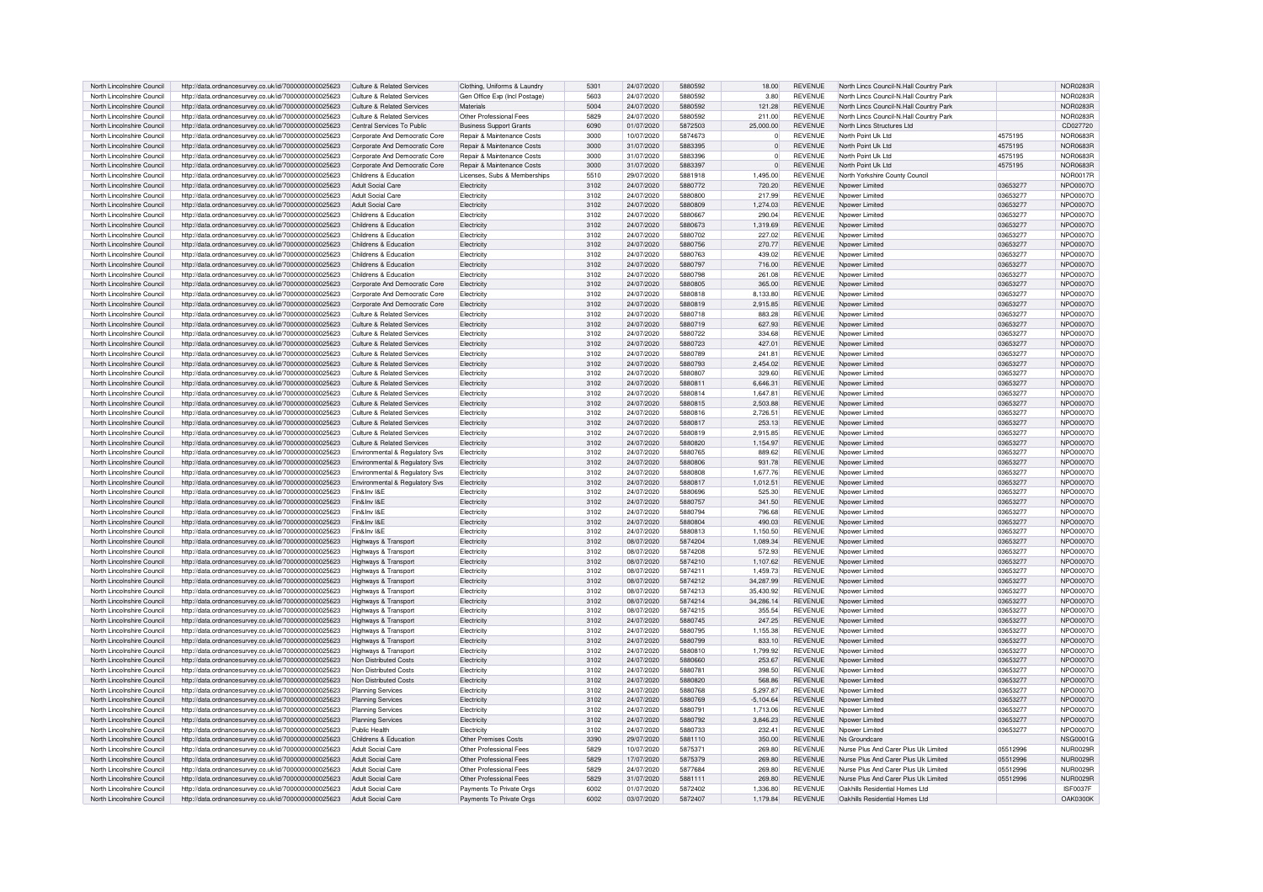| North Lincolnshire Council                               | http://data.ordnancesurvey.co.uk/id/7000000000025623 | Culture & Related Services                | Clothing, Uniforms & Laundry          | 5301         | 24/07/2020 | 5880592 | 18.00                | REVENUE        | North Lincs Council-N.Hall Country Park |                      | NOR0283R        |
|----------------------------------------------------------|------------------------------------------------------|-------------------------------------------|---------------------------------------|--------------|------------|---------|----------------------|----------------|-----------------------------------------|----------------------|-----------------|
| North Lincolnshire Council                               | http://data.ordnancesurvey.co.uk/id/7000000000025623 | Culture & Related Services                | Gen Office Exp (Incl Postage          | 5603         | 24/07/2020 | 5880592 | 3.80                 | <b>REVENUE</b> | North Lincs Council-N.Hall Country Park |                      | <b>NOR0283R</b> |
| North Lincolnshire Council                               | http://data.ordnancesurvey.co.uk/id/7000000000025623 | Culture & Related Services                | <b>Materials</b>                      | 5004         | 24/07/2020 | 5880592 | 121.28               | <b>REVENUE</b> | North Lincs Council-N.Hall Country Park |                      | <b>NOR0283R</b> |
| North Lincolnshire Council                               | http://data.ordnancesurvey.co.uk/id/7000000000025623 | Culture & Related Services                | Other Professional Fees               | 5829         | 24/07/2020 | 5880592 | 211.00               | <b>REVENUE</b> | North Lincs Council-N.Hall Country Park |                      | NOR0283F        |
|                                                          |                                                      |                                           |                                       |              |            |         |                      |                |                                         |                      |                 |
| North Lincolnshire Council                               | http://data.ordnancesurvey.co.uk/id/7000000000025623 | Central Services To Public                | <b>Business Support Grants</b>        | 6090         | 01/07/2020 | 5872503 | 25,000.00            | <b>REVENUE</b> | North Lincs Structures Ltd              |                      | CD027720        |
| North Lincolnshire Council                               | http://data.ordnancesurvey.co.uk/id/7000000000025623 | Corporate And Democratic Core             | Repair & Maintenance Costs            | 3000         | 10/07/2020 | 5874673 | $\Omega$             | <b>REVENUE</b> | North Point Uk Ltd                      | 4575195              | <b>NOR0683R</b> |
| North Lincolnshire Council                               | http://data.ordnancesurvey.co.uk/id/7000000000025623 | Corporate And Democratic Core             | <b>Benair &amp; Maintenance Costs</b> | 3000         | 31/07/2020 | 5883395 | $\Omega$             | <b>REVENUE</b> | North Point Uk Ltd                      | 4575195              | NOR0683F        |
| North Lincolnshire Council                               | http://data.ordnancesurvey.co.uk/id/7000000000025623 | Corporate And Democratic Core             | <b>Benair &amp; Maintenance Costs</b> | 3000         | 31/07/2020 | 5883396 | $\Omega$             | <b>REVENUE</b> | North Point Uk Ltd                      | 4575195              | NOR0683F        |
| North Lincolnshire Council                               | http://data.ordnancesurvey.co.uk/id/7000000000025623 | Corporate And Democratic Core             | Repair & Maintenance Costs            | 3000         | 31/07/2020 | 5883397 | $\overline{0}$       | <b>REVENUE</b> | North Point Uk I td                     | 4575195              | NOR0683F        |
| North Lincolnshire Council                               | http://data.ordnancesurvey.co.uk/id/7000000000025623 | Childrens & Education                     | Licenses, Subs & Memberships          | 5510         | 29/07/2020 | 5881918 | 1,495.00             | <b>REVENUE</b> | North Yorkshire County Council          |                      | <b>NOR0017F</b> |
| North Lincolnshire Council                               | http://data.ordnancesurvey.co.uk/id/7000000000025623 | Adult Social Care                         | Electricity                           | 3102         | 24/07/2020 | 5880772 | 720.20               | <b>REVENUE</b> | Npower Limited                          | 03653277             | <b>NPO0007C</b> |
| North Lincolnshire Council                               | http://data.ordnancesurvey.co.uk/id/7000000000025623 | Adult Social Care                         | Electricity                           | 3102         | 24/07/2020 | 5880800 | 217.99               | <b>REVENUE</b> | Noower Limited                          | 0365327              | NPO0007O        |
| North Lincolnshire Council                               | http://data.ordnancesurvey.co.uk/id/7000000000025623 | <b>Adult Social Care</b>                  | Flectricity                           | 3102         | 24/07/2020 | 5880809 | 1.274.03             | <b>REVENUE</b> | Nnower Limited                          | 03653277             | NPO0007C        |
| North Lincolnshire Council                               | http://data.ordnancesurvey.co.uk/id/7000000000025623 | Childrens & Education                     | Electricity                           | 3102         | 24/07/2020 | 5880667 | 290.04               | <b>REVENUE</b> | Noower Limited                          | 03653277             | <b>NPO0007C</b> |
| North Lincolnshire Council                               | http://data.ordnancesurvey.co.uk/id/7000000000025623 | Childrens & Education                     | Electricity                           | 3102         | 24/07/2020 | 5880673 | 1,319.69             | <b>REVENUE</b> | Noower Limited                          | 03653277             | NPO0007O        |
| North Lincolnshire Council                               | http://data.ordnancesurvey.co.uk/id/7000000000025623 | Childrens & Education                     | Electricity                           | 3102         | 24/07/2020 | 5880702 | 227.02               | <b>REVENUE</b> | Npower Limited                          | 03653277             | NPO0007O        |
| North Lincolnshire Council                               |                                                      | Childrens & Education                     | Flectricity                           | 3102         | 24/07/2020 | 5880756 | 270.77               | <b>REVENUE</b> | Nnower Limited                          | 03653277             | NPO0007O        |
|                                                          | http://data.ordnancesurvey.co.uk/id/7000000000025623 |                                           |                                       |              |            |         |                      |                |                                         |                      |                 |
| North Lincolnshire Council                               | http://data.ordnancesurvey.co.uk/id/7000000000025623 | Childrens & Education                     | Electricity                           | 3102         | 24/07/2020 | 5880763 | 439.02               | <b>REVENUE</b> | Noower Limited                          | 03653277             | NPO0007C        |
| North Lincolnshire Council                               | http://data.ordnancesurvey.co.uk/id/7000000000025623 | Childrens & Education                     | Electricity                           | 3102         | 24/07/2020 | 5880797 | 716.00               | <b>REVENUE</b> | Nnower Limited                          | 03653277             | NPO0007O        |
| North Lincolnshire Council                               | http://data.ordnancesurvey.co.uk/id/7000000000025623 | Childrens & Education                     | Electricity                           | 3102         | 24/07/2020 | 5880798 | 261.08               | REVENUE        | Noower Limited                          | 03653277             | NPO0007O        |
| North Lincolnshire Council                               | http://data.ordnancesurvey.co.uk/id/7000000000025623 | Corporate And Democratic Core             | Electricity                           | 3102         | 24/07/2020 | 5880805 | 365.00               | <b>REVENUE</b> | Noower Limited                          | 03653277             | NPO0007O        |
| North Lincolnshire Council                               | http://data.ordnancesurvey.co.uk/id/7000000000025623 | Corporate And Democratic Core             | Electricity                           | 3102         | 24/07/2020 | 5880818 | 8,133.80             | <b>REVENUE</b> | Noower Limited                          | 03653277             | NPO0007O        |
| North Lincolnshire Council                               | http://data.ordnancesurvey.co.uk/id/7000000000025623 | Corporate And Democratic Core             | Electricity                           | 3102         | 24/07/2020 | 5880819 | 2.915.85             | <b>REVENUE</b> | Noower Limited                          | 03653277             | NPO0007O        |
| North Lincolnshire Council                               | http://data.ordnancesurvey.co.uk/id/7000000000025623 | Culture & Related Services                | Electricity                           | 3102         | 24/07/2020 | 5880718 | 883.28               | <b>REVENUE</b> | Noower Limited                          | 03653277             | <b>NPO0007C</b> |
| North Lincolnshire Council                               | http://data.ordnancesurvey.co.uk/id/7000000000025623 | Culture & Related Services                | Electricity                           | 3102         | 24/07/2020 | 5880719 | 627.93               | <b>REVENUE</b> | Npower Limited                          | 03653277             | NPO0007O        |
| North Lincolnshire Council                               | http://data.ordnancesurvey.co.uk/id/7000000000025623 | Culture & Related Services                | Flectricity                           | 3102         | 24/07/2020 | 5880722 | 334.68               | <b>REVENUE</b> | Nnower Limited                          | 03653277             | NPO0007O        |
| North Lincolnshire Council                               | http://data.ordnancesurvey.co.uk/id/7000000000025623 | Culture & Related Services                | Electricity                           | 3102         | 24/07/2020 | 5880723 | 427.01               | <b>REVENUE</b> | Noower Limited                          | 03653277             | NPO0007O        |
| North Lincolnshire Council                               | http://data.ordnancesurvey.co.uk/id/7000000000025623 | Culture & Related Services                | Electricity                           | 3102         | 24/07/2020 | 5880789 | 241.81               | <b>REVENUE</b> | Nnower I imited                         | 03653277             | NPO0007C        |
| North Lincolnshire Council                               | http://data.ordnancesurvey.co.uk/id/7000000000025623 | Culture & Related Services                | Electricity                           | 3102         | 24/07/2020 | 5880793 | 2.454.02             | <b>REVENUE</b> | Nnower Limited                          | 03653277             | NPO0007C        |
| North Lincolnshire Council                               | http://data.ordnancesurvey.co.uk/id/7000000000025623 | Culture & Related Services                | Electricity                           | 3102         | 24/07/2020 | 5880807 | 329.60               | <b>REVENUE</b> | Noower Limited                          | 03653277             | NPO0007C        |
|                                                          |                                                      | Culture & Related Services                |                                       |              |            | 5880811 |                      | <b>REVENUE</b> |                                         |                      | <b>NPO0007C</b> |
| North Lincolnshire Council<br>North Lincolnshire Council | http://data.ordnancesurvey.co.uk/id/7000000000025623 | Culture & Related Services                | Electricity                           | 3102<br>3102 | 24/07/2020 | 5880814 | 6,646.31<br>1.647.81 | <b>REVENUE</b> | Npower Limited<br>Noower Limited        | 03653277<br>03653277 |                 |
|                                                          | http://data.ordnancesurvey.co.uk/id/7000000000025623 |                                           | Electricity                           |              | 24/07/2020 |         |                      |                |                                         |                      | NPO0007O        |
| North Lincolnshire Council                               | http://data.ordnancesurvey.co.uk/id/7000000000025623 | Culture & Related Services                | Electricity                           | 3102         | 24/07/2020 | 5880815 | 2,503.88             | <b>REVENUE</b> | Noower Limited                          | 03653277             | NPO0007O        |
| North Lincolnshire Council                               | http://data.ordnancesurvey.co.uk/id/7000000000025623 | Culture & Related Services                | Electricity                           | 3102         | 24/07/2020 | 5880816 | 2,726.51             | <b>REVENUE</b> | Noower Limited                          | 03653277             | NPO0007O        |
| North Lincolnshire Council                               | http://data.ordnancesurvey.co.uk/id/7000000000025623 | Culture & Related Services                | Electricity                           | 3102         | 24/07/2020 | 5880817 | 253.13               | <b>REVENUE</b> | Nnower Limited                          | 03653277             | NPO0007C        |
| North Lincolnshire Council                               | http://data.ordnancesurvey.co.uk/id/7000000000025623 | Culture & Related Services                | Electricity                           | 3102         | 24/07/2020 | 5880819 | 2,915.85             | <b>REVENUE</b> | Noower Limited                          | 03653277             | NPO0007O        |
| North Lincolnshire Council                               | http://data.ordnancesurvey.co.uk/id/7000000000025623 | Culture & Related Services                | Electricity                           | 3102         | 24/07/2020 | 5880820 | 1,154.97             | <b>REVENUE</b> | Noower Limited                          | 03653277             | NPO0007O        |
| North Lincolnshire Council                               | http://data.ordnancesurvey.co.uk/id/7000000000025623 | <b>Environmental &amp; Requiatory Sys</b> | Flectricity                           | 3102         | 24/07/2020 | 5880765 | 889.62               | <b>REVENUE</b> | Nnower Limited                          | 03653277             | NPO0007O        |
| North Lincolnshire Council                               | http://data.ordnancesurvey.co.uk/id/7000000000025623 | Environmental & Regulatory Svs            | Flectricity                           | 3102         | 24/07/2020 | 5880806 | 931.78               | <b>REVENUE</b> | Nnower I imited                         | 03653277             | NPO0007O        |
| North Lincolnshire Council                               | http://data.ordnancesurvey.co.uk/id/7000000000025623 | Environmental & Regulatory Svs            | Electricity                           | 3102         | 24/07/2020 | 5880808 | 1,677.76             | <b>REVENUE</b> | Nnower Limiter                          | 03653277             | NPO0007O        |
| North Lincolnshire Council                               | http://data.ordnancesurvey.co.uk/id/7000000000025623 | Environmental & Regulatory Svs            | Electricity                           | 3102         | 24/07/2020 | 5880817 | 1,012.51             | <b>REVENUE</b> | Noower Limited                          | 03653277             | NPO0007O        |
| North Lincolnshire Council                               | http://data.ordnancesurvey.co.uk/id/7000000000025623 | Fin&Inv I&F                               | Electricity                           | 3102         | 24/07/2020 | 5880696 | 525.30               | <b>REVENUE</b> | Nnower Limited                          | 03653277             | <b>NPO0007C</b> |
| North Lincolnshire Council                               | http://data.ordnancesurvey.co.uk/id/7000000000025623 | Fin&Inv I&F                               | Electricity                           | 3102         | 24/07/2020 | 5880757 | 341.50               | <b>REVENUE</b> | Noower Limited                          | 03653277             | NPO0007O        |
| North Lincolnshire Council                               | http://data.ordnancesurvey.co.uk/id/7000000000025623 | Fin&Inv I&F                               | Electricity                           | 3102         | 24/07/2020 | 5880794 | 796.68               | <b>REVENUE</b> | Noower Limited                          | 03653277             | NPO0007C        |
| North Lincolnshire Council                               | http://data.ordnancesurvey.co.uk/id/7000000000025623 | Fin&Inv I&E                               | Electricity                           | 3102         | 24/07/2020 | 5880804 | 490.03               | <b>REVENUE</b> | Noower Limited                          | 03653277             | NPO0007O        |
| North Lincolnshire Council                               | http://data.ordnancesurvey.co.uk/id/7000000000025623 | Fin&Inv I&F                               | Electricity                           | 3102         | 24/07/2020 | 5880813 | 1,150.50             | <b>REVENUE</b> | Noower Limited                          | 03653277             | NPO0007O        |
| North Lincolnshire Council                               | http://data.ordnancesurvey.co.uk/id/7000000000025623 | Highways & Transport                      | Electricity                           | 3102         | 08/07/2020 | 5874204 | 1,089.34             | <b>REVENUE</b> | Noower Limited                          | 03653277             | NPO0007O        |
| North Lincolnshire Council                               | http://data.ordnancesurvey.co.uk/id/7000000000025623 | Highways & Transport                      | Flectricity                           | 3102         | 08/07/2020 | 5874208 | 572.93               | <b>REVENUE</b> | Nnower I imited                         | 03653277             | NPO0007O        |
| North Lincolnshire Council                               | http://data.ordnancesurvey.co.uk/id/7000000000025623 | Highways & Transport                      | Electricity                           | 3102         | 08/07/2020 | 5874210 | 1,107.62             | <b>REVENUE</b> | Noower Limited                          | 03653277             | NPO0007O        |
| North Lincolnshire Council                               |                                                      |                                           | Electricity                           | 3102         | 08/07/2020 | 5874211 | 1.459.73             | <b>REVENUE</b> | Nnower I imited                         | 03653277             | NPO0007C        |
|                                                          | http://data.ordnancesurvey.co.uk/id/7000000000025623 | Highways & Transport                      |                                       |              |            |         | 34.287.99            | <b>REVENUE</b> |                                         |                      | NPO0007C        |
| North Lincolnshire Council                               | http://data.ordnancesurvey.co.uk/id/7000000000025623 | Highways & Transport                      | Electricity                           | 3102         | 08/07/2020 | 5874212 |                      |                | Noower Limited                          | 03653277             |                 |
| North Lincolnshire Council                               | http://data.ordnancesurvey.co.uk/id/7000000000025623 | Highways & Transport                      | Electricity                           | 3102         | 08/07/2020 | 5874213 | 35,430.92            | <b>REVENUE</b> | Nnower I imited                         | 03653277             | NPO0007C        |
| North Lincolnshire Council                               | http://data.ordnancesurvey.co.uk/id/7000000000025623 | Highways & Transport                      | Electricity                           | 3102         | 08/07/2020 | 5874214 | 34.286.14            | <b>REVENUE</b> | Npower Limited                          | 03653277             | <b>NPO0007C</b> |
| North Lincolnshire Council                               | http://data.ordnancesurvey.co.uk/id/7000000000025623 | Highways & Transport                      | Electricity                           | 3102         | 08/07/2020 | 5874215 | 355.54               | <b>REVENUE</b> | Noower Limited                          | 03653277             | <b>NPO0007C</b> |
| North Lincolnshire Council                               | http://data.ordnancesurvey.co.uk/id/7000000000025623 | Highways & Transport                      | Electricity                           | 3102         | 24/07/2020 | 5880745 | 247.25               | <b>REVENUE</b> | Noower Limited                          | 03653277             | NPO0007O        |
| North Lincolnshire Council                               | http://data.ordnancesurvey.co.uk/id/7000000000025623 | Highways & Transport                      | Electricity                           | 3102         | 24/07/2020 | 5880795 | 1.155.38             | <b>REVENUE</b> | Nnower Limited                          | 03653277             | NPO0007C        |
| North Lincolnshire Council                               | http://data.ordnancesurvey.co.uk/id/7000000000025623 | Highways & Transport                      | Flectricity                           | 3102         | 24/07/2020 | 5880799 | 833.10               | <b>REVENUE</b> | Nnower Limited                          | 03653277             | NPO0007C        |
| North Lincolnshire Council                               | http://data.ordnancesurvey.co.uk/id/7000000000025623 | Highways & Transport                      | Electricity                           | 3102         | 24/07/2020 | 5880810 | 1,799.92             | <b>REVENUE</b> | Noower Limited                          | 03653277             | NPO0007O        |
| North Lincolnshire Council                               | http://data.ordnancesurvey.co.uk/id/7000000000025623 | Non Distributed Costs                     | Electricity                           | 3102         | 24/07/2020 | 5880660 | 253.67               | <b>REVENUE</b> | Noower Limited                          | 03653277             | NPO0007O        |
| North Lincolnshire Council                               | http://data.ordnancesurvey.co.uk/id/7000000000025623 | Non Distributed Costs                     | Flectricity                           | 3102         | 24/07/2020 | 5880781 | 398.50               | <b>REVENUE</b> | Nnower Limited                          | 03653277             | NPO0007O        |
| North Lincolnshire Council                               | http://data.ordnancesurvey.co.uk/id/7000000000025623 | Non Distributed Costs                     | Electricity                           | 3102         | 24/07/2020 | 5880820 | 568.86               | <b>REVENUE</b> | Nnower I imited                         | 03653277             | NPO0007O        |
| North Lincolnshire Council                               | http://data.ordnancesurvey.co.uk/id/7000000000025623 | <b>Planning Services</b>                  | Electricity                           | 3102         | 24/07/2020 | 5880768 | 5 297 87             | <b>REVENUE</b> | Npower Limited                          | 03653277             | NPO0007C        |
| North Lincolnshire Council                               | http://data.ordnancesurvey.co.uk/id/7000000000025623 | <b>Planning Services</b>                  | Electricity                           | 3102         | 24/07/2020 | 5880769 | $-5.104.64$          | <b>REVENUE</b> | Noower Limited                          | 03653277             | NPO0007O        |
| North Lincolnshire Council                               | http://data.ordnancesurvey.co.uk/id/7000000000025623 | <b>Planning Services</b>                  | Electricity                           | 3102         | 24/07/2020 | 5880791 | 1.713.06             | <b>REVENUE</b> | Noower Limited                          | 03653277             | <b>NPO0007C</b> |
| North Lincolnshire Council                               | http://data.ordnancesurvey.co.uk/id/7000000000025623 | Planning Services                         | Electricity                           | 3102         | 24/07/2020 | 5880792 | 3,846.23             | REVENUE        | Noower Limited                          | 03653277             | NPO0007O        |
| North Lincolnshire Council                               | http://data.ordnancesurvey.co.uk/id/7000000000025623 | Public Health                             | Electricity                           | 3102         | 24/07/2020 | 5880733 | 232.41               | <b>REVENUE</b> | Nnower Limiter                          | 03653277             | <b>NPO0007C</b> |
| North Lincolnshire Council                               | http://data.ordnancesurvey.co.uk/id/7000000000025623 | Childrens & Education                     | Other Premises Costs                  | 3390         | 29/07/2020 | 5881110 | 350.00               | <b>REVENUE</b> | Ns Groundcare                           |                      | <b>NSG0001G</b> |
| North Lincolnshire Council                               | http://data.ordnancesurvey.co.uk/id/7000000000025623 | Adult Social Care                         | Other Professional Fees               | 5829         | 10/07/2020 | 5875371 | 269.80               | <b>REVENUE</b> | Nurse Plus And Carer Plus Uk Limited    | 05512996             | <b>NUR0029R</b> |
| North Lincolnshire Council                               | http://data.ordnancesurvey.co.uk/id/7000000000025623 | Adult Social Care                         | Other Professional Fees               | 5829         | 17/07/2020 | 5875379 | 269.80               | REVENUE        | Nurse Plus And Carer Plus Uk Limited    | 05512996             | <b>NUR0029R</b> |
| North Lincolnshire Council                               | http://data.ordnancesurvey.co.uk/id/7000000000025623 | Adult Social Care                         | Other Professional Fees               | 5829         | 24/07/2020 | 5877684 | 269.80               | <b>REVENUE</b> | Nurse Plus And Carer Plus Uk Limited    | 05512996             | <b>NUR0029R</b> |
| North Lincolnshire Council                               | http://data.ordnancesurvey.co.uk/id/7000000000025623 | Adult Social Care                         | Other Professional Fees               | 5829         | 31/07/2020 | 5881111 | 269.80               | <b>REVENUE</b> | Nurse Plus And Carer Plus Uk Limited    | 05512996             | NUR0029F        |
| North Lincolnshire Council                               | http://data.ordnancesurvey.co.uk/id/7000000000025623 | Adult Social Care                         | Payments To Private Orgs              | 6002         | 01/07/2020 | 5872402 | 1.336.80             | <b>REVENUE</b> | Oakhills Residential Homes Ltd          |                      | <b>ISF0037F</b> |
| North Lincolnshire Council                               | http://data.ordnancesurvey.co.uk/id/7000000000025623 | Adult Social Care                         | Payments To Private Oras              | 6002         | 03/07/2020 | 5872407 | 1.179.84             | <b>REVENUE</b> | Oakhills Residential Homes I td         |                      | <b>OAK0300K</b> |
|                                                          |                                                      |                                           |                                       |              |            |         |                      |                |                                         |                      |                 |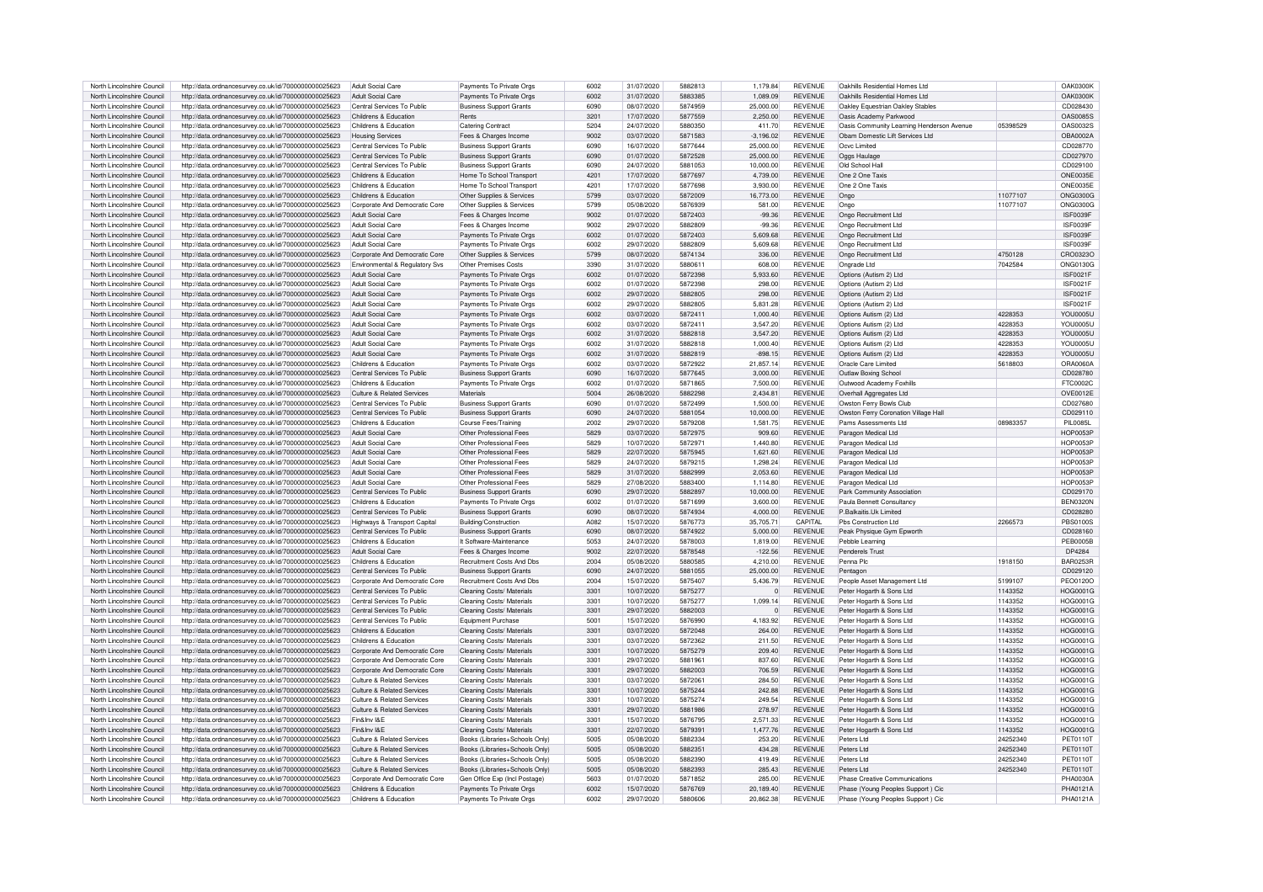| North Lincolnshire Council                               | http://data.ordnancesurvey.co.uk/id/7000000000025623                                                         | Adult Social Care                              | Payments To Private Oras                             | 6002         | 31/07/2020               | 5882813            | 1,179.84               | REVENUE                          | Oakhills Residential Homes Ltd                                         |          | <b>OAK0300K</b>             |
|----------------------------------------------------------|--------------------------------------------------------------------------------------------------------------|------------------------------------------------|------------------------------------------------------|--------------|--------------------------|--------------------|------------------------|----------------------------------|------------------------------------------------------------------------|----------|-----------------------------|
| North Lincolnshire Council                               | http://data.ordnancesurvey.co.uk/id/7000000000025623                                                         | Adult Social Care                              | Payments To Private Orgs                             | 6002         | 31/07/2020               | 5883385            | 1.089.09               | <b>REVENUE</b>                   | Oakhills Residential Homes Ltd                                         |          | <b>OAK0300K</b>             |
|                                                          |                                                                                                              |                                                |                                                      |              |                          |                    |                        |                                  |                                                                        |          |                             |
| North Lincolnshire Council                               | http://data.ordnancesurvey.co.uk/id/7000000000025623                                                         | Central Services To Public                     | <b>Business Support Grants</b>                       | 6090         | 08/07/2020               | 5874959            | 25,000.00              | <b>REVENUE</b>                   | Oakley Fouestrian Oakley Stables                                       |          | CD028430                    |
| North Lincolnshire Council                               | http://data.ordnancesurvey.co.uk/id/7000000000025623                                                         | Childrens & Education                          | Rents                                                | 3201         | 17/07/2020               | 5877559            | 2,250.00               | <b>REVENUE</b>                   | Oasis Academy Parkwood                                                 |          | <b>OAS0085S</b>             |
| North Lincolnshire Council                               | http://data.ordnancesurvey.co.uk/id/7000000000025623                                                         | Childrens & Education                          | <b>Catering Contract</b>                             | 5204         | 24/07/2020               | 5880350            | 411.70                 | <b>REVENUE</b>                   | Oasis Community Learning Henderson Avenue                              | 05398529 | OAS0032S                    |
| North Lincolnshire Council                               | http://data.ordnancesurvey.co.uk/id/7000000000025623                                                         | <b>Housing Services</b>                        | Fees & Charges Income                                | 9002         | 03/07/2020               | 5871583            | $-3,196.02$            | <b>REVENUE</b>                   | Obam Domestic Lift Services Ltd                                        |          | OBA0002A                    |
| North Lincolnshire Council                               | http://data.ordnancesurvey.co.uk/id/7000000000025623                                                         | Central Services To Public                     | <b>Business Support Grants</b>                       | 6090         | 16/07/2020               | 5877644            | 25,000,00              | <b>REVENUE</b>                   | Ocvc Limited                                                           |          | CD028770                    |
| North Lincolnshire Council                               |                                                                                                              | Central Services To Public                     |                                                      | 6090         | 01/07/2020               | 5872528            | 25.000.00              | <b>REVENUE</b>                   |                                                                        |          | CD027970                    |
|                                                          | http://data.ordnancesurvey.co.uk/id/7000000000025623                                                         |                                                | <b>Business Support Grants</b>                       |              |                          |                    |                        |                                  | Oggs Haulage                                                           |          |                             |
| North Lincolnshire Council                               | http://data.ordnancesurvey.co.uk/id/7000000000025623                                                         | Central Services To Public                     | <b>Business Support Grants</b>                       | 6090         | 24/07/2020               | 5881053            | 10.000.00              | <b>REVENUE</b>                   | Old School Hall                                                        |          | CD029100                    |
| North Lincolnshire Council                               | http://data.ordnancesurvey.co.uk/id/7000000000025623                                                         | Childrens & Education                          | Home To School Transport                             | 4201         | 17/07/2020               | 5877697            | 4,739.00               | <b>REVENUE</b>                   | One 2 One Taxis                                                        |          | ONE0035E                    |
| North Lincolnshire Council                               | http://data.ordnancesurvey.co.uk/id/7000000000025623                                                         | Childrens & Education                          | Home To School Transport                             | 4201         | 17/07/2020               | 5877698            | 3,930.00               | <b>REVENUE</b>                   | One 2 One Taxis                                                        |          | ONE0035E                    |
| North Lincolnshire Council                               | http://data.ordnancesurvey.co.uk/id/7000000000025623                                                         | Childrens & Education                          | Other Supplies & Services                            | 5799         | 03/07/2020               | 5872009            | 16.773.00              | <b>REVENUE</b>                   | Ongo                                                                   | 11077107 | ONG0300G                    |
|                                                          |                                                                                                              |                                                |                                                      |              |                          |                    |                        |                                  |                                                                        |          |                             |
| North Lincolnshire Council                               | http://data.ordnancesurvey.co.uk/id/7000000000025623                                                         | Corporate And Democratic Core                  | Other Supplies & Services                            | 5799         | 05/08/2020               | 5876939            | 581.00                 | <b>REVENUE</b>                   | Ongo                                                                   | 11077107 | <b>ONG0300G</b>             |
| North Lincolnshire Council                               | http://data.ordnancesurvey.co.uk/id/7000000000025623                                                         | <b>Adult Social Care</b>                       | Fees & Charges Income                                | 9002         | 01/07/2020               | 5872403            | $-99.36$               | <b>REVENUE</b>                   | Ongo Recruitment Ltd                                                   |          | ISF0039F                    |
| North Lincolnshire Council                               | http://data.ordnancesurvey.co.uk/id/7000000000025623                                                         | Adult Social Care                              | Fees & Charges Income                                | 9002         | 29/07/2020               | 5882809            | $-99.36$               | <b>REVENUE</b>                   | Ongo Becruitment Ltd                                                   |          | <b>ISF0039F</b>             |
| North Lincolnshire Council                               | http://data.ordnancesurvey.co.uk/id/7000000000025623                                                         | <b>Adult Social Care</b>                       | Payments To Private Orgs                             | 6002         | 01/07/2020               | 5872403            | 5.609.68               | <b>REVENUE</b>                   | Ongo Recruitment Ltd.                                                  |          | ISF0039F                    |
| North Lincolnshire Council                               | http://data.ordnancesurvey.co.uk/id/7000000000025623                                                         | Adult Social Care                              | Payments To Private Orgs                             | 6002         | 29/07/2020               | 5882809            | 5.609.68               | <b>REVENUE</b>                   | Ongo Recruitment Ltd                                                   |          | ISF0039F                    |
|                                                          |                                                                                                              |                                                |                                                      |              |                          |                    |                        |                                  |                                                                        |          |                             |
| North Lincolnshire Council                               | http://data.ordnancesurvey.co.uk/id/7000000000025623                                                         | Corporate And Democratic Core                  | Other Supplies & Services                            | 5799         | 08/07/2020               | 5874134            | 336.00                 | <b>REVENUE</b>                   | Ongo Recruitment Ltd                                                   | 4750128  | CRO0323O                    |
| North Lincolnshire Council                               | http://data.ordnancesurvey.co.uk/id/7000000000025623                                                         | Environmental & Regulatory Svs                 | Other Premises Costs                                 | 3390         | 31/07/2020               | 5880611            | 608.00                 | REVENUE                          | Ongrade Ltd                                                            | 7042584  | <b>ONG0130G</b>             |
| North Lincolnshire Council                               | http://data.ordnancesurvey.co.uk/id/7000000000025623                                                         | <b>Adult Social Care</b>                       | Payments To Private Orgs                             | 6002         | 01/07/2020               | 5872398            | 5,933.60               | <b>REVENUE</b>                   | Options (Autism 2) Ltd                                                 |          | <b>ISF0021F</b>             |
| North Lincolnshire Council                               | http://data.ordnancesurvey.co.uk/id/7000000000025623                                                         | Adult Social Care                              | Payments To Private Orgs                             | 6002         | 01/07/2020               | 5872398            | 298.00                 | REVENUE                          | Options (Autism 2) Ltd                                                 |          | <b>ISF0021F</b>             |
|                                                          |                                                                                                              |                                                |                                                      |              |                          |                    |                        |                                  |                                                                        |          |                             |
| North Lincolnshire Council                               | http://data.ordnancesurvey.co.uk/id/7000000000025623                                                         | Adult Social Care                              | Payments To Private Oras                             | 6002         | 29/07/2020               | 5882805            | 298.00                 | <b>REVENUE</b>                   | Options (Autism 2) Ltd                                                 |          | <b>ISF0021F</b>             |
| North Lincolnshire Council                               | http://data.ordnancesurvey.co.uk/id/7000000000025623                                                         | Adult Social Care                              | Payments To Private Orgs                             | 6002         | 29/07/2020               | 5882805            | 5,831.28               | <b>REVENUE</b>                   | Options (Autism 2) Ltd                                                 |          | <b>ISF0021F</b>             |
| North Lincolnshire Council                               | http://data.ordnancesurvey.co.uk/id/7000000000025623                                                         | Adult Social Care                              | Payments To Private Orgs                             | 6002         | 03/07/2020               | 5872411            | 1,000.40               | <b>REVENUE</b>                   | Options Autism (2) Ltd                                                 | 4228353  | <b>YOU0005L</b>             |
| North Lincolnshire Council                               | http://data.ordnancesurvey.co.uk/id/7000000000025623                                                         | Adult Social Care                              | Payments To Private Orgs                             | 6002         | 03/07/2020               | 5872411            | 3,547.20               | <b>REVENUE</b>                   | Options Autism (2) Ltd                                                 | 4228353  | <b>YOU0005U</b>             |
| North Lincolnshire Council                               | http://data.ordnancesurvey.co.uk/id/7000000000025623                                                         | Adult Social Care                              | Payments To Private Orgs                             | 6002         | 31/07/2020               | 5882818            | 3,547.20               | <b>REVENUE</b>                   | Options Autism (2) Ltd                                                 | 4228353  | <b>YOU0005U</b>             |
|                                                          |                                                                                                              |                                                |                                                      | 6002         |                          | 5882818            | 1.000.40               | <b>REVENUE</b>                   |                                                                        | 4228353  | YOU0005L                    |
| North Lincolnshire Council                               | http://data.ordnancesurvey.co.uk/id/7000000000025623                                                         | Adult Social Care                              | Payments To Private Orgs                             |              | 31/07/2020               |                    |                        |                                  | Options Autism (2) Ltd                                                 |          |                             |
| North Lincolnshire Council                               | http://data.ordnancesurvey.co.uk/id/7000000000025623                                                         | Adult Social Care                              | Payments To Private Orgs                             | 6002         | 31/07/2020               | 5882819            | $-898.15$              | <b>REVENUE</b>                   | Options Autism (2) Ltd                                                 | 4228353  | <b>YOU0005L</b>             |
| North Lincolnshire Council                               | http://data.ordnancesurvey.co.uk/id/7000000000025623                                                         | Childrens & Education                          | Payments To Private Orgs                             | 6002         | 03/07/2020               | 5872922            | 21.857.14              | <b>REVENUE</b>                   | Oracle Care Limited                                                    | 5618803  | <b>ORA0060A</b>             |
| North Lincolnshire Council                               | http://data.ordnancesurvey.co.uk/id/7000000000025623                                                         | Central Services To Public                     | <b>Business Support Grants</b>                       | 6090         | 16/07/2020               | 5877645            | 3.000.00               | <b>REVENUE</b>                   | Outlaw Boxing School                                                   |          | CD028780                    |
| North Lincolnshire Council                               | http://data.ordnancesurvey.co.uk/id/7000000000025623                                                         | Childrens & Education                          | Payments To Private Orgs                             | 6002         | 01/07/2020               | 5871865            | 7,500.00               | <b>REVENUE</b>                   | Outwood Academy Foxhills                                               |          | FTC0002C                    |
|                                                          |                                                                                                              |                                                |                                                      |              |                          |                    |                        |                                  |                                                                        |          |                             |
| North Lincolnshire Council                               | http://data.ordnancesurvey.co.uk/id/7000000000025623                                                         | Culture & Related Services                     | Materials                                            | 5004         | 26/08/2020               | 5882298            | 2,434.81               | <b>REVENUE</b>                   | Overhall Aggregates Ltd                                                |          | OVE0012E                    |
| North Lincolnshire Council                               | http://data.ordnancesurvey.co.uk/id/7000000000025623                                                         | Central Services To Public                     | <b>Business Support Grants</b>                       | 6090         | 01/07/2020               | 5872499            | 1.500.00               | <b>REVENUE</b>                   | Owston Ferry Bowls Club                                                |          | CD027680                    |
| North Lincolnshire Council                               | http://data.ordnancesurvey.co.uk/id/7000000000025623                                                         | Central Services To Public                     | <b>Business Support Grants</b>                       | 6090         | 24/07/2020               | 5881054            | 10.000.00              | <b>REVENUE</b>                   | Owston Ferry Coronation Village Hall                                   |          | CD029110                    |
| North Lincolnshire Council                               | http://data.ordnancesurvey.co.uk/id/7000000000025623                                                         | Childrens & Education                          | Course Fees/Training                                 | 2002         | 29/07/2020               | 5879208            | 1,581.75               | <b>REVENUE</b>                   | Pams Assessments Ltd                                                   | 08983357 | <b>PIL0085L</b>             |
| North Lincolnshire Council                               |                                                                                                              | Adult Social Care                              | Other Professional Fees                              | 5829         | 03/07/2020               | 5872975            | 909.60                 | <b>REVENUE</b>                   | Paragon Medical Ltd                                                    |          | HOP0053F                    |
|                                                          | http://data.ordnancesurvey.co.uk/id/7000000000025623                                                         |                                                |                                                      |              |                          |                    |                        |                                  |                                                                        |          |                             |
| North Lincolnshire Council                               | http://data.ordnancesurvey.co.uk/id/7000000000025623                                                         | Adult Social Care                              | Other Professional Fees                              | 5829         | 10/07/2020               | 5872971            | 1.440.80               | <b>REVENUE</b>                   | Paragon Medical Ltd                                                    |          | <b>HOP0053F</b>             |
| North Lincolnshire Council                               | http://data.ordnancesurvey.co.uk/id/7000000000025623                                                         | Adult Social Care                              | Other Professional Fees                              | 5829         | 22/07/2020               | 5875945            | 1,621.60               | <b>REVENUE</b>                   | Paragon Medical Ltd                                                    |          | <b>HOP0053F</b>             |
| North Lincolnshire Council                               | http://data.ordnancesurvey.co.uk/id/7000000000025623                                                         | Adult Social Care                              | Other Professional Fees                              | 5829         | 24/07/2020               | 5879215            | 1.298.24               | <b>REVENUE</b>                   | Paragon Medical Ltd                                                    |          | <b>HOP0053F</b>             |
| North Lincolnshire Council                               | http://data.ordnancesurvey.co.uk/id/7000000000025623                                                         | Adult Social Care                              | Other Professional Fees                              | 5829         | 31/07/2020               | 5882999            | 2.053.60               | <b>REVENUE</b>                   | Paragon Medical Ltd                                                    |          | <b>HOP0053F</b>             |
| North Lincolnshire Council                               |                                                                                                              | Adult Social Care                              | Other Professional Fees                              | 5829         |                          | 5883400            |                        | <b>REVENUE</b>                   |                                                                        |          | <b>HOP0053F</b>             |
|                                                          | http://data.ordnancesurvey.co.uk/id/7000000000025623                                                         |                                                |                                                      |              | 27/08/2020               |                    | 1,114.80               |                                  | Paragon Medical Ltd                                                    |          |                             |
| North Lincolnshire Council                               | http://data.ordnancesurvey.co.uk/id/7000000000025623                                                         | Central Services To Public                     | <b>Business Support Grants</b>                       | 6090         | 29/07/2020               | 5882897            | 10,000.00              | <b>REVENUE</b>                   | Park Community Association                                             |          | CD029170                    |
| North Lincolnshire Council                               | http://data.ordnancesurvey.co.uk/id/7000000000025623                                                         | Childrens & Education                          | Payments To Private Orgs                             | 6002         | 01/07/2020               | 5871699            | 3.600.00               | REVENUE                          | Paula Bennett Consultancy                                              |          | <b>BEN0320N</b>             |
| North Lincolnshire Council                               | http://data.ordnancesurvey.co.uk/id/7000000000025623                                                         | Central Services To Public                     | <b>Business Support Grants</b>                       | 6090         | 08/07/2020               | 5874934            | 4.000.00               | <b>REVENUE</b>                   | P.Balkaitis.Uk Limited                                                 |          | CD028280                    |
| North Lincolnshire Council                               | http://data.ordnancesurvey.co.uk/id/7000000000025623                                                         | Highways & Transport Capital                   | Building/Construction                                | A082         | 15/07/2020               | 5876773            | 35,705.71              | CAPITAL                          | Phs Construction Ltd                                                   | 2266573  | PBS0100S                    |
|                                                          |                                                                                                              |                                                |                                                      |              |                          | 5874922            |                        |                                  |                                                                        |          |                             |
| North Lincolnshire Council                               | http://data.ordnancesurvey.co.uk/id/7000000000025623                                                         | Central Services To Public                     | <b>Business Support Grants</b>                       | 6090         | 08/07/2020               |                    | 5,000.00               | <b>REVENUE</b>                   | Peak Physique Gym Epworth                                              |          | CD028160                    |
| North Lincolnshire Council                               | http://data.ordnancesurvey.co.uk/id/7000000000025623                                                         | Childrens & Education                          | It Software-Maintenance                              | 5053         | 24/07/2020               | 5878003            | 1,819.00               | <b>REVENUE</b>                   | Pebble Learning                                                        |          | <b>PFB0005B</b>             |
| North Lincolnshire Council                               | http://data.ordnancesurvey.co.uk/id/7000000000025623                                                         | Adult Social Care                              | Fees & Charges Income                                | 9002         | 22/07/2020               | 5878548            | $-122.56$              | <b>REVENUE</b>                   | Penderels Trust                                                        |          | DP4284                      |
| North Lincolnshire Council                               | http://data.ordnancesurvey.co.uk/id/7000000000025623                                                         | Childrens & Education                          | <b>Recruitment Costs And Dbs</b>                     | 2004         | 05/08/2020               | 5880585            | 4.210.00               | <b>REVENUE</b>                   | Penna Plc                                                              | 1918150  | <b>BAR0253R</b>             |
| North Lincolnshire Council                               | http://data.ordnancesurvey.co.uk/id/7000000000025623                                                         | Central Services To Public                     | <b>Business Support Grants</b>                       | 6090         | 24/07/2020               | 5881055            | 25,000.00              | <b>REVENUE</b>                   | Pentagon                                                               |          | CD029120                    |
| North Lincolnshire Council                               | http://data.ordnancesurvey.co.uk/id/7000000000025623                                                         | Corporate And Democratic Core                  | Recruitment Costs And Dbs                            | 2004         | 15/07/2020               | 5875407            | 5.436.79               | <b>REVENUE</b>                   |                                                                        | 5199107  | PEO0120O                    |
|                                                          |                                                                                                              |                                                |                                                      |              |                          |                    |                        |                                  | People Asset Management Ltd                                            |          |                             |
| North Lincolnshire Council                               | http://data.ordnancesurvey.co.uk/id/7000000000025623                                                         | Central Services To Public                     | Cleaning Costs/ Materials                            | 3301         | 10/07/2020               | 5875277            | $\overline{0}$         | <b>REVENUE</b>                   | Peter Hogarth & Sons Ltd                                               | 1143352  | <b>HOG0001G</b>             |
| North Lincolnshire Council                               | http://data.ordnancesurvey.co.uk/id/7000000000025623                                                         | Central Services To Public                     | Cleaning Costs/ Materials                            | 3301         | 10/07/2020               | 5875277            | 1,099.14               | <b>REVENUE</b>                   | Peter Hogarth & Sons Ltd                                               | 1143352  | HOG0001G                    |
| North Lincolnshire Council                               | http://data.ordnancesurvey.co.uk/id/7000000000025623                                                         | Central Services To Public                     | Cleaning Costs/ Materials                            | 3301         | 29/07/2020               | 5882003            | $\overline{0}$         | <b>REVENUE</b>                   | Peter Hogarth & Sons Ltd                                               | 1143352  | HOG0001G                    |
| North Lincolnshire Council                               | http://data.ordnancesurvey.co.uk/id/7000000000025623                                                         | Central Services To Public                     | Equipment Purchase                                   | 5001         | 15/07/2020               | 5876990            | 4,183.92               | REVENUE                          | Peter Hogarth & Sons Ltd                                               | 1143352  | HOG0001G                    |
| North Lincolnshire Council                               | http://data.ordnancesurvey.co.uk/id/7000000000025623                                                         | Childrens & Education                          | Cleaning Costs/ Materials                            | 3301         | 03/07/2020               | 5872048            | 264.00                 | <b>REVENUE</b>                   | Peter Hogarth & Sons Ltd                                               | 1143352  | <b>HOG0001G</b>             |
|                                                          |                                                                                                              |                                                |                                                      |              |                          |                    |                        |                                  |                                                                        |          |                             |
| North Lincolnshire Council                               | http://data.ordnancesurvey.co.uk/id/7000000000025623                                                         | Childrens & Education                          | Cleaning Costs/ Materials                            | 3301         | 03/07/2020               | 5872362            | 211.50                 | <b>REVENUE</b>                   | Peter Hogarth & Sons Ltd                                               | 1143352  | <b>HOG0001G</b>             |
| North Lincolnshire Council                               | http://data.ordnancesurvey.co.uk/id/7000000000025623                                                         | Corporate And Democratic Core                  | Cleaning Costs/ Materials                            | 3301         | 10/07/2020               | 5875279            | 209.40                 | <b>REVENUE</b>                   | Peter Hogarth & Sons Ltd                                               | 1143352  | HOG0001G                    |
| North Lincolnshire Council                               | http://data.ordnancesurvey.co.uk/id/7000000000025623                                                         | Corporate And Democratic Core                  | Cleaning Costs/ Materials                            | 3301         | 29/07/2020               | 5881961            | 837.60                 | <b>REVENUE</b>                   | Peter Hogarth & Sons Ltd                                               | 1143352  | HOG0001G                    |
| North Lincolnshire Council                               | http://data.ordnancesurvey.co.uk/id/7000000000025623                                                         | Corporate And Democratic Core                  | Cleaning Costs/ Materials                            | 3301         | 29/07/2020               | 5882003            | 706.59                 | <b>REVENUE</b>                   | Peter Hogarth & Sons Ltd                                               | 1143352  | HOG0001G                    |
| North Lincolnshire Council                               | http://data.ordnancesurvey.co.uk/id/7000000000025623                                                         | Culture & Related Services                     | Cleaning Costs/ Materials                            | 3301         | 03/07/2020               | 5872061            | 284.50                 | <b>REVENUE</b>                   | Peter Hogarth & Sons Ltd                                               | 1143352  | HOG0001G                    |
|                                                          |                                                                                                              |                                                |                                                      |              | 10/07/2020               | 5875244            | <b>242 88</b>          |                                  |                                                                        |          |                             |
| North Lincolnshire Council                               | http://data.ordnancesurvey.co.uk/id/7000000000025623                                                         | Culture & Related Services                     | Cleaning Costs/ Materials                            | 3301         |                          |                    |                        | <b>REVENUE</b>                   | Peter Hogarth & Sons Ltd                                               | 1143352  | HOG0001G                    |
| North Lincolnshire Council                               | http://data.ordnancesurvey.co.uk/id/7000000000025623                                                         | Culture & Related Services                     | Cleaning Costs/ Materials                            | 3301         | 10/07/2020               | 5875274            | 249.54                 | <b>REVENUE</b>                   | Peter Hogarth & Sons Ltd                                               | 1143352  | HOG0001G                    |
| North Lincolnshire Council                               | http://data.ordnancesurvey.co.uk/id/7000000000025623                                                         | Culture & Related Services                     | Cleaning Costs/ Materials                            | 3301         | 29/07/2020               | 5881986            | 278.97                 | <b>REVENUE</b>                   | Peter Hogarth & Sons Ltd                                               | 1143352  | HOG0001C                    |
| North Lincolnshire Council                               | http://data.ordnancesurvey.co.uk/id/7000000000025623                                                         | Fin&Inv I&F                                    | Cleaning Costs/ Materials                            | 3301         | 15/07/2020               | 5876795            | 2,571.33               | <b>REVENUE</b>                   | Peter Hogarth & Sons Ltd                                               | 1143352  | HOG0001G                    |
| North Lincolnshire Council                               | http://data.ordnancesurvey.co.uk/id/7000000000025623                                                         | Fin&Inv I&F                                    |                                                      | 3301         | 22/07/2020               | 5879391            | 1.477.76               | <b>REVENUE</b>                   |                                                                        | 1143352  | <b>HOG0001G</b>             |
|                                                          |                                                                                                              |                                                | Cleaning Costs/ Materials                            |              |                          |                    |                        |                                  | Peter Hogarth & Sons Ltd                                               |          |                             |
|                                                          |                                                                                                              |                                                |                                                      | 5005         | 05/08/2020               | 5882334            | 253.20                 | <b>REVENUE</b>                   | Peters Ltd                                                             | 24252340 | <b>PET0110T</b>             |
| North Lincolnshire Council                               | http://data.ordnancesurvey.co.uk/id/7000000000025623                                                         | Culture & Related Services                     | Books (Libraries+Schools Only)                       |              |                          |                    |                        |                                  |                                                                        |          |                             |
| North Lincolnshire Council                               | http://data.ordnancesurvey.co.uk/id/7000000000025623                                                         | Culture & Related Services                     | Books (Libraries+Schools Only)                       | 5005         | 05/08/2020               | 5882351            | 434.28                 | <b>REVENUE</b>                   | Peters Ltd                                                             | 24252340 | <b>PET0110T</b>             |
| North Lincolnshire Council                               | http://data.ordnancesurvey.co.uk/id/7000000000025623                                                         | Culture & Related Services                     | Books (Libraries+Schools Only)                       | 5005         | 05/08/2020               | 5882390            | 419.49                 | <b>REVENUE</b>                   | Peters Ltd                                                             | 24252340 | <b>PET0110T</b>             |
| North Lincolnshire Council                               | http://data.ordnancesurvey.co.uk/id/7000000000025623                                                         | Culture & Related Services                     |                                                      |              |                          |                    |                        |                                  | Peters I to                                                            | 24252340 |                             |
|                                                          |                                                                                                              |                                                | Books (Libraries+Schools Only)                       | 5005         | 05/08/2020               | 5882393            | 285.43                 | <b>REVENUE</b>                   |                                                                        |          | <b>PET0110T</b>             |
| North Lincolnshire Council                               | http://data.ordnancesurvey.co.uk/id/7000000000025623                                                         | Corporate And Democratic Core                  | Gen Office Exp (Incl Postage)                        | 5603         | 01/07/2020               | 5871852            | 285.00                 | <b>REVENUE</b>                   | Phase Creative Communications                                          |          | <b>PHA0030A</b>             |
| North Lincolnshire Council<br>North Lincolnshire Council | http://data.ordnancesurvey.co.uk/id/7000000000025623<br>http://data.ordnancesurvey.co.uk/id/7000000000025623 | Childrens & Education<br>Childrens & Education | Payments To Private Orgs<br>Payments To Private Oras | 6002<br>cona | 15/07/2020<br>29/07/2020 | 5876769<br>5880606 | 20.189.40<br>20.862.38 | <b>REVENUE</b><br><b>REVENUE</b> | Phase (Young Peoples Support) Cic<br>Phase (Young Peoples Support) Cic |          | <b>PHA0121A</b><br>PHA0121A |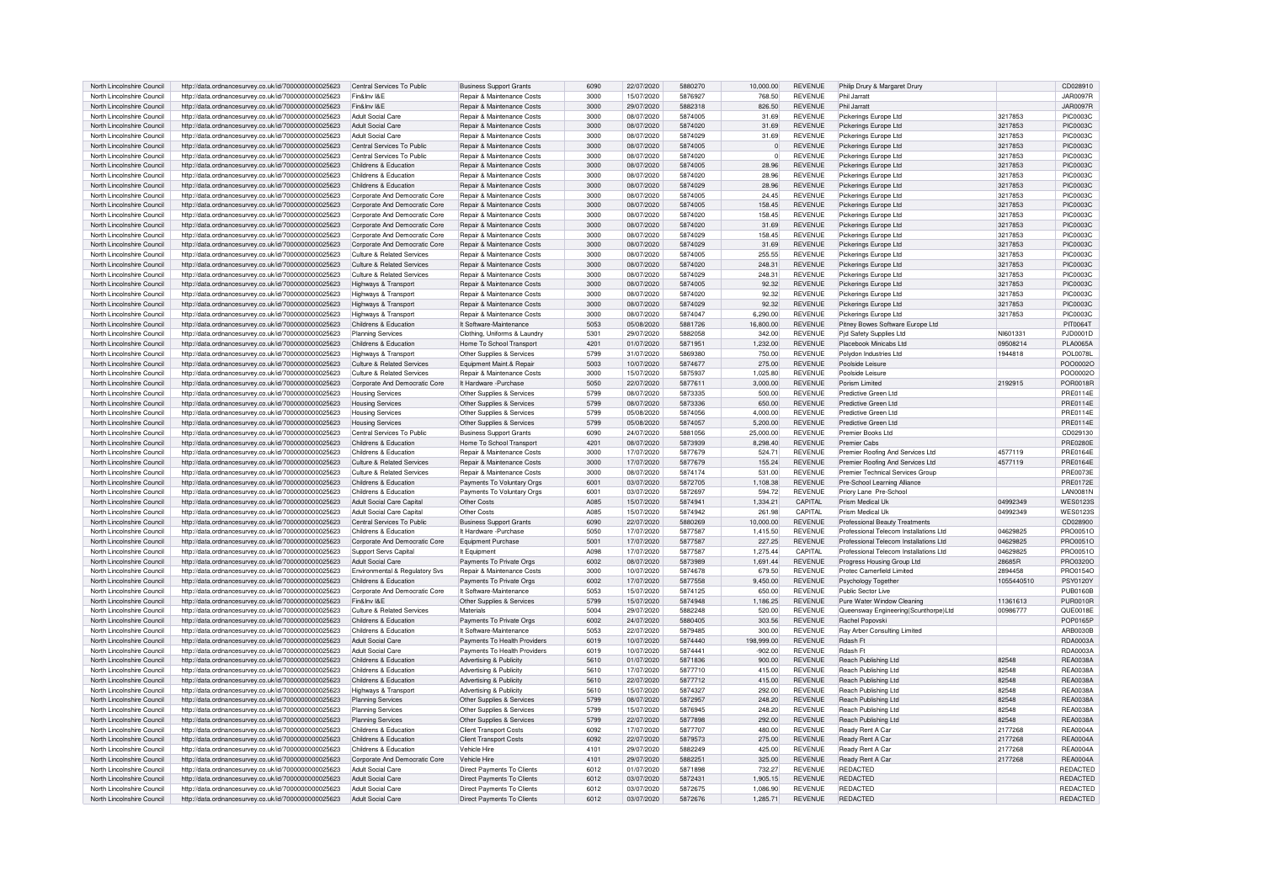| North Lincolnshire Council | http://data.ordnancesurvey.co.uk/id/7000000000025623                                                         | Central Services To Public     | <b>Business Support Grants</b>        | 6090 | 22/07/2020 | 5880270 | 10,000.00      | <b>REVENUE</b> | Philip Drury & Margaret Drury            |            | CD028910         |
|----------------------------|--------------------------------------------------------------------------------------------------------------|--------------------------------|---------------------------------------|------|------------|---------|----------------|----------------|------------------------------------------|------------|------------------|
| North Lincolnshire Council | http://data.ordnancesurvey.co.uk/id/7000000000025623                                                         | Fin&Inv I&F                    | Repair & Maintenance Costs            | 3000 | 15/07/2020 | 5876927 | 768.50         | <b>REVENUE</b> | Phil Jarratt                             |            | <b>JAR0097F</b>  |
| North Lincolnshire Council | http://data.ordnancesurvey.co.uk/id/7000000000025623                                                         | Fin&Inv I&E                    | Repair & Maintenance Costs            | 3000 | 29/07/2020 | 5882318 | 826.50         | <b>REVENUE</b> | Phil Jarratt                             |            | <b>JAR0097R</b>  |
| North Lincolnshire Council | http://data.ordnancesurvey.co.uk/id/7000000000025623                                                         | Adult Social Care              | Repair & Maintenance Costs            | 3000 | 08/07/2020 | 5874005 | 31.69          | <b>REVENUE</b> | Pickerings Europe Ltd                    | 3217853    | <b>PIC0003C</b>  |
| North Lincolnshire Council | http://data.ordnancesurvey.co.uk/id/7000000000025623                                                         | Adult Social Care              | <b>Benair &amp; Maintenance Costs</b> | 3000 | 08/07/2020 | 5874020 | 31.69          | <b>REVENUE</b> | Pickerings Europe Ltd                    | 3217853    | <b>PIC0003C</b>  |
| North Lincolnshire Council |                                                                                                              | Adult Social Care              | <b>Benair &amp; Maintenance Costs</b> | 3000 | 08/07/2020 | 5874029 | 31.69          | <b>REVENUE</b> | Pickerings Europe Ltd                    | 3217853    | <b>PIC0003C</b>  |
|                            | http://data.ordnancesurvey.co.uk/id/7000000000025623                                                         |                                |                                       |      |            |         |                |                |                                          |            |                  |
| North Lincolnshire Council | http://data.ordnancesurvey.co.uk/id/7000000000025623                                                         | Central Services To Public     | Repair & Maintenance Costs            | 3000 | 08/07/2020 | 5874005 | $\Omega$       | <b>REVENUE</b> | Pickerings Europe Ltd                    | 3217853    | <b>PIC0003C</b>  |
| North Lincolnshire Council | http://data.ordnancesurvey.co.uk/id/7000000000025623                                                         | Central Services To Public     | Repair & Maintenance Costs            | 3000 | 08/07/2020 | 5874020 | $\overline{0}$ | <b>REVENUE</b> | Pickerings Europe Ltd                    | 3217853    | <b>PIC0003C</b>  |
| North Lincolnshire Council | http://data.ordnancesurvey.co.uk/id/7000000000025623                                                         | Childrens & Education          | Repair & Maintenance Costs            | 3000 | 08/07/2020 | 5874005 | 28.96          | <b>REVENUE</b> | Pickerings Europe Ltd                    | 3217853    | <b>PIC0003C</b>  |
| North Lincolnshire Council | http://data.ordnancesurvey.co.uk/id/7000000000025623                                                         | Childrens & Education          | Repair & Maintenance Costs            | 3000 | 08/07/2020 | 5874020 | 28.96          | <b>REVENUE</b> | Pickerings Europe Ltd                    | 3217853    | <b>PIC0003C</b>  |
| North Lincolnshire Council | http://data.ordnancesurvey.co.uk/id/7000000000025623                                                         | Childrens & Education          | Repair & Maintenance Costs            | 3000 | 08/07/2020 | 5874029 | 28.96          | REVENUE        | Pickerings Europe Ltd                    | 3217853    | PIC0003C         |
| North Lincolnshire Council | http://data.ordnancesurvey.co.uk/id/7000000000025623                                                         | Corporate And Democratic Core  | Repair & Maintenance Costs            | 3000 | 08/07/2020 | 5874005 | 24.45          | <b>REVENUE</b> | Pickerings Europe Ltd                    | 3217853    | <b>PIC0003C</b>  |
| North Lincolnshire Council | http://data.ordnancesurvey.co.uk/id/7000000000025623                                                         | Corporate And Democratic Core  | Repair & Maintenance Costs            | 3000 | 08/07/2020 | 5874005 | 158.45         | <b>REVENUE</b> | Pickerings Europe Ltd                    | 3217853    | PIC0003C         |
| North Lincolnshire Council | http://data.ordnancesurvey.co.uk/id/7000000000025623                                                         | Corporate And Democratic Core  | Repair & Maintenance Costs            | 3000 | 08/07/2020 | 5874020 | 158.45         | <b>REVENUE</b> | Pickerings Europe Ltd                    | 3217853    | PIC0003C         |
| North Lincolnshire Council | http://data.ordnancesurvey.co.uk/id/7000000000025623                                                         | Corporate And Democratic Core  | Repair & Maintenance Costs            | 3000 | 08/07/2020 | 5874020 | 31.69          | REVENUE        | Pickerings Europe Ltd                    | 3217853    | <b>PIC0003C</b>  |
| North Lincolnshire Council | http://data.ordnancesurvey.co.uk/id/7000000000025623                                                         | Corporate And Democratic Core  | Repair & Maintenance Costs            | 3000 | 08/07/2020 | 5874029 | 158.45         | <b>REVENUE</b> | Pickerings Europe Ltd                    | 3217853    | <b>PIC0003C</b>  |
| North Lincolnshire Council | http://data.ordnancesurvey.co.uk/id/7000000000025623                                                         | Corporate And Democratic Core  | <b>Benair &amp; Maintenance Costs</b> | 3000 | 08/07/2020 | 5874029 | 31.69          | <b>REVENUE</b> |                                          | 3217853    | <b>PIC0003C</b>  |
|                            |                                                                                                              |                                |                                       |      |            |         |                |                | Pickerings Europe Ltd                    |            |                  |
| North Lincolnshire Council | http://data.ordnancesurvey.co.uk/id/7000000000025623                                                         | Culture & Related Services     | Repair & Maintenance Costs            | 3000 | 08/07/2020 | 5874005 | 255.55         | <b>REVENUE</b> | Pickerings Europe Ltd                    | 3217853    | <b>PIC0003C</b>  |
| North Lincolnshire Council | http://data.ordnancesurvey.co.uk/id/7000000000025623                                                         | Culture & Related Services     | Repair & Maintenance Costs            | 3000 | 08/07/2020 | 5874020 | 248.31         | <b>REVENUE</b> | Pickerings Europe Ltd                    | 3217853    | <b>PIC0003C</b>  |
| North Lincolnshire Council | http://data.ordnancesurvey.co.uk/id/7000000000025623                                                         | Culture & Related Services     | Repair & Maintenance Costs            | 3000 | 08/07/2020 | 5874029 | 248.31         | <b>REVENUE</b> | Pickerings Europe Ltd                    | 3217853    | <b>PIC0003C</b>  |
| North Lincolnshire Council | http://data.ordnancesurvey.co.uk/id/7000000000025623                                                         | Highways & Transport           | Repair & Maintenance Costs            | 3000 | 08/07/2020 | 5874005 | 92.32          | REVENUE        | Pickerings Europe Ltd                    | 3217853    | <b>PIC0003C</b>  |
| North Lincolnshire Council | http://data.ordnancesurvey.co.uk/id/7000000000025623                                                         | Highways & Transpor            | Repair & Maintenance Costs            | 3000 | 08/07/2020 | 5874020 | 92.32          | <b>REVENUE</b> | Pickerings Europe Ltd                    | 3217853    | <b>PIC0003C</b>  |
| North Lincolnshire Council | http://data.ordnancesurvey.co.uk/id/7000000000025623                                                         | Highways & Transport           | Repair & Maintenance Costs            | 3000 | 08/07/2020 | 5874029 | 92.32          | REVENUE        | Pickerings Europe Ltd                    | 3217853    | <b>PIC0003C</b>  |
| North Lincolnshire Council | http://data.ordnancesurvey.co.uk/id/7000000000025623                                                         | Highways & Transport           | Repair & Maintenance Costs            | 3000 | 08/07/2020 | 5874047 | 6.290.00       | <b>REVENUE</b> | Pickerings Europe Ltd                    | 3217853    | <b>PIC0003C</b>  |
| North Lincolnshire Council | http://data.ordnancesurvey.co.uk/id/7000000000025623                                                         | Childrens & Education          | It Software-Maintenance               | 5053 | 05/08/2020 | 5881726 | 16,800.00      | <b>REVENUE</b> | Pitney Bowes Software Europe Ltd         |            | <b>PIT0064T</b>  |
| North Lincolnshire Council | http://data.ordnancesurvey.co.uk/id/7000000000025623                                                         | Planning Services              | Clothing, Uniforms & Laundry          | 5301 | 29/07/2020 | 5882058 | 342.00         | <b>REVENUE</b> | Pid Safety Supplies Ltd                  | NI601331   | PJD0001D         |
| North Lincolnshire Council | http://data.ordnancesurvey.co.uk/id/7000000000025623                                                         | Childrens & Education          | Home To School Transport              | 4201 | 01/07/2020 | 5871951 | 1,232.00       | REVENUE        | Placebook Minicabs Ltd                   | 09508214   | <b>PLA0065A</b>  |
| North Lincolnshire Council |                                                                                                              |                                |                                       | 5799 | 31/07/2020 | 5869380 | 750.00         | <b>REVENUE</b> | Polydon Industries Ltd                   |            | <b>POI 0078L</b> |
|                            | http://data.ordnancesurvey.co.uk/id/7000000000025623                                                         | Highways & Transport           | Other Supplies & Services             |      |            |         |                |                |                                          | 1944818    |                  |
| North Lincolnshire Council | http://data.ordnancesurvey.co.uk/id/7000000000025623                                                         | Culture & Related Services     | Equipment Maint.& Repair              | 5003 | 10/07/2020 | 5874677 | 275.00         | <b>REVENUE</b> | Poolside Leisure                         |            | POO0002O         |
| North Lincolnshire Council | http://data.ordnancesurvey.co.uk/id/7000000000025623                                                         | Culture & Related Services     | Repair & Maintenance Costs            | 3000 | 15/07/2020 | 5875937 | 1.025.80       | <b>REVENUE</b> | Poolside Leisure                         |            | POO0002O         |
| North Lincolnshire Council | http://data.ordnancesurvey.co.uk/id/7000000000025623                                                         | Corporate And Democratic Core  | It Hardware - Purchase                | 5050 | 22/07/2020 | 5877611 | 3,000.00       | <b>REVENUE</b> | Porism Limited                           | 2192915    | POR0018R         |
| North Lincolnshire Council | http://data.ordnancesurvey.co.uk/id/7000000000025623                                                         | <b>Housing Services</b>        | Other Supplies & Services             | 5799 | 08/07/2020 | 5873335 | 500.00         | <b>REVENUE</b> | Predictive Green Ltd                     |            | PRE0114E         |
| North Lincolnshire Council | http://data.ordnancesurvey.co.uk/id/7000000000025623                                                         | <b>Housing Services</b>        | Other Supplies & Services             | 5799 | 08/07/2020 | 5873336 | 650.00         | <b>REVENUE</b> | Predictive Green Ltd                     |            | PRE0114E         |
| North Lincolnshire Council | http://data.ordnancesurvey.co.uk/id/7000000000025623                                                         | <b>Housing Services</b>        | Other Supplies & Services             | 5799 | 05/08/2020 | 5874056 | 4,000.00       | <b>REVENUE</b> | Predictive Green Ltd                     |            | <b>PRE0114E</b>  |
| North Lincolnshire Council | http://data.ordnancesurvey.co.uk/id/7000000000025623                                                         | <b>Housing Services</b>        | Other Supplies & Services             | 5799 | 05/08/2020 | 5874057 | 5.200.00       | <b>REVENUE</b> | Predictive Green Ltd                     |            | <b>PRE0114E</b>  |
| North Lincolnshire Council | http://data.ordnancesurvey.co.uk/id/7000000000025623                                                         | Central Services To Public     | <b>Business Support Grants</b>        | 6090 | 24/07/2020 | 5881056 | 25.000.00      | <b>REVENUE</b> | Premier Books Ltd                        |            | CD029130         |
| North Lincolnshire Council | http://data.ordnancesurvey.co.uk/id/7000000000025623                                                         | Childrens & Education          | Home To School Transport              | 4201 | 08/07/2020 | 5873939 | 8,298.40       | <b>REVENUE</b> | Premier Cabs                             |            | PRF0280F         |
| North Lincolnshire Council | http://data.ordnancesurvey.co.uk/id/7000000000025623                                                         | Childrens & Education          | Repair & Maintenance Costs            | 3000 | 17/07/2020 | 5877679 | 524.71         | <b>REVENUE</b> | Premier Roofing And Services Ltd         | 4577119    | <b>PRE0164E</b>  |
| North Lincolnshire Council | http://data.ordnancesurvey.co.uk/id/7000000000025623                                                         | Culture & Related Services     | Repair & Maintenance Costs            | 3000 | 17/07/2020 | 5877679 | 155.24         | <b>REVENUE</b> | Premier Roofing And Services Ltd         | 4577119    | <b>PRE0164E</b>  |
|                            |                                                                                                              |                                |                                       |      |            |         |                |                |                                          |            |                  |
| North Lincolnshire Council | http://data.ordnancesurvey.co.uk/id/7000000000025623                                                         | Culture & Related Services     | <b>Benair &amp; Maintenance Costs</b> | 3000 | 08/07/2020 | 5874174 | 531.00         | <b>REVENUE</b> | Premier Technical Services Group         |            | PRE0073E         |
| North Lincolnshire Council | http://data.ordnancesurvey.co.uk/id/7000000000025623                                                         | Childrens & Education          | Payments To Voluntary Orgs            | 6001 | 03/07/2020 | 5872705 | 1,108.38       | <b>REVENUE</b> | Pre-School Learning Alliance             |            | <b>PRE0172E</b>  |
| North Lincolnshire Council | http://data.ordnancesurvey.co.uk/id/7000000000025623                                                         | Childrens & Education          | Payments To Voluntary Orgs            | 6001 | 03/07/2020 | 5872697 | 594.72         | <b>REVENUE</b> | Priory Lane Pre-School                   |            | LAN0081N         |
| North Lincolnshire Council | http://data.ordnancesurvey.co.uk/id/7000000000025623                                                         | Adult Social Care Capita       | Other Costs                           | A085 | 15/07/2020 | 5874941 | 1,334.21       | CAPITAL        | Prism Medical Uk                         | 04992349   | <b>WES0123S</b>  |
| North Lincolnshire Council | http://data.ordnancesurvey.co.uk/id/7000000000025623                                                         | Adult Social Care Capita       | Other Costs                           | A085 | 15/07/2020 | 5874942 | 261.98         | <b>CAPITAL</b> | Prism Medical Uk                         | 04992349   | <b>WES0123S</b>  |
| North Lincolnshire Council | http://data.ordnancesurvey.co.uk/id/7000000000025623                                                         | Central Services To Public     | <b>Business Support Grants</b>        | 6090 | 22/07/2020 | 5880269 | 10,000.00      | <b>REVENUE</b> | Professional Beauty Treatments           |            | CD028900         |
| North Lincolnshire Council | http://data.ordnancesurvey.co.uk/id/7000000000025623                                                         | Childrens & Education          | It Hardware - Purchase                | 5050 | 17/07/2020 | 5877587 | 1,415.50       | <b>REVENUE</b> | Professional Telecom Installations Ltd   | 04629825   | PRO0051C         |
| North Lincolnshire Council | http://data.ordnancesurvey.co.uk/id/7000000000025623                                                         | Corporate And Democratic Core  | Equipment Purchase                    | 5001 | 17/07/2020 | 5877587 | 227.25         | <b>REVENUE</b> | Professional Telecom Installations Ltd   | 04629825   | PRO0051C         |
| North Lincolnshire Council | http://data.ordnancesurvey.co.uk/id/7000000000025623                                                         | <b>Support Servs Capital</b>   | It Equipment                          | A098 | 17/07/2020 | 5877587 | 1,275.44       | CAPITAL        | Professional Telecom Installations Ltd   | 04629825   | PRO0051C         |
| North Lincolnshire Council | http://data.ordnancesurvey.co.uk/id/7000000000025623                                                         | Adult Social Care              | Payments To Private Orgs              | 6002 | 08/07/2020 | 5873989 | 1,691.44       | <b>REVENUE</b> | Progress Housing Group Ltd               | 28685B     | PRO0320C         |
| North Lincolnshire Council | http://data.ordnancesurvey.co.uk/id/7000000000025623                                                         | Environmental & Regulatory Svs | Repair & Maintenance Costs            | 3000 | 10/07/2020 | 5874678 | 679.50         | <b>REVENUE</b> | Protec Camerfield Limited                | 2894458    | PRO0154C         |
| North Lincolnshire Council |                                                                                                              | Childrens & Education          | Payments To Private Orgs              | 6002 | 17/07/2020 | 5877558 | 9.450.00       | <b>REVENUE</b> |                                          |            | <b>PSY0120Y</b>  |
| North Lincolnshire Council | http://data.ordnancesurvey.co.uk/id/7000000000025623<br>http://data.ordnancesurvey.co.uk/id/7000000000025623 | Corporate And Democratic Core  | It Software-Maintenance               | 5053 | 15/07/2020 | 5874125 | 650.00         | <b>REVENUE</b> | Psychology Togethe<br>Public Sector Live | 1055440510 | <b>PUB0160B</b>  |
|                            |                                                                                                              |                                |                                       |      |            |         |                |                |                                          |            |                  |
| North Lincolnshire Council | http://data.ordnancesurvey.co.uk/id/7000000000025623                                                         | Fin&Inv I&F                    | Other Supplies & Services             | 5799 | 15/07/2020 | 5874948 | 1.186.25       | REVENUE        | Pure Water Window Cleaning               | 11361613   | <b>PUR0010R</b>  |
| North Lincolnshire Council | http://data.ordnancesurvey.co.uk/id/7000000000025623                                                         | Culture & Related Services     | Materials                             | 5004 | 29/07/2020 | 5882248 | 520.00         | <b>REVENUE</b> | Queensway Engineering(Scunthorpe)Ltd     | 00986777   | QUE0018E         |
| North Lincolnshire Council | http://data.ordnancesurvey.co.uk/id/7000000000025623                                                         | Childrens & Education          | Payments To Private Orgs              | 6002 | 24/07/2020 | 5880405 | 303.56         | <b>REVENUE</b> | Rachel Popovski                          |            | POP0165P         |
| North Lincolnshire Council | http://data.ordnancesurvey.co.uk/id/7000000000025623                                                         | Childrens & Education          | It Software-Maintenance               | 5053 | 22/07/2020 | 5879485 | 300.00         | REVENUE        | Ray Arber Consulting Limited             |            | ARB0030F         |
| North Lincolnshire Council | http://data.ordnancesurvey.co.uk/id/7000000000025623                                                         | <b>Adult Social Care</b>       | Payments To Health Providers          | 6019 | 10/07/2020 | 5874440 | 198,999.00     | <b>REVENUE</b> | Rdash Ft                                 |            | RDA0003/         |
| North Lincolnshire Council | http://data.ordnancesurvey.co.uk/id/7000000000025623                                                         | <b>Adult Social Care</b>       | Payments To Health Providers          | 6019 | 10/07/2020 | 5874441 | 902.00         | <b>REVENUE</b> | Rdash Ft                                 |            | RDA0003A         |
| North Lincolnshire Council | http://data.ordnancesurvey.co.uk/id/7000000000025623                                                         | Childrens & Education          | Advertising & Publicity               | 5610 | 01/07/2020 | 5871836 | 900.00         | <b>REVENUE</b> | Reach Publishing Ltd                     | 82548      | REA0038A         |
| North Lincolnshire Council | http://data.ordnancesurvey.co.uk/id/7000000000025623                                                         | Childrens & Education          | Advertising & Publicity               | 5610 | 17/07/2020 | 5877710 | 415.00         | <b>REVENUE</b> | Reach Publishing Ltd                     | 82548      | <b>REA0038A</b>  |
| North Lincolnshire Council | http://data.ordnancesurvey.co.uk/id/7000000000025623                                                         | Childrens & Education          | Advertising & Publicity               | 5610 | 22/07/2020 | 5877712 | 415.00         | <b>REVENUE</b> | Reach Publishing Ltd                     | 82548      | <b>REA0038A</b>  |
| North Lincolnshire Council | http://data.ordnancesurvey.co.uk/id/7000000000025623                                                         | Highways & Transport           | Advertising & Publicity               | 5610 | 15/07/2020 | 5874327 | 292.00         | <b>REVENUE</b> | Reach Publishing Ltd                     | 82548      | <b>REA0038A</b>  |
| North Lincolnshire Council | http://data.ordnancesurvey.co.uk/id/7000000000025623                                                         | Planning Services              | Other Supplies & Services             | 5799 | 08/07/2020 | 5872957 | 248.20         | <b>REVENUE</b> | Reach Publishing Ltd                     | 82548      | <b>REA0038A</b>  |
|                            |                                                                                                              |                                |                                       |      |            | 5876945 |                |                |                                          |            |                  |
| North Lincolnshire Council | http://data.ordnancesurvey.co.uk/id/7000000000025623                                                         | Planning Services              | Other Supplies & Services             | 5799 | 15/07/2020 |         | 248.20         | <b>REVENUE</b> | Reach Publishing Ltd                     | 82548      | <b>REA0038A</b>  |
| North Lincolnshire Council | http://data.ordnancesurvey.co.uk/id/7000000000025623                                                         | Planning Services              | Other Supplies & Services             | 5799 | 22/07/2020 | 5877898 | 292.00         | <b>REVENUE</b> | Reach Publishing Ltd                     | 82548      | <b>REA0038A</b>  |
| North Lincolnshire Council | http://data.ordnancesurvey.co.uk/id/7000000000025623                                                         | Childrens & Education          | <b>Client Transport Costs</b>         | 6092 | 17/07/2020 | 5877707 | 480.00         | <b>REVENUE</b> | Ready Rent A Car                         | 2177268    | <b>REA0004A</b>  |
| North Lincolnshire Council | http://data.ordnancesurvey.co.uk/id/7000000000025623                                                         | Childrens & Education          | <b>Client Transport Costs</b>         | 6092 | 22/07/2020 | 5879573 | 275.00         | <b>REVENUE</b> | Ready Rent A Car                         | 2177268    | <b>REA0004A</b>  |
| North Lincolnshire Council | http://data.ordnancesurvey.co.uk/id/7000000000025623                                                         | Childrens & Education          | Vehicle Hire                          | 4101 | 29/07/2020 | 5882249 | 425.00         | <b>REVENUE</b> | Ready Rent A Car                         | 2177268    | <b>REA0004A</b>  |
|                            |                                                                                                              |                                |                                       |      |            |         |                |                |                                          |            |                  |
| North Lincolnshire Council | http://data.ordnancesurvey.co.uk/id/7000000000025623                                                         | Corporate And Democratic Core  | Vehicle Hire                          | 4101 | 29/07/2020 | 5882251 | 325.00         | <b>REVENUE</b> | Ready Rent A Car                         | 2177268    | <b>REA0004A</b>  |
| North Lincolnshire Council | http://data.ordnancesurvey.co.uk/id/7000000000025623                                                         | Adult Social Care              | Direct Payments To Clients            | 6012 | 01/07/2020 | 5871898 | 732.27         | REVENUE        | REDACTED                                 |            | REDACTED         |
| North Lincolnshire Council | http://data.ordnancesurvey.co.uk/id/7000000000025623                                                         | Adult Social Care              | Direct Payments To Clients            | 6012 | 03/07/2020 | 5872431 | 1.905.15       | <b>REVENUE</b> | <b>REDACTED</b>                          |            | <b>REDACTED</b>  |
| North Lincolnshire Council |                                                                                                              | Adult Social Care              | Direct Payments To Clients            | 6012 | 03/07/2020 | 5872675 | 1.086.90       | <b>REVENUE</b> | REDACTED                                 |            | REDACTED         |
| North Lincolnshire Council | http://data.ordnancesurvey.co.uk/id/7000000000025623<br>http://data.ordnancesurvey.co.uk/id/7000000000025623 | Adult Social Care              | Direct Payments To Clients            | 6012 | 03/07/2020 | 5872676 | 1,285.71       | <b>REVENUE</b> | <b>REDACTED</b>                          |            | <b>REDACTED</b>  |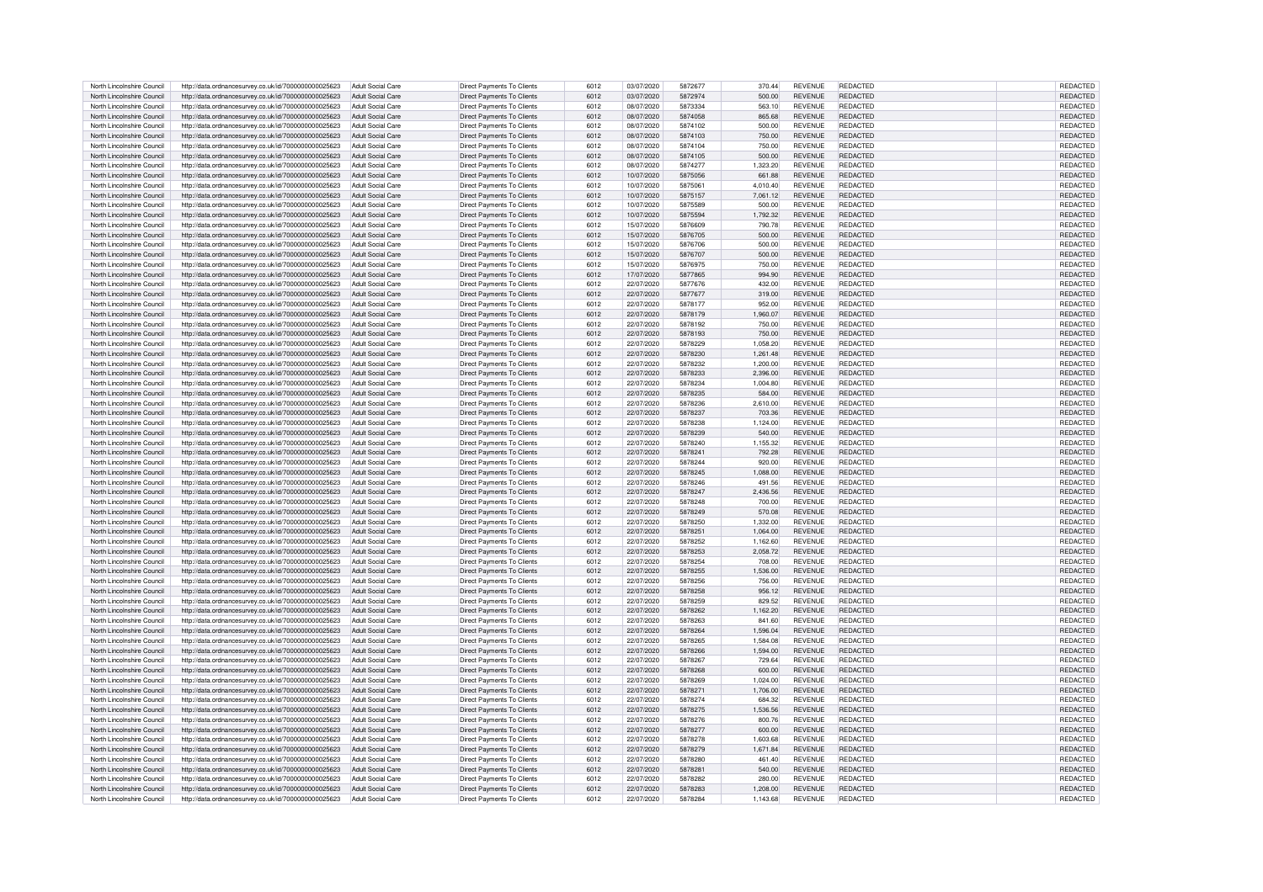| North Lincolnshire Council | http://data.ordnancesurvey.co.uk/id/7000000000025623 | Adult Social Care        | Direct Payments To Clients        | 6012 | 03/07/2020 | 5872677 | 370.44   | <b>REVENUE</b> | REDACTED        | REDACTED        |
|----------------------------|------------------------------------------------------|--------------------------|-----------------------------------|------|------------|---------|----------|----------------|-----------------|-----------------|
|                            |                                                      |                          |                                   |      |            |         |          |                |                 |                 |
| North Lincolnshire Council | http://data.ordnancesurvey.co.uk/id/7000000000025623 | Adult Social Care        | Direct Payments To Clients        | 6012 | 03/07/2020 | 5872974 | 500.00   | <b>REVENUE</b> | <b>REDACTED</b> | REDACTED        |
| North Lincolnshire Council | http://data.ordnancesurvey.co.uk/id/7000000000025623 | Adult Social Care        | Direct Payments To Clients        | 6012 | 08/07/2020 | 5873334 | 563.10   | <b>REVENUE</b> | REDACTED        | REDACTED        |
| North Lincolnshire Council | http://data.ordnancesurvey.co.uk/id/7000000000025623 | Adult Social Care        | Direct Payments To Clients        | 6012 | 08/07/2020 | 5874058 | 865.68   | <b>REVENUE</b> | REDACTED        | REDACTED        |
| North Lincolnshire Council | http://data.ordnancesurvey.co.uk/id/7000000000025623 | Adult Social Care        | Direct Payments To Clients        | 6012 | 08/07/2020 | 5874102 | 500.00   | <b>REVENUE</b> | <b>REDACTED</b> | REDACTED        |
| North Lincolnshire Council | http://data.ordnancesurvey.co.uk/id/7000000000025623 | Adult Social Care        | Direct Payments To Clients        | 6012 | 08/07/2020 | 5874103 | 750.00   | <b>REVENUE</b> | <b>REDACTED</b> | REDACTED        |
|                            |                                                      |                          |                                   |      |            |         |          |                |                 |                 |
| North Lincolnshire Council | http://data.ordnancesurvey.co.uk/id/7000000000025623 | Adult Social Care        | Direct Payments To Clients        | 6012 | 08/07/2020 | 5874104 | 750.00   | <b>REVENUE</b> | <b>REDACTED</b> | <b>REDACTED</b> |
| North Lincolnshire Council | http://data.ordnancesurvey.co.uk/id/7000000000025623 | <b>Adult Social Care</b> | Direct Payments To Clients        | 6012 | 08/07/2020 | 5874105 | 500.00   | <b>REVENUE</b> | <b>REDACTED</b> | REDACTED        |
| North Lincolnshire Council | http://data.ordnancesurvey.co.uk/id/7000000000025623 | Adult Social Care        | <b>Direct Payments To Clients</b> | 6012 | 08/07/2020 | 5874277 | 1,323.20 | <b>REVENUE</b> | REDACTED        | REDACTED        |
|                            |                                                      |                          |                                   |      |            |         |          |                |                 |                 |
| North Lincolnshire Council | http://data.ordnancesurvey.co.uk/id/7000000000025623 | Adult Social Care        | Direct Payments To Clients        | 6012 | 10/07/2020 | 5875056 | 661.88   | <b>REVENUE</b> | REDACTED        | REDACTED        |
| North Lincolnshire Council | http://data.ordnancesurvey.co.uk/id/7000000000025623 | Adult Social Care        | Direct Payments To Clients        | 6012 | 10/07/2020 | 5875061 | 4,010.40 | REVENUE        | <b>REDACTED</b> | REDACTED        |
| North Lincolnshire Council | http://data.ordnancesurvey.co.uk/id/7000000000025623 | <b>Adult Social Care</b> | Direct Payments To Clients        | 6012 | 10/07/2020 | 5875157 | 7.061.12 | <b>REVENUE</b> | REDACTED        | REDACTED        |
| North Lincolnshire Council | http://data.ordnancesurvey.co.uk/id/7000000000025623 | Adult Social Care        | Direct Payments To Clients        | 6012 | 10/07/2020 | 5875589 | 500.00   | <b>REVENUE</b> | <b>REDACTED</b> | REDACTED        |
| North Lincolnshire Council | http://data.ordnancesurvey.co.uk/id/7000000000025623 | Adult Social Care        | Direct Payments To Clients        | 6012 | 10/07/2020 | 5875594 | 1,792.32 | <b>REVENUE</b> | <b>REDACTED</b> | REDACTED        |
|                            |                                                      |                          |                                   |      |            |         |          |                |                 |                 |
| North Lincolnshire Council | http://data.ordnancesurvey.co.uk/id/7000000000025623 | Adult Social Care        | Direct Payments To Clients        | 6012 | 15/07/2020 | 5876609 | 790.78   | <b>REVENUE</b> | REDACTED        | REDACTED        |
| North Lincolnshire Council | http://data.ordnancesurvey.co.uk/id/7000000000025623 | Adult Social Care        | Direct Payments To Clients        | 6012 | 15/07/2020 | 5876705 | 500.00   | <b>REVENUE</b> | REDACTED        | REDACTED        |
| North Lincolnshire Council | http://data.ordnancesurvey.co.uk/id/7000000000025623 | Adult Social Care        | Direct Payments To Clients        | 6012 | 15/07/2020 | 5876706 | 500.00   | <b>REVENUE</b> | REDACTED        | REDACTED        |
| North Lincolnshire Council | http://data.ordnancesurvey.co.uk/id/7000000000025623 | Adult Social Care        | Direct Payments To Clients        | 6012 | 15/07/2020 | 5876707 | 500.00   | <b>REVENUE</b> | <b>REDACTED</b> | REDACTED        |
|                            |                                                      |                          |                                   |      | 15/07/2020 | 5876975 |          | <b>REVENUE</b> | <b>REDACTED</b> |                 |
| North Lincolnshire Council | http://data.ordnancesurvey.co.uk/id/7000000000025623 | Adult Social Care        | Direct Payments To Clients        | 6012 |            |         | 750.00   |                |                 | REDACTED        |
| North Lincolnshire Council | http://data.ordnancesurvey.co.uk/id/7000000000025623 | Adult Social Care        | Direct Payments To Clients        | 6012 | 17/07/2020 | 5877865 | 994.90   | <b>REVENUE</b> | <b>REDACTED</b> | REDACTED        |
| North Lincolnshire Council | http://data.ordnancesurvey.co.uk/id/7000000000025623 | Adult Social Care        | Direct Payments To Clients        | 6012 | 22/07/2020 | 5877676 | 432.00   | <b>REVENUE</b> | REDACTED        | REDACTED        |
| North Lincolnshire Council | http://data.ordnancesurvey.co.uk/id/7000000000025623 | Adult Social Care        | <b>Direct Payments To Clients</b> | 6012 | 22/07/2020 | 5877677 | 319.00   | <b>REVENUE</b> | REDACTED        | REDACTED        |
|                            |                                                      |                          |                                   |      |            |         |          |                |                 |                 |
| North Lincolnshire Council | http://data.ordnancesurvey.co.uk/id/7000000000025623 | Adult Social Care        | Direct Payments To Clients        | 6012 | 22/07/2020 | 5878177 | 952.00   | <b>REVENUE</b> | REDACTED        | REDACTED        |
| North Lincolnshire Council | http://data.ordnancesurvey.co.uk/id/7000000000025623 | Adult Social Care        | Direct Payments To Clients        | 6012 | 22/07/2020 | 5878179 | 1.960.07 | <b>REVENUE</b> | REDACTED        | REDACTED        |
| North Lincolnshire Council | http://data.ordnancesurvey.co.uk/id/7000000000025623 | Adult Social Care        | Direct Payments To Clients        | 6012 | 22/07/2020 | 5878192 | 750.00   | <b>REVENUE</b> | <b>REDACTED</b> | REDACTED        |
| North Lincolnshire Council | http://data.ordnancesurvey.co.uk/id/7000000000025623 | Adult Social Care        | Direct Payments To Clients        | 6012 | 22/07/2020 | 5878193 | 750.00   | <b>REVENUE</b> | REDACTED        | REDACTED        |
| North Lincolnshire Council | http://data.ordnancesurvey.co.uk/id/7000000000025623 | Adult Social Care        | Direct Payments To Clients        | 6012 | 22/07/2020 | 5878229 | 1,058.20 | <b>REVENUE</b> | REDACTED        | REDACTED        |
|                            |                                                      |                          |                                   |      |            |         |          |                |                 |                 |
| North Lincolnshire Council | http://data.ordnancesurvey.co.uk/id/7000000000025623 | Adult Social Care        | Direct Payments To Clients        | 6012 | 22/07/2020 | 5878230 | 1,261.48 | <b>REVENUE</b> | REDACTED        | REDACTED        |
| North Lincolnshire Council | http://data.ordnancesurvey.co.uk/id/7000000000025623 | Adult Social Care        | Direct Payments To Clients        | 6012 | 22/07/2020 | 5878232 | 1.200.00 | <b>REVENUE</b> | REDACTED        | REDACTED        |
| North Lincolnshire Council | http://data.ordnancesurvey.co.uk/id/7000000000025623 | Adult Social Care        | Direct Payments To Clients        | 6012 | 22/07/2020 | 5878233 | 2,396.00 | <b>REVENUE</b> | <b>REDACTED</b> | REDACTED        |
| North Lincolnshire Council |                                                      | Adult Social Care        |                                   | 6012 | 22/07/2020 | 5878234 | 1.004.80 | <b>REVENUE</b> | <b>REDACTED</b> | REDACTED        |
|                            | http://data.ordnancesurvey.co.uk/id/7000000000025623 |                          | Direct Payments To Clients        |      |            |         |          |                |                 |                 |
| North Lincolnshire Council | http://data.ordnancesurvey.co.uk/id/7000000000025623 | Adult Social Care        | Direct Payments To Clients        | 6012 | 22/07/2020 | 5878235 | 584.00   | <b>REVENUE</b> | <b>REDACTED</b> | REDACTED        |
| North Lincolnshire Council | http://data.ordnancesurvey.co.uk/id/7000000000025623 | Adult Social Care        | Direct Payments To Clients        | 6012 | 22/07/2020 | 5878236 | 2,610.00 | <b>REVENUE</b> | REDACTED        | REDACTED        |
| North Lincolnshire Council | http://data.ordnancesurvey.co.uk/id/7000000000025623 | Adult Social Care        | Direct Payments To Clients        | 6012 | 22/07/2020 | 5878237 | 703.36   | REVENUE        | <b>REDACTED</b> | REDACTED        |
| North Lincolnshire Council | http://data.ordnancesurvey.co.uk/id/7000000000025623 | Adult Social Care        | Direct Payments To Clients        | 6012 | 22/07/2020 | 5878238 | 1,124.00 | <b>REVENUE</b> | REDACTED        | REDACTED        |
|                            |                                                      |                          |                                   |      |            |         |          |                |                 |                 |
| North Lincolnshire Council | http://data.ordnancesurvey.co.uk/id/7000000000025623 | Adult Social Care        | Direct Payments To Clients        | 6012 | 22/07/2020 | 5878239 | 540.00   | <b>REVENUE</b> | <b>REDACTED</b> | REDACTED        |
| North Lincolnshire Council | http://data.ordnancesurvey.co.uk/id/7000000000025623 | Adult Social Care        | Direct Payments To Clients        | 6012 | 22/07/2020 | 5878240 | 1,155.32 | <b>REVENUE</b> | <b>REDACTED</b> | REDACTED        |
| North Lincolnshire Council | http://data.ordnancesurvey.co.uk/id/7000000000025623 | Adult Social Care        | Direct Payments To Clients        | 6012 | 22/07/2020 | 5878241 | 792.28   | <b>REVENUE</b> | REDACTED        | REDACTED        |
| North Lincolnshire Council | http://data.ordnancesurvey.co.uk/id/7000000000025623 | Adult Social Care        | Direct Payments To Clients        | 6012 | 22/07/2020 | 5878244 | 920.00   | <b>REVENUE</b> | REDACTED        | REDACTED        |
|                            |                                                      |                          |                                   |      |            |         |          |                |                 |                 |
| North Lincolnshire Council | http://data.ordnancesurvey.co.uk/id/7000000000025623 | Adult Social Care        | <b>Direct Payments To Clients</b> | 6012 | 22/07/2020 | 5878245 | 1.088.00 | <b>REVENUE</b> | REDACTED        | REDACTED        |
| North Lincolnshire Council | http://data.ordnancesurvey.co.uk/id/7000000000025623 | Adult Social Care        | Direct Payments To Clients        | 6012 | 22/07/2020 | 5878246 | 491.56   | <b>REVENUE</b> | REDACTED        | REDACTED        |
| North Lincolnshire Council | http://data.ordnancesurvey.co.uk/id/7000000000025623 | <b>Adult Social Care</b> | Direct Payments To Clients        | 6012 | 22/07/2020 | 5878247 | 2,436.56 | <b>REVENUE</b> | <b>REDACTED</b> | REDACTED        |
| North Lincolnshire Council | http://data.ordnancesurvey.co.uk/id/7000000000025623 | Adult Social Care        | Direct Payments To Clients        | 6012 | 22/07/2020 | 5878248 | 700.00   | <b>REVENUE</b> | REDACTED        | REDACTED        |
|                            |                                                      |                          | Direct Payments To Clients        | 6012 |            | 5878249 | 570.08   | <b>REVENUE</b> |                 | REDACTED        |
| North Lincolnshire Council | http://data.ordnancesurvey.co.uk/id/7000000000025623 | <b>Adult Social Care</b> |                                   |      | 22/07/2020 |         |          |                | REDACTED        |                 |
| North Lincolnshire Council | http://data.ordnancesurvey.co.uk/id/7000000000025623 | Adult Social Care        | Direct Payments To Clients        | 6012 | 22/07/2020 | 5878250 | 1,332.00 | <b>REVENUE</b> | REDACTED        | REDACTED        |
| North Lincolnshire Council | http://data.ordnancesurvey.co.uk/id/7000000000025623 | Adult Social Care        | Direct Payments To Clients        | 6012 | 22/07/2020 | 5878251 | 1.064.00 | <b>REVENUE</b> | REDACTED        | <b>REDACTED</b> |
| North Lincolnshire Council | http://data.ordnancesurvey.co.uk/id/7000000000025623 | Adult Social Care        | Direct Payments To Clients        | 6012 | 22/07/2020 | 5878252 | 1,162.60 | <b>REVENUE</b> | REDACTED        | REDACTED        |
| North Lincolnshire Council |                                                      | Adult Social Care        |                                   | 6012 |            | 5878253 |          | <b>REVENUE</b> | <b>REDACTED</b> | <b>REDACTEI</b> |
|                            | http://data.ordnancesurvey.co.uk/id/7000000000025623 |                          | <b>Direct Payments To Clients</b> |      | 22/07/2020 |         | 2,058.72 |                |                 |                 |
| North Lincolnshire Council | http://data.ordnancesurvey.co.uk/id/7000000000025623 | Adult Social Care        | Direct Payments To Clients        | 6012 | 22/07/2020 | 5878254 | 708.00   | <b>REVENUE</b> | <b>REDACTED</b> | <b>REDACTED</b> |
| North Lincolnshire Council | http://data.ordnancesurvey.co.uk/id/7000000000025623 | Adult Social Care        | Direct Payments To Clients        | 6012 | 22/07/2020 | 5878255 | 1,536.00 | <b>REVENUE</b> | REDACTED        | REDACTED        |
| North Lincolnshire Council | http://data.ordnancesurvey.co.uk/id/7000000000025623 | Adult Social Care        | Direct Payments To Clients        | 6012 | 22/07/2020 | 5878256 | 756.00   | <b>REVENUE</b> | REDACTED        | REDACTED        |
| North Lincolnshire Council | http://data.ordnancesurvey.co.uk/id/7000000000025623 | Adult Social Care        | Direct Payments To Clients        | 6012 | 22/07/2020 | 5878258 | 956.12   | <b>REVENUE</b> | <b>REDACTED</b> | REDACTED        |
| North Lincolnshire Council |                                                      | Adult Social Care        |                                   | 6012 | 22/07/2020 | 5878259 | 829.52   | <b>REVENUE</b> | <b>REDACTED</b> |                 |
|                            | http://data.ordnancesurvey.co.uk/id/7000000000025623 |                          | Direct Payments To Clients        |      |            |         |          |                |                 | REDACTED        |
| North Lincolnshire Council | http://data.ordnancesurvey.co.uk/id/7000000000025623 | Adult Social Care        | Direct Payments To Clients        | 6012 | 22/07/2020 | 5878262 | 1,162.20 | <b>REVENUE</b> | <b>REDACTED</b> | REDACTED        |
| North Lincolnshire Council | http://data.ordnancesurvey.co.uk/id/7000000000025623 | Adult Social Care        | Direct Payments To Clients        | 6012 | 22/07/2020 | 5878263 | 841.60   | <b>REVENUE</b> | <b>REDACTED</b> | <b>REDACTED</b> |
| North Lincolnshire Council | http://data.ordnancesurvey.co.uk/id/7000000000025623 | Adult Social Care        | Direct Payments To Clients        | 6012 | 22/07/2020 | 5878264 | 1,596.04 | <b>REVENUE</b> | <b>REDACTED</b> | REDACTED        |
| North Lincolnshire Council | http://data.ordnancesurvey.co.uk/id/7000000000025623 | Adult Social Care        | Direct Payments To Clients        | 6012 | 22/07/2020 | 5878265 | 1,584.08 | <b>REVENUE</b> | REDACTED        | REDACTED        |
|                            |                                                      |                          |                                   |      |            |         |          |                |                 |                 |
| North Lincolnshire Council | http://data.ordnancesurvey.co.uk/id/7000000000025623 | Adult Social Care        | Direct Payments To Clients        | 6012 | 22/07/2020 | 5878266 | 1,594.00 | <b>REVENUE</b> | REDACTED        | <b>REDACTED</b> |
| North Lincolnshire Council | http://data.ordnancesurvey.co.uk/id/7000000000025623 | Adult Social Care        | Direct Payments To Clients        | 6012 | 22/07/2020 | 5878267 | 729.64   | <b>REVENUE</b> | <b>REDACTED</b> | <b>REDACTED</b> |
| North Lincolnshire Council | http://data.ordnancesurvey.co.uk/id/7000000000025623 | Adult Social Care        | Direct Payments To Clients        | 6012 | 22/07/2020 | 5878268 | 600.00   | <b>REVENUE</b> | <b>REDACTED</b> | <b>REDACTED</b> |
| North Lincolnshire Council | http://data.ordnancesurvey.co.uk/id/7000000000025623 | Adult Social Care        | Direct Payments To Clients        | 6012 | 22/07/2020 | 5878269 | 1,024.00 | <b>REVENUE</b> | <b>REDACTED</b> | REDACTED        |
|                            |                                                      |                          |                                   | 6012 | 22/07/2020 | 587827  |          |                | <b>REDACTED</b> |                 |
| North Lincolnshire Council | http://data.ordnancesurvey.co.uk/id/7000000000025623 | Adult Social Care        | Direct Payments To Clients        |      |            |         | 1,706.00 | <b>REVENUE</b> |                 | <b>REDACTED</b> |
| North Lincolnshire Council | http://data.ordnancesurvey.co.uk/id/7000000000025623 | Adult Social Care        | Direct Payments To Clients        | 6012 | 22/07/2020 | 5878274 | 684.32   | <b>REVENUE</b> | REDACTED        | REDACTED        |
| North Lincolnshire Council | http://data.ordnancesurvey.co.uk/id/7000000000025623 | Adult Social Care        | Direct Payments To Clients        | 6012 | 22/07/2020 | 5878275 | 1,536.56 | <b>REVENUE</b> | REDACTED        | REDACTED        |
| North Lincolnshire Council | http://data.ordnancesurvey.co.uk/id/7000000000025623 | Adult Social Care        | Direct Payments To Clients        | 6012 | 22/07/2020 | 5878276 | 800.76   | <b>REVENUE</b> | <b>REDACTED</b> | REDACTED        |
|                            |                                                      |                          |                                   |      |            | 5878277 |          | <b>REVENUE</b> | REDACTED        |                 |
| North Lincolnshire Council | http://data.ordnancesurvey.co.uk/id/7000000000025623 | <b>Adult Social Care</b> | Direct Payments To Clients        | 6012 | 22/07/2020 |         | 600.00   |                |                 | REDACTED        |
| North Lincolnshire Council | http://data.ordnancesurvey.co.uk/id/7000000000025623 | Adult Social Care        | Direct Payments To Clients        | 6012 | 22/07/2020 | 5878278 | 1,603.68 | <b>REVENUE</b> | <b>REDACTED</b> | REDACTED        |
| North Lincolnshire Council | http://data.ordnancesurvey.co.uk/id/7000000000025623 | Adult Social Care        | Direct Payments To Clients        | 6012 | 22/07/2020 | 5878279 | 1,671.84 | <b>REVENUE</b> | <b>REDACTED</b> | REDACTED        |
| North Lincolnshire Council | http://data.ordnancesurvey.co.uk/id/7000000000025623 | Adult Social Care        | Direct Payments To Clients        | 6012 | 22/07/2020 | 5878280 | 461.40   | <b>REVENUE</b> | REDACTED        | REDACTED        |
| North Lincolnshire Council | http://data.ordnancesurvey.co.uk/id/7000000000025623 | Adult Social Care        | Direct Payments To Clients        | 6012 | 22/07/2020 | 5878281 | 540.00   | <b>REVENUE</b> | REDACTED        | REDACTED        |
|                            |                                                      |                          |                                   |      |            |         |          |                |                 |                 |
| North Lincolnshire Council | http://data.ordnancesurvey.co.uk/id/7000000000025623 | Adult Social Care        | Direct Payments To Clients        | 6012 | 22/07/2020 | 5878282 | 280.00   | <b>REVENUE</b> | <b>REDACTED</b> | REDACTED        |
| North Lincolnshire Council | http://data.ordnancesurvey.co.uk/id/7000000000025623 | Adult Social Care        | Direct Payments To Clients        | 6012 | 22/07/2020 | 5878283 | 1.208.00 | <b>REVENUE</b> | REDACTED        | REDACTED        |
| North Lincolnshire Council | http://data.ordnancesurvey.co.uk/id/7000000000025623 | Adult Social Care        | Direct Payments To Clients        | 6012 | 22/07/2020 | 5878284 | 1.143.68 | <b>REVENUE</b> | <b>REDACTED</b> | REDACTED        |
|                            |                                                      |                          |                                   |      |            |         |          |                |                 |                 |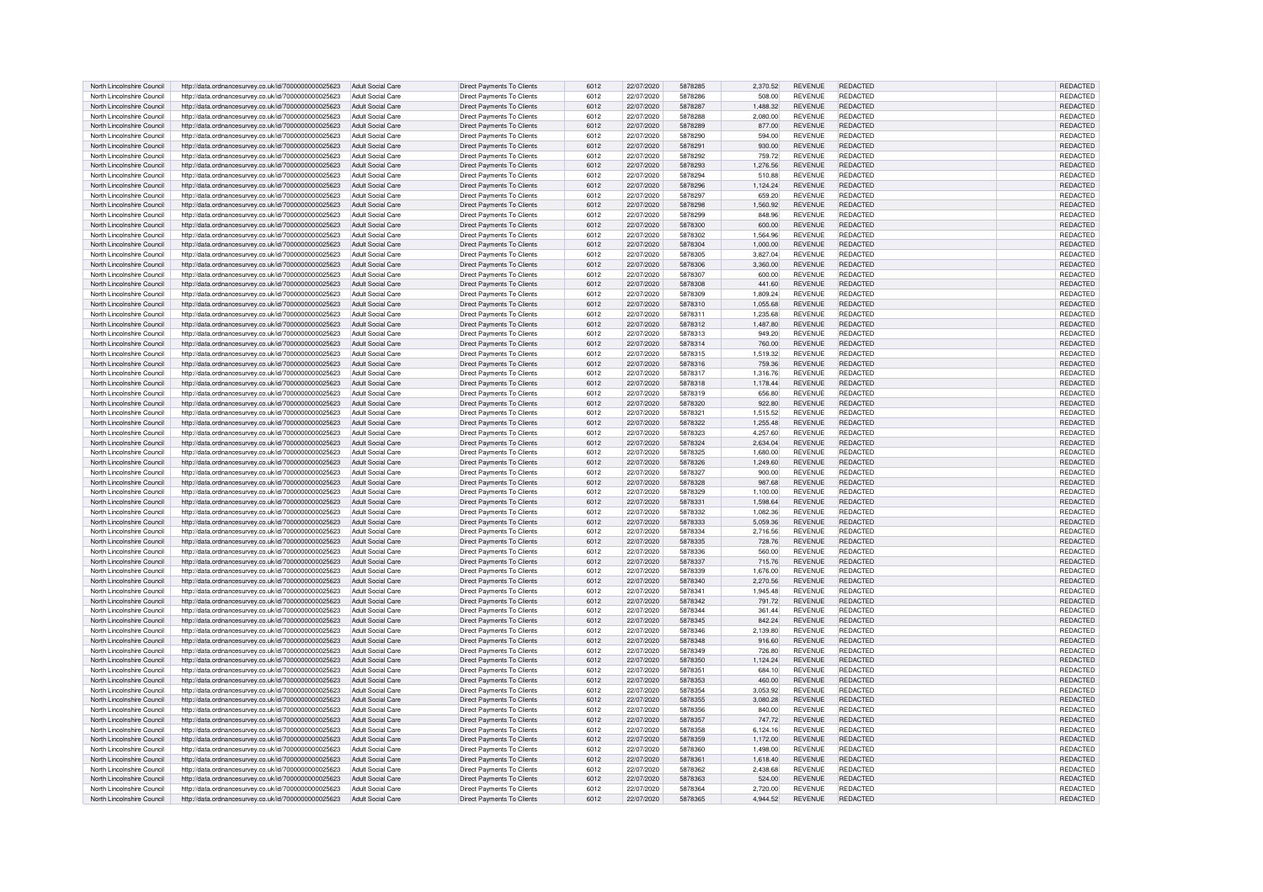| North Lincolnshire Council | http://data.ordnancesurvey.co.uk/id/7000000000025623 | Adult Social Care        | Direct Payments To Clients        | 6012 | 22/07/2020 | 5878285 | 2,370.52 | <b>REVENUE</b> | REDACTED        | REDACTED        |
|----------------------------|------------------------------------------------------|--------------------------|-----------------------------------|------|------------|---------|----------|----------------|-----------------|-----------------|
|                            |                                                      |                          |                                   |      |            |         |          |                |                 |                 |
| North Lincolnshire Council | http://data.ordnancesurvey.co.uk/id/7000000000025623 | Adult Social Care        | Direct Payments To Clients        | 6012 | 22/07/2020 | 5878286 | 508.00   | <b>REVENUE</b> | <b>REDACTED</b> | REDACTED        |
| North Lincolnshire Council | http://data.ordnancesurvey.co.uk/id/7000000000025623 | Adult Social Care        | Direct Payments To Clients        | 6012 | 22/07/2020 | 5878287 | 1.488.32 | <b>REVENUE</b> | <b>REDACTED</b> | REDACTED        |
| North Lincolnshire Council | http://data.ordnancesurvey.co.uk/id/7000000000025623 | Adult Social Care        | Direct Payments To Clients        | 6012 | 22/07/2020 | 5878288 | 2,080.00 | <b>REVENUE</b> | REDACTED        | REDACTED        |
|                            |                                                      |                          |                                   |      |            |         |          |                |                 |                 |
| North Lincolnshire Council | http://data.ordnancesurvey.co.uk/id/7000000000025623 | Adult Social Care        | Direct Payments To Clients        | 6012 | 22/07/2020 | 5878289 | 877.00   | <b>REVENUE</b> | REDACTED        | REDACTED        |
| North Lincolnshire Council | http://data.ordnancesurvey.co.uk/id/7000000000025623 | Adult Social Care        | Direct Payments To Clients        | 6012 | 22/07/2020 | 5878290 | 594.00   | <b>REVENUE</b> | <b>REDACTED</b> | REDACTED        |
| North Lincolnshire Council | http://data.ordnancesurvey.co.uk/id/7000000000025623 | Adult Social Care        | <b>Direct Payments To Clients</b> | 6012 | 22/07/2020 | 5878291 | 930.00   | <b>REVENUE</b> | <b>REDACTED</b> | REDACTED        |
|                            |                                                      |                          |                                   |      |            |         |          |                |                 |                 |
| North Lincolnshire Council | http://data.ordnancesurvey.co.uk/id/7000000000025623 | Adult Social Care        | Direct Payments To Clients        | 6012 | 22/07/2020 | 5878292 | 759.72   | <b>REVENUE</b> | REDACTED        | <b>REDACTED</b> |
| North Lincolnshire Council | http://data.ordnancesurvey.co.uk/id/7000000000025623 | <b>Adult Social Care</b> | Direct Payments To Clients        | 6012 | 22/07/2020 | 5878293 | 1.276.56 | <b>REVENUE</b> | REDACTED        | REDACTED        |
| North Lincolnshire Council | http://data.ordnancesurvey.co.uk/id/7000000000025623 | Adult Social Care        | Direct Payments To Clients        | 6012 | 22/07/2020 | 5878294 | 510.88   | <b>REVENUE</b> | REDACTED        | <b>REDACTED</b> |
| North Lincolnshire Council | http://data.ordnancesurvey.co.uk/id/7000000000025623 | Adult Social Care        | Direct Payments To Clients        | 6012 | 22/07/2020 | 5878296 | 1,124.24 | REVENUE        | REDACTED        | REDACTED        |
|                            |                                                      |                          |                                   |      |            |         |          |                |                 |                 |
| North Lincolnshire Council | http://data.ordnancesurvey.co.uk/id/7000000000025623 | Adult Social Care        | Direct Payments To Clients        | 6012 | 22/07/2020 | 5878297 | 659.20   | <b>REVENUE</b> | REDACTED        | REDACTED        |
| North Lincolnshire Council | http://data.ordnancesurvey.co.uk/id/7000000000025623 | Adult Social Care        | Direct Payments To Clients        | 6012 | 22/07/2020 | 5878298 | 1,560.92 | <b>REVENUE</b> | <b>REDACTED</b> | REDACTED        |
| North Lincolnshire Council | http://data.ordnancesurvey.co.uk/id/7000000000025623 | Adult Social Care        | Direct Payments To Clients        | 6012 | 22/07/2020 | 5878299 | 848.96   | <b>REVENUE</b> | <b>REDACTED</b> | REDACTED        |
|                            |                                                      |                          |                                   |      |            |         |          |                |                 |                 |
| North Lincolnshire Council | http://data.ordnancesurvey.co.uk/id/7000000000025623 | Adult Social Care        | Direct Payments To Clients        | 6012 | 22/07/2020 | 5878300 | 600.00   | <b>REVENUE</b> | REDACTED        | REDACTED        |
| North Lincolnshire Council | http://data.ordnancesurvey.co.uk/id/7000000000025623 | Adult Social Care        | Direct Payments To Clients        | 6012 | 22/07/2020 | 5878302 | 1,564.96 | <b>REVENUE</b> | REDACTED        | REDACTED        |
| North Lincolnshire Council | http://data.ordnancesurvey.co.uk/id/7000000000025623 | Adult Social Care        | Direct Payments To Clients        | 6012 | 22/07/2020 | 5878304 | 1.000.00 | <b>REVENUE</b> | REDACTED        | REDACTED        |
| North Lincolnshire Council | http://data.ordnancesurvey.co.uk/id/7000000000025623 | Adult Social Care        | Direct Payments To Clients        | 6012 | 22/07/2020 | 5878305 | 3.827.04 | <b>REVENUE</b> | <b>REDACTED</b> | REDACTED        |
|                            |                                                      |                          |                                   |      |            |         |          |                |                 |                 |
| North Lincolnshire Council | http://data.ordnancesurvey.co.uk/id/7000000000025623 | Adult Social Care        | Direct Payments To Clients        | 6012 | 22/07/2020 | 5878306 | 3,360.00 | <b>REVENUE</b> | <b>REDACTED</b> | REDACTED        |
| North Lincolnshire Council | http://data.ordnancesurvey.co.uk/id/7000000000025623 | Adult Social Care        | Direct Payments To Clients        | 6012 | 22/07/2020 | 5878307 | 600.00   | <b>REVENUE</b> | REDACTED        | REDACTED        |
| North Lincolnshire Council | http://data.ordnancesurvey.co.uk/id/7000000000025623 | Adult Social Care        | Direct Payments To Clients        | 6012 | 22/07/2020 | 5878308 | 441.60   | <b>REVENUE</b> | REDACTED        | REDACTED        |
|                            |                                                      |                          |                                   |      |            |         |          |                |                 |                 |
| North Lincolnshire Council | http://data.ordnancesurvey.co.uk/id/7000000000025623 | Adult Social Care        | Direct Payments To Clients        | 6012 | 22/07/2020 | 5878309 | 1,809.24 | <b>REVENUE</b> | <b>REDACTED</b> | REDACTED        |
| North Lincolnshire Council | http://data.ordnancesurvey.co.uk/id/7000000000025623 | Adult Social Care        | Direct Payments To Clients        | 6012 | 22/07/2020 | 5878310 | 1.055.68 | <b>REVENUE</b> | REDACTED        | REDACTED        |
| North Lincolnshire Council | http://data.ordnancesurvey.co.uk/id/7000000000025623 | Adult Social Care        | Direct Payments To Clients        | 6012 | 22/07/2020 | 5878311 | 1.235.68 | <b>REVENUE</b> | REDACTED        | REDACTED        |
| North Lincolnshire Council | http://data.ordnancesurvey.co.uk/id/7000000000025623 | Adult Social Care        | Direct Payments To Clients        | 6012 | 22/07/2020 | 5878312 | 1,487.80 | <b>REVENUE</b> | <b>REDACTED</b> | REDACTED        |
|                            |                                                      |                          |                                   |      |            |         |          |                |                 |                 |
| North Lincolnshire Council | http://data.ordnancesurvey.co.uk/id/7000000000025623 | Adult Social Care        | Direct Payments To Clients        | 6012 | 22/07/2020 | 5878313 | 949.20   | <b>REVENUE</b> | REDACTED        | REDACTED        |
| North Lincolnshire Council | http://data.ordnancesurvey.co.uk/id/7000000000025623 | Adult Social Care        | Direct Payments To Clients        | 6012 | 22/07/2020 | 5878314 | 760.00   | <b>REVENUE</b> | REDACTED        | REDACTED        |
| North Lincolnshire Council | http://data.ordnancesurvey.co.uk/id/7000000000025623 | Adult Social Care        | Direct Payments To Clients        | 6012 | 22/07/2020 | 5878315 | 1.519.32 | <b>REVENUE</b> | REDACTED        | REDACTED        |
|                            |                                                      |                          |                                   |      |            |         |          |                |                 |                 |
| North Lincolnshire Council | http://data.ordnancesurvey.co.uk/id/7000000000025623 | Adult Social Care        | Direct Payments To Clients        | 6012 | 22/07/2020 | 5878316 | 759.36   | <b>REVENUE</b> | REDACTED        | REDACTED        |
| North Lincolnshire Council | http://data.ordnancesurvey.co.uk/id/7000000000025623 | Adult Social Care        | Direct Payments To Clients        | 6012 | 22/07/2020 | 5878317 | 1.316.76 | <b>REVENUE</b> | REDACTED        | REDACTED        |
| North Lincolnshire Council | http://data.ordnancesurvey.co.uk/id/7000000000025623 | <b>Adult Social Care</b> | Direct Payments To Clients        | 6012 | 22/07/2020 | 5878318 | 1,178.44 | <b>REVENUE</b> | REDACTED        | REDACTED        |
|                            |                                                      |                          |                                   |      |            |         |          |                |                 |                 |
| North Lincolnshire Council | http://data.ordnancesurvey.co.uk/id/7000000000025623 | Adult Social Care        | Direct Payments To Clients        | 6012 | 22/07/2020 | 5878319 | 656.80   | <b>REVENUE</b> | REDACTED        | REDACTED        |
| North Lincolnshire Council | http://data.ordnancesurvey.co.uk/id/7000000000025623 | <b>Adult Social Care</b> | <b>Direct Payments To Clients</b> | 6012 | 22/07/2020 | 5878320 | 922.80   | <b>REVENUE</b> | REDACTED        | REDACTED        |
| North Lincolnshire Council | http://data.ordnancesurvey.co.uk/id/7000000000025623 | Adult Social Care        | Direct Payments To Clients        | 6012 | 22/07/2020 | 5878321 | 1,515.52 | REVENUE        | <b>REDACTED</b> | REDACTED        |
| North Lincolnshire Council |                                                      | Adult Social Care        | Direct Payments To Clients        | 6012 | 22/07/2020 | 5878322 | 1,255.48 | <b>REVENUE</b> | REDACTED        | REDACTED        |
|                            | http://data.ordnancesurvey.co.uk/id/7000000000025623 |                          |                                   |      |            |         |          |                |                 |                 |
| North Lincolnshire Council | http://data.ordnancesurvey.co.uk/id/7000000000025623 | Adult Social Care        | Direct Payments To Clients        | 6012 | 22/07/2020 | 5878323 | 4.257.60 | <b>REVENUE</b> | <b>REDACTED</b> | REDACTED        |
| North Lincolnshire Council | http://data.ordnancesurvey.co.uk/id/7000000000025623 | <b>Adult Social Care</b> | Direct Payments To Clients        | 6012 | 22/07/2020 | 5878324 | 2.634.04 | <b>REVENUE</b> | <b>REDACTED</b> | REDACTED        |
| North Lincolnshire Council | http://data.ordnancesurvey.co.uk/id/7000000000025623 | Adult Social Care        | Direct Payments To Clients        | 6012 | 22/07/2020 | 5878325 | 1,680.00 | <b>REVENUE</b> | REDACTED        | REDACTED        |
|                            |                                                      |                          |                                   |      |            |         |          |                |                 |                 |
| North Lincolnshire Council | http://data.ordnancesurvey.co.uk/id/7000000000025623 | Adult Social Care        | Direct Payments To Clients        | 6012 | 22/07/2020 | 5878326 | 1,249.60 | <b>REVENUE</b> | REDACTED        | REDACTED        |
| North Lincolnshire Council | http://data.ordnancesurvey.co.uk/id/7000000000025623 | Adult Social Care        | Direct Payments To Clients        | 6012 | 22/07/2020 | 5878327 | 900.00   | <b>REVENUE</b> | REDACTED        | REDACTED        |
| North Lincolnshire Council | http://data.ordnancesurvey.co.uk/id/7000000000025623 | Adult Social Care        | Direct Payments To Clients        | 6012 | 22/07/2020 | 5878328 | 987.68   | <b>REVENUE</b> | REDACTED        | REDACTED        |
|                            |                                                      |                          |                                   |      |            | 5878329 |          |                |                 |                 |
| North Lincolnshire Council | http://data.ordnancesurvey.co.uk/id/7000000000025623 | Adult Social Care        | Direct Payments To Clients        | 6012 | 22/07/2020 |         | 1.100.00 | <b>REVENUE</b> | REDACTED        | REDACTED        |
| North Lincolnshire Council | http://data.ordnancesurvey.co.uk/id/7000000000025623 | <b>Adult Social Care</b> | Direct Payments To Clients        | 6012 | 22/07/2020 | 5878331 | 1,598.64 | <b>REVENUE</b> | REDACTED        | REDACTED        |
| North Lincolnshire Council | http://data.ordnancesurvey.co.uk/id/7000000000025623 | Adult Social Care        | Direct Payments To Clients        | 6012 | 22/07/2020 | 5878332 | 1,082.36 | <b>REVENUE</b> | <b>REDACTED</b> | REDACTED        |
| North Lincolnshire Council | http://data.ordnancesurvey.co.uk/id/7000000000025623 | Adult Social Care        | Direct Payments To Clients        | 6012 | 22/07/2020 | 5878333 | 5,059.36 | <b>REVENUE</b> | REDACTED        | REDACTED        |
|                            |                                                      |                          |                                   |      |            |         |          |                |                 |                 |
| North Lincolnshire Council | http://data.ordnancesurvey.co.uk/id/7000000000025623 | Adult Social Care        | Direct Payments To Clients        | 6012 | 22/07/2020 | 5878334 | 2,716.56 | <b>REVENUE</b> | REDACTED        | REDACTED        |
| North Lincolnshire Council | http://data.ordnancesurvey.co.uk/id/7000000000025623 | Adult Social Care        | Direct Payments To Clients        | 6012 | 22/07/2020 | 5878335 | 728.76   | <b>REVENUE</b> | REDACTED        | <b>REDACTED</b> |
| North Lincolnshire Council | http://data.ordnancesurvey.co.uk/id/7000000000025623 | Adult Social Care        | Direct Payments To Clients        | 6012 | 22/07/2020 | 5878336 | 560.00   | <b>REVENUE</b> | <b>REDACTED</b> | <b>REDACTEI</b> |
| North Lincolnshire Council |                                                      | Adult Social Care        |                                   | 6012 |            | 5878337 | 715.76   | <b>REVENUE</b> | <b>REDACTED</b> |                 |
|                            | http://data.ordnancesurvey.co.uk/id/7000000000025623 |                          | Direct Payments To Clients        |      | 22/07/2020 |         |          |                |                 | REDACTED        |
| North Lincolnshire Council | http://data.ordnancesurvey.co.uk/id/7000000000025623 | Adult Social Care        | Direct Payments To Clients        | 6012 | 22/07/2020 | 5878339 | 1,676.00 | <b>REVENUE</b> | REDACTED        | <b>REDACTED</b> |
| North Lincolnshire Council | http://data.ordnancesurvey.co.uk/id/7000000000025623 | Adult Social Care        | <b>Direct Payments To Clients</b> | 6012 | 22/07/2020 | 5878340 | 2.270.56 | <b>REVENUE</b> | REDACTED        | <b>REDACTED</b> |
| North Lincolnshire Council | http://data.ordnancesurvev.co.uk/id/7000000000025623 | Adult Social Care        | Direct Payments To Clients        | 6012 | 22/07/2020 | 5878341 | 1.945.48 | <b>REVENUE</b> | REDACTED        | REDACTED        |
|                            |                                                      |                          |                                   |      |            |         |          |                |                 |                 |
| North Lincolnshire Council | http://data.ordnancesurvey.co.uk/id/7000000000025623 | Adult Social Care        | Direct Payments To Clients        | 6012 | 22/07/2020 | 5878342 | 791.72   | <b>REVENUE</b> | <b>REDACTED</b> | REDACTED        |
| North Lincolnshire Council | http://data.ordnancesurvey.co.uk/id/7000000000025623 | Adult Social Care        | Direct Payments To Clients        | 6012 | 22/07/2020 | 5878344 | 361.44   | <b>REVENUE</b> | <b>REDACTED</b> | REDACTED        |
| North Lincolnshire Council | http://data.ordnancesurvey.co.uk/id/7000000000025623 | Adult Social Care        | Direct Payments To Clients        | 6012 | 22/07/2020 | 5878345 | 842.24   | <b>REVENUE</b> | <b>REDACTED</b> | REDACTED        |
| North Lincolnshire Council |                                                      | Adult Social Care        |                                   | 6012 | 22/07/2020 | 5878346 | 2.139.80 | <b>REVENUE</b> | <b>REDACTED</b> |                 |
|                            | http://data.ordnancesurvey.co.uk/id/7000000000025623 |                          | Direct Payments To Clients        |      |            |         |          |                |                 | REDACTED        |
| North Lincolnshire Council | http://data.ordnancesurvey.co.uk/id/7000000000025623 | <b>Adult Social Care</b> | Direct Payments To Clients        | 6012 | 22/07/2020 | 5878348 | 916.60   | <b>REVENUE</b> | <b>REDACTED</b> | REDACTED        |
| North Lincolnshire Council | http://data.ordnancesurvey.co.uk/id/7000000000025623 | <b>Adult Social Care</b> | Direct Payments To Clients        | 6012 | 22/07/2020 | 5878349 | 726.80   | <b>REVENUE</b> | REDACTED        | <b>REDACTED</b> |
| North Lincolnshire Council | http://data.ordnancesurvey.co.uk/id/7000000000025623 | Adult Social Care        | Direct Payments To Clients        | 6012 | 22/07/2020 | 5878350 | 1,124.24 | <b>REVENUE</b> | <b>REDACTED</b> | REDACTED        |
|                            |                                                      |                          |                                   |      |            |         |          |                |                 |                 |
| North Lincolnshire Council | http://data.ordnancesurvey.co.uk/id/7000000000025623 | Adult Social Care        | Direct Payments To Clients        | 6012 | 22/07/2020 | 5878351 | 684.10   | <b>REVENUE</b> | <b>REDACTED</b> | REDACTED        |
| North Lincolnshire Council | http://data.ordnancesurvey.co.uk/id/7000000000025623 | Adult Social Care        | Direct Payments To Clients        | 6012 | 22/07/2020 | 5878353 | 460.00   | <b>REVENUE</b> | <b>REDACTED</b> | REDACTED        |
| North Lincolnshire Council | http://data.ordnancesurvey.co.uk/id/7000000000025623 | Adult Social Care        | Direct Payments To Clients        | 6012 | 22/07/2020 | 5878354 | 3,053.92 | <b>REVENUE</b> | REDACTED        | REDACTED        |
| North Lincolnshire Council |                                                      | Adult Social Care        | <b>Direct Payments To Clients</b> | 6012 | 22/07/2020 | 5878355 | 3.080.28 | <b>REVENUE</b> | REDACTED        | <b>REDACTED</b> |
|                            | http://data.ordnancesurvey.co.uk/id/7000000000025623 |                          |                                   |      |            |         |          |                |                 |                 |
| North Lincolnshire Council | http://data.ordnancesurvey.co.uk/id/7000000000025623 | Adult Social Care        | Direct Payments To Clients        | 6012 | 22/07/2020 | 5878356 | 840.00   | <b>REVENUE</b> | REDACTED        | REDACTED        |
| North Lincolnshire Council | http://data.ordnancesurvey.co.uk/id/7000000000025623 | Adult Social Care        | Direct Payments To Clients        | 6012 | 22/07/2020 | 5878357 | 747.72   | <b>REVENUE</b> | <b>REDACTED</b> | REDACTED        |
| North Lincolnshire Council | http://data.ordnancesurvey.co.uk/id/7000000000025623 | Adult Social Care        | Direct Payments To Clients        | 6012 | 22/07/2020 | 5878358 | 6,124.16 | <b>REVENUE</b> | REDACTED        | REDACTED        |
|                            |                                                      |                          |                                   |      |            |         |          |                |                 |                 |
| North Lincolnshire Council | http://data.ordnancesurvey.co.uk/id/7000000000025623 | <b>Adult Social Care</b> | Direct Payments To Clients        | 6012 | 22/07/2020 | 5878359 | 1,172.00 | <b>REVENUE</b> | <b>REDACTED</b> | REDACTED        |
| North Lincolnshire Council | http://data.ordnancesurvey.co.uk/id/7000000000025623 | Adult Social Care        | Direct Payments To Clients        | 6012 | 22/07/2020 | 5878360 | 1,498.00 | <b>REVENUE</b> | REDACTED        | REDACTED        |
| North Lincolnshire Council | http://data.ordnancesurvey.co.uk/id/7000000000025623 | Adult Social Care        | Direct Payments To Clients        | 6012 | 22/07/2020 | 5878361 | 1.618.40 | <b>REVENUE</b> | <b>REDACTED</b> | REDACTED        |
| North Lincolnshire Council | http://data.ordnancesurvey.co.uk/id/7000000000025623 | Adult Social Care        | Direct Payments To Clients        | 6012 | 22/07/2020 | 5878362 | 2,438.68 | <b>REVENUE</b> | REDACTED        | REDACTED        |
|                            |                                                      |                          |                                   |      |            |         |          |                |                 |                 |
| North Lincolnshire Council | http://data.ordnancesurvey.co.uk/id/7000000000025623 | Adult Social Care        | Direct Payments To Clients        | 6012 | 22/07/2020 | 5878363 | 524.00   | <b>REVENUE</b> | <b>REDACTED</b> | REDACTED        |
| North Lincolnshire Council | http://data.ordnancesurvey.co.uk/id/7000000000025623 | Adult Social Care        | Direct Payments To Clients        | 6012 | 22/07/2020 | 5878364 | 2.720.00 | <b>REVENUE</b> | REDACTED        | REDACTED        |
| North Lincolnshire Council | http://data.ordnancesurvey.co.uk/id/7000000000025623 | Adult Social Care        | Direct Payments To Clients        | 6012 | 22/07/2020 | 5878365 | 4.944.52 | <b>REVENUE</b> | <b>REDACTED</b> | REDACTED        |
|                            |                                                      |                          |                                   |      |            |         |          |                |                 |                 |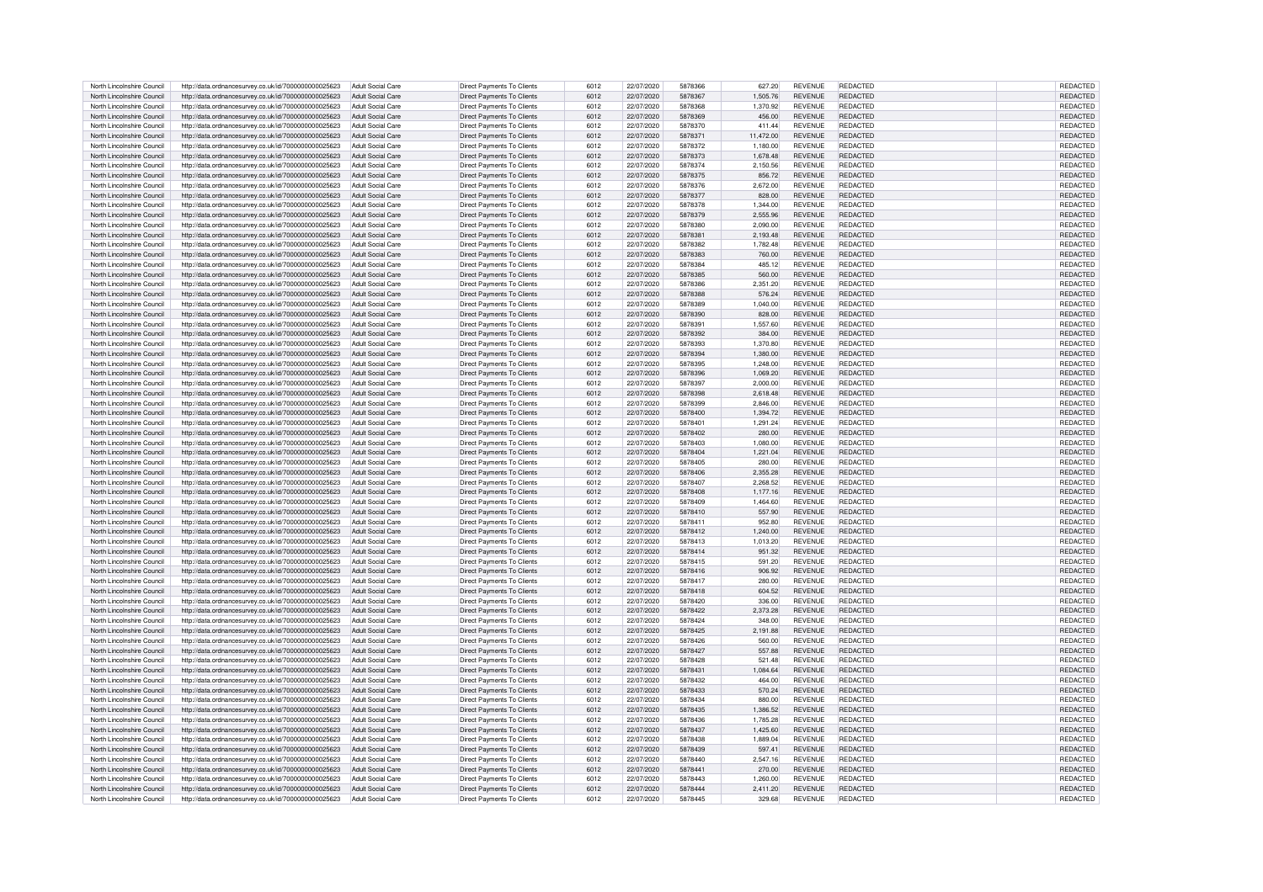| North Lincolnshire Council | http://data.ordnancesurvey.co.uk/id/7000000000025623 | Adult Social Care        | Direct Payments To Clients        | 6012 | 22/07/2020 | 5878366 | 627.20    | <b>REVENUE</b> | REDACTED        | REDACTED        |
|----------------------------|------------------------------------------------------|--------------------------|-----------------------------------|------|------------|---------|-----------|----------------|-----------------|-----------------|
|                            |                                                      |                          |                                   |      |            |         |           |                |                 |                 |
| North Lincolnshire Council | http://data.ordnancesurvey.co.uk/id/7000000000025623 | Adult Social Care        | Direct Payments To Clients        | 6012 | 22/07/2020 | 5878367 | 1.505.76  | <b>REVENUE</b> | <b>REDACTED</b> | REDACTED        |
| North Lincolnshire Council | http://data.ordnancesurvey.co.uk/id/7000000000025623 | Adult Social Care        | Direct Payments To Clients        | 6012 | 22/07/2020 | 5878368 | 1.370.92  | <b>REVENUE</b> | REDACTED        | REDACTED        |
| North Lincolnshire Council | http://data.ordnancesurvey.co.uk/id/7000000000025623 | Adult Social Care        | Direct Payments To Clients        | 6012 | 22/07/2020 | 5878369 | 456.00    | <b>REVENUE</b> | REDACTED        | REDACTED        |
| North Lincolnshire Council | http://data.ordnancesurvey.co.uk/id/7000000000025623 | Adult Social Care        | Direct Payments To Clients        | 6012 | 22/07/2020 | 5878370 | 411.44    | <b>REVENUE</b> | <b>REDACTED</b> | REDACTED        |
| North Lincolnshire Council | http://data.ordnancesurvey.co.uk/id/7000000000025623 | Adult Social Care        | Direct Payments To Clients        | 6012 | 22/07/2020 | 5878371 | 11,472.00 | <b>REVENUE</b> | <b>REDACTED</b> | REDACTED        |
|                            |                                                      |                          |                                   |      |            |         |           |                |                 |                 |
| North Lincolnshire Council | http://data.ordnancesurvey.co.uk/id/7000000000025623 | Adult Social Care        | Direct Payments To Clients        | 6012 | 22/07/2020 | 5878372 | 1,180.00  | <b>REVENUE</b> | <b>REDACTED</b> | REDACTED        |
| North Lincolnshire Council | http://data.ordnancesurvey.co.uk/id/7000000000025623 | <b>Adult Social Care</b> | Direct Payments To Clients        | 6012 | 22/07/2020 | 5878373 | 1,678.48  | <b>REVENUE</b> | REDACTED        | REDACTED        |
| North Lincolnshire Council | http://data.ordnancesurvey.co.uk/id/7000000000025623 | Adult Social Care        | <b>Direct Payments To Clients</b> | 6012 | 22/07/2020 | 5878374 | 2,150.56  | <b>REVENUE</b> | REDACTED        | REDACTED        |
| North Lincolnshire Council | http://data.ordnancesurvey.co.uk/id/7000000000025623 | Adult Social Care        | Direct Payments To Clients        | 6012 | 22/07/2020 | 5878375 | 856.72    | <b>REVENUE</b> | REDACTED        | <b>REDACTED</b> |
|                            |                                                      |                          |                                   |      |            |         |           |                |                 |                 |
| North Lincolnshire Council | http://data.ordnancesurvey.co.uk/id/7000000000025623 | Adult Social Care        | Direct Payments To Clients        | 6012 | 22/07/2020 | 5878376 | 2,672.00  | REVENUE        | <b>REDACTED</b> | REDACTED        |
| North Lincolnshire Council | http://data.ordnancesurvey.co.uk/id/7000000000025623 | <b>Adult Social Care</b> | Direct Payments To Clients        | 6012 | 22/07/2020 | 5878377 | 828.00    | <b>REVENUE</b> | REDACTED        | REDACTED        |
| North Lincolnshire Council | http://data.ordnancesurvey.co.uk/id/7000000000025623 | Adult Social Care        | Direct Payments To Clients        | 6012 | 22/07/2020 | 5878378 | 1,344.00  | <b>REVENUE</b> | <b>REDACTED</b> | REDACTED        |
| North Lincolnshire Council | http://data.ordnancesurvey.co.uk/id/7000000000025623 | Adult Social Care        | Direct Payments To Clients        | 6012 | 22/07/2020 | 5878379 | 2.555.96  | <b>REVENUE</b> | <b>REDACTED</b> | REDACTED        |
|                            |                                                      |                          |                                   |      |            |         |           |                |                 |                 |
| North Lincolnshire Council | http://data.ordnancesurvey.co.uk/id/7000000000025623 | Adult Social Care        | Direct Payments To Clients        | 6012 | 22/07/2020 | 5878380 | 2,090.00  | <b>REVENUE</b> | REDACTED        | REDACTED        |
| North Lincolnshire Council | http://data.ordnancesurvey.co.uk/id/7000000000025623 | Adult Social Care        | Direct Payments To Clients        | 6012 | 22/07/2020 | 5878381 | 2,193.48  | <b>REVENUE</b> | REDACTED        | REDACTED        |
| North Lincolnshire Council | http://data.ordnancesurvey.co.uk/id/7000000000025623 | Adult Social Care        | Direct Payments To Clients        | 6012 | 22/07/2020 | 5878382 | 1.782.48  | <b>REVENUE</b> | REDACTED        | REDACTED        |
| North Lincolnshire Council | http://data.ordnancesurvey.co.uk/id/7000000000025623 | Adult Social Care        | Direct Payments To Clients        | 6012 | 22/07/2020 | 5878383 | 760.00    | <b>REVENUE</b> | <b>REDACTED</b> | REDACTED        |
| North Lincolnshire Council | http://data.ordnancesurvey.co.uk/id/7000000000025623 | Adult Social Care        | Direct Payments To Clients        | 6012 | 22/07/2020 | 5878384 | 485.12    | <b>REVENUE</b> | <b>REDACTED</b> | REDACTED        |
|                            |                                                      |                          |                                   |      |            |         |           |                |                 |                 |
| North Lincolnshire Council | http://data.ordnancesurvey.co.uk/id/7000000000025623 | Adult Social Care        | Direct Payments To Clients        | 6012 | 22/07/2020 | 5878385 | 560.00    | <b>REVENUE</b> | <b>REDACTED</b> | REDACTED        |
| North Lincolnshire Council | http://data.ordnancesurvey.co.uk/id/7000000000025623 | Adult Social Care        | Direct Payments To Clients        | 6012 | 22/07/2020 | 5878386 | 2,351.20  | <b>REVENUE</b> | REDACTED        | REDACTED        |
| North Lincolnshire Council | http://data.ordnancesurvey.co.uk/id/7000000000025623 | Adult Social Care        | <b>Direct Payments To Clients</b> | 6012 | 22/07/2020 | 5878388 | 576.24    | <b>REVENUE</b> | REDACTED        | REDACTED        |
| North Lincolnshire Council | http://data.ordnancesurvey.co.uk/id/7000000000025623 | Adult Social Care        | Direct Payments To Clients        | 6012 | 22/07/2020 | 5878389 | 1,040.00  | <b>REVENUE</b> | REDACTED        | REDACTED        |
| North Lincolnshire Council | http://data.ordnancesurvey.co.uk/id/7000000000025623 | Adult Social Care        | Direct Payments To Clients        | 6012 | 22/07/2020 | 5878390 | 828.00    | <b>REVENUE</b> | REDACTED        | REDACTED        |
|                            |                                                      |                          |                                   |      |            |         |           |                |                 |                 |
| North Lincolnshire Council | http://data.ordnancesurvey.co.uk/id/7000000000025623 | Adult Social Care        | Direct Payments To Clients        | 6012 | 22/07/2020 | 587839  | 1,557.60  | <b>REVENUE</b> | <b>REDACTED</b> | REDACTED        |
| North Lincolnshire Council | http://data.ordnancesurvey.co.uk/id/7000000000025623 | Adult Social Care        | Direct Payments To Clients        | 6012 | 22/07/2020 | 5878392 | 384.00    | <b>REVENUE</b> | REDACTED        | REDACTED        |
| North Lincolnshire Council | http://data.ordnancesurvey.co.uk/id/7000000000025623 | Adult Social Care        | Direct Payments To Clients        | 6012 | 22/07/2020 | 5878393 | 1,370.80  | <b>REVENUE</b> | REDACTED        | REDACTED        |
| North Lincolnshire Council | http://data.ordnancesurvey.co.uk/id/7000000000025623 | Adult Social Care        | Direct Payments To Clients        | 6012 | 22/07/2020 | 5878394 | 1.380.00  | <b>REVENUE</b> | REDACTED        | REDACTED        |
| North Lincolnshire Council |                                                      | Adult Social Care        |                                   | 6012 | 22/07/2020 | 5878395 | 1.248.00  | <b>REVENUE</b> | REDACTED        |                 |
|                            | http://data.ordnancesurvey.co.uk/id/7000000000025623 |                          | Direct Payments To Clients        |      |            |         |           |                |                 | REDACTED        |
| North Lincolnshire Council | http://data.ordnancesurvey.co.uk/id/7000000000025623 | Adult Social Care        | Direct Payments To Clients        | 6012 | 22/07/2020 | 5878396 | 1,069.20  | <b>REVENUE</b> | <b>REDACTED</b> | REDACTED        |
| North Lincolnshire Council | http://data.ordnancesurvey.co.uk/id/7000000000025623 | Adult Social Care        | Direct Payments To Clients        | 6012 | 22/07/2020 | 5878397 | 2.000.00  | <b>REVENUE</b> | <b>REDACTED</b> | REDACTED        |
| North Lincolnshire Council | http://data.ordnancesurvey.co.uk/id/7000000000025623 | Adult Social Care        | Direct Payments To Clients        | 6012 | 22/07/2020 | 5878398 | 2.618.48  | <b>REVENUE</b> | <b>REDACTED</b> | REDACTED        |
|                            |                                                      |                          |                                   |      |            |         |           |                |                 |                 |
| North Lincolnshire Council | http://data.ordnancesurvey.co.uk/id/7000000000025623 | Adult Social Care        | Direct Payments To Clients        | 6012 | 22/07/2020 | 5878399 | 2,846.00  | <b>REVENUE</b> | REDACTED        | REDACTED        |
| North Lincolnshire Council | http://data.ordnancesurvey.co.uk/id/7000000000025623 | Adult Social Care        | Direct Payments To Clients        | 6012 | 22/07/2020 | 5878400 | 1,394.72  | REVENUE        | <b>REDACTED</b> | REDACTED        |
| North Lincolnshire Council | http://data.ordnancesurvey.co.uk/id/7000000000025623 | Adult Social Care        | Direct Payments To Clients        | 6012 | 22/07/2020 | 587840  | 1,291.24  | <b>REVENUE</b> | REDACTED        | REDACTED        |
| North Lincolnshire Council | http://data.ordnancesurvey.co.uk/id/7000000000025623 | Adult Social Care        | Direct Payments To Clients        | 6012 | 22/07/2020 | 5878402 | 280.00    | <b>REVENUE</b> | <b>REDACTED</b> | REDACTED        |
| North Lincolnshire Council | http://data.ordnancesurvey.co.uk/id/7000000000025623 | Adult Social Care        | Direct Payments To Clients        | 6012 | 22/07/2020 | 5878403 | 1,080.00  | <b>REVENUE</b> | <b>REDACTED</b> | REDACTED        |
|                            |                                                      |                          |                                   |      |            |         |           |                |                 |                 |
| North Lincolnshire Council | http://data.ordnancesurvey.co.uk/id/7000000000025623 | Adult Social Care        | Direct Payments To Clients        | 6012 | 22/07/2020 | 5878404 | 1,221.04  | <b>REVENUE</b> | REDACTED        | REDACTED        |
| North Lincolnshire Council | http://data.ordnancesurvey.co.uk/id/7000000000025623 | Adult Social Care        | Direct Payments To Clients        | 6012 | 22/07/2020 | 5878405 | 280.00    | <b>REVENUE</b> | REDACTED        | REDACTED        |
| North Lincolnshire Council | http://data.ordnancesurvey.co.uk/id/7000000000025623 | Adult Social Care        | <b>Direct Payments To Clients</b> | 6012 | 22/07/2020 | 5878406 | 2.355.28  | <b>REVENUE</b> | REDACTED        | REDACTED        |
| North Lincolnshire Council | http://data.ordnancesurvey.co.uk/id/7000000000025623 | Adult Social Care        | Direct Payments To Clients        | 6012 | 22/07/2020 | 5878407 | 2,268.52  | <b>REVENUE</b> | REDACTED        | REDACTED        |
|                            |                                                      |                          |                                   |      |            |         |           |                |                 |                 |
| North Lincolnshire Council | http://data.ordnancesurvey.co.uk/id/7000000000025623 | <b>Adult Social Care</b> | Direct Payments To Clients        | 6012 | 22/07/2020 | 5878408 | 1,177.16  | <b>REVENUE</b> | <b>REDACTED</b> | REDACTED        |
| North Lincolnshire Council | http://data.ordnancesurvey.co.uk/id/7000000000025623 | Adult Social Care        | Direct Payments To Clients        | 6012 | 22/07/2020 | 5878409 | 1,464.60  | <b>REVENUE</b> | REDACTED        | REDACTED        |
| North Lincolnshire Council | http://data.ordnancesurvey.co.uk/id/7000000000025623 | <b>Adult Social Care</b> | Direct Payments To Clients        | 6012 | 22/07/2020 | 5878410 | 557.90    | <b>REVENUE</b> | REDACTED        | REDACTED        |
| North Lincolnshire Council | http://data.ordnancesurvey.co.uk/id/7000000000025623 | Adult Social Care        | Direct Payments To Clients        | 6012 | 22/07/2020 | 5878411 | 952.80    | <b>REVENUE</b> | REDACTED        | REDACTED        |
| North Lincolnshire Council |                                                      | Adult Social Care        | Direct Payments To Clients        | 6012 | 22/07/2020 | 5878412 | 1,240.00  | <b>REVENUE</b> | REDACTED        | <b>REDACTED</b> |
|                            | http://data.ordnancesurvey.co.uk/id/7000000000025623 |                          |                                   |      |            |         |           |                |                 |                 |
| North Lincolnshire Council | http://data.ordnancesurvey.co.uk/id/7000000000025623 | Adult Social Care        | Direct Payments To Clients        | 6012 | 22/07/2020 | 5878413 | 1,013.20  | <b>REVENUE</b> | REDACTED        | REDACTED        |
| North Lincolnshire Council | http://data.ordnancesurvey.co.uk/id/7000000000025623 | Adult Social Care        | <b>Direct Payments To Clients</b> | 6012 | 22/07/2020 | 5878414 | 951.32    | <b>REVENUE</b> | <b>REDACTED</b> | <b>REDACTEI</b> |
| North Lincolnshire Council | http://data.ordnancesurvey.co.uk/id/7000000000025623 | Adult Social Care        | Direct Payments To Clients        | 6012 | 22/07/2020 | 5878415 | 591.20    | <b>REVENUE</b> | <b>REDACTED</b> | <b>REDACTED</b> |
| North Lincolnshire Council | http://data.ordnancesurvey.co.uk/id/7000000000025623 | Adult Social Care        | Direct Payments To Clients        | 6012 | 22/07/2020 | 5878416 | 906.92    | <b>REVENUE</b> | REDACTED        | REDACTED        |
|                            |                                                      |                          |                                   |      |            |         |           |                |                 |                 |
| North Lincolnshire Council | http://data.ordnancesurvey.co.uk/id/7000000000025623 | Adult Social Care        | Direct Payments To Clients        | 6012 | 22/07/2020 | 5878417 | 280.00    | <b>REVENUE</b> | REDACTED        | REDACTED        |
| North Lincolnshire Council | http://data.ordnancesurvey.co.uk/id/7000000000025623 | Adult Social Care        | Direct Payments To Clients        | 6012 | 22/07/2020 | 5878418 | 604.52    | <b>REVENUE</b> | <b>REDACTED</b> | REDACTED        |
| North Lincolnshire Council | http://data.ordnancesurvey.co.uk/id/7000000000025623 | Adult Social Care        | Direct Payments To Clients        | 6012 | 22/07/2020 | 5878420 | 336.00    | <b>REVENUE</b> | <b>REDACTED</b> | REDACTED        |
| North Lincolnshire Council | http://data.ordnancesurvey.co.uk/id/7000000000025623 | Adult Social Care        | Direct Payments To Clients        | 6012 | 22/07/2020 | 5878422 | 2,373.28  | <b>REVENUE</b> | <b>REDACTED</b> | REDACTED        |
| North Lincolnshire Council | http://data.ordnancesurvey.co.uk/id/7000000000025623 | Adult Social Care        | Direct Payments To Clients        | 6012 | 22/07/2020 | 5878424 | 348.00    | <b>REVENUE</b> | <b>REDACTED</b> | <b>REDACTED</b> |
|                            |                                                      |                          |                                   |      |            |         |           |                |                 |                 |
| North Lincolnshire Council | http://data.ordnancesurvey.co.uk/id/7000000000025623 | Adult Social Care        | Direct Payments To Clients        | 6012 | 22/07/2020 | 5878425 | 2,191.88  | <b>REVENUE</b> | <b>REDACTED</b> | REDACTED        |
| North Lincolnshire Council | http://data.ordnancesurvey.co.uk/id/7000000000025623 | Adult Social Care        | Direct Payments To Clients        | 6012 | 22/07/2020 | 5878426 | 560.00    | <b>REVENUE</b> | REDACTED        | REDACTED        |
| North Lincolnshire Council | http://data.ordnancesurvey.co.uk/id/7000000000025623 | Adult Social Care        | Direct Payments To Clients        | 6012 | 22/07/2020 | 5878427 | 557.88    | <b>REVENUE</b> | REDACTED        | <b>REDACTED</b> |
| North Lincolnshire Council | http://data.ordnancesurvey.co.uk/id/7000000000025623 | Adult Social Care        | Direct Payments To Clients        | 6012 | 22/07/2020 | 5878428 | 521.48    | <b>REVENUE</b> | <b>REDACTED</b> | <b>REDACTED</b> |
| North Lincolnshire Council | http://data.ordnancesurvey.co.uk/id/7000000000025623 | Adult Social Care        | Direct Payments To Clients        | 6012 | 22/07/2020 | 5878431 | 1.084.64  | <b>REVENUE</b> | <b>REDACTED</b> | <b>REDACTED</b> |
|                            |                                                      |                          |                                   |      |            |         |           |                |                 |                 |
| North Lincolnshire Council | http://data.ordnancesurvey.co.uk/id/7000000000025623 | Adult Social Care        | Direct Payments To Clients        | 6012 | 22/07/2020 | 5878432 | 464.00    | <b>REVENUE</b> | <b>REDACTED</b> | REDACTED        |
| North Lincolnshire Council | http://data.ordnancesurvey.co.uk/id/7000000000025623 | Adult Social Care        | Direct Payments To Clients        | 6012 | 22/07/2020 | 5878433 | 570.24    | <b>REVENUE</b> | <b>REDACTED</b> | <b>REDACTED</b> |
| North Lincolnshire Council | http://data.ordnancesurvey.co.uk/id/7000000000025623 | Adult Social Care        | Direct Payments To Clients        | 6012 | 22/07/2020 | 5878434 | 880.00    | <b>REVENUE</b> | REDACTED        | REDACTED        |
| North Lincolnshire Council | http://data.ordnancesurvey.co.uk/id/7000000000025623 | Adult Social Care        | Direct Payments To Clients        | 6012 | 22/07/2020 | 5878435 | 1,386.52  | <b>REVENUE</b> | REDACTED        | REDACTED        |
| North Lincolnshire Council |                                                      | Adult Social Care        | Direct Payments To Clients        | 6012 | 22/07/2020 | 5878436 | 1,785.28  | <b>REVENUE</b> | <b>REDACTED</b> | REDACTED        |
|                            | http://data.ordnancesurvey.co.uk/id/7000000000025623 |                          |                                   |      |            |         |           |                |                 |                 |
| North Lincolnshire Council | http://data.ordnancesurvey.co.uk/id/7000000000025623 | Adult Social Care        | Direct Payments To Clients        | 6012 | 22/07/2020 | 5878437 | 1,425.60  | <b>REVENUE</b> | REDACTED        | REDACTED        |
| North Lincolnshire Council | http://data.ordnancesurvey.co.uk/id/7000000000025623 | Adult Social Care        | Direct Payments To Clients        | 6012 | 22/07/2020 | 5878438 | 1.889.04  | <b>REVENUE</b> | REDACTED        | REDACTED        |
| North Lincolnshire Council | http://data.ordnancesurvey.co.uk/id/7000000000025623 | Adult Social Care        | Direct Payments To Clients        | 6012 | 22/07/2020 | 5878439 | 597.41    | <b>REVENUE</b> | <b>REDACTED</b> | REDACTED        |
| North Lincolnshire Council | http://data.ordnancesurvey.co.uk/id/7000000000025623 | Adult Social Care        | Direct Payments To Clients        | 6012 | 22/07/2020 | 5878440 | 2.547.16  | <b>REVENUE</b> | REDACTED        | REDACTED        |
|                            |                                                      |                          |                                   |      |            |         |           |                |                 |                 |
| North Lincolnshire Council | http://data.ordnancesurvey.co.uk/id/7000000000025623 | Adult Social Care        | Direct Payments To Clients        | 6012 | 22/07/2020 | 5878441 | 270.00    | REVENUE        | REDACTED        | REDACTED        |
| North Lincolnshire Council | http://data.ordnancesurvey.co.uk/id/7000000000025623 | Adult Social Care        | Direct Payments To Clients        | 6012 | 22/07/2020 | 5878443 | 1.260.00  | <b>REVENUE</b> | <b>REDACTED</b> | REDACTED        |
| North Lincolnshire Council | http://data.ordnancesurvey.co.uk/id/7000000000025623 | Adult Social Care        | Direct Payments To Clients        | 6012 | 22/07/2020 | 5878444 | 2.411.20  | <b>REVENUE</b> | REDACTED        | REDACTED        |
| North Lincolnshire Council | http://data.ordnancesurvey.co.uk/id/7000000000025623 | Adult Social Care        | Direct Payments To Clients        | 6012 | 22/07/2020 | 5878445 | 329.68    | <b>REVENUE</b> | <b>REDACTED</b> | REDACTED        |
|                            |                                                      |                          |                                   |      |            |         |           |                |                 |                 |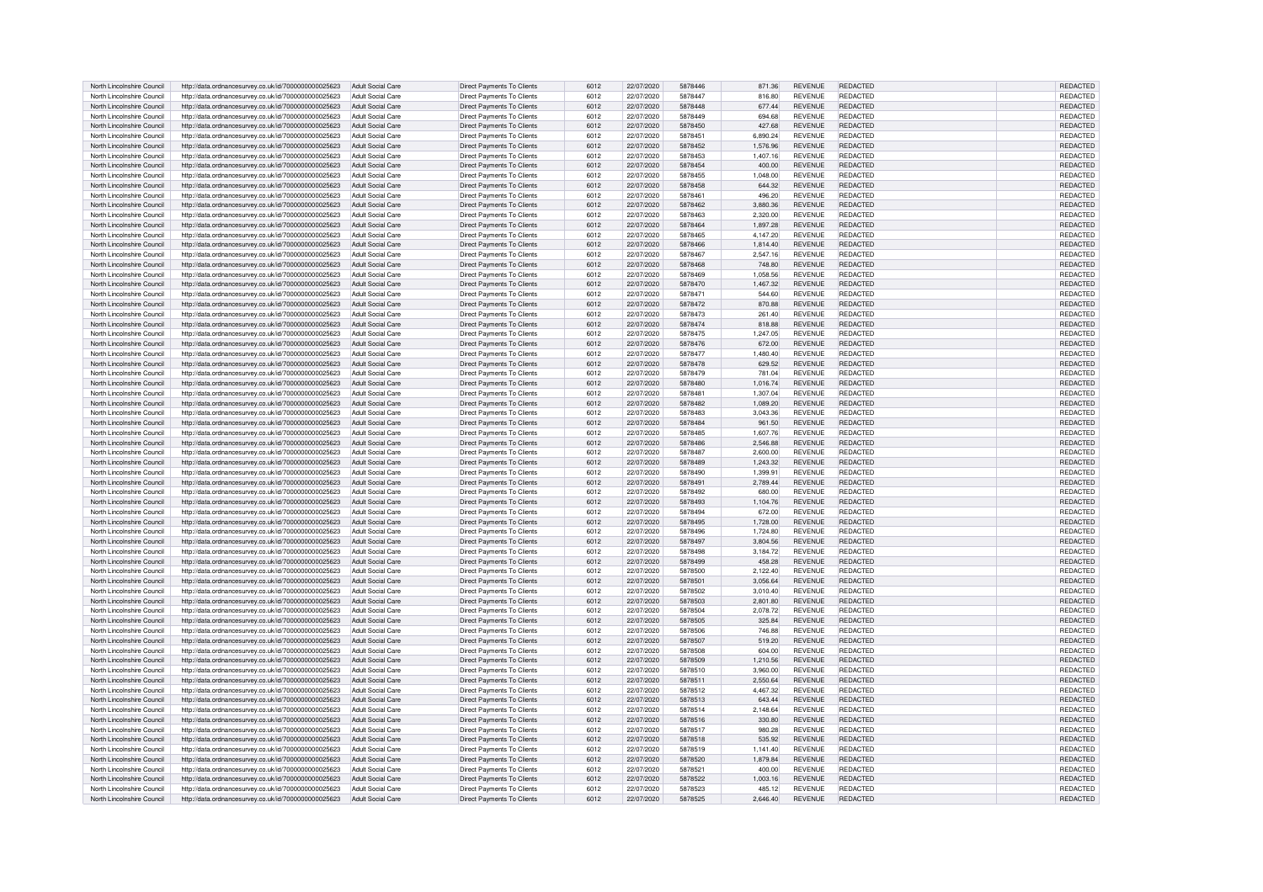| North Lincolnshire Council | http://data.ordnancesurvey.co.uk/id/7000000000025623 | Adult Social Care        | Direct Payments To Clients        | 6012 | 22/07/2020 | 5878446 | 871.36   | <b>REVENUE</b> | <b>REDACTED</b> | <b>REDACTED</b> |
|----------------------------|------------------------------------------------------|--------------------------|-----------------------------------|------|------------|---------|----------|----------------|-----------------|-----------------|
|                            |                                                      |                          |                                   |      |            |         |          |                |                 |                 |
| North Lincolnshire Council | http://data.ordnancesurvey.co.uk/id/7000000000025623 | Adult Social Care        | Direct Payments To Clients        | 6012 | 22/07/2020 | 5878447 | 816.80   | <b>REVENUE</b> | REDACTED        | REDACTED        |
| North Lincolnshire Council | http://data.ordnancesurvey.co.uk/id/7000000000025623 | Adult Social Care        | Direct Payments To Clients        | 6012 | 22/07/2020 | 5878448 | 677.44   | <b>REVENUE</b> | <b>REDACTED</b> | REDACTED        |
| North Lincolnshire Council | http://data.ordnancesurvey.co.uk/id/7000000000025623 | Adult Social Care        | Direct Payments To Clients        | 6012 | 22/07/2020 | 5878449 | 694.68   | <b>REVENUE</b> | <b>REDACTED</b> | REDACTED        |
|                            |                                                      |                          |                                   |      |            |         |          |                |                 |                 |
| North Lincolnshire Council | http://data.ordnancesurvey.co.uk/id/7000000000025623 | Adult Social Care        | Direct Payments To Clients        | 6012 | 22/07/2020 | 5878450 | 427.68   | <b>REVENUE</b> | REDACTED        | REDACTED        |
| North Lincolnshire Council | http://data.ordnancesurvey.co.uk/id/7000000000025623 | Adult Social Care        | Direct Payments To Clients        | 6012 | 22/07/2020 | 5878451 | 6,890.24 | <b>REVENUE</b> | REDACTED        | <b>REDACTED</b> |
|                            |                                                      |                          |                                   |      |            |         |          |                |                 |                 |
| North Lincolnshire Council | http://data.ordnancesurvey.co.uk/id/7000000000025623 | Adult Social Care        | <b>Direct Payments To Clients</b> | 6012 | 22/07/2020 | 5878452 | 1.576.96 | <b>REVENUE</b> | REDACTED        | <b>REDACTED</b> |
| North Lincolnshire Council | http://data.ordnancesurvey.co.uk/id/7000000000025623 | Adult Social Care        | Direct Payments To Clients        | 6012 | 22/07/2020 | 5878453 | 1,407.16 | <b>REVENUE</b> | REDACTED        | REDACTED        |
| North Lincolnshire Council | http://data.ordnancesurvey.co.uk/id/7000000000025623 | Adult Social Care        | Direct Payments To Clients        | 6012 | 22/07/2020 | 5878454 | 400.00   | <b>REVENUE</b> | <b>REDACTED</b> | REDACTED        |
|                            |                                                      |                          |                                   |      |            |         |          |                |                 |                 |
| North Lincolnshire Council | http://data.ordnancesurvey.co.uk/id/7000000000025623 | Adult Social Care        | Direct Payments To Clients        | 6012 | 22/07/2020 | 5878455 | 1,048.00 | <b>REVENUE</b> | <b>REDACTED</b> | REDACTED        |
| North Lincolnshire Council | http://data.ordnancesurvey.co.uk/id/7000000000025623 | Adult Social Care        | Direct Payments To Clients        | 6012 | 22/07/2020 | 5878458 | 644.32   | <b>REVENUE</b> | <b>REDACTED</b> | REDACTED        |
|                            |                                                      |                          |                                   |      |            |         |          |                |                 |                 |
| North Lincolnshire Council | http://data.ordnancesurvey.co.uk/id/7000000000025623 | Adult Social Care        | Direct Payments To Clients        | 6012 | 22/07/2020 | 5878461 | 496.20   | <b>REVENUE</b> | <b>REDACTED</b> | REDACTED        |
| North Lincolnshire Council | http://data.ordnancesurvey.co.uk/id/7000000000025623 | Adult Social Care        | Direct Payments To Clients        | 6012 | 22/07/2020 | 5878462 | 3,880.36 | <b>REVENUE</b> | REDACTED        | REDACTED        |
| North Lincolnshire Council | http://data.ordnancesurvey.co.uk/id/7000000000025623 | Adult Social Care        | Direct Payments To Clients        | 6012 | 22/07/2020 | 5878463 | 2,320.00 | <b>REVENUE</b> | <b>REDACTED</b> | REDACTED        |
|                            |                                                      |                          |                                   |      |            |         |          |                |                 |                 |
| North Lincolnshire Council | http://data.ordnancesurvey.co.uk/id/7000000000025623 | Adult Social Care        | <b>Direct Payments To Clients</b> | 6012 | 22/07/2020 | 5878464 | 1.897.28 | <b>REVENUE</b> | <b>REDACTED</b> | <b>REDACTED</b> |
| North Lincolnshire Council | http://data.ordnancesurvey.co.uk/id/7000000000025623 | Adult Social Care        | Direct Payments To Clients        | 6012 | 22/07/2020 | 5878465 | 4.147.20 | <b>REVENUE</b> | <b>REDACTED</b> | <b>REDACTED</b> |
| North Lincolnshire Council | http://data.ordnancesurvey.co.uk/id/7000000000025623 | Adult Social Care        | Direct Payments To Clients        | 6012 | 22/07/2020 | 5878466 | 1,814.40 | <b>REVENUE</b> | <b>REDACTED</b> | REDACTED        |
|                            |                                                      |                          |                                   |      |            |         |          |                |                 |                 |
| North Lincolnshire Council | http://data.ordnancesurvey.co.uk/id/7000000000025623 | Adult Social Care        | Direct Payments To Clients        | 6012 | 22/07/2020 | 5878467 | 2.547.16 | <b>REVENUE</b> | REDACTED        | REDACTED        |
| North Lincolnshire Council | http://data.ordnancesurvey.co.uk/id/7000000000025623 | Adult Social Care        | <b>Direct Payments To Clients</b> | 6012 | 22/07/2020 | 5878468 | 748.80   | <b>REVENUE</b> | REDACTED        | REDACTED        |
|                            |                                                      |                          |                                   |      |            |         |          |                |                 |                 |
| North Lincolnshire Council | http://data.ordnancesurvey.co.uk/id/7000000000025623 | Adult Social Care        | Direct Payments To Clients        | 6012 | 22/07/2020 | 5878469 | 1.058.56 | <b>REVENUE</b> | <b>REDACTED</b> | REDACTED        |
| North Lincolnshire Council | http://data.ordnancesurvey.co.uk/id/7000000000025623 | Adult Social Care        | Direct Payments To Clients        | 6012 | 22/07/2020 | 5878470 | 1,467.32 | <b>REVENUE</b> | <b>REDACTED</b> | REDACTED        |
|                            |                                                      |                          |                                   |      | 22/07/2020 | 5878471 |          |                | <b>REDACTED</b> |                 |
| North Lincolnshire Council | http://data.ordnancesurvey.co.uk/id/7000000000025623 | Adult Social Care        | Direct Payments To Clients        | 6012 |            |         | 544.60   | <b>REVENUE</b> |                 | REDACTED        |
| North Lincolnshire Council | http://data.ordnancesurvey.co.uk/id/7000000000025623 | Adult Social Care        | Direct Payments To Clients        | 6012 | 22/07/2020 | 5878472 | 870.88   | <b>REVENUE</b> | <b>REDACTED</b> | REDACTED        |
| North Lincolnshire Council | http://data.ordnancesurvey.co.uk/id/7000000000025623 | Adult Social Care        | Direct Payments To Clients        | 6012 | 22/07/2020 | 5878473 | 261.40   | <b>REVENUE</b> | <b>REDACTED</b> | REDACTED        |
|                            |                                                      |                          |                                   |      |            |         |          |                |                 |                 |
| North Lincolnshire Council | http://data.ordnancesurvey.co.uk/id/7000000000025623 | Adult Social Care        | Direct Payments To Clients        | 6012 | 22/07/2020 | 5878474 | 818.88   | <b>REVENUE</b> | REDACTED        | REDACTED        |
| North Lincolnshire Council | http://data.ordnancesurvey.co.uk/id/7000000000025623 | Adult Social Care        | Direct Payments To Clients        | 6012 | 22/07/2020 | 5878475 | 1,247.05 | <b>REVENUE</b> | <b>REDACTED</b> | REDACTED        |
| North Lincolnshire Council |                                                      | Adult Social Care        |                                   | 6012 |            | 5878476 |          | <b>REVENUE</b> | <b>REDACTED</b> |                 |
|                            | http://data.ordnancesurvey.co.uk/id/7000000000025623 |                          | <b>Direct Payments To Clients</b> |      | 22/07/2020 |         | 672.00   |                |                 | REDACTED        |
| North Lincolnshire Council | http://data.ordnancesurvey.co.uk/id/7000000000025623 | Adult Social Care        | Direct Payments To Clients        | 6012 | 22/07/2020 | 5878477 | 1,480.40 | <b>REVENUE</b> | REDACTED        | REDACTED        |
| North Lincolnshire Council | http://data.ordnancesurvey.co.uk/id/7000000000025623 | Adult Social Care        | Direct Payments To Clients        | 6012 | 22/07/2020 | 5878478 | 629.52   | <b>REVENUE</b> | REDACTED        | REDACTED        |
|                            |                                                      |                          |                                   |      |            |         |          |                |                 |                 |
| North Lincolnshire Council | http://data.ordnancesurvey.co.uk/id/7000000000025623 | Adult Social Care        | Direct Payments To Clients        | 6012 | 22/07/2020 | 5878479 | 781.04   | <b>REVENUE</b> | <b>REDACTED</b> | REDACTED        |
| North Lincolnshire Council | http://data.ordnancesurvey.co.uk/id/7000000000025623 | <b>Adult Social Care</b> | <b>Direct Payments To Clients</b> | 6012 | 22/07/2020 | 5878480 | 1,016.74 | <b>REVENUE</b> | <b>REDACTED</b> | REDACTED        |
| North Lincolnshire Council |                                                      | Adult Social Care        |                                   | 6012 |            | 5878481 | 1.307.04 | <b>REVENUE</b> | REDACTED        | REDACTED        |
|                            | http://data.ordnancesurvey.co.uk/id/7000000000025623 |                          | Direct Payments To Clients        |      | 22/07/2020 |         |          |                |                 |                 |
| North Lincolnshire Council | http://data.ordnancesurvey.co.uk/id/7000000000025623 | <b>Adult Social Care</b> | Direct Payments To Clients        | 6012 | 22/07/2020 | 5878482 | 1,089.20 | <b>REVENUE</b> | REDACTED        | REDACTED        |
| North Lincolnshire Council | http://data.ordnancesurvey.co.uk/id/7000000000025623 | Adult Social Care        | Direct Payments To Clients        | 6012 | 22/07/2020 | 5878483 | 3,043.36 | <b>REVENUE</b> | REDACTED        | REDACTED        |
|                            |                                                      |                          |                                   |      |            |         |          |                |                 |                 |
| North Lincolnshire Council | http://data.ordnancesurvey.co.uk/id/7000000000025623 | <b>Adult Social Care</b> | <b>Direct Payments To Clients</b> | 6012 | 22/07/2020 | 5878484 | 961.50   | <b>REVENUE</b> | <b>REDACTED</b> | REDACTED        |
| North Lincolnshire Council | http://data.ordnancesurvey.co.uk/id/7000000000025623 | Adult Social Care        | Direct Payments To Clients        | 6012 | 22/07/2020 | 5878485 | 1.607.76 | <b>REVENUE</b> | REDACTED        | <b>REDACTED</b> |
| North Lincolnshire Council | http://data.ordnancesurvey.co.uk/id/7000000000025623 | Adult Social Care        | Direct Payments To Clients        | 6012 | 22/07/2020 | 5878486 | 2.546.88 | <b>REVENUE</b> | REDACTED        | REDACTED        |
|                            |                                                      |                          |                                   |      |            |         |          |                |                 |                 |
| North Lincolnshire Council | http://data.ordnancesurvey.co.uk/id/7000000000025623 | Adult Social Care        | Direct Payments To Clients        | 6012 | 22/07/2020 | 5878487 | 2,600.00 | <b>REVENUE</b> | <b>REDACTED</b> | REDACTED        |
| North Lincolnshire Council | http://data.ordnancesurvey.co.uk/id/7000000000025623 | Adult Social Care        | Direct Payments To Clients        | 6012 | 22/07/2020 | 5878489 | 1.243.32 | <b>REVENUE</b> | <b>REDACTED</b> | REDACTED        |
|                            |                                                      |                          |                                   |      |            |         |          |                |                 |                 |
| North Lincolnshire Council | http://data.ordnancesurvey.co.uk/id/7000000000025623 | Adult Social Care        | Direct Payments To Clients        | 6012 | 22/07/2020 | 5878490 | 1,399.91 | <b>REVENUE</b> | REDACTED        | REDACTED        |
| North Lincolnshire Council | http://data.ordnancesurvey.co.uk/id/7000000000025623 | Adult Social Care        | Direct Payments To Clients        | 6012 | 22/07/2020 | 5878491 | 2,789.44 | <b>REVENUE</b> | REDACTED        | REDACTED        |
| North Lincolnshire Council | http://data.ordnancesurvey.co.uk/id/7000000000025623 | Adult Social Care        | Direct Payments To Clients        | 6012 | 22/07/2020 | 5878492 | 680.00   | <b>REVENUE</b> | REDACTED        | REDACTED        |
|                            |                                                      |                          |                                   |      |            |         |          |                |                 |                 |
| North Lincolnshire Council | http://data.ordnancesurvey.co.uk/id/7000000000025623 | Adult Social Care        | Direct Payments To Clients        | 6012 | 22/07/2020 | 5878493 | 1,104.76 | <b>REVENUE</b> | <b>REDACTED</b> | REDACTED        |
| North Lincolnshire Council | http://data.ordnancesurvey.co.uk/id/7000000000025623 | Adult Social Care        | Direct Payments To Clients        | 6012 | 22/07/2020 | 5878494 | 672.00   | <b>REVENUE</b> | <b>REDACTED</b> | REDACTED        |
|                            |                                                      |                          |                                   |      |            | 5878495 |          |                |                 |                 |
| North Lincolnshire Council | http://data.ordnancesurvey.co.uk/id/7000000000025623 | Adult Social Care        | Direct Payments To Clients        | 6012 | 22/07/2020 |         | 1,728.00 | <b>REVENUE</b> | REDACTED        | REDACTED        |
| North Lincolnshire Council | http://data.ordnancesurvey.co.uk/id/7000000000025623 | Adult Social Care        | Direct Payments To Clients        | 6012 | 22/07/2020 | 5878496 | 1,724.80 | <b>REVENUE</b> | REDACTED        | REDACTED        |
| North Lincolnshire Council | http://data.ordnancesurvey.co.uk/id/7000000000025623 | Adult Social Care        | <b>Direct Payments To Clients</b> | 6012 | 22/07/2020 | 5878497 | 3,804.56 | <b>REVENUE</b> | REDACTED        | REDACTED        |
|                            |                                                      |                          |                                   |      |            |         |          |                |                 |                 |
| North Lincolnshire Council | http://data.ordnancesurvey.co.uk/id/7000000000025623 | Adult Social Care        | Direct Payments To Clients        | 6012 | 22/07/2020 | 5878498 | 3,184.72 | <b>REVENUE</b> | REDACTED        | REDACTED        |
| North Lincolnshire Council | http://data.ordnancesurvey.co.uk/id/7000000000025623 | Adult Social Care        | Direct Payments To Clients        | 6012 | 22/07/2020 | 5878499 | 458.28   | <b>REVENUE</b> | <b>REDACTED</b> | REDACTED        |
| North Lincolnshire Council |                                                      | Adult Social Care        |                                   | 6012 |            | 5878500 |          | <b>REVENUE</b> | <b>REDACTED</b> | <b>REDACTE</b>  |
|                            | http://data.ordnancesurvey.co.uk/id/7000000000025623 |                          | Direct Payments To Clients        |      | 22/07/2020 |         | 2,122.40 |                |                 |                 |
| North Lincolnshire Council | http://data.ordnancesurvey.co.uk/id/7000000000025623 | Adult Social Care        | Direct Payments To Clients        | 6012 | 22/07/2020 | 5878501 | 3.056.64 | <b>REVENUE</b> | <b>REDACTED</b> | REDACTED        |
| North Lincolnshire Council | http://data.ordnancesurvey.co.uk/id/7000000000025623 | Adult Social Care        | Direct Payments To Clients        | 6012 | 22/07/2020 | 5878502 | 3,010.40 | <b>REVENUE</b> | REDACTED        | <b>REDACTED</b> |
| North Lincolnshire Council |                                                      | Adult Social Care        |                                   | 6012 | 22/07/2020 | 5878503 | 2.801.80 | <b>REVENUE</b> | REDACTED        | REDACTED        |
|                            | http://data.ordnancesurvey.co.uk/id/7000000000025623 |                          | Direct Payments To Clients        |      |            |         |          |                |                 |                 |
| North Lincolnshire Council | http://data.ordnancesurvey.co.uk/id/7000000000025623 | Adult Social Care        | Direct Payments To Clients        | 6012 | 22/07/2020 | 5878504 | 2.078.72 | <b>REVENUE</b> | REDACTED        | REDACTED        |
| North Lincolnshire Council | http://data.ordnancesurvey.co.uk/id/7000000000025623 | Adult Social Care        | Direct Payments To Clients        | 6012 | 22/07/2020 | 5878505 | 325.84   | <b>REVENUE</b> | <b>REDACTED</b> | REDACTED        |
|                            |                                                      |                          |                                   |      |            |         |          |                |                 |                 |
| North Lincolnshire Council | http://data.ordnancesurvey.co.uk/id/7000000000025623 | Adult Social Care        | Direct Payments To Clients        | 6012 | 22/07/2020 | 5878506 | 746.88   | <b>REVENUE</b> | <b>REDACTED</b> | REDACTED        |
| North Lincolnshire Council | http://data.ordnancesurvey.co.uk/id/7000000000025623 | Adult Social Care        | Direct Payments To Clients        | 6012 | 22/07/2020 | 5878507 | 519.20   | <b>REVENUE</b> | REDACTED        | REDACTED        |
|                            |                                                      |                          |                                   | 6012 |            |         |          |                |                 |                 |
| North Lincolnshire Council | http://data.ordnancesurvey.co.uk/id/7000000000025623 | Adult Social Care        | Direct Payments To Clients        |      | 22/07/2020 | 5878508 | 604.00   | <b>REVENUE</b> | REDACTED        | <b>REDACTED</b> |
| North Lincolnshire Council | http://data.ordnancesurvey.co.uk/id/7000000000025623 | Adult Social Care        | <b>Direct Payments To Clients</b> | 6012 | 22/07/2020 | 5878509 | 1,210.56 | <b>REVENUE</b> | <b>REDACTED</b> | REDACTED        |
| North Lincolnshire Council | http://data.ordnancesurvey.co.uk/id/7000000000025623 | Adult Social Care        | Direct Payments To Clients        | 6012 | 22/07/2020 | 5878510 | 3.960.00 | <b>REVENUE</b> | REDACTED        | REDACTED        |
|                            |                                                      |                          |                                   |      |            |         |          |                |                 |                 |
| North Lincolnshire Council | http://data.ordnancesurvey.co.uk/id/7000000000025623 | Adult Social Care        | Direct Payments To Clients        | 6012 | 22/07/2020 | 587851  | 2,550.64 | <b>REVENUE</b> | <b>REDACTED</b> | REDACTED        |
| North Lincolnshire Council | http://data.ordnancesurvey.co.uk/id/7000000000025623 | Adult Social Care        | Direct Payments To Clients        | 6012 | 22/07/2020 | 5878512 | 4,467.32 | <b>REVENUE</b> | <b>REDACTED</b> | REDACTED        |
|                            |                                                      |                          |                                   |      |            |         |          |                |                 |                 |
| North Lincolnshire Council | http://data.ordnancesurvey.co.uk/id/7000000000025623 | Adult Social Care        | Direct Payments To Clients        | 6012 | 22/07/2020 | 5878513 | 643.44   | <b>REVENUE</b> | <b>REDACTED</b> | REDACTED        |
| North Lincolnshire Council | http://data.ordnancesurvey.co.uk/id/7000000000025623 | Adult Social Care        | Direct Payments To Clients        | 6012 | 22/07/2020 | 5878514 | 2,148.64 | <b>REVENUE</b> | REDACTED        | REDACTED        |
| North Lincolnshire Council | http://data.ordnancesurvey.co.uk/id/7000000000025623 | Adult Social Care        | Direct Payments To Clients        | 6012 | 22/07/2020 | 5878516 | 330.80   | <b>REVENUE</b> | REDACTED        | REDACTED        |
|                            |                                                      |                          |                                   |      |            |         |          |                |                 |                 |
| North Lincolnshire Council | http://data.ordnancesurvey.co.uk/id/7000000000025623 | Adult Social Care        | Direct Payments To Clients        | 6012 | 22/07/2020 | 5878517 | 980.28   | <b>REVENUE</b> | REDACTED        | REDACTED        |
| North Lincolnshire Council | http://data.ordnancesurvey.co.uk/id/7000000000025623 | Adult Social Care        | Direct Payments To Clients        | 6012 | 22/07/2020 | 5878518 | 535.92   | <b>REVENUE</b> | <b>REDACTED</b> | REDACTED        |
| North Lincolnshire Council | http://data.ordnancesurvey.co.uk/id/7000000000025623 | Adult Social Care        | Direct Payments To Clients        | 6012 | 22/07/2020 | 5878519 | 1.141.40 | <b>REVENUE</b> | REDACTED        | REDACTED        |
|                            |                                                      |                          |                                   |      |            |         |          |                |                 |                 |
| North Lincolnshire Council | http://data.ordnancesurvey.co.uk/id/7000000000025623 | Adult Social Care        | Direct Payments To Clients        | 6012 | 22/07/2020 | 5878520 | 1.879.84 | <b>REVENUE</b> | REDACTED        | REDACTED        |
| North Lincolnshire Council | http://data.ordnancesurvey.co.uk/id/7000000000025623 | Adult Social Care        | Direct Payments To Clients        | 6012 | 22/07/2020 | 5878521 | 400.00   | <b>REVENUE</b> | REDACTED        | REDACTED        |
|                            |                                                      |                          |                                   |      |            |         |          |                |                 |                 |
| North Lincolnshire Council | http://data.ordnancesurvey.co.uk/id/7000000000025623 | Adult Social Care        | Direct Payments To Clients        | 6012 | 22/07/2020 | 5878522 | 1.003.16 | <b>REVENUE</b> | REDACTED        | REDACTED        |
| North Lincolnshire Council | http://data.ordnancesurvey.co.uk/id/7000000000025623 | Adult Social Care        | Direct Payments To Clients        | 6012 | 22/07/2020 | 5878523 | 485.12   | <b>REVENUE</b> | REDACTED        | REDACTED        |
| North Lincolnshire Council | http://data.ordnancesurvey.co.uk/id/7000000000025623 | Adult Social Care        | Direct Payments To Clients        | 6012 | 22/07/2020 | 5878525 | 2.646.40 | <b>REVENUE</b> | <b>REDACTED</b> | REDACTED        |
|                            |                                                      |                          |                                   |      |            |         |          |                |                 |                 |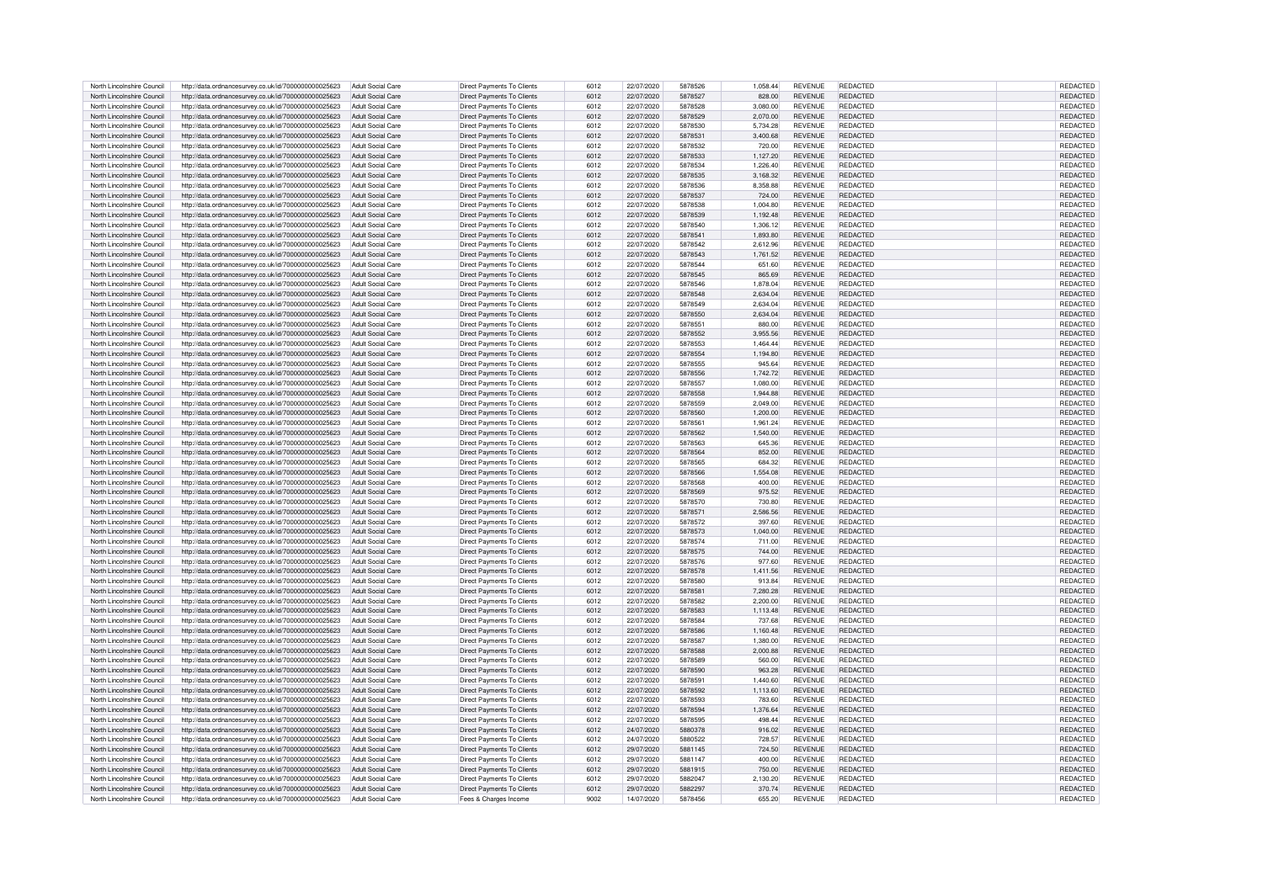| North Lincolnshire Council | http://data.ordnancesurvey.co.uk/id/7000000000025623 | Adult Social Care        | Direct Payments To Clients        | 6012 | 22/07/2020 | 5878526 | 1,058.44 | <b>REVENUE</b> | REDACTED        | REDACTED        |
|----------------------------|------------------------------------------------------|--------------------------|-----------------------------------|------|------------|---------|----------|----------------|-----------------|-----------------|
|                            |                                                      |                          |                                   |      |            |         |          |                |                 |                 |
| North Lincolnshire Council | http://data.ordnancesurvey.co.uk/id/7000000000025623 | Adult Social Care        | Direct Payments To Clients        | 6012 | 22/07/2020 | 5878527 | 828.00   | <b>REVENUE</b> | <b>REDACTED</b> | REDACTED        |
| North Lincolnshire Council | http://data.ordnancesurvey.co.uk/id/7000000000025623 | Adult Social Care        | Direct Payments To Clients        | 6012 | 22/07/2020 | 5878528 | 3.080.00 | <b>REVENUE</b> | REDACTED        | REDACTED        |
| North Lincolnshire Council | http://data.ordnancesurvey.co.uk/id/7000000000025623 | Adult Social Care        | Direct Payments To Clients        | 6012 | 22/07/2020 | 5878529 | 2,070.00 | <b>REVENUE</b> | REDACTED        | REDACTED        |
| North Lincolnshire Council | http://data.ordnancesurvey.co.uk/id/7000000000025623 | Adult Social Care        | Direct Payments To Clients        | 6012 | 22/07/2020 | 5878530 | 5,734.28 | <b>REVENUE</b> | <b>REDACTED</b> | REDACTED        |
| North Lincolnshire Council | http://data.ordnancesurvey.co.uk/id/7000000000025623 | Adult Social Care        | Direct Payments To Clients        | 6012 | 22/07/2020 | 5878531 | 3.400.68 | <b>REVENUE</b> | <b>REDACTED</b> | REDACTED        |
|                            |                                                      |                          |                                   |      |            |         |          |                |                 |                 |
| North Lincolnshire Council | http://data.ordnancesurvey.co.uk/id/7000000000025623 | Adult Social Care        | Direct Payments To Clients        | 6012 | 22/07/2020 | 5878532 | 720.00   | <b>REVENUE</b> | <b>REDACTED</b> | <b>REDACTED</b> |
| North Lincolnshire Council | http://data.ordnancesurvey.co.uk/id/7000000000025623 | <b>Adult Social Care</b> | Direct Payments To Clients        | 6012 | 22/07/2020 | 5878533 | 1,127.20 | <b>REVENUE</b> | REDACTED        | REDACTED        |
| North Lincolnshire Council | http://data.ordnancesurvey.co.uk/id/7000000000025623 | Adult Social Care        | <b>Direct Payments To Clients</b> | 6012 | 22/07/2020 | 5878534 | 1,226.40 | <b>REVENUE</b> | REDACTED        | REDACTED        |
|                            |                                                      |                          |                                   | 6012 |            |         |          |                |                 |                 |
| North Lincolnshire Council | http://data.ordnancesurvey.co.uk/id/7000000000025623 | Adult Social Care        | Direct Payments To Clients        |      | 22/07/2020 | 5878535 | 3,168.32 | <b>REVENUE</b> | REDACTED        | <b>REDACTED</b> |
| North Lincolnshire Council | http://data.ordnancesurvey.co.uk/id/7000000000025623 | Adult Social Care        | Direct Payments To Clients        | 6012 | 22/07/2020 | 5878536 | 8,358.88 | REVENUE        | <b>REDACTED</b> | REDACTED        |
| North Lincolnshire Council | http://data.ordnancesurvey.co.uk/id/7000000000025623 | <b>Adult Social Care</b> | Direct Payments To Clients        | 6012 | 22/07/2020 | 5878537 | 724.00   | <b>REVENUE</b> | REDACTED        | REDACTED        |
| North Lincolnshire Council | http://data.ordnancesurvey.co.uk/id/7000000000025623 | Adult Social Care        | Direct Payments To Clients        | 6012 | 22/07/2020 | 5878538 | 1,004.80 | <b>REVENUE</b> | <b>REDACTED</b> | REDACTED        |
| North Lincolnshire Council | http://data.ordnancesurvey.co.uk/id/7000000000025623 | Adult Social Care        | Direct Payments To Clients        | 6012 | 22/07/2020 | 5878539 | 1,192.48 | <b>REVENUE</b> | <b>REDACTED</b> | REDACTED        |
|                            |                                                      |                          |                                   |      |            |         |          |                |                 |                 |
| North Lincolnshire Council | http://data.ordnancesurvey.co.uk/id/7000000000025623 | Adult Social Care        | Direct Payments To Clients        | 6012 | 22/07/2020 | 5878540 | 1,306.12 | <b>REVENUE</b> | REDACTED        | REDACTED        |
| North Lincolnshire Council | http://data.ordnancesurvey.co.uk/id/7000000000025623 | Adult Social Care        | Direct Payments To Clients        | 6012 | 22/07/2020 | 587854  | 1,893.80 | <b>REVENUE</b> | REDACTED        | REDACTED        |
| North Lincolnshire Council | http://data.ordnancesurvey.co.uk/id/7000000000025623 | Adult Social Care        | Direct Payments To Clients        | 6012 | 22/07/2020 | 5878542 | 2.612.96 | <b>REVENUE</b> | REDACTED        | REDACTED        |
| North Lincolnshire Council | http://data.ordnancesurvey.co.uk/id/7000000000025623 | Adult Social Care        | Direct Payments To Clients        | 6012 | 22/07/2020 | 5878543 | 1.761.52 | <b>REVENUE</b> | <b>REDACTED</b> | REDACTED        |
|                            |                                                      |                          |                                   |      | 22/07/2020 |         |          | <b>REVENUE</b> | <b>REDACTED</b> |                 |
| North Lincolnshire Council | http://data.ordnancesurvey.co.uk/id/7000000000025623 | Adult Social Care        | Direct Payments To Clients        | 6012 |            | 5878544 | 651.60   |                |                 | REDACTED        |
| North Lincolnshire Council | http://data.ordnancesurvey.co.uk/id/7000000000025623 | Adult Social Care        | Direct Payments To Clients        | 6012 | 22/07/2020 | 5878545 | 865.69   | <b>REVENUE</b> | <b>REDACTED</b> | REDACTED        |
| North Lincolnshire Council | http://data.ordnancesurvey.co.uk/id/7000000000025623 | Adult Social Care        | Direct Payments To Clients        | 6012 | 22/07/2020 | 5878546 | 1,878.04 | <b>REVENUE</b> | REDACTED        | REDACTED        |
| North Lincolnshire Council | http://data.ordnancesurvey.co.uk/id/7000000000025623 | Adult Social Care        | <b>Direct Payments To Clients</b> | 6012 | 22/07/2020 | 5878548 | 2,634.04 | <b>REVENUE</b> | REDACTED        | REDACTED        |
|                            |                                                      |                          |                                   |      |            |         |          |                |                 |                 |
| North Lincolnshire Council | http://data.ordnancesurvey.co.uk/id/7000000000025623 | Adult Social Care        | Direct Payments To Clients        | 6012 | 22/07/2020 | 5878549 | 2.634.04 | <b>REVENUE</b> | REDACTED        | REDACTED        |
| North Lincolnshire Council | http://data.ordnancesurvey.co.uk/id/7000000000025623 | Adult Social Care        | Direct Payments To Clients        | 6012 | 22/07/2020 | 5878550 | 2,634.04 | <b>REVENUE</b> | REDACTED        | REDACTED        |
| North Lincolnshire Council | http://data.ordnancesurvey.co.uk/id/7000000000025623 | Adult Social Care        | Direct Payments To Clients        | 6012 | 22/07/2020 | 5878551 | 880.00   | <b>REVENUE</b> | <b>REDACTED</b> | REDACTED        |
| North Lincolnshire Council | http://data.ordnancesurvey.co.uk/id/7000000000025623 | Adult Social Care        | Direct Payments To Clients        | 6012 | 22/07/2020 | 5878552 | 3,955.56 | <b>REVENUE</b> | REDACTED        | REDACTED        |
|                            |                                                      |                          |                                   |      |            |         |          |                |                 |                 |
| North Lincolnshire Council | http://data.ordnancesurvey.co.uk/id/7000000000025623 | Adult Social Care        | Direct Payments To Clients        | 6012 | 22/07/2020 | 5878553 | 1,464.44 | <b>REVENUE</b> | REDACTED        | REDACTED        |
| North Lincolnshire Council | http://data.ordnancesurvey.co.uk/id/7000000000025623 | Adult Social Care        | Direct Payments To Clients        | 6012 | 22/07/2020 | 5878554 | 1.194.80 | <b>REVENUE</b> | REDACTED        | REDACTED        |
| North Lincolnshire Council | http://data.ordnancesurvey.co.uk/id/7000000000025623 | Adult Social Care        | Direct Payments To Clients        | 6012 | 22/07/2020 | 5878555 | 945.64   | <b>REVENUE</b> | REDACTED        | REDACTED        |
| North Lincolnshire Council | http://data.ordnancesurvey.co.uk/id/7000000000025623 | Adult Social Care        | Direct Payments To Clients        | 6012 | 22/07/2020 | 5878556 | 1,742.72 | <b>REVENUE</b> | <b>REDACTED</b> | REDACTED        |
|                            |                                                      |                          |                                   |      |            |         |          |                | <b>REDACTED</b> |                 |
| North Lincolnshire Council | http://data.ordnancesurvey.co.uk/id/7000000000025623 | Adult Social Care        | Direct Payments To Clients        | 6012 | 22/07/2020 | 5878557 | 1.080.00 | <b>REVENUE</b> |                 | REDACTED        |
| North Lincolnshire Council | http://data.ordnancesurvey.co.uk/id/7000000000025623 | Adult Social Care        | Direct Payments To Clients        | 6012 | 22/07/2020 | 5878558 | 1.944.88 | <b>REVENUE</b> | <b>REDACTED</b> | REDACTED        |
| North Lincolnshire Council | http://data.ordnancesurvey.co.uk/id/7000000000025623 | Adult Social Care        | Direct Payments To Clients        | 6012 | 22/07/2020 | 5878559 | 2,049.00 | <b>REVENUE</b> | REDACTED        | REDACTED        |
| North Lincolnshire Council | http://data.ordnancesurvey.co.uk/id/7000000000025623 | Adult Social Care        | Direct Payments To Clients        | 6012 | 22/07/2020 | 5878560 | 1,200.00 | REVENUE        | <b>REDACTED</b> | REDACTED        |
| North Lincolnshire Council | http://data.ordnancesurvey.co.uk/id/7000000000025623 | Adult Social Care        | Direct Payments To Clients        | 6012 | 22/07/2020 | 587856  | 1,961.24 | <b>REVENUE</b> | REDACTED        | REDACTED        |
|                            |                                                      |                          |                                   |      |            |         |          |                |                 |                 |
| North Lincolnshire Council | http://data.ordnancesurvey.co.uk/id/7000000000025623 | Adult Social Care        | Direct Payments To Clients        | 6012 | 22/07/2020 | 5878562 | 1,540.00 | <b>REVENUE</b> | <b>REDACTED</b> | REDACTED        |
| North Lincolnshire Council | http://data.ordnancesurvey.co.uk/id/7000000000025623 | Adult Social Care        | Direct Payments To Clients        | 6012 | 22/07/2020 | 5878563 | 645.36   | <b>REVENUE</b> | <b>REDACTED</b> | REDACTED        |
| North Lincolnshire Council | http://data.ordnancesurvey.co.uk/id/7000000000025623 | Adult Social Care        | Direct Payments To Clients        | 6012 | 22/07/2020 | 5878564 | 852.00   | <b>REVENUE</b> | REDACTED        | REDACTED        |
| North Lincolnshire Council | http://data.ordnancesurvey.co.uk/id/7000000000025623 | Adult Social Care        | Direct Payments To Clients        | 6012 | 22/07/2020 | 5878565 | 684.32   | <b>REVENUE</b> | REDACTED        | REDACTED        |
|                            |                                                      |                          |                                   |      |            |         |          |                |                 |                 |
| North Lincolnshire Council | http://data.ordnancesurvey.co.uk/id/7000000000025623 | Adult Social Care        | <b>Direct Payments To Clients</b> | 6012 | 22/07/2020 | 5878566 | 1.554.08 | <b>REVENUE</b> | REDACTED        | REDACTED        |
| North Lincolnshire Council | http://data.ordnancesurvey.co.uk/id/7000000000025623 | Adult Social Care        | Direct Payments To Clients        | 6012 | 22/07/2020 | 5878568 | 400.00   | <b>REVENUE</b> | REDACTED        | REDACTED        |
| North Lincolnshire Council | http://data.ordnancesurvey.co.uk/id/7000000000025623 | <b>Adult Social Care</b> | Direct Payments To Clients        | 6012 | 22/07/2020 | 5878569 | 975.52   | <b>REVENUE</b> | <b>REDACTED</b> | REDACTED        |
| North Lincolnshire Council | http://data.ordnancesurvey.co.uk/id/7000000000025623 | Adult Social Care        | Direct Payments To Clients        | 6012 | 22/07/2020 | 5878570 | 730.80   | <b>REVENUE</b> | REDACTED        | REDACTED        |
|                            |                                                      |                          |                                   |      |            |         |          |                |                 |                 |
| North Lincolnshire Council | http://data.ordnancesurvey.co.uk/id/7000000000025623 | <b>Adult Social Care</b> | Direct Payments To Clients        | 6012 | 22/07/2020 | 587857  | 2,586.56 | <b>REVENUE</b> | REDACTED        | REDACTED        |
| North Lincolnshire Council | http://data.ordnancesurvey.co.uk/id/7000000000025623 | Adult Social Care        | Direct Payments To Clients        | 6012 | 22/07/2020 | 5878572 | 397.60   | <b>REVENUE</b> | REDACTED        | REDACTED        |
| North Lincolnshire Council | http://data.ordnancesurvey.co.uk/id/7000000000025623 | Adult Social Care        | Direct Payments To Clients        | 6012 | 22/07/2020 | 5878573 | 1.040.00 | <b>REVENUE</b> | REDACTED        | REDACTED        |
| North Lincolnshire Council | http://data.ordnancesurvey.co.uk/id/7000000000025623 | Adult Social Care        | Direct Payments To Clients        | 6012 | 22/07/2020 | 5878574 | 711.00   | <b>REVENUE</b> | REDACTED        | REDACTED        |
|                            |                                                      |                          |                                   |      |            |         |          |                |                 |                 |
| North Lincolnshire Council | http://data.ordnancesurvey.co.uk/id/7000000000025623 | Adult Social Care        | <b>Direct Payments To Clients</b> | 6012 | 22/07/2020 | 5878575 | 744.00   | <b>REVENUE</b> | <b>REDACTED</b> | <b>REDACTEI</b> |
| North Lincolnshire Council | http://data.ordnancesurvey.co.uk/id/7000000000025623 | Adult Social Care        | Direct Payments To Clients        | 6012 | 22/07/2020 | 5878576 | 977.60   | <b>REVENUE</b> | <b>REDACTED</b> | <b>REDACTED</b> |
| North Lincolnshire Council | http://data.ordnancesurvey.co.uk/id/7000000000025623 | Adult Social Care        | Direct Payments To Clients        | 6012 | 22/07/2020 | 5878578 | 1,411.56 | <b>REVENUE</b> | REDACTED        | REDACTED        |
| North Lincolnshire Council | http://data.ordnancesurvey.co.uk/id/7000000000025623 | Adult Social Care        | Direct Payments To Clients        | 6012 | 22/07/2020 | 5878580 | 913.84   | <b>REVENUE</b> | REDACTED        | REDACTED        |
| North Lincolnshire Council | http://data.ordnancesurvey.co.uk/id/7000000000025623 | Adult Social Care        | Direct Payments To Clients        | 6012 | 22/07/2020 | 5878581 | 7.280.28 | <b>REVENUE</b> | <b>REDACTED</b> | REDACTED        |
|                            |                                                      |                          |                                   |      |            |         |          |                |                 |                 |
| North Lincolnshire Council | http://data.ordnancesurvey.co.uk/id/7000000000025623 | Adult Social Care        | Direct Payments To Clients        | 6012 | 22/07/2020 | 5878582 | 2,200.00 | <b>REVENUE</b> | <b>REDACTED</b> | REDACTED        |
| North Lincolnshire Council | http://data.ordnancesurvey.co.uk/id/7000000000025623 | Adult Social Care        | Direct Payments To Clients        | 6012 | 22/07/2020 | 5878583 | 1,113.48 | <b>REVENUE</b> | <b>REDACTED</b> | REDACTED        |
| North Lincolnshire Council | http://data.ordnancesurvey.co.uk/id/7000000000025623 | Adult Social Care        | Direct Payments To Clients        | 6012 | 22/07/2020 | 5878584 | 737.68   | <b>REVENUE</b> | <b>REDACTED</b> | <b>REDACTED</b> |
| North Lincolnshire Council | http://data.ordnancesurvey.co.uk/id/7000000000025623 | Adult Social Care        | Direct Payments To Clients        | 6012 | 22/07/2020 | 5878586 | 1,160.48 | <b>REVENUE</b> | <b>REDACTED</b> | REDACTED        |
|                            |                                                      |                          |                                   |      |            |         |          |                |                 |                 |
| North Lincolnshire Council | http://data.ordnancesurvey.co.uk/id/7000000000025623 | Adult Social Care        | Direct Payments To Clients        | 6012 | 22/07/2020 | 5878587 | 1,380.00 | <b>REVENUE</b> | REDACTED        | REDACTED        |
| North Lincolnshire Council | http://data.ordnancesurvey.co.uk/id/7000000000025623 | Adult Social Care        | Direct Payments To Clients        | 6012 | 22/07/2020 | 5878588 | 2,000.88 | <b>REVENUE</b> | REDACTED        | <b>REDACTED</b> |
| North Lincolnshire Council | http://data.ordnancesurvey.co.uk/id/7000000000025623 | Adult Social Care        | Direct Payments To Clients        | 6012 | 22/07/2020 | 5878589 | 560.00   | <b>REVENUE</b> | <b>REDACTED</b> | <b>REDACTED</b> |
| North Lincolnshire Council | http://data.ordnancesurvey.co.uk/id/7000000000025623 | Adult Social Care        | Direct Payments To Clients        | 6012 | 22/07/2020 | 5878590 | 963.28   | <b>REVENUE</b> | <b>REDACTED</b> | <b>REDACTED</b> |
| North Lincolnshire Council | http://data.ordnancesurvey.co.uk/id/7000000000025623 | Adult Social Care        | Direct Payments To Clients        | 6012 | 22/07/2020 | 587859  | 1,440.60 | <b>REVENUE</b> | <b>REDACTED</b> | REDACTED        |
|                            |                                                      |                          |                                   |      |            |         |          |                |                 |                 |
| North Lincolnshire Council | http://data.ordnancesurvey.co.uk/id/7000000000025623 | Adult Social Care        | Direct Payments To Clients        | 6012 | 22/07/2020 | 5878592 | 1,113.60 | <b>REVENUE</b> | <b>REDACTED</b> | <b>REDACTED</b> |
| North Lincolnshire Council | http://data.ordnancesurvey.co.uk/id/7000000000025623 | Adult Social Care        | Direct Payments To Clients        | 6012 | 22/07/2020 | 5878593 | 783.60   | <b>REVENUE</b> | REDACTED        | REDACTED        |
| North Lincolnshire Council | http://data.ordnancesurvey.co.uk/id/7000000000025623 | Adult Social Care        | Direct Payments To Clients        | 6012 | 22/07/2020 | 5878594 | 1,376.64 | <b>REVENUE</b> | REDACTED        | REDACTED        |
| North Lincolnshire Council | http://data.ordnancesurvey.co.uk/id/7000000000025623 | Adult Social Care        | Direct Payments To Clients        | 6012 | 22/07/2020 | 5878595 | 498.44   | <b>REVENUE</b> | <b>REDACTED</b> | REDACTED        |
|                            |                                                      |                          |                                   |      |            |         |          |                |                 |                 |
| North Lincolnshire Council | http://data.ordnancesurvey.co.uk/id/7000000000025623 | Adult Social Care        | Direct Payments To Clients        | 6012 | 24/07/2020 | 5880378 | 916.02   | <b>REVENUE</b> | REDACTED        | REDACTED        |
| North Lincolnshire Council | http://data.ordnancesurvey.co.uk/id/7000000000025623 | Adult Social Care        | Direct Payments To Clients        | 6012 | 24/07/2020 | 5880522 | 728.57   | <b>REVENUE</b> | REDACTED        | REDACTED        |
| North Lincolnshire Council | http://data.ordnancesurvey.co.uk/id/7000000000025623 | Adult Social Care        | Direct Payments To Clients        | 6012 | 29/07/2020 | 5881145 | 724.50   | <b>REVENUE</b> | <b>REDACTED</b> | REDACTED        |
| North Lincolnshire Council | http://data.ordnancesurvey.co.uk/id/7000000000025623 | Adult Social Care        | Direct Payments To Clients        | 6012 | 29/07/2020 | 5881147 | 400.00   | <b>REVENUE</b> | REDACTED        | REDACTED        |
| North Lincolnshire Council | http://data.ordnancesurvey.co.uk/id/7000000000025623 | Adult Social Care        | Direct Payments To Clients        | 6012 | 29/07/2020 | 5881915 | 750.00   | REVENUE        | REDACTED        | REDACTED        |
|                            |                                                      |                          |                                   |      |            |         |          |                |                 |                 |
| North Lincolnshire Council | http://data.ordnancesurvey.co.uk/id/7000000000025623 | Adult Social Care        | Direct Payments To Clients        | 6012 | 29/07/2020 | 5882047 | 2.130.20 | <b>REVENUE</b> | <b>REDACTED</b> | REDACTED        |
| North Lincolnshire Council | http://data.ordnancesurvey.co.uk/id/7000000000025623 | Adult Social Care        | Direct Payments To Clients        | 6012 | 29/07/2020 | 5882297 | 370.74   | <b>REVENUE</b> | REDACTED        | REDACTED        |
| North Lincolnshire Council | http://data.ordnancesurvey.co.uk/id/7000000000025623 | Adult Social Care        | Fees & Charges Income             | 9002 | 14/07/2020 | 5878456 | 655.20   | <b>REVENUE</b> | <b>REDACTED</b> | REDACTED        |
|                            |                                                      |                          |                                   |      |            |         |          |                |                 |                 |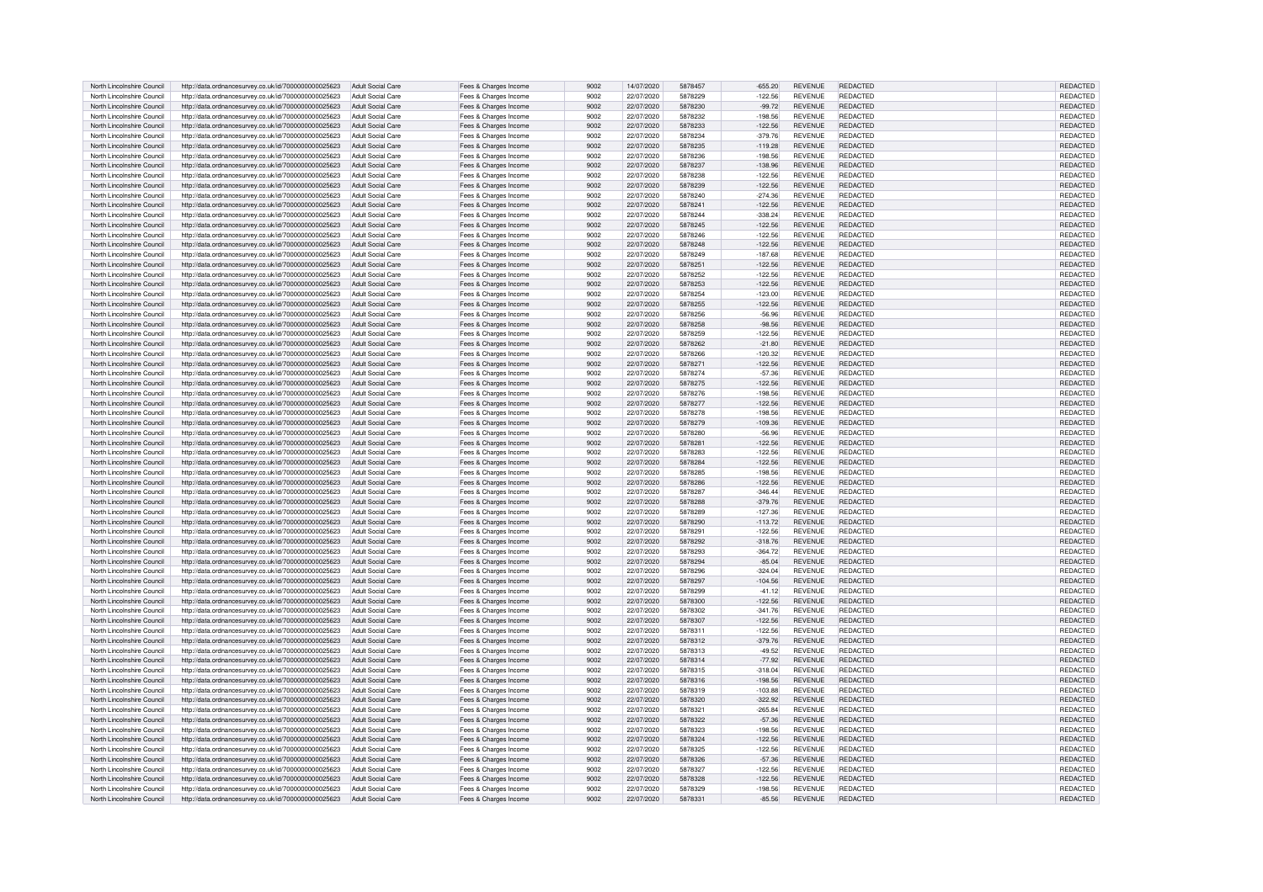| North Lincolnshire Council | http://data.ordnancesurvey.co.uk/id/7000000000025623 | Adult Social Care        | Fees & Charges Income | 9002 | 14/07/2020 | 5878457 | $-655.20$ | <b>REVENUE</b> | REDACTED        | <b>REDACTED</b> |
|----------------------------|------------------------------------------------------|--------------------------|-----------------------|------|------------|---------|-----------|----------------|-----------------|-----------------|
| North Lincolnshire Council | http://data.ordnancesurvey.co.uk/id/7000000000025623 | Adult Social Care        | Fees & Charges Income | 9002 | 22/07/2020 | 5878229 | $-122.56$ | <b>REVENUE</b> | <b>REDACTED</b> | REDACTED        |
| North Lincolnshire Council | http://data.ordnancesurvey.co.uk/id/7000000000025623 | <b>Adult Social Care</b> | Fees & Charges Income | 9002 | 22/07/2020 | 5878230 | $-99.72$  | <b>REVENUE</b> | REDACTED        | REDACTED        |
| North Lincolnshire Council | http://data.ordnancesurvey.co.uk/id/7000000000025623 | Adult Social Care        | Fees & Charges Income | 9002 | 22/07/2020 | 5878232 | $-198.56$ | <b>REVENUE</b> | <b>REDACTED</b> | REDACTED        |
| North Lincolnshire Council | http://data.ordnancesurvey.co.uk/id/7000000000025623 | <b>Adult Social Care</b> | Fees & Charges Income | 9002 | 22/07/2020 | 5878233 | $-122.56$ | <b>REVENUE</b> | REDACTED        | REDACTED        |
| North Lincolnshire Council | http://data.ordnancesurvey.co.uk/id/7000000000025623 | Adult Social Care        |                       | 9002 | 22/07/2020 | 5878234 | $-379.76$ | <b>REVENUE</b> | REDACTED        | <b>REDACTED</b> |
|                            |                                                      | Adult Social Care        | Fees & Charges Income | 9002 |            | 5878235 | $-119.28$ | <b>REVENUE</b> | <b>REDACTED</b> |                 |
| North Lincolnshire Council | http://data.ordnancesurvey.co.uk/id/7000000000025623 |                          | Fees & Charges Income |      | 22/07/2020 |         |           |                |                 | <b>REDACTED</b> |
| North Lincolnshire Council | http://data.ordnancesurvey.co.uk/id/7000000000025623 | Adult Social Care        | Fees & Charges Income | 9002 | 22/07/2020 | 5878236 | $-198.56$ | <b>REVENUE</b> | REDACTED        | REDACTED        |
| North Lincolnshire Council | http://data.ordnancesurvey.co.uk/id/7000000000025623 | Adult Social Care        | Fees & Charges Income | 9002 | 22/07/2020 | 5878237 | $-138.96$ | <b>REVENUE</b> | REDACTED        | REDACTED        |
| North Lincolnshire Council | http://data.ordnancesurvey.co.uk/id/7000000000025623 | Adult Social Care        | Fees & Charges Income | 9002 | 22/07/2020 | 5878238 | $-122.56$ | <b>REVENUE</b> | <b>REDACTED</b> | REDACTED        |
| North Lincolnshire Council | http://data.ordnancesurvey.co.uk/id/7000000000025623 | Adult Social Care        | Fees & Charges Income | 9002 | 22/07/2020 | 5878239 | $-122.56$ | <b>REVENUE</b> | <b>REDACTED</b> | REDACTED        |
| North Lincolnshire Council | http://data.ordnancesurvey.co.uk/id/7000000000025623 | Adult Social Care        | Fees & Charges Income | 9002 | 22/07/2020 | 5878240 | $-274.36$ | <b>REVENUE</b> | <b>REDACTED</b> | <b>REDACTED</b> |
| North Lincolnshire Council | http://data.ordnancesurvey.co.uk/id/7000000000025623 | <b>Adult Social Care</b> | Fees & Charges Income | 9002 | 22/07/2020 | 5878241 | $-122.56$ | <b>REVENUE</b> | REDACTED        | <b>REDACTED</b> |
| North Lincolnshire Council | http://data.ordnancesurvey.co.uk/id/7000000000025623 | Adult Social Care        | Fees & Charges Income | 9002 | 22/07/2020 | 5878244 | $-338.24$ | <b>REVENUE</b> | REDACTED        | REDACTED        |
| North Lincolnshire Council | http://data.ordnancesurvey.co.uk/id/7000000000025623 | <b>Adult Social Care</b> | Fees & Charges Income | 9002 | 22/07/2020 | 5878245 | $-122.56$ | <b>REVENUE</b> | REDACTED        | <b>REDACTED</b> |
| North Lincolnshire Council | http://data.ordnancesurvey.co.uk/id/7000000000025623 | Adult Social Care        | Fees & Charges Income | 9002 | 22/07/2020 | 5878246 | $-122.56$ | <b>REVENUE</b> | REDACTED        | REDACTED        |
| North Lincolnshire Council | http://data.ordnancesurvey.co.uk/id/7000000000025623 | Adult Social Care        | Fees & Charges Income | 9002 | 22/07/2020 | 5878248 | $-122.56$ | <b>REVENUE</b> | <b>REDACTED</b> | <b>REDACTED</b> |
| North Lincolnshire Council | http://data.ordnancesurvey.co.uk/id/7000000000025623 | Adult Social Care        | Fees & Charges Income | 9002 | 22/07/2020 | 5878249 | $-187.68$ | <b>REVENUE</b> | REDACTED        | REDACTED        |
| North Lincolnshire Council | http://data.ordnancesurvey.co.uk/id/7000000000025623 | Adult Social Care        | Fees & Charges Income | 9002 | 22/07/2020 | 587825  | $-122.56$ | <b>REVENUE</b> | REDACTED        | REDACTED        |
| North Lincolnshire Council |                                                      | Adult Social Care        |                       | 9002 | 22/07/2020 | 5878252 | $-122.56$ | <b>REVENUE</b> | REDACTED        | REDACTED        |
|                            | http://data.ordnancesurvey.co.uk/id/7000000000025623 |                          | Fees & Charges Income |      |            |         |           |                |                 |                 |
| North Lincolnshire Council | http://data.ordnancesurvey.co.uk/id/7000000000025623 | Adult Social Care        | Fees & Charges Income | 9002 | 22/07/2020 | 5878253 | $-122.56$ | <b>REVENUE</b> | <b>REDACTED</b> | REDACTED        |
| North Lincolnshire Council | http://data.ordnancesurvey.co.uk/id/7000000000025623 | Adult Social Care        | Fees & Charges Income | 9002 | 22/07/2020 | 5878254 | $-123.00$ | <b>REVENUE</b> | <b>REDACTED</b> | REDACTED        |
| North Lincolnshire Council | http://data.ordnancesurvey.co.uk/id/7000000000025623 | Adult Social Care        | Fees & Charges Income | 9002 | 22/07/2020 | 5878255 | $-122.56$ | <b>REVENUE</b> | <b>REDACTED</b> | REDACTED        |
| North Lincolnshire Council | http://data.ordnancesurvey.co.uk/id/7000000000025623 | Adult Social Care        | Fees & Charges Income | 9002 | 22/07/2020 | 5878256 | $-56.96$  | <b>REVENUE</b> | <b>REDACTED</b> | REDACTED        |
| North Lincolnshire Council | http://data.ordnancesurvey.co.uk/id/7000000000025623 | Adult Social Care        | Fees & Charges Income | 9002 | 22/07/2020 | 5878258 | $-98.56$  | <b>REVENUE</b> | REDACTED        | REDACTED        |
| North Lincolnshire Council | http://data.ordnancesurvey.co.uk/id/7000000000025623 | Adult Social Care        | Fees & Charges Income | 9002 | 22/07/2020 | 5878259 | 122.56    | <b>REVENUE</b> | REDACTED        | <b>REDACTED</b> |
| North Lincolnshire Council | http://data.ordnancesurvey.co.uk/id/7000000000025623 | Adult Social Care        | Fees & Charges Income | 9002 | 22/07/2020 | 5878262 | $-21.80$  | <b>REVENUE</b> | REDACTED        | REDACTED        |
| North Lincolnshire Council | http://data.ordnancesurvey.co.uk/id/7000000000025623 | Adult Social Care        | Fees & Charges Income | 9002 | 22/07/2020 | 5878266 | $-120.32$ | <b>REVENUE</b> | <b>REDACTED</b> | REDACTED        |
| North Lincolnshire Council | http://data.ordnancesurvey.co.uk/id/7000000000025623 | Adult Social Care        | Fees & Charges Income | 9002 | 22/07/2020 | 5878271 | $-122.56$ | <b>REVENUE</b> | <b>REDACTED</b> | REDACTED        |
| North Lincolnshire Council | http://data.ordnancesurvey.co.uk/id/7000000000025623 | Adult Social Care        | Fees & Charges Income | 9002 | 22/07/2020 | 5878274 | $-57.36$  | <b>REVENUE</b> | REDACTED        | REDACTED        |
| North Lincolnshire Council | http://data.ordnancesurvey.co.uk/id/7000000000025623 | Adult Social Care        | Fees & Charges Income | 9002 | 22/07/2020 | 5878275 | $-122.56$ | <b>REVENUE</b> | REDACTED        | REDACTED        |
| North Lincolnshire Council | http://data.ordnancesurvey.co.uk/id/7000000000025623 | Adult Social Care        | Fees & Charges Income | 9002 | 22/07/2020 | 5878276 | $-198.56$ | <b>REVENUE</b> | <b>REDACTED</b> | REDACTED        |
| North Lincolnshire Council |                                                      | Adult Social Care        |                       | 9002 | 22/07/2020 | 5878277 | $-122.56$ | <b>REVENUE</b> | <b>REDACTED</b> | <b>REDACTED</b> |
|                            | http://data.ordnancesurvey.co.uk/id/7000000000025623 |                          | Fees & Charges Income |      |            |         |           |                | <b>REDACTED</b> |                 |
| North Lincolnshire Council | http://data.ordnancesurvey.co.uk/id/7000000000025623 | Adult Social Care        | Fees & Charges Income | 9002 | 22/07/2020 | 5878278 | $-198.56$ | <b>REVENUE</b> |                 | REDACTED        |
| North Lincolnshire Council | http://data.ordnancesurvey.co.uk/id/7000000000025623 | Adult Social Care        | Fees & Charges Income | 9002 | 22/07/2020 | 5878279 | $-109.36$ | <b>REVENUE</b> | REDACTED        | REDACTED        |
| North Lincolnshire Council | http://data.ordnancesurvey.co.uk/id/7000000000025623 | Adult Social Care        | Fees & Charges Income | 9002 | 22/07/2020 | 5878280 | $-56.96$  | <b>REVENUE</b> | <b>REDACTED</b> | REDACTED        |
| North Lincolnshire Council | http://data.ordnancesurvey.co.uk/id/7000000000025623 | <b>Adult Social Care</b> | Fees & Charges Income | 9002 | 22/07/2020 | 5878281 | $-122.56$ | <b>REVENUE</b> | REDACTED        | REDACTED        |
| North Lincolnshire Council | http://data.ordnancesurvey.co.uk/id/7000000000025623 | Adult Social Care        | Fees & Charges Income | 9002 | 22/07/2020 | 5878283 | $-122.56$ | <b>REVENUE</b> | REDACTED        | <b>REDACTED</b> |
| North Lincolnshire Council | http://data.ordnancesurvey.co.uk/id/7000000000025623 | Adult Social Care        | Fees & Charges Income | 9002 | 22/07/2020 | 5878284 | $-122.56$ | <b>REVENUE</b> | <b>REDACTED</b> | REDACTED        |
| North Lincolnshire Council | http://data.ordnancesurvey.co.uk/id/7000000000025623 | Adult Social Care        | Fees & Charges Income | 9002 | 22/07/2020 | 5878285 | $-198.56$ | <b>REVENUE</b> | REDACTED        | REDACTED        |
| North Lincolnshire Council | http://data.ordnancesurvey.co.uk/id/7000000000025623 | Adult Social Care        | Fees & Charges Income | 9002 | 22/07/2020 | 5878286 | $-122.56$ | <b>REVENUE</b> | REDACTED        | REDACTED        |
| North Lincolnshire Council | http://data.ordnancesurvey.co.uk/id/7000000000025623 | Adult Social Care        | Fees & Charges Income | 9002 | 22/07/2020 | 5878287 | $-346.44$ | <b>REVENUE</b> | REDACTED        | REDACTED        |
| North Lincolnshire Council | http://data.ordnancesurvey.co.uk/id/7000000000025623 | <b>Adult Social Care</b> | Fees & Charges Income | 9002 | 22/07/2020 | 5878288 | $-379.76$ | <b>REVENUE</b> | <b>REDACTED</b> | REDACTED        |
| North Lincolnshire Council | http://data.ordnancesurvey.co.uk/id/7000000000025623 | Adult Social Care        | Fees & Charges Income | 9002 | 22/07/2020 | 5878289 | $-127.36$ | <b>REVENUE</b> | <b>REDACTED</b> | REDACTED        |
| North Lincolnshire Council | http://data.ordnancesurvey.co.uk/id/7000000000025623 | Adult Social Care        | Fees & Charges Income | 9002 | 22/07/2020 | 5878290 | $-113.72$ | <b>REVENUE</b> | <b>REDACTED</b> | REDACTED        |
| North Lincolnshire Council | http://data.ordnancesurvey.co.uk/id/7000000000025623 | Adult Social Care        | Fees & Charges Income | 9002 | 22/07/2020 | 5878291 | $-122.56$ | <b>REVENUE</b> | <b>REDACTED</b> | <b>REDACTED</b> |
| North Lincolnshire Council |                                                      | <b>Adult Social Care</b> |                       | 9002 | 22/07/2020 | 5878292 | $-318.76$ | <b>REVENUE</b> | REDACTED        |                 |
|                            | http://data.ordnancesurvey.co.uk/id/7000000000025623 |                          | Fees & Charges Income |      |            |         |           |                |                 | REDACTED        |
| North Lincolnshire Council | http://data.ordnancesurvey.co.uk/id/7000000000025623 | Adult Social Care        | Fees & Charges Income | 9002 | 22/07/2020 | 5878293 | $-364.72$ | <b>REVENUE</b> | REDACTED        | REDACTED        |
| North Lincolnshire Council | http://data.ordnancesurvey.co.uk/id/7000000000025623 | Adult Social Care        | Fees & Charges Income | 9002 | 22/07/2020 | 5878294 | $-85.04$  | <b>REVENUE</b> | REDACTED        | REDACTED        |
| North Lincolnshire Council | http://data.ordnancesurvey.co.uk/id/7000000000025623 | Adult Social Care        | Fees & Charges Income | 9002 | 22/07/2020 | 5878296 | $-324.04$ | <b>REVENUE</b> | <b>REDACTED</b> | <b>REDACTEI</b> |
| North Lincolnshire Council | http://data.ordnancesurvey.co.uk/id/7000000000025623 | Adult Social Care        | Fees & Charges Income | 9002 | 22/07/2020 | 5878297 | $-104.56$ | <b>REVENUE</b> | REDACTED        | REDACTED        |
| North Lincolnshire Council | http://data.ordnancesurvey.co.uk/id/7000000000025623 | Adult Social Care        | Fees & Charges Income | 9002 | 22/07/2020 | 5878299 | $-41.12$  | <b>REVENUE</b> | <b>REDACTED</b> | <b>REDACTED</b> |
| North Lincolnshire Council | http://data.ordnancesurvey.co.uk/id/7000000000025623 | Adult Social Care        | Fees & Charges Income | 9002 | 22/07/2020 | 5878300 | $-122.56$ | <b>REVENUE</b> | REDACTED        | <b>REDACTED</b> |
| North Lincolnshire Council | http://data.ordnancesurvey.co.uk/id/7000000000025623 | Adult Social Care        | Fees & Charges Income | 9002 | 22/07/2020 | 5878302 | $-341.76$ | <b>REVENUE</b> | REDACTED        | REDACTED        |
| North Lincolnshire Council | http://data.ordnancesurvey.co.uk/id/7000000000025623 | Adult Social Care        | Fees & Charges Income | 9002 | 22/07/2020 | 5878307 | $-122.56$ | <b>REVENUE</b> | <b>REDACTED</b> | REDACTED        |
| North Lincolnshire Council | http://data.ordnancesurvey.co.uk/id/7000000000025623 | Adult Social Care        | Fees & Charges Income | 9002 | 22/07/2020 | 5878311 | $-122.56$ | <b>REVENUE</b> | <b>REDACTED</b> | <b>REDACTED</b> |
| North Lincolnshire Council | http://data.ordnancesurvey.co.uk/id/7000000000025623 | <b>Adult Social Care</b> | Fees & Charges Income | 9002 | 22/07/2020 | 5878312 | $-379.76$ | <b>REVENUE</b> | <b>REDACTED</b> | REDACTED        |
| North Lincolnshire Council | http://data.ordnancesurvey.co.uk/id/7000000000025623 | <b>Adult Social Care</b> | Fees & Charges Income | 9002 | 22/07/2020 | 5878313 | $-49.52$  | <b>REVENUE</b> | <b>REDACTED</b> | <b>REDACTED</b> |
| North Lincolnshire Council | http://data.ordnancesurvey.co.uk/id/7000000000025623 | <b>Adult Social Care</b> | Fees & Charges Income | 9002 | 22/07/2020 | 5878314 | $-77.92$  | <b>REVENUE</b> | REDACTED        | REDACTED        |
| North Lincolnshire Council | http://data.ordnancesurvey.co.uk/id/7000000000025623 | Adult Social Care        | Fees & Charges Income | 9002 | 22/07/2020 | 5878315 | $-318.04$ | <b>REVENUE</b> | REDACTED        | REDACTED        |
| North Lincolnshire Council | http://data.ordnancesurvey.co.uk/id/7000000000025623 | Adult Social Care        | Fees & Charges Income | 9002 | 22/07/2020 | 5878316 | $-198.56$ | <b>REVENUE</b> | <b>REDACTED</b> | REDACTED        |
| North Lincolnshire Council | http://data.ordnancesurvey.co.uk/id/7000000000025623 | Adult Social Care        | Fees & Charges Income | 9002 | 22/07/2020 | 5878319 | $-103.88$ | <b>REVENUE</b> | <b>REDACTED</b> | REDACTED        |
|                            |                                                      |                          |                       |      |            | 5878320 |           |                |                 |                 |
| North Lincolnshire Council | http://data.ordnancesurvey.co.uk/id/7000000000025623 | Adult Social Care        | Fees & Charges Income | 9002 | 22/07/2020 |         | $-322.92$ | <b>REVENUE</b> | REDACTED        | REDACTED        |
| North Lincolnshire Council | http://data.ordnancesurvey.co.uk/id/7000000000025623 | Adult Social Care        | Fees & Charges Income | 9002 | 22/07/2020 | 5878321 | $-265.84$ | <b>REVENUE</b> | REDACTED        | REDACTED        |
| North Lincolnshire Council | http://data.ordnancesurvey.co.uk/id/7000000000025623 | Adult Social Care        | Fees & Charges Income | 9002 | 22/07/2020 | 5878322 | $-57.36$  | <b>REVENUE</b> | REDACTED        | REDACTED        |
| North Lincolnshire Council | http://data.ordnancesurvey.co.uk/id/7000000000025623 | Adult Social Care        | Fees & Charges Income | 9002 | 22/07/2020 | 5878323 | $-19856$  | <b>REVENUE</b> | <b>REDACTED</b> | REDACTED        |
| North Lincolnshire Council | http://data.ordnancesurvey.co.uk/id/7000000000025623 | Adult Social Care        | Fees & Charges Income | 9002 | 22/07/2020 | 5878324 | $-122.56$ | <b>REVENUE</b> | REDACTED        | REDACTED        |
| North Lincolnshire Council | http://data.ordnancesurvey.co.uk/id/7000000000025623 | Adult Social Care        | Fees & Charges Income | 9002 | 22/07/2020 | 5878325 | $-122.56$ | <b>REVENUE</b> | REDACTED        | REDACTED        |
| North Lincolnshire Council | http://data.ordnancesurvey.co.uk/id/7000000000025623 | Adult Social Care        | Fees & Charges Income | 9002 | 22/07/2020 | 5878326 | $-57.36$  | <b>REVENUE</b> | <b>REDACTED</b> | <b>REDACTED</b> |
| North Lincolnshire Council | http://data.ordnancesurvey.co.uk/id/7000000000025623 | Adult Social Care        | Fees & Charges Income | 9002 | 22/07/2020 | 5878327 | $-122.56$ | <b>REVENUE</b> | REDACTED        | REDACTED        |
| North Lincolnshire Council | http://data.ordnancesurvey.co.uk/id/7000000000025623 | Adult Social Care        | Fees & Charges Income | 9002 | 22/07/2020 | 5878328 | $-122.56$ | <b>REVENUE</b> | <b>REDACTED</b> | REDACTED        |
| North Lincolnshire Council | http://data.ordnancesurvey.co.uk/id/7000000000025623 | Adult Social Care        | Fees & Charges Income | 9002 | 22/07/2020 | 5878329 | 198.56    | <b>REVENUE</b> | REDACTED        | REDACTED        |
| North Lincolnshire Council | http://data.ordnancesurvey.co.uk/id/7000000000025623 | Adult Social Care        | Fees & Charges Income | 9002 | 22/07/2020 | 5878331 | $-85.56$  | <b>REVENUE</b> | <b>REDACTED</b> | <b>REDACTED</b> |
|                            |                                                      |                          |                       |      |            |         |           |                |                 |                 |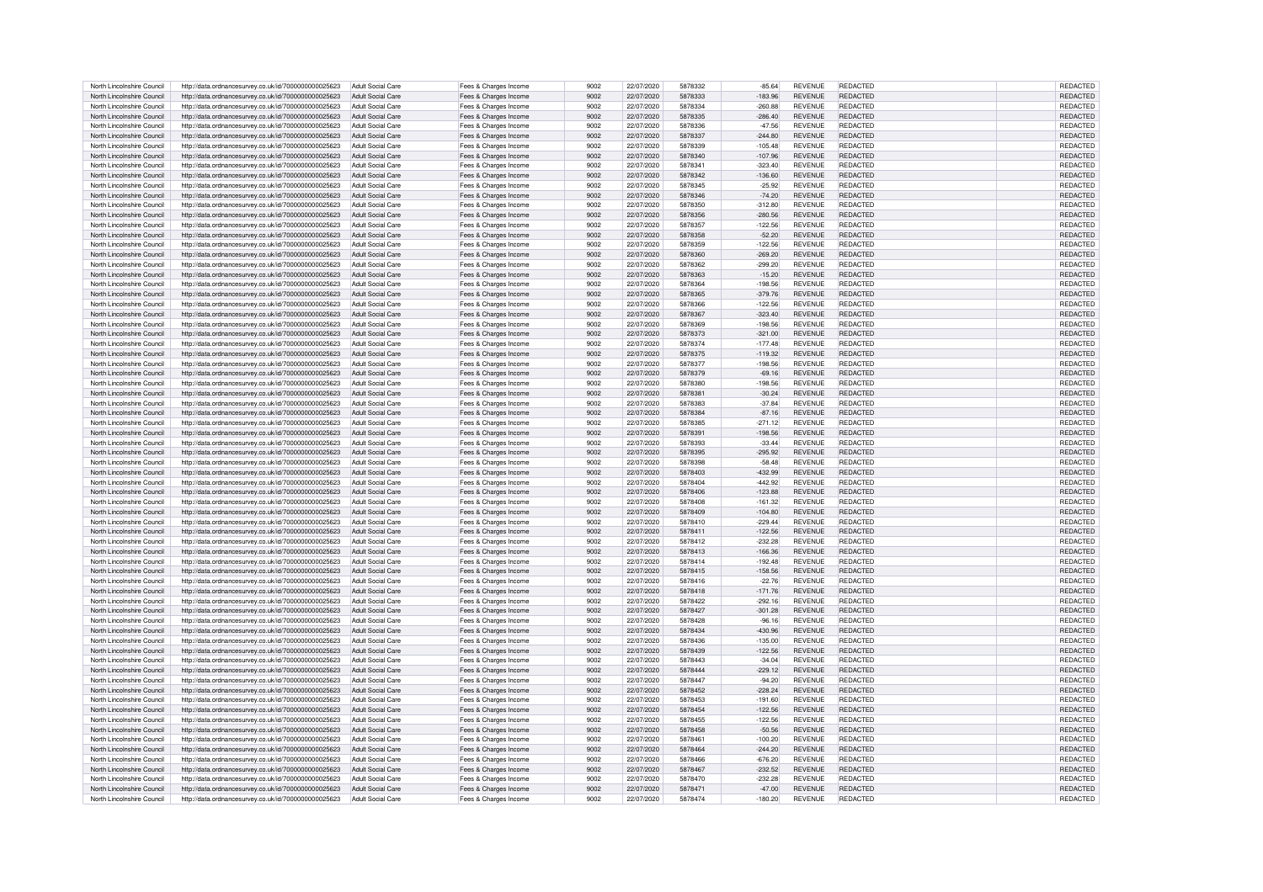| North Lincolnshire Council | http://data.ordnancesurvey.co.uk/id/7000000000025623 | Adult Social Care        | Fees & Charges Income | 9002 | 22/07/2020 | 5878332 | $-85.64$  | <b>REVENUE</b> | REDACTED        | REDACTED        |
|----------------------------|------------------------------------------------------|--------------------------|-----------------------|------|------------|---------|-----------|----------------|-----------------|-----------------|
|                            |                                                      |                          |                       |      |            |         |           |                |                 |                 |
| North Lincolnshire Council | http://data.ordnancesurvey.co.uk/id/7000000000025623 | <b>Adult Social Care</b> | Fees & Charges Income | 9002 | 22/07/2020 | 5878333 | $-183.96$ | <b>REVENUE</b> | REDACTED        | REDACTED        |
| North Lincolnshire Council | http://data.ordnancesurvey.co.uk/id/7000000000025623 | Adult Social Care        | Fees & Charges Income | 9002 | 22/07/2020 | 5878334 | $-260.88$ | <b>REVENUE</b> | <b>REDACTED</b> | REDACTED        |
| North Lincolnshire Council | http://data.ordnancesurvey.co.uk/id/7000000000025623 | Adult Social Care        | Fees & Charges Income | 9002 | 22/07/2020 | 5878335 | $-286.40$ | <b>REVENUE</b> | <b>REDACTED</b> | <b>REDACTED</b> |
| North Lincolnshire Council | http://data.ordnancesurvey.co.uk/id/7000000000025623 | Adult Social Care        | Fees & Charges Income | 9002 | 22/07/2020 | 5878336 | $-47.56$  | <b>REVENUE</b> | REDACTED        | REDACTED        |
|                            |                                                      |                          |                       |      |            |         |           |                |                 |                 |
| North Lincolnshire Council | http://data.ordnancesurvey.co.uk/id/7000000000025623 | Adult Social Care        | Fees & Charges Income | 9002 | 22/07/2020 | 5878337 | $-244.80$ | <b>REVENUE</b> | REDACTED        | REDACTED        |
| North Lincolnshire Council | http://data.ordnancesurvey.co.uk/id/7000000000025623 | Adult Social Care        | Fees & Charges Income | 9002 | 22/07/2020 | 5878339 | $-105.48$ | <b>REVENUE</b> | REDACTED        | REDACTED        |
| North Lincolnshire Council | http://data.ordnancesurvey.co.uk/id/7000000000025623 | Adult Social Care        | Fees & Charges Income | 9002 | 22/07/2020 | 5878340 | $-107.96$ | <b>REVENUE</b> | REDACTED        | REDACTED        |
| North Lincolnshire Council |                                                      | Adult Social Care        |                       | 9002 | 22/07/2020 | 587834  |           | <b>REVENUE</b> | <b>REDACTED</b> |                 |
|                            | http://data.ordnancesurvey.co.uk/id/7000000000025623 |                          | Fees & Charges Income |      |            |         | $-323.40$ |                |                 | REDACTED        |
| North Lincolnshire Council | http://data.ordnancesurvey.co.uk/id/7000000000025623 | Adult Social Care        | Fees & Charges Income | 9002 | 22/07/2020 | 5878342 | $-136.60$ | <b>REVENUE</b> | <b>REDACTED</b> | REDACTED        |
| North Lincolnshire Council | http://data.ordnancesurvey.co.uk/id/7000000000025623 | Adult Social Care        | Fees & Charges Income | 9002 | 22/07/2020 | 5878345 | $-25.92$  | <b>REVENUE</b> | <b>REDACTED</b> | REDACTED        |
| North Lincolnshire Council | http://data.ordnancesurvey.co.uk/id/7000000000025623 | Adult Social Care        | Fees & Charges Income | 9002 | 22/07/2020 | 5878346 | $-74.20$  | <b>REVENUE</b> | <b>REDACTED</b> | REDACTED        |
|                            |                                                      |                          |                       |      |            |         |           |                |                 |                 |
| North Lincolnshire Council | http://data.ordnancesurvey.co.uk/id/7000000000025623 | Adult Social Care        | Fees & Charges Income | 9002 | 22/07/2020 | 5878350 | $-312.80$ | <b>REVENUE</b> | REDACTED        | <b>REDACTED</b> |
| North Lincolnshire Council | http://data.ordnancesurvey.co.uk/id/7000000000025623 | <b>Adult Social Care</b> | Fees & Charges Income | 9002 | 22/07/2020 | 5878356 | $-280.56$ | <b>REVENUE</b> | REDACTED        | REDACTED        |
| North Lincolnshire Council | http://data.ordnancesurvey.co.uk/id/7000000000025623 | Adult Social Care        | Fees & Charges Income | 9002 | 22/07/2020 | 5878357 | $-122.56$ | <b>REVENUE</b> | <b>REDACTED</b> | <b>REDACTED</b> |
| North Lincolnshire Council | http://data.ordnancesurvey.co.uk/id/7000000000025623 | Adult Social Care        | Fees & Charges Income | 9002 | 22/07/2020 | 5878358 | $-52.20$  | <b>REVENUE</b> | <b>REDACTED</b> | <b>REDACTED</b> |
| North Lincolnshire Council | http://data.ordnancesurvey.co.uk/id/7000000000025623 | Adult Social Care        | Fees & Charges Income | 9002 | 22/07/2020 | 5878359 | $-122.56$ | <b>REVENUE</b> | <b>REDACTED</b> | REDACTED        |
|                            |                                                      |                          |                       |      |            |         |           |                |                 |                 |
| North Lincolnshire Council | http://data.ordnancesurvey.co.uk/id/7000000000025623 | Adult Social Care        | Fees & Charges Income | 9002 | 22/07/2020 | 5878360 | $-269.20$ | <b>REVENUE</b> | REDACTED        | <b>REDACTED</b> |
| North Lincolnshire Council | http://data.ordnancesurvey.co.uk/id/7000000000025623 | Adult Social Care        | Fees & Charges Income | 9002 | 22/07/2020 | 5878362 | $-299.20$ | <b>REVENUE</b> | REDACTED        | REDACTED        |
| North Lincolnshire Council | http://data.ordnancesurvey.co.uk/id/7000000000025623 | Adult Social Care        | Fees & Charges Income | 9002 | 22/07/2020 | 5878363 | $-15.20$  | <b>REVENUE</b> | <b>REDACTED</b> | REDACTED        |
| North Lincolnshire Council | http://data.ordnancesurvey.co.uk/id/7000000000025623 | Adult Social Care        | Fees & Charges Income | 9002 | 22/07/2020 | 5878364 | $-198.56$ | <b>REVENUE</b> | <b>REDACTED</b> | REDACTED        |
|                            |                                                      |                          |                       |      |            |         |           | <b>REVENUE</b> | <b>REDACTED</b> |                 |
| North Lincolnshire Council | http://data.ordnancesurvey.co.uk/id/7000000000025623 | Adult Social Care        | Fees & Charges Income | 9002 | 22/07/2020 | 5878365 | $-379.76$ |                |                 | REDACTED        |
| North Lincolnshire Council | http://data.ordnancesurvey.co.uk/id/7000000000025623 | Adult Social Care        | Fees & Charges Income | 9002 | 22/07/2020 | 5878366 | $-122.56$ | <b>REVENUE</b> | <b>REDACTED</b> | REDACTED        |
| North Lincolnshire Council | http://data.ordnancesurvey.co.uk/id/7000000000025623 | Adult Social Care        | Fees & Charges Income | 9002 | 22/07/2020 | 5878367 | $-323.40$ | <b>REVENUE</b> | <b>REDACTED</b> | REDACTED        |
| North Lincolnshire Council | http://data.ordnancesurvey.co.uk/id/7000000000025623 | Adult Social Care        | Fees & Charges Income | 9002 | 22/07/2020 | 5878369 | $-198.56$ | <b>REVENUE</b> | REDACTED        | REDACTED        |
|                            |                                                      |                          |                       | 9002 |            |         |           | <b>REVENUE</b> | <b>REDACTED</b> |                 |
| North Lincolnshire Council | http://data.ordnancesurvey.co.uk/id/7000000000025623 | Adult Social Care        | Fees & Charges Income |      | 22/07/2020 | 5878373 | $-321.00$ |                |                 | REDACTED        |
| North Lincolnshire Council | http://data.ordnancesurvey.co.uk/id/7000000000025623 | Adult Social Care        | Fees & Charges Income | 9002 | 22/07/2020 | 5878374 | $-177.48$ | <b>REVENUE</b> | <b>REDACTED</b> | REDACTED        |
| North Lincolnshire Council | http://data.ordnancesurvey.co.uk/id/7000000000025623 | Adult Social Care        | Fees & Charges Income | 9002 | 22/07/2020 | 5878375 | $-119.32$ | <b>REVENUE</b> | REDACTED        | REDACTED        |
| North Lincolnshire Council | http://data.ordnancesurvey.co.uk/id/7000000000025623 | Adult Social Care        | Fees & Charges Income | 9002 | 22/07/2020 | 5878377 | $-198.56$ | <b>REVENUE</b> | REDACTED        | REDACTED        |
| North Lincolnshire Council | http://data.ordnancesurvey.co.uk/id/7000000000025623 | Adult Social Care        | Fees & Charges Income | 9002 | 22/07/2020 | 5878379 | $-69.16$  | <b>REVENUE</b> | <b>REDACTED</b> | REDACTED        |
|                            |                                                      |                          |                       |      |            |         |           |                |                 |                 |
| North Lincolnshire Council | http://data.ordnancesurvey.co.uk/id/7000000000025623 | Adult Social Care        | Fees & Charges Income | 9002 | 22/07/2020 | 5878380 | $-198.56$ | <b>REVENUE</b> | REDACTED        | REDACTED        |
| North Lincolnshire Council | http://data.ordnancesurvey.co.uk/id/7000000000025623 | Adult Social Care        | Fees & Charges Income | 9002 | 22/07/2020 | 587838  | $-30.24$  | <b>REVENUE</b> | REDACTED        | REDACTED        |
| North Lincolnshire Council | http://data.ordnancesurvey.co.uk/id/7000000000025623 | Adult Social Care        | Fees & Charges Income | 9002 | 22/07/2020 | 5878383 | $-37.84$  | <b>REVENUE</b> | REDACTED        | REDACTED        |
| North Lincolnshire Council | http://data.ordnancesurvey.co.uk/id/7000000000025623 | Adult Social Care        | Fees & Charges Income | 9002 | 22/07/2020 | 5878384 | $-87.16$  | <b>REVENUE</b> | REDACTED        | REDACTED        |
|                            |                                                      |                          |                       |      |            |         |           |                |                 |                 |
| North Lincolnshire Council | http://data.ordnancesurvey.co.uk/id/7000000000025623 | Adult Social Care        | Fees & Charges Income | 9002 | 22/07/2020 | 5878385 | $-271.12$ | <b>REVENUE</b> | REDACTED        | REDACTED        |
| North Lincolnshire Council | http://data.ordnancesurvey.co.uk/id/7000000000025623 | Adult Social Care        | Fees & Charges Income | 9002 | 22/07/2020 | 587839  | $-198.56$ | <b>REVENUE</b> | REDACTED        | <b>REDACTED</b> |
| North Lincolnshire Council | http://data.ordnancesurvey.co.uk/id/7000000000025623 | Adult Social Care        | Fees & Charges Income | 9002 | 22/07/2020 | 5878393 | $-33.44$  | <b>REVENUE</b> | REDACTED        | REDACTED        |
| North Lincolnshire Council | http://data.ordnancesurvey.co.uk/id/7000000000025623 | Adult Social Care        | Fees & Charges Income | 9002 | 22/07/2020 | 5878395 | $-295.92$ | <b>REVENUE</b> | <b>REDACTED</b> | REDACTED        |
|                            |                                                      |                          |                       |      |            |         |           |                |                 |                 |
| North Lincolnshire Council | http://data.ordnancesurvey.co.uk/id/7000000000025623 | Adult Social Care        | Fees & Charges Income | 9002 | 22/07/2020 | 5878398 | $-58.48$  | <b>REVENUE</b> | <b>REDACTED</b> | REDACTED        |
| North Lincolnshire Council | http://data.ordnancesurvey.co.uk/id/7000000000025623 | <b>Adult Social Care</b> | Fees & Charges Income | 9002 | 22/07/2020 | 5878403 | $-432.99$ | <b>REVENUE</b> | REDACTED        | REDACTED        |
| North Lincolnshire Council | http://data.ordnancesurvey.co.uk/id/7000000000025623 | Adult Social Care        | Fees & Charges Income | 9002 | 22/07/2020 | 5878404 | $-442.92$ | <b>REVENUE</b> | REDACTED        | REDACTED        |
| North Lincolnshire Council | http://data.ordnancesurvey.co.uk/id/7000000000025623 | Adult Social Care        | Fees & Charges Income | 9002 | 22/07/2020 | 5878406 | $-123.88$ | <b>REVENUE</b> | <b>REDACTED</b> | REDACTED        |
| North Lincolnshire Council |                                                      | Adult Social Care        |                       | 9002 |            | 5878408 | $-161.32$ | <b>REVENUE</b> | <b>REDACTED</b> | <b>REDACTED</b> |
|                            | http://data.ordnancesurvey.co.uk/id/7000000000025623 |                          | Fees & Charges Income |      | 22/07/2020 |         |           |                |                 |                 |
| North Lincolnshire Council | http://data.ordnancesurvey.co.uk/id/7000000000025623 | <b>Adult Social Care</b> | Fees & Charges Income | 9002 | 22/07/2020 | 5878409 | $-104.80$ | <b>REVENUE</b> | <b>REDACTED</b> | REDACTED        |
| North Lincolnshire Council | http://data.ordnancesurvey.co.uk/id/7000000000025623 | Adult Social Care        | Fees & Charges Income | 9002 | 22/07/2020 | 5878410 | $-229.44$ | <b>REVENUE</b> | <b>REDACTED</b> | <b>REDACTED</b> |
| North Lincolnshire Council | http://data.ordnancesurvey.co.uk/id/7000000000025623 | <b>Adult Social Care</b> | Fees & Charges Income | 9002 | 22/07/2020 | 5878411 | $-122.56$ | <b>REVENUE</b> | REDACTED        | REDACTED        |
| North Lincolnshire Council | http://data.ordnancesurvey.co.uk/id/7000000000025623 | Adult Social Care        | Fees & Charges Income | 9002 | 22/07/2020 | 5878412 | $-232.28$ | <b>REVENUE</b> | <b>REDACTED</b> | REDACTED        |
|                            |                                                      |                          |                       |      |            |         |           |                |                 |                 |
| North Lincolnshire Council | http://data.ordnancesurvey.co.uk/id/7000000000025623 | <b>Adult Social Care</b> | Fees & Charges Income | 9002 | 22/07/2020 | 5878413 | $-166.36$ | <b>REVENUE</b> | REDACTED        | REDACTED        |
| North Lincolnshire Council | http://data.ordnancesurvey.co.uk/id/7000000000025623 | Adult Social Care        | Fees & Charges Income | 9002 | 22/07/2020 | 5878414 | $-192.48$ | <b>REVENUE</b> | REDACTED        | <b>REDACTED</b> |
| North Lincolnshire Council | http://data.ordnancesurvey.co.uk/id/7000000000025623 | Adult Social Care        | Fees & Charges Income | 9002 | 22/07/2020 | 5878415 | $-158.56$ | <b>REVENUE</b> | <b>REDACTED</b> | <b>REDACTED</b> |
| North Lincolnshire Council | http://data.ordnancesurvey.co.uk/id/7000000000025623 | Adult Social Care        | Fees & Charges Income | 9002 | 22/07/2020 | 5878416 | $-22.76$  | <b>REVENUE</b> | REDACTED        | REDACTED        |
|                            |                                                      |                          |                       |      |            |         |           |                |                 |                 |
| North Lincolnshire Council | http://data.ordnancesurvey.co.uk/id/7000000000025623 | <b>Adult Social Care</b> | Fees & Charges Income | 9002 | 22/07/2020 | 5878418 | $-171.76$ | <b>REVENUE</b> | REDACTED        | REDACTED        |
| North Lincolnshire Council | http://data.ordnancesurvey.co.uk/id/7000000000025623 | Adult Social Care        | Fees & Charges Income | 9002 | 22/07/2020 | 5878422 | $-292.16$ | <b>REVENUE</b> | <b>REDACTED</b> | REDACTED        |
| North Lincolnshire Council | http://data.ordnancesurvey.co.uk/id/7000000000025623 | Adult Social Care        | Fees & Charges Income | 9002 | 22/07/2020 | 5878427 | $-301.28$ | <b>REVENUE</b> | <b>REDACTED</b> | REDACTED        |
| North Lincolnshire Council | http://data.ordnancesurvey.co.uk/id/7000000000025623 | Adult Social Care        | Fees & Charges Income | 9002 | 22/07/2020 | 5878428 | $-96.16$  | <b>REVENUE</b> | <b>REDACTED</b> | <b>REDACTEI</b> |
| North Lincolnshire Council |                                                      | <b>Adult Social Care</b> |                       | 9002 | 22/07/2020 | 5878434 | $-430.96$ | <b>REVENUE</b> | <b>REDACTED</b> | <b>REDACTEI</b> |
|                            | http://data.ordnancesurvey.co.uk/id/7000000000025623 |                          | Fees & Charges Income |      |            |         |           |                |                 |                 |
| North Lincolnshire Council | http://data.ordnancesurvey.co.uk/id/7000000000025623 | Adult Social Care        | Fees & Charges Income | 9002 | 22/07/2020 | 5878436 | $-135.00$ | <b>REVENUE</b> | REDACTED        | <b>REDACTEI</b> |
| North Lincolnshire Council | http://data.ordnancesurvey.co.uk/id/7000000000025623 | Adult Social Care        | Fees & Charges Income | 9002 | 22/07/2020 | 5878439 | $-122.56$ | <b>REVENUE</b> | REDACTED        | <b>REDACTED</b> |
| North Lincolnshire Council | http://data.ordnancesurvey.co.uk/id/7000000000025623 | Adult Social Care        | Fees & Charges Income | 9002 | 22/07/2020 | 5878443 | $-34.04$  | <b>REVENUE</b> | REDACTED        | <b>REDACTED</b> |
| North Lincolnshire Council | http://data.ordnancesurvey.co.uk/id/7000000000025623 | <b>Adult Social Care</b> | Fees & Charges Income | 9002 | 22/07/2020 | 5878444 | 229.12    | <b>REVENUE</b> | <b>REDACTED</b> | REDACTED        |
| North Lincolnshire Council | http://data.ordnancesurvey.co.uk/id/7000000000025623 | Adult Social Care        | Fees & Charges Income | 9002 | 22/07/2020 | 5878447 | $-94.20$  | <b>REVENUE</b> | <b>REDACTED</b> | REDACTED        |
|                            |                                                      |                          |                       |      |            |         |           |                |                 |                 |
| North Lincolnshire Council | http://data.ordnancesurvey.co.uk/id/7000000000025623 | Adult Social Care        | Fees & Charges Income | 9002 | 22/07/2020 | 5878452 | $-228.24$ | <b>REVENUE</b> | <b>REDACTED</b> | REDACTED        |
| North Lincolnshire Council | http://data.ordnancesurvey.co.uk/id/7000000000025623 | Adult Social Care        | Fees & Charges Income | 9002 | 22/07/2020 | 5878453 | $-191.60$ | <b>REVENUE</b> | REDACTED        | REDACTED        |
| North Lincolnshire Council | http://data.ordnancesurvey.co.uk/id/7000000000025623 | Adult Social Care        | Fees & Charges Income | 9002 | 22/07/2020 | 5878454 | $-122.56$ | <b>REVENUE</b> | REDACTED        | REDACTED        |
| North Lincolnshire Council | http://data.ordnancesurvey.co.uk/id/7000000000025623 | Adult Social Care        | Fees & Charges Income | 9002 | 22/07/2020 | 5878455 | $-122.56$ | <b>REVENUE</b> | <b>REDACTED</b> | REDACTED        |
|                            |                                                      | Adult Social Care        |                       | 9002 | 22/07/2020 | 5878458 | $-50.56$  | <b>REVENUE</b> | REDACTED        |                 |
| North Lincolnshire Council | http://data.ordnancesurvey.co.uk/id/7000000000025623 |                          | Fees & Charges Income |      |            |         |           |                |                 | REDACTED        |
| North Lincolnshire Council | http://data.ordnancesurvey.co.uk/id/7000000000025623 | Adult Social Care        | Fees & Charges Income | 9002 | 22/07/2020 | 587846* | $-100.20$ | <b>REVENUE</b> | REDACTED        | REDACTED        |
| North Lincolnshire Council | http://data.ordnancesurvey.co.uk/id/7000000000025623 | Adult Social Care        | Fees & Charges Income | 9002 | 22/07/2020 | 5878464 | $-244.20$ | <b>REVENUE</b> | REDACTED        | REDACTED        |
| North Lincolnshire Council | http://data.ordnancesurvey.co.uk/id/7000000000025623 | Adult Social Care        | Fees & Charges Income | 9002 | 22/07/2020 | 5878466 | $-676.20$ | <b>REVENUE</b> | REDACTED        | <b>REDACTED</b> |
| North Lincolnshire Council | http://data.ordnancesurvey.co.uk/id/7000000000025623 | Adult Social Care        | Fees & Charges Income | 9002 | 22/07/2020 | 5878467 | $-232.52$ | <b>REVENUE</b> | REDACTED        | REDACTED        |
|                            |                                                      |                          |                       |      |            |         |           |                |                 |                 |
| North Lincolnshire Council | http://data.ordnancesurvey.co.uk/id/7000000000025623 | Adult Social Care        | Fees & Charges Income | 9002 | 22/07/2020 | 5878470 | $-232.28$ | <b>REVENUE</b> | <b>REDACTED</b> | <b>REDACTED</b> |
| North Lincolnshire Council | http://data.ordnancesurvey.co.uk/id/7000000000025623 | Adult Social Care        | Fees & Charges Income | 9002 | 22/07/2020 | 587847  | $-47.00$  | <b>REVENUE</b> | REDACTED        | REDACTED        |
| North Lincolnshire Council | http://data.ordnancesurvey.co.uk/id/7000000000025623 | Adult Social Care        | Fees & Charges Income | 9002 | 22/07/2020 | 5878474 | $-180.20$ | <b>REVENUE</b> | <b>REDACTED</b> | REDACTED        |
|                            |                                                      |                          |                       |      |            |         |           |                |                 |                 |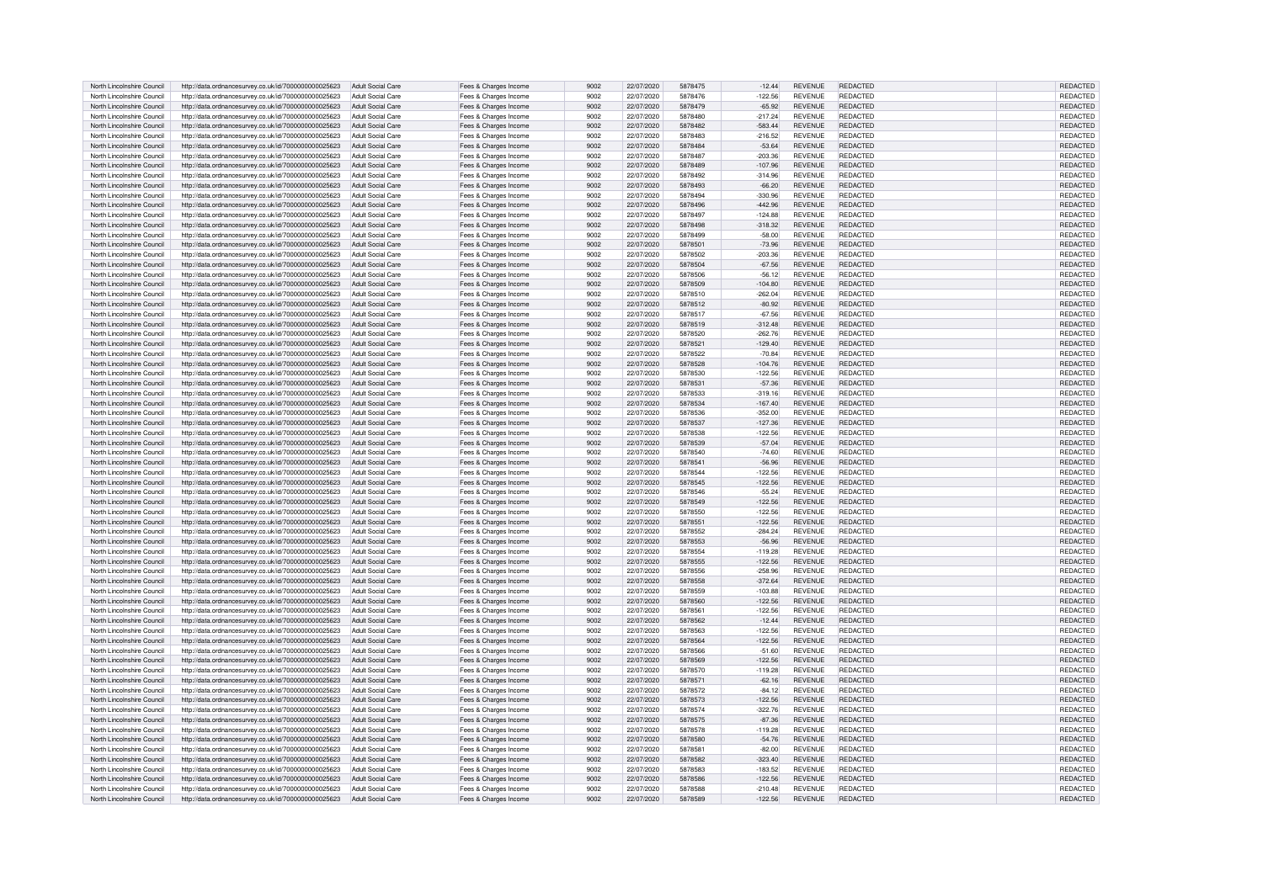| North Lincolnshire Council | http://data.ordnancesurvey.co.uk/id/7000000000025623 | Adult Social Care        | Fees & Charges Income | 9002 | 22/07/2020 | 5878475 | $-12.44$  | <b>REVENUE</b> | REDACTED        | <b>REDACTED</b> |
|----------------------------|------------------------------------------------------|--------------------------|-----------------------|------|------------|---------|-----------|----------------|-----------------|-----------------|
| North Lincolnshire Council | http://data.ordnancesurvey.co.uk/id/7000000000025623 | Adult Social Care        | Fees & Charges Income | 9002 | 22/07/2020 | 5878476 | $-122.56$ | <b>REVENUE</b> | <b>REDACTED</b> | REDACTED        |
| North Lincolnshire Council | http://data.ordnancesurvey.co.uk/id/7000000000025623 | <b>Adult Social Care</b> | Fees & Charges Income | 9002 | 22/07/2020 | 5878479 | $-65.92$  | <b>REVENUE</b> | REDACTED        | REDACTED        |
| North Lincolnshire Council | http://data.ordnancesurvey.co.uk/id/7000000000025623 | Adult Social Care        | Fees & Charges Income | 9002 | 22/07/2020 | 5878480 | $-217.24$ | <b>REVENUE</b> | <b>REDACTED</b> | REDACTED        |
| North Lincolnshire Council | http://data.ordnancesurvey.co.uk/id/7000000000025623 | <b>Adult Social Care</b> | Fees & Charges Income | 9002 | 22/07/2020 | 5878482 | $-583.44$ | <b>REVENUE</b> | REDACTED        | REDACTED        |
| North Lincolnshire Council | http://data.ordnancesurvey.co.uk/id/7000000000025623 | Adult Social Care        |                       | 9002 | 22/07/2020 | 5878483 | $-216.52$ | <b>REVENUE</b> | REDACTED        | <b>REDACTED</b> |
|                            |                                                      | Adult Social Care        | Fees & Charges Income | 9002 |            | 5878484 |           | <b>REVENUE</b> | <b>REDACTED</b> |                 |
| North Lincolnshire Council | http://data.ordnancesurvey.co.uk/id/7000000000025623 |                          | Fees & Charges Income |      | 22/07/2020 |         | $-53.64$  |                |                 | <b>REDACTED</b> |
| North Lincolnshire Council | http://data.ordnancesurvey.co.uk/id/7000000000025623 | Adult Social Care        | Fees & Charges Income | 9002 | 22/07/2020 | 5878487 | $-203.36$ | <b>REVENUE</b> | REDACTED        | REDACTED        |
| North Lincolnshire Council | http://data.ordnancesurvey.co.uk/id/7000000000025623 | Adult Social Care        | Fees & Charges Income | 9002 | 22/07/2020 | 5878489 | $-107.96$ | <b>REVENUE</b> | REDACTED        | REDACTED        |
| North Lincolnshire Council | http://data.ordnancesurvey.co.uk/id/7000000000025623 | Adult Social Care        | Fees & Charges Income | 9002 | 22/07/2020 | 5878492 | $-314.96$ | <b>REVENUE</b> | <b>REDACTED</b> | REDACTED        |
| North Lincolnshire Council | http://data.ordnancesurvey.co.uk/id/7000000000025623 | Adult Social Care        | Fees & Charges Income | 9002 | 22/07/2020 | 5878493 | $-66.20$  | <b>REVENUE</b> | <b>REDACTED</b> | REDACTED        |
| North Lincolnshire Council | http://data.ordnancesurvey.co.uk/id/7000000000025623 | Adult Social Care        | Fees & Charges Income | 9002 | 22/07/2020 | 5878494 | $-330.96$ | <b>REVENUE</b> | <b>REDACTED</b> | <b>REDACTED</b> |
| North Lincolnshire Council | http://data.ordnancesurvey.co.uk/id/7000000000025623 | <b>Adult Social Care</b> | Fees & Charges Income | 9002 | 22/07/2020 | 5878496 | $-442.96$ | <b>REVENUE</b> | <b>REDACTED</b> | <b>REDACTED</b> |
| North Lincolnshire Council | http://data.ordnancesurvey.co.uk/id/7000000000025623 | Adult Social Care        | Fees & Charges Income | 9002 | 22/07/2020 | 5878497 | $-124.88$ | <b>REVENUE</b> | REDACTED        | REDACTED        |
| North Lincolnshire Council | http://data.ordnancesurvey.co.uk/id/7000000000025623 | <b>Adult Social Care</b> | Fees & Charges Income | 9002 | 22/07/2020 | 5878498 | $-318.32$ | <b>REVENUE</b> | REDACTED        | <b>REDACTED</b> |
| North Lincolnshire Council | http://data.ordnancesurvey.co.uk/id/7000000000025623 | Adult Social Care        | Fees & Charges Income | 9002 | 22/07/2020 | 5878499 | $-58.00$  | <b>REVENUE</b> | REDACTED        | REDACTED        |
| North Lincolnshire Council | http://data.ordnancesurvey.co.uk/id/7000000000025623 | Adult Social Care        | Fees & Charges Income | 9002 | 22/07/2020 | 5878501 | $-73.96$  | <b>REVENUE</b> | <b>REDACTED</b> | <b>REDACTED</b> |
| North Lincolnshire Council | http://data.ordnancesurvey.co.uk/id/7000000000025623 | Adult Social Care        | Fees & Charges Income | 9002 | 22/07/2020 | 5878502 | $-203.36$ | <b>REVENUE</b> | REDACTED        | REDACTED        |
|                            |                                                      |                          |                       | 9002 | 22/07/2020 | 5878504 |           |                |                 |                 |
| North Lincolnshire Council | http://data.ordnancesurvey.co.uk/id/7000000000025623 | Adult Social Care        | Fees & Charges Income |      |            |         | $-67.56$  | <b>REVENUE</b> | REDACTED        | REDACTED        |
| North Lincolnshire Council | http://data.ordnancesurvey.co.uk/id/7000000000025623 | Adult Social Care        | Fees & Charges Income | 9002 | 22/07/2020 | 5878506 | $-56.12$  | <b>REVENUE</b> | REDACTED        | REDACTED        |
| North Lincolnshire Council | http://data.ordnancesurvey.co.uk/id/7000000000025623 | Adult Social Care        | Fees & Charges Income | 9002 | 22/07/2020 | 5878509 | $-104.80$ | <b>REVENUE</b> | <b>REDACTED</b> | REDACTED        |
| North Lincolnshire Council | http://data.ordnancesurvey.co.uk/id/7000000000025623 | Adult Social Care        | Fees & Charges Income | 9002 | 22/07/2020 | 5878510 | $-262.04$ | <b>REVENUE</b> | <b>REDACTED</b> | REDACTED        |
| North Lincolnshire Council | http://data.ordnancesurvey.co.uk/id/7000000000025623 | <b>Adult Social Care</b> | Fees & Charges Income | 9002 | 22/07/2020 | 5878512 | $-80.92$  | <b>REVENUE</b> | <b>REDACTED</b> | REDACTED        |
| North Lincolnshire Council | http://data.ordnancesurvey.co.uk/id/7000000000025623 | Adult Social Care        | Fees & Charges Income | 9002 | 22/07/2020 | 5878517 | $-67.56$  | <b>REVENUE</b> | <b>REDACTED</b> | REDACTED        |
| North Lincolnshire Council | http://data.ordnancesurvey.co.uk/id/7000000000025623 | Adult Social Care        | Fees & Charges Income | 9002 | 22/07/2020 | 5878519 | $-312.48$ | <b>REVENUE</b> | REDACTED        | REDACTED        |
| North Lincolnshire Council | http://data.ordnancesurvey.co.uk/id/7000000000025623 | Adult Social Care        | Fees & Charges Income | 9002 | 22/07/2020 | 5878520 | $-262.76$ | <b>REVENUE</b> | REDACTED        | <b>REDACTED</b> |
| North Lincolnshire Council | http://data.ordnancesurvey.co.uk/id/7000000000025623 | Adult Social Care        | Fees & Charges Income | 9002 | 22/07/2020 | 5878521 | $-129.40$ | <b>REVENUE</b> | <b>REDACTED</b> | REDACTED        |
| North Lincolnshire Council | http://data.ordnancesurvey.co.uk/id/7000000000025623 | Adult Social Care        | Fees & Charges Income | 9002 | 22/07/2020 | 5878522 | $-70.84$  | <b>REVENUE</b> | <b>REDACTED</b> | REDACTED        |
| North Lincolnshire Council | http://data.ordnancesurvey.co.uk/id/7000000000025623 | Adult Social Care        | Fees & Charges Income | 9002 | 22/07/2020 | 5878528 | $-104.76$ | <b>REVENUE</b> | <b>REDACTED</b> | REDACTED        |
| North Lincolnshire Council | http://data.ordnancesurvey.co.uk/id/7000000000025623 | Adult Social Care        | Fees & Charges Income | 9002 | 22/07/2020 | 5878530 | $-122.56$ | <b>REVENUE</b> | REDACTED        | REDACTED        |
| North Lincolnshire Council | http://data.ordnancesurvey.co.uk/id/7000000000025623 | Adult Social Care        | Fees & Charges Income | 9002 | 22/07/2020 | 5878531 | $-57.36$  | <b>REVENUE</b> | REDACTED        | REDACTED        |
| North Lincolnshire Council | http://data.ordnancesurvey.co.uk/id/7000000000025623 | Adult Social Care        | Fees & Charges Income | 9002 | 22/07/2020 | 5878533 | $-319.16$ | <b>REVENUE</b> | <b>REDACTED</b> | REDACTED        |
| North Lincolnshire Council |                                                      | Adult Social Care        |                       | 9002 | 22/07/2020 | 5878534 |           | <b>REVENUE</b> | <b>REDACTED</b> | <b>REDACTED</b> |
|                            | http://data.ordnancesurvey.co.uk/id/7000000000025623 |                          | Fees & Charges Income |      |            | 5878536 | $-167.40$ |                | <b>REDACTED</b> |                 |
| North Lincolnshire Council | http://data.ordnancesurvey.co.uk/id/7000000000025623 | Adult Social Care        | Fees & Charges Income | 9002 | 22/07/2020 |         | $-352.00$ | <b>REVENUE</b> |                 | REDACTED        |
| North Lincolnshire Council | http://data.ordnancesurvey.co.uk/id/7000000000025623 | <b>Adult Social Care</b> | Fees & Charges Income | 9002 | 22/07/2020 | 5878537 | $-127.36$ | <b>REVENUE</b> | REDACTED        | <b>REDACTED</b> |
| North Lincolnshire Council | http://data.ordnancesurvey.co.uk/id/7000000000025623 | Adult Social Care        | Fees & Charges Income | 9002 | 22/07/2020 | 5878538 | $-122.56$ | <b>REVENUE</b> | <b>REDACTED</b> | REDACTED        |
| North Lincolnshire Council | http://data.ordnancesurvey.co.uk/id/7000000000025623 | Adult Social Care        | Fees & Charges Income | 9002 | 22/07/2020 | 5878539 | $-57.04$  | <b>REVENUE</b> | REDACTED        | REDACTED        |
| North Lincolnshire Council | http://data.ordnancesurvey.co.uk/id/7000000000025623 | Adult Social Care        | Fees & Charges Income | 9002 | 22/07/2020 | 5878540 | $-74.60$  | <b>REVENUE</b> | REDACTED        | <b>REDACTED</b> |
| North Lincolnshire Council | http://data.ordnancesurvey.co.uk/id/7000000000025623 | Adult Social Care        | Fees & Charges Income | 9002 | 22/07/2020 | 587854  | $-56.96$  | <b>REVENUE</b> | <b>REDACTED</b> | REDACTED        |
| North Lincolnshire Council | http://data.ordnancesurvey.co.uk/id/7000000000025623 | Adult Social Care        | Fees & Charges Income | 9002 | 22/07/2020 | 5878544 | $-122.56$ | <b>REVENUE</b> | REDACTED        | REDACTED        |
| North Lincolnshire Council | http://data.ordnancesurvey.co.uk/id/7000000000025623 | Adult Social Care        | Fees & Charges Income | 9002 | 22/07/2020 | 5878545 | $-122.56$ | <b>REVENUE</b> | REDACTED        | REDACTED        |
| North Lincolnshire Council | http://data.ordnancesurvey.co.uk/id/7000000000025623 | Adult Social Care        | Fees & Charges Income | 9002 | 22/07/2020 | 5878546 | $-55.24$  | <b>REVENUE</b> | REDACTED        | REDACTED        |
| North Lincolnshire Council | http://data.ordnancesurvey.co.uk/id/7000000000025623 | <b>Adult Social Care</b> | Fees & Charges Income | 9002 | 22/07/2020 | 5878549 | $-122.56$ | <b>REVENUE</b> | <b>REDACTED</b> | REDACTED        |
| North Lincolnshire Council | http://data.ordnancesurvey.co.uk/id/7000000000025623 | Adult Social Care        | Fees & Charges Income | 9002 | 22/07/2020 | 5878550 | $-122.56$ | <b>REVENUE</b> | <b>REDACTED</b> | REDACTED        |
| North Lincolnshire Council | http://data.ordnancesurvey.co.uk/id/7000000000025623 | Adult Social Care        | Fees & Charges Income | 9002 | 22/07/2020 | 5878551 | $-122.56$ | <b>REVENUE</b> | <b>REDACTED</b> | REDACTED        |
| North Lincolnshire Council | http://data.ordnancesurvey.co.uk/id/7000000000025623 | Adult Social Care        | Fees & Charges Income | 9002 | 22/07/2020 | 5878552 | $-284.24$ | <b>REVENUE</b> | <b>REDACTED</b> | <b>REDACTED</b> |
| North Lincolnshire Council | http://data.ordnancesurvey.co.uk/id/7000000000025623 | <b>Adult Social Care</b> | Fees & Charges Income | 9002 | 22/07/2020 | 5878553 | $-56.96$  | <b>REVENUE</b> | REDACTED        | REDACTED        |
| North Lincolnshire Council | http://data.ordnancesurvey.co.uk/id/7000000000025623 | Adult Social Care        | Fees & Charges Income | 9002 | 22/07/2020 | 5878554 | $-119.28$ | <b>REVENUE</b> | REDACTED        | REDACTED        |
| North Lincolnshire Council | http://data.ordnancesurvey.co.uk/id/7000000000025623 | Adult Social Care        |                       | 9002 | 22/07/2020 | 5878555 | $-122.56$ | <b>REVENUE</b> | REDACTED        | REDACTED        |
| North Lincolnshire Council |                                                      | Adult Social Care        | Fees & Charges Income | 9002 | 22/07/2020 | 5878556 | $-258.96$ | <b>REVENUE</b> | <b>REDACTED</b> | <b>REDACTEI</b> |
|                            | http://data.ordnancesurvey.co.uk/id/7000000000025623 |                          | Fees & Charges Income |      |            |         |           |                |                 |                 |
| North Lincolnshire Council | http://data.ordnancesurvey.co.uk/id/7000000000025623 | Adult Social Care        | Fees & Charges Income | 9002 | 22/07/2020 | 5878558 | $-372.64$ | <b>REVENUE</b> | REDACTED        | REDACTED        |
| North Lincolnshire Council | http://data.ordnancesurvey.co.uk/id/7000000000025623 | Adult Social Care        | Fees & Charges Income | 9002 | 22/07/2020 | 5878559 | $-103.88$ | <b>REVENUE</b> | <b>REDACTED</b> | <b>REDACTED</b> |
| North Lincolnshire Council | http://data.ordnancesurvey.co.uk/id/7000000000025623 | Adult Social Care        | Fees & Charges Income | 9002 | 22/07/2020 | 5878560 | $-122.56$ | <b>REVENUE</b> | REDACTED        | <b>REDACTED</b> |
| North Lincolnshire Council | http://data.ordnancesurvey.co.uk/id/7000000000025623 | Adult Social Care        | Fees & Charges Income | 9002 | 22/07/2020 | 5878561 | $-122.56$ | <b>REVENUE</b> | REDACTED        | REDACTED        |
| North Lincolnshire Council | http://data.ordnancesurvey.co.uk/id/7000000000025623 | Adult Social Care        | Fees & Charges Income | 9002 | 22/07/2020 | 5878562 | $-12.44$  | <b>REVENUE</b> | <b>REDACTED</b> | REDACTED        |
| North Lincolnshire Council | http://data.ordnancesurvey.co.uk/id/7000000000025623 | Adult Social Care        | Fees & Charges Income | 9002 | 22/07/2020 | 5878563 | $-122.56$ | <b>REVENUE</b> | <b>REDACTED</b> | <b>REDACTED</b> |
| North Lincolnshire Council | http://data.ordnancesurvey.co.uk/id/7000000000025623 | <b>Adult Social Care</b> | Fees & Charges Income | 9002 | 22/07/2020 | 5878564 | $-122.56$ | <b>REVENUE</b> | <b>REDACTED</b> | REDACTED        |
| North Lincolnshire Council | http://data.ordnancesurvey.co.uk/id/7000000000025623 | <b>Adult Social Care</b> | Fees & Charges Income | 9002 | 22/07/2020 | 5878566 | $-51.60$  | <b>REVENUE</b> | <b>REDACTED</b> | <b>REDACTED</b> |
| North Lincolnshire Council | http://data.ordnancesurvey.co.uk/id/7000000000025623 | <b>Adult Social Care</b> | Fees & Charges Income | 9002 | 22/07/2020 | 5878569 | $-122.56$ | <b>REVENUE</b> | REDACTED        | REDACTED        |
| North Lincolnshire Council | http://data.ordnancesurvey.co.uk/id/7000000000025623 | Adult Social Care        | Fees & Charges Income | 9002 | 22/07/2020 | 5878570 | $-119.28$ | <b>REVENUE</b> | REDACTED        | REDACTED        |
| North Lincolnshire Council | http://data.ordnancesurvey.co.uk/id/7000000000025623 | Adult Social Care        | Fees & Charges Income | 9002 | 22/07/2020 | 587857  | $-62.16$  | <b>REVENUE</b> | <b>REDACTED</b> | REDACTED        |
| North Lincolnshire Council | http://data.ordnancesurvey.co.uk/id/7000000000025623 | Adult Social Care        | Fees & Charges Income | 9002 | 22/07/2020 | 5878572 | $-84.12$  | <b>REVENUE</b> | <b>REDACTED</b> | REDACTED        |
| North Lincolnshire Council | http://data.ordnancesurvey.co.uk/id/7000000000025623 | Adult Social Care        | Fees & Charges Income | 9002 | 22/07/2020 | 5878573 | $-122.56$ | <b>REVENUE</b> | REDACTED        | REDACTED        |
| North Lincolnshire Council | http://data.ordnancesurvey.co.uk/id/7000000000025623 | Adult Social Care        | Fees & Charges Income | 9002 | 22/07/2020 | 5878574 | $-322.76$ | <b>REVENUE</b> | REDACTED        | REDACTED        |
| North Lincolnshire Council | http://data.ordnancesurvey.co.uk/id/7000000000025623 | Adult Social Care        |                       | 9002 | 22/07/2020 | 5878575 | $-87.36$  | <b>REVENUE</b> | REDACTED        | REDACTED        |
|                            |                                                      |                          | Fees & Charges Income |      |            | 5878578 |           | <b>REVENUE</b> | <b>REDACTED</b> | REDACTED        |
| North Lincolnshire Council | http://data.ordnancesurvey.co.uk/id/7000000000025623 | Adult Social Care        | Fees & Charges Income | 9002 | 22/07/2020 |         | $-119.28$ |                |                 |                 |
| North Lincolnshire Council | http://data.ordnancesurvey.co.uk/id/7000000000025623 | Adult Social Care        | Fees & Charges Income | 9002 | 22/07/2020 | 5878580 | $-54.76$  | <b>REVENUE</b> | REDACTED        | REDACTED        |
| North Lincolnshire Council | http://data.ordnancesurvey.co.uk/id/7000000000025623 | Adult Social Care        | Fees & Charges Income | 9002 | 22/07/2020 | 587858  | $-82.00$  | <b>REVENUE</b> | REDACTED        | REDACTED        |
| North Lincolnshire Council | http://data.ordnancesurvey.co.uk/id/7000000000025623 | Adult Social Care        | Fees & Charges Income | 9002 | 22/07/2020 | 5878582 | $-323.40$ | <b>REVENUE</b> | REDACTED        | <b>REDACTED</b> |
| North Lincolnshire Council | http://data.ordnancesurvey.co.uk/id/7000000000025623 | Adult Social Care        | Fees & Charges Income | 9002 | 22/07/2020 | 5878583 | $-183.52$ | <b>REVENUE</b> | REDACTED        | REDACTED        |
| North Lincolnshire Council | http://data.ordnancesurvey.co.uk/id/7000000000025623 | Adult Social Care        | Fees & Charges Income | 9002 | 22/07/2020 | 5878586 | $-122.56$ | <b>REVENUE</b> | <b>REDACTED</b> | REDACTED        |
| North Lincolnshire Council | http://data.ordnancesurvey.co.uk/id/7000000000025623 | Adult Social Care        | Fees & Charges Income | 9002 | 22/07/2020 | 5878588 | $-210.48$ | <b>REVENUE</b> | REDACTED        | REDACTED        |
| North Lincolnshire Council | http://data.ordnancesurvey.co.uk/id/7000000000025623 | Adult Social Care        | Fees & Charges Income | 9002 | 22/07/2020 | 5878589 | $-122.56$ | <b>REVENUE</b> | <b>REDACTED</b> | <b>REDACTED</b> |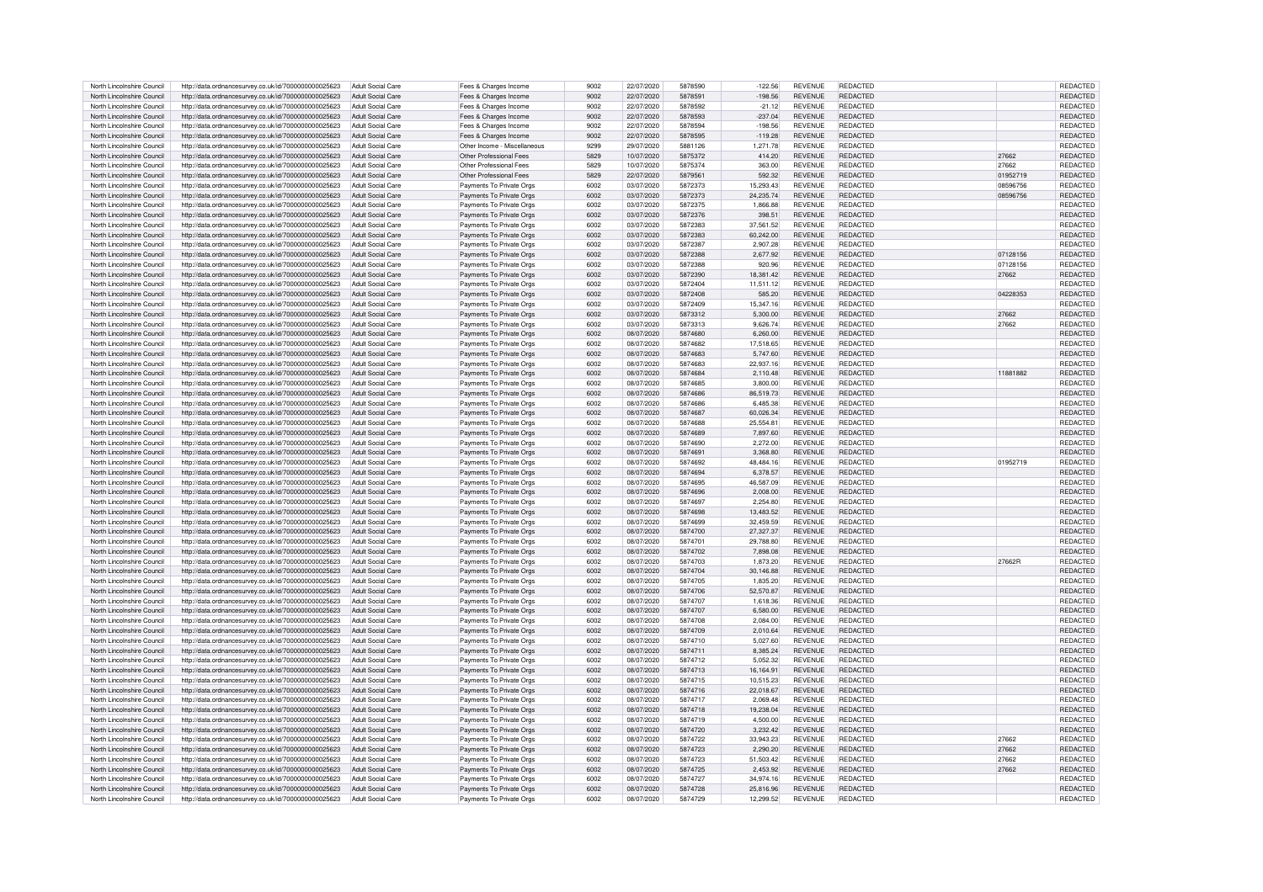| North Lincolnshire Council | http://data.ordnancesurvey.co.uk/id/7000000000025623 | Adult Social Care        | Fees & Charges Income        | 9002 | 22/07/2020 | 5878590 | $-122.56$ | <b>REVENUE</b> | REDACTED        |          | REDACTED        |
|----------------------------|------------------------------------------------------|--------------------------|------------------------------|------|------------|---------|-----------|----------------|-----------------|----------|-----------------|
|                            |                                                      |                          |                              |      |            |         |           |                |                 |          |                 |
| North Lincolnshire Council | http://data.ordnancesurvey.co.uk/id/7000000000025623 | Adult Social Care        | Fees & Charges Income        | 9002 | 22/07/2020 | 5878591 | $-198.56$ | <b>REVENUE</b> | REDACTED        |          | REDACTED        |
| North Lincolnshire Council | http://data.ordnancesurvey.co.uk/id/7000000000025623 | Adult Social Care        | Fees & Charges Income        | 9002 | 22/07/2020 | 5878592 | $-21.12$  | <b>REVENUE</b> | <b>REDACTED</b> |          | REDACTED        |
| North Lincolnshire Council | http://data.ordnancesurvey.co.uk/id/7000000000025623 | Adult Social Care        | Fees & Charges Income        | 9002 | 22/07/2020 | 5878593 | $-237.04$ | <b>REVENUE</b> | <b>REDACTED</b> |          | REDACTED        |
| North Lincolnshire Council | http://data.ordnancesurvey.co.uk/id/7000000000025623 | Adult Social Care        | Fees & Charges Income        | 9002 | 22/07/2020 | 5878594 | $-198.56$ | <b>REVENUE</b> | REDACTED        |          | REDACTED        |
| North Lincolnshire Council | http://data.ordnancesurvey.co.uk/id/7000000000025623 | Adult Social Care        | Fees & Charges Income        | 9002 | 22/07/2020 | 5878595 | $-119.28$ | <b>REVENUE</b> | REDACTED        |          | REDACTED        |
|                            |                                                      |                          |                              |      |            |         |           |                |                 |          |                 |
| North Lincolnshire Council | http://data.ordnancesurvey.co.uk/id/7000000000025623 | Adult Social Care        | Other Income - Miscellaneous | 9299 | 29/07/2020 | 5881126 | 1.271.78  | <b>REVENUE</b> | REDACTED        |          | REDACTED        |
| North Lincolnshire Council | http://data.ordnancesurvey.co.uk/id/7000000000025623 | Adult Social Care        | Other Professional Fees      | 5829 | 10/07/2020 | 5875372 | 414.20    | <b>REVENUE</b> | <b>REDACTED</b> | 27662    | REDACTED        |
| North Lincolnshire Council | http://data.ordnancesurvey.co.uk/id/7000000000025623 | Adult Social Care        | Other Professional Fees      | 5829 | 10/07/2020 | 5875374 | 363.00    | <b>REVENUE</b> | <b>REDACTED</b> | 27662    | REDACTED        |
| North Lincolnshire Council |                                                      | Adult Social Care        | Other Professional Fees      | 5829 | 22/07/2020 | 5879561 | 592.32    | <b>REVENUE</b> | <b>REDACTED</b> | 01952719 | <b>REDACTED</b> |
|                            | http://data.ordnancesurvey.co.uk/id/7000000000025623 |                          |                              |      |            |         |           |                |                 |          |                 |
| North Lincolnshire Council | http://data.ordnancesurvey.co.uk/id/7000000000025623 | Adult Social Care        | Payments To Private Orgs     | 6002 | 03/07/2020 | 5872373 | 15.293.43 | <b>REVENUE</b> | <b>REDACTED</b> | 08596756 | <b>REDACTED</b> |
| North Lincolnshire Council | http://data.ordnancesurvey.co.uk/id/7000000000025623 | Adult Social Care        | Payments To Private Orgs     | 6002 | 03/07/2020 | 5872373 | 24.235.74 | <b>REVENUE</b> | <b>REDACTED</b> | 08596756 | <b>REDACTED</b> |
| North Lincolnshire Council | http://data.ordnancesurvey.co.uk/id/7000000000025623 | Adult Social Care        | Payments To Private Orgs     | 6002 | 03/07/2020 | 5872375 | 1,866.88  | <b>REVENUE</b> | <b>REDACTED</b> |          | REDACTED        |
| North Lincolnshire Council | http://data.ordnancesurvey.co.uk/id/7000000000025623 | Adult Social Care        | Payments To Private Orgs     | 6002 | 03/07/2020 | 5872376 | 398.51    | <b>REVENUE</b> | <b>REDACTED</b> |          | REDACTED        |
|                            |                                                      |                          |                              |      |            |         |           |                |                 |          |                 |
| North Lincolnshire Council | http://data.ordnancesurvey.co.uk/id/7000000000025623 | Adult Social Care        | Payments To Private Orgs     | 6002 | 03/07/2020 | 5872383 | 37.561.52 | <b>REVENUE</b> | <b>REDACTED</b> |          | <b>REDACTED</b> |
| North Lincolnshire Council | http://data.ordnancesurvey.co.uk/id/7000000000025623 | Adult Social Care        | Payments To Private Orgs     | 6002 | 03/07/2020 | 5872383 | 60.242.00 | <b>REVENUE</b> | <b>REDACTED</b> |          | <b>REDACTED</b> |
| North Lincolnshire Council | http://data.ordnancesurvey.co.uk/id/7000000000025623 | Adult Social Care        | Payments To Private Orgs     | 6002 | 03/07/2020 | 5872387 | 2,907.28  | <b>REVENUE</b> | <b>REDACTED</b> |          | REDACTED        |
| North Lincolnshire Council | http://data.ordnancesurvey.co.uk/id/7000000000025623 | Adult Social Care        | Payments To Private Oras     | 6002 | 03/07/2020 | 5872388 | 2.677.92  | <b>REVENUE</b> | REDACTED        | 07128156 | <b>REDACTED</b> |
| North Lincolnshire Council |                                                      | Adult Social Care        | Payments To Private Oras     | 6002 | 03/07/2020 | 5872388 | 920.96    | <b>REVENUE</b> | REDACTED        | 07128156 | REDACTED        |
|                            | http://data.ordnancesurvey.co.uk/id/7000000000025623 |                          |                              |      |            |         |           |                |                 |          |                 |
| North Lincolnshire Council | http://data.ordnancesurvey.co.uk/id/7000000000025623 | Adult Social Care        | Payments To Private Orgs     | 6002 | 03/07/2020 | 5872390 | 18,381.42 | <b>REVENUE</b> | <b>REDACTED</b> | 27662    | <b>REDACTED</b> |
| North Lincolnshire Council | http://data.ordnancesurvey.co.uk/id/7000000000025623 | Adult Social Care        | Payments To Private Orgs     | 6002 | 03/07/2020 | 5872404 | 11.511.12 | <b>REVENUE</b> | <b>REDACTED</b> |          | REDACTED        |
| North Lincolnshire Council | http://data.ordnancesurvey.co.uk/id/7000000000025623 | Adult Social Care        | Payments To Private Orgs     | 6002 | 03/07/2020 | 5872408 | 585.20    | <b>REVENUE</b> | <b>REDACTED</b> | 04228353 | REDACTED        |
|                            |                                                      |                          |                              |      |            | 5872409 |           | <b>REVENUE</b> | <b>REDACTED</b> |          |                 |
| North Lincolnshire Council | http://data.ordnancesurvey.co.uk/id/7000000000025623 | Adult Social Care        | Payments To Private Orgs     | 6002 | 03/07/2020 |         | 15,347.16 |                |                 |          | REDACTED        |
| North Lincolnshire Council | http://data.ordnancesurvey.co.uk/id/7000000000025623 | <b>Adult Social Care</b> | Payments To Private Orgs     | 6002 | 03/07/2020 | 5873312 | 5,300.00  | <b>REVENUE</b> | REDACTED        | 27662    | REDACTED        |
| North Lincolnshire Council | http://data.ordnancesurvey.co.uk/id/7000000000025623 | Adult Social Care        | Payments To Private Orgs     | 6002 | 03/07/2020 | 5873313 | 9.626.74  | <b>REVENUE</b> | <b>REDACTED</b> | 27662    | REDACTED        |
| North Lincolnshire Council | http://data.ordnancesurvey.co.uk/id/7000000000025623 | Adult Social Care        | Payments To Private Orgs     | 6002 | 08/07/2020 | 5874680 | 6,260.00  | <b>REVENUE</b> | <b>REDACTED</b> |          | REDACTED        |
| North Lincolnshire Council | http://data.ordnancesurvey.co.uk/id/7000000000025623 | Adult Social Care        | Payments To Private Orgs     | 6002 | 08/07/2020 | 5874682 | 17.518.65 | <b>REVENUE</b> | <b>REDACTED</b> |          | REDACTED        |
|                            |                                                      |                          |                              |      |            |         |           |                |                 |          |                 |
| North Lincolnshire Council | http://data.ordnancesurvey.co.uk/id/7000000000025623 | Adult Social Care        | Payments To Private Orgs     | 6002 | 08/07/2020 | 5874683 | 5,747.60  | <b>REVENUE</b> | REDACTED        |          | REDACTED        |
| North Lincolnshire Council | http://data.ordnancesurvey.co.uk/id/7000000000025623 | Adult Social Care        | Payments To Private Orgs     | 6002 | 08/07/2020 | 5874683 | 22,937.16 | <b>REVENUE</b> | REDACTED        |          | REDACTED        |
| North Lincolnshire Council | http://data.ordnancesurvey.co.uk/id/7000000000025623 | Adult Social Care        | Payments To Private Orgs     | 6002 | 08/07/2020 | 5874684 | 2.110.48  | <b>REVENUE</b> | REDACTED        | 11881882 | REDACTED        |
| North Lincolnshire Council | http://data.ordnancesurvey.co.uk/id/7000000000025623 | Adult Social Care        | Payments To Private Orgs     | 6002 | 08/07/2020 | 5874685 | 3.800.00  | <b>REVENUE</b> | REDACTED        |          | <b>REDACTED</b> |
|                            |                                                      |                          |                              |      |            |         |           |                | <b>REDACTED</b> |          |                 |
| North Lincolnshire Council | http://data.ordnancesurvey.co.uk/id/7000000000025623 | Adult Social Care        | Payments To Private Orgs     | 6002 | 08/07/2020 | 5874686 | 86,519.73 | <b>REVENUE</b> |                 |          | REDACTED        |
| North Lincolnshire Council | http://data.ordnancesurvey.co.uk/id/7000000000025623 | Adult Social Care        | Payments To Private Orgs     | 6002 | 08/07/2020 | 5874686 | 6,485.38  | <b>REVENUE</b> | <b>REDACTED</b> |          | REDACTED        |
| North Lincolnshire Council | http://data.ordnancesurvey.co.uk/id/7000000000025623 | Adult Social Care        | Payments To Private Orgs     | 6002 | 08/07/2020 | 5874687 | 60.026.34 | <b>REVENUE</b> | <b>REDACTED</b> |          | REDACTED        |
| North Lincolnshire Council | http://data.ordnancesurvey.co.uk/id/7000000000025623 | Adult Social Care        | Payments To Private Orgs     | 6002 | 08/07/2020 | 5874688 | 25.554.81 | <b>REVENUE</b> | <b>REDACTED</b> |          | REDACTED        |
|                            |                                                      |                          |                              |      |            |         |           |                |                 |          |                 |
| North Lincolnshire Council | http://data.ordnancesurvey.co.uk/id/7000000000025623 | Adult Social Care        | Payments To Private Orgs     | 6002 | 08/07/2020 | 5874689 | 7.897.60  | <b>REVENUE</b> | <b>REDACTED</b> |          | <b>REDACTED</b> |
| North Lincolnshire Council | http://data.ordnancesurvey.co.uk/id/7000000000025623 | Adult Social Care        | Payments To Private Orgs     | 6002 | 08/07/2020 | 5874690 | 2,272.00  | <b>REVENUE</b> | <b>REDACTED</b> |          | REDACTED        |
| North Lincolnshire Council | http://data.ordnancesurvey.co.uk/id/7000000000025623 | Adult Social Care        | Payments To Private Orgs     | 6002 | 08/07/2020 | 5874691 | 3.368.80  | <b>REVENUE</b> | <b>REDACTED</b> |          | REDACTED        |
| North Lincolnshire Council | http://data.ordnancesurvey.co.uk/id/7000000000025623 | Adult Social Care        | Payments To Private Orgs     | 6002 | 08/07/2020 | 5874692 | 48.484.16 | <b>REVENUE</b> | <b>REDACTED</b> | 01952719 | REDACTED        |
| North Lincolnshire Council | http://data.ordnancesurvey.co.uk/id/7000000000025623 | Adult Social Care        | Payments To Private Orgs     | 6002 | 08/07/2020 | 5874694 | 6,378.57  | <b>REVENUE</b> | <b>REDACTED</b> |          | REDACTED        |
|                            |                                                      |                          |                              |      |            |         |           |                |                 |          |                 |
| North Lincolnshire Council | http://data.ordnancesurvey.co.uk/id/7000000000025623 | Adult Social Care        | Payments To Private Orgs     | 6002 | 08/07/2020 | 5874695 | 46.587.09 | <b>REVENUE</b> | REDACTED        |          | REDACTED        |
| North Lincolnshire Council | http://data.ordnancesurvey.co.uk/id/7000000000025623 | Adult Social Care        | Payments To Private Orgs     | 6002 | 08/07/2020 | 5874696 | 2.008.00  | <b>REVENUE</b> | <b>REDACTED</b> |          | REDACTED        |
| North Lincolnshire Council | http://data.ordnancesurvey.co.uk/id/7000000000025623 | Adult Social Care        | Payments To Private Orgs     | 6002 | 08/07/2020 | 5874697 | 2.254.80  | <b>REVENUE</b> | <b>REDACTED</b> |          | REDACTED        |
| North Lincolnshire Council | http://data.ordnancesurvey.co.uk/id/7000000000025623 | Adult Social Care        | Payments To Private Orgs     | 6002 | 08/07/2020 | 5874698 | 13.483.52 | <b>REVENUE</b> | REDACTED        |          | REDACTED        |
|                            |                                                      |                          |                              |      |            |         |           |                |                 |          |                 |
| North Lincolnshire Council | http://data.ordnancesurvey.co.uk/id/7000000000025623 | Adult Social Care        |                              |      |            |         |           |                |                 |          |                 |
| North Lincolnshire Council |                                                      |                          | Payments To Private Orgs     | 6002 | 08/07/2020 | 5874699 | 32.459.59 | <b>REVENUE</b> | REDACTED        |          | REDACTED        |
|                            | http://data.ordnancesurvey.co.uk/id/7000000000025623 | Adult Social Care        | Payments To Private Orgs     | 6002 | 08/07/2020 | 5874700 | 27,327.37 | <b>REVENUE</b> | REDACTED        |          | REDACTED        |
| North Lincolnshire Council |                                                      | Adult Social Care        |                              | 6002 |            | 5874701 |           | <b>REVENUE</b> |                 |          |                 |
|                            | http://data.ordnancesurvey.co.uk/id/7000000000025623 |                          | Payments To Private Orgs     |      | 08/07/2020 |         | 29,788.80 |                | REDACTED        |          | REDACTED        |
| North Lincolnshire Council | http://data.ordnancesurvey.co.uk/id/7000000000025623 | Adult Social Care        | Payments To Private Orgs     | 6002 | 08/07/2020 | 5874702 | 7.898.08  | <b>REVENUE</b> | <b>REDACTED</b> |          | REDACTED        |
| North Lincolnshire Council | http://data.ordnancesurvey.co.uk/id/7000000000025623 | Adult Social Care        | Payments To Private Orgs     | 6002 | 08/07/2020 | 5874703 | 1.873.20  | <b>REVENUE</b> | REDACTED        | 27662R   | REDACTED        |
| North Lincolnshire Council | http://data.ordnancesurvey.co.uk/id/7000000000025623 | Adult Social Care        | Payments To Private Orgs     | 6002 | 08/07/2020 | 5874704 | 30,146.88 | <b>REVENUE</b> | <b>REDACTED</b> |          | <b>REDACTED</b> |
| North Lincolnshire Council | http://data.ordnancesurvey.co.uk/id/7000000000025623 | Adult Social Care        | Payments To Private Orgs     | 6002 | 08/07/2020 | 5874705 | 1.835.20  | <b>REVENUE</b> | <b>REDACTED</b> |          | REDACTED        |
|                            |                                                      |                          |                              |      |            | 5874706 |           |                |                 |          |                 |
| North Lincolnshire Council | http://data.ordnancesurvey.co.uk/id/7000000000025623 | Adult Social Care        | Payments To Private Orgs     | 6002 | 08/07/2020 |         | 52,570.87 | <b>REVENUE</b> | REDACTED        |          | REDACTED        |
| North Lincolnshire Council | http://data.ordnancesurvey.co.uk/id/7000000000025623 | Adult Social Care        | Payments To Private Orgs     | 6002 | 08/07/2020 | 5874707 | 1.618.36  | <b>REVENUE</b> | REDACTED        |          | REDACTED        |
| North Lincolnshire Council | http://data.ordnancesurvey.co.uk/id/7000000000025623 | Adult Social Care        | Payments To Private Orgs     | 6002 | 08/07/2020 | 5874707 | 6.580.00  | <b>REVENUE</b> | <b>REDACTED</b> |          | REDACTED        |
| North Lincolnshire Council | http://data.ordnancesurvey.co.uk/id/7000000000025623 | Adult Social Care        | Payments To Private Orgs     | 6002 | 08/07/2020 | 5874708 | 2.084.00  | <b>REVENUE</b> | <b>REDACTED</b> |          | <b>REDACTED</b> |
| North Lincolnshire Council |                                                      | Adult Social Care        |                              | 6002 | 08/07/2020 | 5874709 | 2.010.64  | <b>REVENUE</b> | <b>REDACTED</b> |          | REDACTED        |
|                            | http://data.ordnancesurvey.co.uk/id/7000000000025623 |                          | Payments To Private Orgs     |      |            |         |           |                |                 |          |                 |
| North Lincolnshire Council | http://data.ordnancesurvey.co.uk/id/7000000000025623 | Adult Social Care        | Payments To Private Orgs     | 6002 | 08/07/2020 | 5874710 | 5.027.60  | <b>REVENUE</b> | <b>REDACTED</b> |          | REDACTED        |
| North Lincolnshire Council | http://data.ordnancesurvey.co.uk/id/7000000000025623 | Adult Social Care        | Payments To Private Orgs     | 6002 | 08/07/2020 | 5874711 | 8,385.24  | <b>REVENUE</b> | <b>REDACTED</b> |          | REDACTED        |
| North Lincolnshire Council | http://data.ordnancesurvey.co.uk/id/7000000000025623 | Adult Social Care        | Payments To Private Orgs     | 6002 | 08/07/2020 | 5874712 | 5,052.32  | <b>REVENUE</b> | <b>REDACTED</b> |          | REDACTED        |
| North Lincolnshire Council | http://data.ordnancesurvey.co.uk/id/7000000000025623 | Adult Social Care        | Payments To Private Orgs     | 6002 | 08/07/2020 | 5874713 | 16.164.91 | <b>REVENUE</b> | <b>REDACTED</b> |          | REDACTED        |
|                            |                                                      | Adult Social Care        |                              | 6002 | 08/07/2020 | 5874715 | 10.515.23 | <b>REVENUE</b> | <b>REDACTED</b> |          | <b>REDACTED</b> |
| North Lincolnshire Council | http://data.ordnancesurvey.co.uk/id/7000000000025623 |                          | Payments To Private Orgs     |      |            |         |           |                |                 |          |                 |
| North Lincolnshire Council | http://data.ordnancesurvey.co.uk/id/7000000000025623 | Adult Social Care        | Payments To Private Orgs     | 6002 | 08/07/2020 | 5874716 | 22.018.67 | <b>REVENUE</b> | <b>REDACTED</b> |          | REDACTED        |
| North Lincolnshire Council | http://data.ordnancesurvey.co.uk/id/7000000000025623 | Adult Social Care        | Payments To Private Orgs     | 6002 | 08/07/2020 | 5874717 | 2.069.48  | <b>REVENUE</b> | <b>REDACTED</b> |          | REDACTED        |
| North Lincolnshire Council | http://data.ordnancesurvey.co.uk/id/7000000000025623 | Adult Social Care        | Payments To Private Orgs     | 6002 | 08/07/2020 | 5874718 | 19,238.04 | <b>REVENUE</b> | REDACTED        |          | REDACTED        |
| North Lincolnshire Council | http://data.ordnancesurvey.co.uk/id/7000000000025623 | Adult Social Care        | Payments To Private Orgs     | 6002 | 08/07/2020 | 5874719 | 4.500.00  | <b>REVENUE</b> | REDACTED        |          | REDACTED        |
|                            |                                                      |                          |                              |      |            |         |           |                |                 |          |                 |
| North Lincolnshire Council | http://data.ordnancesurvey.co.uk/id/7000000000025623 | Adult Social Care        | Payments To Private Orgs     | 6002 | 08/07/2020 | 5874720 | 3.232.42  | <b>REVENUE</b> | REDACTED        |          | <b>REDACTED</b> |
| North Lincolnshire Council | http://data.ordnancesurvey.co.uk/id/7000000000025623 | Adult Social Care        | Payments To Private Orgs     | 6002 | 08/07/2020 | 5874722 | 33.943.23 | <b>REVENUE</b> | <b>REDACTED</b> | 27662    | REDACTED        |
| North Lincolnshire Council | http://data.ordnancesurvey.co.uk/id/7000000000025623 | Adult Social Care        | Payments To Private Orgs     | 6002 | 08/07/2020 | 5874723 | 2.290.20  | <b>REVENUE</b> | REDACTED        | 27662    | REDACTED        |
| North Lincolnshire Council | http://data.ordnancesurvey.co.uk/id/7000000000025623 | Adult Social Care        | Payments To Private Orgs     | 6002 | 08/07/2020 | 5874723 | 51.503.42 | <b>REVENUE</b> | <b>REDACTED</b> | 27662    | REDACTED        |
|                            |                                                      |                          |                              | 6002 |            | 5874725 |           | <b>REVENUE</b> |                 |          |                 |
| North Lincolnshire Council | http://data.ordnancesurvey.co.uk/id/7000000000025623 | Adult Social Care        | Payments To Private Orgs     |      | 08/07/2020 |         | 2,453.92  |                | <b>REDACTED</b> | 27662    | REDACTED        |
| North Lincolnshire Council | http://data.ordnancesurvey.co.uk/id/7000000000025623 | Adult Social Care        | Payments To Private Orgs     | 6002 | 08/07/2020 | 5874727 | 34.974.16 | REVENUE        | <b>REDACTED</b> |          | REDACTED        |
| North Lincolnshire Council | http://data.ordnancesurvey.co.uk/id/7000000000025623 | Adult Social Care        | Payments To Private Orgs     | 6002 | 08/07/2020 | 5874728 | 25.816.96 | REVENUE        | REDACTED        |          | <b>REDACTED</b> |
| North Lincolnshire Council | http://data.ordnancesurvey.co.uk/id/7000000000025623 | Adult Social Care        | Payments To Private Orgs     | 6002 | 08/07/2020 | 5874729 | 12.299.52 | <b>REVENUE</b> | <b>REDACTED</b> |          | REDACTED        |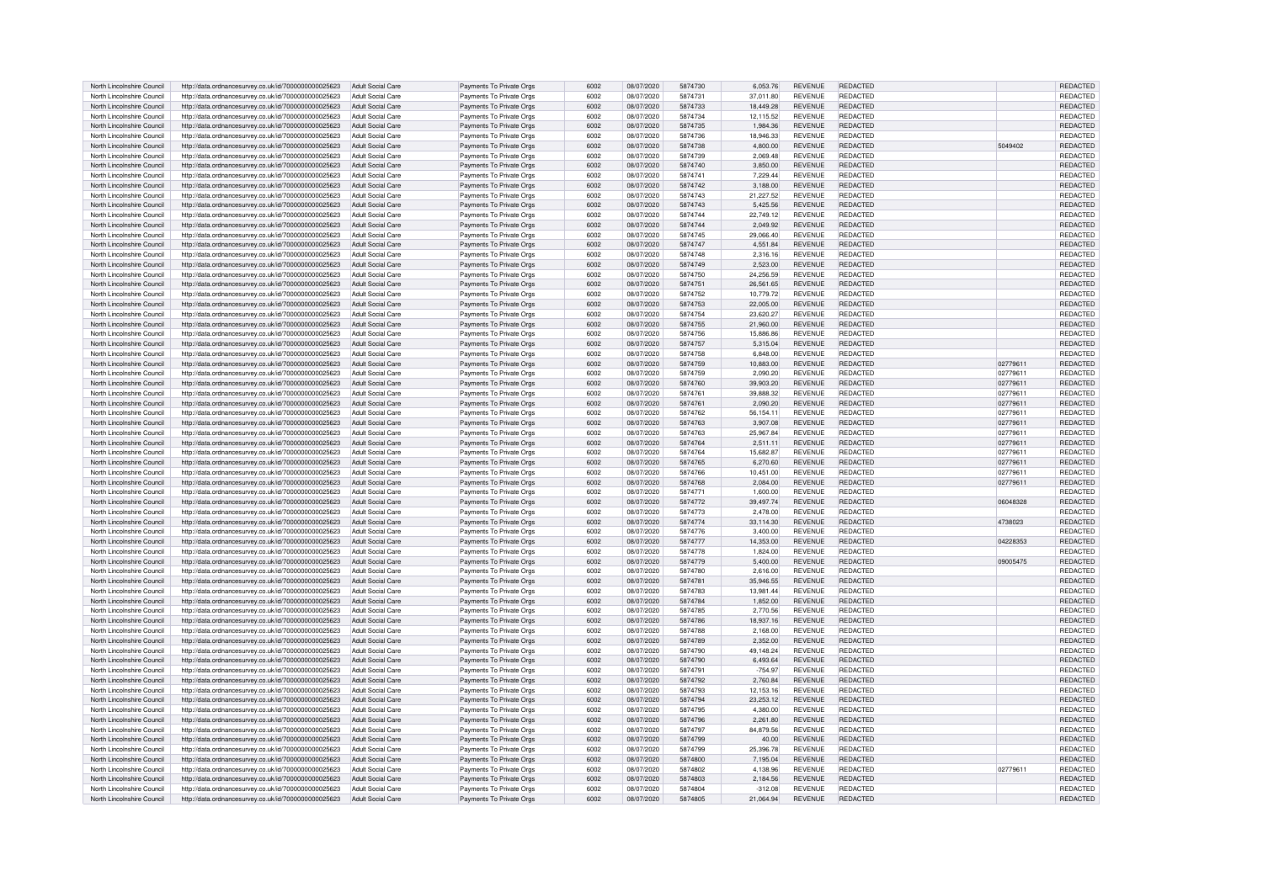| North Lincolnshire Council | http://data.ordnancesurvey.co.uk/id/7000000000025623 | Adult Social Care        | Payments To Private Orgs | 6002 | 08/07/2020 | 5874730 | 6.053.76  | <b>REVENUE</b> | REDACTED        |          | <b>REDACTED</b> |
|----------------------------|------------------------------------------------------|--------------------------|--------------------------|------|------------|---------|-----------|----------------|-----------------|----------|-----------------|
| North Lincolnshire Council | http://data.ordnancesurvey.co.uk/id/7000000000025623 | Adult Social Care        | Payments To Private Orgs | 6002 | 08/07/2020 | 5874731 | 37.011.80 | <b>REVENUE</b> | <b>REDACTED</b> |          | REDACTED        |
| North Lincolnshire Council | http://data.ordnancesurvey.co.uk/id/7000000000025623 | Adult Social Care        | Payments To Private Orgs | 6002 | 08/07/2020 | 5874733 | 18,449.28 | <b>REVENUE</b> | REDACTED        |          | REDACTED        |
| North Lincolnshire Council | http://data.ordnancesurvey.co.uk/id/7000000000025623 | Adult Social Care        | Payments To Private Orgs | 6002 | 08/07/2020 | 5874734 | 12,115.52 | <b>REVENUE</b> | <b>REDACTED</b> |          | REDACTED        |
| North Lincolnshire Council | http://data.ordnancesurvey.co.uk/id/7000000000025623 | Adult Social Care        | Payments To Private Orgs | 6002 | 08/07/2020 | 5874735 | 1.984.36  | <b>REVENUE</b> | REDACTED        |          | REDACTED        |
| North Lincolnshire Council | http://data.ordnancesurvey.co.uk/id/7000000000025623 | Adult Social Care        | Payments To Private Orgs | 6002 | 08/07/2020 | 5874736 | 18.946.33 | <b>REVENUE</b> | REDACTED        |          | REDACTED        |
| North Lincolnshire Council | http://data.ordnancesurvey.co.uk/id/7000000000025623 | Adult Social Care        | Payments To Private Orgs | 6002 | 08/07/2020 | 5874738 | 4,800.00  | <b>REVENUE</b> | <b>REDACTED</b> | 5049402  | <b>REDACTED</b> |
|                            |                                                      |                          |                          |      |            |         |           |                |                 |          |                 |
| North Lincolnshire Council | http://data.ordnancesurvey.co.uk/id/7000000000025623 | Adult Social Care        | Payments To Private Orgs | 6002 | 08/07/2020 | 5874739 | 2.069.48  | <b>REVENUE</b> | REDACTED        |          | REDACTED        |
| North Lincolnshire Council | http://data.ordnancesurvey.co.uk/id/7000000000025623 | Adult Social Care        | Payments To Private Orgs | 6002 | 08/07/2020 | 5874740 | 3,850.00  | <b>REVENUE</b> | REDACTED        |          | REDACTED        |
| North Lincolnshire Council | http://data.ordnancesurvey.co.uk/id/7000000000025623 | Adult Social Care        | Payments To Private Orgs | 6002 | 08/07/2020 | 5874741 | 7.229.44  | <b>REVENUE</b> | <b>REDACTED</b> |          | REDACTED        |
| North Lincolnshire Council | http://data.ordnancesurvey.co.uk/id/7000000000025623 | Adult Social Care        | Payments To Private Orgs | 6002 | 08/07/2020 | 5874742 | 3.188.00  | <b>REVENUE</b> | <b>REDACTED</b> |          | REDACTED        |
| North Lincolnshire Council | http://data.ordnancesurvey.co.uk/id/7000000000025623 | Adult Social Care        | Payments To Private Orgs | 6002 | 08/07/2020 | 5874743 | 21.227.52 | <b>REVENUE</b> | <b>REDACTED</b> |          | <b>REDACTED</b> |
| North Lincolnshire Council | http://data.ordnancesurvey.co.uk/id/7000000000025623 | <b>Adult Social Care</b> | Payments To Private Orgs | 6002 | 08/07/2020 | 5874743 | 5.425.56  | <b>REVENUE</b> | REDACTED        |          | REDACTED        |
| North Lincolnshire Council | http://data.ordnancesurvey.co.uk/id/7000000000025623 | Adult Social Care        | Payments To Private Orgs | 6002 | 08/07/2020 | 5874744 | 22,749.12 | <b>REVENUE</b> | REDACTED        |          | REDACTED        |
| North Lincolnshire Council | http://data.ordnancesurvey.co.uk/id/7000000000025623 | <b>Adult Social Care</b> | Payments To Private Orgs | 6002 | 08/07/2020 | 5874744 | 2,049.92  | <b>REVENUE</b> | REDACTED        |          | REDACTED        |
| North Lincolnshire Council | http://data.ordnancesurvey.co.uk/id/7000000000025623 | Adult Social Care        | Payments To Private Orgs | 6002 | 08/07/2020 | 5874745 | 29,066.40 | <b>REVENUE</b> | <b>REDACTED</b> |          | REDACTED        |
| North Lincolnshire Council | http://data.ordnancesurvey.co.uk/id/7000000000025623 | Adult Social Care        | Payments To Private Orgs | 6002 | 08/07/2020 | 5874747 | 4.551.84  | <b>REVENUE</b> | <b>REDACTED</b> |          | <b>REDACTED</b> |
|                            |                                                      |                          |                          |      |            | 5874748 |           | <b>REVENUE</b> | <b>REDACTED</b> |          |                 |
| North Lincolnshire Council | http://data.ordnancesurvey.co.uk/id/7000000000025623 | Adult Social Care        | Payments To Private Orgs | 6002 | 08/07/2020 |         | 2,316.16  |                |                 |          | REDACTED        |
| North Lincolnshire Council | http://data.ordnancesurvey.co.uk/id/7000000000025623 | <b>Adult Social Care</b> | Payments To Private Orgs | 6002 | 08/07/2020 | 5874749 | 2,523.00  | <b>REVENUE</b> | <b>REDACTED</b> |          | REDACTED        |
| North Lincolnshire Council | http://data.ordnancesurvey.co.uk/id/7000000000025623 | Adult Social Care        | Payments To Private Orgs | 6002 | 08/07/2020 | 5874750 | 24.256.59 | <b>REVENUE</b> | REDACTED        |          | REDACTED        |
| North Lincolnshire Council | http://data.ordnancesurvey.co.uk/id/7000000000025623 | <b>Adult Social Care</b> | Payments To Private Orgs | 6002 | 08/07/2020 | 5874751 | 26,561.65 | <b>REVENUE</b> | <b>REDACTED</b> |          | REDACTED        |
| North Lincolnshire Council | http://data.ordnancesurvey.co.uk/id/7000000000025623 | Adult Social Care        | Payments To Private Orgs | 6002 | 08/07/2020 | 5874752 | 10,779.72 | <b>REVENUE</b> | <b>REDACTED</b> |          | REDACTED        |
| North Lincolnshire Council | http://data.ordnancesurvey.co.uk/id/7000000000025623 | <b>Adult Social Care</b> | Payments To Private Orgs | 6002 | 08/07/2020 | 5874753 | 22,005.00 | <b>REVENUE</b> | <b>REDACTED</b> |          | REDACTED        |
| North Lincolnshire Council | http://data.ordnancesurvey.co.uk/id/7000000000025623 | Adult Social Care        | Payments To Private Orgs | 6002 | 08/07/2020 | 5874754 | 23.620.27 | <b>REVENUE</b> | <b>RFDACTED</b> |          | REDACTED        |
| North Lincolnshire Council | http://data.ordnancesurvey.co.uk/id/7000000000025623 | Adult Social Care        | Payments To Private Orgs | 6002 | 08/07/2020 | 5874755 | 21,960.00 | <b>REVENUE</b> | <b>REDACTED</b> |          | REDACTED        |
| North Lincolnshire Council | http://data.ordnancesurvey.co.uk/id/7000000000025623 | Adult Social Care        | Payments To Private Orgs | 6002 | 08/07/2020 | 5874756 | 15,886.86 | <b>REVENUE</b> | REDACTED        |          | REDACTED        |
| North Lincolnshire Council | http://data.ordnancesurvey.co.uk/id/7000000000025623 | Adult Social Care        | Payments To Private Orgs | 6002 | 08/07/2020 | 5874757 | 5.315.04  | <b>REVENUE</b> | REDACTED        |          | REDACTED        |
| North Lincolnshire Council | http://data.ordnancesurvey.co.uk/id/7000000000025623 | Adult Social Care        | Payments To Private Orgs | 6002 | 08/07/2020 | 5874758 | 6.848.00  | <b>REVENUE</b> | <b>REDACTED</b> |          | <b>REDACTED</b> |
| North Lincolnshire Council |                                                      | Adult Social Care        |                          | 6002 |            | 5874759 | 10.883.00 | <b>REVENUE</b> | <b>REDACTED</b> | 02779611 | REDACTED        |
|                            | http://data.ordnancesurvey.co.uk/id/7000000000025623 |                          | Payments To Private Orgs |      | 08/07/2020 |         |           |                |                 |          |                 |
| North Lincolnshire Council | http://data.ordnancesurvey.co.uk/id/7000000000025623 | Adult Social Care        | Payments To Private Orgs | 6002 | 08/07/2020 | 5874759 | 2,090.20  | <b>REVENUE</b> | REDACTED        | 02779611 | REDACTED        |
| North Lincolnshire Council | http://data.ordnancesurvey.co.uk/id/7000000000025623 | Adult Social Care        | Payments To Private Orgs | 6002 | 08/07/2020 | 5874760 | 39,903.20 | <b>REVENUE</b> | REDACTED        | 02779611 | <b>REDACTED</b> |
| North Lincolnshire Council | http://data.ordnancesurvey.co.uk/id/7000000000025623 | Adult Social Care        | Payments To Private Orgs | 6002 | 08/07/2020 | 5874761 | 39.888.32 | <b>REVENUE</b> | <b>REDACTED</b> | 02779611 | REDACTED        |
| North Lincolnshire Council | http://data.ordnancesurvey.co.uk/id/7000000000025623 | Adult Social Care        | Payments To Private Orgs | 6002 | 08/07/2020 | 5874761 | 2.090.20  | <b>REVENUE</b> | <b>REDACTED</b> | 02779611 | REDACTED        |
| North Lincolnshire Council | http://data.ordnancesurvey.co.uk/id/7000000000025623 | Adult Social Care        | Payments To Private Orgs | 6002 | 08/07/2020 | 5874762 | 56.154.11 | <b>REVENUE</b> | <b>REDACTED</b> | 02779611 | REDACTED        |
| North Lincolnshire Council | http://data.ordnancesurvey.co.uk/id/7000000000025623 | Adult Social Care        | Payments To Private Orgs | 6002 | 08/07/2020 | 5874763 | 3.907.08  | <b>REVENUE</b> | <b>REDACTED</b> | 02779611 | REDACTED        |
| North Lincolnshire Council | http://data.ordnancesurvey.co.uk/id/7000000000025623 | Adult Social Care        | Payments To Private Orgs | 6002 | 08/07/2020 | 5874763 | 25,967.84 | <b>REVENUE</b> | <b>REDACTED</b> | 02779611 | REDACTED        |
| North Lincolnshire Council | http://data.ordnancesurvev.co.uk/id/7000000000025623 | <b>Adult Social Care</b> | Payments To Private Orgs | 6002 | 08/07/2020 | 5874764 | 2,511.11  | <b>REVENUE</b> | <b>REDACTED</b> | 02779611 | REDACTED        |
| North Lincolnshire Council | http://data.ordnancesurvey.co.uk/id/7000000000025623 | Adult Social Care        | Payments To Private Orgs | 6002 | 08/07/2020 | 5874764 | 15.682.87 | <b>REVENUE</b> | REDACTED        | 02779611 | <b>REDACTED</b> |
| North Lincolnshire Council |                                                      | <b>Adult Social Care</b> | Payments To Private Orgs | 6002 | 08/07/2020 | 5874765 | 6.270.60  | <b>REVENUE</b> | <b>REDACTED</b> | 02779611 | REDACTED        |
|                            | http://data.ordnancesurvey.co.uk/id/7000000000025623 |                          |                          |      |            |         |           |                |                 |          |                 |
| North Lincolnshire Council | http://data.ordnancesurvey.co.uk/id/7000000000025623 | Adult Social Care        | Payments To Private Orgs | 6002 | 08/07/2020 | 5874766 | 10,451.00 | <b>REVENUE</b> | <b>REDACTED</b> | 02779611 | REDACTED        |
| North Lincolnshire Council | http://data.ordnancesurvey.co.uk/id/7000000000025623 | Adult Social Care        | Payments To Private Oras | 6002 | 08/07/2020 | 5874768 | 2.084.00  | <b>REVENUE</b> | REDACTED        | 02779611 | REDACTED        |
| North Lincolnshire Council | http://data.ordnancesurvey.co.uk/id/7000000000025623 | Adult Social Care        | Payments To Private Orgs | 6002 | 08/07/2020 | 5874771 | 1.600.00  | <b>REVENUE</b> | REDACTED        |          | REDACTED        |
| North Lincolnshire Council | http://data.ordnancesurvey.co.uk/id/7000000000025623 | Adult Social Care        | Payments To Private Orgs | 6002 | 08/07/2020 | 5874772 | 39,497.74 | <b>REVENUE</b> | <b>REDACTED</b> | 06048328 | REDACTED        |
| North Lincolnshire Council | http://data.ordnancesurvey.co.uk/id/7000000000025623 | Adult Social Care        | Payments To Private Orgs | 6002 | 08/07/2020 | 5874773 | 2.478.00  | <b>REVENUE</b> | <b>REDACTED</b> |          | REDACTED        |
| North Lincolnshire Council | http://data.ordnancesurvey.co.uk/id/7000000000025623 | Adult Social Care        | Payments To Private Oras | 6002 | 08/07/2020 | 5874774 | 33.114.30 | <b>REVENUE</b> | <b>REDACTED</b> | 4738023  | <b>REDACTED</b> |
| North Lincolnshire Council | http://data.ordnancesurvey.co.uk/id/7000000000025623 | Adult Social Care        | Payments To Private Orgs | 6002 | 08/07/2020 | 5874776 | 3,400.00  | <b>REVENUE</b> | <b>REDACTED</b> |          | REDACTED        |
| North Lincolnshire Council | http://data.ordnancesurvey.co.uk/id/7000000000025623 | <b>Adult Social Care</b> | Payments To Private Orgs | 6002 | 08/07/2020 | 5874777 | 14,353.00 | <b>REVENUE</b> | <b>REDACTED</b> | 04228353 | REDACTED        |
| North Lincolnshire Council | http://data.ordnancesurvey.co.uk/id/7000000000025623 | Adult Social Care        | Payments To Private Orgs | 6002 | 08/07/2020 | 5874778 | 1.824.00  | REVENUE        | REDACTED        |          | REDACTED        |
| North Lincolnshire Council | http://data.ordnancesurvey.co.uk/id/7000000000025623 | Adult Social Care        | Payments To Private Orgs | 6002 | 08/07/2020 | 5874779 | 5,400.00  | REVENUE        | REDACTED        | 09005475 | REDACTED        |
| North Lincolnshire Council |                                                      | Adult Social Care        |                          | 6002 | 08/07/2020 | 5874780 | 2.616.00  | <b>REVENUE</b> | <b>REDACTED</b> |          | <b>REDACTEI</b> |
|                            | http://data.ordnancesurvey.co.uk/id/7000000000025623 |                          | Payments To Private Orgs |      |            |         |           |                |                 |          |                 |
| North Lincolnshire Council | http://data.ordnancesurvey.co.uk/id/7000000000025623 | <b>Adult Social Care</b> | Payments To Private Orgs | 6002 | 08/07/2020 | 587478  | 35,946.55 | REVENUE        | REDACTED        |          | REDACTED        |
| North Lincolnshire Council | http://data.ordnancesurvey.co.uk/id/7000000000025623 | Adult Social Care        | Payments To Private Orgs | 6002 | 08/07/2020 | 5874783 | 13,981.44 | <b>REVENUE</b> | <b>REDACTED</b> |          | REDACTED        |
| North Lincolnshire Council | http://data.ordnancesurvey.co.uk/id/7000000000025623 | Adult Social Care        | Payments To Private Orgs | 6002 | 08/07/2020 | 5874784 | 1.852.00  | <b>REVENUE</b> | REDACTED        |          | REDACTED        |
| North Lincolnshire Council | http://data.ordnancesurvey.co.uk/id/7000000000025623 | Adult Social Care        | Payments To Private Orgs | 6002 | 08/07/2020 | 5874785 | 2.770.56  | <b>REVENUE</b> | <b>REDACTED</b> |          | REDACTED        |
| North Lincolnshire Council | http://data.ordnancesurvey.co.uk/id/7000000000025623 | Adult Social Care        | Payments To Private Orgs | 6002 | 08/07/2020 | 5874786 | 18,937.16 | <b>REVENUE</b> | <b>REDACTED</b> |          | REDACTED        |
| North Lincolnshire Council | http://data.ordnancesurvey.co.uk/id/7000000000025623 | Adult Social Care        | Payments To Private Orgs | 6002 | 08/07/2020 | 5874788 | 2.168.00  | <b>REVENUE</b> | <b>REDACTED</b> |          | REDACTED        |
| North Lincolnshire Council | http://data.ordnancesurvey.co.uk/id/7000000000025623 | <b>Adult Social Care</b> | Payments To Private Orgs | 6002 | 08/07/2020 | 5874789 | 2.352.00  | <b>REVENUE</b> | <b>REDACTED</b> |          | REDACTED        |
| North Lincolnshire Council | http://data.ordnancesurvey.co.uk/id/7000000000025623 | <b>Adult Social Care</b> | Payments To Private Orgs | 6002 | 08/07/2020 | 5874790 | 49,148.24 | <b>REVENUE</b> | <b>REDACTED</b> |          | REDACTED        |
| North Lincolnshire Council | http://data.ordnancesurvey.co.uk/id/7000000000025623 | <b>Adult Social Care</b> | Payments To Private Orgs | 6002 | 08/07/2020 | 5874790 | 6,493.64  | <b>REVENUE</b> | REDACTED        |          | REDACTED        |
| North Lincolnshire Council | http://data.ordnancesurvey.co.uk/id/7000000000025623 | Adult Social Care        | Payments To Private Orgs | 6002 | 08/07/2020 | 5874791 | $-754.97$ | REVENUE        | REDACTED        |          | REDACTED        |
| North Lincolnshire Council | http://data.ordnancesurvey.co.uk/id/7000000000025623 | Adult Social Care        | Payments To Private Orgs | 6002 | 08/07/2020 | 5874792 | 2,760.84  | <b>REVENUE</b> | <b>REDACTED</b> |          | REDACTED        |
| North Lincolnshire Council |                                                      | Adult Social Care        |                          | 6002 | 08/07/2020 | 5874793 | 12.153.16 | <b>REVENUE</b> | <b>REDACTED</b> |          |                 |
|                            | http://data.ordnancesurvey.co.uk/id/7000000000025623 |                          | Payments To Private Orgs |      |            |         |           |                |                 |          | REDACTED        |
| North Lincolnshire Council | http://data.ordnancesurvey.co.uk/id/7000000000025623 | Adult Social Care        | Payments To Private Orgs | 6002 | 08/07/2020 | 5874794 | 23,253.12 | REVENUE        | REDACTED        |          | REDACTED        |
| North Lincolnshire Council | http://data.ordnancesurvey.co.uk/id/7000000000025623 | Adult Social Care        | Payments To Private Orgs | 6002 | 08/07/2020 | 5874795 | 4,380.00  | REVENUE        | REDACTED        |          | REDACTED        |
| North Lincolnshire Council | http://data.ordnancesurvey.co.uk/id/7000000000025623 | Adult Social Care        | Payments To Private Orgs | 6002 | 08/07/2020 | 5874796 | 2.261.80  | <b>REVENUE</b> | REDACTED        |          | REDACTED        |
| North Lincolnshire Council | http://data.ordnancesurvey.co.uk/id/7000000000025623 | Adult Social Care        | Payments To Private Orgs | 6002 | 08/07/2020 | 5874797 | 84.879.56 | <b>REVENUE</b> | <b>REDACTED</b> |          | REDACTED        |
| North Lincolnshire Council | http://data.ordnancesurvey.co.uk/id/7000000000025623 | Adult Social Care        | Payments To Private Orgs | 6002 | 08/07/2020 | 5874799 | 40.00     | REVENUE        | <b>REDACTED</b> |          | REDACTED        |
| North Lincolnshire Council | http://data.ordnancesurvey.co.uk/id/7000000000025623 | Adult Social Care        | Payments To Private Orgs | 6002 | 08/07/2020 | 5874799 | 25.396.78 | <b>REVENUE</b> | REDACTED        |          | REDACTED        |
| North Lincolnshire Council | http://data.ordnancesurvey.co.uk/id/7000000000025623 | Adult Social Care        | Payments To Private Orgs | 6002 | 08/07/2020 | 5874800 | 7.195.04  | <b>REVENUE</b> | <b>REDACTED</b> |          | REDACTED        |
| North Lincolnshire Council | http://data.ordnancesurvey.co.uk/id/7000000000025623 | Adult Social Care        | Payments To Private Orgs | 6002 | 08/07/2020 | 5874802 | 4,138.96  | <b>REVENUE</b> | REDACTED        | 02779611 | REDACTED        |
| North Lincolnshire Council | http://data.ordnancesurvey.co.uk/id/7000000000025623 | Adult Social Care        | Payments To Private Orgs | 6002 | 08/07/2020 | 5874803 | 2.184.56  | <b>REVENUE</b> | <b>REDACTED</b> |          | REDACTED        |
| North Lincolnshire Council | http://data.ordnancesurvey.co.uk/id/7000000000025623 | Adult Social Care        | Payments To Private Orgs | 6002 | 08/07/2020 | 5874804 | $-312.08$ | <b>REVENUE</b> | REDACTED        |          | REDACTED        |
| North Lincolnshire Council | http://data.ordnancesurvey.co.uk/id/7000000000025623 | Adult Social Care        | Payments To Private Orgs | 6002 | 08/07/2020 | 5874805 | 21.064.94 | REVENUE        | <b>REDACTED</b> |          | REDACTED        |
|                            |                                                      |                          |                          |      |            |         |           |                |                 |          |                 |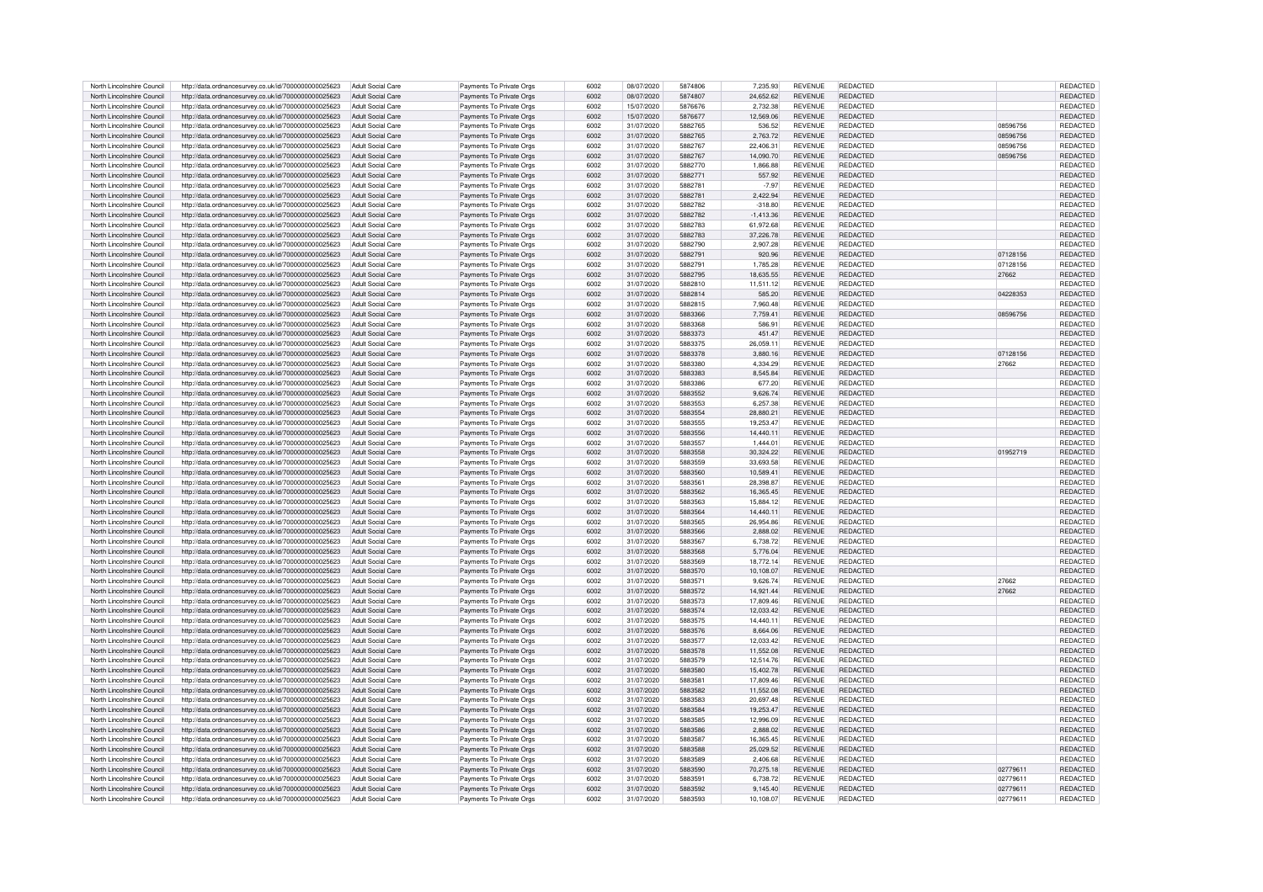| North Lincolnshire Council | http://data.ordnancesurvey.co.uk/id/7000000000025623 | Adult Social Care        | Payments To Private Orgs | 6002 | 08/07/2020 | 5874806 | 7.235.93    | <b>REVENUE</b> | REDACTED        |          | REDACTED        |
|----------------------------|------------------------------------------------------|--------------------------|--------------------------|------|------------|---------|-------------|----------------|-----------------|----------|-----------------|
| North Lincolnshire Council | http://data.ordnancesurvey.co.uk/id/7000000000025623 | Adult Social Care        | Payments To Private Orgs | 6002 | 08/07/2020 | 5874807 | 24,652.62   | <b>REVENUE</b> | <b>REDACTED</b> |          | REDACTED        |
|                            |                                                      |                          |                          |      |            |         |             |                |                 |          |                 |
| North Lincolnshire Council | http://data.ordnancesurvey.co.uk/id/7000000000025623 | Adult Social Care        | Payments To Private Orgs | 6002 | 15/07/2020 | 5876676 | 2,732.38    | <b>REVENUE</b> | <b>REDACTED</b> |          | REDACTED        |
| North Lincolnshire Council | http://data.ordnancesurvey.co.uk/id/7000000000025623 | Adult Social Care        | Payments To Private Orgs | 6002 | 15/07/2020 | 5876677 | 12.569.06   | <b>REVENUE</b> | <b>REDACTED</b> |          | REDACTED        |
| North Lincolnshire Council | http://data.ordnancesurvey.co.uk/id/7000000000025623 | Adult Social Care        | Payments To Private Orgs | 6002 | 31/07/2020 | 5882765 | 536.52      | <b>REVENUE</b> | REDACTED        | 08596756 | REDACTED        |
| North Lincolnshire Council | http://data.ordnancesurvey.co.uk/id/7000000000025623 | Adult Social Care        | Payments To Private Orgs | 6002 | 31/07/2020 | 5882765 | 2,763.72    | <b>REVENUE</b> | <b>REDACTED</b> | 08596756 | <b>REDACTED</b> |
| North Lincolnshire Council | http://data.ordnancesurvey.co.uk/id/7000000000025623 | Adult Social Care        | Payments To Private Orgs | 6002 | 31/07/2020 | 5882767 | 22.406.31   | <b>REVENUE</b> | REDACTED        | 08596756 | REDACTED        |
| North Lincolnshire Council | http://data.ordnancesurvey.co.uk/id/7000000000025623 | Adult Social Care        | Payments To Private Orgs | 6002 | 31/07/2020 | 5882767 | 14.090.70   | <b>REVENUE</b> | REDACTED        | 08596756 | REDACTED        |
| North Lincolnshire Council | http://data.ordnancesurvey.co.uk/id/7000000000025623 | Adult Social Care        | Payments To Private Oras | 6002 | 31/07/2020 | 5882770 | 1.866.88    | <b>REVENUE</b> | <b>REDACTED</b> |          | REDACTED        |
|                            |                                                      |                          |                          | 6002 |            |         |             | <b>REVENUE</b> | <b>REDACTED</b> |          |                 |
| North Lincolnshire Council | http://data.ordnancesurvey.co.uk/id/7000000000025623 | Adult Social Care        | Payments To Private Orgs |      | 31/07/2020 | 5882771 | 557.92      |                |                 |          | REDACTED        |
| North Lincolnshire Council | http://data.ordnancesurvey.co.uk/id/7000000000025623 | Adult Social Care        | Payments To Private Orgs | 6002 | 31/07/2020 | 5882781 | $-7.97$     | <b>REVENUE</b> | <b>REDACTED</b> |          | <b>REDACTED</b> |
| North Lincolnshire Council | http://data.ordnancesurvey.co.uk/id/7000000000025623 | Adult Social Care        | Payments To Private Orgs | 6002 | 31/07/2020 | 5882781 | 2.422.94    | <b>REVENUE</b> | <b>REDACTED</b> |          | REDACTED        |
| North Lincolnshire Council | http://data.ordnancesurvey.co.uk/id/7000000000025623 | Adult Social Care        | Payments To Private Orgs | 6002 | 31/07/2020 | 5882782 | $-318.80$   | <b>REVENUE</b> | REDACTED        |          | REDACTE         |
| North Lincolnshire Council | http://data.ordnancesurvey.co.uk/id/7000000000025623 | <b>Adult Social Care</b> | Payments To Private Orgs | 6002 | 31/07/2020 | 5882782 | $-1,413.36$ | <b>REVENUE</b> | REDACTED        |          | REDACTED        |
| North Lincolnshire Council | http://data.ordnancesurvey.co.uk/id/7000000000025623 | Adult Social Care        | Payments To Private Orgs | 6002 | 31/07/2020 | 5882783 | 61.972.68   | <b>REVENUE</b> | <b>REDACTED</b> |          | <b>REDACTED</b> |
| North Lincolnshire Council |                                                      | Adult Social Care        |                          | 6002 | 31/07/2020 | 5882783 | 37.226.78   | <b>REVENUE</b> | <b>REDACTED</b> |          | <b>REDACTED</b> |
|                            | http://data.ordnancesurvey.co.uk/id/7000000000025623 |                          | Payments To Private Orgs |      |            |         |             |                |                 |          |                 |
| North Lincolnshire Council | http://data.ordnancesurvey.co.uk/id/7000000000025623 | Adult Social Care        | Payments To Private Orgs | 6002 | 31/07/2020 | 5882790 | 2.907.28    | <b>REVENUE</b> | <b>REDACTED</b> |          | <b>REDACTED</b> |
| North Lincolnshire Council | http://data.ordnancesurvey.co.uk/id/7000000000025623 | Adult Social Care        | Payments To Private Oras | 6002 | 31/07/2020 | 5882791 | 920.96      | <b>REVENUE</b> | <b>REDACTED</b> | 07128156 | REDACTED        |
| North Lincolnshire Council | http://data.ordnancesurvey.co.uk/id/7000000000025623 | Adult Social Care        | Payments To Private Orgs | 6002 | 31/07/2020 | 5882791 | 1.785.28    | <b>REVENUE</b> | REDACTED        | 07128156 | REDACTED        |
| North Lincolnshire Council | http://data.ordnancesurvey.co.uk/id/7000000000025623 | Adult Social Care        | Payments To Private Orgs | 6002 | 31/07/2020 | 5882795 | 18 635 55   | <b>REVENUE</b> | <b>REDACTED</b> | 27662    | <b>REDACTED</b> |
| North Lincolnshire Council | http://data.ordnancesurvey.co.uk/id/7000000000025623 | Adult Social Care        | Payments To Private Orgs | 6002 | 31/07/2020 | 5882810 | 11,511.12   | <b>REVENUE</b> | <b>REDACTED</b> |          | REDACTED        |
| North Lincolnshire Council | http://data.ordnancesurvey.co.uk/id/7000000000025623 | Adult Social Care        | Payments To Private Orgs | 6002 | 31/07/2020 | 5882814 | 585.20      | <b>REVENUE</b> | <b>REDACTED</b> | 04228353 | <b>REDACTED</b> |
|                            |                                                      |                          |                          |      |            |         |             |                |                 |          |                 |
| North Lincolnshire Council | http://data.ordnancesurvey.co.uk/id/7000000000025623 | <b>Adult Social Care</b> | Payments To Private Orgs | 6002 | 31/07/2020 | 5882815 | 7,960.48    | <b>REVENUE</b> | <b>REDACTED</b> |          | <b>REDACTED</b> |
| North Lincolnshire Council | http://data.ordnancesurvey.co.uk/id/7000000000025623 | <b>Adult Social Care</b> | Payments To Private Orgs | 6002 | 31/07/2020 | 5883366 | 7,759.41    | <b>REVENUE</b> | <b>REDACTED</b> | 08596756 | <b>REDACTED</b> |
| North Lincolnshire Council | http://data.ordnancesurvey.co.uk/id/7000000000025623 | Adult Social Care        | Payments To Private Orgs | 6002 | 31/07/2020 | 5883368 | 586.91      | <b>REVENUE</b> | <b>REDACTED</b> |          | REDACTED        |
| North Lincolnshire Council | http://data.ordnancesurvey.co.uk/id/7000000000025623 | Adult Social Care        | Payments To Private Orgs | 6002 | 31/07/2020 | 5883373 | 451.47      | <b>REVENUE</b> | <b>REDACTED</b> |          | <b>REDACTED</b> |
| North Lincolnshire Council | http://data.ordnancesurvey.co.uk/id/7000000000025623 | Adult Social Care        | Payments To Private Orgs | 6002 | 31/07/2020 | 5883375 | 26,059.11   | <b>REVENUE</b> | <b>REDACTED</b> |          | REDACTED        |
| North Lincolnshire Council | http://data.ordnancesurvey.co.uk/id/7000000000025623 | Adult Social Care        | Payments To Private Orgs | 6002 | 31/07/2020 | 5883378 | 3,880.16    | <b>REVENUE</b> | <b>REDACTED</b> | 07128156 | REDACTED        |
| North Lincolnshire Council | http://data.ordnancesurvey.co.uk/id/7000000000025623 | Adult Social Care        | Payments To Private Orgs | 6002 | 31/07/2020 | 5883380 | 4,334.29    | <b>REVENUE</b> | <b>REDACTED</b> | 27662    | REDACTED        |
|                            |                                                      |                          |                          |      |            |         |             |                |                 |          |                 |
| North Lincolnshire Council | http://data.ordnancesurvey.co.uk/id/7000000000025623 | Adult Social Care        | Payments To Private Orgs | 6002 | 31/07/2020 | 5883383 | 8.545.84    | <b>REVENUE</b> | <b>REDACTED</b> |          | <b>REDACTED</b> |
| North Lincolnshire Council | http://data.ordnancesurvey.co.uk/id/7000000000025623 | Adult Social Care        | Payments To Private Orgs | 6002 | 31/07/2020 | 5883386 | 677.20      | <b>REVENUE</b> | <b>REDACTED</b> |          | <b>REDACTED</b> |
| North Lincolnshire Council | http://data.ordnancesurvey.co.uk/id/7000000000025623 | <b>Adult Social Care</b> | Payments To Private Orgs | 6002 | 31/07/2020 | 5883552 | 9.626.74    | <b>REVENUE</b> | REDACTED        |          | REDACTED        |
| North Lincolnshire Council | http://data.ordnancesurvey.co.uk/id/7000000000025623 | Adult Social Care        | Payments To Private Orgs | 6002 | 31/07/2020 | 5883553 | 6.257.38    | <b>REVENUE</b> | REDACTED        |          | REDACTE         |
| North Lincolnshire Council | http://data.ordnancesurvey.co.uk/id/7000000000025623 | Adult Social Care        | Payments To Private Orgs | 6002 | 31/07/2020 | 5883554 | 28.880.21   | <b>REVENUE</b> | REDACTED        |          | REDACTED        |
| North Lincolnshire Council | http://data.ordnancesurvey.co.uk/id/7000000000025623 | <b>Adult Social Care</b> | Payments To Private Orgs | 6002 | 31/07/2020 | 5883555 | 19,253.47   | <b>REVENUE</b> | <b>REDACTED</b> |          | REDACTED        |
|                            |                                                      |                          |                          |      |            |         |             |                |                 |          |                 |
| North Lincolnshire Council | http://data.ordnancesurvey.co.uk/id/7000000000025623 | <b>Adult Social Care</b> | Payments To Private Orgs | 6002 | 31/07/2020 | 5883556 | 14.440.11   | <b>REVENUE</b> | <b>REDACTED</b> |          | REDACTED        |
| North Lincolnshire Council | http://data.ordnancesurvey.co.uk/id/7000000000025623 | Adult Social Care        | Payments To Private Orgs | 6002 | 31/07/2020 | 5883557 | 1.444.01    | <b>REVENUE</b> | REDACTED        |          | REDACTED        |
| North Lincolnshire Council | http://data.ordnancesurvey.co.uk/id/7000000000025623 | Adult Social Care        | Payments To Private Orgs | 6002 | 31/07/2020 | 5883558 | 30,324.22   | <b>REVENUE</b> | <b>REDACTED</b> | 01952719 | REDACTED        |
| North Lincolnshire Council | http://data.ordnancesurvey.co.uk/id/7000000000025623 | Adult Social Care        | Payments To Private Orgs | 6002 | 31/07/2020 | 5883559 | 33.693.58   | <b>REVENUE</b> | <b>REDACTED</b> |          | REDACTED        |
| North Lincolnshire Council | http://data.ordnancesurvey.co.uk/id/7000000000025623 | Adult Social Care        | Payments To Private Orgs | 6002 | 31/07/2020 | 5883560 | 10,589.41   | <b>REVENUE</b> | <b>REDACTED</b> |          | REDACTED        |
| North Lincolnshire Council | http://data.ordnancesurvey.co.uk/id/7000000000025623 | Adult Social Care        | Payments To Private Orgs | 6002 | 31/07/2020 | 5883561 | 28.398.87   | <b>REVENUE</b> | <b>REDACTED</b> |          | <b>REDACTED</b> |
| North Lincolnshire Council |                                                      | Adult Social Care        |                          | 6002 | 31/07/2020 | 5883562 | 16.365.45   | <b>REVENUE</b> | <b>REDACTED</b> |          | <b>REDACTED</b> |
|                            | http://data.ordnancesurvey.co.uk/id/7000000000025623 |                          | Payments To Private Orgs |      |            |         |             |                |                 |          |                 |
| North Lincolnshire Council | http://data.ordnancesurvey.co.uk/id/7000000000025623 | Adult Social Care        | Payments To Private Orgs | 6002 | 31/07/2020 | 5883563 | 15.884.12   | <b>REVENUE</b> | <b>REDACTED</b> |          | <b>REDACTED</b> |
| North Lincolnshire Council | http://data.ordnancesurvey.co.uk/id/7000000000025623 | Adult Social Care        | Payments To Private Orgs | 6002 | 31/07/2020 | 5883564 | 14 440 11   | <b>REVENUE</b> | <b>REDACTED</b> |          | REDACTED        |
| North Lincolnshire Council | http://data.ordnancesurvey.co.uk/id/7000000000025623 | Adult Social Care        | Payments To Private Orgs | 6002 | 31/07/2020 | 5883565 | 26.954.86   | <b>REVENUE</b> | <b>REDACTED</b> |          | REDACTE         |
| North Lincolnshire Council | http://data.ordnancesurvey.co.uk/id/7000000000025623 | Adult Social Care        | Payments To Private Orgs | 6002 | 31/07/2020 | 5883566 | 2,888.02    | <b>REVENUE</b> | <b>REDACTED</b> |          | REDACTED        |
| North Lincolnshire Council | http://data.ordnancesurvey.co.uk/id/7000000000025623 | Adult Social Care        | Payments To Private Orgs | 6002 | 31/07/2020 | 5883567 | 6.738.72    | <b>REVENUE</b> | <b>REDACTED</b> |          | <b>REDACTED</b> |
| North Lincolnshire Council |                                                      | Adult Social Care        | Payments To Private Orgs | 6002 | 31/07/2020 | 5883568 | 5.776.04    | <b>REVENUE</b> | <b>REDACTED</b> |          | REDACTED        |
|                            | http://data.ordnancesurvey.co.uk/id/7000000000025623 |                          |                          |      |            |         |             |                |                 |          |                 |
| North Lincolnshire Council | http://data.ordnancesurvey.co.uk/id/7000000000025623 | Adult Social Care        | Payments To Private Orgs | 6002 | 31/07/2020 | 5883569 | 18.772.14   | <b>REVENUE</b> | <b>REDACTED</b> |          | REDACTED        |
| North Lincolnshire Council | http://data.ordnancesurvey.co.uk/id/7000000000025623 | Adult Social Care        | Payments To Private Orgs | 6002 | 31/07/2020 | 5883570 | 10,108.07   | <b>REVENUE</b> | <b>REDACTED</b> |          | <b>REDACTED</b> |
| North Lincolnshire Council | http://data.ordnancesurvey.co.uk/id/7000000000025623 | Adult Social Care        | Payments To Private Orgs | 6002 | 31/07/2020 | 5883571 | 9.626.74    | <b>REVENUE</b> | REDACTED        | 27662    | REDACTED        |
| North Lincolnshire Council | http://data.ordnancesurvey.co.uk/id/7000000000025623 | Adult Social Care        | Payments To Private Orgs | 6002 | 31/07/2020 | 5883572 | 14,921.44   | <b>REVENUE</b> | <b>REDACTED</b> | 27662    | REDACTED        |
| North Lincolnshire Council | http://data.ordnancesurvey.co.uk/id/7000000000025623 | Adult Social Care        | Payments To Private Orgs | 6002 | 31/07/2020 | 5883573 | 17.809.46   | <b>REVENUE</b> | <b>REDACTED</b> |          | <b>REDACTED</b> |
| North Lincolnshire Council | http://data.ordnancesurvey.co.uk/id/7000000000025623 | Adult Social Care        | Payments To Private Orgs | 6002 | 31/07/2020 | 5883574 | 12.033.42   | <b>REVENUE</b> | <b>REDACTED</b> |          | REDACTED        |
| North Lincolnshire Council | http://data.ordnancesurvey.co.uk/id/7000000000025623 | Adult Social Care        | Payments To Private Orgs | 6002 | 31/07/2020 | 5883575 | 14.440.11   | <b>REVENUE</b> | <b>REDACTED</b> |          | <b>REDACTED</b> |
|                            |                                                      |                          |                          |      |            |         |             |                |                 |          |                 |
| North Lincolnshire Council | http://data.ordnancesurvey.co.uk/id/7000000000025623 | <b>Adult Social Care</b> | Payments To Private Orgs | 6002 | 31/07/2020 | 5883576 | 8.664.06    | <b>REVENUE</b> | REDACTED        |          | REDACTE         |
| North Lincolnshire Council | http://data.ordnancesurvey.co.uk/id/7000000000025623 | Adult Social Care        | Payments To Private Orgs | 6002 | 31/07/2020 | 5883577 | 12.033.42   | <b>REVENUE</b> | REDACTED        |          | REDACTE         |
| North Lincolnshire Council | http://data.ordnancesurvey.co.uk/id/7000000000025623 | Adult Social Care        | Payments To Private Orgs | 6002 | 31/07/2020 | 5883578 | 11,552.08   | <b>REVENUE</b> | REDACTED        |          | REDACTED        |
| North Lincolnshire Council | http://data.ordnancesurvey.co.uk/id/7000000000025623 | Adult Social Care        | Payments To Private Orgs | 6002 | 31/07/2020 | 5883579 | 12,514.76   | <b>REVENUE</b> | <b>REDACTED</b> |          | REDACTED        |
| North Lincolnshire Council | http://data.ordnancesurvey.co.uk/id/7000000000025623 | <b>Adult Social Care</b> | Payments To Private Orgs | 6002 | 31/07/2020 | 5883580 | 15,402.78   | <b>REVENUE</b> | REDACTED        |          | REDACTE         |
| North Lincolnshire Council | http://data.ordnancesurvey.co.uk/id/7000000000025623 | Adult Social Care        | Payments To Private Orgs | 6002 | 31/07/2020 | 588358  | 17,809.46   | <b>REVENUE</b> | <b>REDACTED</b> |          | REDACTED        |
|                            |                                                      | Adult Social Care        |                          | 6002 |            | 5883582 | 11.552.08   | <b>REVENUE</b> | <b>REDACTED</b> |          |                 |
| North Lincolnshire Council | http://data.ordnancesurvey.co.uk/id/7000000000025623 |                          | Payments To Private Orgs |      | 31/07/2020 |         |             |                |                 |          | <b>REDACTED</b> |
| North Lincolnshire Council | http://data.ordnancesurvey.co.uk/id/7000000000025623 | Adult Social Care        | Payments To Private Orgs | 6002 | 31/07/2020 | 5883583 | 20.697.48   | <b>REVENUE</b> | <b>REDACTED</b> |          | <b>REDACTED</b> |
| North Lincolnshire Council | http://data.ordnancesurvey.co.uk/id/7000000000025623 | Adult Social Care        | Payments To Private Orgs | 6002 | 31/07/2020 | 5883584 | 19,253.47   | <b>REVENUE</b> | <b>REDACTED</b> |          | REDACTED        |
| North Lincolnshire Council | http://data.ordnancesurvey.co.uk/id/7000000000025623 | Adult Social Care        | Payments To Private Orgs | 6002 | 31/07/2020 | 5883585 | 12.996.09   | <b>REVENUE</b> | <b>REDACTED</b> |          | <b>REDACTED</b> |
| North Lincolnshire Council | http://data.ordnancesurvey.co.uk/id/7000000000025623 | Adult Social Care        | Payments To Private Orgs | 6002 | 31/07/2020 | 5883586 | 2.888.02    | <b>REVENUE</b> | <b>REDACTED</b> |          | REDACTED        |
| North Lincolnshire Council | http://data.ordnancesurvey.co.uk/id/7000000000025623 | Adult Social Care        | Payments To Private Orgs | 6002 | 31/07/2020 | 5883587 | 16.365.45   | <b>REVENUE</b> | <b>REDACTED</b> |          | REDACTED        |
| North Lincolnshire Council |                                                      | Adult Social Care        |                          | 6002 |            | 5883588 | 25.029.52   | <b>REVENUE</b> | <b>REDACTED</b> |          | REDACTED        |
|                            | http://data.ordnancesurvey.co.uk/id/7000000000025623 |                          | Payments To Private Orgs |      | 31/07/2020 |         |             |                |                 |          |                 |
| North Lincolnshire Council | http://data.ordnancesurvey.co.uk/id/7000000000025623 | Adult Social Care        | Payments To Private Orgs | 6002 | 31/07/2020 | 5883589 | 2.406.68    | <b>REVENUE</b> | <b>REDACTED</b> |          | REDACTED        |
| North Lincolnshire Council | http://data.ordnancesurvey.co.uk/id/7000000000025623 | Adult Social Care        | Payments To Private Orgs | 6002 | 31/07/2020 | 5883590 | 70,275.18   | <b>REVENUE</b> | REDACTED        | 02779611 | REDACTED        |
| North Lincolnshire Council | http://data.ordnancesurvey.co.uk/id/7000000000025623 | Adult Social Care        | Payments To Private Orgs | 6002 | 31/07/2020 | 5883591 | 6.738.72    | <b>REVENUE</b> | <b>REDACTED</b> | 02779611 | REDACTED        |
| North Lincolnshire Council | http://data.ordnancesurvey.co.uk/id/7000000000025623 | Adult Social Care        | Payments To Private Orgs | 6002 | 31/07/2020 | 5883592 | 9.145.40    | <b>REVENUE</b> | REDACTED        | 02779611 | REDACTED        |
| North Lincolnshire Council | http://data.ordnancesurvey.co.uk/id/7000000000025623 | Adult Social Care        | Payments To Private Orgs | 6002 | 31/07/2020 | 5883593 | 10.108.07   | REVENUE        | <b>REDACTED</b> | 02779611 | <b>REDACTED</b> |
|                            |                                                      |                          |                          |      |            |         |             |                |                 |          |                 |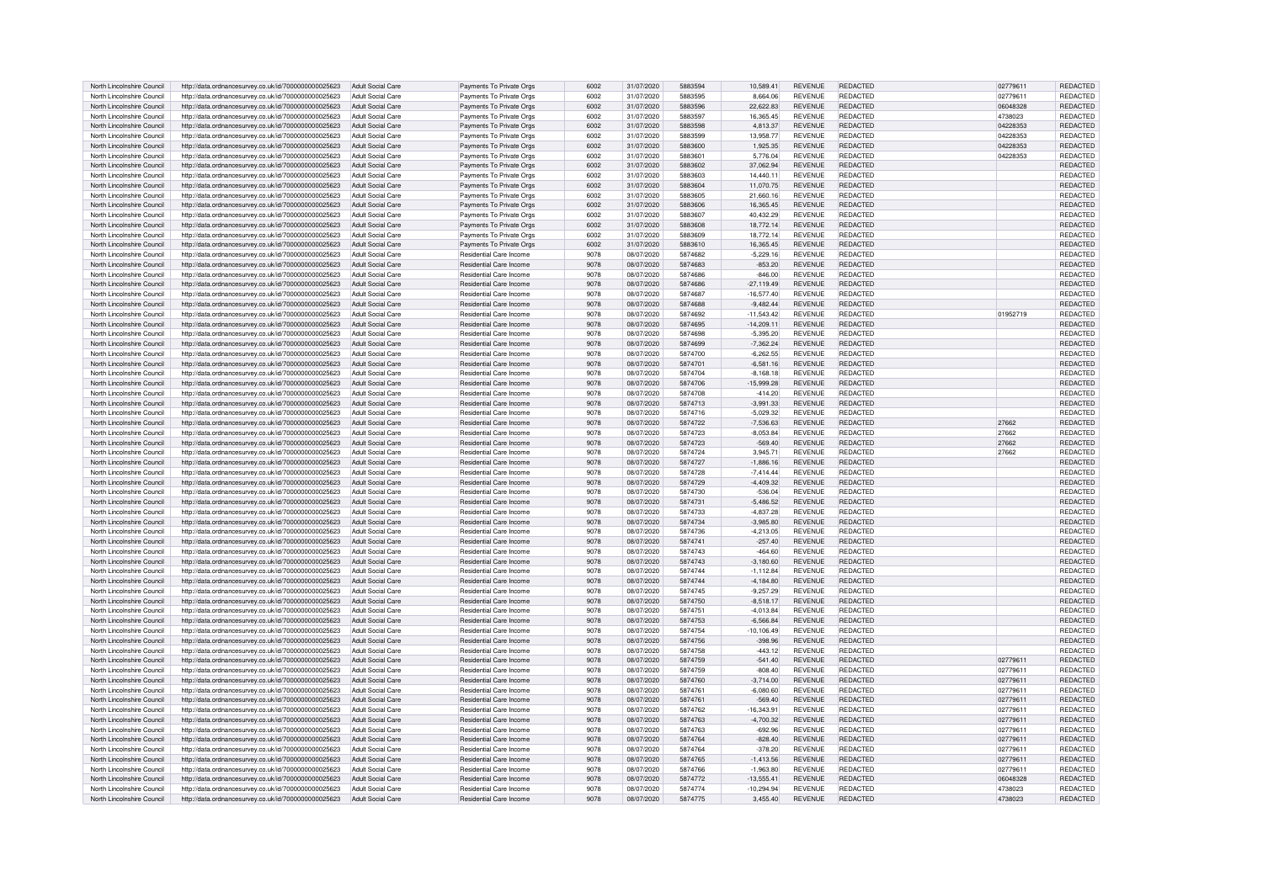| North Lincolnshire Council | http://data.ordnancesurvey.co.uk/id/7000000000025623 | Adult Social Care        | Payments To Private Orgs       | 6002 | 31/07/2020               | 5883594 | 10.589.41     | <b>REVENUE</b> | <b>REDACTED</b> | 0277961  | REDACTED        |
|----------------------------|------------------------------------------------------|--------------------------|--------------------------------|------|--------------------------|---------|---------------|----------------|-----------------|----------|-----------------|
| North Lincolnshire Council | http://data.ordnancesurvey.co.uk/id/7000000000025623 | Adult Social Care        | Payments To Private Orgs       | 6002 | 31/07/2020               | 5883595 | 8.664.06      | <b>REVENUE</b> | REDACTED        | 0277961  | REDACTED        |
| North Lincolnshire Council | http://data.ordnancesurvey.co.uk/id/7000000000025623 | Adult Social Care        | Payments To Private Orgs       | 6002 | 31/07/2020               | 5883596 | 22,622.83     | <b>REVENUE</b> | <b>REDACTED</b> | 06048328 | REDACTED        |
| North Lincolnshire Council | http://data.ordnancesurvey.co.uk/id/7000000000025623 | Adult Social Care        | Payments To Private Orgs       | 6002 | 31/07/2020               | 5883597 | 16.365.45     | <b>REVENUE</b> | <b>REDACTED</b> | 4738023  | <b>REDACTED</b> |
|                            |                                                      |                          |                                |      |                          | 5883598 |               |                |                 |          |                 |
| North Lincolnshire Council | http://data.ordnancesurvey.co.uk/id/7000000000025623 | Adult Social Care        | Payments To Private Orgs       | 6002 | 31/07/2020               | 5883599 | 4,813.37      | <b>REVENUE</b> | REDACTED        | 04228353 | REDACTED        |
| North Lincolnshire Council | http://data.ordnancesurvey.co.uk/id/7000000000025623 | Adult Social Care        | Payments To Private Orgs       | 6002 | 31/07/2020               |         | 13,958.77     | <b>REVENUE</b> | REDACTED        | 04228353 | REDACTED        |
| North Lincolnshire Council | http://data.ordnancesurvey.co.uk/id/7000000000025623 | Adult Social Care        | Payments To Private Oras       | 6002 | 31/07/2020               | 5883600 | 1.925.35      | <b>REVENUE</b> | <b>REDACTED</b> | 04228353 | REDACTED        |
| North Lincolnshire Council | http://data.ordnancesurvey.co.uk/id/7000000000025623 | Adult Social Care        | Payments To Private Orgs       | 6002 | 31/07/2020               | 5883601 | 5,776.04      | <b>REVENUE</b> | REDACTED        | 04228353 | REDACTED        |
| North Lincolnshire Council | http://data.ordnancesurvey.co.uk/id/7000000000025623 | Adult Social Care        | Payments To Private Orgs       | 6002 | 31/07/2020               | 5883602 | 37.062.94     | <b>REVENUE</b> | <b>REDACTED</b> |          | REDACTED        |
| North Lincolnshire Council | http://data.ordnancesurvey.co.uk/id/7000000000025623 | Adult Social Care        | Payments To Private Orgs       | 6002 | 31/07/2020               | 5883603 | 14.440.11     | <b>REVENUE</b> | REDACTED        |          | <b>REDACTED</b> |
| North Lincolnshire Council | http://data.ordnancesurvey.co.uk/id/7000000000025623 | Adult Social Care        | Payments To Private Orgs       | 6002 | 31/07/2020               | 5883604 | 11,070.75     | <b>REVENUE</b> | <b>REDACTED</b> |          | REDACTED        |
| North Lincolnshire Council | http://data.ordnancesurvey.co.uk/id/7000000000025623 | Adult Social Care        | Payments To Private Orgs       | 6002 | 31/07/2020               | 5883605 | 21,660.16     | <b>REVENUE</b> | <b>REDACTED</b> |          | REDACTED        |
| North Lincolnshire Council | http://data.ordnancesurvey.co.uk/id/7000000000025623 | Adult Social Care        | Payments To Private Orgs       | 6002 | 31/07/2020               | 5883606 | 16.365.45     | <b>REVENUE</b> | <b>REDACTED</b> |          | <b>REDACTED</b> |
| North Lincolnshire Council | http://data.ordnancesurvey.co.uk/id/7000000000025623 | Adult Social Care        | Payments To Private Orgs       | 6002 | 31/07/2020               | 5883607 | 40.432.29     | <b>REVENUE</b> | <b>REDACTED</b> |          | <b>REDACTED</b> |
| North Lincolnshire Council | http://data.ordnancesurvey.co.uk/id/7000000000025623 | Adult Social Care        | Payments To Private Orgs       | 6002 | 31/07/2020               | 5883608 | 18.772.14     | <b>REVENUE</b> | <b>REDACTED</b> |          | <b>REDACTED</b> |
| North Lincolnshire Council | http://data.ordnancesurvey.co.uk/id/7000000000025623 | Adult Social Care        | Payments To Private Orgs       | 6002 | 31/07/2020               | 5883609 | 18.772.14     | <b>REVENUE</b> | <b>REDACTED</b> |          | <b>REDACTED</b> |
| North Lincolnshire Council | http://data.ordnancesurvey.co.uk/id/7000000000025623 | Adult Social Care        | Payments To Private Orgs       | 6002 | 31/07/2020               | 5883610 | 16,365.45     | <b>REVENUE</b> | <b>REDACTED</b> |          | REDACTED        |
|                            |                                                      |                          |                                |      |                          |         |               |                |                 |          |                 |
| North Lincolnshire Council | http://data.ordnancesurvey.co.uk/id/7000000000025623 | Adult Social Care        | Residential Care Income        | 9078 | 08/07/2020               | 5874682 | $-5.229.16$   | <b>REVENUE</b> | REDACTED        |          | REDACTED        |
| North Lincolnshire Council | http://data.ordnancesurvey.co.uk/id/7000000000025623 | Adult Social Care        | Residential Care Income        | 9078 | 08/07/2020               | 5874683 | $-853.20$     | <b>REVENUE</b> | REDACTED        |          | REDACTED        |
| North Lincolnshire Council | http://data.ordnancesurvey.co.uk/id/7000000000025623 | Adult Social Care        | Residential Care Income        | 9078 | 08/07/2020               | 5874686 | $-846.00$     | <b>REVENUE</b> | <b>REDACTED</b> |          | <b>REDACTED</b> |
| North Lincolnshire Council | http://data.ordnancesurvey.co.uk/id/7000000000025623 | Adult Social Care        | Residential Care Income        | 9078 | 08/07/2020               | 5874686 | $-27.119.49$  | <b>REVENUE</b> | <b>REDACTED</b> |          | REDACTED        |
| North Lincolnshire Council | http://data.ordnancesurvey.co.uk/id/7000000000025623 | Adult Social Care        | <b>Residential Care Income</b> | 9078 | 08/07/2020               | 5874687 | $-16.577.40$  | <b>REVENUE</b> | <b>REDACTED</b> |          | <b>REDACTED</b> |
| North Lincolnshire Council | http://data.ordnancesurvey.co.uk/id/7000000000025623 | <b>Adult Social Care</b> | Residential Care Income        | 9078 | 08/07/2020               | 5874688 | $-9,482.44$   | <b>REVENUE</b> | <b>REDACTED</b> |          | <b>REDACTED</b> |
| North Lincolnshire Council | http://data.ordnancesurvey.co.uk/id/7000000000025623 | Adult Social Care        | <b>Residential Care Income</b> | 9078 | 08/07/2020               | 5874692 | $-11,543.42$  | <b>REVENUE</b> | <b>REDACTED</b> | 01952719 | <b>REDACTED</b> |
| North Lincolnshire Council | http://data.ordnancesurvey.co.uk/id/7000000000025623 | Adult Social Care        | Residential Care Income        | 9078 | 08/07/2020               | 5874695 | $-14,209.11$  | <b>REVENUE</b> | REDACTED        |          | REDACTED        |
| North Lincolnshire Council | http://data.ordnancesurvey.co.uk/id/7000000000025623 | Adult Social Care        | <b>Besidential Care Income</b> | 9078 | 08/07/2020               | 5874698 | $-5,395.20$   | <b>REVENUE</b> | <b>REDACTED</b> |          | <b>REDACTED</b> |
| North Lincolnshire Council | http://data.ordnancesurvey.co.uk/id/7000000000025623 | Adult Social Care        | <b>Besidential Care Income</b> | 9078 | 08/07/2020               | 5874699 | $-7.362.24$   | <b>REVENUE</b> | <b>REDACTED</b> |          | <b>REDACTED</b> |
| North Lincolnshire Council | http://data.ordnancesurvey.co.uk/id/7000000000025623 | Adult Social Care        | Residential Care Income        | 9078 | 08/07/2020               | 5874700 | $-6,262.55$   | <b>REVENUE</b> | REDACTED        |          | REDACTED        |
| North Lincolnshire Council | http://data.ordnancesurvey.co.uk/id/7000000000025623 | Adult Social Care        | Residential Care Income        | 9078 | 08/07/2020               | 5874701 | $-6,581.16$   | <b>REVENUE</b> | REDACTED        |          | REDACTED        |
| North Lincolnshire Council | http://data.ordnancesurvey.co.uk/id/7000000000025623 | Adult Social Care        | <b>Besidential Care Income</b> | 9078 | 08/07/2020               | 5874704 | $-8.168.18$   | <b>REVENUE</b> | <b>REDACTED</b> |          | <b>REDACTED</b> |
| North Lincolnshire Council |                                                      | Adult Social Care        | <b>Besidential Care Income</b> | 9078 |                          | 5874706 | $-15.999.28$  | <b>REVENUE</b> | <b>REDACTED</b> |          | <b>REDACTED</b> |
| North Lincolnshire Council | http://data.ordnancesurvey.co.uk/id/7000000000025623 | Adult Social Care        | Residential Care Income        | 9078 | 08/07/2020<br>08/07/2020 | 5874708 | $-414.20$     | <b>REVENUE</b> | <b>REDACTED</b> |          | REDACTED        |
|                            | http://data.ordnancesurvey.co.uk/id/7000000000025623 |                          |                                |      |                          |         |               |                |                 |          |                 |
| North Lincolnshire Council | http://data.ordnancesurvey.co.uk/id/7000000000025623 | Adult Social Care        | Residential Care Income        | 9078 | 08/07/2020               | 5874713 | $-3.991.33$   | <b>REVENUE</b> | <b>REDACTED</b> |          | <b>REDACTED</b> |
| North Lincolnshire Council | http://data.ordnancesurvey.co.uk/id/7000000000025623 | Adult Social Care        | <b>Residential Care Income</b> | 9078 | 08/07/2020               | 5874716 | $-5.029.32$   | <b>REVENUE</b> | <b>REDACTED</b> |          | REDACTED        |
| North Lincolnshire Council | http://data.ordnancesurvey.co.uk/id/7000000000025623 | <b>Adult Social Care</b> | Residential Care Income        | 9078 | 08/07/2020               | 5874722 | $-7,536.63$   | <b>REVENUE</b> | <b>REDACTED</b> | 27662    | REDACTED        |
| North Lincolnshire Council | http://data.ordnancesurvey.co.uk/id/7000000000025623 | Adult Social Care        | Residential Care Income        | 9078 | 08/07/2020               | 5874723 | $-8,053.84$   | <b>REVENUE</b> | REDACTED        | 27662    | REDACTED        |
| North Lincolnshire Council | http://data.ordnancesurvey.co.uk/id/7000000000025623 | Adult Social Care        | Residential Care Income        | 9078 | 08/07/2020               | 5874723 | $-569.40$     | <b>REVENUE</b> | REDACTED        | 27662    | REDACTED        |
| North Lincolnshire Council | http://data.ordnancesurvey.co.uk/id/7000000000025623 | Adult Social Care        | Residential Care Income        | 9078 | 08/07/2020               | 5874724 | 3.945.71      | <b>REVENUE</b> | <b>REDACTED</b> | 27662    | <b>REDACTED</b> |
| North Lincolnshire Council | http://data.ordnancesurvey.co.uk/id/7000000000025623 | Adult Social Care        | <b>Residential Care Income</b> | 9078 | 08/07/2020               | 5874727 | $-1.886.16$   | <b>REVENUE</b> | <b>REDACTED</b> |          | <b>REDACTED</b> |
| North Lincolnshire Council | http://data.ordnancesurvey.co.uk/id/7000000000025623 | Adult Social Care        | Residential Care Income        | 9078 | 08/07/2020               | 5874728 | $-7,414.44$   | <b>REVENUE</b> | REDACTED        |          | REDACTED        |
| North Lincolnshire Council | http://data.ordnancesurvey.co.uk/id/7000000000025623 | Adult Social Care        | <b>Besidential Care Income</b> | 9078 | 08/07/2020               | 5874729 | $-4.409.32$   | <b>REVENUE</b> | REDACTED        |          | <b>REDACTED</b> |
| North Lincolnshire Council | http://data.ordnancesurvey.co.uk/id/7000000000025623 | Adult Social Care        | <b>Besidential Care Income</b> | 9078 | 08/07/2020               | 5874730 | $-536.04$     | <b>REVENUE</b> | REDACTED        |          | <b>REDACTED</b> |
| North Lincolnshire Council | http://data.ordnancesurvey.co.uk/id/7000000000025623 | Adult Social Care        | <b>Besidential Care Income</b> | 9078 | 08/07/2020               | 5874731 | $-5.486.52$   | <b>REVENUE</b> | <b>REDACTED</b> |          | <b>REDACTED</b> |
| North Lincolnshire Council | http://data.ordnancesurvey.co.uk/id/7000000000025623 | Adult Social Care        | Residential Care Income        | 9078 | 08/07/2020               | 5874733 | $-4.837.28$   | <b>REVENUE</b> | <b>REDACTED</b> |          | <b>REDACTED</b> |
| North Lincolnshire Council | http://data.ordnancesurvey.co.uk/id/7000000000025623 | Adult Social Care        | Residential Care Income        | 9078 | 08/07/2020               | 5874734 | $-3.985.80$   | <b>REVENUE</b> | <b>REDACTED</b> |          | <b>REDACTED</b> |
| North Lincolnshire Council | http://data.ordnancesurvey.co.uk/id/7000000000025623 | Adult Social Care        | Residential Care Income        | 9078 | 08/07/2020               | 5874736 | $-4,213.05$   | <b>REVENUE</b> | <b>REDACTED</b> |          | REDACTED        |
| North Lincolnshire Council | http://data.ordnancesurvey.co.uk/id/7000000000025623 | <b>Adult Social Care</b> | Residential Care Income        | 9078 | 08/07/2020               | 5874741 | $-257.40$     | <b>REVENUE</b> | REDACTED        |          | REDACTED        |
| North Lincolnshire Council | http://data.ordnancesurvey.co.uk/id/7000000000025623 | Adult Social Care        | Residential Care Income        | 9078 | 08/07/2020               | 5874743 | $-464.60$     | <b>REVENUE</b> | REDACTED        |          | REDACTED        |
| North Lincolnshire Council | http://data.ordnancesurvey.co.uk/id/7000000000025623 | Adult Social Care        | Residential Care Income        | 9078 | 08/07/2020               | 5874743 | $-3.180.60$   | <b>REVENUE</b> | <b>REDACTED</b> |          | <b>REDACTED</b> |
| North Lincolnshire Council | http://data.ordnancesurvey.co.uk/id/7000000000025623 | Adult Social Care        | Residential Care Income        | 9078 | 08/07/2020               | 5874744 | $-1, 112.84$  | <b>REVENUE</b> | <b>REDACTED</b> |          | <b>REDACTED</b> |
|                            |                                                      |                          |                                |      |                          |         |               |                |                 |          |                 |
| North Lincolnshire Council | http://data.ordnancesurvey.co.uk/id/7000000000025623 | Adult Social Care        | <b>Besidential Care Income</b> | 9078 | 08/07/2020               | 5874744 | $-4.184.80$   | <b>REVENUE</b> | <b>REDACTED</b> |          | REDACTED        |
| North Lincolnshire Council | http://data.ordnancesurvey.co.uk/id/7000000000025623 | Adult Social Care        | Residential Care Income        | 9078 | 08/07/2020               | 5874745 | $-9,257.29$   | <b>REVENUE</b> | REDACTED        |          | REDACTED        |
| North Lincolnshire Council | http://data.ordnancesurvey.co.uk/id/7000000000025623 | Adult Social Care        | <b>Besidential Care Income</b> | 9078 | 08/07/2020               | 5874750 | $-8.518.17$   | <b>REVENUE</b> | <b>REDACTED</b> |          | <b>REDACTED</b> |
| North Lincolnshire Council | http://data.ordnancesurvey.co.uk/id/7000000000025623 | Adult Social Care        | <b>Besidential Care Income</b> | 9078 | 08/07/2020               | 5874751 | $-4.013.84$   | <b>REVENUE</b> | <b>REDACTED</b> |          | <b>REDACTED</b> |
| North Lincolnshire Council | http://data.ordnancesurvey.co.uk/id/7000000000025623 | Adult Social Care        | Residential Care Income        | 9078 | 08/07/2020               | 5874753 | $-6.566.84$   | <b>REVENUE</b> | <b>REDACTED</b> |          | <b>REDACTED</b> |
| North Lincolnshire Council | http://data.ordnancesurvey.co.uk/id/7000000000025623 | Adult Social Care        | Residential Care Income        | 9078 | 08/07/2020               | 5874754 | $-10, 106.49$ | <b>REVENUE</b> | REDACTED        |          | <b>REDACTED</b> |
| North Lincolnshire Council | http://data.ordnancesurvey.co.uk/id/7000000000025623 | Adult Social Care        | Residential Care Income        | 9078 | 08/07/2020               | 5874756 | $-398.96$     | <b>REVENUE</b> | <b>REDACTED</b> |          | <b>REDACTED</b> |
| North Lincolnshire Council | http://data.ordnancesurvey.co.uk/id/7000000000025623 | Adult Social Care        | Residential Care Income        | 9078 | 08/07/2020               | 5874758 | $-443.12$     | <b>REVENUE</b> | REDACTED        |          | REDACTED        |
| North Lincolnshire Council | http://data.ordnancesurvey.co.uk/id/7000000000025623 | Adult Social Care        | Residential Care Income        | 9078 | 08/07/2020               | 5874759 | $-541.40$     | <b>REVENUE</b> | <b>REDACTED</b> | 02779611 | REDACTED        |
| North Lincolnshire Council | http://data.ordnancesurvey.co.uk/id/7000000000025623 | Adult Social Care        | Residential Care Income        | 9078 | 08/07/2020               | 5874759 | $-808.40$     | <b>REVENUE</b> | REDACTED        | 0277961  | <b>REDACTED</b> |
| North Lincolnshire Council | http://data.ordnancesurvey.co.uk/id/7000000000025623 | Adult Social Care        | Residential Care Income        | 9078 | 08/07/2020               | 5874760 | $-3,714.00$   | <b>REVENUE</b> | <b>REDACTED</b> | 02779611 | REDACTED        |
| North Lincolnshire Council | http://data.ordnancesurvey.co.uk/id/7000000000025623 | Adult Social Care        | <b>Besidential Care Income</b> | 9078 | 08/07/2020               | 5874761 | 08.080.60     | <b>REVENUE</b> | <b>REDACTED</b> | 0277961  | <b>REDACTED</b> |
| North Lincolnshire Council | http://data.ordnancesurvey.co.uk/id/7000000000025623 | Adult Social Care        | Residential Care Income        | 9078 | 08/07/2020               | 5874761 | $-569.40$     | <b>REVENUE</b> | <b>REDACTED</b> | 02779611 | REDACTED        |
| North Lincolnshire Council | http://data.ordnancesurvey.co.uk/id/7000000000025623 | Adult Social Care        | Residential Care Income        | 9078 | 08/07/2020               | 5874762 | $-16,343.91$  | <b>REVENUE</b> | REDACTED        | 0277961  | REDACTED        |
| North Lincolnshire Council | http://data.ordnancesurvey.co.uk/id/7000000000025623 | Adult Social Care        | <b>Besidential Care Income</b> | 9078 | 08/07/2020               | 5874763 | $-4.700.32$   | <b>REVENUE</b> | <b>REDACTED</b> | 02779611 | REDACTED        |
| North Lincolnshire Council | http://data.ordnancesurvey.co.uk/id/7000000000025623 | Adult Social Care        | <b>Besidential Care Income</b> | 9078 | 08/07/2020               | 5874763 | $-692.96$     | <b>REVENUE</b> | <b>REDACTED</b> | 02779611 | REDACTED        |
| North Lincolnshire Council | http://data.ordnancesurvey.co.uk/id/7000000000025623 | Adult Social Care        | <b>Besidential Care Income</b> | 9078 | 08/07/2020               | 5874764 | $-828.40$     | <b>REVENUE</b> | <b>REDACTED</b> | 02779611 | REDACTED        |
| North Lincolnshire Council | http://data.ordnancesurvey.co.uk/id/7000000000025623 | Adult Social Care        | Residential Care Income        | 9078 | 08/07/2020               | 5874764 | $-378.20$     | <b>REVENUE</b> | REDACTED        | 02779611 | REDACTED        |
| North Lincolnshire Council | http://data.ordnancesurvey.co.uk/id/7000000000025623 | Adult Social Care        | Residential Care Income        | 9078 | 08/07/2020               | 5874765 | $-1.413.56$   | <b>REVENUE</b> | <b>REDACTED</b> | 02779611 | REDACTED        |
| North Lincolnshire Council | http://data.ordnancesurvey.co.uk/id/7000000000025623 | Adult Social Care        | Residential Care Income        | 9078 | 08/07/2020               | 5874766 | $-1,963.80$   | <b>REVENUE</b> | REDACTED        | 02779611 | REDACTED        |
| North Lincolnshire Council |                                                      | Adult Social Care        | <b>Besidential Care Income</b> | 9078 | 08/07/2020               | 5874772 | $-13.555.41$  | <b>REVENUE</b> | <b>REDACTED</b> | 06048328 |                 |
|                            | http://data.ordnancesurvey.co.uk/id/7000000000025623 |                          |                                |      |                          |         |               |                |                 |          | REDACTED        |
| North Lincolnshire Council | http://data.ordnancesurvey.co.uk/id/7000000000025623 | Adult Social Care        | Residential Care Income        | 9078 | 08/07/2020               | 5874774 | $-10.294.94$  | <b>REVENUE</b> | REDACTED        | 4738023  | REDACTED        |
| North Lincolnshire Council | http://data.ordnancesurvey.co.uk/id/7000000000025623 | Adult Social Care        | <b>Residential Care Income</b> | 9078 | 08/07/2020               | 5874775 | 3,455.40      | <b>REVENUE</b> | <b>REDACTED</b> | 4738023  | REDACTED        |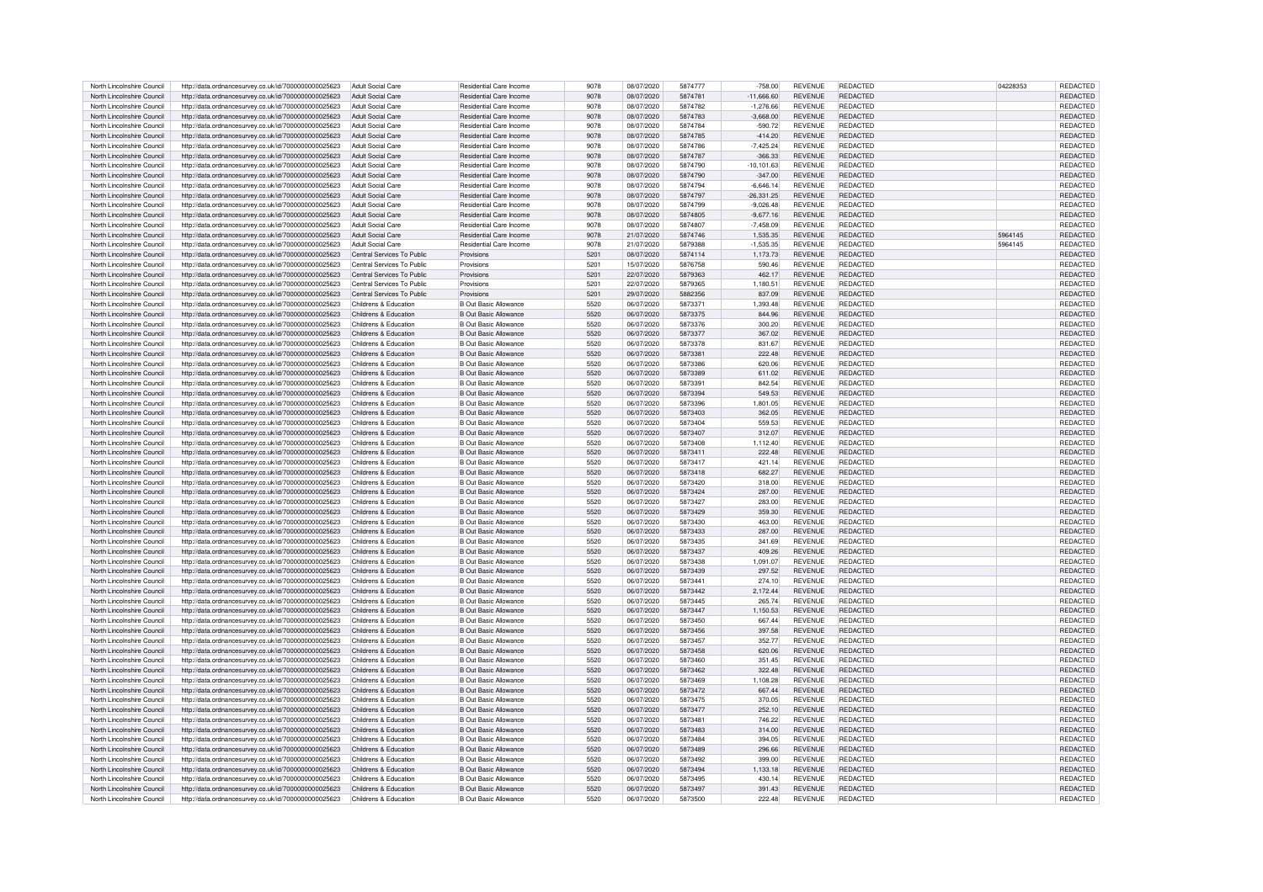|                            |                                                      | Adult Social Care          | Residential Care Income        | 9078 |            | 5874777 |              | <b>REVENUE</b> |                 |          |                 |
|----------------------------|------------------------------------------------------|----------------------------|--------------------------------|------|------------|---------|--------------|----------------|-----------------|----------|-----------------|
| North Lincolnshire Council | http://data.ordnancesurvey.co.uk/id/7000000000025623 |                            |                                |      | 08/07/2020 |         | $-758.00$    |                | <b>REDACTED</b> | 04228353 | REDACTED        |
| North Lincolnshire Council | http://data.ordnancesurvev.co.uk/id/7000000000025623 | Adult Social Care          | Residential Care Income        | 9078 | 08/07/2020 | 5874781 | $-11,666.60$ | <b>REVENUE</b> | <b>REDACTED</b> |          | REDACTED        |
| North Lincolnshire Council | http://data.ordnancesurvey.co.uk/id/7000000000025623 | Adult Social Care          | Residential Care Income        | 9078 | 08/07/2020 | 5874782 | $-1,276.66$  | <b>REVENUE</b> | <b>REDACTED</b> |          | REDACTED        |
| North Lincolnshire Council | http://data.ordnancesurvey.co.uk/id/7000000000025623 | Adult Social Care          | Residential Care Income        | 9078 | 08/07/2020 | 5874783 | $-3,668.00$  | <b>REVENUE</b> | <b>REDACTED</b> |          | <b>REDACTED</b> |
|                            |                                                      |                            |                                |      |            |         |              |                |                 |          |                 |
| North Lincolnshire Council | http://data.ordnancesurvey.co.uk/id/7000000000025623 | <b>Adult Social Care</b>   | Residential Care Income        | 9078 | 08/07/2020 | 5874784 | $-590.72$    | <b>REVENUE</b> | <b>REDACTED</b> |          | REDACTED        |
| North Lincolnshire Council | http://data.ordnancesurvey.co.uk/id/7000000000025623 | Adult Social Care          | Residential Care Income        | 9078 | 08/07/2020 | 5874785 | $-414.20$    | <b>REVENUE</b> | <b>REDACTED</b> |          | REDACTED        |
| North Lincolnshire Council | http://data.ordnancesurvey.co.uk/id/7000000000025623 | Adult Social Care          | <b>Residential Care Income</b> | 9078 | 08/07/2020 | 5874786 | $-7,425.24$  | <b>REVENUE</b> | <b>REDACTED</b> |          | <b>REDACTED</b> |
|                            |                                                      |                            |                                |      |            |         |              |                |                 |          |                 |
| North Lincolnshire Council | http://data.ordnancesurvey.co.uk/id/7000000000025623 | Adult Social Care          | <b>Besidential Care Income</b> | 9078 | 08/07/2020 | 5874787 | $-366.33$    | <b>REVENUE</b> | <b>REDACTED</b> |          | <b>REDACTED</b> |
| North Lincolnshire Council | http://data.ordnancesurvey.co.uk/id/7000000000025623 | Adult Social Care          | <b>Residential Care Income</b> | 9078 | 08/07/2020 | 5874790 | $-10.101.63$ | <b>REVENUE</b> | <b>REDACTED</b> |          | <b>REDACTED</b> |
| North Lincolnshire Council | http://data.ordnancesurvey.co.uk/id/7000000000025623 | <b>Adult Social Care</b>   | Residential Care Income        | 9078 | 08/07/2020 | 5874790 | $-347.00$    | <b>REVENUE</b> | <b>REDACTED</b> |          | REDACTED        |
| North Lincolnshire Council |                                                      |                            | Residential Care Income        | 9078 |            | 5874794 | $-6,646.14$  | <b>REVENUE</b> | REDACTED        |          |                 |
|                            | http://data.ordnancesurvey.co.uk/id/7000000000025623 | Adult Social Care          |                                |      | 08/07/2020 |         |              |                |                 |          | REDACTED        |
| North Lincolnshire Council | http://data.ordnancesurvey.co.uk/id/7000000000025623 | Adult Social Care          | <b>Besidential Care Income</b> | 9078 | 08/07/2020 | 5874797 | $-26,331.25$ | REVENUE        | <b>REDACTED</b> |          | REDACTED        |
| North Lincolnshire Council | http://data.ordnancesurvey.co.uk/id/7000000000025623 | <b>Adult Social Care</b>   | Residential Care Income        | 9078 | 08/07/2020 | 5874799 | $-9.026.48$  | <b>REVENUE</b> | <b>REDACTED</b> |          | <b>REDACTED</b> |
| North Lincolnshire Council | http://data.ordnancesurvey.co.uk/id/7000000000025623 | <b>Adult Social Care</b>   | Residential Care Income        | 9078 | 08/07/2020 | 5874805 | $-9.677.16$  | <b>REVENUE</b> | <b>REDACTED</b> |          | REDACTED        |
|                            |                                                      |                            |                                |      |            |         |              |                |                 |          |                 |
| North Lincolnshire Council | http://data.ordnancesurvey.co.uk/id/7000000000025623 | Adult Social Care          | <b>Besidential Care Income</b> | 9078 | 08/07/2020 | 5874807 | $-7.458.09$  | <b>REVENUE</b> | <b>REDACTED</b> |          | <b>REDACTED</b> |
| North Lincolnshire Council | http://data.ordnancesurvey.co.uk/id/7000000000025623 | Adult Social Care          | <b>Besidential Care Income</b> | 9078 | 21/07/2020 | 5874746 | 1.535.35     | <b>REVENUE</b> | <b>REDACTED</b> | 5964145  | <b>REDACTED</b> |
| North Lincolnshire Council | http://data.ordnancesurvey.co.uk/id/7000000000025623 | <b>Adult Social Care</b>   | Residential Care Income        | 9078 | 21/07/2020 | 5879388 | $-1,535.35$  | <b>REVENUE</b> | <b>REDACTED</b> | 5964145  | REDACTED        |
| North Lincolnshire Council | http://data.ordnancesurvey.co.uk/id/7000000000025623 | Central Services To Public | Provisions                     | 5201 | 08/07/2020 | 5874114 | 1.173.73     | <b>REVENUE</b> | <b>REDACTED</b> |          | REDACTED        |
|                            |                                                      |                            |                                |      |            |         |              |                |                 |          |                 |
| North Lincolnshire Council | http://data.ordnancesurvey.co.uk/id/7000000000025623 | Central Services To Public | Provisions                     | 520' | 15/07/2020 | 5876758 | 590.46       | <b>REVENUE</b> | REDACTED        |          | REDACTED        |
| North Lincolnshire Council | http://data.ordnancesurvey.co.uk/id/7000000000025623 | Central Services To Public | Provisions                     | 5201 | 22/07/2020 | 5879363 | 462.17       | <b>REVENUE</b> | <b>REDACTED</b> |          | REDACTED        |
| North Lincolnshire Council | http://data.ordnancesurvey.co.uk/id/7000000000025623 | Central Services To Public | Provisions                     | 5201 | 22/07/2020 | 5879365 | 1.180.51     | <b>REVENUE</b> | <b>REDACTED</b> |          | REDACTED        |
|                            |                                                      |                            |                                |      |            |         |              |                |                 |          |                 |
| North Lincolnshire Council | http://data.ordnancesurvey.co.uk/id/7000000000025623 | Central Services To Public | Provisions                     | 5201 | 29/07/2020 | 5882356 | 837.09       | <b>REVENUE</b> | <b>REDACTED</b> |          | REDACTED        |
| North Lincolnshire Council | http://data.ordnancesurvey.co.uk/id/7000000000025623 | Childrens & Education      | <b>B Out Basic Allowance</b>   | 5520 | 06/07/2020 | 5873371 | 1,393.48     | <b>REVENUE</b> | <b>REDACTED</b> |          | REDACTED        |
| North Lincolnshire Council | http://data.ordnancesurvey.co.uk/id/7000000000025623 | Childrens & Education      | <b>B Out Basic Allowance</b>   | 5520 | 06/07/2020 | 5873375 | 844.96       | REVENUE        | <b>REDACTED</b> |          | REDACTED        |
| North Lincolnshire Council | http://data.ordnancesurvey.co.uk/id/7000000000025623 | Childrens & Education      | <b>B Out Basic Allowance</b>   | 5520 | 06/07/2020 | 5873376 | 300.20       | <b>REVENUE</b> | <b>REDACTED</b> |          | REDACTED        |
|                            |                                                      |                            |                                |      |            |         |              |                |                 |          |                 |
| North Lincolnshire Council | http://data.ordnancesurvey.co.uk/id/7000000000025623 | Childrens & Education      | <b>B Out Basic Allowance</b>   | 5520 | 06/07/2020 | 5873377 | 367.02       | <b>REVENUE</b> | <b>REDACTED</b> |          | REDACTED        |
| North Lincolnshire Council | http://data.ordnancesurvey.co.uk/id/7000000000025623 | Childrens & Education      | <b>B Out Basic Allowance</b>   | 5520 | 06/07/2020 | 5873378 | 831.67       | <b>REVENUE</b> | <b>REDACTED</b> |          | REDACTED        |
| North Lincolnshire Council | http://data.ordnancesurvey.co.uk/id/7000000000025623 | Childrens & Education      | <b>B Out Basic Allowance</b>   | 5520 | 06/07/2020 | 5873381 | 222.48       | <b>REVENUE</b> | <b>REDACTED</b> |          | REDACTED        |
|                            |                                                      |                            |                                |      |            |         |              |                |                 |          |                 |
| North Lincolnshire Council | http://data.ordnancesurvey.co.uk/id/7000000000025623 | Childrens & Education      | <b>B Out Basic Allowance</b>   | 5520 | 06/07/2020 | 5873386 | 620.06       | <b>REVENUE</b> | <b>REDACTED</b> |          | REDACTED        |
| North Lincolnshire Council | http://data.ordnancesurvey.co.uk/id/7000000000025623 | Childrens & Education      | <b>B Out Basic Allowance</b>   | 5520 | 06/07/2020 | 5873389 | 611.02       | <b>REVENUE</b> | <b>REDACTED</b> |          | REDACTED        |
| North Lincolnshire Council | http://data.ordnancesurvey.co.uk/id/7000000000025623 | Childrens & Education      | <b>B Out Basic Allowance</b>   | 5520 | 06/07/2020 | 5873391 | 842.54       | <b>REVENUE</b> | <b>REDACTED</b> |          | REDACTED        |
| North Lincolnshire Council |                                                      | Childrens & Education      | <b>B Out Basic Allowance</b>   | 5520 | 06/07/2020 | 5873394 | 549.53       | <b>REVENUE</b> | REDACTED        |          | REDACTED        |
|                            | http://data.ordnancesurvey.co.uk/id/7000000000025623 |                            |                                |      |            |         |              |                |                 |          |                 |
| North Lincolnshire Council | http://data.ordnancesurvey.co.uk/id/7000000000025623 | Childrens & Education      | <b>B Out Basic Allowance</b>   | 5520 | 06/07/2020 | 5873396 | 1,801.05     | <b>REVENUE</b> | <b>REDACTED</b> |          | REDACTED        |
| North Lincolnshire Council | http://data.ordnancesurvey.co.uk/id/7000000000025623 | Childrens & Education      | <b>B Out Basic Allowance</b>   | 5520 | 06/07/2020 | 5873403 | 362.05       | <b>REVENUE</b> | REDACTED        |          | REDACTED        |
| North Lincolnshire Council | http://data.ordnancesurvey.co.uk/id/7000000000025623 | Childrens & Education      | <b>B Out Basic Allowance</b>   | 5520 | 06/07/2020 | 5873404 | 559.53       | <b>REVENUE</b> | <b>REDACTED</b> |          | REDACTED        |
|                            |                                                      |                            |                                |      |            |         |              |                |                 |          |                 |
| North Lincolnshire Council | http://data.ordnancesurvey.co.uk/id/7000000000025623 | Childrens & Education      | <b>B Out Basic Allowance</b>   | 5520 | 06/07/2020 | 5873407 | 312.07       | <b>REVENUE</b> | <b>REDACTED</b> |          | REDACTED        |
| North Lincolnshire Council | http://data.ordnancesurvey.co.uk/id/7000000000025623 | Childrens & Education      | <b>B Out Basic Allowance</b>   | 5520 | 06/07/2020 | 5873408 | 1.112.40     | <b>REVENUE</b> | <b>REDACTED</b> |          | REDACTED        |
| North Lincolnshire Council | http://data.ordnancesurvey.co.uk/id/7000000000025623 | Childrens & Education      | <b>B Out Basic Allowance</b>   | 5520 | 06/07/2020 | 5873411 | 222.48       | <b>REVENUE</b> | <b>REDACTED</b> |          | REDACTED        |
| North Lincolnshire Council | http://data.ordnancesurvey.co.uk/id/7000000000025623 | Childrens & Education      | <b>B Out Basic Allowance</b>   | 5520 | 06/07/2020 | 5873417 | 421.14       | <b>REVENUE</b> | <b>REDACTED</b> |          | REDACTED        |
|                            |                                                      |                            |                                |      |            |         |              |                |                 |          |                 |
| North Lincolnshire Council | http://data.ordnancesurvey.co.uk/id/7000000000025623 | Childrens & Education      | <b>B Out Basic Allowance</b>   | 5520 | 06/07/2020 | 5873418 | 682.27       | <b>REVENUE</b> | <b>REDACTED</b> |          | REDACTED        |
| North Lincolnshire Council | http://data.ordnancesurvey.co.uk/id/7000000000025623 | Childrens & Education      | B Out Basic Allowance          | 5520 | 06/07/2020 | 5873420 | 318.00       | <b>REVENUE</b> | <b>REDACTED</b> |          | REDACTED        |
| North Lincolnshire Council | http://data.ordnancesurvey.co.uk/id/7000000000025623 | Childrens & Education      | B Out Basic Allowance          | 5520 | 06/07/2020 | 5873424 | 287.00       | <b>REVENUE</b> | <b>REDACTED</b> |          | REDACTED        |
| North Lincolnshire Council | http://data.ordnancesurvey.co.uk/id/7000000000025623 | Childrens & Education      | B Out Basic Allowance          | 5520 | 06/07/2020 | 5873427 | 283.00       | <b>REVENUE</b> | <b>REDACTED</b> |          | <b>REDACTED</b> |
|                            |                                                      |                            |                                |      |            |         |              |                |                 |          |                 |
| North Lincolnshire Council | http://data.ordnancesurvey.co.uk/id/7000000000025623 | Childrens & Education      | <b>B Out Basic Allowance</b>   | 5520 | 06/07/2020 | 5873429 | 359.30       | <b>REVENUE</b> | REDACTED        |          | REDACTED        |
| North Lincolnshire Council | http://data.ordnancesurvey.co.uk/id/7000000000025623 | Childrens & Education      | <b>B Out Basic Allowance</b>   | 5520 | 06/07/2020 | 5873430 | 463.00       | <b>REVENUE</b> | REDACTED        |          | REDACTED        |
| North Lincolnshire Council | http://data.ordnancesurvey.co.uk/id/7000000000025623 | Childrens & Education      | <b>B Out Basic Allowance</b>   | 5520 | 06/07/2020 | 5873433 | 287.00       | <b>REVENUE</b> | <b>REDACTED</b> |          | REDACTED        |
|                            |                                                      |                            |                                | 5520 |            | 5873435 |              | <b>REVENUE</b> |                 |          |                 |
| North Lincolnshire Council | http://data.ordnancesurvey.co.uk/id/7000000000025623 | Childrens & Education      | <b>B Out Basic Allowance</b>   |      | 06/07/2020 |         | 341.69       |                | <b>REDACTED</b> |          | REDACTED        |
| North Lincolnshire Council | http://data.ordnancesurvey.co.uk/id/7000000000025623 | Childrens & Education      | <b>B Out Basic Allowance</b>   | 5520 | 06/07/2020 | 5873437 | 409.26       | <b>REVENUE</b> | <b>REDACTED</b> |          | REDACTED        |
| North Lincolnshire Council | http://data.ordnancesurvey.co.uk/id/7000000000025623 | Childrens & Education      | <b>B Out Basic Allowance</b>   | 5520 | 06/07/2020 | 5873438 | 1.091.07     | <b>REVENUE</b> | <b>REDACTED</b> |          | REDACTED        |
| North Lincolnshire Council | http://data.ordnancesurvey.co.uk/id/7000000000025623 | Childrens & Education      | <b>B Out Basic Allowance</b>   | 5520 | 06/07/2020 | 5873439 | 297.52       | <b>REVENUE</b> | <b>REDACTED</b> |          | REDACTED        |
| North Lincolnshire Council | http://data.ordnancesurvey.co.uk/id/7000000000025623 | Childrens & Education      | B Out Basic Allowance          | 5520 | 06/07/2020 | 5873441 | 274.10       | <b>REVENUE</b> | <b>REDACTED</b> |          | REDACTED        |
|                            |                                                      |                            |                                |      |            |         |              |                |                 |          |                 |
| North Lincolnshire Council | http://data.ordnancesurvey.co.uk/id/7000000000025623 | Childrens & Education      | <b>B Out Basic Allowance</b>   | 5520 | 06/07/2020 | 5873442 | 2,172.44     | <b>REVENUE</b> | <b>REDACTED</b> |          | REDACTED        |
| North Lincolnshire Council | http://data.ordnancesurvey.co.uk/id/7000000000025623 | Childrens & Education      | B Out Basic Allowance          | 5520 | 06/07/2020 | 5873445 | 265.74       | <b>REVENUE</b> | <b>REDACTED</b> |          | REDACTED        |
| North Lincolnshire Council | http://data.ordnancesurvey.co.uk/id/7000000000025623 | Childrens & Education      | B Out Basic Allowance          | 5520 | 06/07/2020 | 5873447 | 1,150.53     | <b>REVENUE</b> | <b>REDACTED</b> |          | REDACTED        |
|                            |                                                      |                            |                                |      |            |         |              |                |                 |          |                 |
| North Lincolnshire Council | http://data.ordnancesurvey.co.uk/id/7000000000025623 | Childrens & Education      | <b>B Out Basic Allowance</b>   | 5520 | 06/07/2020 | 5873450 | 667.44       | <b>REVENUE</b> | <b>REDACTED</b> |          | <b>REDACTED</b> |
| North Lincolnshire Council | http://data.ordnancesurvey.co.uk/id/7000000000025623 | Childrens & Education      | <b>B Out Basic Allowance</b>   | 5520 | 06/07/2020 | 5873456 | 397.58       | <b>REVENUE</b> | <b>REDACTED</b> |          | REDACTED        |
| North Lincolnshire Council | http://data.ordnancesurvey.co.uk/id/7000000000025623 | Childrens & Education      | <b>B Out Basic Allowance</b>   | 5520 | 06/07/2020 | 5873457 | 352.77       | <b>REVENUE</b> | REDACTED        |          | REDACTED        |
|                            |                                                      |                            |                                |      |            |         |              |                |                 |          |                 |
| North Lincolnshire Council | http://data.ordnancesurvey.co.uk/id/7000000000025623 | Childrens & Education      | <b>B Out Basic Allowance</b>   | 5520 | 06/07/2020 | 5873458 | 620.06       | <b>REVENUE</b> | <b>REDACTED</b> |          | <b>REDACTED</b> |
| North Lincolnshire Council | http://data.ordnancesurvey.co.uk/id/7000000000025623 | Childrens & Education      | <b>B Out Basic Allowance</b>   | 5520 | 06/07/2020 | 5873460 | 351.45       | <b>REVENUE</b> | <b>REDACTED</b> |          | REDACTED        |
| North Lincolnshire Council | http://data.ordnancesurvey.co.uk/id/7000000000025623 | Childrens & Education      | <b>B Out Basic Allowance</b>   | 5520 | 06/07/2020 | 5873462 | 322.48       | <b>REVENUE</b> | <b>REDACTED</b> |          | <b>REDACTED</b> |
| North Lincolnshire Council | http://data.ordnancesurvey.co.uk/id/7000000000025623 | Childrens & Education      | <b>B</b> Out Basic Allowance   | 5520 | 06/07/2020 | 5873469 | 1,108.28     | <b>REVENUE</b> | <b>REDACTED</b> |          | REDACTED        |
|                            |                                                      | Childrens & Education      |                                | 5520 | 06/07/2020 | 5873472 |              | <b>REVENUE</b> | <b>REDACTED</b> |          |                 |
| North Lincolnshire Council | http://data.ordnancesurvey.co.uk/id/7000000000025623 |                            | <b>B Out Basic Allowance</b>   |      |            |         | 667.44       |                |                 |          | REDACTED        |
| North Lincolnshire Council | http://data.ordnancesurvey.co.uk/id/7000000000025623 | Childrens & Education      | <b>B Out Basic Allowance</b>   | 5520 | 06/07/2020 | 5873475 | 370.05       | <b>REVENUE</b> | <b>REDACTED</b> |          | REDACTED        |
| North Lincolnshire Council | http://data.ordnancesurvey.co.uk/id/7000000000025623 | Childrens & Education      | <b>B Out Basic Allowance</b>   | 5520 | 06/07/2020 | 5873477 | 252.10       | <b>REVENUE</b> | <b>REDACTED</b> |          | REDACTED        |
| North Lincolnshire Council | http://data.ordnancesurvey.co.uk/id/7000000000025623 | Childrens & Education      | B Out Basic Allowance          | 5520 | 06/07/2020 | 5873481 | 746.22       | <b>REVENUE</b> | <b>REDACTED</b> |          | REDACTED        |
|                            |                                                      |                            |                                |      |            |         |              |                |                 |          |                 |
| North Lincolnshire Council | http://data.ordnancesurvey.co.uk/id/7000000000025623 | Childrens & Education      | <b>B Out Basic Allowance</b>   | 5520 | 06/07/2020 | 5873483 | 314.00       | <b>REVENUE</b> | <b>REDACTED</b> |          | REDACTED        |
| North Lincolnshire Council | http://data.ordnancesurvey.co.uk/id/7000000000025623 | Childrens & Education      | <b>B Out Basic Allowance</b>   | 5520 | 06/07/2020 | 5873484 | 394.05       | <b>REVENUE</b> | <b>REDACTED</b> |          | REDACTED        |
| North Lincolnshire Council | http://data.ordnancesurvey.co.uk/id/7000000000025623 | Childrens & Education      | <b>B Out Basic Allowance</b>   | 5520 | 06/07/2020 | 5873489 | 296.66       | <b>REVENUE</b> | <b>REDACTED</b> |          | REDACTED        |
| North Lincolnshire Council | http://data.ordnancesurvey.co.uk/id/7000000000025623 | Childrens & Education      | <b>B Out Basic Allowance</b>   | 5520 | 06/07/2020 | 5873492 | 399.00       | <b>REVENUE</b> | <b>REDACTED</b> |          | REDACTED        |
|                            |                                                      |                            |                                |      |            |         |              |                |                 |          |                 |
| North Lincolnshire Council | http://data.ordnancesurvey.co.uk/id/7000000000025623 | Childrens & Education      | <b>B Out Basic Allowance</b>   | 5520 | 06/07/2020 | 5873494 | 1,133.18     | REVENUE        | <b>REDACTED</b> |          | REDACTED        |
| North Lincolnshire Council | http://data.ordnancesurvey.co.uk/id/7000000000025623 | Childrens & Education      | B Out Basic Allowance          | 5520 | 06/07/2020 | 5873495 | 430.14       | <b>REVENUE</b> | <b>REDACTED</b> |          | <b>REDACTED</b> |
| North Lincolnshire Council | http://data.ordnancesurvey.co.uk/id/7000000000025623 | Childrens & Education      | <b>B Out Basic Allowance</b>   | 5520 | 06/07/2020 | 5873497 | 391.43       | <b>REVENUE</b> | REDACTED        |          | REDACTED        |
| North Lincolnshire Council | http://data.ordnancesurvey.co.uk/id/7000000000025623 | Childrens & Education      | <b>B Out Basic Allowance</b>   | 5520 | 06/07/2020 | 5873500 | 222.48       | <b>REVENUE</b> | <b>REDACTED</b> |          | REDACTED        |
|                            |                                                      |                            |                                |      |            |         |              |                |                 |          |                 |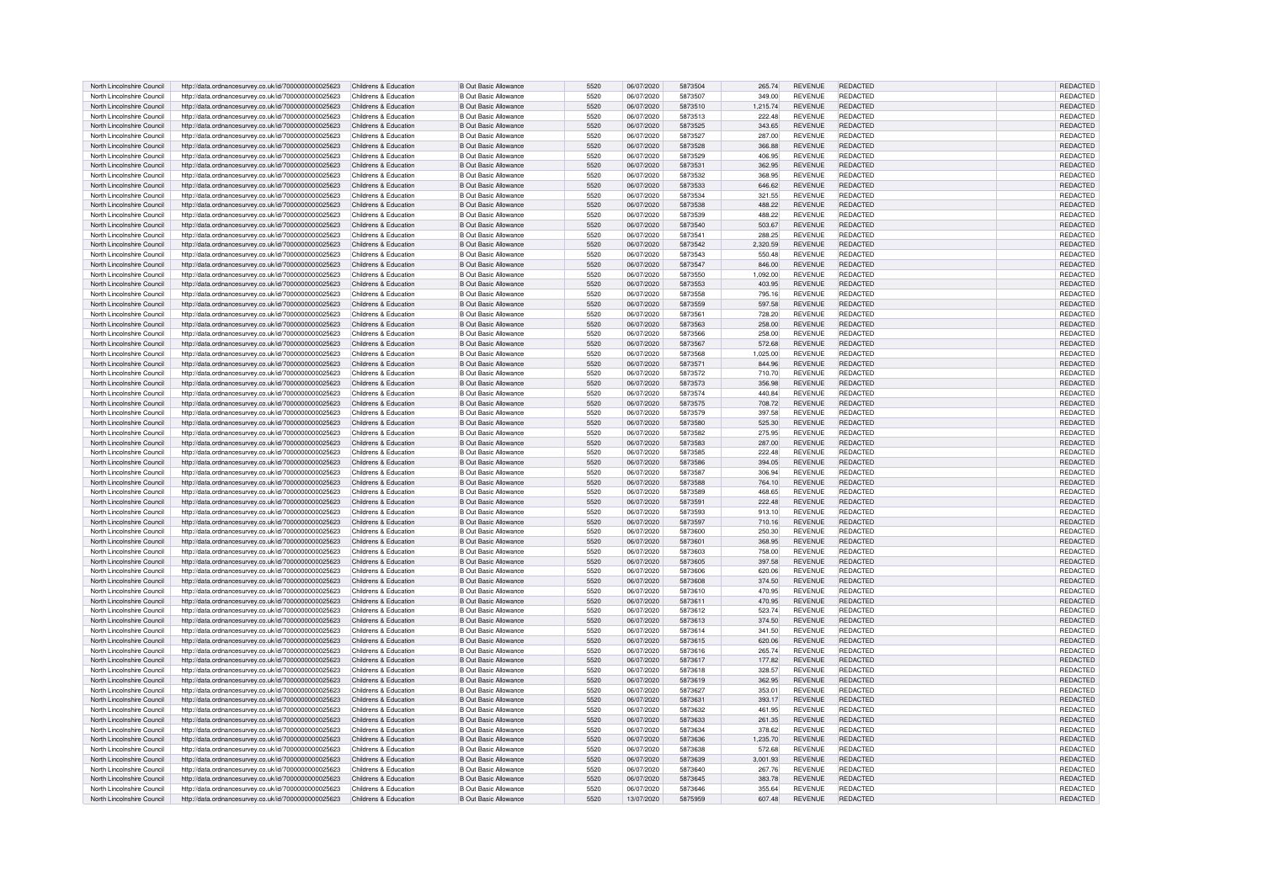| North Lincolnshire Council | http://data.ordnancesurvey.co.uk/id/7000000000025623                                                         | Childrens & Education | <b>B Out Basic Allowance</b> | 5520 | 06/07/2020 | 5873504 | 265.74   | <b>REVENUE</b> | REDACTED        | <b>REDACTED</b>             |
|----------------------------|--------------------------------------------------------------------------------------------------------------|-----------------------|------------------------------|------|------------|---------|----------|----------------|-----------------|-----------------------------|
|                            |                                                                                                              |                       |                              |      |            |         |          |                |                 |                             |
| North Lincolnshire Council | http://data.ordnancesurvey.co.uk/id/7000000000025623                                                         | Childrens & Education | <b>B Out Basic Allowance</b> | 5520 | 06/07/2020 | 5873507 | 349.00   | <b>REVENUE</b> | <b>REDACTED</b> | REDACTED                    |
| North Lincolnshire Council | http://data.ordnancesurvey.co.uk/id/7000000000025623                                                         | Childrens & Education | <b>B Out Basic Allowance</b> | 5520 | 06/07/2020 | 5873510 | 1,215.74 | <b>REVENUE</b> | <b>REDACTED</b> | REDACTED                    |
| North Lincolnshire Council | http://data.ordnancesurvey.co.uk/id/7000000000025623                                                         | Childrens & Education | <b>B Out Basic Allowance</b> | 5520 | 06/07/2020 | 5873513 | 222.48   | <b>REVENUE</b> | <b>REDACTED</b> | REDACTED                    |
| North Lincolnshire Council | http://data.ordnancesurvey.co.uk/id/7000000000025623                                                         | Childrens & Education | <b>B Out Basic Allowance</b> | 5520 | 06/07/2020 | 5873525 | 343.65   | <b>REVENUE</b> | <b>REDACTED</b> | REDACTED                    |
|                            |                                                                                                              |                       |                              |      |            |         |          |                |                 |                             |
| North Lincolnshire Council | http://data.ordnancesurvey.co.uk/id/7000000000025623                                                         | Childrens & Education | <b>B Out Basic Allowance</b> | 5520 | 06/07/2020 | 5873527 | 287.00   | <b>REVENUE</b> | <b>REDACTED</b> | REDACTED                    |
| North Lincolnshire Council | http://data.ordnancesurvey.co.uk/id/7000000000025623                                                         | Childrens & Education | <b>B Out Basic Allowance</b> | 5520 | 06/07/2020 | 5873528 | 366.88   | <b>REVENUE</b> | <b>REDACTED</b> | <b>REDACTED</b>             |
| North Lincolnshire Council | http://data.ordnancesurvey.co.uk/id/7000000000025623                                                         | Childrens & Education | B Out Basic Allowance        | 5520 | 06/07/2020 | 5873529 | 406.95   | <b>REVENUE</b> | <b>REDACTED</b> | REDACTED                    |
| North Lincolnshire Council | http://data.ordnancesurvey.co.uk/id/7000000000025623                                                         | Childrens & Education | <b>B Out Basic Allowance</b> | 5520 | 06/07/2020 | 5873531 | 362.95   | <b>REVENUE</b> | <b>REDACTED</b> | REDACTED                    |
|                            |                                                                                                              |                       |                              |      |            |         |          |                |                 |                             |
| North Lincolnshire Council | http://data.ordnancesurvey.co.uk/id/7000000000025623                                                         | Childrens & Education | B Out Basic Allowance        | 5520 | 06/07/2020 | 5873532 | 368.95   | <b>REVENUE</b> | <b>REDACTED</b> | REDACTED                    |
| North Lincolnshire Council | http://data.ordnancesurvey.co.uk/id/7000000000025623                                                         | Childrens & Education | <b>B Out Basic Allowance</b> | 5520 | 06/07/2020 | 5873533 | 646.62   | <b>REVENUE</b> | <b>REDACTED</b> | REDACTED                    |
| North Lincolnshire Council | http://data.ordnancesurvey.co.uk/id/7000000000025623                                                         | Childrens & Education | <b>B Out Basic Allowance</b> | 5520 | 06/07/2020 | 5873534 | 321.55   | <b>REVENUE</b> | <b>REDACTED</b> | <b>REDACTED</b>             |
|                            |                                                                                                              |                       |                              |      |            |         |          |                |                 |                             |
| North Lincolnshire Council | http://data.ordnancesurvey.co.uk/id/7000000000025623                                                         | Childrens & Education | <b>B Out Basic Allowance</b> | 5520 | 06/07/2020 | 5873538 | 488.22   | <b>REVENUE</b> | <b>REDACTED</b> | REDACTED                    |
| North Lincolnshire Council | http://data.ordnancesurvey.co.uk/id/7000000000025623                                                         | Childrens & Education | <b>B Out Basic Allowance</b> | 5520 | 06/07/2020 | 5873539 | 488.22   | <b>REVENUE</b> | REDACTED        | REDACTED                    |
| North Lincolnshire Council | http://data.ordnancesurvey.co.uk/id/7000000000025623                                                         | Childrens & Education | <b>B Out Basic Allowance</b> | 5520 | 06/07/2020 | 5873540 | 503.67   | <b>REVENUE</b> | <b>REDACTED</b> | REDACTED                    |
| North Lincolnshire Council | http://data.ordnancesurvey.co.uk/id/7000000000025623                                                         | Childrens & Education | <b>B</b> Out Basic Allowance | 5520 | 06/07/2020 | 5873541 | 288.25   | <b>REVENUE</b> | REDACTED        | REDACTED                    |
| North Lincolnshire Council |                                                                                                              | Childrens & Education | B Out Basic Allowance        | 5520 | 06/07/2020 | 5873542 | 2.320.59 | <b>REVENUE</b> | <b>REDACTED</b> | <b>REDACTED</b>             |
|                            | http://data.ordnancesurvey.co.uk/id/7000000000025623                                                         |                       |                              |      |            |         |          |                |                 |                             |
| North Lincolnshire Council | http://data.ordnancesurvey.co.uk/id/7000000000025623                                                         | Childrens & Education | <b>B</b> Out Basic Allowance | 5520 | 06/07/2020 | 5873543 | 550.48   | <b>REVENUE</b> | <b>REDACTED</b> | REDACTED                    |
| North Lincolnshire Council | http://data.ordnancesurvey.co.uk/id/7000000000025623                                                         | Childrens & Education | <b>B Out Basic Allowance</b> | 5520 | 06/07/2020 | 5873547 | 846.00   | <b>REVENUE</b> | <b>REDACTED</b> | REDACTED                    |
| North Lincolnshire Council | http://data.ordnancesurvey.co.uk/id/7000000000025623                                                         | Childrens & Education | <b>B Out Basic Allowance</b> | 5520 | 06/07/2020 | 5873550 | 1.092.00 | <b>REVENUE</b> | REDACTED        | REDACTED                    |
|                            |                                                                                                              | Childrens & Education | <b>B Out Basic Allowance</b> | 5520 | 06/07/2020 | 5873553 | 403.95   | <b>REVENUE</b> | <b>REDACTED</b> | REDACTED                    |
| North Lincolnshire Council | http://data.ordnancesurvey.co.uk/id/7000000000025623                                                         |                       |                              |      |            |         |          |                |                 |                             |
| North Lincolnshire Council | http://data.ordnancesurvey.co.uk/id/7000000000025623                                                         | Childrens & Education | <b>B Out Basic Allowance</b> | 5520 | 06/07/2020 | 5873558 | 795.16   | <b>REVENUE</b> | <b>REDACTED</b> | REDACTED                    |
| North Lincolnshire Council | http://data.ordnancesurvey.co.uk/id/7000000000025623                                                         | Childrens & Education | <b>B Out Basic Allowance</b> | 5520 | 06/07/2020 | 5873559 | 597.58   | REVENUE        | <b>REDACTED</b> | REDACTED                    |
| North Lincolnshire Council | http://data.ordnancesurvey.co.uk/id/7000000000025623                                                         | Childrens & Education | <b>B Out Basic Allowance</b> | 5520 | 06/07/2020 | 5873561 | 728.20   | <b>REVENUE</b> | <b>REDACTED</b> | REDACTED                    |
| North Lincolnshire Council | http://data.ordnancesurvey.co.uk/id/7000000000025623                                                         | Childrens & Education | <b>B Out Basic Allowance</b> | 5520 | 06/07/2020 | 5873563 | 258.00   | REVENUE        | REDACTED        | REDACTED                    |
|                            |                                                                                                              |                       |                              |      |            |         |          |                |                 |                             |
| North Lincolnshire Council | http://data.ordnancesurvey.co.uk/id/7000000000025623                                                         | Childrens & Education | <b>B Out Basic Allowance</b> | 5520 | 06/07/2020 | 5873566 | 258.00   | <b>REVENUE</b> | <b>REDACTED</b> | REDACTED                    |
| North Lincolnshire Council | http://data.ordnancesurvey.co.uk/id/7000000000025623                                                         | Childrens & Education | <b>B Out Basic Allowance</b> | 5520 | 06/07/2020 | 5873567 | 572.68   | <b>REVENUE</b> | <b>REDACTED</b> | REDACTED                    |
| North Lincolnshire Council | http://data.ordnancesurvey.co.uk/id/7000000000025623                                                         | Childrens & Education | <b>B Out Basic Allowance</b> | 5520 | 06/07/2020 | 5873568 | 1,025.00 | <b>REVENUE</b> | <b>REDACTED</b> | REDACTED                    |
| North Lincolnshire Council | http://data.ordnancesurvey.co.uk/id/7000000000025623                                                         | Childrens & Education | <b>B Out Basic Allowance</b> | 5520 | 06/07/2020 | 5873571 | 844.96   | REVENUE        | <b>REDACTED</b> | REDACTED                    |
|                            |                                                                                                              |                       |                              |      |            |         |          |                |                 |                             |
| North Lincolnshire Council | http://data.ordnancesurvey.co.uk/id/7000000000025623                                                         | Childrens & Education | <b>B Out Basic Allowance</b> | 5520 | 06/07/2020 | 5873572 | 710.70   | <b>REVENUE</b> | <b>REDACTED</b> | REDACTED                    |
| North Lincolnshire Council | http://data.ordnancesurvey.co.uk/id/7000000000025623                                                         | Childrens & Education | <b>B Out Basic Allowance</b> | 5520 | 06/07/2020 | 5873573 | 356.98   | <b>REVENUE</b> | <b>REDACTED</b> | REDACTED                    |
| North Lincolnshire Council | http://data.ordnancesurvev.co.uk/id/7000000000025623                                                         | Childrens & Education | <b>B Out Basic Allowance</b> | 5520 | 06/07/2020 | 5873574 | 440.84   | <b>REVENUE</b> | <b>REDACTED</b> | REDACTED                    |
| North Lincolnshire Council | http://data.ordnancesurvey.co.uk/id/7000000000025623                                                         | Childrens & Education | B Out Basic Allowance        | 5520 | 06/07/2020 | 5873575 | 708.72   | <b>REVENUE</b> | <b>REDACTED</b> | REDACTED                    |
| North Lincolnshire Council |                                                                                                              |                       | <b>B Out Basic Allowance</b> | 5520 |            | 5873579 | 397.58   | <b>REVENUE</b> | <b>REDACTED</b> |                             |
|                            | http://data.ordnancesurvey.co.uk/id/7000000000025623                                                         | Childrens & Education |                              |      | 06/07/2020 |         |          |                |                 | REDACTED                    |
| North Lincolnshire Council | http://data.ordnancesurvey.co.uk/id/7000000000025623                                                         | Childrens & Education | <b>B Out Basic Allowance</b> | 5520 | 06/07/2020 | 5873580 | 525.30   | <b>REVENUE</b> | REDACTED        | REDACTED                    |
| North Lincolnshire Council | http://data.ordnancesurvey.co.uk/id/7000000000025623                                                         | Childrens & Education | <b>B Out Basic Allowance</b> | 5520 | 06/07/2020 | 5873582 | 275.95   | <b>REVENUE</b> | <b>REDACTED</b> | REDACTED                    |
| North Lincolnshire Council | http://data.ordnancesurvey.co.uk/id/7000000000025623                                                         | Childrens & Education | <b>B Out Basic Allowance</b> | 5520 | 06/07/2020 | 5873583 | 287.00   | <b>REVENUE</b> | <b>REDACTED</b> | REDACTED                    |
| North Lincolnshire Council |                                                                                                              | Childrens & Education | <b>B Out Basic Allowance</b> | 5520 | 06/07/2020 | 5873585 | 222.48   | <b>REVENUE</b> | <b>REDACTED</b> | REDACTED                    |
|                            | http://data.ordnancesurvey.co.uk/id/7000000000025623                                                         |                       |                              |      |            |         |          |                |                 |                             |
| North Lincolnshire Council | http://data.ordnancesurvey.co.uk/id/7000000000025623                                                         | Childrens & Education | <b>B Out Basic Allowance</b> | 5520 | 06/07/2020 | 5873586 | 394.05   | <b>REVENUE</b> | REDACTED        | REDACTED                    |
| North Lincolnshire Council | http://data.ordnancesurvey.co.uk/id/7000000000025623                                                         | Childrens & Education | <b>B Out Basic Allowance</b> | 5520 | 06/07/2020 | 5873587 | 306.94   | <b>REVENUE</b> | <b>REDACTED</b> | REDACTED                    |
| North Lincolnshire Council | http://data.ordnancesurvey.co.uk/id/7000000000025623                                                         | Childrens & Education | <b>B Out Basic Allowance</b> | 5520 | 06/07/2020 | 5873588 | 764.10   | <b>REVENUE</b> | <b>REDACTED</b> | REDACTED                    |
| North Lincolnshire Council | http://data.ordnancesurvey.co.uk/id/7000000000025623                                                         | Childrens & Education | <b>B Out Basic Allowance</b> | 5520 | 06/07/2020 | 5873589 | 468.65   | <b>REVENUE</b> | <b>REDACTED</b> | REDACTED                    |
|                            |                                                                                                              |                       |                              |      |            |         |          |                |                 |                             |
| North Lincolnshire Council | http://data.ordnancesurvey.co.uk/id/7000000000025623                                                         | Childrens & Education | B Out Basic Allowance        | 5520 | 06/07/2020 | 5873591 | 222.48   | <b>REVENUE</b> | <b>REDACTED</b> | REDACTED                    |
| North Lincolnshire Council | http://data.ordnancesurvey.co.uk/id/7000000000025623                                                         | Childrens & Education | B Out Basic Allowance        | 5520 | 06/07/2020 | 5873593 | 913.10   | <b>REVENUE</b> | <b>REDACTED</b> | <b>REDACTED</b>             |
| North Lincolnshire Council | http://data.ordnancesurvey.co.uk/id/7000000000025623                                                         | Childrens & Education | B Out Basic Allowance        | 5520 | 06/07/2020 | 5873597 | 710.16   | <b>REVENUE</b> | <b>REDACTED</b> | <b>REDACTED</b>             |
|                            |                                                                                                              |                       |                              | 5520 | 06/07/2020 | 5873600 |          | <b>REVENUE</b> | <b>REDACTED</b> |                             |
| North Lincolnshire Council | http://data.ordnancesurvey.co.uk/id/7000000000025623                                                         | Childrens & Education | <b>B</b> Out Basic Allowance |      |            |         | 250.30   |                |                 | REDACTED                    |
| North Lincolnshire Council | http://data.ordnancesurvey.co.uk/id/7000000000025623                                                         | Childrens & Education | <b>B Out Basic Allowance</b> | 5520 | 06/07/2020 | 5873601 | 368.95   | <b>REVENUE</b> | <b>REDACTED</b> | REDACTED                    |
| North Lincolnshire Council | http://data.ordnancesurvey.co.uk/id/7000000000025623                                                         | Childrens & Education | <b>B Out Basic Allowance</b> | 5520 | 06/07/2020 | 5873603 | 758.00   | <b>REVENUE</b> | <b>REDACTED</b> | REDACTED                    |
| North Lincolnshire Council | http://data.ordnancesurvey.co.uk/id/7000000000025623                                                         | Childrens & Education | <b>B Out Basic Allowance</b> | 5520 | 06/07/2020 | 5873605 | 397.58   | <b>REVENUE</b> | <b>REDACTED</b> | REDACTED                    |
| North Lincolnshire Council |                                                                                                              | Childrens & Education | B Out Basic Allowance        | 5520 | 06/07/2020 | 5873606 |          | <b>REVENUE</b> | <b>REDACTED</b> | <b>REDACTEI</b>             |
|                            | http://data.ordnancesurvey.co.uk/id/7000000000025623                                                         |                       |                              |      |            |         | 620.06   |                |                 |                             |
| North Lincolnshire Council | http://data.ordnancesurvey.co.uk/id/7000000000025623                                                         | Childrens & Education | <b>B Out Basic Allowance</b> | 5520 | 06/07/2020 | 5873608 | 374.50   | <b>REVENUE</b> | <b>REDACTED</b> | REDACTED                    |
| North Lincolnshire Council | http://data.ordnancesurvey.co.uk/id/7000000000025623                                                         | Childrens & Education | <b>B</b> Out Basic Allowance | 5520 | 06/07/2020 | 5873610 | 470.95   | <b>REVENUE</b> | <b>REDACTED</b> | <b>REDACTED</b>             |
| North Lincolnshire Council | http://data.ordnancesurvey.co.uk/id/7000000000025623                                                         | Childrens & Education | B Out Basic Allowance        | 5520 | 06/07/2020 | 5873611 | 470.95   | <b>REVENUE</b> | <b>REDACTED</b> | <b>REDACTED</b>             |
| North Lincolnshire Council | http://data.ordnancesurvey.co.uk/id/7000000000025623                                                         | Childrens & Education | B Out Basic Allowance        | 5520 | 06/07/2020 | 5873612 | 523.74   | <b>REVENUE</b> | <b>REDACTED</b> | REDACTED                    |
|                            |                                                                                                              |                       |                              | 5520 |            | 5873613 |          |                |                 |                             |
| North Lincolnshire Council | http://data.ordnancesurvey.co.uk/id/7000000000025623                                                         | Childrens & Education | <b>B Out Basic Allowance</b> |      | 06/07/2020 |         | 374.50   | <b>REVENUE</b> | <b>REDACTED</b> | REDACTED                    |
| North Lincolnshire Council | http://data.ordnancesurvey.co.uk/id/7000000000025623                                                         | Childrens & Education | <b>B Out Basic Allowance</b> | 5520 | 06/07/2020 | 5873614 | 341.50   | <b>REVENUE</b> | <b>REDACTED</b> | REDACTED                    |
| North Lincolnshire Council | http://data.ordnancesurvey.co.uk/id/7000000000025623                                                         | Childrens & Education | <b>B Out Basic Allowance</b> | 5520 | 06/07/2020 | 5873615 | 620.06   | <b>REVENUE</b> | <b>REDACTED</b> | REDACTED                    |
| North Lincolnshire Council | http://data.ordnancesurvey.co.uk/id/7000000000025623                                                         | Childrens & Education | <b>B Out Basic Allowance</b> | 5520 | 06/07/2020 | 5873616 | 265.74   | <b>REVENUE</b> | <b>REDACTED</b> | REDACTED                    |
| North Lincolnshire Council | http://data.ordnancesurvey.co.uk/id/7000000000025623                                                         | Childrens & Education | <b>B Out Basic Allowance</b> | 5520 | 06/07/2020 | 5873617 | 177.82   | REVENUE        | <b>REDACTED</b> | REDACTED                    |
|                            |                                                                                                              |                       |                              |      |            |         |          |                |                 |                             |
| North Lincolnshire Council | http://data.ordnancesurvey.co.uk/id/7000000000025623                                                         | Childrens & Education | <b>B Out Basic Allowance</b> | 5520 | 06/07/2020 | 5873618 | 328.57   | <b>REVENUE</b> | <b>REDACTED</b> | REDACTED                    |
| North Lincolnshire Council | http://data.ordnancesurvey.co.uk/id/7000000000025623                                                         | Childrens & Education | <b>B Out Basic Allowance</b> | 5520 | 06/07/2020 | 5873619 | 362.95   | <b>REVENUE</b> | <b>REDACTED</b> | REDACTED                    |
| North Lincolnshire Council | http://data.ordnancesurvey.co.uk/id/7000000000025623                                                         | Childrens & Education | <b>B Out Basic Allowance</b> | 5520 | 06/07/2020 | 5873627 | 353.01   | <b>REVENUE</b> | <b>REDACTED</b> | REDACTED                    |
| North Lincolnshire Council | http://data.ordnancesurvey.co.uk/id/7000000000025623                                                         | Childrens & Education | <b>B Out Basic Allowance</b> | 5520 | 06/07/2020 | 5873631 | 393.17   | REVENUE        | <b>REDACTED</b> | REDACTED                    |
| North Lincolnshire Council | http://data.ordnancesurvey.co.uk/id/7000000000025623                                                         | Childrens & Education | <b>B</b> Out Basic Allowance | 5520 | 06/07/2020 | 5873632 | 461.95   | <b>REVENUE</b> | <b>REDACTED</b> | REDACTED                    |
|                            |                                                                                                              |                       |                              |      |            |         |          |                |                 |                             |
| North Lincolnshire Council | http://data.ordnancesurvey.co.uk/id/7000000000025623                                                         | Childrens & Education | B Out Basic Allowance        | 5520 | 06/07/2020 | 5873633 | 261.35   | <b>REVENUE</b> | <b>REDACTED</b> | REDACTED                    |
| North Lincolnshire Council | http://data.ordnancesurvey.co.uk/id/7000000000025623                                                         | Childrens & Education | B Out Basic Allowance        | 5520 | 06/07/2020 | 5873634 | 378.62   | <b>REVENUE</b> | <b>REDACTED</b> | REDACTED                    |
| North Lincolnshire Council | http://data.ordnancesurvey.co.uk/id/7000000000025623                                                         | Childrens & Education | <b>B Out Basic Allowance</b> | 5520 | 06/07/2020 | 5873636 | 1,235.70 | REVENUE        | REDACTED        | REDACTED                    |
|                            |                                                                                                              |                       |                              |      |            | 5873638 | 572.68   | <b>REVENUE</b> | <b>REDACTED</b> | REDACTED                    |
|                            |                                                                                                              |                       |                              |      |            |         |          |                |                 |                             |
| North Lincolnshire Council | http://data.ordnancesurvey.co.uk/id/7000000000025623                                                         | Childrens & Education | <b>B Out Basic Allowance</b> | 5520 | 06/07/2020 |         |          |                |                 |                             |
| North Lincolnshire Council | http://data.ordnancesurvey.co.uk/id/7000000000025623                                                         | Childrens & Education | <b>B Out Basic Allowance</b> | 5520 | 06/07/2020 | 5873639 | 3,001.93 | <b>REVENUE</b> | <b>REDACTED</b> | REDACTED                    |
| North Lincolnshire Council | http://data.ordnancesurvey.co.uk/id/7000000000025623                                                         | Childrens & Education | <b>B</b> Out Basic Allowance | 5520 | 06/07/2020 | 5873640 | 267.76   | REVENUE        | <b>REDACTED</b> | REDACTED                    |
| North Lincolnshire Council | http://data.ordnancesurvey.co.uk/id/7000000000025623                                                         | Childrens & Education | B Out Basic Allowance        | 5520 | 06/07/2020 | 5873645 | 383.78   | <b>REVENUE</b> | <b>REDACTED</b> | REDACTED                    |
| North Lincolnshire Council |                                                                                                              | Childrens & Education | <b>B Out Basic Allowance</b> | 5520 | 06/07/2020 | 5873646 | 355.64   | <b>REVENUE</b> | REDACTED        |                             |
| North Lincolnshire Council | http://data.ordnancesurvey.co.uk/id/7000000000025623<br>http://data.ordnancesurvey.co.uk/id/7000000000025623 | Childrens & Education | <b>B Out Basic Allowance</b> | 5520 | 13/07/2020 | 5875959 | 607.48   | REVENUE        | <b>REDACTED</b> | REDACTED<br><b>REDACTED</b> |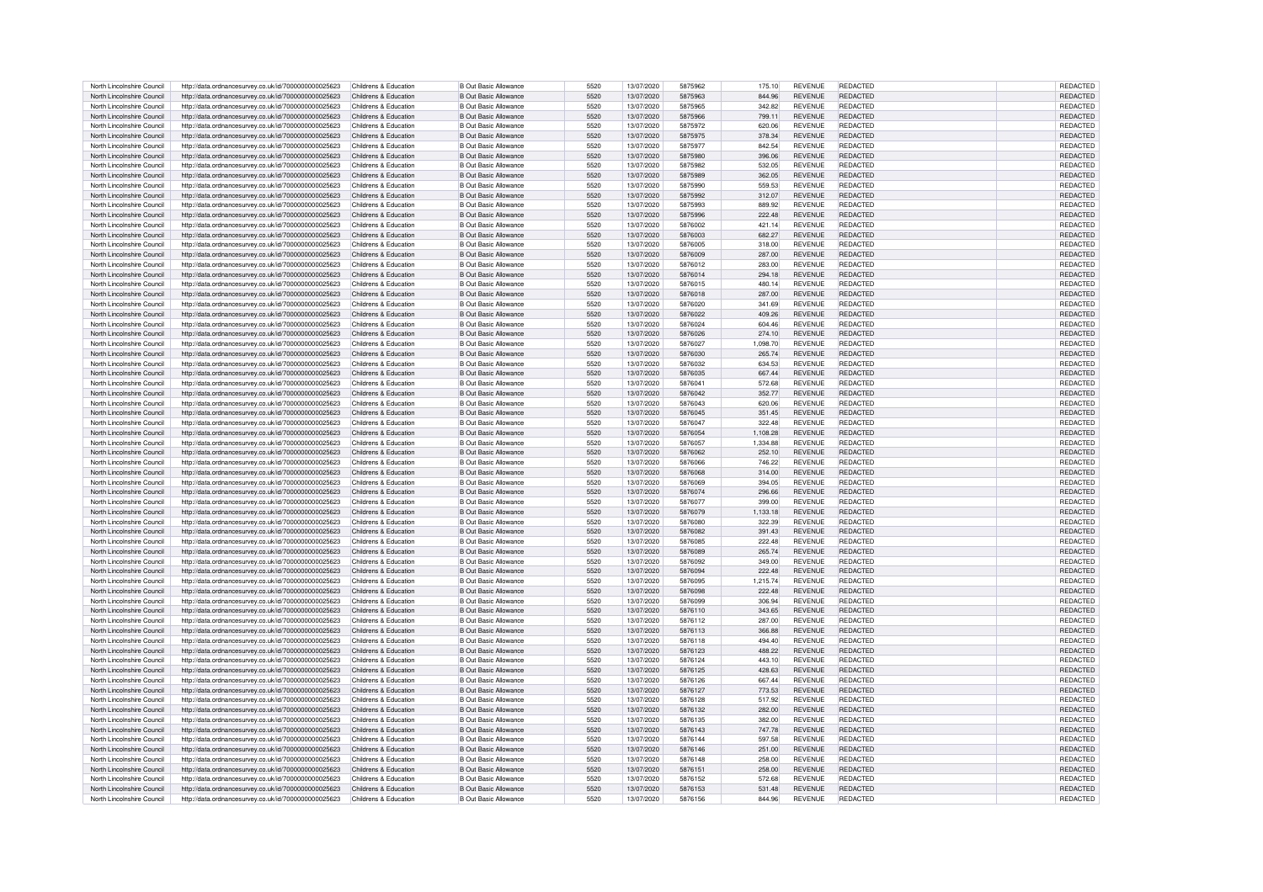| North Lincolnshire Council                               | http://data.ordnancesurvey.co.uk/id/7000000000025623                                                         | Childrens & Education                          | <b>B Out Basic Allowance</b>                                 | 5520         | 13/07/2020               | 5875962            | 175.10           | <b>REVENUE</b>                   | REDACTED                    | REDACTED             |
|----------------------------------------------------------|--------------------------------------------------------------------------------------------------------------|------------------------------------------------|--------------------------------------------------------------|--------------|--------------------------|--------------------|------------------|----------------------------------|-----------------------------|----------------------|
| North Lincolnshire Council                               | http://data.ordnancesurvev.co.uk/id/7000000000025623                                                         | Childrens & Education                          | <b>B Out Basic Allowance</b>                                 | 5520         | 13/07/2020               | 5875963            | 844.96           | <b>REVENUE</b>                   | <b>REDACTED</b>             | REDACTED             |
| North Lincolnshire Council                               | http://data.ordnancesurvey.co.uk/id/7000000000025623                                                         | Childrens & Education                          | <b>B</b> Out Basic Allowance                                 | 5520         | 13/07/2020               | 5875965            | 342.82           | <b>REVENUE</b>                   | <b>REDACTED</b>             | REDACTED             |
| North Lincolnshire Council                               | http://data.ordnancesurvey.co.uk/id/7000000000025623                                                         | Childrens & Education                          | <b>B Out Basic Allowance</b>                                 | 5520         | 13/07/2020               | 5875966            | 799.11           | <b>REVENUE</b>                   | <b>REDACTED</b>             | REDACTED             |
| North Lincolnshire Council                               | http://data.ordnancesurvey.co.uk/id/7000000000025623                                                         | Childrens & Education                          | <b>B</b> Out Basic Allowance                                 | 5520         | 13/07/2020               | 5875972            | 620.06           | <b>REVENUE</b>                   | <b>REDACTED</b>             | REDACTED             |
|                                                          |                                                                                                              |                                                |                                                              |              |                          |                    |                  |                                  |                             |                      |
| North Lincolnshire Council                               | http://data.ordnancesurvey.co.uk/id/7000000000025623                                                         | Childrens & Education                          | <b>B Out Basic Allowance</b>                                 | 5520         | 13/07/2020               | 5875975            | 378.34           | <b>REVENUE</b>                   | <b>REDACTED</b>             | REDACTED             |
| North Lincolnshire Council                               | http://data.ordnancesurvey.co.uk/id/7000000000025623                                                         | Childrens & Education                          | B Out Basic Allowance                                        | 5520         | 13/07/2020               | 5875977            | 842.54           | <b>REVENUE</b>                   | <b>REDACTED</b>             | <b>REDACTED</b>      |
| North Lincolnshire Council                               | http://data.ordnancesurvey.co.uk/id/7000000000025623                                                         | Childrens & Education                          | B Out Basic Allowance                                        | 5520         | 13/07/2020               | 5875980            | 396.06           | <b>REVENUE</b>                   | <b>REDACTED</b>             | <b>REDACTED</b>      |
| North Lincolnshire Council                               | http://data.ordnancesurvey.co.uk/id/7000000000025623                                                         | Childrens & Education                          | <b>B Out Basic Allowance</b>                                 | 5520         | 13/07/2020               | 5875982            | 532.05           | <b>REVENUE</b>                   | REDACTED                    | <b>REDACTED</b>      |
| North Lincolnshire Council                               | http://data.ordnancesurvey.co.uk/id/7000000000025623                                                         | Childrens & Education                          | <b>B Out Basic Allowance</b>                                 | 5520         | 13/07/2020               | 5875989            | 362.05           | <b>REVENUE</b>                   | <b>REDACTED</b>             | REDACTED             |
| North Lincolnshire Council                               | http://data.ordnancesurvey.co.uk/id/7000000000025623                                                         | Childrens & Education                          | <b>B Out Basic Allowance</b>                                 | 5520         | 13/07/2020               | 5875990            | 559.53           | <b>REVENUE</b>                   | <b>REDACTED</b>             | REDACTED             |
|                                                          |                                                                                                              |                                                |                                                              |              |                          |                    |                  |                                  |                             |                      |
| North Lincolnshire Council                               | http://data.ordnancesurvey.co.uk/id/7000000000025623                                                         | Childrens & Education                          | <b>B Out Basic Allowance</b>                                 | 5520         | 13/07/2020               | 5875992            | 312.07           | REVENUE                          | <b>REDACTED</b>             | REDACTED             |
| North Lincolnshire Council                               | http://data.ordnancesurvey.co.uk/id/7000000000025623                                                         | Childrens & Education                          | <b>B</b> Out Basic Allowance                                 | 5520         | 13/07/2020               | 5875993            | 889.92           | <b>REVENUE</b>                   | <b>REDACTED</b>             | <b>REDACTED</b>      |
| North Lincolnshire Council                               | http://data.ordnancesurvey.co.uk/id/7000000000025623                                                         | Childrens & Education                          | <b>B Out Basic Allowance</b>                                 | 5520         | 13/07/2020               | 5875996            | 222.48           | <b>REVENUE</b>                   | <b>REDACTED</b>             | REDACTED             |
| North Lincolnshire Council                               | http://data.ordnancesurvey.co.uk/id/7000000000025623                                                         | Childrens & Education                          | B Out Basic Allowance                                        | 5520         | 13/07/2020               | 5876002            | 421.14           | <b>REVENUE</b>                   | <b>REDACTED</b>             | <b>REDACTED</b>      |
| North Lincolnshire Council                               | http://data.ordnancesurvey.co.uk/id/7000000000025623                                                         | Childrens & Education                          | B Out Basic Allowance                                        | 5520         | 13/07/2020               | 5876003            | 682.27           | <b>REVENUE</b>                   | <b>REDACTED</b>             | <b>REDACTED</b>      |
| North Lincolnshire Council                               | http://data.ordnancesurvey.co.uk/id/7000000000025623                                                         | Childrens & Education                          | <b>B</b> Out Basic Allowance                                 | 5520         | 13/07/2020               | 5876005            | 318.00           | <b>REVENUE</b>                   | <b>REDACTED</b>             | REDACTED             |
| North Lincolnshire Council                               |                                                                                                              | Childrens & Education                          | B Out Basic Allowance                                        | 5520         | 13/07/2020               | 5876009            | 287.00           | <b>REVENUE</b>                   | <b>REDACTED</b>             | REDACTED             |
|                                                          | http://data.ordnancesurvey.co.uk/id/7000000000025623                                                         |                                                |                                                              |              |                          |                    |                  |                                  |                             |                      |
| North Lincolnshire Council                               | http://data.ordnancesurvey.co.uk/id/7000000000025623                                                         | Childrens & Education                          | <b>B Out Basic Allowance</b>                                 | 5520         | 13/07/2020               | 5876012            | 283.00           | <b>REVENUE</b>                   | REDACTED                    | REDACTED             |
| North Lincolnshire Council                               | http://data.ordnancesurvey.co.uk/id/7000000000025623                                                         | Childrens & Education                          | <b>B Out Basic Allowance</b>                                 | 5520         | 13/07/2020               | 5876014            | 294.18           | <b>REVENUE</b>                   | <b>REDACTED</b>             | REDACTED             |
| North Lincolnshire Council                               | http://data.ordnancesurvey.co.uk/id/7000000000025623                                                         | Childrens & Education                          | <b>B Out Basic Allowance</b>                                 | 5520         | 13/07/2020               | 5876015            | 480.14           | <b>REVENUE</b>                   | <b>REDACTED</b>             | REDACTED             |
| North Lincolnshire Council                               | http://data.ordnancesurvey.co.uk/id/7000000000025623                                                         | Childrens & Education                          | <b>B Out Basic Allowance</b>                                 | 5520         | 13/07/2020               | 5876018            | 287.00           | REVENUE                          | <b>REDACTED</b>             | REDACTED             |
| North Lincolnshire Council                               | http://data.ordnancesurvey.co.uk/id/7000000000025623                                                         | Childrens & Education                          | <b>B Out Basic Allowance</b>                                 | 5520         | 13/07/2020               | 5876020            | 341.69           | <b>REVENUE</b>                   | <b>REDACTED</b>             | REDACTED             |
| North Lincolnshire Council                               | http://data.ordnancesurvey.co.uk/id/7000000000025623                                                         | Childrens & Education                          | <b>B Out Basic Allowance</b>                                 | 5520         | 13/07/2020               | 5876022            | 409.26           | REVENUE                          | REDACTED                    | REDACTED             |
|                                                          |                                                                                                              |                                                |                                                              |              |                          |                    |                  |                                  |                             |                      |
| North Lincolnshire Council                               | http://data.ordnancesurvey.co.uk/id/7000000000025623                                                         | Childrens & Education                          | <b>B</b> Out Basic Allowance                                 | 5520         | 13/07/2020               | 5876024            | 604.46           | <b>REVENUE</b>                   | <b>REDACTED</b>             | REDACTED             |
| North Lincolnshire Council                               | http://data.ordnancesurvey.co.uk/id/7000000000025623                                                         | Childrens & Education                          | <b>B Out Basic Allowance</b>                                 | 5520         | 13/07/2020               | 5876026            | 274.10           | <b>REVENUE</b>                   | <b>REDACTED</b>             | REDACTED             |
| North Lincolnshire Council                               | http://data.ordnancesurvey.co.uk/id/7000000000025623                                                         | Childrens & Education                          | <b>B Out Basic Allowance</b>                                 | 5520         | 13/07/2020               | 5876027            | 1,098.70         | <b>REVENUE</b>                   | <b>REDACTED</b>             | REDACTED             |
| North Lincolnshire Council                               | http://data.ordnancesurvey.co.uk/id/7000000000025623                                                         | Childrens & Education                          | <b>B Out Basic Allowance</b>                                 | 5520         | 13/07/2020               | 5876030            | 265.74           | <b>REVENUE</b>                   | <b>REDACTED</b>             | REDACTED             |
| North Lincolnshire Council                               | http://data.ordnancesurvev.co.uk/id/7000000000025623                                                         | Childrens & Education                          | <b>B Out Basic Allowance</b>                                 | 5520         | 13/07/2020               | 5876032            | 634.53           | <b>REVENUE</b>                   | <b>REDACTED</b>             | REDACTED             |
| North Lincolnshire Council                               | http://data.ordnancesurvey.co.uk/id/7000000000025623                                                         | Childrens & Education                          | <b>B Out Basic Allowance</b>                                 | 5520         | 13/07/2020               | 5876035            | 667.44           | <b>REVENUE</b>                   | <b>REDACTED</b>             | REDACTED             |
|                                                          |                                                                                                              |                                                |                                                              |              |                          |                    |                  |                                  |                             |                      |
| North Lincolnshire Council                               | http://data.ordnancesurvey.co.uk/id/7000000000025623                                                         | Childrens & Education                          | <b>B Out Basic Allowance</b>                                 | 5520         | 13/07/2020               | 5876041            | 572.68           | <b>REVENUE</b>                   | <b>REDACTED</b>             | REDACTED             |
| North Lincolnshire Council                               | http://data.ordnancesurvey.co.uk/id/7000000000025623                                                         | Childrens & Education                          | <b>B Out Basic Allowance</b>                                 | 5520         | 13/07/2020               | 5876042            | 352.77           | <b>REVENUE</b>                   | REDACTED                    | REDACTED             |
| North Lincolnshire Council                               | http://data.ordnancesurvey.co.uk/id/7000000000025623                                                         | Childrens & Education                          | <b>B Out Basic Allowance</b>                                 | 5520         | 13/07/2020               | 5876043            | 620.06           | <b>REVENUE</b>                   | <b>REDACTED</b>             | REDACTED             |
| North Lincolnshire Council                               | http://data.ordnancesurvey.co.uk/id/7000000000025623                                                         | Childrens & Education                          | <b>B Out Basic Allowance</b>                                 | 5520         | 13/07/2020               | 5876045            | 351.45           | <b>REVENUE</b>                   | REDACTED                    | REDACTED             |
| North Lincolnshire Council                               | http://data.ordnancesurvey.co.uk/id/7000000000025623                                                         | Childrens & Education                          | <b>B Out Basic Allowance</b>                                 | 5520         | 13/07/2020               | 5876047            | 322.48           | <b>REVENUE</b>                   | <b>REDACTED</b>             | REDACTED             |
| North Lincolnshire Council                               | http://data.ordnancesurvey.co.uk/id/7000000000025623                                                         | Childrens & Education                          | <b>B Out Basic Allowance</b>                                 | 5520         | 13/07/2020               | 5876054            | 1,108.28         | <b>REVENUE</b>                   | <b>REDACTED</b>             | REDACTED             |
| North Lincolnshire Council                               | http://data.ordnancesurvey.co.uk/id/7000000000025623                                                         | Childrens & Education                          | <b>B Out Basic Allowance</b>                                 | 5520         | 13/07/2020               | 5876057            | 1.334.88         | <b>REVENUE</b>                   | <b>REDACTED</b>             | REDACTED             |
|                                                          |                                                                                                              |                                                |                                                              |              |                          |                    |                  |                                  |                             |                      |
| North Lincolnshire Council                               | http://data.ordnancesurvey.co.uk/id/7000000000025623                                                         | Childrens & Education                          | <b>B Out Basic Allowance</b>                                 | 5520         | 13/07/2020               | 5876062            | 252.10           | <b>REVENUE</b>                   | <b>REDACTED</b>             | REDACTED             |
| North Lincolnshire Council                               | http://data.ordnancesurvey.co.uk/id/7000000000025623                                                         | Childrens & Education                          | <b>B Out Basic Allowance</b>                                 | 5520         | 13/07/2020               | 5876066            | 746.22           | <b>REVENUE</b>                   | <b>REDACTED</b>             | REDACTED             |
| North Lincolnshire Council                               | http://data.ordnancesurvey.co.uk/id/7000000000025623                                                         | Childrens & Education                          | <b>B Out Basic Allowance</b>                                 | 5520         | 13/07/2020               | 5876068            | 314.00           | <b>REVENUE</b>                   | <b>REDACTED</b>             | REDACTED             |
| North Lincolnshire Council                               | http://data.ordnancesurvey.co.uk/id/7000000000025623                                                         | Childrens & Education                          | B Out Basic Allowance                                        | 5520         | 13/07/2020               | 5876069            | 394.05           | <b>REVENUE</b>                   | <b>REDACTED</b>             | REDACTED             |
| North Lincolnshire Council                               | http://data.ordnancesurvey.co.uk/id/7000000000025623                                                         | Childrens & Education                          | B Out Basic Allowance                                        | 5520         | 13/07/2020               | 5876074            | 296.66           | <b>REVENUE</b>                   | <b>REDACTED</b>             | REDACTED             |
| North Lincolnshire Council                               | http://data.ordnancesurvey.co.uk/id/7000000000025623                                                         | Childrens & Education                          | B Out Basic Allowance                                        | 5520         | 13/07/2020               | 5876077            | 399.00           | <b>REVENUE</b>                   | <b>REDACTED</b>             | <b>REDACTED</b>      |
| North Lincolnshire Council                               |                                                                                                              | Childrens & Education                          | <b>B Out Basic Allowance</b>                                 | 5520         | 13/07/2020               | 5876079            |                  | <b>REVENUE</b>                   | <b>REDACTED</b>             | REDACTED             |
|                                                          | http://data.ordnancesurvey.co.uk/id/7000000000025623                                                         |                                                |                                                              |              |                          |                    | 1,133.18         |                                  |                             |                      |
| North Lincolnshire Council                               | http://data.ordnancesurvey.co.uk/id/7000000000025623                                                         | Childrens & Education                          | <b>B Out Basic Allowance</b>                                 | 5520         | 13/07/2020               | 5876080            | 322.39           | <b>REVENUE</b>                   | REDACTED                    | REDACTED             |
| North Lincolnshire Council                               | http://data.ordnancesurvey.co.uk/id/7000000000025623                                                         | Childrens & Education                          | <b>B Out Basic Allowance</b>                                 | 5520         | 13/07/2020               | 5876082            | 391.43           | <b>REVENUE</b>                   | <b>REDACTED</b>             | REDACTED             |
| North Lincolnshire Council                               | http://data.ordnancesurvey.co.uk/id/7000000000025623                                                         | Childrens & Education                          | <b>B Out Basic Allowance</b>                                 | 5520         | 13/07/2020               | 5876085            | 222.48           | <b>REVENUE</b>                   | <b>REDACTED</b>             | REDACTED             |
| North Lincolnshire Council                               | http://data.ordnancesurvey.co.uk/id/7000000000025623                                                         | Childrens & Education                          | <b>B Out Basic Allowance</b>                                 | 5520         | 13/07/2020               | 5876089            | 265.74           | <b>REVENUE</b>                   | <b>REDACTED</b>             | REDACTED             |
| North Lincolnshire Council                               | http://data.ordnancesurvey.co.uk/id/7000000000025623                                                         | Childrens & Education                          | <b>B Out Basic Allowance</b>                                 | 5520         | 13/07/2020               | 5876092            | 349.00           | <b>REVENUE</b>                   | <b>REDACTED</b>             | REDACTED             |
| North Lincolnshire Council                               | http://data.ordnancesurvey.co.uk/id/7000000000025623                                                         | Childrens & Education                          | <b>B Out Basic Allowance</b>                                 | 5520         | 13/07/2020               | 5876094            | 222.48           | <b>REVENUE</b>                   | <b>REDACTED</b>             | REDACTED             |
|                                                          |                                                                                                              |                                                |                                                              |              |                          |                    |                  |                                  |                             |                      |
| North Lincolnshire Council                               | http://data.ordnancesurvey.co.uk/id/7000000000025623                                                         | Childrens & Education                          | B Out Basic Allowance                                        | 5520         | 13/07/2020               | 5876095            | 1.215.74         | <b>REVENUE</b>                   | <b>REDACTED</b>             | REDACTED             |
| North Lincolnshire Council                               | http://data.ordnancesurvey.co.uk/id/7000000000025623                                                         | Childrens & Education                          | <b>B Out Basic Allowance</b>                                 | 5520         | 13/07/2020               | 5876098            | 222.48           | <b>REVENUE</b>                   | <b>REDACTED</b>             | REDACTED             |
| North Lincolnshire Council                               | http://data.ordnancesurvey.co.uk/id/7000000000025623                                                         | Childrens & Education                          | B Out Basic Allowance                                        | 5520         | 13/07/2020               | 5876099            | 306.94           | <b>REVENUE</b>                   | <b>REDACTED</b>             | REDACTED             |
| North Lincolnshire Council                               | http://data.ordnancesurvey.co.uk/id/7000000000025623                                                         | Childrens & Education                          | B Out Basic Allowance                                        | 5520         | 13/07/2020               | 5876110            | 343.65           | <b>REVENUE</b>                   | <b>REDACTED</b>             | REDACTED             |
| North Lincolnshire Council                               | http://data.ordnancesurvey.co.uk/id/7000000000025623                                                         | Childrens & Education                          | <b>B Out Basic Allowance</b>                                 | 5520         | 13/07/2020               | 5876112            | 287.00           | <b>REVENUE</b>                   | <b>REDACTED</b>             | <b>REDACTED</b>      |
| North Lincolnshire Council                               |                                                                                                              | Childrens & Education                          | <b>B Out Basic Allowance</b>                                 | 5520         |                          | 5876113            | 366.88           | <b>REVENUE</b>                   | <b>REDACTED</b>             | REDACTED             |
|                                                          | http://data.ordnancesurvey.co.uk/id/7000000000025623                                                         |                                                |                                                              |              | 13/07/2020               |                    |                  |                                  |                             |                      |
| North Lincolnshire Council                               | http://data.ordnancesurvey.co.uk/id/7000000000025623                                                         | Childrens & Education                          | <b>B Out Basic Allowance</b>                                 | 5520         | 13/07/2020               | 5876118            | 494.40           | <b>REVENUE</b>                   | REDACTED                    | <b>REDACTED</b>      |
| North Lincolnshire Council                               | http://data.ordnancesurvey.co.uk/id/7000000000025623                                                         | Childrens & Education                          | <b>B Out Basic Allowance</b>                                 | 5520         | 13/07/2020               | 5876123            | 488.22           | <b>REVENUE</b>                   | <b>REDACTED</b>             | <b>REDACTED</b>      |
| North Lincolnshire Council                               | http://data.ordnancesurvey.co.uk/id/7000000000025623                                                         | Childrens & Education                          | <b>B Out Basic Allowance</b>                                 | 5520         | 13/07/2020               | 5876124            | 443.10           | <b>REVENUE</b>                   | <b>REDACTED</b>             | REDACTED             |
| North Lincolnshire Council                               | http://data.ordnancesurvey.co.uk/id/7000000000025623                                                         | Childrens & Education                          | <b>B Out Basic Allowance</b>                                 | 5520         | 13/07/2020               | 5876125            | 428.63           | <b>REVENUE</b>                   | <b>REDACTED</b>             | REDACTED             |
| North Lincolnshire Council                               | http://data.ordnancesurvey.co.uk/id/7000000000025623                                                         | Childrens & Education                          | <b>B Out Basic Allowance</b>                                 | 5520         | 13/07/2020               | 5876126            | 667.44           | <b>REVENUE</b>                   | <b>REDACTED</b>             | REDACTED             |
| North Lincolnshire Council                               | http://data.ordnancesurvey.co.uk/id/7000000000025623                                                         | Childrens & Education                          | <b>B Out Basic Allowance</b>                                 | 5520         | 13/07/2020               | 5876127            | 773.53           | <b>REVENUE</b>                   | <b>REDACTED</b>             | REDACTED             |
| North Lincolnshire Council                               | http://data.ordnancesurvey.co.uk/id/7000000000025623                                                         | Childrens & Education                          | <b>B Out Basic Allowance</b>                                 | 5520         | 13/07/2020               | 5876128            | 517.92           | <b>REVENUE</b>                   | <b>REDACTED</b>             | REDACTED             |
| North Lincolnshire Council                               |                                                                                                              | Childrens & Education                          | <b>B Out Basic Allowance</b>                                 | 5520         | 13/07/2020               | 5876132            | 282.00           | <b>REVENUE</b>                   | <b>REDACTED</b>             | REDACTED             |
|                                                          | http://data.ordnancesurvey.co.uk/id/7000000000025623                                                         |                                                |                                                              |              |                          |                    |                  |                                  |                             |                      |
| North Lincolnshire Council                               | http://data.ordnancesurvey.co.uk/id/7000000000025623                                                         | Childrens & Education                          | B Out Basic Allowance                                        | 5520         | 13/07/2020               | 5876135            | 382.00           | <b>REVENUE</b>                   | <b>REDACTED</b>             | REDACTED             |
| North Lincolnshire Council                               | http://data.ordnancesurvey.co.uk/id/7000000000025623                                                         | Childrens & Education                          | <b>B Out Basic Allowance</b>                                 | 5520         | 13/07/2020               | 5876143            | 747.78           | <b>REVENUE</b>                   | <b>REDACTED</b>             | REDACTED             |
| North Lincolnshire Council                               | http://data.ordnancesurvey.co.uk/id/7000000000025623                                                         | Childrens & Education                          | <b>B Out Basic Allowance</b>                                 | 5520         | 13/07/2020               | 5876144            | 597.58           | <b>REVENUE</b>                   | <b>REDACTED</b>             | REDACTED             |
| North Lincolnshire Council                               | http://data.ordnancesurvey.co.uk/id/7000000000025623                                                         | Childrens & Education                          | <b>B Out Basic Allowance</b>                                 | 5520         | 13/07/2020               | 5876146            | 251.00           | <b>REVENUE</b>                   | <b>REDACTED</b>             | REDACTED             |
|                                                          |                                                                                                              | Childrens & Education                          | <b>B Out Basic Allowance</b>                                 | 5520         | 13/07/2020               | 5876148            | 258.00           | <b>REVENUE</b>                   | <b>REDACTED</b>             | REDACTED             |
|                                                          |                                                                                                              |                                                |                                                              |              |                          |                    |                  |                                  |                             |                      |
| North Lincolnshire Council                               | http://data.ordnancesurvey.co.uk/id/7000000000025623                                                         |                                                |                                                              |              |                          |                    |                  |                                  |                             |                      |
| North Lincolnshire Council                               | http://data.ordnancesurvey.co.uk/id/7000000000025623                                                         | Childrens & Education                          | <b>B Out Basic Allowance</b>                                 | 5520         | 13/07/2020               | 5876151            | 258.00           | REVENUE                          | <b>REDACTED</b>             | REDACTED             |
| North Lincolnshire Council                               | http://data.ordnancesurvey.co.uk/id/7000000000025623                                                         | Childrens & Education                          | B Out Basic Allowance                                        | 5520         | 13/07/2020               | 5876152            | 572.68           | <b>REVENUE</b>                   | <b>REDACTED</b>             | <b>REDACTED</b>      |
| North Lincolnshire Council<br>North Lincolnshire Council | http://data.ordnancesurvey.co.uk/id/7000000000025623<br>http://data.ordnancesurvey.co.uk/id/7000000000025623 | Childrens & Education<br>Childrens & Education | <b>B Out Basic Allowance</b><br><b>B Out Basic Allowance</b> | 5520<br>5520 | 13/07/2020<br>13/07/2020 | 5876153<br>5876156 | 531.48<br>844.96 | <b>REVENUE</b><br><b>REVENUE</b> | REDACTED<br><b>REDACTED</b> | REDACTED<br>REDACTED |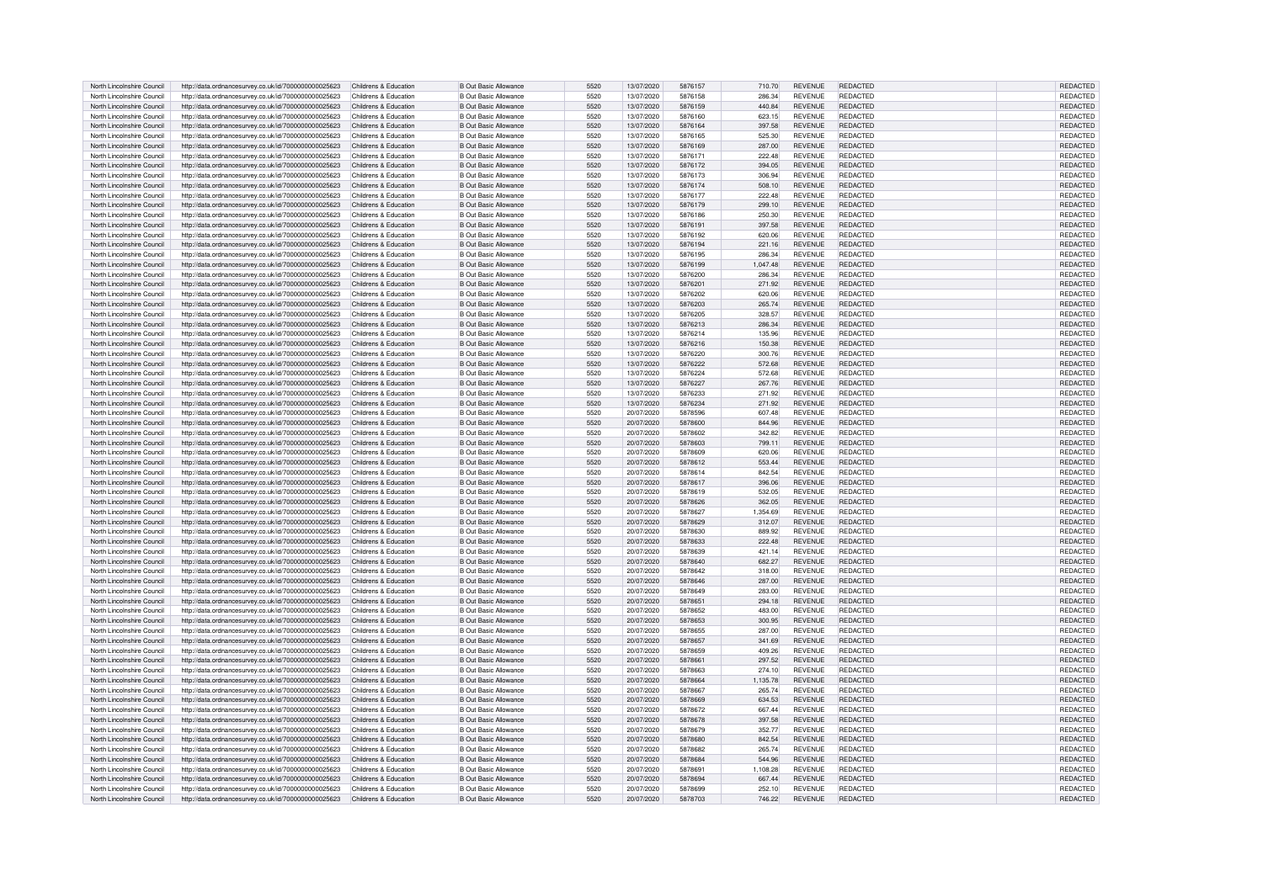| North Lincolnshire Council                               | http://data.ordnancesurvey.co.uk/id/7000000000025623                                                         | Childrens & Education                          | <b>B Out Basic Allowance</b>                                 | 5520         | 13/07/2020               | 5876157            | 710.70           | REVENUE                   | REDACTED                    | REDACTED                    |
|----------------------------------------------------------|--------------------------------------------------------------------------------------------------------------|------------------------------------------------|--------------------------------------------------------------|--------------|--------------------------|--------------------|------------------|---------------------------|-----------------------------|-----------------------------|
| North Lincolnshire Council                               | http://data.ordnancesurvev.co.uk/id/7000000000025623                                                         | Childrens & Education                          | <b>B Out Basic Allowance</b>                                 | 5520         | 13/07/2020               | 5876158            | 286.34           | <b>REVENUE</b>            | <b>REDACTED</b>             | REDACTED                    |
| North Lincolnshire Council                               | http://data.ordnancesurvey.co.uk/id/7000000000025623                                                         | Childrens & Education                          | <b>B Out Basic Allowance</b>                                 | 5520         | 13/07/2020               | 5876159            | 440.84           | <b>REVENUE</b>            | <b>REDACTED</b>             | REDACTED                    |
| North Lincolnshire Council                               | http://data.ordnancesurvey.co.uk/id/7000000000025623                                                         | Childrens & Education                          | B Out Basic Allowance                                        | 5520         | 13/07/2020               | 5876160            | 623.15           | <b>REVENUE</b>            | <b>REDACTED</b>             | <b>REDACTEI</b>             |
| North Lincolnshire Council                               | http://data.ordnancesurvey.co.uk/id/7000000000025623                                                         | Childrens & Education                          | <b>B Out Basic Allowance</b>                                 | 5520         | 13/07/2020               | 5876164            | 397.58           | <b>REVENUE</b>            | <b>REDACTED</b>             | REDACTED                    |
|                                                          |                                                                                                              |                                                |                                                              |              |                          |                    |                  |                           |                             |                             |
| North Lincolnshire Council                               | http://data.ordnancesurvey.co.uk/id/7000000000025623                                                         | Childrens & Education                          | <b>B Out Basic Allowance</b>                                 | 5520         | 13/07/2020               | 5876165            | 525.30           | <b>REVENUE</b>            | <b>REDACTED</b>             | REDACTED                    |
| North Lincolnshire Council                               | http://data.ordnancesurvey.co.uk/id/7000000000025623                                                         | Childrens & Education                          | B Out Basic Allowance                                        | 5520         | 13/07/2020               | 5876169            | 287.00           | <b>REVENUE</b>            | REDACTED                    | REDACTED                    |
| North Lincolnshire Council                               | http://data.ordnancesurvey.co.uk/id/7000000000025623                                                         | Childrens & Education                          | B Out Basic Allowance                                        | 5520         | 13/07/2020               | 5876171            | 222.48           | <b>REVENUE</b>            | <b>REDACTED</b>             | <b>REDACTED</b>             |
| North Lincolnshire Council                               | http://data.ordnancesurvey.co.uk/id/7000000000025623                                                         | Childrens & Education                          | <b>B Out Basic Allowance</b>                                 | 5520         | 13/07/2020               | 5876172            | 394.05           | <b>REVENUE</b>            | <b>REDACTED</b>             | REDACTED                    |
|                                                          |                                                                                                              |                                                |                                                              |              |                          |                    |                  |                           |                             |                             |
| North Lincolnshire Council                               | http://data.ordnancesurvey.co.uk/id/7000000000025623                                                         | Childrens & Education                          | <b>B Out Basic Allowance</b>                                 | 5520         | 13/07/2020               | 5876173            | 306.94           | <b>REVENUE</b>            | <b>REDACTED</b>             | <b>REDACTED</b>             |
| North Lincolnshire Council                               | http://data.ordnancesurvey.co.uk/id/7000000000025623                                                         | Childrens & Education                          | <b>B Out Basic Allowance</b>                                 | 5520         | 13/07/2020               | 5876174            | 508.10           | <b>REVENUE</b>            | <b>REDACTED</b>             | REDACTED                    |
| North Lincolnshire Council                               | http://data.ordnancesurvey.co.uk/id/7000000000025623                                                         | Childrens & Education                          | <b>B</b> Out Basic Allowance                                 | 5520         | 13/07/2020               | 5876177            | 222.48           | REVENUE                   | <b>REDACTED</b>             | REDACTED                    |
| North Lincolnshire Council                               | http://data.ordnancesurvey.co.uk/id/7000000000025623                                                         | Childrens & Education                          | <b>B Out Basic Allowance</b>                                 | 5520         | 13/07/2020               | 5876179            | 299.10           | <b>REVENUE</b>            | <b>REDACTED</b>             | <b>REDACTED</b>             |
| North Lincolnshire Council                               | http://data.ordnancesurvey.co.uk/id/7000000000025623                                                         | Childrens & Education                          | <b>B</b> Out Basic Allowance                                 | 5520         | 13/07/2020               | 5876186            | 250.30           | <b>REVENUE</b>            | <b>REDACTED</b>             | REDACTED                    |
|                                                          |                                                                                                              |                                                |                                                              |              |                          |                    |                  |                           |                             |                             |
| North Lincolnshire Council                               | http://data.ordnancesurvey.co.uk/id/7000000000025623                                                         | Childrens & Education                          | B Out Basic Allowance                                        | 5520         | 13/07/2020               | 5876191            | 397.58           | <b>REVENUE</b>            | <b>REDACTED</b>             | <b>REDACTED</b>             |
| North Lincolnshire Council                               | http://data.ordnancesurvey.co.uk/id/7000000000025623                                                         | Childrens & Education                          | B Out Basic Allowance                                        | 5520         | 13/07/2020               | 5876192            | 620.06           | <b>REVENUE</b>            | <b>REDACTED</b>             | <b>REDACTED</b>             |
| North Lincolnshire Council                               | http://data.ordnancesurvey.co.uk/id/7000000000025623                                                         | Childrens & Education                          | <b>B Out Basic Allowance</b>                                 | 5520         | 13/07/2020               | 5876194            | 221.16           | <b>REVENUE</b>            | <b>REDACTED</b>             | REDACTED                    |
| North Lincolnshire Council                               | http://data.ordnancesurvey.co.uk/id/7000000000025623                                                         | Childrens & Education                          | <b>B Out Basic Allowance</b>                                 | 5520         | 13/07/2020               | 5876195            | 286.34           | <b>REVENUE</b>            | REDACTED                    | REDACTED                    |
| North Lincolnshire Council                               | http://data.ordnancesurvey.co.uk/id/7000000000025623                                                         | Childrens & Education                          | <b>B Out Basic Allowance</b>                                 | 5520         | 13/07/2020               | 5876199            | 1.047.48         | <b>REVENUE</b>            | REDACTED                    | REDACTED                    |
|                                                          |                                                                                                              |                                                |                                                              |              |                          |                    |                  | <b>REVENUE</b>            | <b>REDACTED</b>             |                             |
| North Lincolnshire Council                               | http://data.ordnancesurvey.co.uk/id/7000000000025623                                                         | Childrens & Education                          | <b>B</b> Out Basic Allowance                                 | 5520         | 13/07/2020               | 5876200            | 286.34           |                           |                             | REDACTED                    |
| North Lincolnshire Council                               | http://data.ordnancesurvey.co.uk/id/7000000000025623                                                         | Childrens & Education                          | <b>B Out Basic Allowance</b>                                 | 5520         | 13/07/2020               | 5876201            | 271.92           | REVENUE                   | <b>REDACTED</b>             | REDACTED                    |
| North Lincolnshire Council                               | http://data.ordnancesurvey.co.uk/id/7000000000025623                                                         | Childrens & Education                          | <b>B Out Basic Allowance</b>                                 | 5520         | 13/07/2020               | 5876202            | 620.06           | <b>REVENUE</b>            | <b>REDACTED</b>             | REDACTED                    |
| North Lincolnshire Council                               | http://data.ordnancesurvey.co.uk/id/7000000000025623                                                         | Childrens & Education                          | <b>B Out Basic Allowance</b>                                 | 5520         | 13/07/2020               | 5876203            | 265.74           | <b>REVENUE</b>            | <b>REDACTED</b>             | REDACTED                    |
| North Lincolnshire Council                               | http://data.ordnancesurvey.co.uk/id/7000000000025623                                                         | Childrens & Education                          | <b>B Out Basic Allowance</b>                                 | 5520         | 13/07/2020               | 5876205            | 328.57           | <b>REVENUE</b>            | <b>REDACTED</b>             | REDACTED                    |
|                                                          |                                                                                                              |                                                |                                                              |              |                          |                    |                  |                           |                             |                             |
| North Lincolnshire Council                               | http://data.ordnancesurvey.co.uk/id/7000000000025623                                                         | Childrens & Education                          | <b>B Out Basic Allowance</b>                                 | 5520         | 13/07/2020               | 5876213            | 286.34           | <b>REVENUE</b>            | <b>REDACTED</b>             | REDACTED                    |
| North Lincolnshire Council                               | http://data.ordnancesurvey.co.uk/id/7000000000025623                                                         | Childrens & Education                          | <b>B</b> Out Basic Allowance                                 | 5520         | 13/07/2020               | 5876214            | 135.96           | <b>REVENUE</b>            | <b>REDACTED</b>             | REDACTED                    |
| North Lincolnshire Council                               | http://data.ordnancesurvey.co.uk/id/7000000000025623                                                         | Childrens & Education                          | <b>B Out Basic Allowance</b>                                 | 5520         | 13/07/2020               | 5876216            | 150.38           | REVENUE                   | <b>REDACTED</b>             | REDACTED                    |
| North Lincolnshire Council                               | http://data.ordnancesurvey.co.uk/id/7000000000025623                                                         | Childrens & Education                          | <b>B</b> Out Basic Allowance                                 | 5520         | 13/07/2020               | 5876220            | 300.76           | <b>REVENUE</b>            | <b>REDACTED</b>             | REDACTED                    |
| North Lincolnshire Council                               | http://data.ordnancesurvey.co.uk/id/7000000000025623                                                         | Childrens & Education                          | <b>B Out Basic Allowance</b>                                 | 5520         | 13/07/2020               | 5876222            | 572.68           | REVENUE                   | <b>REDACTED</b>             | REDACTED                    |
|                                                          |                                                                                                              |                                                |                                                              |              |                          |                    |                  |                           |                             |                             |
| North Lincolnshire Council                               | http://data.ordnancesurvey.co.uk/id/7000000000025623                                                         | Childrens & Education                          | <b>B</b> Out Basic Allowance                                 | 5520         | 13/07/2020               | 5876224            | 572.68           | <b>REVENUE</b>            | <b>REDACTED</b>             | REDACTED                    |
| North Lincolnshire Council                               | http://data.ordnancesurvey.co.uk/id/7000000000025623                                                         | Childrens & Education                          | <b>B Out Basic Allowance</b>                                 | 5520         | 13/07/2020               | 5876227            | 267.76           | <b>REVENUE</b>            | <b>REDACTED</b>             | REDACTED                    |
| North Lincolnshire Council                               | http://data.ordnancesurvey.co.uk/id/7000000000025623                                                         | Childrens & Education                          | <b>B Out Basic Allowance</b>                                 | 5520         | 13/07/2020               | 5876233            | 271.92           | <b>REVENUE</b>            | <b>REDACTED</b>             | REDACTED                    |
| North Lincolnshire Council                               | http://data.ordnancesurvey.co.uk/id/7000000000025623                                                         | Childrens & Education                          | <b>B Out Basic Allowance</b>                                 | 5520         | 13/07/2020               | 5876234            | 271.92           | <b>REVENUE</b>            | <b>REDACTED</b>             | REDACTED                    |
|                                                          |                                                                                                              |                                                |                                                              |              |                          | 5878596            |                  |                           |                             |                             |
| North Lincolnshire Council                               | http://data.ordnancesurvey.co.uk/id/7000000000025623                                                         | Childrens & Education                          | <b>B Out Basic Allowance</b>                                 | 5520         | 20/07/2020               |                    | 607.48           | <b>REVENUE</b>            | REDACTED                    | REDACTED                    |
| North Lincolnshire Council                               | http://data.ordnancesurvey.co.uk/id/7000000000025623                                                         | Childrens & Education                          | <b>B Out Basic Allowance</b>                                 | 5520         | 20/07/2020               | 5878600            | 844.96           | <b>REVENUE</b>            | <b>REDACTED</b>             | REDACTED                    |
| North Lincolnshire Council                               | http://data.ordnancesurvey.co.uk/id/7000000000025623                                                         | Childrens & Education                          | <b>B Out Basic Allowance</b>                                 | 5520         | 20/07/2020               | 5878602            | 342.82           | <b>REVENUE</b>            | <b>REDACTED</b>             | <b>REDACTED</b>             |
| North Lincolnshire Council                               | http://data.ordnancesurvey.co.uk/id/7000000000025623                                                         | Childrens & Education                          | <b>B Out Basic Allowance</b>                                 | 5520         | 20/07/2020               | 5878603            | 799.11           | <b>REVENUE</b>            | <b>REDACTED</b>             | REDACTED                    |
| North Lincolnshire Council                               | http://data.ordnancesurvey.co.uk/id/7000000000025623                                                         | Childrens & Education                          | <b>B</b> Out Basic Allowance                                 | 5520         | 20/07/2020               | 5878609            | 620.06           | <b>REVENUE</b>            | <b>REDACTED</b>             | REDACTED                    |
|                                                          |                                                                                                              |                                                |                                                              |              |                          |                    |                  |                           |                             |                             |
| North Lincolnshire Council                               | http://data.ordnancesurvey.co.uk/id/7000000000025623                                                         | Childrens & Education                          | <b>B Out Basic Allowance</b>                                 | 5520         | 20/07/2020               | 5878612            | 553.44           | <b>REVENUE</b>            | <b>REDACTED</b>             | REDACTED                    |
| North Lincolnshire Council                               | http://data.ordnancesurvey.co.uk/id/7000000000025623                                                         | Childrens & Education                          | <b>B</b> Out Basic Allowance                                 | 5520         | 20/07/2020               | 5878614            | 842.54           | <b>REVENUE</b>            | <b>REDACTED</b>             | REDACTED                    |
| North Lincolnshire Council                               | http://data.ordnancesurvey.co.uk/id/7000000000025623                                                         | Childrens & Education                          | <b>B Out Basic Allowance</b>                                 | 5520         | 20/07/2020               | 5878617            | 396.06           | <b>REVENUE</b>            | <b>REDACTED</b>             | REDACTED                    |
| North Lincolnshire Council                               | http://data.ordnancesurvey.co.uk/id/7000000000025623                                                         | Childrens & Education                          | B Out Basic Allowance                                        | 5520         | 20/07/2020               | 5878619            | 532.05           | <b>REVENUE</b>            | <b>REDACTED</b>             | <b>REDACTED</b>             |
| North Lincolnshire Council                               |                                                                                                              | Childrens & Education                          | B Out Basic Allowance                                        | 5520         | 20/07/2020               | 5878626            | 362.05           | <b>REVENUE</b>            | <b>REDACTED</b>             | <b>REDACTED</b>             |
|                                                          | http://data.ordnancesurvey.co.uk/id/7000000000025623                                                         |                                                |                                                              |              |                          |                    |                  |                           |                             |                             |
| North Lincolnshire Council                               | http://data.ordnancesurvey.co.uk/id/7000000000025623                                                         | Childrens & Education                          | <b>B Out Basic Allowance</b>                                 | 5520         | 20/07/2020               | 5878627            | 1.354.69         | <b>REVENUE</b>            | <b>REDACTED</b>             | REDACTED                    |
| North Lincolnshire Council                               | http://data.ordnancesurvey.co.uk/id/7000000000025623                                                         | Childrens & Education                          | <b>B Out Basic Allowance</b>                                 | 5520         | 20/07/2020               | 5878629            | 312.07           | <b>REVENUE</b>            | <b>REDACTED</b>             | REDACTED                    |
| North Lincolnshire Council                               | http://data.ordnancesurvey.co.uk/id/7000000000025623                                                         | Childrens & Education                          | <b>B</b> Out Basic Allowance                                 | 5520         | 20/07/2020               | 5878630            | 889.92           | <b>REVENUE</b>            | <b>REDACTED</b>             | REDACTED                    |
| North Lincolnshire Council                               | http://data.ordnancesurvey.co.uk/id/7000000000025623                                                         | Childrens & Education                          | <b>B Out Basic Allowance</b>                                 | 5520         | 20/07/2020               | 5878633            | 222.48           | <b>REVENUE</b>            | <b>REDACTED</b>             | REDACTED                    |
| North Lincolnshire Council                               |                                                                                                              | Childrens & Education                          | <b>B Out Basic Allowance</b>                                 | 5520         | 20/07/2020               | 5878639            | 421.14           | <b>REVENUE</b>            | <b>REDACTED</b>             | REDACTED                    |
|                                                          | http://data.ordnancesurvey.co.uk/id/7000000000025623                                                         |                                                |                                                              |              |                          |                    |                  |                           |                             |                             |
| North Lincolnshire Council                               | http://data.ordnancesurvey.co.uk/id/7000000000025623                                                         | Childrens & Education                          | <b>B Out Basic Allowance</b>                                 | 5520         | 20/07/2020               | 5878640            | 682.27           | <b>REVENUE</b>            | <b>REDACTED</b>             | REDACTED                    |
| North Lincolnshire Council                               | http://data.ordnancesurvey.co.uk/id/7000000000025623                                                         | Childrens & Education                          | <b>B</b> Out Basic Allowance                                 | 5520         | 20/07/2020               | 5878642            | 318.00           | <b>REVENUE</b>            | <b>REDACTED</b>             | <b>REDACTED</b>             |
| North Lincolnshire Council                               | http://data.ordnancesurvey.co.uk/id/7000000000025623                                                         | Childrens & Education                          | B Out Basic Allowance                                        | 5520         | 20/07/2020               | 5878646            | 287.00           | <b>REVENUE</b>            | <b>REDACTED</b>             | REDACTED                    |
| North Lincolnshire Council                               | http://data.ordnancesurvey.co.uk/id/7000000000025623                                                         | Childrens & Education                          | <b>B Out Basic Allowance</b>                                 | 5520         | 20/07/2020               | 5878649            | 283.00           | <b>REVENUE</b>            | <b>REDACTED</b>             | REDACTED                    |
| North Lincolnshire Council                               | http://data.ordnancesurvey.co.uk/id/7000000000025623                                                         | Childrens & Education                          | <b>B Out Basic Allowance</b>                                 | 5520         | 20/07/2020               | 5878651            | 294.18           | <b>REVENUE</b>            | <b>REDACTED</b>             | REDACTED                    |
|                                                          |                                                                                                              |                                                |                                                              |              |                          |                    |                  |                           |                             |                             |
| North Lincolnshire Council                               | http://data.ordnancesurvey.co.uk/id/7000000000025623                                                         | Childrens & Education                          | B Out Basic Allowance                                        | 5520         | 20/07/2020               | 5878652            | 483.00           | <b>REVENUE</b>            | <b>REDACTED</b>             | REDACTED                    |
| North Lincolnshire Council                               | http://data.ordnancesurvey.co.uk/id/7000000000025623                                                         | Childrens & Education                          | B Out Basic Allowance                                        | 5520         | 20/07/2020               | 5878653            | 300.95           | <b>REVENUE</b>            | <b>REDACTED</b>             | <b>REDACTED</b>             |
| North Lincolnshire Council                               | http://data.ordnancesurvey.co.uk/id/7000000000025623                                                         | Childrens & Education                          | <b>B Out Basic Allowance</b>                                 | 5520         | 20/07/2020               | 5878655            | 287.00           | <b>REVENUE</b>            | <b>REDACTED</b>             | <b>REDACTED</b>             |
| North Lincolnshire Council                               | http://data.ordnancesurvey.co.uk/id/7000000000025623                                                         | Childrens & Education                          | <b>B Out Basic Allowance</b>                                 | 5520         | 20/07/2020               | 5878657            | 341.69           | <b>REVENUE</b>            | REDACTED                    | REDACTED                    |
|                                                          |                                                                                                              |                                                |                                                              | 5520         |                          |                    | 409.26           |                           |                             |                             |
| North Lincolnshire Council                               | http://data.ordnancesurvey.co.uk/id/7000000000025623                                                         | Childrens & Education                          | <b>B Out Basic Allowance</b>                                 |              | 20/07/2020               | 5878659            |                  | <b>REVENUE</b>            | <b>REDACTED</b>             | <b>REDACTED</b>             |
| North Lincolnshire Council                               |                                                                                                              |                                                |                                                              |              |                          |                    |                  |                           |                             |                             |
|                                                          | http://data.ordnancesurvey.co.uk/id/7000000000025623                                                         | Childrens & Education                          | <b>B Out Basic Allowance</b>                                 | 5520         | 20/07/2020               | 5878661            | 297.52           | <b>REVENUE</b>            | <b>REDACTED</b>             | REDACTED                    |
| North Lincolnshire Council                               | http://data.ordnancesurvey.co.uk/id/7000000000025623                                                         | Childrens & Education                          | <b>B Out Basic Allowance</b>                                 | 5520         | 20/07/2020               | 5878663            | 274.10           | <b>REVENUE</b>            | <b>REDACTED</b>             | <b>REDACTED</b>             |
| North Lincolnshire Council                               | http://data.ordnancesurvey.co.uk/id/7000000000025623                                                         | Childrens & Education                          | <b>B Out Basic Allowance</b>                                 | 5520         | 20/07/2020               | 5878664            | 1,135.78         | <b>REVENUE</b>            | <b>REDACTED</b>             | REDACTED                    |
|                                                          |                                                                                                              |                                                |                                                              |              |                          |                    |                  |                           |                             |                             |
| North Lincolnshire Council                               | http://data.ordnancesurvey.co.uk/id/7000000000025623                                                         | Childrens & Education                          | <b>B</b> Out Basic Allowance                                 | 5520         | 20/07/2020               | 5878667            | 265.74           | <b>REVENUE</b>            | <b>REDACTED</b>             | REDACTED                    |
| North Lincolnshire Council                               | http://data.ordnancesurvey.co.uk/id/7000000000025623                                                         | Childrens & Education                          | <b>B Out Basic Allowance</b>                                 | 5520         | 20/07/2020               | 5878669            | 634.53           | <b>REVENUE</b>            | <b>REDACTED</b>             | <b>REDACTED</b>             |
| North Lincolnshire Council                               | http://data.ordnancesurvey.co.uk/id/7000000000025623                                                         | Childrens & Education                          | <b>B</b> Out Basic Allowance                                 | 5520         | 20/07/2020               | 5878672            | 667.44           | <b>REVENUE</b>            | <b>REDACTED</b>             | REDACTED                    |
| North Lincolnshire Council                               | http://data.ordnancesurvey.co.uk/id/7000000000025623                                                         | Childrens & Education                          | B Out Basic Allowance                                        | 5520         | 20/07/2020               | 5878678            | 397.58           | <b>REVENUE</b>            | <b>REDACTED</b>             | REDACTED                    |
| North Lincolnshire Council                               |                                                                                                              |                                                |                                                              | 5520         | 20/07/2020               | 5878679            | 352.77           | <b>REVENUE</b>            | <b>REDACTED</b>             | REDACTED                    |
|                                                          | http://data.ordnancesurvey.co.uk/id/7000000000025623                                                         | Childrens & Education<br>Childrens & Education | <b>B Out Basic Allowance</b>                                 | 5520         | 20/07/2020               | 5878680            | 842.54           | <b>REVENUE</b>            |                             |                             |
| North Lincolnshire Council                               | http://data.ordnancesurvey.co.uk/id/7000000000025623                                                         |                                                | <b>B Out Basic Allowance</b>                                 |              |                          |                    |                  |                           | <b>REDACTED</b>             | REDACTED                    |
| North Lincolnshire Council                               | http://data.ordnancesurvey.co.uk/id/7000000000025623                                                         | Childrens & Education                          | <b>B Out Basic Allowance</b>                                 | 5520         | 20/07/2020               | 5878682            | 265.74           | <b>REVENUE</b>            | <b>REDACTED</b>             | REDACTED                    |
| North Lincolnshire Council                               | http://data.ordnancesurvey.co.uk/id/7000000000025623                                                         | Childrens & Education                          | <b>B Out Basic Allowance</b>                                 | 5520         | 20/07/2020               | 5878684            | 544.96           | <b>REVENUE</b>            | <b>REDACTED</b>             | REDACTED                    |
| North Lincolnshire Council                               | http://data.ordnancesurvey.co.uk/id/7000000000025623                                                         | Childrens & Education                          | <b>B Out Basic Allowance</b>                                 | 5520         | 20/07/2020               | 5878691            | 1,108.28         | REVENUE                   | <b>REDACTED</b>             | REDACTED                    |
| North Lincolnshire Council                               |                                                                                                              | Childrens & Education                          | B Out Basic Allowance                                        | 5520         | 20/07/2020               | 5878694            | 667.44           | <b>REVENUE</b>            | <b>REDACTED</b>             | REDACTED                    |
|                                                          | http://data.ordnancesurvey.co.uk/id/7000000000025623                                                         |                                                |                                                              |              |                          |                    |                  |                           |                             |                             |
| North Lincolnshire Council<br>North Lincolnshire Council | http://data.ordnancesurvey.co.uk/id/7000000000025623<br>http://data.ordnancesurvey.co.uk/id/7000000000025623 | Childrens & Education<br>Childrens & Education | <b>B Out Basic Allowance</b><br><b>B Out Basic Allowance</b> | 5520<br>5520 | 20/07/2020<br>20/07/2020 | 5878699<br>5878703 | 252.10<br>746.22 | <b>REVENUE</b><br>REVENUE | REDACTED<br><b>REDACTED</b> | REDACTED<br><b>REDACTED</b> |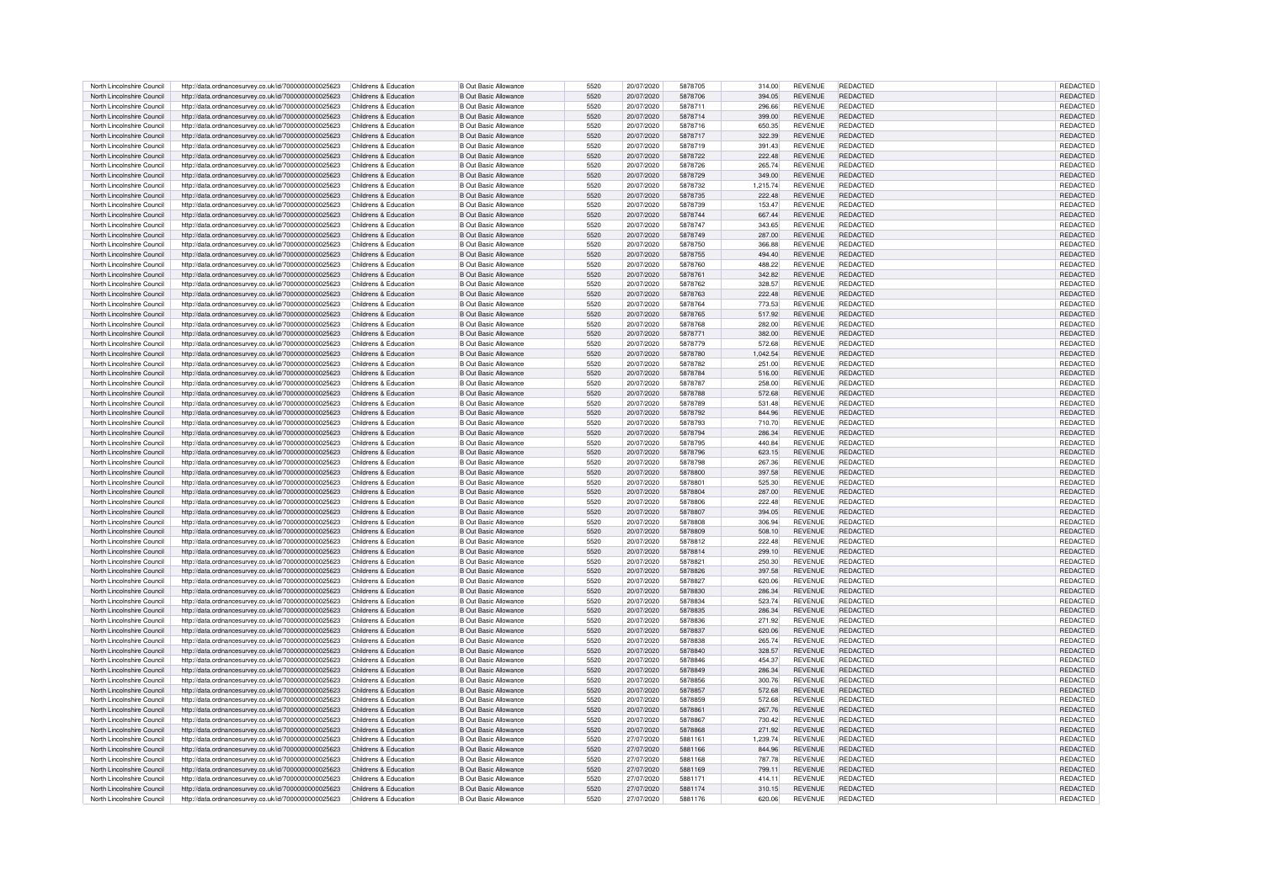| North Lincolnshire Council | http://data.ordnancesurvey.co.uk/id/7000000000025623 | Childrens & Education | <b>B</b> Out Basic Allowance | 5520 | 20/07/2020 | 5878705 | 314.00   | <b>REVENUE</b> | REDACTED        | REDACTED        |
|----------------------------|------------------------------------------------------|-----------------------|------------------------------|------|------------|---------|----------|----------------|-----------------|-----------------|
| North Lincolnshire Council | http://data.ordnancesurvev.co.uk/id/7000000000025623 | Childrens & Education | <b>B Out Basic Allowance</b> | 5520 | 20/07/2020 | 5878706 | 394.05   | <b>REVENUE</b> | <b>REDACTED</b> | REDACTED        |
| North Lincolnshire Council | http://data.ordnancesurvey.co.uk/id/7000000000025623 | Childrens & Education | <b>B Out Basic Allowance</b> | 5520 | 20/07/2020 | 5878711 | 296.66   | <b>REVENUE</b> | <b>REDACTED</b> | REDACTED        |
| North Lincolnshire Council | http://data.ordnancesurvey.co.uk/id/7000000000025623 | Childrens & Education | <b>B Out Basic Allowance</b> | 5520 | 20/07/2020 | 5878714 | 399.00   | <b>REVENUE</b> | <b>REDACTED</b> | <b>REDACTED</b> |
| North Lincolnshire Council | http://data.ordnancesurvey.co.uk/id/7000000000025623 | Childrens & Education | <b>B Out Basic Allowance</b> | 5520 | 20/07/2020 | 5878716 | 650.35   | <b>REVENUE</b> | <b>REDACTED</b> | REDACTED        |
|                            |                                                      |                       |                              |      |            |         |          |                |                 |                 |
| North Lincolnshire Council | http://data.ordnancesurvey.co.uk/id/7000000000025623 | Childrens & Education | <b>B Out Basic Allowance</b> | 5520 | 20/07/2020 | 5878717 | 322.39   | <b>REVENUE</b> | <b>REDACTED</b> | REDACTED        |
| North Lincolnshire Council | http://data.ordnancesurvey.co.uk/id/7000000000025623 | Childrens & Education | B Out Basic Allowance        | 5520 | 20/07/2020 | 5878719 | 391.43   | <b>REVENUE</b> | <b>REDACTED</b> | <b>REDACTED</b> |
| North Lincolnshire Council | http://data.ordnancesurvey.co.uk/id/7000000000025623 | Childrens & Education | B Out Basic Allowance        | 5520 | 20/07/2020 | 5878722 | 222.48   | <b>REVENUE</b> | <b>REDACTED</b> | <b>REDACTED</b> |
| North Lincolnshire Council | http://data.ordnancesurvey.co.uk/id/7000000000025623 | Childrens & Education | <b>B Out Basic Allowance</b> | 5520 | 20/07/2020 | 5878726 | 265.74   | <b>REVENUE</b> | REDACTED        | <b>REDACTED</b> |
|                            |                                                      |                       |                              |      |            |         |          |                |                 |                 |
| North Lincolnshire Council | http://data.ordnancesurvey.co.uk/id/7000000000025623 | Childrens & Education | <b>B Out Basic Allowance</b> | 5520 | 20/07/2020 | 5878729 | 349.00   | <b>REVENUE</b> | <b>REDACTED</b> | REDACTED        |
| North Lincolnshire Council | http://data.ordnancesurvey.co.uk/id/7000000000025623 | Childrens & Education | <b>B Out Basic Allowance</b> | 5520 | 20/07/2020 | 5878732 | 1.215.74 | <b>REVENUE</b> | <b>REDACTED</b> | REDACTED        |
| North Lincolnshire Council | http://data.ordnancesurvey.co.uk/id/7000000000025623 | Childrens & Education | <b>B Out Basic Allowance</b> | 5520 | 20/07/2020 | 5878735 | 222.48   | REVENUE        | <b>REDACTED</b> | REDACTED        |
| North Lincolnshire Council | http://data.ordnancesurvey.co.uk/id/7000000000025623 | Childrens & Education | <b>B Out Basic Allowance</b> | 5520 | 20/07/2020 | 5878739 | 153.47   | <b>REVENUE</b> | <b>REDACTED</b> | <b>REDACTED</b> |
| North Lincolnshire Council | http://data.ordnancesurvey.co.uk/id/7000000000025623 | Childrens & Education | <b>B Out Basic Allowance</b> | 5520 | 20/07/2020 | 5878744 | 667.44   | <b>REVENUE</b> | <b>REDACTED</b> | REDACTED        |
|                            |                                                      |                       |                              |      |            |         |          |                |                 |                 |
| North Lincolnshire Council | http://data.ordnancesurvey.co.uk/id/7000000000025623 | Childrens & Education | B Out Basic Allowance        | 5520 | 20/07/2020 | 5878747 | 343.65   | <b>REVENUE</b> | <b>REDACTED</b> | <b>REDACTED</b> |
| North Lincolnshire Council | http://data.ordnancesurvey.co.uk/id/7000000000025623 | Childrens & Education | B Out Basic Allowance        | 5520 | 20/07/2020 | 5878749 | 287.00   | <b>REVENUE</b> | <b>REDACTED</b> | <b>REDACTED</b> |
| North Lincolnshire Council | http://data.ordnancesurvey.co.uk/id/7000000000025623 | Childrens & Education | <b>B Out Basic Allowance</b> | 5520 | 20/07/2020 | 5878750 | 366.88   | <b>REVENUE</b> | <b>REDACTED</b> | REDACTED        |
| North Lincolnshire Council | http://data.ordnancesurvey.co.uk/id/7000000000025623 | Childrens & Education | B Out Basic Allowance        | 5520 | 20/07/2020 | 5878755 | 494.40   | <b>REVENUE</b> | <b>REDACTED</b> | REDACTED        |
| North Lincolnshire Council | http://data.ordnancesurvey.co.uk/id/7000000000025623 | Childrens & Education | <b>B Out Basic Allowance</b> | 5520 | 20/07/2020 | 5878760 | 488.22   | <b>REVENUE</b> | REDACTED        | REDACTED        |
|                            |                                                      |                       |                              |      |            |         | 342.82   | <b>REVENUE</b> | <b>REDACTED</b> |                 |
| North Lincolnshire Council | http://data.ordnancesurvey.co.uk/id/7000000000025623 | Childrens & Education | <b>B Out Basic Allowance</b> | 5520 | 20/07/2020 | 5878761 |          |                |                 | REDACTED        |
| North Lincolnshire Council | http://data.ordnancesurvey.co.uk/id/7000000000025623 | Childrens & Education | <b>B Out Basic Allowance</b> | 5520 | 20/07/2020 | 5878762 | 328.57   | <b>REVENUE</b> | <b>REDACTED</b> | REDACTED        |
| North Lincolnshire Council | http://data.ordnancesurvey.co.uk/id/7000000000025623 | Childrens & Education | <b>B Out Basic Allowance</b> | 5520 | 20/07/2020 | 5878763 | 222.48   | REVENUE        | <b>REDACTED</b> | REDACTED        |
| North Lincolnshire Council | http://data.ordnancesurvey.co.uk/id/7000000000025623 | Childrens & Education | <b>B Out Basic Allowance</b> | 5520 | 20/07/2020 | 5878764 | 773.53   | <b>REVENUE</b> | <b>REDACTED</b> | REDACTED        |
| North Lincolnshire Council | http://data.ordnancesurvey.co.uk/id/7000000000025623 | Childrens & Education | <b>B Out Basic Allowance</b> | 5520 | 20/07/2020 | 5878765 | 517.92   | REVENUE        | <b>REDACTED</b> | REDACTED        |
|                            |                                                      |                       |                              |      |            |         |          |                |                 |                 |
| North Lincolnshire Council | http://data.ordnancesurvey.co.uk/id/7000000000025623 | Childrens & Education | <b>B Out Basic Allowance</b> | 5520 | 20/07/2020 | 5878768 | 282.00   | <b>REVENUE</b> | <b>REDACTED</b> | REDACTED        |
| North Lincolnshire Council | http://data.ordnancesurvey.co.uk/id/7000000000025623 | Childrens & Education | <b>B Out Basic Allowance</b> | 5520 | 20/07/2020 | 5878771 | 382.00   | REVENUE        | <b>REDACTED</b> | REDACTED        |
| North Lincolnshire Council | http://data.ordnancesurvey.co.uk/id/7000000000025623 | Childrens & Education | <b>B Out Basic Allowance</b> | 5520 | 20/07/2020 | 5878779 | 572.68   | <b>REVENUE</b> | <b>REDACTED</b> | REDACTED        |
| North Lincolnshire Council | http://data.ordnancesurvey.co.uk/id/7000000000025623 | Childrens & Education | <b>B Out Basic Allowance</b> | 5520 | 20/07/2020 | 5878780 | 1,042.54 | <b>REVENUE</b> | <b>REDACTED</b> | REDACTED        |
| North Lincolnshire Council | http://data.ordnancesurvev.co.uk/id/7000000000025623 | Childrens & Education | <b>B Out Basic Allowance</b> | 5520 | 20/07/2020 | 5878782 | 251.00   | <b>REVENUE</b> | <b>REDACTED</b> | REDACTED        |
|                            |                                                      |                       |                              |      |            |         |          |                |                 |                 |
| North Lincolnshire Council | http://data.ordnancesurvey.co.uk/id/7000000000025623 | Childrens & Education | <b>B Out Basic Allowance</b> | 5520 | 20/07/2020 | 5878784 | 516.00   | <b>REVENUE</b> | <b>REDACTED</b> | REDACTED        |
| North Lincolnshire Council | http://data.ordnancesurvey.co.uk/id/7000000000025623 | Childrens & Education | <b>B Out Basic Allowance</b> | 5520 | 20/07/2020 | 5878787 | 258.00   | <b>REVENUE</b> | <b>REDACTED</b> | REDACTED        |
| North Lincolnshire Council | http://data.ordnancesurvey.co.uk/id/7000000000025623 | Childrens & Education | <b>B Out Basic Allowance</b> | 5520 | 20/07/2020 | 5878788 | 572.68   | <b>REVENUE</b> | REDACTED        | REDACTED        |
| North Lincolnshire Council | http://data.ordnancesurvey.co.uk/id/7000000000025623 | Childrens & Education | <b>B Out Basic Allowance</b> | 5520 | 20/07/2020 | 5878789 | 531.48   | <b>REVENUE</b> | <b>REDACTED</b> | REDACTED        |
| North Lincolnshire Council |                                                      | Childrens & Education |                              | 5520 | 20/07/2020 | 5878792 |          | <b>REVENUE</b> | REDACTED        | REDACTED        |
|                            | http://data.ordnancesurvey.co.uk/id/7000000000025623 |                       | <b>B Out Basic Allowance</b> |      |            |         | 844.96   |                |                 |                 |
| North Lincolnshire Council | http://data.ordnancesurvey.co.uk/id/7000000000025623 | Childrens & Education | <b>B Out Basic Allowance</b> | 5520 | 20/07/2020 | 5878793 | 710.70   | <b>REVENUE</b> | <b>REDACTED</b> | REDACTED        |
| North Lincolnshire Council | http://data.ordnancesurvey.co.uk/id/7000000000025623 | Childrens & Education | <b>B Out Basic Allowance</b> | 5520 | 20/07/2020 | 5878794 | 286.34   | <b>REVENUE</b> | <b>REDACTED</b> | REDACTED        |
| North Lincolnshire Council | http://data.ordnancesurvey.co.uk/id/7000000000025623 | Childrens & Education | <b>B Out Basic Allowance</b> | 5520 | 20/07/2020 | 5878795 | 440.84   | <b>REVENUE</b> | <b>REDACTED</b> | REDACTED        |
| North Lincolnshire Council | http://data.ordnancesurvey.co.uk/id/7000000000025623 | Childrens & Education | <b>B Out Basic Allowance</b> | 5520 | 20/07/2020 | 5878796 | 623.15   | <b>REVENUE</b> | <b>REDACTED</b> | REDACTED        |
|                            |                                                      |                       |                              | 5520 | 20/07/2020 | 5878798 |          | <b>REVENUE</b> | <b>REDACTED</b> |                 |
| North Lincolnshire Council | http://data.ordnancesurvey.co.uk/id/7000000000025623 | Childrens & Education | <b>B Out Basic Allowance</b> |      |            |         | 267.36   |                |                 | REDACTED        |
| North Lincolnshire Council | http://data.ordnancesurvey.co.uk/id/7000000000025623 | Childrens & Education | <b>B Out Basic Allowance</b> | 5520 | 20/07/2020 | 5878800 | 397.58   | <b>REVENUE</b> | <b>REDACTED</b> | REDACTED        |
| North Lincolnshire Council | http://data.ordnancesurvey.co.uk/id/7000000000025623 | Childrens & Education | B Out Basic Allowance        | 5520 | 20/07/2020 | 5878801 | 525.30   | <b>REVENUE</b> | <b>REDACTED</b> | REDACTED        |
| North Lincolnshire Council | http://data.ordnancesurvey.co.uk/id/7000000000025623 | Childrens & Education | B Out Basic Allowance        | 5520 | 20/07/2020 | 5878804 | 287.00   | <b>REVENUE</b> | <b>REDACTED</b> | REDACTED        |
| North Lincolnshire Council | http://data.ordnancesurvey.co.uk/id/7000000000025623 | Childrens & Education | B Out Basic Allowance        | 5520 | 20/07/2020 | 5878806 | 222.48   | <b>REVENUE</b> | <b>REDACTED</b> | <b>REDACTED</b> |
|                            |                                                      |                       |                              |      |            | 5878807 |          |                |                 |                 |
| North Lincolnshire Council | http://data.ordnancesurvey.co.uk/id/7000000000025623 | Childrens & Education | <b>B Out Basic Allowance</b> | 5520 | 20/07/2020 |         | 394.05   | <b>REVENUE</b> | <b>REDACTED</b> | REDACTED        |
| North Lincolnshire Council | http://data.ordnancesurvey.co.uk/id/7000000000025623 | Childrens & Education | <b>B Out Basic Allowance</b> | 5520 | 20/07/2020 | 5878808 | 306.94   | <b>REVENUE</b> | REDACTED        | REDACTED        |
| North Lincolnshire Council | http://data.ordnancesurvey.co.uk/id/7000000000025623 | Childrens & Education | <b>B Out Basic Allowance</b> | 5520 | 20/07/2020 | 5878809 | 508.10   | <b>REVENUE</b> | <b>REDACTED</b> | REDACTED        |
| North Lincolnshire Council | http://data.ordnancesurvey.co.uk/id/7000000000025623 | Childrens & Education | <b>B Out Basic Allowance</b> | 5520 | 20/07/2020 | 5878812 | 222.48   | <b>REVENUE</b> | <b>REDACTED</b> | REDACTED        |
| North Lincolnshire Council | http://data.ordnancesurvey.co.uk/id/7000000000025623 | Childrens & Education | <b>B Out Basic Allowance</b> | 5520 | 20/07/2020 | 5878814 | 299.10   | <b>REVENUE</b> | <b>REDACTED</b> | REDACTED        |
| North Lincolnshire Council | http://data.ordnancesurvey.co.uk/id/7000000000025623 | Childrens & Education | <b>B Out Basic Allowance</b> | 5520 | 20/07/2020 | 5878821 | 250.30   | <b>REVENUE</b> | <b>REDACTED</b> | REDACTED        |
|                            |                                                      |                       |                              |      |            |         |          |                |                 |                 |
| North Lincolnshire Council | http://data.ordnancesurvey.co.uk/id/7000000000025623 | Childrens & Education | <b>B Out Basic Allowance</b> | 5520 | 20/07/2020 | 5878826 | 397.58   | <b>REVENUE</b> | <b>REDACTED</b> | REDACTED        |
| North Lincolnshire Council | http://data.ordnancesurvey.co.uk/id/7000000000025623 | Childrens & Education | B Out Basic Allowance        | 5520 | 20/07/2020 | 5878827 | 620.06   | <b>REVENUE</b> | <b>REDACTED</b> | REDACTED        |
| North Lincolnshire Council | http://data.ordnancesurvey.co.uk/id/7000000000025623 | Childrens & Education | <b>B Out Basic Allowance</b> | 5520 | 20/07/2020 | 5878830 | 286.34   | <b>REVENUE</b> | <b>REDACTED</b> | REDACTED        |
| North Lincolnshire Council | http://data.ordnancesurvey.co.uk/id/7000000000025623 | Childrens & Education | B Out Basic Allowance        | 5520 | 20/07/2020 | 5878834 | 523.74   | <b>REVENUE</b> | <b>REDACTED</b> | REDACTED        |
| North Lincolnshire Council | http://data.ordnancesurvey.co.uk/id/7000000000025623 | Childrens & Education | B Out Basic Allowance        | 5520 | 20/07/2020 | 5878835 | 286.34   | <b>REVENUE</b> | <b>REDACTED</b> | REDACTED        |
|                            |                                                      |                       |                              |      |            |         |          |                |                 |                 |
| North Lincolnshire Council | http://data.ordnancesurvey.co.uk/id/7000000000025623 | Childrens & Education | B Out Basic Allowance        | 5520 | 20/07/2020 | 5878836 | 271.92   | <b>REVENUE</b> | <b>REDACTED</b> | <b>REDACTED</b> |
| North Lincolnshire Council | http://data.ordnancesurvey.co.uk/id/7000000000025623 | Childrens & Education | <b>B Out Basic Allowance</b> | 5520 | 20/07/2020 | 5878837 | 620.06   | <b>REVENUE</b> | <b>REDACTED</b> | REDACTED        |
| North Lincolnshire Council | http://data.ordnancesurvey.co.uk/id/7000000000025623 | Childrens & Education | <b>B Out Basic Allowance</b> | 5520 | 20/07/2020 | 5878838 | 265.74   | <b>REVENUE</b> | REDACTED        | <b>REDACTED</b> |
| North Lincolnshire Council | http://data.ordnancesurvey.co.uk/id/7000000000025623 | Childrens & Education | <b>B Out Basic Allowance</b> | 5520 | 20/07/2020 | 5878840 | 328.57   | <b>REVENUE</b> | <b>REDACTED</b> | REDACTED        |
| North Lincolnshire Council | http://data.ordnancesurvey.co.uk/id/7000000000025623 | Childrens & Education | <b>B Out Basic Allowance</b> | 5520 | 20/07/2020 | 5878846 | 454.37   | <b>REVENUE</b> | <b>REDACTED</b> | REDACTED        |
|                            |                                                      |                       |                              |      |            |         |          |                |                 |                 |
| North Lincolnshire Council | http://data.ordnancesurvey.co.uk/id/7000000000025623 | Childrens & Education | <b>B Out Basic Allowance</b> | 5520 | 20/07/2020 | 5878849 | 286.34   | <b>REVENUE</b> | <b>REDACTED</b> | <b>REDACTED</b> |
| North Lincolnshire Council | http://data.ordnancesurvey.co.uk/id/7000000000025623 | Childrens & Education | <b>B Out Basic Allowance</b> | 5520 | 20/07/2020 | 5878856 | 300.76   | <b>REVENUE</b> | <b>REDACTED</b> | REDACTED        |
| North Lincolnshire Council | http://data.ordnancesurvey.co.uk/id/7000000000025623 | Childrens & Education | <b>B Out Basic Allowance</b> | 5520 | 20/07/2020 | 5878857 | 572.68   | <b>REVENUE</b> | <b>REDACTED</b> | REDACTED        |
| North Lincolnshire Council | http://data.ordnancesurvey.co.uk/id/7000000000025623 | Childrens & Education | <b>B Out Basic Allowance</b> | 5520 | 20/07/2020 | 5878859 | 572.68   | <b>REVENUE</b> | <b>REDACTED</b> | REDACTED        |
| North Lincolnshire Council | http://data.ordnancesurvey.co.uk/id/7000000000025623 | Childrens & Education | <b>B Out Basic Allowance</b> | 5520 | 20/07/2020 | 5878861 | 267.76   | <b>REVENUE</b> | <b>REDACTED</b> | REDACTED        |
|                            |                                                      |                       |                              |      |            |         |          |                |                 |                 |
| North Lincolnshire Council | http://data.ordnancesurvey.co.uk/id/7000000000025623 | Childrens & Education | B Out Basic Allowance        | 5520 | 20/07/2020 | 5878867 | 730.42   | <b>REVENUE</b> | <b>REDACTED</b> | REDACTED        |
| North Lincolnshire Council | http://data.ordnancesurvey.co.uk/id/7000000000025623 | Childrens & Education | <b>B Out Basic Allowance</b> | 5520 | 20/07/2020 | 5878868 | 271.92   | <b>REVENUE</b> | <b>REDACTED</b> | REDACTED        |
| North Lincolnshire Council | http://data.ordnancesurvey.co.uk/id/7000000000025623 | Childrens & Education | <b>B Out Basic Allowance</b> | 5520 | 27/07/2020 | 5881161 | 1,239.74 | <b>REVENUE</b> | <b>REDACTED</b> | REDACTED        |
| North Lincolnshire Council | http://data.ordnancesurvey.co.uk/id/7000000000025623 | Childrens & Education | <b>B Out Basic Allowance</b> | 5520 | 27/07/2020 | 5881166 | 844.96   | <b>REVENUE</b> | <b>REDACTED</b> | REDACTED        |
|                            |                                                      | Childrens & Education | <b>B Out Basic Allowance</b> | 5520 | 27/07/2020 | 5881168 | 787.78   | <b>REVENUE</b> | <b>REDACTED</b> |                 |
| North Lincolnshire Council | http://data.ordnancesurvey.co.uk/id/7000000000025623 |                       |                              |      |            |         |          |                |                 | REDACTED        |
| North Lincolnshire Council | http://data.ordnancesurvey.co.uk/id/7000000000025623 | Childrens & Education | <b>B Out Basic Allowance</b> | 5520 | 27/07/2020 | 5881169 | 799.11   | REVENUE        | <b>REDACTED</b> | REDACTED        |
| North Lincolnshire Council | http://data.ordnancesurvey.co.uk/id/7000000000025623 | Childrens & Education | B Out Basic Allowance        | 5520 | 27/07/2020 | 5881171 | 414.11   | <b>REVENUE</b> | <b>REDACTED</b> | <b>REDACTED</b> |
|                            |                                                      |                       |                              |      |            |         |          |                |                 |                 |
| North Lincolnshire Council | http://data.ordnancesurvey.co.uk/id/7000000000025623 | Childrens & Education | <b>B Out Basic Allowance</b> | 5520 | 27/07/2020 | 5881174 | 310.15   | <b>REVENUE</b> | REDACTED        | REDACTED        |
| North Lincolnshire Council | http://data.ordnancesurvey.co.uk/id/7000000000025623 | Childrens & Education | <b>B Out Basic Allowance</b> | 5520 | 27/07/2020 | 5881176 | 620.06   | <b>REVENUE</b> | <b>REDACTED</b> | REDACTED        |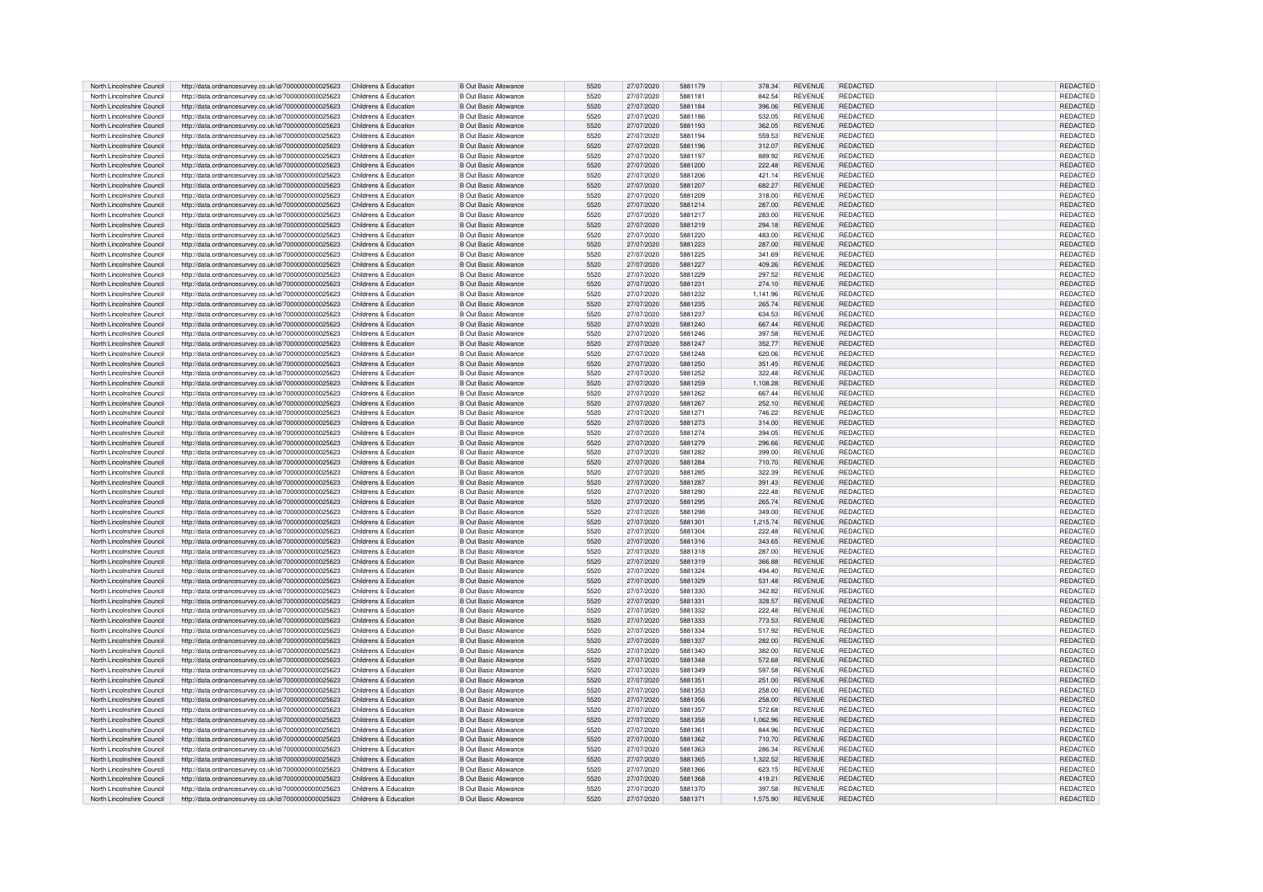| North Lincolnshire Council                               | http://data.ordnancesurvey.co.uk/id/7000000000025623                                                         | Childrens & Education                          | <b>B Out Basic Allowance</b>                                 | 5520         | 27/07/2020               | 5881179            | 378.34             | <b>REVENUE</b>            | REDACTED                    | <b>REDACTED</b>             |
|----------------------------------------------------------|--------------------------------------------------------------------------------------------------------------|------------------------------------------------|--------------------------------------------------------------|--------------|--------------------------|--------------------|--------------------|---------------------------|-----------------------------|-----------------------------|
|                                                          |                                                                                                              |                                                |                                                              |              |                          |                    |                    |                           |                             |                             |
| North Lincolnshire Council                               | http://data.ordnancesurvey.co.uk/id/7000000000025623                                                         | Childrens & Education                          | <b>B Out Basic Allowance</b>                                 | 5520         | 27/07/2020               | 5881181            | 842.54             | <b>REVENUE</b>            | <b>REDACTED</b>             | REDACTED                    |
| North Lincolnshire Council                               | http://data.ordnancesurvey.co.uk/id/7000000000025623                                                         | Childrens & Education                          | <b>B Out Basic Allowance</b>                                 | 5520         | 27/07/2020               | 5881184            | 396.06             | <b>REVENUE</b>            | <b>REDACTED</b>             | REDACTED                    |
| North Lincolnshire Council                               | http://data.ordnancesurvey.co.uk/id/7000000000025623                                                         | Childrens & Education                          | <b>B Out Basic Allowance</b>                                 | 5520         | 27/07/2020               | 5881186            | 532.05             | <b>REVENUE</b>            | <b>REDACTED</b>             | REDACTED                    |
| North Lincolnshire Council                               | http://data.ordnancesurvey.co.uk/id/7000000000025623                                                         | Childrens & Education                          | <b>B Out Basic Allowance</b>                                 | 5520         | 27/07/2020               | 5881193            | 362.05             | <b>REVENUE</b>            | <b>REDACTED</b>             | REDACTED                    |
|                                                          |                                                                                                              |                                                |                                                              |              |                          |                    |                    |                           |                             |                             |
| North Lincolnshire Council                               | http://data.ordnancesurvey.co.uk/id/7000000000025623                                                         | Childrens & Education                          | <b>B Out Basic Allowance</b>                                 | 5520         | 27/07/2020               | 5881194            | 559.53             | <b>REVENUE</b>            | <b>REDACTED</b>             | REDACTED                    |
| North Lincolnshire Council                               | http://data.ordnancesurvey.co.uk/id/7000000000025623                                                         | Childrens & Education                          | <b>B Out Basic Allowance</b>                                 | 5520         | 27/07/2020               | 5881196            | 312.07             | <b>REVENUE</b>            | <b>REDACTED</b>             | <b>REDACTED</b>             |
| North Lincolnshire Council                               | http://data.ordnancesurvey.co.uk/id/7000000000025623                                                         | Childrens & Education                          | B Out Basic Allowance                                        | 5520         | 27/07/2020               | 5881197            | 889.92             | <b>REVENUE</b>            | <b>REDACTED</b>             | REDACTED                    |
| North Lincolnshire Council                               | http://data.ordnancesurvey.co.uk/id/7000000000025623                                                         | Childrens & Education                          | <b>B Out Basic Allowance</b>                                 | 5520         | 27/07/2020               | 5881200            | 222.48             | <b>REVENUE</b>            | <b>REDACTED</b>             | REDACTED                    |
|                                                          |                                                                                                              |                                                |                                                              |              |                          |                    |                    |                           |                             |                             |
| North Lincolnshire Council                               | http://data.ordnancesurvey.co.uk/id/7000000000025623                                                         | Childrens & Education                          | B Out Basic Allowance                                        | 5520         | 27/07/2020               | 5881206            | 421.14             | <b>REVENUE</b>            | <b>REDACTED</b>             | REDACTED                    |
| North Lincolnshire Council                               | http://data.ordnancesurvey.co.uk/id/7000000000025623                                                         | Childrens & Education                          | <b>B Out Basic Allowance</b>                                 | 5520         | 27/07/2020               | 5881207            | 682.27             | <b>REVENUE</b>            | <b>REDACTED</b>             | REDACTED                    |
| North Lincolnshire Council                               | http://data.ordnancesurvey.co.uk/id/7000000000025623                                                         | Childrens & Education                          | B Out Basic Allowance                                        | 5520         | 27/07/2020               | 5881209            | 318.00             | <b>REVENUE</b>            | <b>REDACTED</b>             | REDACTED                    |
|                                                          |                                                                                                              |                                                |                                                              |              |                          |                    |                    |                           |                             |                             |
| North Lincolnshire Council                               | http://data.ordnancesurvey.co.uk/id/7000000000025623                                                         | Childrens & Education                          | <b>B Out Basic Allowance</b>                                 | 5520         | 27/07/2020               | 5881214            | 287.00             | <b>REVENUE</b>            | <b>REDACTED</b>             | REDACTED                    |
| North Lincolnshire Council                               | http://data.ordnancesurvey.co.uk/id/7000000000025623                                                         | Childrens & Education                          | <b>B Out Basic Allowance</b>                                 | 5520         | 27/07/2020               | 5881217            | 283.00             | <b>REVENUE</b>            | REDACTED                    | REDACTED                    |
| North Lincolnshire Council                               | http://data.ordnancesurvey.co.uk/id/7000000000025623                                                         | Childrens & Education                          | <b>B Out Basic Allowance</b>                                 | 5520         | 27/07/2020               | 5881219            | 294.18             | <b>REVENUE</b>            | <b>REDACTED</b>             | REDACTED                    |
| North Lincolnshire Council                               | http://data.ordnancesurvey.co.uk/id/7000000000025623                                                         | Childrens & Education                          | <b>B Out Basic Allowance</b>                                 | 5520         | 27/07/2020               | 5881220            | 483.00             | <b>REVENUE</b>            | REDACTED                    | REDACTED                    |
| North Lincolnshire Council                               |                                                                                                              | Childrens & Education                          | B Out Basic Allowance                                        | 5520         | 27/07/2020               | 5881223            | 287.00             | <b>REVENUE</b>            | <b>REDACTED</b>             | <b>REDACTED</b>             |
|                                                          | http://data.ordnancesurvey.co.uk/id/7000000000025623                                                         |                                                |                                                              |              |                          |                    |                    |                           |                             |                             |
| North Lincolnshire Council                               | http://data.ordnancesurvey.co.uk/id/7000000000025623                                                         | Childrens & Education                          | <b>B Out Basic Allowance</b>                                 | 5520         | 27/07/2020               | 5881225            | 341.69             | <b>REVENUE</b>            | <b>REDACTED</b>             | REDACTED                    |
| North Lincolnshire Council                               | http://data.ordnancesurvey.co.uk/id/7000000000025623                                                         | Childrens & Education                          | <b>B Out Basic Allowance</b>                                 | 5520         | 27/07/2020               | 5881227            | 409.26             | <b>REVENUE</b>            | <b>REDACTED</b>             | REDACTED                    |
| North Lincolnshire Council                               | http://data.ordnancesurvey.co.uk/id/7000000000025623                                                         | Childrens & Education                          | <b>B Out Basic Allowance</b>                                 | 5520         | 27/07/2020               | 5881229            | 297.52             | <b>REVENUE</b>            | <b>REDACTED</b>             | REDACTED                    |
|                                                          |                                                                                                              | Childrens & Education                          | <b>B Out Basic Allowance</b>                                 | 5520         | 27/07/2020               | 5881231            | 274.10             | <b>REVENUE</b>            | <b>REDACTED</b>             | REDACTED                    |
| North Lincolnshire Council                               | http://data.ordnancesurvey.co.uk/id/7000000000025623                                                         |                                                |                                                              |              |                          |                    |                    |                           |                             |                             |
| North Lincolnshire Council                               | http://data.ordnancesurvey.co.uk/id/7000000000025623                                                         | Childrens & Education                          | <b>B Out Basic Allowance</b>                                 | 5520         | 27/07/2020               | 5881232            | 1.141.96           | <b>REVENUE</b>            | <b>REDACTED</b>             | REDACTED                    |
| North Lincolnshire Council                               | http://data.ordnancesurvey.co.uk/id/7000000000025623                                                         | Childrens & Education                          | <b>B Out Basic Allowance</b>                                 | 5520         | 27/07/2020               | 5881235            | 265.74             | REVENUE                   | <b>REDACTED</b>             | REDACTED                    |
| North Lincolnshire Council                               | http://data.ordnancesurvey.co.uk/id/7000000000025623                                                         | Childrens & Education                          | <b>B Out Basic Allowance</b>                                 | 5520         | 27/07/2020               | 5881237            | 634.53             | <b>REVENUE</b>            | <b>REDACTED</b>             | REDACTED                    |
| North Lincolnshire Council                               | http://data.ordnancesurvey.co.uk/id/7000000000025623                                                         | Childrens & Education                          | <b>B Out Basic Allowance</b>                                 | 5520         | 27/07/2020               | 5881240            | 667.44             | REVENUE                   | <b>REDACTED</b>             | REDACTED                    |
|                                                          |                                                                                                              |                                                |                                                              |              |                          |                    |                    |                           |                             |                             |
| North Lincolnshire Council                               | http://data.ordnancesurvey.co.uk/id/7000000000025623                                                         | Childrens & Education                          | <b>B Out Basic Allowance</b>                                 | 5520         | 27/07/2020               | 5881246            | 397.58             | <b>REVENUE</b>            | <b>REDACTED</b>             | REDACTED                    |
| North Lincolnshire Council                               | http://data.ordnancesurvey.co.uk/id/7000000000025623                                                         | Childrens & Education                          | <b>B Out Basic Allowance</b>                                 | 5520         | 27/07/2020               | 5881247            | 352.77             | <b>REVENUE</b>            | <b>REDACTED</b>             | REDACTED                    |
| North Lincolnshire Council                               | http://data.ordnancesurvey.co.uk/id/7000000000025623                                                         | Childrens & Education                          | <b>B Out Basic Allowance</b>                                 | 5520         | 27/07/2020               | 5881248            | 620.06             | <b>REVENUE</b>            | <b>REDACTED</b>             | REDACTED                    |
| North Lincolnshire Council                               | http://data.ordnancesurvey.co.uk/id/7000000000025623                                                         | Childrens & Education                          | <b>B Out Basic Allowance</b>                                 | 5520         | 27/07/2020               | 5881250            | 351.45             | REVENUE                   | <b>REDACTED</b>             | REDACTED                    |
|                                                          |                                                                                                              |                                                |                                                              |              |                          |                    |                    |                           |                             |                             |
| North Lincolnshire Council                               | http://data.ordnancesurvey.co.uk/id/7000000000025623                                                         | Childrens & Education                          | <b>B Out Basic Allowance</b>                                 | 5520         | 27/07/2020               | 5881252            | 322.48             | <b>REVENUE</b>            | <b>REDACTED</b>             | REDACTED                    |
| North Lincolnshire Council                               | http://data.ordnancesurvey.co.uk/id/7000000000025623                                                         | Childrens & Education                          | <b>B Out Basic Allowance</b>                                 | 5520         | 27/07/2020               | 5881259            | 1.108.28           | <b>REVENUE</b>            | <b>REDACTED</b>             | REDACTED                    |
| North Lincolnshire Council                               | http://data.ordnancesurvev.co.uk/id/7000000000025623                                                         | Childrens & Education                          | <b>B Out Basic Allowance</b>                                 | 5520         | 27/07/2020               | 5881262            | 667.44             | <b>REVENUE</b>            | <b>REDACTED</b>             | REDACTED                    |
| North Lincolnshire Council                               |                                                                                                              | Childrens & Education                          | B Out Basic Allowance                                        | 5520         | 27/07/2020               | 5881267            | 252.10             | <b>REVENUE</b>            | <b>REDACTED</b>             | <b>REDACTED</b>             |
|                                                          | http://data.ordnancesurvey.co.uk/id/7000000000025623                                                         |                                                |                                                              |              |                          |                    |                    |                           |                             |                             |
| North Lincolnshire Council                               | http://data.ordnancesurvey.co.uk/id/7000000000025623                                                         | Childrens & Education                          | <b>B Out Basic Allowance</b>                                 | 5520         | 27/07/2020               | 5881271            | 746.22             | <b>REVENUE</b>            | REDACTED                    | REDACTED                    |
| North Lincolnshire Council                               | http://data.ordnancesurvey.co.uk/id/7000000000025623                                                         | Childrens & Education                          | <b>B Out Basic Allowance</b>                                 | 5520         | 27/07/2020               | 5881273            | 314.00             | <b>REVENUE</b>            | REDACTED                    | REDACTED                    |
| North Lincolnshire Council                               | http://data.ordnancesurvey.co.uk/id/7000000000025623                                                         | Childrens & Education                          | <b>B Out Basic Allowance</b>                                 | 5520         | 27/07/2020               | 5881274            | 394.05             | <b>REVENUE</b>            | <b>REDACTED</b>             | REDACTED                    |
| North Lincolnshire Council                               | http://data.ordnancesurvey.co.uk/id/7000000000025623                                                         | Childrens & Education                          | <b>B Out Basic Allowance</b>                                 | 5520         | 27/07/2020               | 5881279            | 296.66             | <b>REVENUE</b>            | <b>REDACTED</b>             | REDACTED                    |
|                                                          |                                                                                                              |                                                |                                                              |              |                          |                    |                    |                           |                             |                             |
| North Lincolnshire Council                               | http://data.ordnancesurvey.co.uk/id/7000000000025623                                                         | Childrens & Education                          | <b>B Out Basic Allowance</b>                                 | 5520         | 27/07/2020               | 5881282            | 399.00             | <b>REVENUE</b>            | <b>REDACTED</b>             | REDACTED                    |
| North Lincolnshire Council                               | http://data.ordnancesurvey.co.uk/id/7000000000025623                                                         | Childrens & Education                          | <b>B Out Basic Allowance</b>                                 | 5520         | 27/07/2020               | 5881284            | 710.70             | <b>REVENUE</b>            | REDACTED                    | REDACTED                    |
| North Lincolnshire Council                               | http://data.ordnancesurvey.co.uk/id/7000000000025623                                                         | Childrens & Education                          | <b>B Out Basic Allowance</b>                                 | 5520         | 27/07/2020               | 5881285            | 322.39             | <b>REVENUE</b>            | <b>REDACTED</b>             | REDACTED                    |
| North Lincolnshire Council                               | http://data.ordnancesurvey.co.uk/id/7000000000025623                                                         | Childrens & Education                          | <b>B Out Basic Allowance</b>                                 | 5520         | 27/07/2020               | 5881287            | 391.43             | <b>REVENUE</b>            | <b>REDACTED</b>             | REDACTED                    |
|                                                          |                                                                                                              |                                                |                                                              |              |                          |                    |                    |                           |                             |                             |
| North Lincolnshire Council                               | http://data.ordnancesurvey.co.uk/id/7000000000025623                                                         | Childrens & Education                          | <b>B Out Basic Allowance</b>                                 | 5520         | 27/07/2020               | 5881290            | 222.48             | <b>REVENUE</b>            | <b>REDACTED</b>             | REDACTED                    |
| North Lincolnshire Council                               | http://data.ordnancesurvey.co.uk/id/7000000000025623                                                         | Childrens & Education                          | B Out Basic Allowance                                        | 5520         | 27/07/2020               | 5881295            | 265.74             | <b>REVENUE</b>            | <b>REDACTED</b>             | REDACTED                    |
| North Lincolnshire Council                               | http://data.ordnancesurvey.co.uk/id/7000000000025623                                                         | Childrens & Education                          | B Out Basic Allowance                                        | 5520         | 27/07/2020               | 5881298            | 349.00             | <b>REVENUE</b>            | <b>REDACTED</b>             | <b>REDACTED</b>             |
| North Lincolnshire Council                               | http://data.ordnancesurvey.co.uk/id/7000000000025623                                                         | Childrens & Education                          | B Out Basic Allowance                                        | 5520         | 27/07/2020               | 5881301            | 1,215.74           | <b>REVENUE</b>            | <b>REDACTED</b>             | <b>REDACTED</b>             |
|                                                          |                                                                                                              |                                                |                                                              |              |                          |                    |                    |                           |                             |                             |
| North Lincolnshire Council                               | http://data.ordnancesurvey.co.uk/id/7000000000025623                                                         |                                                |                                                              |              |                          |                    |                    |                           |                             |                             |
| North Lincolnshire Council                               |                                                                                                              | Childrens & Education                          | <b>B</b> Out Basic Allowance                                 | 5520         | 27/07/2020               | 5881304            | 222.48             | <b>REVENUE</b>            | <b>REDACTED</b>             | REDACTED                    |
| North Lincolnshire Council                               | http://data.ordnancesurvey.co.uk/id/7000000000025623                                                         | Childrens & Education                          | <b>B Out Basic Allowance</b>                                 | 5520         | 27/07/2020               | 5881316            | 343.65             | <b>REVENUE</b>            | <b>REDACTED</b>             | REDACTED                    |
|                                                          |                                                                                                              |                                                |                                                              | 5520         | 27/07/2020               | 5881318            | 287.00             |                           |                             |                             |
|                                                          | http://data.ordnancesurvey.co.uk/id/7000000000025623                                                         | Childrens & Education                          | <b>B Out Basic Allowance</b>                                 |              |                          |                    |                    | <b>REVENUE</b>            | <b>REDACTED</b>             | REDACTED                    |
| North Lincolnshire Council                               | http://data.ordnancesurvey.co.uk/id/7000000000025623                                                         | Childrens & Education                          | <b>B Out Basic Allowance</b>                                 | 5520         | 27/07/2020               | 5881319            | 366.88             | <b>REVENUE</b>            | <b>REDACTED</b>             | REDACTED                    |
| North Lincolnshire Council                               | http://data.ordnancesurvey.co.uk/id/7000000000025623                                                         | Childrens & Education                          | B Out Basic Allowance                                        | 5520         | 27/07/2020               | 5881324            | 494.40             | <b>REVENUE</b>            | <b>REDACTED</b>             | <b>REDACTEI</b>             |
| North Lincolnshire Council                               | http://data.ordnancesurvey.co.uk/id/7000000000025623                                                         | Childrens & Education                          | <b>B Out Basic Allowance</b>                                 | 5520         | 27/07/2020               | 5881329            | 531.48             | <b>REVENUE</b>            | <b>REDACTED</b>             | REDACTED                    |
| North Lincolnshire Council                               | http://data.ordnancesurvey.co.uk/id/7000000000025623                                                         | Childrens & Education                          | <b>B Out Basic Allowance</b>                                 | 5520         | 27/07/2020               | 5881330            | 342.82             | <b>REVENUE</b>            | <b>REDACTED</b>             | <b>REDACTED</b>             |
| North Lincolnshire Council                               | http://data.ordnancesurvey.co.uk/id/7000000000025623                                                         | Childrens & Education                          | B Out Basic Allowance                                        | 5520         | 27/07/2020               | 5881331            | 328.57             | <b>REVENUE</b>            | <b>REDACTED</b>             | <b>REDACTED</b>             |
|                                                          |                                                                                                              |                                                |                                                              |              |                          |                    |                    |                           |                             |                             |
| North Lincolnshire Council                               | http://data.ordnancesurvey.co.uk/id/7000000000025623                                                         | Childrens & Education                          | B Out Basic Allowance                                        | 5520         | 27/07/2020               | 5881332            | 222.48             | <b>REVENUE</b>            | <b>REDACTED</b>             | REDACTED                    |
| North Lincolnshire Council                               | http://data.ordnancesurvey.co.uk/id/7000000000025623                                                         | Childrens & Education                          | <b>B Out Basic Allowance</b>                                 | 5520         | 27/07/2020               | 5881333            | 773.53             | <b>REVENUE</b>            | <b>REDACTED</b>             | REDACTED                    |
| North Lincolnshire Council                               | http://data.ordnancesurvey.co.uk/id/7000000000025623                                                         | Childrens & Education                          | <b>B Out Basic Allowance</b>                                 | 5520         | 27/07/2020               | 5881334            | 517.92             | <b>REVENUE</b>            | <b>REDACTED</b>             | REDACTED                    |
| North Lincolnshire Council                               | http://data.ordnancesurvey.co.uk/id/7000000000025623                                                         | Childrens & Education                          | <b>B Out Basic Allowance</b>                                 | 5520         | 27/07/2020               | 5881337            | 282.00             | <b>REVENUE</b>            | REDACTED                    | REDACTED                    |
|                                                          |                                                                                                              |                                                |                                                              | 5520         |                          | 5881340            |                    |                           |                             |                             |
| North Lincolnshire Council                               | http://data.ordnancesurvey.co.uk/id/7000000000025623                                                         | Childrens & Education                          | <b>B Out Basic Allowance</b>                                 |              | 27/07/2020               |                    | 382.00             | <b>REVENUE</b>            | <b>REDACTED</b>             | REDACTED                    |
| North Lincolnshire Council                               | http://data.ordnancesurvey.co.uk/id/7000000000025623                                                         | Childrens & Education                          | <b>B Out Basic Allowance</b>                                 | 5520         | 27/07/2020               | 5881348            | 572.68             | REVENUE                   | <b>REDACTED</b>             | REDACTED                    |
| North Lincolnshire Council                               | http://data.ordnancesurvey.co.uk/id/7000000000025623                                                         | Childrens & Education                          | <b>B Out Basic Allowance</b>                                 | 5520         | 27/07/2020               | 5881349            | 597.58             | <b>REVENUE</b>            | <b>REDACTED</b>             | REDACTED                    |
| North Lincolnshire Council                               | http://data.ordnancesurvey.co.uk/id/7000000000025623                                                         | Childrens & Education                          | <b>B Out Basic Allowance</b>                                 | 5520         | 27/07/2020               | 5881351            | 251.00             | <b>REVENUE</b>            | <b>REDACTED</b>             | REDACTED                    |
| North Lincolnshire Council                               | http://data.ordnancesurvey.co.uk/id/7000000000025623                                                         | Childrens & Education                          | <b>B Out Basic Allowance</b>                                 | 5520         | 27/07/2020               | 5881353            | 258.00             | <b>REVENUE</b>            | <b>REDACTED</b>             | REDACTED                    |
|                                                          |                                                                                                              |                                                |                                                              |              |                          |                    |                    |                           |                             |                             |
| North Lincolnshire Council                               | http://data.ordnancesurvey.co.uk/id/7000000000025623                                                         | Childrens & Education                          | <b>B Out Basic Allowance</b>                                 | 5520         | 27/07/2020               | 5881356            | 258.00             | REVENUE                   | <b>REDACTED</b>             | REDACTED                    |
| North Lincolnshire Council                               | http://data.ordnancesurvey.co.uk/id/7000000000025623                                                         | Childrens & Education                          | <b>B Out Basic Allowance</b>                                 | 5520         | 27/07/2020               | 5881357            | 572.68             | <b>REVENUE</b>            | <b>REDACTED</b>             | REDACTED                    |
| North Lincolnshire Council                               | http://data.ordnancesurvey.co.uk/id/7000000000025623                                                         | Childrens & Education                          | B Out Basic Allowance                                        | 5520         | 27/07/2020               | 5881358            | 1.062.96           | <b>REVENUE</b>            | <b>REDACTED</b>             | REDACTED                    |
| North Lincolnshire Council                               | http://data.ordnancesurvey.co.uk/id/7000000000025623                                                         | Childrens & Education                          | B Out Basic Allowance                                        | 5520         | 27/07/2020               | 5881361            | 844.96             | <b>REVENUE</b>            | <b>REDACTED</b>             | REDACTED                    |
|                                                          |                                                                                                              | Childrens & Education                          |                                                              | 5520         | 27/07/2020               | 5881362            | 710.70             | <b>REVENUE</b>            |                             |                             |
| North Lincolnshire Council                               | http://data.ordnancesurvey.co.uk/id/7000000000025623                                                         |                                                | <b>B Out Basic Allowance</b>                                 |              |                          |                    |                    |                           | REDACTED                    | REDACTED                    |
| North Lincolnshire Council                               | http://data.ordnancesurvey.co.uk/id/7000000000025623                                                         | Childrens & Education                          | <b>B</b> Out Basic Allowance                                 | 5520         | 27/07/2020               | 5881363            | 286.34             | <b>REVENUE</b>            | <b>REDACTED</b>             | REDACTED                    |
| North Lincolnshire Council                               | http://data.ordnancesurvey.co.uk/id/7000000000025623                                                         | Childrens & Education                          | <b>B Out Basic Allowance</b>                                 | 5520         | 27/07/2020               | 5881365            | 1.322.52           | <b>REVENUE</b>            | <b>REDACTED</b>             | REDACTED                    |
| North Lincolnshire Council                               | http://data.ordnancesurvey.co.uk/id/7000000000025623                                                         | Childrens & Education                          | <b>B Out Basic Allowance</b>                                 | 5520         | 27/07/2020               | 5881366            | 623.15             | REVENUE                   | <b>REDACTED</b>             | REDACTED                    |
| North Lincolnshire Council                               |                                                                                                              | Childrens & Education                          | B Out Basic Allowance                                        | 5520         | 27/07/2020               | 5881368            | 419.21             | <b>REVENUE</b>            | <b>REDACTED</b>             | REDACTED                    |
|                                                          | http://data.ordnancesurvey.co.uk/id/7000000000025623                                                         |                                                |                                                              |              |                          |                    |                    |                           |                             |                             |
| North Lincolnshire Council<br>North Lincolnshire Council | http://data.ordnancesurvey.co.uk/id/7000000000025623<br>http://data.ordnancesurvey.co.uk/id/7000000000025623 | Childrens & Education<br>Childrens & Education | <b>B Out Basic Allowance</b><br><b>B Out Basic Allowance</b> | 5520<br>5520 | 27/07/2020<br>27/07/2020 | 5881370<br>5881371 | 397.58<br>1,575.90 | <b>REVENUE</b><br>REVENUE | REDACTED<br><b>REDACTED</b> | REDACTED<br><b>REDACTED</b> |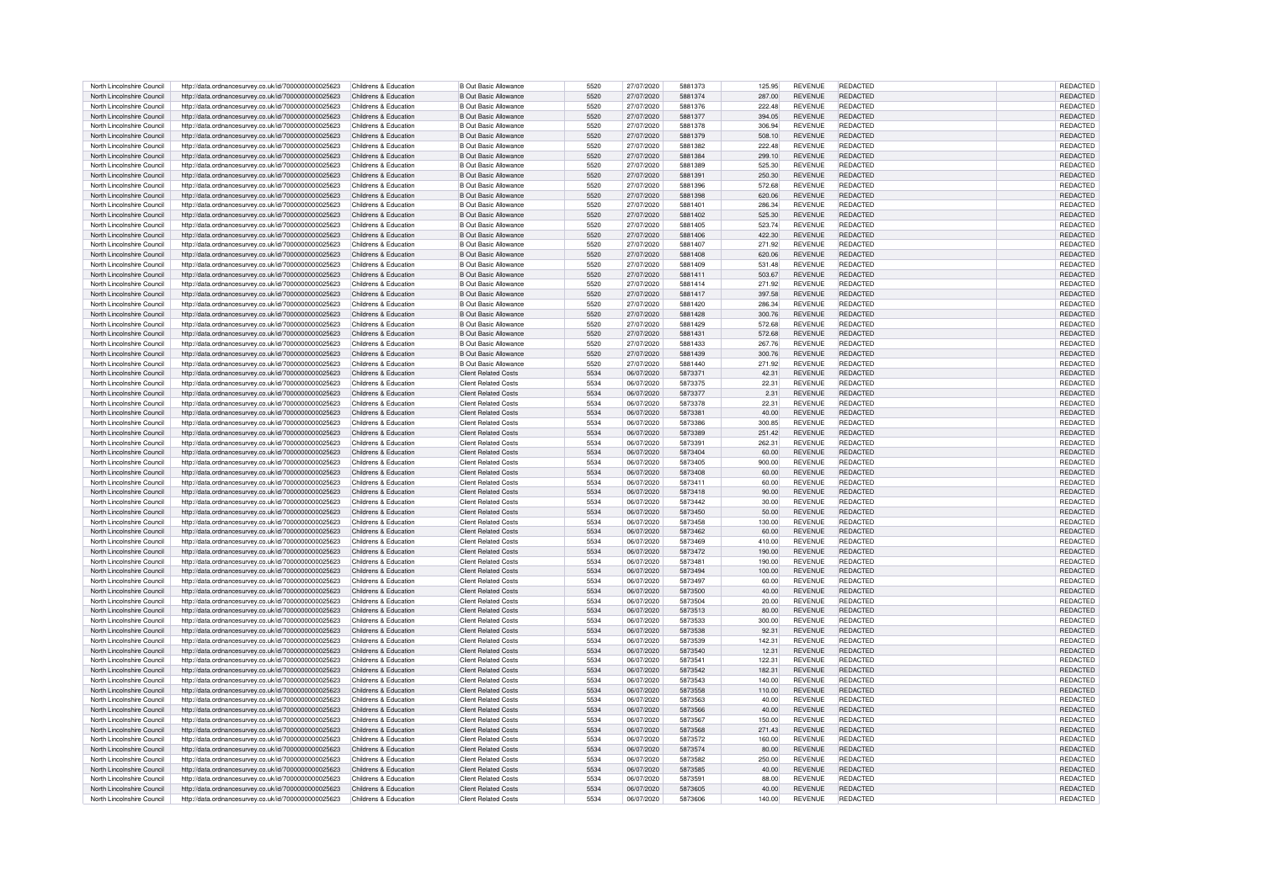|                                                          |                                                                                                              | Childrens & Education                          | B Out Basic Allowance                               | 5520         | 27/07/2020               | 5881373            | 125.95          | <b>REVENUE</b>                   | <b>REDACTED</b>             | REDACTED             |
|----------------------------------------------------------|--------------------------------------------------------------------------------------------------------------|------------------------------------------------|-----------------------------------------------------|--------------|--------------------------|--------------------|-----------------|----------------------------------|-----------------------------|----------------------|
| North Lincolnshire Council                               | http://data.ordnancesurvey.co.uk/id/7000000000025623                                                         |                                                |                                                     |              |                          |                    |                 |                                  |                             |                      |
| North Lincolnshire Council                               | http://data.ordnancesurvey.co.uk/id/7000000000025623                                                         | Childrens & Education                          | B Out Basic Allowance                               | 5520         | 27/07/2020               | 5881374            | 287.00          | <b>REVENUE</b>                   | <b>REDACTED</b>             | REDACTED             |
| North Lincolnshire Council                               | http://data.ordnancesurvey.co.uk/id/7000000000025623                                                         | Childrens & Education                          | <b>B Out Basic Allowance</b>                        | 5520         | 27/07/2020               | 5881376            | 222.48          | <b>REVENUE</b>                   | <b>REDACTED</b>             | REDACTED             |
| North Lincolnshire Council                               | http://data.ordnancesurvey.co.uk/id/7000000000025623                                                         | Childrens & Education                          | <b>B Out Basic Allowance</b>                        | 5520         | 27/07/2020               | 5881377            | 394.05          | <b>REVENUE</b>                   | <b>REDACTED</b>             | REDACTED             |
|                                                          |                                                                                                              |                                                |                                                     |              |                          |                    |                 |                                  |                             |                      |
| North Lincolnshire Council                               | http://data.ordnancesurvey.co.uk/id/7000000000025623                                                         | Childrens & Education                          | B Out Basic Allowance                               | 5520         | 27/07/2020               | 5881378            | 306.94          | REVENUE                          | <b>REDACTED</b>             | REDACTED             |
| North Lincolnshire Council                               | http://data.ordnancesurvey.co.uk/id/7000000000025623                                                         | Childrens & Education                          | B Out Basic Allowance                               | 5520         | 27/07/2020               | 5881379            | 508.10          | <b>REVENUE</b>                   | <b>REDACTED</b>             | REDACTED             |
| North Lincolnshire Council                               | http://data.ordnancesurvey.co.uk/id/7000000000025623                                                         | Childrens & Education                          | <b>B Out Basic Allowance</b>                        | 5520         | 27/07/2020               | 5881382            | 222.48          | <b>REVENUE</b>                   | <b>REDACTED</b>             | <b>REDACTED</b>      |
|                                                          |                                                                                                              |                                                |                                                     |              |                          |                    |                 |                                  |                             |                      |
| North Lincolnshire Council                               | http://data.ordnancesurvey.co.uk/id/7000000000025623                                                         | Childrens & Education                          | <b>B Out Basic Allowance</b>                        | 5520         | 27/07/2020               | 5881384            | 299.10          | <b>REVENUE</b>                   | <b>REDACTED</b>             | REDACTED             |
| North Lincolnshire Council                               | http://data.ordnancesurvey.co.uk/id/7000000000025623                                                         | Childrens & Education                          | <b>B Out Basic Allowance</b>                        | 5520         | 27/07/2020               | 5881389            | 525.30          | REVENUE                          | <b>REDACTED</b>             | REDACTED             |
| North Lincolnshire Council                               | http://data.ordnancesurvey.co.uk/id/7000000000025623                                                         | Childrens & Education                          | B Out Basic Allowance                               | 5520         | 27/07/2020               | 5881391            | 250.30          | <b>REVENUE</b>                   | REDACTED                    | REDACTED             |
|                                                          |                                                                                                              |                                                |                                                     |              |                          |                    |                 |                                  |                             |                      |
| North Lincolnshire Council                               | http://data.ordnancesurvey.co.uk/id/7000000000025623                                                         | Childrens & Education                          | B Out Basic Allowance                               | 5520         | 27/07/2020               | 5881396            | 572.68          | <b>REVENUE</b>                   | <b>REDACTED</b>             | REDACTED             |
| North Lincolnshire Council                               | http://data.ordnancesurvey.co.uk/id/7000000000025623                                                         | Childrens & Education                          | B Out Basic Allowance                               | 5520         | 27/07/2020               | 5881398            | 620.06          | <b>REVENUE</b>                   | <b>REDACTED</b>             | <b>REDACTED</b>      |
| North Lincolnshire Council                               | http://data.ordnancesurvey.co.uk/id/7000000000025623                                                         | Childrens & Education                          | B Out Basic Allowance                               | 5520         | 27/07/2020               | 5881401            | 286.34          | <b>REVENUE</b>                   | REDACTED                    | REDACTED             |
|                                                          |                                                                                                              |                                                |                                                     |              |                          |                    |                 |                                  |                             |                      |
| North Lincolnshire Council                               | http://data.ordnancesurvey.co.uk/id/7000000000025623                                                         | Childrens & Education                          | B Out Basic Allowance                               | 5520         | 27/07/2020               | 5881402            | 525.30          | <b>REVENUE</b>                   | REDACTED                    | REDACTED             |
| North Lincolnshire Council                               | http://data.ordnancesurvey.co.uk/id/7000000000025623                                                         | Childrens & Education                          | <b>B Out Basic Allowance</b>                        | 5520         | 27/07/2020               | 5881405            | 523.74          | <b>REVENUE</b>                   | <b>REDACTED</b>             | REDACTED             |
| North Lincolnshire Council                               | http://data.ordnancesurvey.co.uk/id/7000000000025623                                                         | Childrens & Education                          | <b>B Out Basic Allowance</b>                        | 5520         | 27/07/2020               | 5881406            | 422.30          | <b>REVENUE</b>                   | <b>REDACTED</b>             | REDACTED             |
|                                                          |                                                                                                              |                                                |                                                     |              |                          |                    |                 |                                  |                             |                      |
| North Lincolnshire Council                               | http://data.ordnancesurvey.co.uk/id/7000000000025623                                                         | Childrens & Education                          | B Out Basic Allowance                               | 5520         | 27/07/2020               | 5881407            | 271.92          | <b>REVENUE</b>                   | <b>REDACTED</b>             | <b>REDACTED</b>      |
| North Lincolnshire Council                               | http://data.ordnancesurvey.co.uk/id/7000000000025623                                                         | Childrens & Education                          | <b>B Out Basic Allowance</b>                        | 5520         | 27/07/2020               | 5881408            | 620.06          | <b>REVENUE</b>                   | <b>REDACTED</b>             | REDACTED             |
| North Lincolnshire Council                               | http://data.ordnancesurvey.co.uk/id/7000000000025623                                                         | Childrens & Education                          | <b>B Out Basic Allowance</b>                        | 5520         | 27/07/2020               | 5881409            | 531.48          | <b>REVENUE</b>                   | <b>REDACTED</b>             | REDACTED             |
| North Lincolnshire Council                               |                                                                                                              | Childrens & Education                          | <b>B Out Basic Allowance</b>                        | 5520         | 27/07/2020               | 5881411            | 503.67          | <b>REVENUE</b>                   | <b>REDACTED</b>             | <b>REDACTED</b>      |
|                                                          | http://data.ordnancesurvey.co.uk/id/7000000000025623                                                         |                                                |                                                     |              |                          |                    |                 |                                  |                             |                      |
| North Lincolnshire Council                               | http://data.ordnancesurvey.co.uk/id/7000000000025623                                                         | Childrens & Education                          | <b>B Out Basic Allowance</b>                        | 5520         | 27/07/2020               | 5881414            | 271 92          | <b>REVENUE</b>                   | <b>REDACTED</b>             | REDACTED             |
| North Lincolnshire Council                               | http://data.ordnancesurvey.co.uk/id/7000000000025623                                                         | Childrens & Education                          | <b>B</b> Out Basic Allowance                        | 5520         | 27/07/2020               | 5881417            | 397.58          | <b>REVENUE</b>                   | <b>REDACTED</b>             | REDACTED             |
|                                                          |                                                                                                              |                                                |                                                     |              |                          |                    |                 |                                  |                             |                      |
| North Lincolnshire Council                               | http://data.ordnancesurvey.co.uk/id/7000000000025623                                                         | Childrens & Education                          | <b>B</b> Out Basic Allowance                        | 5520         | 27/07/2020               | 5881420            | 286.34          | <b>REVENUE</b>                   | <b>REDACTED</b>             | REDACTED             |
| North Lincolnshire Council                               | http://data.ordnancesurvey.co.uk/id/7000000000025623                                                         | Childrens & Education                          | <b>B Out Basic Allowance</b>                        | 5520         | 27/07/2020               | 5881428            | 300.76          | <b>REVENUE</b>                   | <b>REDACTED</b>             | REDACTED             |
| North Lincolnshire Council                               | http://data.ordnancesurvey.co.uk/id/7000000000025623                                                         | Childrens & Education                          | <b>B Out Basic Allowance</b>                        | 5520         | 27/07/2020               | 5881429            | 572.68          | REVENUE                          | <b>REDACTED</b>             | REDACTED             |
|                                                          |                                                                                                              |                                                |                                                     |              |                          |                    |                 |                                  |                             |                      |
| North Lincolnshire Council                               | http://data.ordnancesurvey.co.uk/id/7000000000025623                                                         | Childrens & Education                          | <b>B Out Basic Allowance</b>                        | 5520         | 27/07/2020               | 5881431            | 572.68          | <b>REVENUE</b>                   | <b>REDACTED</b>             | REDACTED             |
| North Lincolnshire Council                               | http://data.ordnancesurvev.co.uk/id/7000000000025623                                                         | Childrens & Education                          | B Out Basic Allowance                               | 5520         | 27/07/2020               | 5881433            | 267.76          | <b>REVENUE</b>                   | <b>REDACTED</b>             | REDACTED             |
| North Lincolnshire Council                               | http://data.ordnancesurvey.co.uk/id/7000000000025623                                                         | Childrens & Education                          | <b>B Out Basic Allowance</b>                        | 5520         | 27/07/2020               | 5881439            | 300.76          | <b>REVENUE</b>                   | <b>REDACTED</b>             | REDACTED             |
| North Lincolnshire Council                               | http://data.ordnancesurvey.co.uk/id/7000000000025623                                                         | Childrens & Education                          | <b>B Out Basic Allowance</b>                        | 5520         | 27/07/2020               | 5881440            | 271.92          | <b>REVENUE</b>                   | <b>REDACTED</b>             | REDACTED             |
|                                                          |                                                                                                              |                                                |                                                     |              |                          |                    |                 |                                  |                             |                      |
| North Lincolnshire Council                               | http://data.ordnancesurvey.co.uk/id/7000000000025623                                                         | Childrens & Education                          | <b>Client Related Costs</b>                         | 5534         | 06/07/2020               | 5873371            | 42.31           | <b>REVENUE</b>                   | <b>REDACTED</b>             | REDACTED             |
| North Lincolnshire Council                               | http://data.ordnancesurvey.co.uk/id/7000000000025623                                                         | Childrens & Education                          | Client Related Costs                                | 5534         | 06/07/2020               | 5873375            | 22.31           | REVENUE                          | <b>REDACTED</b>             | REDACTED             |
| North Lincolnshire Council                               | http://data.ordnancesurvey.co.uk/id/7000000000025623                                                         | Childrens & Education                          | <b>Client Related Costs</b>                         | 5534         | 06/07/2020               | 5873377            | 2.31            | <b>REVENUE</b>                   | <b>REDACTED</b>             | REDACTED             |
|                                                          |                                                                                                              |                                                |                                                     |              |                          |                    |                 |                                  |                             |                      |
| North Lincolnshire Council                               | http://data.ordnancesurvey.co.uk/id/7000000000025623                                                         | Childrens & Education                          | Client Related Costs                                | 5534         | 06/07/2020               | 5873378            | 22.31           | <b>REVENUE</b>                   | <b>REDACTED</b>             | <b>REDACTED</b>      |
| North Lincolnshire Council                               | http://data.ordnancesurvey.co.uk/id/7000000000025623                                                         | Childrens & Education                          | <b>Client Related Costs</b>                         | 5534         | 06/07/2020               | 5873381            | 40.00           | <b>REVENUE</b>                   | <b>REDACTED</b>             | REDACTED             |
| North Lincolnshire Council                               |                                                                                                              | Childrens & Education                          | <b>Client Related Costs</b>                         | 5534         | 06/07/2020               | 5873386            | 300.85          | <b>REVENUE</b>                   | REDACTED                    | REDACTED             |
|                                                          | http://data.ordnancesurvey.co.uk/id/7000000000025623                                                         |                                                |                                                     |              |                          |                    |                 |                                  |                             |                      |
| North Lincolnshire Council                               | http://data.ordnancesurvey.co.uk/id/7000000000025623                                                         | Childrens & Education                          | <b>Client Related Costs</b>                         | 5534         | 06/07/2020               | 5873389            | 251.42          | <b>REVENUE</b>                   | <b>REDACTED</b>             | REDACTED             |
| North Lincolnshire Council                               | http://data.ordnancesurvey.co.uk/id/7000000000025623                                                         | Childrens & Education                          | Client Related Costs                                | 5534         | 06/07/2020               | 5873391            | 262.31          | <b>REVENUE</b>                   | <b>REDACTED</b>             | REDACTED             |
| North Lincolnshire Council                               |                                                                                                              | Childrens & Education                          | <b>Client Related Costs</b>                         | 5534         | 06/07/2020               | 5873404            | 60.00           | <b>REVENUE</b>                   | <b>REDACTED</b>             | REDACTED             |
|                                                          | http://data.ordnancesurvey.co.uk/id/7000000000025623                                                         |                                                |                                                     |              |                          |                    |                 |                                  |                             |                      |
| North Lincolnshire Council                               | http://data.ordnancesurvey.co.uk/id/7000000000025623                                                         | Childrens & Education                          | <b>Client Related Costs</b>                         | 5534         | 06/07/2020               | 5873405            | 900.00          | <b>REVENUE</b>                   | REDACTED                    | REDACTED             |
| North Lincolnshire Council                               | http://data.ordnancesurvey.co.uk/id/7000000000025623                                                         | Childrens & Education                          | <b>Client Related Costs</b>                         | 5534         | 06/07/2020               | 5873408            | 60.00           | <b>REVENUE</b>                   | <b>REDACTED</b>             | REDACTED             |
| North Lincolnshire Council                               | http://data.ordnancesurvey.co.uk/id/7000000000025623                                                         | Childrens & Education                          | <b>Client Related Costs</b>                         | 5534         | 06/07/2020               | 5873411            | 60.00           | <b>REVENUE</b>                   | <b>REDACTED</b>             | REDACTED             |
|                                                          |                                                                                                              |                                                |                                                     |              |                          |                    |                 |                                  |                             |                      |
| North Lincolnshire Council                               | http://data.ordnancesurvey.co.uk/id/7000000000025623                                                         | Childrens & Education                          | <b>Client Related Costs</b>                         | 5534         | 06/07/2020               | 5873418            | 90.00           | <b>REVENUE</b>                   | <b>REDACTED</b>             | REDACTED             |
| North Lincolnshire Council                               | http://data.ordnancesurvev.co.uk/id/7000000000025623                                                         | Childrens & Education                          | Client Related Costs                                | 5534         | 06/07/2020               | 5873442            | 30.00           | <b>REVENUE</b>                   | <b>REDACTED</b>             | <b>REDACTED</b>      |
|                                                          |                                                                                                              |                                                |                                                     |              |                          |                    |                 |                                  | <b>REDACTED</b>             |                      |
|                                                          |                                                                                                              |                                                |                                                     |              |                          |                    |                 |                                  |                             |                      |
| North Lincolnshire Council                               | http://data.ordnancesurvey.co.uk/id/7000000000025623                                                         | Childrens & Education                          | Client Related Costs                                | 5534         | 06/07/2020               | 5873450            | 50.00           | <b>REVENUE</b>                   |                             | <b>REDACTED</b>      |
| North Lincolnshire Council                               | http://data.ordnancesurvey.co.uk/id/7000000000025623                                                         | Childrens & Education                          | Client Related Costs                                | 5534         | 06/07/2020               | 5873458            | 130.00          | <b>REVENUE</b>                   | <b>REDACTED</b>             | <b>REDACTED</b>      |
|                                                          |                                                                                                              | Childrens & Education                          | Client Related Costs                                | 5534         |                          | 5873462            |                 |                                  | <b>REDACTED</b>             |                      |
| North Lincolnshire Council                               | http://data.ordnancesurvey.co.uk/id/7000000000025623                                                         |                                                |                                                     |              | 06/07/2020               |                    | 60.00           | <b>REVENUE</b>                   |                             | REDACTED             |
| North Lincolnshire Council                               | http://data.ordnancesurvey.co.uk/id/7000000000025623                                                         | Childrens & Education                          | Client Related Costs                                | 5534         | 06/07/2020               | 5873469            | 410.00          | <b>REVENUE</b>                   | <b>REDACTED</b>             | REDACTED             |
| North Lincolnshire Council                               | http://data.ordnancesurvey.co.uk/id/7000000000025623                                                         | Childrens & Education                          | <b>Client Related Costs</b>                         | 5534         | 06/07/2020               | 5873472            | 190.00          | <b>REVENUE</b>                   | <b>REDACTED</b>             | REDACTED             |
| North Lincolnshire Council                               |                                                                                                              |                                                |                                                     | 5534         | 06/07/2020               | 5873481            | 190.00          |                                  |                             |                      |
|                                                          | http://data.ordnancesurvey.co.uk/id/7000000000025623                                                         | Childrens & Education                          | <b>Client Related Costs</b>                         |              |                          |                    |                 | <b>REVENUE</b>                   | <b>REDACTED</b>             | REDACTED             |
| North Lincolnshire Council                               | http://data.ordnancesurvey.co.uk/id/7000000000025623                                                         | Childrens & Education                          | Client Related Costs                                | 5534         | 06/07/2020               | 5873494            | 100.00          | <b>REVENUE</b>                   | <b>REDACTED</b>             | <b>REDACTEI</b>      |
| North Lincolnshire Council                               | http://data.ordnancesurvey.co.uk/id/7000000000025623                                                         | Childrens & Education                          | <b>Client Related Costs</b>                         | 5534         | 06/07/2020               | 5873497            | 60.00           | <b>REVENUE</b>                   | <b>REDACTED</b>             | REDACTED             |
| North Lincolnshire Council                               | http://data.ordnancesurvey.co.uk/id/7000000000025623                                                         | Childrens & Education                          | <b>Client Related Costs</b>                         | 5534         | 06/07/2020               | 5873500            | 40.00           | <b>REVENUE</b>                   | <b>REDACTED</b>             | REDACTED             |
| North Lincolnshire Council                               | http://data.ordnancesurvey.co.uk/id/7000000000025623                                                         | Childrens & Education                          | Client Related Costs                                | 5534         | 06/07/2020               |                    | 20.00           |                                  |                             |                      |
|                                                          |                                                                                                              |                                                |                                                     |              |                          | 5873504            |                 | <b>REVENUE</b>                   | <b>REDACTED</b>             | REDACTED             |
| North Lincolnshire Council                               | http://data.ordnancesurvey.co.uk/id/7000000000025623                                                         | Childrens & Education                          | Client Related Costs                                | 5534         | 06/07/2020               | 5873513            | 80.00           | <b>REVENUE</b>                   | <b>REDACTED</b>             | REDACTED             |
| North Lincolnshire Council                               | http://data.ordnancesurvey.co.uk/id/7000000000025623                                                         | Childrens & Education                          | Client Related Costs                                | 5534         | 06/07/2020               | 5873533            | 300.00          | <b>REVENUE</b>                   | <b>REDACTED</b>             | REDACTED             |
|                                                          |                                                                                                              |                                                |                                                     | 5534         |                          | 5873538            |                 | <b>REVENUE</b>                   | <b>REDACTED</b>             |                      |
| North Lincolnshire Council                               | http://data.ordnancesurvey.co.uk/id/7000000000025623                                                         | Childrens & Education                          | <b>Client Related Costs</b>                         |              | 06/07/2020               |                    | 92.31           |                                  |                             | REDACTED             |
| North Lincolnshire Council                               | http://data.ordnancesurvey.co.uk/id/7000000000025623                                                         | Childrens & Education                          | Client Related Costs                                | 5534         | 06/07/2020               | 5873539            | 142.31          | <b>REVENUE</b>                   | <b>REDACTED</b>             | REDACTED             |
| North Lincolnshire Council                               | http://data.ordnancesurvey.co.uk/id/7000000000025623                                                         | Childrens & Education                          | Client Related Costs                                | 5534         | 06/07/2020               | 5873540            | 12.31           | <b>REVENUE</b>                   | <b>REDACTED</b>             | <b>REDACTED</b>      |
| North Lincolnshire Council                               |                                                                                                              |                                                | <b>Client Related Costs</b>                         | 5534         | 06/07/2020               | 5873541            |                 |                                  | REDACTED                    |                      |
|                                                          | http://data.ordnancesurvey.co.uk/id/7000000000025623                                                         | Childrens & Education                          |                                                     |              |                          |                    | 122.31          | REVENUE                          |                             | REDACTED             |
| North Lincolnshire Council                               | http://data.ordnancesurvey.co.uk/id/7000000000025623                                                         | Childrens & Education                          | <b>Client Related Costs</b>                         | 5534         | 06/07/2020               | 5873542            | 182.31          | <b>REVENUE</b>                   | <b>REDACTED</b>             | REDACTED             |
| North Lincolnshire Council                               | http://data.ordnancesurvey.co.uk/id/7000000000025623                                                         | Childrens & Education                          | <b>Client Related Costs</b>                         | 5534         | 06/07/2020               | 5873543            | 140.00          | <b>REVENUE</b>                   | <b>REDACTED</b>             | REDACTED             |
| North Lincolnshire Council                               | http://data.ordnancesurvey.co.uk/id/7000000000025623                                                         | Childrens & Education                          | <b>Client Related Costs</b>                         | 5534         | 06/07/2020               | 5873558            | 110.00          | <b>REVENUE</b>                   | <b>REDACTED</b>             | REDACTED             |
|                                                          |                                                                                                              |                                                |                                                     |              |                          |                    |                 |                                  |                             |                      |
| North Lincolnshire Council                               | http://data.ordnancesurvey.co.uk/id/7000000000025623                                                         | Childrens & Education                          | <b>Client Related Costs</b>                         | 5534         | 06/07/2020               | 5873563            | 40.00           | <b>REVENUE</b>                   | <b>REDACTED</b>             | REDACTED             |
| North Lincolnshire Council                               | http://data.ordnancesurvey.co.uk/id/7000000000025623                                                         | Childrens & Education                          | <b>Client Related Costs</b>                         | 5534         | 06/07/2020               | 5873566            | 40.00           | <b>REVENUE</b>                   | <b>REDACTED</b>             | REDACTED             |
| North Lincolnshire Council                               | http://data.ordnancesurvey.co.uk/id/7000000000025623                                                         | Childrens & Education                          | <b>Client Related Costs</b>                         | 5534         | 06/07/2020               | 5873567            | 150.00          | <b>REVENUE</b>                   | <b>REDACTED</b>             | REDACTED             |
|                                                          |                                                                                                              |                                                |                                                     |              |                          |                    |                 |                                  |                             |                      |
| North Lincolnshire Council                               | http://data.ordnancesurvey.co.uk/id/7000000000025623                                                         | Childrens & Education                          | <b>Client Related Costs</b>                         | 5534         | 06/07/2020               | 5873568            | 271.43          | <b>REVENUE</b>                   | <b>REDACTED</b>             | <b>REDACTED</b>      |
| North Lincolnshire Council                               | http://data.ordnancesurvey.co.uk/id/7000000000025623                                                         | Childrens & Education                          | Client Related Costs                                | 5534         | 06/07/2020               | 5873572            | 160.00          | <b>REVENUE</b>                   | <b>REDACTED</b>             | REDACTED             |
| North Lincolnshire Council                               |                                                                                                              | Childrens & Education                          | <b>Client Related Costs</b>                         | 5534         | 06/07/2020               | 5873574            | 80.00           | <b>REVENUE</b>                   | <b>REDACTED</b>             | REDACTED             |
|                                                          | http://data.ordnancesurvey.co.uk/id/7000000000025623                                                         |                                                |                                                     |              |                          |                    |                 |                                  |                             |                      |
| North Lincolnshire Council                               | http://data.ordnancesurvey.co.uk/id/7000000000025623                                                         | Childrens & Education                          | Client Related Costs                                | 5534         | 06/07/2020               | 5873582            | 250.00          | <b>REVENUE</b>                   | <b>REDACTED</b>             | REDACTED             |
| North Lincolnshire Council                               | http://data.ordnancesurvey.co.uk/id/7000000000025623                                                         | Childrens & Education                          | <b>Client Related Costs</b>                         | 5534         | 06/07/2020               | 5873585            | 40.00           | <b>REVENUE</b>                   | <b>REDACTED</b>             | REDACTED             |
| North Lincolnshire Council                               | http://data.ordnancesurvey.co.uk/id/7000000000025623                                                         | Childrens & Education                          | Client Related Costs                                | 5534         | 06/07/2020               | 5873591            | 88.00           | <b>REVENUE</b>                   | <b>REDACTED</b>             | REDACTED             |
|                                                          |                                                                                                              |                                                |                                                     |              |                          |                    |                 |                                  |                             |                      |
| North Lincolnshire Council<br>North Lincolnshire Council | http://data.ordnancesurvey.co.uk/id/7000000000025623<br>http://data.ordnancesurvey.co.uk/id/7000000000025623 | Childrens & Education<br>Childrens & Education | <b>Client Related Costs</b><br>Client Related Costs | 5534<br>5534 | 06/07/2020<br>06/07/2020 | 5873605<br>5873606 | 40.00<br>140.00 | <b>REVENUE</b><br><b>REVENUE</b> | REDACTED<br><b>REDACTED</b> | REDACTED<br>REDACTED |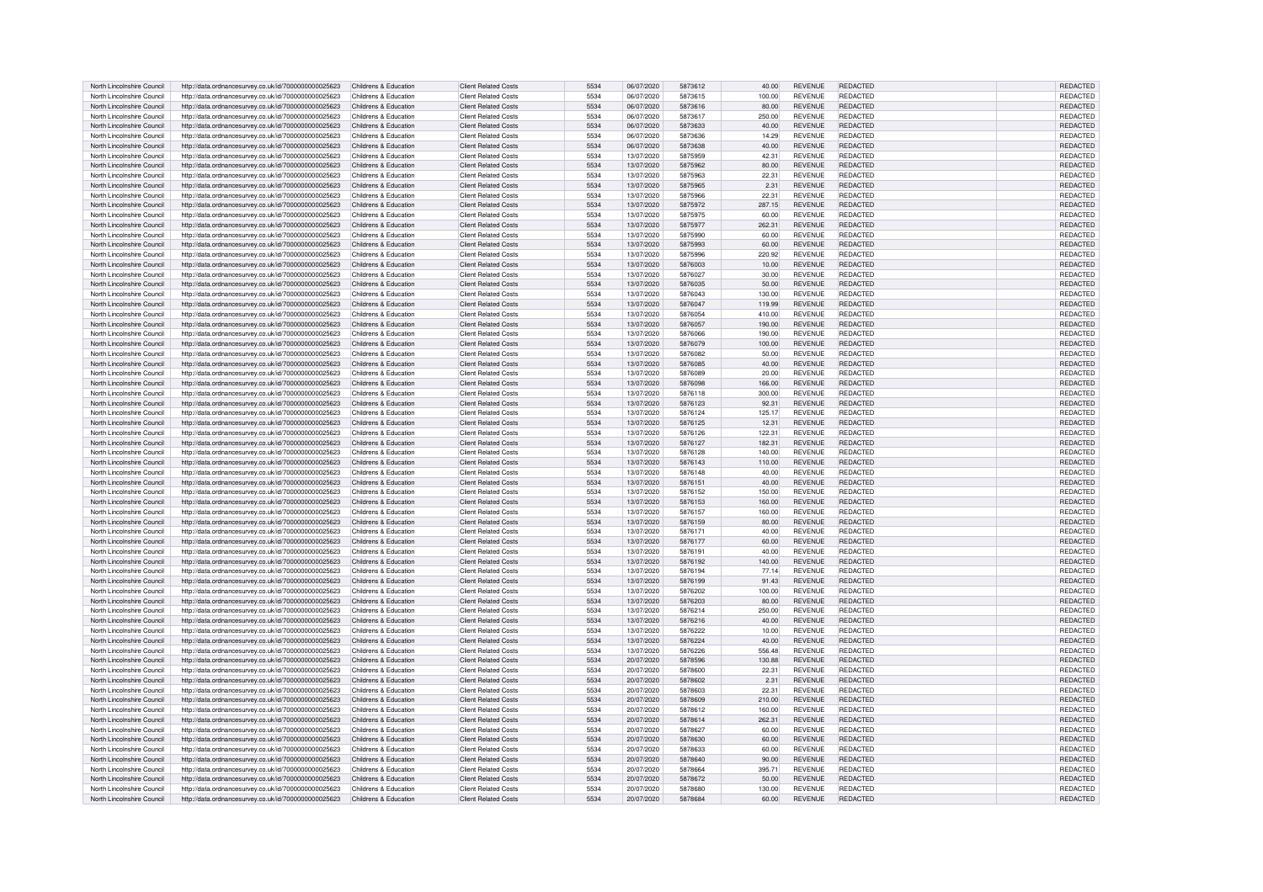| North Lincolnshire Council | http://data.ordnancesurvey.co.uk/id/7000000000025623 | Childrens & Education | <b>Client Related Costs</b> | 5534 | 06/07/2020 | 5873612 | 40.00  | <b>REVENUE</b> | <b>REDACTED</b> | <b>REDACTED</b> |
|----------------------------|------------------------------------------------------|-----------------------|-----------------------------|------|------------|---------|--------|----------------|-----------------|-----------------|
|                            |                                                      |                       |                             |      |            |         |        |                |                 |                 |
| North Lincolnshire Council | http://data.ordnancesurvey.co.uk/id/7000000000025623 | Childrens & Education | Client Related Costs        | 5534 | 06/07/2020 | 5873615 | 100.00 | <b>REVENUE</b> | <b>REDACTED</b> | REDACTED        |
| North Lincolnshire Council | http://data.ordnancesurvey.co.uk/id/7000000000025623 | Childrens & Education | <b>Client Related Costs</b> | 5534 | 06/07/2020 | 5873616 | 80.00  | <b>REVENUE</b> | <b>REDACTED</b> | REDACTED        |
| North Lincolnshire Council | http://data.ordnancesurvey.co.uk/id/7000000000025623 | Childrens & Education | Client Related Costs        | 5534 | 06/07/2020 | 5873617 | 250.00 | <b>REVENUE</b> | <b>REDACTED</b> | REDACTED        |
|                            |                                                      |                       |                             |      |            |         |        |                |                 |                 |
| North Lincolnshire Council | http://data.ordnancesurvey.co.uk/id/7000000000025623 | Childrens & Education | <b>Client Related Costs</b> | 5534 | 06/07/2020 | 5873633 | 40.00  | <b>REVENUE</b> | <b>REDACTED</b> | REDACTED        |
| North Lincolnshire Council | http://data.ordnancesurvey.co.uk/id/7000000000025623 | Childrens & Education | <b>Client Related Costs</b> | 5534 | 06/07/2020 | 5873636 | 14.29  | <b>REVENUE</b> | <b>REDACTED</b> | REDACTED        |
| North Lincolnshire Council | http://data.ordnancesurvey.co.uk/id/7000000000025623 | Childrens & Education | Client Related Costs        | 5534 | 06/07/2020 | 5873638 | 40.00  | <b>REVENUE</b> | <b>REDACTED</b> | <b>REDACTED</b> |
|                            |                                                      |                       |                             |      |            |         |        |                |                 |                 |
| North Lincolnshire Council | http://data.ordnancesurvey.co.uk/id/7000000000025623 | Childrens & Education | <b>Client Related Costs</b> | 5534 | 13/07/2020 | 5875959 | 42.31  | <b>REVENUE</b> | <b>REDACTED</b> | REDACTED        |
| North Lincolnshire Council | http://data.ordnancesurvey.co.uk/id/7000000000025623 | Childrens & Education | <b>Client Related Costs</b> | 5534 | 13/07/2020 | 5875962 | 80.00  | <b>REVENUE</b> | <b>REDACTED</b> | REDACTED        |
|                            |                                                      | Childrens & Education | Client Related Costs        | 5534 | 13/07/2020 | 5875963 |        | <b>REVENUE</b> | <b>REDACTED</b> | <b>REDACTED</b> |
| North Lincolnshire Council | http://data.ordnancesurvey.co.uk/id/7000000000025623 |                       |                             |      |            |         | 22.31  |                |                 |                 |
| North Lincolnshire Council | http://data.ordnancesurvey.co.uk/id/7000000000025623 | Childrens & Education | <b>Client Related Costs</b> | 5534 | 13/07/2020 | 5875965 | 2.31   | <b>REVENUE</b> | <b>REDACTED</b> | REDACTED        |
| North Lincolnshire Council | http://data.ordnancesurvey.co.uk/id/7000000000025623 | Childrens & Education | Client Related Costs        | 5534 | 13/07/2020 | 5875966 | 22.31  | <b>REVENUE</b> | <b>REDACTED</b> | <b>REDACTED</b> |
|                            |                                                      |                       |                             |      |            |         |        |                |                 |                 |
| North Lincolnshire Council | http://data.ordnancesurvey.co.uk/id/7000000000025623 | Childrens & Education | <b>Client Related Costs</b> | 5534 | 13/07/2020 | 5875972 | 287.15 | <b>REVENUE</b> | REDACTED        | REDACTED        |
| North Lincolnshire Council | http://data.ordnancesurvey.co.uk/id/7000000000025623 | Childrens & Education | Client Related Costs        | 5534 | 13/07/2020 | 5875975 | 60.00  | <b>REVENUE</b> | REDACTED        | REDACTED        |
| North Lincolnshire Council | http://data.ordnancesurvey.co.uk/id/7000000000025623 | Childrens & Education | <b>Client Related Costs</b> | 5534 | 13/07/2020 | 5875977 | 262.31 | <b>REVENUE</b> | <b>REDACTED</b> | REDACTED        |
|                            |                                                      |                       |                             |      |            |         |        |                |                 |                 |
| North Lincolnshire Council | http://data.ordnancesurvey.co.uk/id/7000000000025623 | Childrens & Education | <b>Client Related Costs</b> | 5534 | 13/07/2020 | 5875990 | 60.00  | <b>REVENUE</b> | REDACTED        | REDACTED        |
| North Lincolnshire Council | http://data.ordnancesurvey.co.uk/id/7000000000025623 | Childrens & Education | <b>Client Related Costs</b> | 5534 | 13/07/2020 | 5875993 | 60.00  | <b>REVENUE</b> | <b>REDACTED</b> | <b>REDACTED</b> |
| North Lincolnshire Council | http://data.ordnancesurvey.co.uk/id/7000000000025623 | Childrens & Education | <b>Client Related Costs</b> | 5534 | 13/07/2020 | 5875996 | 220.92 | <b>REVENUE</b> | <b>REDACTED</b> | REDACTED        |
|                            |                                                      |                       |                             |      |            |         |        |                |                 |                 |
| North Lincolnshire Council | http://data.ordnancesurvey.co.uk/id/7000000000025623 | Childrens & Education | <b>Client Related Costs</b> | 5534 | 13/07/2020 | 5876003 | 10.00  | <b>REVENUE</b> | <b>REDACTED</b> | REDACTED        |
| North Lincolnshire Council | http://data.ordnancesurvey.co.uk/id/7000000000025623 | Childrens & Education | <b>Client Related Costs</b> | 5534 | 13/07/2020 | 5876027 | 30.00  | <b>REVENUE</b> | <b>REDACTED</b> | REDACTED        |
| North Lincolnshire Council |                                                      |                       | Client Related Costs        | 5534 | 13/07/2020 | 5876035 | 50.00  | <b>REVENUE</b> | <b>REDACTED</b> |                 |
|                            | http://data.ordnancesurvey.co.uk/id/7000000000025623 | Childrens & Education |                             |      |            |         |        |                |                 | REDACTED        |
| North Lincolnshire Council | http://data.ordnancesurvey.co.uk/id/7000000000025623 | Childrens & Education | Client Related Costs        | 5534 | 13/07/2020 | 5876043 | 130.00 | <b>REVENUE</b> | <b>REDACTED</b> | REDACTED        |
| North Lincolnshire Council | http://data.ordnancesurvey.co.uk/id/7000000000025623 | Childrens & Education | <b>Client Related Costs</b> | 5534 | 13/07/2020 | 5876047 | 119.99 | <b>REVENUE</b> | <b>REDACTED</b> | REDACTED        |
|                            |                                                      | Childrens & Education | Client Related Costs        | 5534 |            | 5876054 |        | <b>REVENUE</b> | <b>REDACTED</b> |                 |
| North Lincolnshire Council | http://data.ordnancesurvey.co.uk/id/7000000000025623 |                       |                             |      | 13/07/2020 |         | 410.00 |                |                 | REDACTED        |
| North Lincolnshire Council | http://data.ordnancesurvey.co.uk/id/7000000000025623 | Childrens & Education | Client Related Costs        | 5534 | 13/07/2020 | 5876057 | 190.00 | REVENUE        | <b>REDACTED</b> | REDACTED        |
| North Lincolnshire Council | http://data.ordnancesurvey.co.uk/id/7000000000025623 | Childrens & Education | <b>Client Related Costs</b> | 5534 | 13/07/2020 | 5876066 | 190.00 | <b>REVENUE</b> | <b>REDACTED</b> | REDACTED        |
|                            |                                                      |                       |                             |      |            |         |        |                |                 |                 |
| North Lincolnshire Council | http://data.ordnancesurvey.co.uk/id/7000000000025623 | Childrens & Education | <b>Client Related Costs</b> | 5534 | 13/07/2020 | 5876079 | 100.00 | <b>REVENUE</b> | <b>REDACTED</b> | REDACTED        |
| North Lincolnshire Council | http://data.ordnancesurvey.co.uk/id/7000000000025623 | Childrens & Education | Client Related Costs        | 5534 | 13/07/2020 | 5876082 | 50.00  | <b>REVENUE</b> | <b>REDACTED</b> | REDACTED        |
| North Lincolnshire Council | http://data.ordnancesurvey.co.uk/id/7000000000025623 | Childrens & Education | Client Related Costs        | 5534 | 13/07/2020 | 5876085 | 40.00  | <b>REVENUE</b> | <b>REDACTED</b> | REDACTED        |
|                            |                                                      |                       |                             |      |            |         |        |                |                 |                 |
| North Lincolnshire Council | http://data.ordnancesurvey.co.uk/id/7000000000025623 | Childrens & Education | <b>Client Related Costs</b> | 5534 | 13/07/2020 | 5876089 | 20.00  | <b>REVENUE</b> | <b>REDACTED</b> | REDACTED        |
| North Lincolnshire Council | http://data.ordnancesurvey.co.uk/id/7000000000025623 | Childrens & Education | <b>Client Related Costs</b> | 5534 | 13/07/2020 | 5876098 | 166.00 | <b>REVENUE</b> | <b>REDACTED</b> | REDACTED        |
| North Lincolnshire Council |                                                      | Childrens & Education | Client Related Costs        | 5534 | 13/07/2020 | 5876118 | 300.00 | <b>REVENUE</b> | <b>REDACTED</b> |                 |
|                            | http://data.ordnancesurvey.co.uk/id/7000000000025623 |                       |                             |      |            |         |        |                |                 | REDACTED        |
| North Lincolnshire Council | http://data.ordnancesurvey.co.uk/id/7000000000025623 | Childrens & Education | Client Related Costs        | 5534 | 13/07/2020 | 5876123 | 92.31  | <b>REVENUE</b> | <b>REDACTED</b> | <b>REDACTED</b> |
| North Lincolnshire Council | http://data.ordnancesurvey.co.uk/id/7000000000025623 | Childrens & Education | Client Related Costs        | 5534 | 13/07/2020 | 5876124 | 125.17 | <b>REVENUE</b> | <b>REDACTED</b> | REDACTED        |
|                            |                                                      |                       |                             |      |            |         |        |                |                 |                 |
| North Lincolnshire Council | http://data.ordnancesurvey.co.uk/id/7000000000025623 | Childrens & Education | <b>Client Related Costs</b> | 5534 | 13/07/2020 | 5876125 | 12.31  | <b>REVENUE</b> | <b>REDACTED</b> | REDACTED        |
| North Lincolnshire Council | http://data.ordnancesurvey.co.uk/id/7000000000025623 | Childrens & Education | <b>Client Related Costs</b> | 5534 | 13/07/2020 | 5876126 | 122.31 | <b>REVENUE</b> | <b>REDACTED</b> | REDACTED        |
| North Lincolnshire Council | http://data.ordnancesurvey.co.uk/id/7000000000025623 | Childrens & Education | <b>Client Related Costs</b> | 5534 | 13/07/2020 | 5876127 | 182.31 | <b>REVENUE</b> | <b>REDACTED</b> | REDACTED        |
|                            |                                                      |                       |                             |      |            |         |        |                |                 |                 |
| North Lincolnshire Council | http://data.ordnancesurvey.co.uk/id/7000000000025623 | Childrens & Education | <b>Client Related Costs</b> | 5534 | 13/07/2020 | 5876128 | 140.00 | <b>REVENUE</b> | <b>REDACTED</b> | <b>REDACTED</b> |
| North Lincolnshire Council | http://data.ordnancesurvey.co.uk/id/7000000000025623 | Childrens & Education | <b>Client Related Costs</b> | 5534 | 13/07/2020 | 5876143 | 110.00 | <b>REVENUE</b> | <b>REDACTED</b> | REDACTED        |
| North Lincolnshire Council | http://data.ordnancesurvey.co.uk/id/7000000000025623 | Childrens & Education | <b>Client Related Costs</b> | 5534 | 13/07/2020 | 5876148 | 40.00  | <b>REVENUE</b> | <b>REDACTED</b> | REDACTED        |
|                            |                                                      |                       |                             |      |            |         |        |                |                 |                 |
| North Lincolnshire Council | http://data.ordnancesurvey.co.uk/id/7000000000025623 | Childrens & Education | <b>Client Related Costs</b> | 5534 | 13/07/2020 | 5876151 | 40.00  | <b>REVENUE</b> | <b>REDACTED</b> | REDACTED        |
| North Lincolnshire Council | http://data.ordnancesurvey.co.uk/id/7000000000025623 | Childrens & Education | <b>Client Related Costs</b> | 5534 | 13/07/2020 | 5876152 | 150.00 | <b>REVENUE</b> | <b>REDACTED</b> | REDACTED        |
|                            |                                                      |                       |                             |      |            |         |        |                |                 |                 |
| North Lincolnshire Council | http://data.ordnancesurvey.co.uk/id/7000000000025623 | Childrens & Education | Client Related Costs        | 5534 | 13/07/2020 | 5876153 | 160.00 | <b>REVENUE</b> | <b>REDACTED</b> | <b>REDACTED</b> |
| North Lincolnshire Council | http://data.ordnancesurvev.co.uk/id/7000000000025623 | Childrens & Education | Client Related Costs        | 5534 | 13/07/2020 | 5876157 | 160.00 | <b>REVENUE</b> | REDACTED        | REDACTED        |
| North Lincolnshire Council | http://data.ordnancesurvey.co.uk/id/7000000000025623 | Childrens & Education | <b>Client Related Costs</b> | 5534 | 13/07/2020 | 5876159 | 80.00  | <b>REVENUE</b> | <b>REDACTED</b> | <b>REDACTED</b> |
|                            |                                                      |                       |                             |      |            |         |        |                |                 |                 |
| North Lincolnshire Council | http://data.ordnancesurvey.co.uk/id/7000000000025623 | Childrens & Education | Client Related Costs        | 5534 | 13/07/2020 | 5876171 | 40.00  | <b>REVENUE</b> | REDACTED        | <b>REDACTED</b> |
| North Lincolnshire Council | http://data.ordnancesurvey.co.uk/id/7000000000025623 | Childrens & Education | <b>Client Related Costs</b> | 5534 | 13/07/2020 | 5876177 | 60.00  | <b>REVENUE</b> | <b>REDACTED</b> | REDACTED        |
|                            |                                                      |                       |                             |      |            | 5876191 |        | <b>REVENUE</b> |                 |                 |
| North Lincolnshire Council | http://data.ordnancesurvey.co.uk/id/7000000000025623 | Childrens & Education | <b>Client Related Costs</b> | 5534 | 13/07/2020 |         | 40.00  |                | <b>REDACTED</b> | REDACTED        |
| North Lincolnshire Council | http://data.ordnancesurvey.co.uk/id/7000000000025623 | Childrens & Education | <b>Client Related Costs</b> | 5534 | 13/07/2020 | 5876192 | 140.00 | <b>REVENUE</b> | <b>REDACTED</b> | REDACTED        |
| North Lincolnshire Council | http://data.ordnancesurvey.co.uk/id/7000000000025623 | Childrens & Education | Client Related Costs        | 5534 | 13/07/2020 | 5876194 | 77.14  | <b>REVENUE</b> | <b>REDACTED</b> | <b>REDACTEI</b> |
|                            |                                                      |                       |                             |      |            |         |        |                |                 |                 |
| North Lincolnshire Council | http://data.ordnancesurvey.co.uk/id/7000000000025623 | Childrens & Education | <b>Client Related Costs</b> | 5534 | 13/07/2020 | 5876199 | 91.43  | <b>REVENUE</b> | <b>REDACTED</b> | REDACTED        |
| North Lincolnshire Council | http://data.ordnancesurvey.co.uk/id/7000000000025623 | Childrens & Education | Client Related Costs        | 5534 | 13/07/2020 | 5876202 | 100.00 | <b>REVENUE</b> | <b>REDACTED</b> | <b>REDACTED</b> |
| North Lincolnshire Council | http://data.ordnancesurvey.co.uk/id/7000000000025623 | Childrens & Education | <b>Client Related Costs</b> | 5534 | 13/07/2020 | 5876203 | 80.00  | <b>REVENUE</b> | <b>REDACTED</b> | <b>REDACTED</b> |
| North Lincolnshire Council | http://data.ordnancesurvey.co.uk/id/7000000000025623 | Childrens & Education | Client Related Costs        | 5534 | 13/07/2020 | 5876214 | 250.00 | <b>REVENUE</b> | <b>REDACTED</b> | REDACTED        |
|                            |                                                      |                       |                             |      |            |         |        |                |                 |                 |
| North Lincolnshire Council | http://data.ordnancesurvey.co.uk/id/7000000000025623 | Childrens & Education | Client Related Costs        | 5534 | 13/07/2020 | 5876216 | 40.00  | <b>REVENUE</b> | <b>REDACTED</b> | REDACTED        |
| North Lincolnshire Council | http://data.ordnancesurvey.co.uk/id/7000000000025623 | Childrens & Education | Client Related Costs        | 5534 | 13/07/2020 | 5876222 | 10.00  | <b>REVENUE</b> | <b>REDACTED</b> | REDACTED        |
| North Lincolnshire Council |                                                      |                       | Client Related Costs        | 5534 |            | 5876224 |        | <b>REVENUE</b> | <b>REDACTED</b> |                 |
|                            | http://data.ordnancesurvey.co.uk/id/7000000000025623 | Childrens & Education |                             |      | 13/07/2020 |         | 40.00  |                |                 | REDACTED        |
| North Lincolnshire Council | http://data.ordnancesurvey.co.uk/id/7000000000025623 | Childrens & Education | Client Related Costs        | 5534 | 13/07/2020 | 5876226 | 556.48 | <b>REVENUE</b> | <b>REDACTED</b> | REDACTED        |
| North Lincolnshire Council | http://data.ordnancesurvey.co.uk/id/7000000000025623 | Childrens & Education | <b>Client Related Costs</b> | 5534 | 20/07/2020 | 5878596 | 130.88 | <b>REVENUE</b> | <b>REDACTED</b> | REDACTED        |
|                            |                                                      |                       |                             |      |            |         |        |                |                 |                 |
| North Lincolnshire Council | http://data.ordnancesurvey.co.uk/id/7000000000025623 | Childrens & Education | <b>Client Related Costs</b> | 5534 | 20/07/2020 | 5878600 | 22.31  | <b>REVENUE</b> | <b>REDACTED</b> | REDACTED        |
| North Lincolnshire Council | http://data.ordnancesurvey.co.uk/id/7000000000025623 | Childrens & Education | <b>Client Related Costs</b> | 5534 | 20/07/2020 | 5878602 | 2.31   | <b>REVENUE</b> | <b>REDACTED</b> | REDACTED        |
| North Lincolnshire Council | http://data.ordnancesurvey.co.uk/id/7000000000025623 | Childrens & Education | Client Related Costs        | 5534 | 20/07/2020 | 5878603 | 22.31  | <b>REVENUE</b> | <b>REDACTED</b> | REDACTED        |
|                            |                                                      |                       |                             |      |            |         |        |                |                 |                 |
| North Lincolnshire Council | http://data.ordnancesurvey.co.uk/id/7000000000025623 | Childrens & Education | <b>Client Related Costs</b> | 5534 | 20/07/2020 | 5878609 | 210.00 | <b>REVENUE</b> | <b>REDACTED</b> | REDACTED        |
| North Lincolnshire Council | http://data.ordnancesurvey.co.uk/id/7000000000025623 | Childrens & Education | <b>Client Related Costs</b> | 5534 | 20/07/2020 | 5878612 | 160.00 | <b>REVENUE</b> | <b>REDACTED</b> | REDACTED        |
| North Lincolnshire Council | http://data.ordnancesurvey.co.uk/id/7000000000025623 | Childrens & Education | <b>Client Related Costs</b> | 5534 | 20/07/2020 | 5878614 | 262.31 | <b>REVENUE</b> | <b>REDACTED</b> | REDACTED        |
|                            |                                                      |                       |                             |      |            |         |        |                |                 |                 |
| North Lincolnshire Council | http://data.ordnancesurvey.co.uk/id/7000000000025623 | Childrens & Education | Client Related Costs        | 5534 | 20/07/2020 | 5878627 | 60.00  | REVENUE        | <b>REDACTED</b> | <b>REDACTED</b> |
| North Lincolnshire Council | http://data.ordnancesurvey.co.uk/id/7000000000025623 | Childrens & Education | Client Related Costs        | 5534 | 20/07/2020 | 5878630 | 60.00  | <b>REVENUE</b> | <b>REDACTED</b> | REDACTED        |
| North Lincolnshire Council | http://data.ordnancesurvey.co.uk/id/7000000000025623 | Childrens & Education | <b>Client Related Costs</b> | 5534 | 20/07/2020 | 5878633 | 60.00  | <b>REVENUE</b> | <b>REDACTED</b> | REDACTED        |
|                            |                                                      |                       |                             |      |            |         |        |                |                 |                 |
| North Lincolnshire Council | http://data.ordnancesurvey.co.uk/id/7000000000025623 | Childrens & Education | <b>Client Related Costs</b> | 5534 | 20/07/2020 | 5878640 | 90.00  | <b>REVENUE</b> | <b>REDACTED</b> | REDACTED        |
| North Lincolnshire Council | http://data.ordnancesurvey.co.uk/id/7000000000025623 | Childrens & Education | Client Related Costs        | 5534 | 20/07/2020 | 5878664 | 395.71 | <b>REVENUE</b> | <b>REDACTED</b> | REDACTED        |
| North Lincolnshire Council |                                                      | Childrens & Education | Client Related Costs        | 5534 | 20/07/2020 | 5878672 | 50.00  | <b>REVENUE</b> | <b>REDACTED</b> | REDACTED        |
|                            |                                                      |                       |                             |      |            |         |        |                |                 |                 |
|                            | http://data.ordnancesurvey.co.uk/id/7000000000025623 |                       |                             |      |            |         |        |                |                 |                 |
| North Lincolnshire Council | http://data.ordnancesurvey.co.uk/id/7000000000025623 | Childrens & Education | <b>Client Related Costs</b> | 5534 | 20/07/2020 | 5878680 | 130.00 | <b>REVENUE</b> | REDACTED        | REDACTED        |
| North Lincolnshire Council | http://data.ordnancesurvey.co.uk/id/7000000000025623 | Childrens & Education | <b>Client Related Costs</b> | 5534 | 20/07/2020 | 5878684 | 60.00  | <b>REVENUE</b> | <b>REDACTED</b> | <b>REDACTED</b> |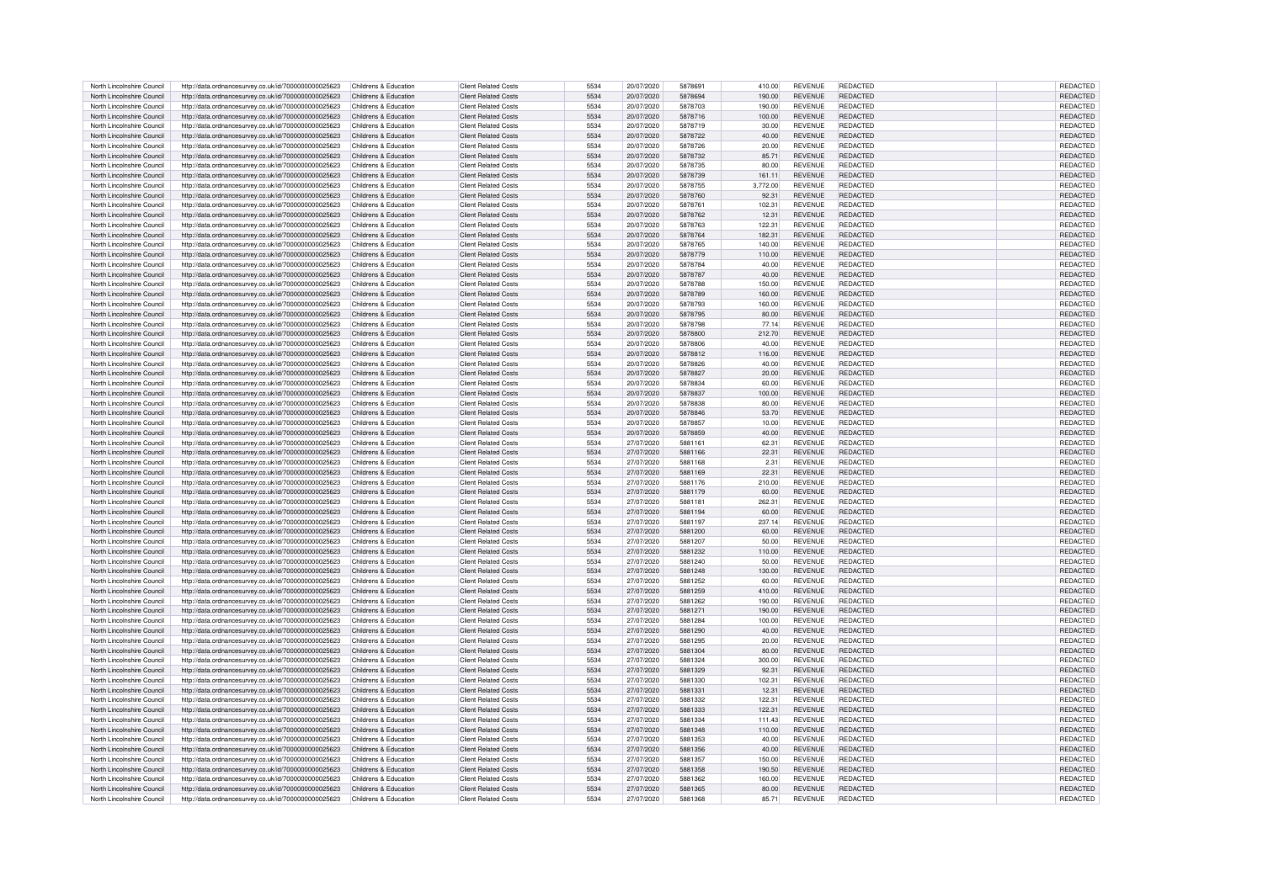| North Lincolnshire Council                               |                                                                                                              |                                                |                                                     |              |                          |                    |                |                                  |                             |                      |
|----------------------------------------------------------|--------------------------------------------------------------------------------------------------------------|------------------------------------------------|-----------------------------------------------------|--------------|--------------------------|--------------------|----------------|----------------------------------|-----------------------------|----------------------|
|                                                          | http://data.ordnancesurvey.co.uk/id/7000000000025623                                                         | Childrens & Education                          | <b>Client Related Costs</b>                         | 5534         | 20/07/2020               | 5878691            | 410.00         | <b>REVENUE</b>                   | REDACTED                    | REDACTED             |
| North Lincolnshire Council                               | http://data.ordnancesurvev.co.uk/id/7000000000025623                                                         | Childrens & Education                          | <b>Client Related Costs</b>                         | 5534         | 20/07/2020               | 5878694            | 190.00         | <b>REVENUE</b>                   | <b>REDACTED</b>             | REDACTED             |
| North Lincolnshire Council                               | http://data.ordnancesurvey.co.uk/id/7000000000025623                                                         | Childrens & Education                          | Client Related Costs                                | 5534         | 20/07/2020               | 5878703            | 190.00         | <b>REVENUE</b>                   | <b>REDACTED</b>             | REDACTED             |
| North Lincolnshire Council                               | http://data.ordnancesurvey.co.uk/id/7000000000025623                                                         | Childrens & Education                          | Client Related Costs                                | 5534         | 20/07/2020               | 5878716            | 100.00         | <b>REVENUE</b>                   | <b>REDACTED</b>             | <b>REDACTED</b>      |
| North Lincolnshire Council                               | http://data.ordnancesurvey.co.uk/id/7000000000025623                                                         | Childrens & Education                          | <b>Client Related Costs</b>                         | 5534         | 20/07/2020               | 5878719            | 30.00          | REVENUE                          | <b>REDACTED</b>             | REDACTED             |
|                                                          |                                                                                                              |                                                |                                                     |              |                          |                    |                |                                  |                             |                      |
| North Lincolnshire Council                               | http://data.ordnancesurvey.co.uk/id/7000000000025623                                                         | Childrens & Education                          | <b>Client Related Costs</b>                         | 5534         | 20/07/2020               | 5878722            | 40.00          | <b>REVENUE</b>                   | <b>REDACTED</b>             | REDACTED             |
| North Lincolnshire Council                               | http://data.ordnancesurvey.co.uk/id/7000000000025623                                                         | Childrens & Education                          | Client Related Costs                                | 5534         | 20/07/2020               | 5878726            | 20.00          | <b>REVENUE</b>                   | <b>REDACTED</b>             | <b>REDACTED</b>      |
| North Lincolnshire Council                               | http://data.ordnancesurvey.co.uk/id/7000000000025623                                                         | Childrens & Education                          | <b>Client Related Costs</b>                         | 5534         | 20/07/2020               | 5878732            | 85.71          | <b>REVENUE</b>                   | <b>REDACTED</b>             | REDACTED             |
| North Lincolnshire Council                               | http://data.ordnancesurvey.co.uk/id/7000000000025623                                                         | Childrens & Education                          | Client Related Costs                                | 5534         | 20/07/2020               | 5878735            | 80.00          | <b>REVENUE</b>                   | <b>REDACTED</b>             | REDACTED             |
|                                                          |                                                                                                              |                                                |                                                     |              |                          |                    |                |                                  |                             |                      |
| North Lincolnshire Council                               | http://data.ordnancesurvey.co.uk/id/7000000000025623                                                         | Childrens & Education                          | Client Related Costs                                | 5534         | 20/07/2020               | 5878739            | 161.11         | <b>REVENUE</b>                   | <b>REDACTED</b>             | REDACTED             |
| North Lincolnshire Council                               | http://data.ordnancesurvey.co.uk/id/7000000000025623                                                         | Childrens & Education                          | Client Related Costs                                | 5534         | 20/07/2020               | 5878755            | 3.772.00       | <b>REVENUE</b>                   | REDACTED                    | REDACTED             |
| North Lincolnshire Council                               | http://data.ordnancesurvey.co.uk/id/7000000000025623                                                         | Childrens & Education                          | Client Related Costs                                | 5534         | 20/07/2020               | 5878760            | 92.31          | <b>REVENUE</b>                   | <b>REDACTED</b>             | REDACTED             |
| North Lincolnshire Council                               | http://data.ordnancesurvey.co.uk/id/7000000000025623                                                         | Childrens & Education                          | <b>Client Related Costs</b>                         | 5534         | 20/07/2020               | 5878761            | 102.31         | <b>REVENUE</b>                   | <b>REDACTED</b>             | <b>REDACTED</b>      |
| North Lincolnshire Council                               | http://data.ordnancesurvey.co.uk/id/7000000000025623                                                         | Childrens & Education                          | <b>Client Related Costs</b>                         | 5534         | 20/07/2020               | 5878762            | 12.31          | <b>REVENUE</b>                   | REDACTED                    | REDACTED             |
|                                                          |                                                                                                              |                                                |                                                     |              |                          |                    |                |                                  |                             |                      |
| North Lincolnshire Council                               | http://data.ordnancesurvey.co.uk/id/7000000000025623                                                         | Childrens & Education                          | <b>Client Related Costs</b>                         | 5534         | 20/07/2020               | 5878763            | 122.31         | <b>REVENUE</b>                   | <b>REDACTED</b>             | <b>REDACTED</b>      |
| North Lincolnshire Council                               | http://data.ordnancesurvey.co.uk/id/7000000000025623                                                         | Childrens & Education                          | <b>Client Related Costs</b>                         | 5534         | 20/07/2020               | 5878764            | 182.31         | <b>REVENUE</b>                   | <b>REDACTED</b>             | <b>REDACTED</b>      |
| North Lincolnshire Council                               | http://data.ordnancesurvey.co.uk/id/7000000000025623                                                         | Childrens & Education                          | <b>Client Related Costs</b>                         | 5534         | 20/07/2020               | 5878765            | 140.00         | <b>REVENUE</b>                   | <b>REDACTED</b>             | REDACTED             |
| North Lincolnshire Council                               | http://data.ordnancesurvey.co.uk/id/7000000000025623                                                         | Childrens & Education                          | <b>Client Related Costs</b>                         | 5534         | 20/07/2020               | 5878779            | 110.00         | <b>REVENUE</b>                   | <b>REDACTED</b>             | <b>REDACTED</b>      |
| North Lincolnshire Council                               | http://data.ordnancesurvey.co.uk/id/7000000000025623                                                         | Childrens & Education                          | <b>Client Related Costs</b>                         | 5534         | 20/07/2020               | 5878784            | 40.00          | <b>REVENUE</b>                   | REDACTED                    | REDACTED             |
|                                                          |                                                                                                              |                                                | Client Related Costs                                | 5534         | 20/07/2020               | 5878787            |                | <b>REVENUE</b>                   | <b>REDACTED</b>             |                      |
| North Lincolnshire Council                               | http://data.ordnancesurvey.co.uk/id/7000000000025623                                                         | Childrens & Education                          |                                                     |              |                          |                    | 40.00          |                                  |                             | REDACTED             |
| North Lincolnshire Council                               | http://data.ordnancesurvey.co.uk/id/7000000000025623                                                         | Childrens & Education                          | Client Related Costs                                | 5534         | 20/07/2020               | 5878788            | 150.00         | <b>REVENUE</b>                   | <b>REDACTED</b>             | REDACTED             |
| North Lincolnshire Council                               | http://data.ordnancesurvey.co.uk/id/7000000000025623                                                         | Childrens & Education                          | <b>Client Related Costs</b>                         | 5534         | 20/07/2020               | 5878789            | 160.00         | <b>REVENUE</b>                   | <b>REDACTED</b>             | REDACTED             |
| North Lincolnshire Council                               | http://data.ordnancesurvey.co.uk/id/7000000000025623                                                         | Childrens & Education                          | Client Related Costs                                | 5534         | 20/07/2020               | 5878793            | 160.00         | <b>REVENUE</b>                   | <b>REDACTED</b>             | REDACTED             |
| North Lincolnshire Council                               | http://data.ordnancesurvey.co.uk/id/7000000000025623                                                         | Childrens & Education                          | Client Related Costs                                | 5534         | 20/07/2020               | 5878795            | 80.00          | <b>REVENUE</b>                   | <b>REDACTED</b>             | REDACTED             |
|                                                          |                                                                                                              |                                                |                                                     |              |                          |                    |                |                                  |                             |                      |
| North Lincolnshire Council                               | http://data.ordnancesurvey.co.uk/id/7000000000025623                                                         | Childrens & Education                          | <b>Client Related Costs</b>                         | 5534         | 20/07/2020               | 5878798            | 77.14          | <b>REVENUE</b>                   | <b>REDACTED</b>             | REDACTED             |
| North Lincolnshire Council                               | http://data.ordnancesurvey.co.uk/id/7000000000025623                                                         | Childrens & Education                          | <b>Client Related Costs</b>                         | 5534         | 20/07/2020               | 5878800            | 212.70         | <b>REVENUE</b>                   | <b>REDACTED</b>             | REDACTED             |
| North Lincolnshire Council                               | http://data.ordnancesurvey.co.uk/id/7000000000025623                                                         | Childrens & Education                          | Client Related Costs                                | 5534         | 20/07/2020               | 5878806            | 40.00          | <b>REVENUE</b>                   | <b>REDACTED</b>             | REDACTED             |
| North Lincolnshire Council                               | http://data.ordnancesurvey.co.uk/id/7000000000025623                                                         | Childrens & Education                          | <b>Client Related Costs</b>                         | 5534         | 20/07/2020               | 5878812            | 116.00         | <b>REVENUE</b>                   | <b>REDACTED</b>             | REDACTED             |
| North Lincolnshire Council                               | http://data.ordnancesurvey.co.uk/id/7000000000025623                                                         | Childrens & Education                          | <b>Client Related Costs</b>                         | 5534         | 20/07/2020               | 5878826            | 40.00          | REVENUE                          | <b>REDACTED</b>             | REDACTED             |
|                                                          |                                                                                                              |                                                |                                                     |              |                          |                    |                |                                  |                             |                      |
| North Lincolnshire Council                               | http://data.ordnancesurvey.co.uk/id/7000000000025623                                                         | Childrens & Education                          | <b>Client Related Costs</b>                         | 5534         | 20/07/2020               | 5878827            | 20.00          | <b>REVENUE</b>                   | <b>REDACTED</b>             | <b>REDACTED</b>      |
| North Lincolnshire Council                               | http://data.ordnancesurvey.co.uk/id/7000000000025623                                                         | Childrens & Education                          | Client Related Costs                                | 5534         | 20/07/2020               | 5878834            | 60.00          | <b>REVENUE</b>                   | <b>REDACTED</b>             | <b>REDACTED</b>      |
| North Lincolnshire Council                               | http://data.ordnancesurvey.co.uk/id/7000000000025623                                                         | Childrens & Education                          | <b>Client Related Costs</b>                         | 5534         | 20/07/2020               | 5878837            | 100.00         | <b>REVENUE</b>                   | <b>REDACTED</b>             | REDACTED             |
| North Lincolnshire Council                               | http://data.ordnancesurvey.co.uk/id/7000000000025623                                                         | Childrens & Education                          | Client Related Costs                                | 5534         | 20/07/2020               | 5878838            | 80.00          | <b>REVENUE</b>                   | <b>REDACTED</b>             | REDACTED             |
|                                                          |                                                                                                              |                                                | Client Related Costs                                | 5534         |                          | 5878846            |                | <b>REVENUE</b>                   | <b>REDACTED</b>             |                      |
| North Lincolnshire Council                               | http://data.ordnancesurvey.co.uk/id/7000000000025623                                                         | Childrens & Education                          |                                                     |              | 20/07/2020               |                    | 53.70          |                                  |                             | REDACTED             |
| North Lincolnshire Council                               | http://data.ordnancesurvey.co.uk/id/7000000000025623                                                         | Childrens & Education                          | Client Related Costs                                | 5534         | 20/07/2020               | 5878857            | 10.00          | <b>REVENUE</b>                   | <b>REDACTED</b>             | REDACTED             |
| North Lincolnshire Council                               | http://data.ordnancesurvey.co.uk/id/7000000000025623                                                         | Childrens & Education                          | <b>Client Related Costs</b>                         | 5534         | 20/07/2020               | 5878859            | 40.00          | <b>REVENUE</b>                   | <b>REDACTED</b>             | <b>REDACTED</b>      |
| North Lincolnshire Council                               | http://data.ordnancesurvev.co.uk/id/7000000000025623                                                         | Childrens & Education                          | <b>Client Related Costs</b>                         | 5534         | 27/07/2020               | 5881161            | 62.31          | REVENUE                          | REDACTED                    | REDACTED             |
| North Lincolnshire Council                               | http://data.ordnancesurvey.co.uk/id/7000000000025623                                                         | Childrens & Education                          | <b>Client Related Costs</b>                         | 5534         | 27/07/2020               | 5881166            | 22.31          | <b>REVENUE</b>                   | <b>REDACTED</b>             | <b>REDACTED</b>      |
|                                                          |                                                                                                              |                                                |                                                     |              |                          |                    |                |                                  |                             |                      |
| North Lincolnshire Council                               | http://data.ordnancesurvey.co.uk/id/7000000000025623                                                         | Childrens & Education                          | <b>Client Related Costs</b>                         | 5534         | 27/07/2020               | 5881168            | 2.31           | <b>REVENUE</b>                   | <b>REDACTED</b>             | REDACTED             |
| North Lincolnshire Council                               | http://data.ordnancesurvey.co.uk/id/7000000000025623                                                         | Childrens & Education                          | <b>Client Related Costs</b>                         | 5534         | 27/07/2020               | 5881169            | 22.31          | <b>REVENUE</b>                   | <b>REDACTED</b>             | REDACTED             |
| North Lincolnshire Council                               | http://data.ordnancesurvev.co.uk/id/7000000000025623                                                         | Childrens & Education                          | Client Related Costs                                | 5534         | 27/07/2020               | 5881176            | 210.00         | <b>REVENUE</b>                   | <b>REDACTED</b>             | <b>REDACTED</b>      |
| North Lincolnshire Council                               | http://data.ordnancesurvey.co.uk/id/7000000000025623                                                         | Childrens & Education                          | Client Related Costs                                | 5534         | 27/07/2020               | 5881179            | 60.00          | <b>REVENUE</b>                   | <b>REDACTED</b>             | <b>REDACTED</b>      |
| North Lincolnshire Council                               |                                                                                                              |                                                |                                                     |              | 27/07/2020               | 5881181            | 262.31         | <b>REVENUE</b>                   | <b>REDACTED</b>             |                      |
|                                                          |                                                                                                              |                                                |                                                     |              |                          |                    |                |                                  |                             |                      |
|                                                          | http://data.ordnancesurvey.co.uk/id/7000000000025623                                                         | Childrens & Education                          | Client Related Costs                                | 5534         |                          |                    |                |                                  |                             | REDACTED             |
| North Lincolnshire Council                               | http://data.ordnancesurvey.co.uk/id/7000000000025623                                                         | Childrens & Education                          | Client Related Costs                                | 5534         | 27/07/2020               | 5881194            | 60.00          | <b>REVENUE</b>                   | <b>REDACTED</b>             | REDACTED             |
| North Lincolnshire Council                               | http://data.ordnancesurvey.co.uk/id/7000000000025623                                                         | Childrens & Education                          | Client Related Costs                                | 5534         | 27/07/2020               | 5881197            | 237.14         | <b>REVENUE</b>                   | <b>REDACTED</b>             | <b>REDACTED</b>      |
|                                                          |                                                                                                              |                                                |                                                     |              |                          |                    |                |                                  |                             |                      |
| North Lincolnshire Council                               | http://data.ordnancesurvey.co.uk/id/7000000000025623                                                         | Childrens & Education                          | <b>Client Related Costs</b>                         | 5534         | 27/07/2020               | 5881200            | 60.00          | <b>REVENUE</b>                   | <b>REDACTED</b>             | REDACTED             |
| North Lincolnshire Council                               | http://data.ordnancesurvey.co.uk/id/7000000000025623                                                         | Childrens & Education                          | <b>Client Related Costs</b>                         | 5534         | 27/07/2020               | 5881207            | 50.00          | <b>REVENUE</b>                   | <b>REDACTED</b>             | REDACTED             |
| North Lincolnshire Council                               | http://data.ordnancesurvey.co.uk/id/7000000000025623                                                         | Childrens & Education                          | <b>Client Related Costs</b>                         | 5534         | 27/07/2020               | 5881232            | 110.00         | <b>REVENUE</b>                   | <b>REDACTED</b>             | REDACTED             |
| North Lincolnshire Council                               | http://data.ordnancesurvey.co.uk/id/7000000000025623                                                         | Childrens & Education                          | <b>Client Related Costs</b>                         | 5534         | 27/07/2020               | 5881240            | 50.00          | REVENUE                          | <b>REDACTED</b>             | REDACTED             |
| North Lincolnshire Council                               | http://data.ordnancesurvey.co.uk/id/7000000000025623                                                         | Childrens & Education                          | Client Related Costs                                | 5534         | 27/07/2020               | 5881248            | 130.00         | <b>REVENUE</b>                   | <b>REDACTED</b>             | REDACTED             |
| North Lincolnshire Council                               | http://data.ordnancesurvey.co.uk/id/7000000000025623                                                         | Childrens & Education                          | Client Related Costs                                | 5534         | 27/07/2020               | 5881252            | 60.00          | <b>REVENUE</b>                   | <b>REDACTED</b>             | REDACTED             |
| North Lincolnshire Council                               |                                                                                                              |                                                |                                                     |              |                          |                    |                |                                  |                             |                      |
|                                                          | http://data.ordnancesurvey.co.uk/id/7000000000025623                                                         | Childrens & Education                          | <b>Client Related Costs</b>                         | 5534         | 27/07/2020               | 5881259            | 410.00         | <b>REVENUE</b>                   | <b>REDACTED</b>             | REDACTED             |
| North Lincolnshire Council                               | http://data.ordnancesurvey.co.uk/id/7000000000025623                                                         | Childrens & Education                          | Client Related Costs                                | 5534         | 27/07/2020               | 5881262            | 190.00         | <b>REVENUE</b>                   | <b>REDACTED</b>             | REDACTED             |
| North Lincolnshire Council                               | http://data.ordnancesurvey.co.uk/id/7000000000025623                                                         | Childrens & Education                          | <b>Client Related Costs</b>                         | 5534         | 27/07/2020               | 5881271            | 190.00         | <b>REVENUE</b>                   | <b>REDACTED</b>             | REDACTED             |
| North Lincolnshire Council                               | http://data.ordnancesurvey.co.uk/id/7000000000025623                                                         | Childrens & Education                          | Client Related Costs                                | 5534         | 27/07/2020               | 5881284            | 100.00         | <b>REVENUE</b>                   | <b>REDACTED</b>             | <b>REDACTED</b>      |
| North Lincolnshire Council                               |                                                                                                              | Childrens & Education                          | <b>Client Related Costs</b>                         | 5534         |                          | 5881290            |                | <b>REVENUE</b>                   | <b>REDACTED</b>             | REDACTED             |
|                                                          | http://data.ordnancesurvey.co.uk/id/7000000000025623                                                         |                                                | Client Related Costs                                | 5534         | 27/07/2020               |                    | 40.00          |                                  |                             |                      |
| North Lincolnshire Council                               | http://data.ordnancesurvey.co.uk/id/7000000000025623                                                         | Childrens & Education                          |                                                     |              | 27/07/2020               | 5881295            | 20.00          | <b>REVENUE</b>                   | REDACTED                    | REDACTED             |
| North Lincolnshire Council                               | http://data.ordnancesurvey.co.uk/id/7000000000025623                                                         | Childrens & Education                          | <b>Client Related Costs</b>                         | 5534         | 27/07/2020               | 5881304            | 80.00          | <b>REVENUE</b>                   | <b>REDACTED</b>             | REDACTED             |
| North Lincolnshire Council                               | http://data.ordnancesurvey.co.uk/id/7000000000025623                                                         | Childrens & Education                          | Client Related Costs                                | 5534         | 27/07/2020               | 5881324            | 300.00         | <b>REVENUE</b>                   | <b>REDACTED</b>             | REDACTED             |
| North Lincolnshire Council                               | http://data.ordnancesurvey.co.uk/id/7000000000025623                                                         | Childrens & Education                          | <b>Client Related Costs</b>                         | 5534         | 27/07/2020               | 5881329            | 92.31          | <b>REVENUE</b>                   | <b>REDACTED</b>             | <b>REDACTED</b>      |
| North Lincolnshire Council                               | http://data.ordnancesurvey.co.uk/id/7000000000025623                                                         | Childrens & Education                          | <b>Client Related Costs</b>                         | 5534         | 27/07/2020               | 5881330            | 102.31         | <b>REVENUE</b>                   | <b>REDACTED</b>             | REDACTED             |
| North Lincolnshire Council                               |                                                                                                              | Childrens & Education                          | <b>Client Related Costs</b>                         | 5534         | 27/07/2020               | 5881331            | 12.31          | <b>REVENUE</b>                   | <b>REDACTED</b>             |                      |
|                                                          | http://data.ordnancesurvey.co.uk/id/7000000000025623                                                         |                                                |                                                     |              |                          |                    |                |                                  |                             | REDACTED             |
| North Lincolnshire Council                               | http://data.ordnancesurvey.co.uk/id/7000000000025623                                                         | Childrens & Education                          | <b>Client Related Costs</b>                         | 5534         | 27/07/2020               | 5881332            | 122.31         | <b>REVENUE</b>                   | <b>REDACTED</b>             | REDACTED             |
| North Lincolnshire Council                               | http://data.ordnancesurvey.co.uk/id/7000000000025623                                                         | Childrens & Education                          | <b>Client Related Costs</b>                         | 5534         | 27/07/2020               | 5881333            | 122.31         | <b>REVENUE</b>                   | <b>REDACTED</b>             | REDACTED             |
| North Lincolnshire Council                               | http://data.ordnancesurvey.co.uk/id/7000000000025623                                                         | Childrens & Education                          | <b>Client Related Costs</b>                         | 5534         | 27/07/2020               | 5881334            | 111.43         | <b>REVENUE</b>                   | <b>REDACTED</b>             | REDACTED             |
|                                                          |                                                                                                              | Childrens & Education                          | Client Related Costs                                | 5534         | 27/07/2020               | 5881348            | 110.00         | <b>REVENUE</b>                   | <b>REDACTED</b>             | REDACTED             |
| North Lincolnshire Council<br>North Lincolnshire Council | http://data.ordnancesurvey.co.uk/id/7000000000025623                                                         | Childrens & Education                          | Client Related Costs                                | 5534         | 27/07/2020               | 5881353            | 40.00          | <b>REVENUE</b>                   | <b>REDACTED</b>             |                      |
|                                                          | http://data.ordnancesurvey.co.uk/id/7000000000025623                                                         |                                                |                                                     |              |                          |                    |                |                                  |                             | REDACTED             |
| North Lincolnshire Council                               | http://data.ordnancesurvey.co.uk/id/7000000000025623                                                         | Childrens & Education                          | <b>Client Related Costs</b>                         | 5534         | 27/07/2020               | 5881356            | 40.00          | REVENUE                          | REDACTED                    | REDACTED             |
| North Lincolnshire Council                               | http://data.ordnancesurvey.co.uk/id/7000000000025623                                                         | Childrens & Education                          | Client Related Costs                                | 5534         | 27/07/2020               | 5881357            | 150.00         | <b>REVENUE</b>                   | <b>REDACTED</b>             | REDACTED             |
| North Lincolnshire Council                               | http://data.ordnancesurvey.co.uk/id/7000000000025623                                                         | Childrens & Education                          | <b>Client Related Costs</b>                         | 5534         | 27/07/2020               | 5881358            | 190.50         | <b>REVENUE</b>                   | <b>REDACTED</b>             | REDACTED             |
| North Lincolnshire Council                               |                                                                                                              | Childrens & Education                          | Client Related Costs                                | 5534         | 27/07/2020               | 5881362            | 160.00         | <b>REVENUE</b>                   | <b>REDACTED</b>             | REDACTED             |
|                                                          | http://data.ordnancesurvey.co.uk/id/7000000000025623                                                         |                                                |                                                     |              |                          |                    |                |                                  |                             |                      |
| North Lincolnshire Council<br>North Lincolnshire Council | http://data.ordnancesurvey.co.uk/id/7000000000025623<br>http://data.ordnancesurvey.co.uk/id/7000000000025623 | Childrens & Education<br>Childrens & Education | <b>Client Related Costs</b><br>Client Related Costs | 5534<br>5534 | 27/07/2020<br>27/07/2020 | 5881365<br>5881368 | 80.00<br>85.71 | <b>REVENUE</b><br><b>REVENUE</b> | REDACTED<br><b>REDACTED</b> | REDACTED<br>REDACTED |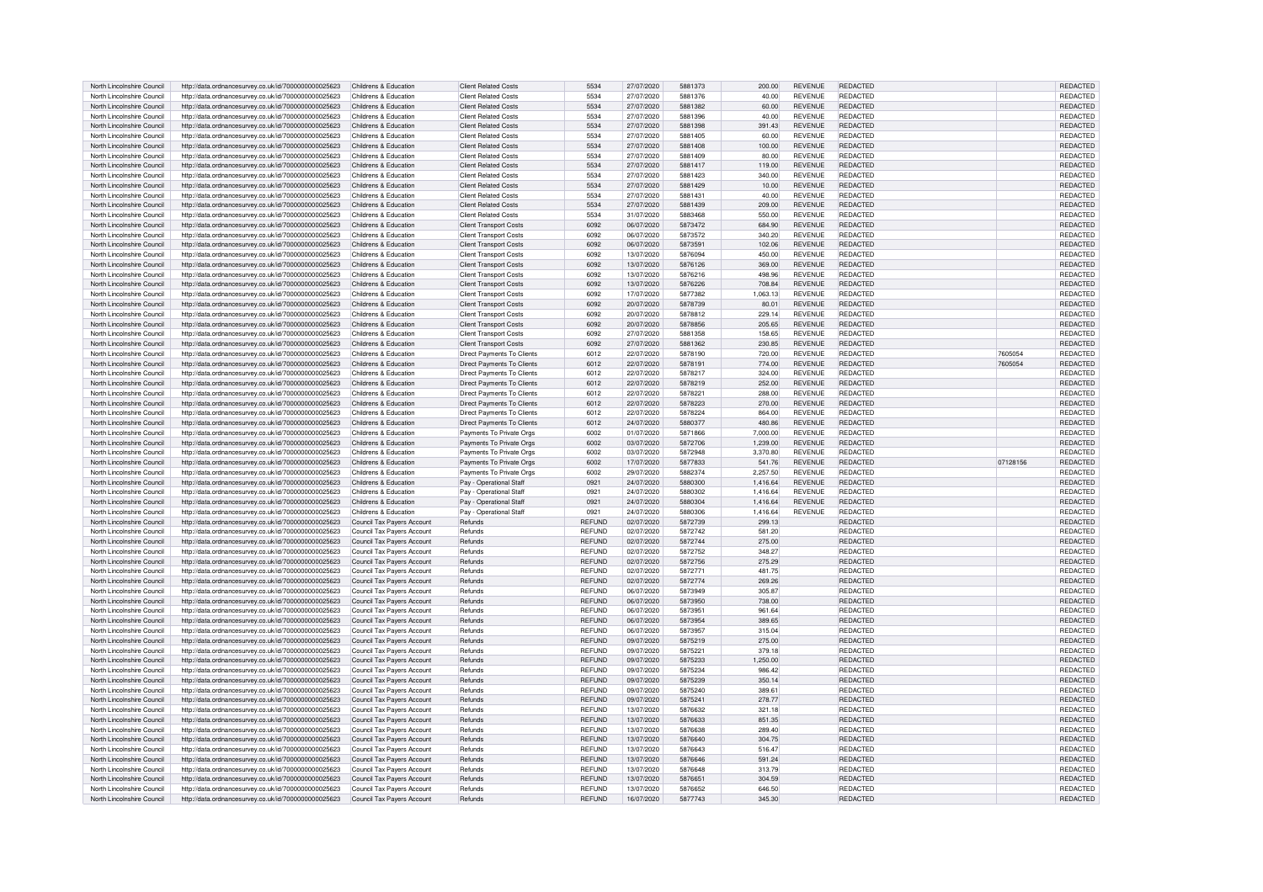| North Lincolnshire Council                               | http://data.ordnancesurvey.co.uk/id/7000000000025623                                                         | Childrens & Education                                    | <b>Client Related Costs</b>       | 5534                    | 27/07/2020               | 5881373            | 200.00           | <b>REVENUE</b> | REDACTED             |          | REDACTED             |
|----------------------------------------------------------|--------------------------------------------------------------------------------------------------------------|----------------------------------------------------------|-----------------------------------|-------------------------|--------------------------|--------------------|------------------|----------------|----------------------|----------|----------------------|
| North Lincolnshire Council                               | http://data.ordnancesurvey.co.uk/id/7000000000025623                                                         | Childrens & Education                                    | <b>Client Related Costs</b>       | 5534                    | 27/07/2020               | 5881376            | 40.00            | <b>REVENUE</b> | <b>REDACTED</b>      |          | <b>REDACTED</b>      |
| North Lincolnshire Council                               | http://data.ordnancesurvey.co.uk/id/7000000000025623                                                         | Childrens & Education                                    | <b>Client Related Costs</b>       | 5534                    | 27/07/2020               | 5881382            | 60.00            | <b>REVENUE</b> | <b>REDACTED</b>      |          | REDACTED             |
| North Lincolnshire Council                               | http://data.ordnancesurvey.co.uk/id/7000000000025623                                                         | Childrens & Education                                    | <b>Client Related Costs</b>       | 5534                    | 27/07/2020               | 5881396            | 40.00            | <b>REVENUE</b> | REDACTED             |          | REDACTED             |
|                                                          |                                                                                                              |                                                          |                                   |                         |                          |                    |                  |                |                      |          |                      |
| North Lincolnshire Council                               | http://data.ordnancesurvey.co.uk/id/7000000000025623                                                         | Childrens & Education                                    | <b>Client Related Costs</b>       | 5534                    | 27/07/2020               | 5881398            | 391.43           | <b>REVENUE</b> | <b>REDACTED</b>      |          | <b>REDACTED</b>      |
| North Lincolnshire Council                               | http://data.ordnancesurvey.co.uk/id/7000000000025623                                                         | Childrens & Education                                    | Client Related Costs              | 5534                    | 27/07/2020               | 5881405            | 60.00            | <b>REVENUE</b> | <b>REDACTED</b>      |          | REDACTED             |
| North Lincolnshire Council                               | http://data.ordnancesurvey.co.uk/id/7000000000025623                                                         | Childrens & Education                                    | Client Related Costs              | 5534                    | 27/07/2020               | 5881408            | 100.00           | <b>REVENUE</b> | <b>REDACTED</b>      |          | REDACTED             |
| North Lincolnshire Council                               | http://data.ordnancesurvey.co.uk/id/7000000000025623                                                         | Childrens & Education                                    | <b>Client Related Costs</b>       | 5534                    | 27/07/2020               | 5881409            | 80.00            | <b>REVENUE</b> | <b>REDACTED</b>      |          | <b>REDACTED</b>      |
| North Lincolnshire Council                               | http://data.ordnancesurvey.co.uk/id/7000000000025623                                                         | Childrens & Education                                    | <b>Client Related Costs</b>       | 5534                    | 27/07/2020               | 5881417            | 119.00           | <b>REVENUE</b> | <b>REDACTED</b>      |          | REDACTED             |
| North Lincolnshire Council                               | http://data.ordnancesurvey.co.uk/id/7000000000025623                                                         | Childrens & Education                                    | <b>Client Related Costs</b>       | 5534                    | 27/07/2020               | 5881423            | 340.00           | <b>REVENUE</b> | REDACTED             |          | REDACTED             |
| North Lincolnshire Council                               | http://data.ordnancesurvey.co.uk/id/7000000000025623                                                         | Childrens & Education                                    | <b>Client Related Costs</b>       | 5534                    | 27/07/2020               | 5881429            | 10.00            | <b>REVENUE</b> | <b>REDACTED</b>      |          | REDACTED             |
| North Lincolnshire Council                               | http://data.ordnancesurvey.co.uk/id/7000000000025623                                                         | Childrens & Education                                    | <b>Client Related Costs</b>       | 5534                    | 27/07/2020               | 5881431            | 40.00            | <b>REVENUE</b> | <b>REDACTED</b>      |          | <b>REDACTED</b>      |
|                                                          |                                                                                                              |                                                          |                                   |                         |                          |                    |                  |                |                      |          |                      |
| North Lincolnshire Council                               | http://data.ordnancesurvey.co.uk/id/7000000000025623                                                         | Childrens & Education                                    | <b>Client Related Costs</b>       | 5534                    | 27/07/2020               | 5881439            | 209.00           | <b>REVENUE</b> | <b>REDACTED</b>      |          | <b>REDACTED</b>      |
| North Lincolnshire Council                               | http://data.ordnancesurvey.co.uk/id/7000000000025623                                                         | Childrens & Education                                    | <b>Client Related Costs</b>       | 5534                    | 31/07/2020               | 5883468            | 550.00           | <b>REVENUE</b> | <b>REDACTED</b>      |          | REDACTED             |
| North Lincolnshire Council                               | http://data.ordnancesurvey.co.uk/id/7000000000025623                                                         | Childrens & Education                                    | <b>Client Transport Costs</b>     | 6092                    | 06/07/2020               | 5873472            | 684.90           | <b>REVENUE</b> | REDACTED             |          | REDACTED             |
| North Lincolnshire Council                               | http://data.ordnancesurvey.co.uk/id/7000000000025623                                                         | Childrens & Education                                    | <b>Client Transport Costs</b>     | 6092                    | 06/07/2020               | 5873572            | 340.20           | <b>REVENUE</b> | REDACTED             |          | REDACTED             |
| North Lincolnshire Council                               | http://data.ordnancesurvey.co.uk/id/7000000000025623                                                         | Childrens & Education                                    | <b>Client Transport Costs</b>     | 6092                    | 06/07/2020               | 5873591            | 102.06           | <b>REVENUE</b> | <b>REDACTED</b>      |          | REDACTED             |
| North Lincolnshire Council                               | http://data.ordnancesurvey.co.uk/id/7000000000025623                                                         | Childrens & Education                                    | <b>Client Transport Costs</b>     | 6092                    | 13/07/2020               | 5876094            | 450.00           | <b>REVENUE</b> | <b>REDACTED</b>      |          | REDACTED             |
| North Lincolnshire Council                               | http://data.ordnancesurvey.co.uk/id/7000000000025623                                                         | Childrens & Education                                    | <b>Client Transport Costs</b>     | 6092                    | 13/07/2020               | 5876126            | 369.00           | <b>REVENUE</b> | REDACTED             |          | REDACTED             |
| North Lincolnshire Council                               | http://data.ordnancesurvey.co.uk/id/7000000000025623                                                         | Childrens & Education                                    | <b>Client Transport Costs</b>     | 6092                    | 13/07/2020               | 5876216            | 498.96           | <b>REVENUE</b> | REDACTED             |          | REDACTED             |
|                                                          |                                                                                                              |                                                          |                                   |                         |                          |                    |                  |                |                      |          |                      |
| North Lincolnshire Council                               | http://data.ordnancesurvey.co.uk/id/7000000000025623                                                         | Childrens & Education                                    | <b>Client Transport Costs</b>     | 6092                    | 13/07/2020               | 5876226            | 708.84           | <b>REVENUE</b> | REDACTED             |          | REDACTED             |
| North Lincolnshire Council                               | http://data.ordnancesurvey.co.uk/id/7000000000025623                                                         | Childrens & Education                                    | <b>Client Transport Costs</b>     | 6092                    | 17/07/2020               | 5877382            | 1,063.13         | <b>REVENUE</b> | <b>REDACTED</b>      |          | REDACTED             |
| North Lincolnshire Council                               | http://data.ordnancesurvey.co.uk/id/7000000000025623                                                         | Childrens & Education                                    | <b>Client Transport Costs</b>     | 6092                    | 20/07/2020               | 5878739            | 80.01            | <b>REVENUE</b> | REDACTED             |          | REDACTED             |
| North Lincolnshire Council                               | http://data.ordnancesurvey.co.uk/id/7000000000025623                                                         | Childrens & Education                                    | <b>Client Transport Costs</b>     | 6092                    | 20/07/2020               | 5878812            | 229.14           | <b>REVENUE</b> | <b>REDACTED</b>      |          | REDACTED             |
| North Lincolnshire Council                               | http://data.ordnancesurvey.co.uk/id/7000000000025623                                                         | Childrens & Education                                    | <b>Client Transport Costs</b>     | 6092                    | 20/07/2020               | 5878856            | 205.65           | <b>REVENUE</b> | <b>REDACTED</b>      |          | REDACTED             |
| North Lincolnshire Council                               | http://data.ordnancesurvey.co.uk/id/7000000000025623                                                         | Childrens & Education                                    | <b>Client Transport Costs</b>     | 6092                    | 27/07/2020               | 5881358            | 158.65           | <b>REVENUE</b> | REDACTED             |          | REDACTED             |
| North Lincolnshire Council                               | http://data.ordnancesurvey.co.uk/id/7000000000025623                                                         | Childrens & Education                                    | <b>Client Transport Costs</b>     | 6092                    | 27/07/2020               | 5881362            | 230.85           | <b>REVENUE</b> | REDACTED             |          | REDACTED             |
| North Lincolnshire Council                               | http://data.ordnancesurvey.co.uk/id/7000000000025623                                                         | Childrens & Education                                    | Direct Payments To Clients        | 6012                    | 22/07/2020               | 5878190            | 720.00           | <b>REVENUE</b> | <b>REDACTED</b>      | 7605054  | REDACTED             |
| North Lincolnshire Council                               | http://data.ordnancesurvey.co.uk/id/7000000000025623                                                         | Childrens & Education                                    | Direct Payments To Clients        | 6012                    | 22/07/2020               | 5878191            | 774.00           | <b>REVENUE</b> | <b>REDACTED</b>      | 7605054  | REDACTED             |
|                                                          |                                                                                                              |                                                          |                                   |                         |                          |                    |                  |                |                      |          |                      |
| North Lincolnshire Council                               | http://data.ordnancesurvey.co.uk/id/7000000000025623                                                         | Childrens & Education                                    | Direct Payments To Clients        | 6012                    | 22/07/2020               | 5878217            | 324.00           | <b>REVENUE</b> | <b>REDACTED</b>      |          | <b>REDACTED</b>      |
| North Lincolnshire Council                               | http://data.ordnancesurvey.co.uk/id/7000000000025623                                                         | Childrens & Education                                    | Direct Payments To Clients        | 6012                    | 22/07/2020               | 5878219            | 252.00           | <b>REVENUE</b> | <b>REDACTED</b>      |          | REDACTED             |
| North Lincolnshire Council                               | http://data.ordnancesurvey.co.uk/id/7000000000025623                                                         | Childrens & Education                                    | Direct Payments To Clients        | 6012                    | 22/07/2020               | 5878221            | 288.00           | <b>REVENUE</b> | <b>REDACTED</b>      |          | REDACTED             |
| North Lincolnshire Council                               | http://data.ordnancesurvey.co.uk/id/7000000000025623                                                         | Childrens & Education                                    | <b>Direct Payments To Clients</b> | 6012                    | 22/07/2020               | 5878223            | 270.00           | <b>REVENUE</b> | <b>REDACTED</b>      |          | REDACTED             |
| North Lincolnshire Council                               | http://data.ordnancesurvey.co.uk/id/7000000000025623                                                         | Childrens & Education                                    | Direct Payments To Clients        | 6012                    | 22/07/2020               | 5878224            | 864.00           | <b>REVENUE</b> | <b>REDACTED</b>      |          | REDACTED             |
| North Lincolnshire Council                               | http://data.ordnancesurvey.co.uk/id/7000000000025623                                                         | Childrens & Education                                    | Direct Payments To Clients        | 6012                    | 24/07/2020               | 5880377            | 480.86           | <b>REVENUE</b> | <b>REDACTED</b>      |          | REDACTED             |
| North Lincolnshire Council                               | http://data.ordnancesurvey.co.uk/id/7000000000025623                                                         | Childrens & Education                                    | Payments To Private Orgs          | 6002                    | 01/07/2020               | 5871866            | 7,000.00         | <b>REVENUE</b> | <b>REDACTED</b>      |          | <b>REDACTED</b>      |
| North Lincolnshire Council                               | http://data.ordnancesurvey.co.uk/id/7000000000025623                                                         | Childrens & Education                                    | Payments To Private Orgs          | 6002                    | 03/07/2020               | 5872706            | 1,239.00         | <b>REVENUE</b> | <b>REDACTED</b>      |          | REDACTED             |
|                                                          |                                                                                                              |                                                          |                                   |                         |                          |                    |                  |                |                      |          |                      |
| North Lincolnshire Council                               | http://data.ordnancesurvey.co.uk/id/7000000000025623                                                         | Childrens & Education                                    | Payments To Private Orgs          | 6002                    | 03/07/2020               | 5872948            | 3,370.80         | <b>REVENUE</b> | REDACTED             |          | REDACTED             |
| North Lincolnshire Council                               | http://data.ordnancesurvey.co.uk/id/7000000000025623                                                         | Childrens & Education                                    | Payments To Private Orgs          | 6002                    | 17/07/2020               | 5877833            | 541.76           | <b>REVENUE</b> | REDACTED             | 07128156 | REDACTED             |
| North Lincolnshire Council                               | http://data.ordnancesurvey.co.uk/id/7000000000025623                                                         | Childrens & Education                                    | Payments To Private Orgs          | 6002                    | 29/07/2020               | 5882374            | 2.257.50         | <b>REVENUE</b> | REDACTED             |          | <b>REDACTED</b>      |
| North Lincolnshire Council                               | http://data.ordnancesurvey.co.uk/id/7000000000025623                                                         | Childrens & Education                                    | Pay - Operational Staff           | 0921                    | 24/07/2020               | 5880300            | 1,416.64         | <b>REVENUE</b> | REDACTED             |          | REDACTED             |
| North Lincolnshire Council                               | http://data.ordnancesurvey.co.uk/id/7000000000025623                                                         | Childrens & Education                                    | Pay - Operational Staff           | 0921                    | 24/07/2020               | 5880302            | 1.416.64         | <b>REVENUE</b> | REDACTED             |          | <b>REDACTED</b>      |
| North Lincolnshire Council                               |                                                                                                              |                                                          |                                   |                         |                          |                    |                  |                | REDACTED             |          |                      |
|                                                          |                                                                                                              |                                                          |                                   |                         |                          | 5880304            |                  | <b>REVENUE</b> |                      |          |                      |
|                                                          | http://data.ordnancesurvey.co.uk/id/7000000000025623                                                         | Childrens & Education                                    | Pay - Operational Staff           | 0921                    | 24/07/2020               |                    | 1.416.64         |                |                      |          | <b>REDACTED</b>      |
| North Lincolnshire Council                               | http://data.ordnancesurvey.co.uk/id/7000000000025623                                                         | Childrens & Education                                    | Pay - Operational Staff           | 0921                    | 24/07/2020               | 5880306            | 1.416.64         | <b>REVENUE</b> | REDACTED             |          | REDACTED             |
| North Lincolnshire Council                               | http://data.ordnancesurvey.co.uk/id/7000000000025623                                                         | Council Tax Payers Account                               | Refunds                           | <b>REFUND</b>           | 02/07/2020               | 5872739            | 299.13           |                | REDACTED             |          | REDACTED             |
| North Lincolnshire Council                               | http://data.ordnancesurvey.co.uk/id/7000000000025623                                                         | Council Tax Pavers Account                               | Refunds                           | REFUND                  | 02/07/2020               | 5872742            | 581.20           |                | REDACTED             |          | REDACTED             |
| North Lincolnshire Council                               | http://data.ordnancesurvey.co.uk/id/7000000000025623                                                         | Council Tax Pavers Account                               | Refunds                           | REFUND                  | 02/07/2020               | 5872744            | 275.00           |                | REDACTED             |          | REDACTED             |
| North Lincolnshire Council                               | http://data.ordnancesurvey.co.uk/id/7000000000025623                                                         | Council Tax Payers Account                               | <b>Refunds</b>                    | <b>RFFUND</b>           | 02/07/2020               | 5872752            | 348.27           |                | <b>REDACTED</b>      |          | <b>REDACTED</b>      |
| North Lincolnshire Council                               | http://data.ordnancesurvey.co.uk/id/7000000000025623                                                         | Council Tax Payers Account                               | Refunds                           | <b>RFFUND</b>           | 02/07/2020               | 5872756            | 275.29           |                | <b>REDACTED</b>      |          | <b>REDACTED</b>      |
| North Lincolnshire Council                               | http://data.ordnancesurvey.co.uk/id/7000000000025623                                                         | Council Tax Payers Account                               | Refunds                           | REFUND                  | 02/07/2020               | 5872771            | 481.75           |                | REDACTED             |          | REDACTED             |
| North Lincolnshire Council                               | http://data.ordnancesurvey.co.uk/id/7000000000025623                                                         | Council Tax Payers Account                               | Refunds                           | REFUND                  | 02/07/2020               | 5872774            | 269.26           |                | <b>REDACTED</b>      |          | <b>REDACTED</b>      |
| North Lincolnshire Council                               | http://data.ordnancesurvey.co.uk/id/7000000000025623                                                         | Council Tax Payers Account                               | Refunds                           | <b>RFFUND</b>           | 06/07/2020               | 5873949            | 305.87           |                | <b>REDACTED</b>      |          | <b>REDACTED</b>      |
|                                                          |                                                                                                              |                                                          |                                   |                         |                          | 5873950            |                  |                |                      |          |                      |
| North Lincolnshire Council<br>North Lincolnshire Council | http://data.ordnancesurvey.co.uk/id/7000000000025623                                                         | Council Tax Payers Account                               | Refunds                           | REFUND                  | 06/07/2020<br>06/07/2020 | 5873951            | 738.00<br>961.64 |                | REDACTED             |          | REDACTED             |
|                                                          | http://data.ordnancesurvey.co.uk/id/7000000000025623                                                         | Council Tax Payers Account                               | Refunds                           | REFUND                  |                          |                    |                  |                | REDACTED             |          | REDACTED             |
| North Lincolnshire Council                               | http://data.ordnancesurvey.co.uk/id/7000000000025623                                                         | Council Tax Payers Account                               | Refunds                           | REFUND                  | 06/07/2020               | 5873954            | 389.65           |                | REDACTED             |          | REDACTED             |
| North Lincolnshire Council                               | http://data.ordnancesurvey.co.uk/id/7000000000025623                                                         | Council Tax Payers Account                               | Refunds                           | REFUND                  | 06/07/2020               | 5873957            | 315.04           |                | REDACTED             |          | REDACTED             |
| North Lincolnshire Council                               | http://data.ordnancesurvey.co.uk/id/7000000000025623                                                         | Council Tax Payers Account                               | Refunds                           | REFUND                  | 09/07/2020               | 5875219            | 275.00           |                | REDACTED             |          | REDACTED             |
| North Lincolnshire Council                               | http://data.ordnancesurvey.co.uk/id/7000000000025623                                                         | Council Tax Payers Account                               | Refunds                           | REFUND                  | 09/07/2020               | 5875221            | 379.18           |                | REDACTED             |          | REDACTED             |
| North Lincolnshire Council                               | http://data.ordnancesurvey.co.uk/id/7000000000025623                                                         | Council Tax Payers Account                               | Refunds                           | REFUND                  | 09/07/2020               | 5875233            | 1,250.00         |                | REDACTED             |          | REDACTED             |
| North Lincolnshire Council                               | http://data.ordnancesurvey.co.uk/id/7000000000025623                                                         | Council Tax Payers Account                               | <b>Refunds</b>                    | <b>RFFUND</b>           | 09/07/2020               | 5875234            | 986.42           |                | <b>REDACTED</b>      |          | <b>REDACTED</b>      |
| North Lincolnshire Council                               | http://data.ordnancesurvey.co.uk/id/7000000000025623                                                         | Council Tax Payers Account                               | Refunds                           | REFUND                  | 09/07/2020               | 5875239            | 350.14           |                | REDACTED             |          | REDACTED             |
|                                                          |                                                                                                              |                                                          |                                   |                         | 09/07/2020               | 5875240            | 389.61           |                |                      |          |                      |
| North Lincolnshire Council                               | http://data.ordnancesurvey.co.uk/id/7000000000025623                                                         | Council Tax Payers Account                               | Refunds                           | REFUND                  |                          |                    |                  |                | REDACTED             |          | REDACTED             |
| North Lincolnshire Council                               | http://data.ordnancesurvey.co.uk/id/7000000000025623                                                         | Council Tax Payers Account                               | <b>Refunds</b>                    | REFUND                  | 09/07/2020               | 5875241            | 278.77           |                | <b>REDACTED</b>      |          | REDACTED             |
| North Lincolnshire Council                               | http://data.ordnancesurvey.co.uk/id/7000000000025623                                                         | Council Tax Payers Account                               | Refunds                           | REFUND                  | 13/07/2020               | 5876632            | 321.18           |                | REDACTED             |          | REDACTED             |
| North Lincolnshire Council                               | http://data.ordnancesurvey.co.uk/id/7000000000025623                                                         | Council Tax Payers Account                               | Refunds                           | <b>REFUND</b>           | 13/07/2020               | 5876633            | 851.35           |                | REDACTED             |          | <b>REDACTED</b>      |
| North Lincolnshire Council                               | http://data.ordnancesurvey.co.uk/id/7000000000025623                                                         | Council Tax Payers Account                               | Refunds                           | <b>REFUND</b>           | 13/07/2020               | 5876638            | 289.40           |                | REDACTED             |          | <b>REDACTED</b>      |
| North Lincolnshire Council                               | http://data.ordnancesurvey.co.uk/id/7000000000025623                                                         | Council Tax Payers Account                               | Refunds                           | <b>RFFUND</b>           | 13/07/2020               | 5876640            | 304.75           |                | <b>REDACTED</b>      |          | REDACTED             |
| North Lincolnshire Council                               | http://data.ordnancesurvey.co.uk/id/7000000000025623                                                         | Council Tax Payers Account                               | Refunds                           | <b>REFUND</b>           | 13/07/2020               | 5876643            | 516.47           |                | REDACTED             |          | REDACTED             |
| North Lincolnshire Council                               | http://data.ordnancesurvey.co.uk/id/7000000000025623                                                         | Council Tax Payers Account                               | Refunds                           | <b>REFUND</b>           | 13/07/2020               | 5876646            | 591.24           |                | <b>REDACTED</b>      |          | REDACTED             |
| North Lincolnshire Council                               | http://data.ordnancesurvey.co.uk/id/7000000000025623                                                         | Council Tax Payers Account                               | Refunds                           | REFUND                  | 13/07/2020               | 5876648            | 313.79           |                | REDACTED             |          | REDACTED             |
| North Lincolnshire Council                               |                                                                                                              |                                                          | <b>Refunds</b>                    | <b>REFUND</b>           | 13/07/2020               | 5876651            | 304.59           |                | <b>REDACTED</b>      |          |                      |
|                                                          | http://data.ordnancesurvey.co.uk/id/7000000000025623                                                         | Council Tax Payers Account                               |                                   |                         |                          |                    |                  |                |                      |          | REDACTED             |
| North Lincolnshire Council<br>North Lincolnshire Council | http://data.ordnancesurvey.co.uk/id/7000000000025623<br>http://data.ordnancesurvey.co.uk/id/7000000000025623 | Council Tax Pavers Account<br>Council Tax Payers Account | Refunds<br>Refunds                | <b>REFUND</b><br>REFUND | 13/07/2020<br>16/07/2020 | 5876652<br>5877743 | 646.50<br>345.30 |                | REDACTED<br>REDACTED |          | REDACTED<br>REDACTED |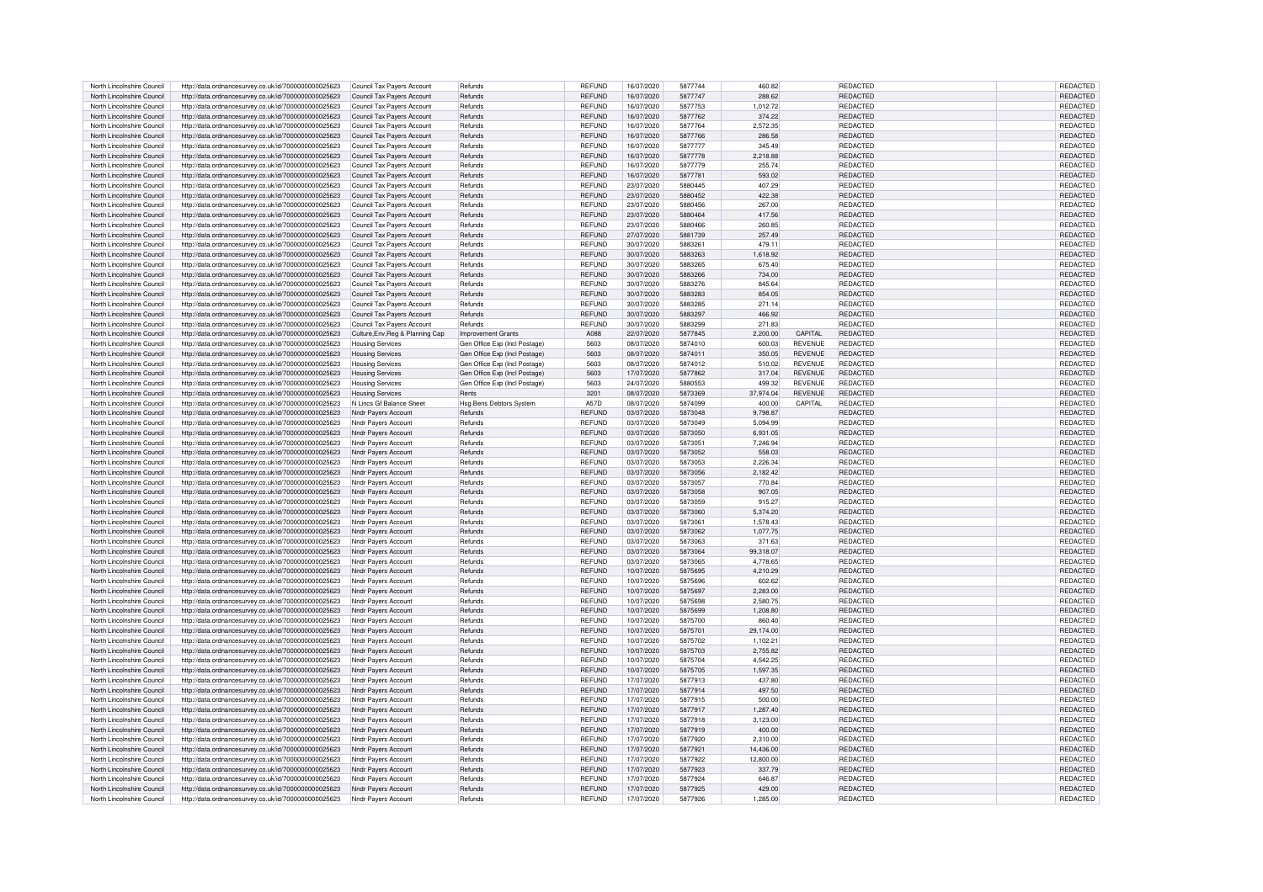| North Lincolnshire Council | http://data.ordnancesurvey.co.uk/id/7000000000025623 | Council Tax Payers Account       | Refunds                        | REFUND        | 16/07/2020 | 5877744 | 460.82                      | <b>REDACTED</b> | REDACTED        |
|----------------------------|------------------------------------------------------|----------------------------------|--------------------------------|---------------|------------|---------|-----------------------------|-----------------|-----------------|
| North Lincolnshire Council | http://data.ordnancesurvey.co.uk/id/7000000000025623 | Council Tax Payers Account       | <b>Refunds</b>                 | <b>REFUND</b> | 16/07/2020 | 5877747 | 288.62                      | REDACTED        | REDACTED        |
|                            |                                                      |                                  |                                |               |            |         |                             |                 |                 |
| North Lincolnshire Council | http://data.ordnancesurvey.co.uk/id/7000000000025623 | Council Tax Payers Account       | <b>Refunds</b>                 | <b>REFUND</b> | 16/07/2020 | 5877753 | 1.012.72                    | REDACTED        | REDACTED        |
| North Lincolnshire Council | http://data.ordnancesurvey.co.uk/id/7000000000025623 | Council Tax Payers Account       | Refunds                        | REFUND        | 16/07/2020 | 5877762 | 374.22                      | REDACTED        | REDACTED        |
| North Lincolnshire Council |                                                      |                                  |                                | REFUND        | 16/07/2020 | 5877764 | 2,572.35                    | REDACTED        | REDACTED        |
|                            | http://data.ordnancesurvey.co.uk/id/7000000000025623 | Council Tax Payers Account       | Refunds                        |               |            |         |                             |                 |                 |
| North Lincolnshire Council | http://data.ordnancesurvey.co.uk/id/7000000000025623 | Council Tax Payers Account       | Refunds                        | REFUND        | 16/07/2020 | 5877766 | 286.58                      | REDACTED        | REDACTED        |
|                            |                                                      |                                  | Refunds                        |               | 16/07/2020 | 5877777 | 345.49                      | <b>REDACTED</b> | REDACTED        |
| North Lincolnshire Council | http://data.ordnancesurvey.co.uk/id/7000000000025623 | Council Tax Payers Account       |                                | REFUND        |            |         |                             |                 |                 |
| North Lincolnshire Council | http://data.ordnancesurvey.co.uk/id/7000000000025623 | Council Tax Payers Account       | Refunds                        | <b>REFUND</b> | 16/07/2020 | 5877778 | 2,218.88                    | REDACTED        | REDACTED        |
| North Lincolnshire Council |                                                      |                                  |                                |               |            | 5877779 |                             |                 |                 |
|                            | http://data.ordnancesurvey.co.uk/id/7000000000025623 | Council Tax Payers Account       | Refunds                        | REFUND        | 16/07/2020 |         | 255.74                      | REDACTED        | REDACTED        |
| North Lincolnshire Council | http://data.ordnancesurvey.co.uk/id/7000000000025623 | Council Tax Payers Account       | Refunds                        | REFUND        | 16/07/2020 | 587778  | 593.02                      | REDACTED        | REDACTED        |
|                            |                                                      |                                  |                                |               |            |         |                             |                 |                 |
| North Lincolnshire Council | http://data.ordnancesurvey.co.uk/id/7000000000025623 | Council Tax Payers Account       | Refunds                        | REFUND        | 23/07/2020 | 5880445 | 407.29                      | REDACTED        | REDACTED        |
| North Lincolnshire Council | http://data.ordnancesurvey.co.uk/id/7000000000025623 | Council Tax Payers Account       | Refunds                        | <b>REFUND</b> | 23/07/2020 | 5880452 | 422.38                      | REDACTED        | REDACTED        |
|                            |                                                      |                                  |                                |               |            |         |                             |                 |                 |
| North Lincolnshire Council | http://data.ordnancesurvey.co.uk/id/7000000000025623 | Council Tax Payers Account       | Refunds                        | REFUND        | 23/07/2020 | 5880456 | 267.00                      | <b>REDACTED</b> | REDACTED        |
| North Lincolnshire Council | http://data.ordnancesurvey.co.uk/id/7000000000025623 | Council Tax Payers Account       | Refunds                        | REFUND        | 23/07/2020 | 5880464 | 417.56                      | REDACTED        | REDACTED        |
|                            |                                                      |                                  |                                |               |            |         |                             |                 |                 |
| North Lincolnshire Council | http://data.ordnancesurvey.co.uk/id/7000000000025623 | Council Tax Payers Account       | <b>Refunds</b>                 | REFUND        | 23/07/2020 | 5880466 | 260.85                      | <b>REDACTED</b> | REDACTED        |
| North Lincolnshire Council | http://data.ordnancesurvey.co.uk/id/7000000000025623 | Council Tax Payers Account       | Refunds                        | REFUND        | 27/07/2020 | 5881739 | 257.49                      | REDACTED        | REDACTED        |
|                            |                                                      |                                  |                                |               |            |         |                             |                 |                 |
| North Lincolnshire Council | http://data.ordnancesurvey.co.uk/id/7000000000025623 | Council Tax Payers Account       | <b>Refunds</b>                 | <b>REFUND</b> | 30/07/2020 | 5883261 | 479.11                      | REDACTED        | REDACTED        |
| North Lincolnshire Council | http://data.ordnancesurvey.co.uk/id/7000000000025623 | Council Tax Payers Account       | Refunds                        | <b>REFUND</b> | 30/07/2020 | 5883263 | 1,618.92                    | REDACTED        | <b>REDACTED</b> |
|                            |                                                      |                                  |                                |               |            |         |                             |                 |                 |
| North Lincolnshire Council | http://data.ordnancesurvey.co.uk/id/7000000000025623 | Council Tax Payers Account       | Refunds                        | <b>REFUND</b> | 30/07/2020 | 5883265 | 675.40                      | REDACTED        | REDACTED        |
| North Lincolnshire Council | http://data.ordnancesurvey.co.uk/id/7000000000025623 | Council Tax Payers Account       | Refunds                        | REFUND        | 30/07/2020 | 5883266 | 734.00                      | REDACTED        | REDACTED        |
|                            |                                                      |                                  |                                |               |            |         |                             |                 |                 |
| North Lincolnshire Council | http://data.ordnancesurvey.co.uk/id/7000000000025623 | Council Tax Payers Account       | Refunds                        | REFUND        | 30/07/2020 | 5883276 | 845.64                      | REDACTED        | REDACTED        |
| North Lincolnshire Council | http://data.ordnancesurvey.co.uk/id/7000000000025623 | Council Tax Payers Account       | Refunds                        | <b>REFUND</b> | 30/07/2020 | 5883283 | 854.05                      | <b>REDACTED</b> | <b>REDACTED</b> |
|                            |                                                      |                                  |                                |               |            |         |                             |                 |                 |
| North Lincolnshire Council | http://data.ordnancesurvey.co.uk/id/7000000000025623 | Council Tax Payers Account       | Refunds                        | REFUND        | 30/07/2020 | 5883285 | 271.14                      | REDACTED        | REDACTED        |
| North Lincolnshire Council | http://data.ordnancesurvey.co.uk/id/7000000000025623 | Council Tax Payers Account       | Refunds                        | <b>REFUND</b> | 30/07/2020 | 5883297 | 466.92                      | REDACTED        | REDACTED        |
|                            |                                                      |                                  |                                |               |            |         |                             |                 |                 |
| North Lincolnshire Council | http://data.ordnancesurvey.co.uk/id/7000000000025623 | Council Tax Payers Account       | <b>Refunds</b>                 | REFUND        | 30/07/2020 | 5883299 | 271.83                      | <b>REDACTED</b> | REDACTED        |
| North Lincolnshire Council |                                                      |                                  | Improvement Grants             | A088          | 22/07/2020 | 5877845 | 2,200.00<br>CAPITAL         | <b>REDACTED</b> | REDACTED        |
|                            | http://data.ordnancesurvey.co.uk/id/7000000000025623 | Culture, Env, Reg & Planning Cap |                                |               |            |         |                             |                 |                 |
| North Lincolnshire Council | http://data.ordnancesurvey.co.uk/id/7000000000025623 | <b>Housing Services</b>          | Gen Office Exp (Incl Postage)  | 5603          | 08/07/2020 | 5874010 | <b>REVENUE</b><br>600.03    | <b>REDACTED</b> | REDACTED        |
| North Lincolnshire Council |                                                      |                                  |                                | 5603          | 08/07/2020 | 5874011 | 350.05<br><b>REVENUE</b>    | <b>REDACTED</b> | REDACTED        |
|                            | http://data.ordnancesurvey.co.uk/id/7000000000025623 | <b>Housing Services</b>          | Gen Office Exp (Incl Postage)  |               |            |         |                             |                 |                 |
| North Lincolnshire Council | http://data.ordnancesurvey.co.uk/id/7000000000025623 | <b>Housing Services</b>          | Gen Office Exp (Incl Postage)  | 5603          | 08/07/2020 | 5874012 | 510.02<br><b>REVENUE</b>    | <b>REDACTED</b> | REDACTED        |
|                            |                                                      |                                  |                                |               |            |         |                             |                 |                 |
| North Lincolnshire Council | http://data.ordnancesurvey.co.uk/id/7000000000025623 | <b>Housing Services</b>          | Gen Office Exp (Incl Postage)  | 5603          | 17/07/2020 | 5877862 | 317.04<br><b>REVENUE</b>    | <b>REDACTED</b> | REDACTED        |
| North Lincolnshire Council | http://data.ordnancesurvey.co.uk/id/7000000000025623 | <b>Housing Services</b>          | Gen Office Exp (Incl Postage)  | 5603          | 24/07/2020 | 5880553 | 499.32<br><b>REVENUE</b>    | <b>REDACTED</b> | REDACTED        |
|                            |                                                      |                                  |                                |               |            |         |                             |                 |                 |
| North Lincolnshire Council | http://data.ordnancesurvey.co.uk/id/7000000000025623 | <b>Housing Services</b>          | Rents                          | 3201          | 08/07/2020 | 5873369 | 37,974.04<br><b>REVENUE</b> | REDACTED        | REDACTED        |
| North Lincolnshire Council | http://data.ordnancesurvey.co.uk/id/7000000000025623 | N Lincs Gf Balance Sheet         | <b>Hsg Bens Debtors System</b> | A57D          | 08/07/2020 | 5874099 | 400.00<br>CAPITAL           | <b>REDACTED</b> | REDACTED        |
|                            |                                                      |                                  |                                |               |            |         |                             |                 |                 |
| North Lincolnshire Council | http://data.ordnancesurvey.co.uk/id/7000000000025623 | Nndr Payers Account              | Refunds                        | <b>REFUND</b> | 03/07/2020 | 5873048 | 9,798.87                    | REDACTED        | REDACTED        |
| North Lincolnshire Council | http://data.ordnancesurvey.co.uk/id/7000000000025623 | Nndr Payers Account              | Refunds                        | REFUND        | 03/07/2020 | 5873049 | 5,094.99                    | REDACTED        | REDACTED        |
|                            |                                                      |                                  |                                |               |            |         |                             |                 |                 |
| North Lincolnshire Council | http://data.ordnancesurvey.co.uk/id/7000000000025623 | Nndr Pavers Account              | Refunds                        | <b>REFUND</b> | 03/07/2020 | 5873050 | 6,931.05                    | REDACTED        | REDACTED        |
| North Lincolnshire Council | http://data.ordnancesurvey.co.uk/id/7000000000025623 | Nndr Payers Account              | <b>Refunds</b>                 | <b>RFFUND</b> | 03/07/2020 | 5873051 | 7,246.94                    | <b>REDACTED</b> | REDACTED        |
|                            |                                                      |                                  |                                |               |            |         |                             |                 |                 |
| North Lincolnshire Council | http://data.ordnancesurvey.co.uk/id/7000000000025623 | Nndr Pavers Account              | Refunds                        | REFUND        | 03/07/2020 | 5873052 | 558.03                      | REDACTED        | REDACTED        |
| North Lincolnshire Council | http://data.ordnancesurvey.co.uk/id/7000000000025623 | Nndr Pavers Account              | Refunds                        | REFUND        | 03/07/2020 | 5873053 | 2,226.34                    | REDACTED        | REDACTED        |
|                            |                                                      |                                  |                                |               |            |         |                             |                 |                 |
| North Lincolnshire Council | http://data.ordnancesurvey.co.uk/id/7000000000025623 | Nndr Payers Account              | <b>Refunds</b>                 | REFUND        | 03/07/2020 | 5873056 | 2.182.42                    | REDACTED        | <b>REDACTED</b> |
| North Lincolnshire Council |                                                      |                                  | Refunds                        | REFUND        | 03/07/2020 | 5873057 | 770.84                      | REDACTED        | <b>REDACTED</b> |
|                            | http://data.ordnancesurvey.co.uk/id/7000000000025623 | Nndr Payers Account              |                                |               |            |         |                             |                 |                 |
| North Lincolnshire Council | http://data.ordnancesurvey.co.uk/id/7000000000025623 | Nndr Payers Account              | Refunds                        | REFUND        | 03/07/2020 | 5873058 | 907.05                      | REDACTED        | REDACTE         |
|                            |                                                      |                                  |                                |               |            | 5873059 | 915.27                      |                 |                 |
| North Lincolnshire Council | http://data.ordnancesurvey.co.uk/id/7000000000025623 | Nndr Payers Account              | Refunds                        | REFUND        | 03/07/2020 |         |                             | REDACTED        | REDACTE         |
| North Lincolnshire Council | http://data.ordnancesurvey.co.uk/id/7000000000025623 | Nndr Payers Account              | Refunds                        | REFUND        | 03/07/2020 | 5873060 | 5,374.20                    | REDACTED        | REDACTED        |
|                            |                                                      |                                  |                                |               |            |         |                             |                 |                 |
| North Lincolnshire Council | http://data.ordnancesurvey.co.uk/id/7000000000025623 | Nndr Payers Account              | Refunds                        | REFUND        | 03/07/2020 | 5873061 | 1,578.43                    | REDACTED        | REDACTED        |
| North Lincolnshire Council | http://data.ordnancesurvey.co.uk/id/7000000000025623 | Nndr Payers Account              | Refunds                        | REFUND        | 03/07/2020 | 5873062 | 1,077.75                    | REDACTED        | REDACTED        |
|                            |                                                      |                                  |                                |               |            |         |                             |                 |                 |
| North Lincolnshire Council | http://data.ordnancesurvey.co.uk/id/7000000000025623 | Nndr Payers Account              | Refunds                        | REFUND        | 03/07/2020 | 5873063 | 371.63                      | REDACTED        | REDACTED        |
| North Lincolnshire Council | http://data.ordnancesurvey.co.uk/id/7000000000025623 | Nndr Payers Account              | <b>Refunds</b>                 | <b>REFUND</b> | 03/07/2020 | 5873064 | 99,318.07                   | <b>REDACTED</b> | <b>REDACTED</b> |
|                            |                                                      |                                  |                                |               |            |         |                             |                 |                 |
| North Lincolnshire Council | http://data.ordnancesurvey.co.uk/id/7000000000025623 | Nndr Payers Account              | <b>Refunds</b>                 | <b>RFFUND</b> | 03/07/2020 | 5873065 | 4,778.65                    | REDACTED        | REDACTED        |
| North Lincolnshire Council | http://data.ordnancesurvey.co.uk/id/7000000000025623 | Nndr Pavers Account              | Refunds                        | REFUND        | 10/07/2020 | 5875695 | 4,210.29                    | REDACTED        | REDACTED        |
|                            |                                                      |                                  |                                |               |            |         |                             |                 |                 |
| North Lincolnshire Council | http://data.ordnancesurvey.co.uk/id/7000000000025623 | Nndr Pavers Account              | <b>Refunds</b>                 | <b>REFUND</b> | 10/07/2020 | 5875696 | 602.62                      | REDACTED        | <b>REDACTED</b> |
| North Lincolnshire Council | http://data.ordnancesurvey.co.uk/id/7000000000025623 | Nndr Pavers Account              | <b>Refunds</b>                 | <b>RFFUND</b> | 10/07/2020 | 5875697 | 2.283.00                    | <b>REDACTED</b> | <b>REDACTED</b> |
|                            |                                                      |                                  |                                |               |            |         |                             |                 |                 |
| North Lincolnshire Council | http://data.ordnancesurvey.co.uk/id/7000000000025623 | Nndr Payers Account              | Refunds                        | <b>REFUND</b> | 10/07/2020 | 5875698 | 2.580.75                    | REDACTED        | REDACTED        |
| North Lincolnshire Council | http://data.ordnancesurvey.co.uk/id/7000000000025623 | Nndr Payers Account              | Refunds                        | <b>REFUND</b> | 10/07/2020 | 5875699 | 1,208.80                    | REDACTED        | REDACTED        |
|                            |                                                      |                                  |                                |               |            |         |                             |                 |                 |
| North Lincolnshire Council | http://data.ordnancesurvey.co.uk/id/7000000000025623 | Nndr Payers Account              | Refunds                        | <b>REFUND</b> | 10/07/2020 | 5875700 | 860.40                      | REDACTED        | REDACTE         |
| North Lincolnshire Council | http://data.ordnancesurvey.co.uk/id/7000000000025623 | <b>Nndr Pavers Account</b>       | Refunds                        | REFUND        | 10/07/2020 | 5875701 | 29,174.00                   | REDACTED        | REDACTED        |
|                            |                                                      |                                  |                                |               |            |         |                             |                 |                 |
| North Lincolnshire Council | http://data.ordnancesurvey.co.uk/id/7000000000025623 | Nndr Payers Account              | Refunds                        | REFUND        | 10/07/2020 | 5875702 | 1,102.21                    | REDACTED        | REDACTED        |
| North Lincolnshire Council | http://data.ordnancesurvey.co.uk/id/7000000000025623 | Nndr Pavers Account              | Refunds                        | REFUND        | 10/07/2020 | 5875703 | 2,755.82                    | REDACTED        | REDACTED        |
|                            |                                                      |                                  |                                |               |            |         |                             |                 |                 |
| North Lincolnshire Council | http://data.ordnancesurvey.co.uk/id/7000000000025623 | Nndr Pavers Account              | Refunds                        | REFUND        | 10/07/2020 | 5875704 | 4,542.25                    | REDACTED        | REDACTED        |
| North Lincolnshire Council | http://data.ordnancesurvey.co.uk/id/7000000000025623 | Nndr Payers Account              | <b>Refunds</b>                 | <b>RFFUND</b> | 10/07/2020 | 5875705 | 1,597.35                    | REDACTED        | REDACTED        |
|                            |                                                      |                                  |                                |               |            |         |                             |                 |                 |
| North Lincolnshire Council | http://data.ordnancesurvey.co.uk/id/7000000000025623 | Nndr Pavers Account              | Refunds                        | REFUND        | 17/07/2020 | 5877913 | 437.80                      | <b>REDACTED</b> | REDACTED        |
| North Lincolnshire Council | http://data.ordnancesurvey.co.uk/id/7000000000025623 | Nndr Pavers Account              | Refunds                        | REFUND        | 17/07/2020 | 5877914 | 497.50                      | REDACTED        | REDACTED        |
|                            |                                                      |                                  |                                |               |            |         |                             |                 |                 |
| North Lincolnshire Council | http://data.ordnancesurvey.co.uk/id/7000000000025623 | Nndr Payers Account              | Refunds                        | REFUND        | 17/07/2020 | 5877915 | 500.00                      | REDACTED        | REDACTED        |
| North Lincolnshire Council | http://data.ordnancesurvey.co.uk/id/7000000000025623 | Nndr Payers Account              | Refunds                        | REFUND        | 17/07/2020 | 5877917 | 1,287.40                    | REDACTED        | REDACTED        |
|                            |                                                      |                                  |                                |               |            |         |                             |                 |                 |
| North Lincolnshire Council | http://data.ordnancesurvey.co.uk/id/7000000000025623 | Nndr Payers Account              | Refunds                        | REFUND        | 17/07/2020 | 5877918 | 3,123.00                    | REDACTED        | REDACTED        |
| North Lincolnshire Council | http://data.ordnancesurvey.co.uk/id/7000000000025623 | Nndr Payers Account              | Refunds                        | REFUND        | 17/07/2020 | 5877919 | 400.00                      | REDACTED        | REDACTED        |
|                            |                                                      |                                  |                                |               |            |         |                             |                 |                 |
| North Lincolnshire Council | http://data.ordnancesurvey.co.uk/id/7000000000025623 | Nndr Payers Account              | Refunds                        | <b>REFUND</b> | 17/07/2020 | 5877920 | 2.310.00                    | <b>REDACTED</b> | REDACTED        |
| North Lincolnshire Council | http://data.ordnancesurvey.co.uk/id/7000000000025623 | Nndr Payers Account              | Refunds                        | REFUND        | 17/07/2020 | 5877921 | 14,436.00                   | REDACTED        | REDACTED        |
|                            |                                                      |                                  |                                |               |            |         |                             |                 |                 |
| North Lincolnshire Council | http://data.ordnancesurvey.co.uk/id/7000000000025623 | Nndr Payers Account              | Refunds                        | REFUND        | 17/07/2020 | 5877922 | 12,800.00                   | REDACTED        | REDACTED        |
| North Lincolnshire Council | http://data.ordnancesurvey.co.uk/id/7000000000025623 | Nndr Pavers Account              | Refunds                        | REFUND        | 17/07/2020 | 5877923 | 337.79                      | REDACTED        | <b>REDACTED</b> |
|                            |                                                      |                                  |                                |               |            |         |                             |                 |                 |
| North Lincolnshire Council | http://data.ordnancesurvey.co.uk/id/7000000000025623 | Nndr Payers Account              | <b>Refunds</b>                 | <b>REFUND</b> | 17/07/2020 | 5877924 | 646.87                      | REDACTED        | <b>REDACTED</b> |
| North Lincolnshire Council | http://data.ordnancesurvey.co.uk/id/7000000000025623 | Nndr Payers Account              | Refunds                        | <b>REFUND</b> | 17/07/2020 | 5877925 | 429.00                      | REDACTED        | REDACTED        |
|                            |                                                      |                                  |                                |               |            |         |                             |                 |                 |
|                            | http://data.ordnancesurvey.co.uk/id/7000000000025623 | Nndr Pavers Account              | Refunds                        | REFUND        | 17/07/2020 | 5877926 | 1,285.00                    | <b>REDACTED</b> | <b>REDACTED</b> |
| North Lincolnshire Council |                                                      |                                  |                                |               |            |         |                             |                 |                 |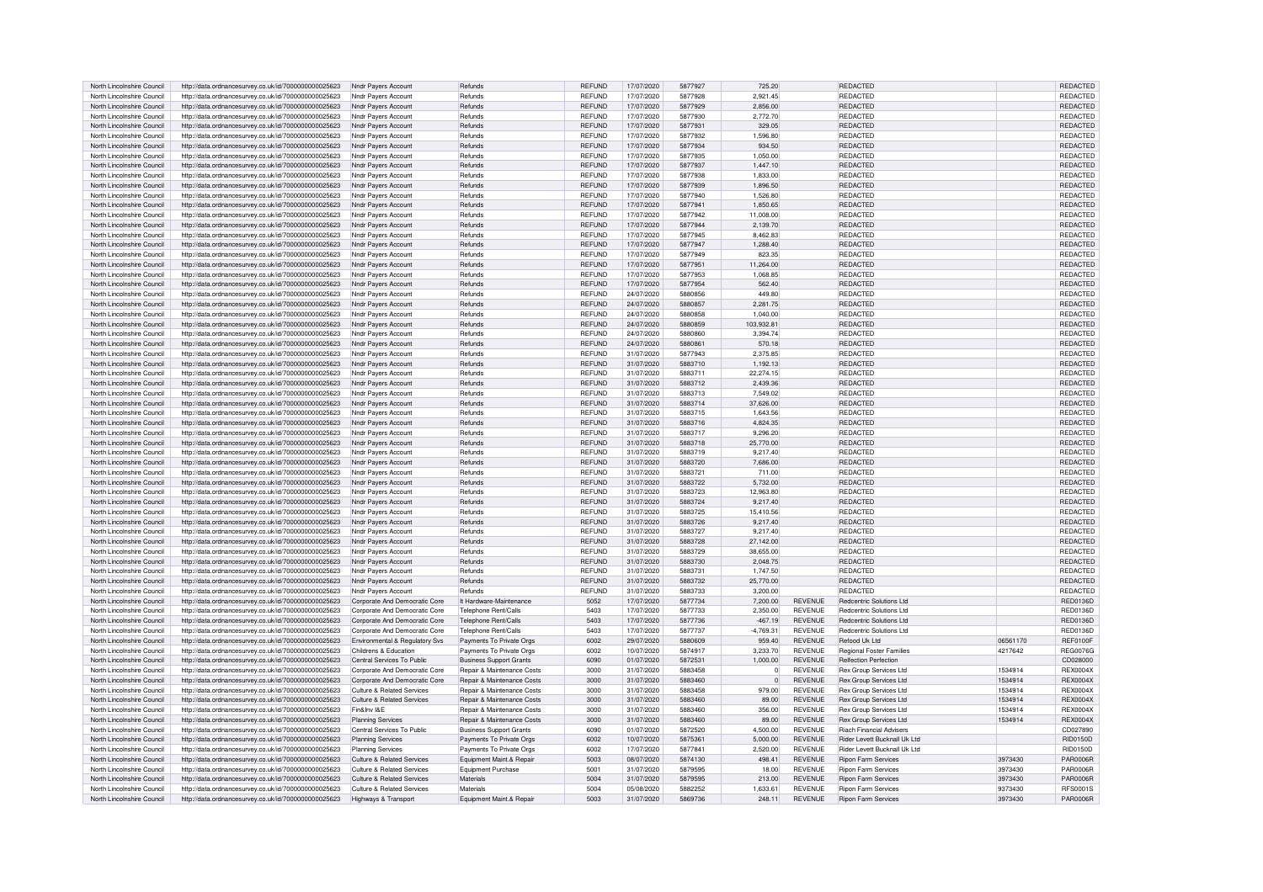| North Lincolnshire Council |                                                      | Nndr Payers Account            | Refunds                        | <b>REFUND</b> | 17/07/2020 | 5877927 | 725.20         |                | <b>REDACTED</b>                 |          | <b>REDACTED</b> |
|----------------------------|------------------------------------------------------|--------------------------------|--------------------------------|---------------|------------|---------|----------------|----------------|---------------------------------|----------|-----------------|
|                            | http://data.ordnancesurvey.co.uk/id/7000000000025623 |                                |                                |               |            |         |                |                |                                 |          |                 |
| North Lincolnshire Council | http://data.ordnancesurvey.co.uk/id/7000000000025623 | Nndr Payers Account            | Refunds                        | <b>REFUND</b> | 17/07/2020 | 5877928 | 2,921.45       |                | REDACTED                        |          | REDACTED        |
| North Lincolnshire Council | http://data.ordnancesurvey.co.uk/id/7000000000025623 | Nndr Payers Account            | Refunds                        | <b>REFUND</b> | 17/07/2020 | 5877929 | 2,856.00       |                | REDACTED                        |          | REDACTED        |
| North Lincolnshire Council | http://data.ordnancesurvey.co.uk/id/7000000000025623 | Nndr Pavers Account            | Refunds                        | <b>REFUND</b> | 17/07/2020 | 5877930 | 2,772.70       |                | REDACTED                        |          | REDACTED        |
|                            |                                                      |                                |                                |               |            |         |                |                |                                 |          |                 |
| North Lincolnshire Council | http://data.ordnancesurvey.co.uk/id/7000000000025623 | Nndr Payers Account            | Refunds                        | <b>REFUND</b> | 17/07/2020 | 5877931 | 329.05         |                | <b>REDACTED</b>                 |          | <b>REDACTED</b> |
| North Lincolnshire Council | http://data.ordnancesurvey.co.uk/id/7000000000025623 | Nndr Payers Account            | Refunds                        | <b>RFFUND</b> | 17/07/2020 | 5877932 | 1,596.80       |                | <b>REDACTED</b>                 |          | <b>REDACTED</b> |
| North Lincolnshire Council | http://data.ordnancesurvey.co.uk/id/7000000000025623 | Nndr Pavers Account            | Refunds                        | <b>REFUND</b> | 17/07/2020 | 5877934 | 934.50         |                | REDACTED                        |          | REDACTED        |
|                            |                                                      |                                |                                |               |            |         |                |                |                                 |          |                 |
| North Lincolnshire Council | http://data.ordnancesurvey.co.uk/id/7000000000025623 | Nndr Payers Account            | Refunds                        | REFUND        | 17/07/2020 | 5877935 | 1,050.00       |                | REDACTED                        |          | <b>REDACTED</b> |
| North Lincolnshire Council | http://data.ordnancesurvey.co.uk/id/7000000000025623 | Nndr Payers Account            | Refunds                        | <b>REFUND</b> | 17/07/2020 | 5877937 | 1.447.10       |                | REDACTED                        |          | <b>REDACTED</b> |
|                            |                                                      |                                |                                |               |            |         |                |                |                                 |          |                 |
| North Lincolnshire Council | http://data.ordnancesurvey.co.uk/id/7000000000025623 | Nndr Payers Account            | Refunds                        | <b>REFUND</b> | 17/07/2020 | 5877938 | 1,833.00       |                | <b>REDACTED</b>                 |          | REDACTED        |
| North Lincolnshire Council | http://data.ordnancesurvey.co.uk/id/7000000000025623 | Nndr Payers Account            | Refunds                        | <b>REFUND</b> | 17/07/2020 | 5877939 | 1,896.50       |                | REDACTED                        |          | REDACTED        |
| North Lincolnshire Council | http://data.ordnancesurvey.co.uk/id/7000000000025623 | Nndr Payers Account            | Refunds                        | <b>REFUND</b> | 17/07/2020 | 5877940 | 1.526.80       |                | REDACTED                        |          | <b>REDACTED</b> |
|                            |                                                      |                                |                                |               |            |         |                |                |                                 |          |                 |
| North Lincolnshire Council | http://data.ordnancesurvey.co.uk/id/7000000000025623 | Nndr Pavers Account            | Refunds                        | REFUND        | 17/07/2020 | 5877941 | 1,850.65       |                | REDACTED                        |          | REDACTED        |
| North Lincolnshire Council | http://data.ordnancesurvey.co.uk/id/7000000000025623 | Nndr Pavers Account            | Refunds                        | <b>REFUND</b> | 17/07/2020 | 5877942 | 11,008.00      |                | <b>REDACTED</b>                 |          | <b>REDACTED</b> |
| North Lincolnshire Council | http://data.ordnancesurvey.co.uk/id/7000000000025623 | Nndr Payers Account            | Refunds                        | <b>RFFUND</b> | 17/07/2020 | 5877944 | 2,139.70       |                | <b>REDACTED</b>                 |          | <b>REDACTED</b> |
|                            |                                                      |                                |                                |               |            |         |                |                |                                 |          |                 |
| North Lincolnshire Council | http://data.ordnancesurvey.co.uk/id/7000000000025623 | Nndr Payers Account            | Refunds                        | <b>REFUND</b> | 17/07/2020 | 5877945 | 8,462.83       |                | <b>REDACTED</b>                 |          | REDACTED        |
| North Lincolnshire Council | http://data.ordnancesurvey.co.uk/id/7000000000025623 | Nndr Payers Account            | Refunds                        | <b>REFUND</b> | 17/07/2020 | 5877947 | 1,288.40       |                | REDACTED                        |          | REDACTED        |
| North Lincolnshire Council | http://data.ordnancesurvey.co.uk/id/7000000000025623 | Nndr Payers Account            | Refunds                        | <b>REFUND</b> | 17/07/2020 | 5877949 | 823.35         |                | <b>REDACTED</b>                 |          | <b>REDACTED</b> |
|                            |                                                      |                                |                                |               |            |         |                |                |                                 |          |                 |
| North Lincolnshire Council | http://data.ordnancesurvey.co.uk/id/7000000000025623 | Nndr Payers Account            | Refunds                        | <b>REFUND</b> | 17/07/2020 | 5877951 | 11.264.00      |                | REDACTED                        |          | REDACTED        |
| North Lincolnshire Council | http://data.ordnancesurvey.co.uk/id/7000000000025623 | Nndr Payers Account            | Refunds                        | <b>REFUND</b> | 17/07/2020 | 5877953 | 1,068.85       |                | <b>REDACTED</b>                 |          | <b>REDACTED</b> |
| North Lincolnshire Council | http://data.ordnancesurvey.co.uk/id/7000000000025623 | Nndr Payers Account            | Refunds                        | REFUND        | 17/07/2020 | 5877954 | 562.40         |                | REDACTED                        |          | REDACTED        |
|                            |                                                      |                                |                                |               |            |         |                |                |                                 |          |                 |
| North Lincolnshire Council | http://data.ordnancesurvey.co.uk/id/7000000000025623 | Nndr Payers Account            | Refunds                        | <b>REFUND</b> | 24/07/2020 | 5880856 | 449.80         |                | REDACTED                        |          | REDACTED        |
| North Lincolnshire Council | http://data.ordnancesurvey.co.uk/id/7000000000025623 | Nndr Payers Account            | Refunds                        | <b>REFUND</b> | 24/07/2020 | 5880857 | 2,281.75       |                | <b>REDACTED</b>                 |          | REDACTED        |
| North Lincolnshire Council | http://data.ordnancesurvey.co.uk/id/7000000000025623 | Nndr Payers Account            | Refunds                        | <b>REFUND</b> | 24/07/2020 | 5880858 | 1.040.00       |                | <b>REDACTED</b>                 |          | REDACTED        |
|                            |                                                      |                                |                                |               |            |         |                |                |                                 |          |                 |
| North Lincolnshire Council | http://data.ordnancesurvey.co.uk/id/7000000000025623 | Nndr Payers Account            | Refunds                        | <b>REFUND</b> | 24/07/2020 | 5880859 | 103,932.81     |                | REDACTED                        |          | REDACTED        |
| North Lincolnshire Council | http://data.ordnancesurvey.co.uk/id/7000000000025623 | Nndr Pavers Account            | Refunds                        | <b>RFFUND</b> | 24/07/2020 | 5880860 | 3.394.74       |                | <b>REDACTED</b>                 |          | REDACTED        |
| North Lincolnshire Council |                                                      |                                | Refunds                        | <b>RFFUND</b> | 24/07/2020 | 5880861 | 570.18         |                | REDACTED                        |          | REDACTED        |
|                            | http://data.ordnancesurvey.co.uk/id/7000000000025623 | Nndr Payers Account            |                                |               |            |         |                |                |                                 |          |                 |
| North Lincolnshire Council | http://data.ordnancesurvey.co.uk/id/7000000000025623 | Nndr Payers Account            | Refunds                        | <b>REFUND</b> | 31/07/2020 | 5877943 | 2,375.85       |                | REDACTED                        |          | REDACTED        |
| North Lincolnshire Council | http://data.ordnancesurvey.co.uk/id/7000000000025623 | Nndr Payers Account            | Refunds                        | <b>REFUND</b> | 31/07/2020 | 5883710 | 1,192.13       |                | REDACTED                        |          | REDACTED        |
|                            |                                                      |                                |                                |               |            |         |                |                |                                 |          |                 |
| North Lincolnshire Council | http://data.ordnancesurvey.co.uk/id/7000000000025623 | Nndr Payers Account            | Refunds                        | <b>REFUND</b> | 31/07/2020 | 5883711 | 22,274.15      |                | REDACTED                        |          | <b>REDACTED</b> |
| North Lincolnshire Council | http://data.ordnancesurvey.co.uk/id/7000000000025623 | Nndr Pavers Account            | Refunds                        | <b>REFUND</b> | 31/07/2020 | 5883712 | 2,439.36       |                | <b>REDACTED</b>                 |          | REDACTED        |
| North Lincolnshire Council | http://data.ordnancesurvey.co.uk/id/7000000000025623 | Nndr Pavers Account            | Refunds                        | <b>REFUND</b> | 31/07/2020 | 5883713 | 7,549.02       |                | REDACTED                        |          | REDACTED        |
|                            |                                                      |                                |                                |               |            |         |                |                |                                 |          |                 |
| North Lincolnshire Council | http://data.ordnancesurvey.co.uk/id/7000000000025623 | Nndr Payers Account            | Refunds                        | <b>REFUND</b> | 31/07/2020 | 5883714 | 37,626.00      |                | <b>REDACTED</b>                 |          | REDACTED        |
| North Lincolnshire Council | http://data.ordnancesurvey.co.uk/id/7000000000025623 | Nndr Payers Account            | Refunds                        | <b>REFUND</b> | 31/07/2020 | 5883715 | 1,643.56       |                | REDACTED                        |          | REDACTED        |
| North Lincolnshire Council | http://data.ordnancesurvey.co.uk/id/7000000000025623 | Nndr Payers Account            | Refunds                        | <b>REFUND</b> | 31/07/2020 | 5883716 | 4,824.35       |                | REDACTED                        |          | REDACTED        |
|                            |                                                      |                                |                                |               |            |         |                |                |                                 |          |                 |
| North Lincolnshire Council | http://data.ordnancesurvey.co.uk/id/7000000000025623 | Nndr Payers Account            | Refunds                        | <b>REFUND</b> | 31/07/2020 | 5883717 | 9.296.20       |                | REDACTED                        |          | <b>REDACTED</b> |
| North Lincolnshire Council | http://data.ordnancesurvey.co.uk/id/7000000000025623 | Nndr Pavers Account            | Refunds                        | <b>REFUND</b> | 31/07/2020 | 5883718 | 25,770.00      |                | <b>REDACTED</b>                 |          | REDACTED        |
| North Lincolnshire Council | http://data.ordnancesurvey.co.uk/id/7000000000025623 | Nndr Payers Account            | Refunds                        | REFUND        | 31/07/2020 | 5883719 | 9,217.40       |                | <b>REDACTED</b>                 |          | REDACTED        |
|                            |                                                      |                                |                                |               |            |         |                |                |                                 |          |                 |
| North Lincolnshire Council | http://data.ordnancesurvey.co.uk/id/7000000000025623 | Nndr Payers Account            | Refunds                        | <b>REFUND</b> | 31/07/2020 | 5883720 | 7,686.00       |                | REDACTED                        |          | REDACTED        |
| North Lincolnshire Council | http://data.ordnancesurvey.co.uk/id/7000000000025623 | Nndr Payers Account            | Refunds                        | REFUND        | 31/07/2020 | 5883721 | 711.00         |                | <b>REDACTED</b>                 |          | REDACTED        |
| North Lincolnshire Council | http://data.ordnancesurvey.co.uk/id/7000000000025623 | Nndr Pavers Account            | Refunds                        | <b>REFUND</b> | 31/07/2020 | 5883722 | 5,732.00       |                | <b>REDACTED</b>                 |          | REDACTED        |
|                            |                                                      |                                |                                |               |            |         |                |                |                                 |          |                 |
| North Lincolnshire Council | http://data.ordnancesurvey.co.uk/id/7000000000025623 | Nndr Pavers Account            | Refunds                        | <b>REFUND</b> | 31/07/2020 | 5883723 | 12,963.80      |                | <b>REDACTED</b>                 |          | REDACTED        |
| North Lincolnshire Council | http://data.ordnancesurvey.co.uk/id/7000000000025623 | Nndr Payers Account            | Refunds                        | <b>REFUND</b> | 31/07/2020 | 5883724 | 9.217.40       |                | REDACTED                        |          | REDACTED        |
| North Lincolnshire Council | http://data.ordnancesurvey.co.uk/id/7000000000025623 | Nndr Payers Account            | Refunds                        | <b>REFUND</b> | 31/07/2020 | 5883725 | 15.410.56      |                | REDACTED                        |          | <b>REDACTED</b> |
|                            |                                                      |                                |                                |               |            |         |                |                |                                 |          |                 |
| North Lincolnshire Council | http://data.ordnancesurvey.co.uk/id/7000000000025623 | Nndr Pavers Account            | Refunds                        | <b>REFUND</b> | 31/07/2020 | 5883726 | 9,217.40       |                | REDACTED                        |          | REDACTED        |
| North Lincolnshire Council | http://data.ordnancesurvey.co.uk/id/7000000000025623 | Nndr Pavers Account            | Refunds                        | <b>REFUND</b> | 31/07/2020 | 5883727 | 9.217.40       |                | <b>REDACTED</b>                 |          | <b>REDACTED</b> |
| North Lincolnshire Council | http://data.ordnancesurvey.co.uk/id/7000000000025623 | Nndr Pavers Account            | Refunds                        | <b>REFUND</b> | 31/07/2020 | 5883728 | 27,142.00      |                | <b>REDACTED</b>                 |          | <b>REDACTED</b> |
|                            |                                                      |                                |                                |               |            |         |                |                |                                 |          |                 |
| North Lincolnshire Council | http://data.ordnancesurvey.co.uk/id/7000000000025623 | Nndr Payers Account            | Refunds                        | REFUND        | 31/07/2020 | 5883729 | 38.655.00      |                | <b>REDACTED</b>                 |          | REDACTED        |
| North Lincolnshire Council | http://data.ordnancesurvey.co.uk/id/7000000000025623 | Nndr Payers Account            | Refunds                        | <b>REFUND</b> | 31/07/2020 | 5883730 | 2.048.75       |                | REDACTED                        |          | REDACTED        |
| North Lincolnshire Council | http://data.ordnancesurvey.co.uk/id/7000000000025623 | Nndr Payers Account            | Refunds                        | <b>REFUND</b> | 31/07/2020 | 5883731 | 1.747.50       |                | <b>REDACTED</b>                 |          | <b>REDACTED</b> |
|                            |                                                      |                                |                                |               |            |         |                |                |                                 |          |                 |
| North Lincolnshire Council | http://data.ordnancesurvey.co.uk/id/7000000000025623 | Nndr Pavers Account            | Refunds                        | REFUND        | 31/07/2020 | 5883732 | 25,770.00      |                | REDACTED                        |          | REDACTED        |
| North Lincolnshire Council | http://data.ordnancesurvey.co.uk/id/7000000000025623 | Nndr Pavers Account            | Refunds                        | <b>REFUND</b> | 31/07/2020 | 5883733 | 3,200.00       |                | <b>REDACTED</b>                 |          | REDACTED        |
| North Lincolnshire Council | http://data.ordnancesurvey.co.uk/id/7000000000025623 | Corporate And Democratic Core  | It Hardware-Maintenance        | 5052          | 17/07/2020 | 5877734 | 7.200.00       | <b>REVENUE</b> | Redcentric Solutions Ltd        |          | <b>BED0136D</b> |
|                            |                                                      |                                |                                |               |            |         |                |                |                                 |          |                 |
| North Lincolnshire Council | http://data.ordnancesurvey.co.uk/id/7000000000025623 | Corporate And Democratic Core  | Telephone Rent/Calls           | 5403          | 17/07/2020 | 5877733 | 2.350.00       | <b>REVENUE</b> | Redcentric Solutions Ltd        |          | <b>RED0136D</b> |
| North Lincolnshire Council | http://data.ordnancesurvey.co.uk/id/7000000000025623 | Corporate And Democratic Core  | Telephone Rent/Calls           | 5403          | 17/07/2020 | 5877736 | $-467.19$      | <b>REVENUE</b> | Redcentric Solutions Ltd        |          | RED0136D        |
| North Lincolnshire Council | http://data.ordnancesurvey.co.uk/id/7000000000025623 | Corporate And Democratic Core  | Telephone Rent/Calls           | 5403          | 17/07/2020 | 5877737 | $-4.769.31$    | <b>REVENUE</b> | Redcentric Solutions Ltd.       |          | <b>RED0136D</b> |
|                            |                                                      |                                |                                |               |            |         |                |                |                                 |          |                 |
| North Lincolnshire Council | http://data.ordnancesurvey.co.uk/id/7000000000025623 | Environmental & Regulatory Svs | Payments To Private Orgs       | 6002          | 29/07/2020 | 5880609 | 959.40         | <b>REVENUE</b> | Refood Uk Ltd                   | 06561170 | <b>REF0100F</b> |
| North Lincolnshire Council | http://data.ordnancesurvey.co.uk/id/7000000000025623 | Childrens & Education          | Payments To Private Orgs       | 6002          | 10/07/2020 | 5874917 | 3.233.70       | <b>REVENUE</b> | Regional Foster Families        | 4217642  | <b>REG0076G</b> |
| North Lincolnshire Council |                                                      | Central Services To Public     |                                | 6090          | 01/07/2020 | 5872531 | 1.000.00       | <b>REVENUE</b> | <b>Relfection Perfection</b>    |          | CD028000        |
|                            | http://data.ordnancesurvey.co.uk/id/7000000000025623 |                                | <b>Business Support Grants</b> |               |            |         |                |                |                                 |          |                 |
| North Lincolnshire Council | http://data.ordnancesurvey.co.uk/id/7000000000025623 | Corporate And Democratic Core  | Repair & Maintenance Costs     | 3000          | 31/07/2020 | 5883458 | $\overline{0}$ | <b>REVENUE</b> | Rex Group Services Ltd          | 1534914  | <b>REX0004X</b> |
| North Lincolnshire Council | http://data.ordnancesurvey.co.uk/id/7000000000025623 | Corporate And Democratic Core  | Repair & Maintenance Costs     | 3000          | 31/07/2020 | 5883460 | $\overline{0}$ | <b>REVENUE</b> | Rex Group Services Ltd          | 1534914  | <b>REX0004X</b> |
| North Lincolnshire Council | http://data.ordnancesurvey.co.uk/id/7000000000025623 | Culture & Related Services     | Repair & Maintenance Costs     | 3000          | 31/07/2020 | 5883458 | 979.00         | <b>REVENUE</b> | Rex Group Services Ltd          | 1534914  | <b>REX0004X</b> |
|                            |                                                      |                                |                                |               |            |         |                |                |                                 |          |                 |
| North Lincolnshire Council | http://data.ordnancesurvey.co.uk/id/7000000000025623 | Culture & Related Services     | Repair & Maintenance Costs     | 3000          | 31/07/2020 | 5883460 | 89.00          | <b>REVENUE</b> | <b>Rex Group Services Ltd</b>   | 1534914  | <b>REX0004X</b> |
| North Lincolnshire Council | http://data.ordnancesurvey.co.uk/id/7000000000025623 | Fin&Inv I&F                    | Repair & Maintenance Costs     | 3000          | 31/07/2020 | 5883460 | 356.00         | <b>REVENUE</b> | Rex Group Services Ltd          | 1534914  | <b>REX0004X</b> |
| North Lincolnshire Council |                                                      |                                | Repair & Maintenance Costs     | 3000          | 31/07/2020 | 5883460 | 89.00          | <b>REVENUE</b> | <b>Rex Group Services Ltd</b>   | 1534914  | <b>REX0004X</b> |
|                            | http://data.ordnancesurvey.co.uk/id/7000000000025623 | <b>Planning Services</b>       |                                |               |            |         |                |                |                                 |          |                 |
| North Lincolnshire Council | http://data.ordnancesurvey.co.uk/id/7000000000025623 | Central Services To Public     | <b>Business Support Grants</b> | 6090          | 01/07/2020 | 5872520 | 4,500.00       | <b>REVENUE</b> | <b>Riach Financial Advisers</b> |          | CD027890        |
| North Lincolnshire Council | http://data.ordnancesurvey.co.uk/id/7000000000025623 | <b>Planning Services</b>       | Payments To Private Orgs       | 6002          | 10/07/2020 | 5875361 | 5,000.00       | <b>REVENUE</b> | Rider Levett Bucknall Uk Ltd    |          | RID0150D        |
| North Lincolnshire Council |                                                      |                                |                                |               |            | 5877841 |                |                |                                 |          |                 |
|                            | http://data.ordnancesurvey.co.uk/id/7000000000025623 | Planning Services              | Payments To Private Orgs       | 6002          | 17/07/2020 |         | 2,520.00       | <b>REVENUE</b> | Rider Levett Bucknall Uk Ltd    |          | <b>RID0150D</b> |
| North Lincolnshire Council | http://data.ordnancesurvey.co.uk/id/7000000000025623 | Culture & Related Services     | Equipment Maint.& Repair       | 5003          | 08/07/2020 | 5874130 | 498.41         | REVENUE        | Ripon Farm Services             | 3973430  | <b>PAR0006R</b> |
| North Lincolnshire Council | http://data.ordnancesurvey.co.uk/id/7000000000025623 | Culture & Related Services     | Equipment Purchase             | 5001          | 31/07/2020 | 5879595 | 18.00          | <b>REVENUE</b> | <b>Ripon Farm Services</b>      | 3973430  | <b>PAR0006F</b> |
| North Lincolnshire Council |                                                      | Culture & Related Services     | Materials                      | 5004          | 31/07/2020 | 5879595 | 213.00         | <b>REVENUE</b> | <b>Ripon Farm Services</b>      | 3973430  | <b>PAR0006R</b> |
|                            | http://data.ordnancesurvey.co.uk/id/7000000000025623 |                                |                                |               |            |         |                |                |                                 |          |                 |
| North Lincolnshire Council | http://data.ordnancesurvey.co.uk/id/7000000000025623 | Culture & Related Services     | Materials                      | 5004          | 05/08/2020 | 5882252 | 1.633.61       | <b>REVENUE</b> | Ripon Farm Services             | 9373430  | RFS0001S        |
| North Lincolnshire Council | http://data.ordnancesurvey.co.uk/id/7000000000025623 | Highways & Transport           | Equipment Maint.& Repair       | 5003          | 31/07/2020 | 5869736 | 248.11         | <b>REVENUE</b> | <b>Ripon Farm Services</b>      | 3973430  | PAR0006R        |
|                            |                                                      |                                |                                |               |            |         |                |                |                                 |          |                 |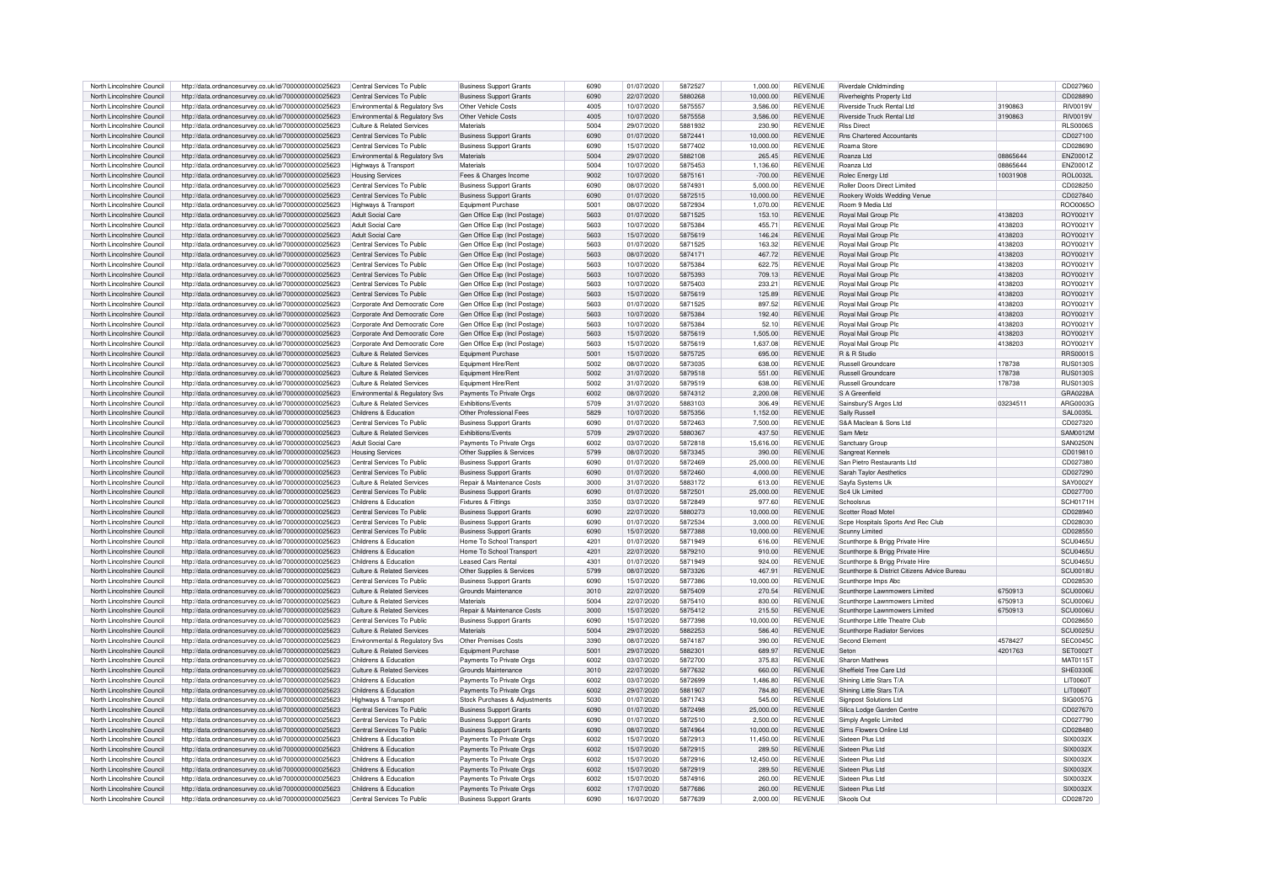| North Lincolnshire Council | http://data.ordnancesurvey.co.uk/id/7000000000025623 | Central Services To Public     | <b>Business Support Grants</b> | 6090 | 01/07/2020 | 5872527 | 1,000.00  | <b>REVENUE</b> | Riverdale Childminding                       |          | CD027960         |
|----------------------------|------------------------------------------------------|--------------------------------|--------------------------------|------|------------|---------|-----------|----------------|----------------------------------------------|----------|------------------|
|                            |                                                      |                                |                                |      |            |         |           |                |                                              |          |                  |
| North Lincolnshire Council | http://data.ordnancesurvey.co.uk/id/7000000000025623 | Central Services To Public     | <b>Business Support Grants</b> | 6090 | 22/07/2020 | 5880268 | 10.000.00 | <b>REVENUE</b> | Riverheights Property Ltd                    |          | CD028890         |
| North Lincolnshire Council | http://data.ordnancesurvey.co.uk/id/7000000000025623 | Environmental & Regulatory Sys | Other Vehicle Costs            | 4005 | 10/07/2020 | 5875557 | 3.586.00  | <b>REVENUE</b> | Riverside Truck Rental Ltd                   | 3190863  | <b>RIV0019V</b>  |
| North Lincolnshire Council | http://data.ordnancesurvey.co.uk/id/7000000000025623 | Environmental & Regulatory Svs | Other Vehicle Costs            | 4005 | 10/07/2020 | 5875558 | 3.586.00  | <b>REVENUE</b> | <b>Riverside Truck Rental Ltd</b>            | 3190863  | <b>RIV0019V</b>  |
| North Lincolnshire Council | http://data.ordnancesurvey.co.uk/id/7000000000025623 | Culture & Related Services     | Materials                      | 5004 | 29/07/2020 | 5881932 | 230.90    | <b>REVENUE</b> | <b>Riss Direct</b>                           |          | <b>BLS00065</b>  |
|                            |                                                      |                                |                                |      |            |         |           | <b>REVENUE</b> |                                              |          | CD027100         |
| North Lincolnshire Council | http://data.ordnancesurvey.co.uk/id/7000000000025623 | Central Services To Public     | <b>Business Support Grants</b> | 6090 | 01/07/2020 | 5872441 | 10.000.00 |                | <b>Bos Chartered Accountants</b>             |          |                  |
| North Lincolnshire Council | http://data.ordnancesurvey.co.uk/id/7000000000025623 | Central Services To Public     | <b>Business Support Grants</b> | 6090 | 15/07/2020 | 5877402 | 10,000.00 | <b>REVENUE</b> | <b>Boama Store</b>                           |          | CD028690         |
| North Lincolnshire Council | http://data.ordnancesurvey.co.uk/id/7000000000025623 | Environmental & Regulatory Sys | Materials                      | 5004 | 29/07/2020 | 5882108 | 265.45    | <b>REVENUE</b> | Roanza Ltd                                   | 08865644 | ENZ0001Z         |
| North Lincolnshire Council | http://data.ordnancesurvey.co.uk/id/7000000000025623 | Highways & Transport           | Materials                      | 5004 | 10/07/2020 | 5875453 | 1,136.60  | <b>REVENUE</b> | Roanza Ltd                                   | 08865644 | ENZ0001Z         |
|                            |                                                      |                                |                                |      |            |         |           |                |                                              |          |                  |
| North Lincolnshire Council | http://data.ordnancesurvey.co.uk/id/7000000000025623 | <b>Housing Services</b>        | Fees & Charges Income          | 9002 | 10/07/2020 | 5875161 | $-700.00$ | <b>REVENUE</b> | Rolec Energy Ltd                             | 10031908 | <b>BOL0032L</b>  |
| North Lincolnshire Council | http://data.ordnancesurvey.co.uk/id/7000000000025623 | Central Services To Public     | <b>Business Support Grants</b> | 6090 | 08/07/2020 | 587493  | 5.000.00  | <b>REVENUE</b> | Roller Doors Direct Limited                  |          | CD028250         |
| North Lincolnshire Council | http://data.ordnancesurvey.co.uk/id/7000000000025623 | Central Services To Public     | <b>Business Support Grants</b> | 6090 | 01/07/2020 | 5872515 | 10,000.00 | <b>REVENUE</b> | Rookery Wolds Wedding Venue                  |          | CD027840         |
| North Lincolnshire Council | http://data.ordnancesurvey.co.uk/id/7000000000025623 | Highways & Transport           | Equipment Purchase             | 5001 | 08/07/2020 | 5872934 | 1.070.00  | <b>REVENUE</b> | Room 9 Media Ltd                             |          | ROO0065C         |
| North Lincolnshire Council |                                                      | Adult Social Care              |                                | 5603 | 01/07/2020 | 5871525 | 153.10    | <b>REVENUE</b> |                                              | 4138203  | ROY0021\         |
|                            | http://data.ordnancesurvey.co.uk/id/7000000000025623 |                                | Gen Office Exp (Incl Postage)  |      |            |         |           |                | Royal Mail Group Plo                         |          |                  |
| North Lincolnshire Council | http://data.ordnancesurvey.co.uk/id/7000000000025623 | Adult Social Care              | Gen Office Exp (Incl Postage)  | 5603 | 10/07/2020 | 5875384 | 455.71    | <b>REVENUE</b> | Royal Mail Group Plo                         | 4138203  | ROY0021Y         |
| North Lincolnshire Council | http://data.ordnancesurvey.co.uk/id/7000000000025623 | Adult Social Care              | Gen Office Exp (Incl Postage)  | 5603 | 15/07/2020 | 5875619 | 146.24    | <b>REVENUE</b> | Royal Mail Group Plo                         | 4138203  | ROY0021Y         |
| North Lincolnshire Council | http://data.ordnancesurvey.co.uk/id/7000000000025623 | Central Services To Public     | Gen Office Exp (Incl Postage)  | 5603 | 01/07/2020 | 5871525 | 163.32    | <b>REVENUE</b> | Royal Mail Group Plo                         | 4138203  | ROY0021Y         |
|                            |                                                      |                                |                                |      |            | 5874171 |           |                |                                              |          |                  |
| North Lincolnshire Council | http://data.ordnancesurvey.co.uk/id/7000000000025623 | Central Services To Public     | Gen Office Exp (Incl Postage)  | 5603 | 08/07/2020 |         | 467.72    | <b>REVENUE</b> | Royal Mail Group Plo                         | 4138203  | ROY0021Y         |
| North Lincolnshire Council | http://data.ordnancesurvey.co.uk/id/7000000000025623 | Central Services To Public     | Gen Office Exp (Incl Postage)  | 5603 | 10/07/2020 | 5875384 | 622.75    | <b>REVENUE</b> | Royal Mail Group Plc                         | 4138203  | ROY0021Y         |
| North Lincolnshire Council | http://data.ordnancesurvey.co.uk/id/7000000000025623 | Central Services To Public     | Gen Office Exp (Incl Postage)  | 5603 | 10/07/2020 | 5875393 | 709.13    | <b>REVENUE</b> | Roval Mail Group Plg                         | 4138203  | ROY0021Y         |
| North Lincolnshire Council | http://data.ordnancesurvey.co.uk/id/7000000000025623 | Central Services To Public     | Gen Office Exp (Incl Postage)  | 5603 | 10/07/2020 | 5875403 | 233.21    | <b>REVENUE</b> | Royal Mail Group Plc                         | 4138203  | ROY0021Y         |
|                            |                                                      | Central Services To Public     |                                | 5603 |            |         |           |                |                                              |          |                  |
| North Lincolnshire Council | http://data.ordnancesurvey.co.uk/id/7000000000025623 |                                | Gen Office Exp (Incl Postage)  |      | 15/07/2020 | 5875619 | 125.89    | <b>REVENUE</b> | Royal Mail Group Plc                         | 4138203  | ROY0021Y         |
| North Lincolnshire Council | http://data.ordnancesurvey.co.uk/id/7000000000025623 | Corporate And Democratic Core  | Gen Office Exp (Incl Postage)  | 5603 | 01/07/2020 | 5871525 | 897.52    | <b>REVENUE</b> | <b>Boyal Mail Group Plc</b>                  | 4138203  | ROY0021Y         |
| North Lincolnshire Council | http://data.ordnancesurvey.co.uk/id/7000000000025623 | Corporate And Democratic Core  | Gen Office Exp (Incl Postage)  | 5603 | 10/07/2020 | 5875384 | 192.40    | <b>REVENUE</b> | Roval Mail Group Plg                         | 4138203  | ROY0021Y         |
| North Lincolnshire Council | http://data.ordnancesurvey.co.uk/id/7000000000025623 | Corporate And Democratic Core  | Gen Office Exp (Incl Postage)  | 5603 | 10/07/2020 | 5875384 | 52.10     | <b>REVENUE</b> | Roval Mail Group Plg                         | 4138203  | ROY0021Y         |
|                            |                                                      |                                |                                | 5603 |            |         |           | <b>REVENUE</b> |                                              |          | ROY0021Y         |
| North Lincolnshire Council | http://data.ordnancesurvey.co.uk/id/7000000000025623 | Corporate And Democratic Core  | Gen Office Exp (Incl Postage)  |      | 15/07/2020 | 5875619 | 1.505.00  |                | Roval Mail Group Plo                         | 4138203  |                  |
| North Lincolnshire Council | http://data.ordnancesurvey.co.uk/id/7000000000025623 | Corporate And Democratic Core  | Gen Office Exp (Incl Postage)  | 5603 | 15/07/2020 | 5875619 | 1.637.08  | <b>REVENUE</b> | Roval Mail Group Plo                         | 4138203  | ROY0021\         |
| North Lincolnshire Council | http://data.ordnancesurvey.co.uk/id/7000000000025623 | Culture & Related Services     | Equipment Purchase             | 5001 | 15/07/2020 | 5875725 | 695.00    | <b>REVENUE</b> | R & R Studio                                 |          | RRS0001S         |
| North Lincolnshire Council | http://data.ordnancesurvey.co.uk/id/7000000000025623 | Culture & Related Services     | Equipment Hire/Rent            | 5002 | 08/07/2020 | 5873035 | 638.00    | <b>REVENUE</b> | Russell Groundcare                           | 178738   | RUS01305         |
|                            |                                                      |                                |                                |      |            |         |           |                |                                              |          |                  |
| North Lincolnshire Council | http://data.ordnancesurvey.co.uk/id/7000000000025623 | Culture & Related Services     | Equipment Hire/Rent            | 5002 | 31/07/2020 | 5879518 | 551.00    | <b>REVENUE</b> | Russell Groundcare                           | 178738   | <b>RUS0130S</b>  |
| North Lincolnshire Council | http://data.ordnancesurvey.co.uk/id/7000000000025623 | Culture & Related Services     | Fauinment Hire/Ren             | 5002 | 31/07/2020 | 5879519 | 638.00    | <b>REVENUE</b> | <b>Bussell Groundcare</b>                    | 178738   | <b>BUS01305</b>  |
| North Lincolnshire Council | http://data.ordnancesurvey.co.uk/id/7000000000025623 | Environmental & Regulatory Svs | Payments To Private Orgs       | 6002 | 08/07/2020 | 5874312 | 2,200.08  | <b>REVENUE</b> | S A Greenfield                               |          | GRA0228A         |
| North Lincolnshire Council | http://data.ordnancesurvey.co.uk/id/7000000000025623 | Culture & Related Services     | <b>Exhibitions/Events</b>      | 5709 | 31/07/2020 | 5883103 | 306.49    | <b>REVENUE</b> | Sainsbury'S Argos Ltd                        | 03234511 | ARG0003G         |
|                            |                                                      | Childrens & Education          |                                | 5829 | 10/07/2020 | 5875356 | 1.152.00  | <b>REVENUE</b> |                                              |          | SAI 0035L        |
| North Lincolnshire Council | http://data.ordnancesurvey.co.uk/id/7000000000025623 |                                | Other Professional Fees        |      |            |         |           |                | <b>Sally Russell</b>                         |          |                  |
| North Lincolnshire Council | http://data.ordnancesurvey.co.uk/id/7000000000025623 | Central Services To Public     | <b>Business Support Grants</b> | 6090 | 01/07/2020 | 5872463 | 7,500.00  | <b>REVENUE</b> | S&A Maclean & Sons Ltd                       |          | CD027320         |
| North Lincolnshire Council | http://data.ordnancesurvey.co.uk/id/7000000000025623 | Culture & Related Services     | <b>Fxhibitions/Fvents</b>      | 5709 | 29/07/2020 | 5880367 | 437.50    | <b>REVENUE</b> | Sam Metz                                     |          | SAM0012M         |
| North Lincolnshire Council | http://data.ordnancesurvey.co.uk/id/7000000000025623 | Adult Social Care              | Payments To Private Oras       | 6002 | 03/07/2020 | 5872818 | 15,616.00 | <b>REVENUE</b> | Sanctuary Group                              |          | <b>SAN0250N</b>  |
|                            |                                                      |                                |                                | 5799 | 08/07/2020 | 5873345 | 390.00    | <b>REVENUE</b> |                                              |          | CD019810         |
| North Lincolnshire Council | http://data.ordnancesurvey.co.uk/id/7000000000025623 | <b>Housing Services</b>        | Other Supplies & Services      |      |            |         |           |                | Sangreat Kennels                             |          |                  |
| North Lincolnshire Council | http://data.ordnancesurvey.co.uk/id/7000000000025623 | Central Services To Public     | <b>Business Support Grants</b> | 6090 | 01/07/2020 | 5872469 | 25.000.00 | <b>REVENUE</b> | San Pietro Restaurants Ltd                   |          | CD027380         |
| North Lincolnshire Council | http://data.ordnancesurvey.co.uk/id/7000000000025623 | Central Services To Public     | <b>Business Support Grants</b> | 6090 | 01/07/2020 | 5872460 | 4.000.00  | <b>REVENUE</b> | Sarah Taylor Aesthetics                      |          | CD027290         |
| North Lincolnshire Council | http://data.ordnancesurvey.co.uk/id/7000000000025623 | Culture & Related Services     | Repair & Maintenance Costs     | 3000 | 31/07/2020 | 5883172 | 613.00    | <b>REVENUE</b> | Sayfa Systems Uk                             |          | SAY0002Y         |
|                            |                                                      |                                |                                |      |            |         |           |                |                                              |          |                  |
| North Lincolnshire Council | http://data.ordnancesurvey.co.uk/id/7000000000025623 | Central Services To Public     | <b>Business Support Grants</b> | 6090 | 01/07/2020 | 5872501 | 25,000.00 | <b>REVENUE</b> | Sc4 Uk Limited                               |          | CD027700         |
| North Lincolnshire Council | http://data.ordnancesurvey.co.uk/id/7000000000025623 | Childrens & Education          | <b>Fixtures &amp; Fittings</b> | 3350 | 03/07/2020 | 5872849 | 977.60    | REVENUE        | Schoolsrus                                   |          | <b>SCH0171F</b>  |
| North Lincolnshire Council | http://data.ordnancesurvey.co.uk/id/7000000000025623 | Central Services To Public     | <b>Business Support Grants</b> | 6090 | 22/07/2020 | 5880273 | 10.000.00 | <b>REVENUE</b> | Scotter Road Motel                           |          | CD028940         |
| North Lincolnshire Council | http://data.ordnancesurvey.co.uk/id/7000000000025623 | Central Services To Public     | <b>Business Support Grants</b> | 6090 | 01/07/2020 | 5872534 | 3,000.00  | <b>REVENUE</b> | Scpe Hospitals Sports And Rec Club           |          | CD028030         |
|                            |                                                      |                                |                                |      |            |         |           |                |                                              |          |                  |
| North Lincolnshire Council | http://data.ordnancesurvey.co.uk/id/7000000000025623 | Central Services To Public     | <b>Business Support Grants</b> | 6090 | 15/07/2020 | 5877388 | 10.000.00 | <b>REVENUE</b> | Scunny Limited                               |          | CD028550         |
| North Lincolnshire Council | http://data.ordnancesurvey.co.uk/id/7000000000025623 | Childrens & Education          | Home To School Transport       | 4201 | 01/07/2020 | 5871949 | 616.00    | <b>REVENUE</b> | Scunthorpe & Brigg Private Hire              |          | SCU0465U         |
| North Lincolnshire Council | http://data.ordnancesurvey.co.uk/id/7000000000025623 | Childrens & Education          | Home To School Transport       | 4201 | 22/07/2020 | 5879210 | 910.00    | <b>REVENUE</b> | Scunthorpe & Brigg Private Hire              |          | <b>SCLI0465L</b> |
| North Lincolnshire Council | http://data.ordnancesurvey.co.uk/id/7000000000025623 | Childrens & Education          | Leased Cars Bental             | 4301 | 01/07/2020 | 5871949 | 924.00    | <b>REVENUE</b> | Scunthorpe & Brigg Private Hire              |          | SCU0465U         |
|                            |                                                      | Culture & Related Services     |                                | 5799 |            |         |           | <b>REVENUE</b> |                                              |          | SCU0018U         |
| North Lincolnshire Council | http://data.ordnancesurvey.co.uk/id/7000000000025623 |                                | Other Supplies & Services      |      | 08/07/2020 | 5873326 | 467.91    |                | Scunthorpe & District Citizens Advice Bureau |          |                  |
| North Lincolnshire Council | http://data.ordnancesurvey.co.uk/id/7000000000025623 | Central Services To Public     | <b>Business Support Grants</b> | 6090 | 15/07/2020 | 5877386 | 10,000.00 | <b>REVENUE</b> | Scunthorpe Imps Abc                          |          | CD028530         |
| North Lincolnshire Council | http://data.ordnancesurvey.co.uk/id/7000000000025623 | Culture & Related Services     | Grounds Maintenance            | 3010 | 22/07/2020 | 5875409 | 270.54    | <b>REVENUE</b> | Scunthorpe Lawnmowers Limited                | 6750913  | SCU0006L         |
| North Lincolnshire Council | http://data.ordnancesurvey.co.uk/id/7000000000025623 | Culture & Related Services     | Materials                      | 5004 | 22/07/2020 | 5875410 | 830.00    | REVENUE        | Scunthorpe Lawnmowers Limited                | 6750913  | SCU0006L         |
| North Lincolnshire Council | http://data.ordnancesurvey.co.uk/id/7000000000025623 | Culture & Related Services     | Repair & Maintenance Costs     | 3000 | 15/07/2020 | 5875412 | 215.50    | <b>REVENUE</b> | Scunthorpe Lawnmowers Limited                | 6750913  | SCU0006U         |
|                            |                                                      |                                |                                |      |            |         |           |                |                                              |          |                  |
| North Lincolnshire Council | http://data.ordnancesurvey.co.uk/id/7000000000025623 | Central Services To Public     | <b>Business Support Grants</b> | 6090 | 15/07/2020 | 5877398 | 10.000.00 | <b>REVENUE</b> | Scunthorpe Little Theatre Club               |          | CD028650         |
| North Lincolnshire Council | http://data.ordnancesurvey.co.uk/id/7000000000025623 | Culture & Related Services     | Materials                      | 5004 | 29/07/2020 | 5882253 | 586.40    | <b>REVENUE</b> | Scunthorpe Radiator Services                 |          | SCU0025U         |
| North Lincolnshire Council | http://data.ordnancesurvey.co.uk/id/7000000000025623 | Environmental & Regulatory Svs | Other Premises Costs           | 3390 | 08/07/2020 | 5874187 | 390.00    | <b>REVENUE</b> | Second Flement                               | 4578427  | <b>SEC0045C</b>  |
| North Lincolnshire Council | http://data.ordnancesurvey.co.uk/id/7000000000025623 | Culture & Related Services     | Equipment Purchase             | 5001 | 29/07/2020 | 5882301 | 689.97    | <b>REVENUE</b> | Seton                                        | 4201763  | SET0002T         |
|                            |                                                      |                                |                                |      |            |         |           |                |                                              |          |                  |
| North Lincolnshire Council | http://data.ordnancesurvey.co.uk/id/7000000000025623 | Childrens & Education          | Payments To Private Orgs       | 6002 | 03/07/2020 | 5872700 | 375.83    | <b>REVENUE</b> | Sharon Matthews                              |          | MAT0115T         |
| North Lincolnshire Council | http://data.ordnancesurvey.co.uk/id/7000000000025623 | Culture & Related Services     | Grounds Maintenance            | 3010 | 22/07/2020 | 5877632 | 660.00    | <b>REVENUE</b> | Sheffield Tree Care Ltd                      |          | SHF0330F         |
| North Lincolnshire Council | http://data.ordnancesurvey.co.uk/id/7000000000025623 | Childrens & Education          | Payments To Private Orgs       | 6002 | 03/07/2020 | 5872699 | 1,486.80  | <b>REVENUE</b> | Shining Little Stars T/A                     |          | LIT00607         |
| North Lincolnshire Council |                                                      | Childrens & Education          |                                | 6002 | 29/07/2020 | 5881907 | 784.80    | <b>REVENUE</b> | Shining Little Stars T/A                     |          | LIT00607         |
|                            | http://data.ordnancesurvey.co.uk/id/7000000000025623 |                                | Payments To Private Orgs       |      |            |         |           |                |                                              |          |                  |
| North Lincolnshire Council | http://data.ordnancesurvey.co.uk/id/7000000000025623 | Highways & Transport           | Stock Purchases & Adjustments  | 5030 | 01/07/2020 | 5871743 | 545.00    | <b>REVENUE</b> | Signpost Solutions Ltd                       |          | SIG0057G         |
| North Lincolnshire Council | http://data.ordnancesurvey.co.uk/id/7000000000025623 | Central Services To Public     | <b>Business Support Grants</b> | 6090 | 01/07/2020 | 5872498 | 25,000.00 | <b>REVENUE</b> | Silica Lodge Garden Centre                   |          | CD027670         |
| North Lincolnshire Council | http://data.ordnancesurvey.co.uk/id/7000000000025623 | Central Services To Public     | <b>Business Support Grants</b> | 6090 | 01/07/2020 | 5872510 | 2.500.00  | <b>REVENUE</b> | Simply Angelic Limited                       |          | CD027790         |
| North Lincolnshire Council | http://data.ordnancesurvey.co.uk/id/7000000000025623 | Central Services To Public     | <b>Business Support Grants</b> | 6090 | 08/07/2020 | 5874964 | 10.000.00 | <b>REVENUE</b> | Sims Flowers Online Ltd                      |          | CD028480         |
|                            |                                                      |                                |                                |      |            |         |           |                |                                              |          |                  |
| North Lincolnshire Council | http://data.ordnancesurvey.co.uk/id/7000000000025623 | Childrens & Education          | Payments To Private Orgs       | 6002 | 15/07/2020 | 5872913 | 11.450.00 | <b>REVENUE</b> | Sixteen Plus Ltd                             |          | SIX0032X         |
| North Lincolnshire Council | http://data.ordnancesurvey.co.uk/id/7000000000025623 | Childrens & Education          | Payments To Private Orgs       | 6002 | 15/07/2020 | 5872915 | 289.50    | <b>REVENUE</b> | Sixteen Plus Ltd                             |          | SIX0032X         |
| North Lincolnshire Council | http://data.ordnancesurvey.co.uk/id/7000000000025623 | Childrens & Education          | Payments To Private Orgs       | 6002 | 15/07/2020 | 5872916 | 12,450.00 | <b>REVENUE</b> | Sixteen Plus I to                            |          | SIX0032X         |
| North Lincolnshire Council | http://data.ordnancesurvey.co.uk/id/7000000000025623 | Childrens & Education          | Payments To Private Orgs       | 6002 | 15/07/2020 | 5872919 | 289.50    | <b>REVENUE</b> | Sixteen Plus I td                            |          | SIX0032X         |
|                            |                                                      |                                |                                |      |            |         |           |                |                                              |          |                  |
| North Lincolnshire Council | http://data.ordnancesurvey.co.uk/id/7000000000025623 | Childrens & Education          | Payments To Private Orgs       | 6002 | 15/07/2020 | 5874916 | 260.00    | <b>REVENUE</b> | Sixteen Plus I td                            |          | SIX0032X         |
| North Lincolnshire Council | http://data.ordnancesurvey.co.uk/id/7000000000025623 | Childrens & Education          | Payments To Private Orgs       | 6002 | 17/07/2020 | 5877686 | 260.00    | <b>REVENUE</b> | Sixteen Plus I td                            |          | SIX0032X         |
| North Lincolnshire Council | http://data.ordnancesurvey.co.uk/id/7000000000025623 | Central Services To Public     | <b>Business Support Grants</b> | 6090 | 16/07/2020 | 5877639 | 2.000.00  | <b>REVENUE</b> | Skools Out                                   |          | CD028720         |
|                            |                                                      |                                |                                |      |            |         |           |                |                                              |          |                  |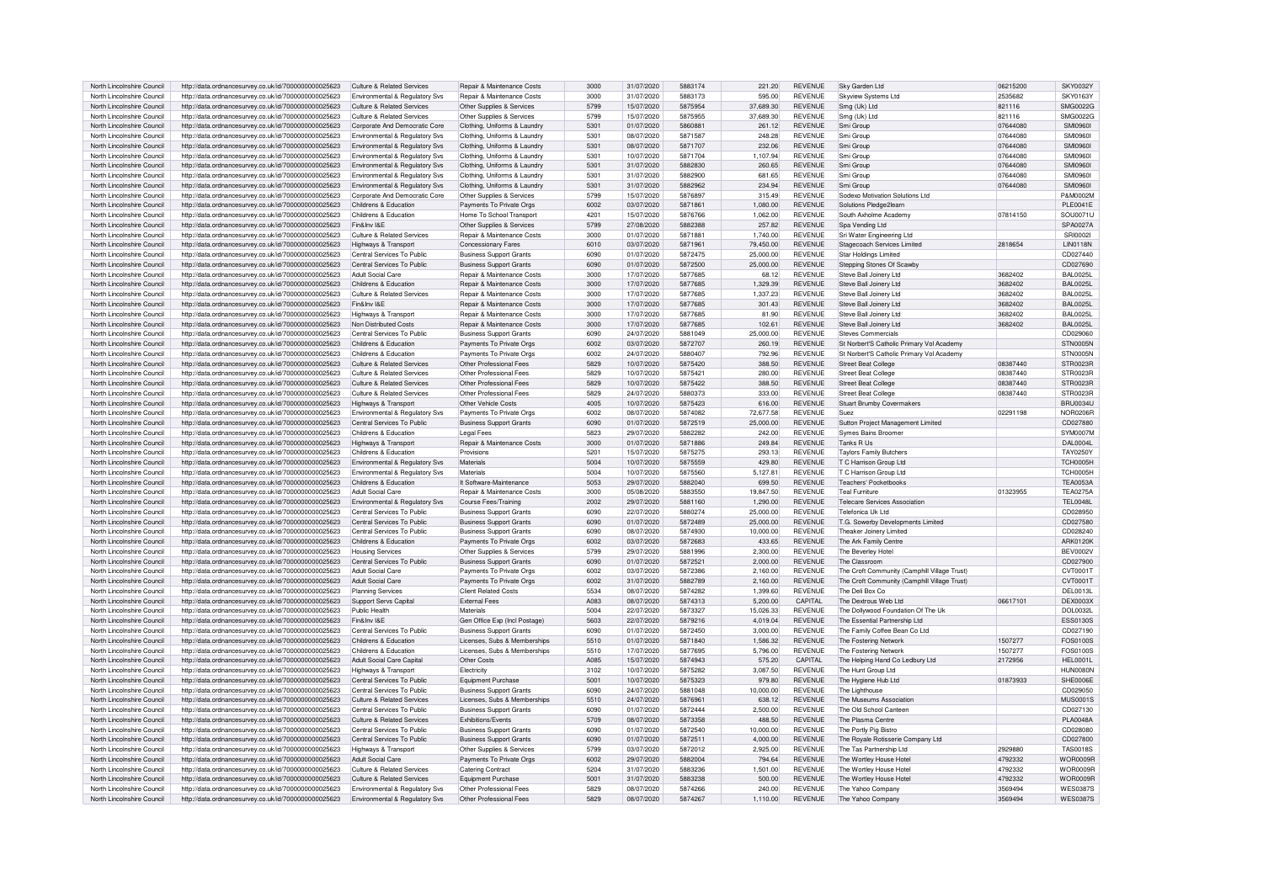| North Lincolnshire Council                               |                                                                                                              |                                                                  |                                                    |              |                          |                    |                    |                                  |                                              |                    |                                    |
|----------------------------------------------------------|--------------------------------------------------------------------------------------------------------------|------------------------------------------------------------------|----------------------------------------------------|--------------|--------------------------|--------------------|--------------------|----------------------------------|----------------------------------------------|--------------------|------------------------------------|
|                                                          | http://data.ordnancesurvey.co.uk/id/7000000000025623                                                         | Culture & Related Services                                       | Repair & Maintenance Costs                         | 3000         | 31/07/2020               | 5883174            | 221.20             | <b>REVENUE</b>                   | Sky Garden Ltd                               | 06215200           | <b>SKY0032Y</b>                    |
| North Lincolnshire Council                               | http://data.ordnancesurvey.co.uk/id/7000000000025623                                                         | Environmental & Regulatory Svs                                   | Repair & Maintenance Costs                         | 3000         | 31/07/2020               | 5883173            | 595.00             | <b>REVENUE</b>                   | Skyview Systems Ltd                          | 2535682            | <b>SKY0163Y</b>                    |
| North Lincolnshire Council                               | http://data.ordnancesurvey.co.uk/id/7000000000025623                                                         | Culture & Related Services                                       | Other Supplies & Services                          | 5799         | 15/07/2020               | 5875954            | 37,689.30          | <b>REVENUE</b>                   | Smg (Uk) Ltd                                 | 821116             | SMG0022G                           |
| North Lincolnshire Council                               | http://data.ordnancesurvey.co.uk/id/7000000000025623                                                         | Culture & Related Services                                       | Other Supplies & Services                          | 5799         | 15/07/2020               | 5875955            | 37,689.30          | <b>REVENUE</b>                   | Smg (Uk) Ltd                                 | 821116             | SMG0022G                           |
|                                                          |                                                                                                              |                                                                  |                                                    | 5301         |                          |                    |                    | <b>REVENUE</b>                   |                                              | 07644080           | SMI0960                            |
| North Lincolnshire Council                               | http://data.ordnancesurvey.co.uk/id/7000000000025623                                                         | Corporate And Democratic Core                                    | Clothing, Uniforms & Laundry                       |              | 01/07/2020               | 5860881            | 261.12             |                                  | Smi Group                                    |                    |                                    |
| North Lincolnshire Council                               | http://data.ordnancesurvey.co.uk/id/7000000000025623                                                         | Environmental & Regulatory Svs                                   | Clothing, Uniforms & Laundry                       | 5301         | 08/07/2020               | 5871587            | 248.28             | <b>REVENUE</b>                   | Smi Group                                    | 07644080           | <b>SMI0960</b>                     |
| North Lincolnshire Council                               | http://data.ordnancesurvey.co.uk/id/7000000000025623                                                         | Environmental & Regulatory Svs                                   | Clothing, Uniforms & Laundr                        | 5301         | 08/07/2020               | 5871707            | 232.06             | <b>REVENUE</b>                   | Smi Group                                    | 07644080           | SMI0960                            |
| North Lincolnshire Council                               | http://data.ordnancesurvey.co.uk/id/7000000000025623                                                         | Environmental & Regulatory Svs                                   | Clothing, Uniforms & Laundr                        | 5301         | 10/07/2020               | 5871704            | 1,107.94           | <b>REVENUE</b>                   | Smi Group                                    | 07644080           | <b>SMI0960</b>                     |
| North Lincolnshire Council                               | http://data.ordnancesurvey.co.uk/id/7000000000025623                                                         | Environmental & Regulatory Svs                                   | Clothing, Uniforms & Laundry                       | 5301         | 31/07/2020               | 5882830            | 260.65             | <b>REVENUE</b>                   | Smi Group                                    | 07644080           | SMI0960                            |
|                                                          |                                                                                                              |                                                                  |                                                    |              |                          |                    |                    |                                  |                                              |                    |                                    |
| North Lincolnshire Council                               | http://data.ordnancesurvey.co.uk/id/7000000000025623                                                         | Environmental & Regulatory Svs                                   | Clothing, Uniforms & Laundr                        | 5301         | 31/07/2020               | 5882900            | 681.65             | REVENUE                          | Smi Grout                                    | 07644080           | <b>SMI09601</b>                    |
| North Lincolnshire Council                               | http://data.ordnancesurvey.co.uk/id/7000000000025623                                                         | Environmental & Regulatory Svs                                   | Clothing, Uniforms & Laundry                       | 5301         | 31/07/2020               | 5882962            | 234.94             | <b>REVENUE</b>                   | Smi Group                                    | 07644080           | <b>SMI09601</b>                    |
| North Lincolnshire Council                               | http://data.ordnancesurvey.co.uk/id/7000000000025623                                                         | Corporate And Democratic Core                                    | Other Supplies & Services                          | 5799         | 15/07/2020               | 5876897            | 315.49             | <b>REVENUE</b>                   | Sodexo Motivation Solutions Ltd              |                    | P&M0002M                           |
| North Lincolnshire Council                               | http://data.ordnancesurvey.co.uk/id/7000000000025623                                                         | Childrens & Education                                            | Payments To Private Oras                           | 6002         | 03/07/2020               | 5871861            | 1.080.00           | <b>REVENUE</b>                   | Solutions Pledge2learn                       |                    | <b>PLE0041E</b>                    |
| North Lincolnshire Council                               | http://data.ordnancesurvey.co.uk/id/7000000000025623                                                         | Childrens & Education                                            | Home To School Transport                           | 4201         | 15/07/2020               | 5876766            | 1.062.00           | <b>REVENUE</b>                   | South Axholme Academ                         | 07814150           | SOU0071U                           |
|                                                          |                                                                                                              |                                                                  |                                                    |              |                          |                    |                    |                                  |                                              |                    |                                    |
| North Lincolnshire Council                               | http://data.ordnancesurvey.co.uk/id/7000000000025623                                                         | Fin&Inv I&F                                                      | Other Supplies & Services                          | 5799         | 27/08/2020               | 5882388            | 25782              | <b>REVENUE</b>                   | Spa Vending Ltd                              |                    | SPA0027A                           |
| North Lincolnshire Council                               | http://data.ordnancesurvey.co.uk/id/7000000000025623                                                         | Culture & Related Services                                       | Repair & Maintenance Costs                         | 3000         | 01/07/2020               | 5871881            | 1.740.00           | <b>REVENUE</b>                   | Sri Water Engineering Ltd                    |                    | SRI0002I                           |
| North Lincolnshire Council                               | http://data.ordnancesurvey.co.uk/id/7000000000025623                                                         | Highways & Transport                                             | <b>Concessionary Fares</b>                         | 6010         | 03/07/2020               | 5871961            | 79,450.00          | <b>REVENUE</b>                   | <b>Stagecoach Services Limited</b>           | 2818654            | <b>I IN0118N</b>                   |
| North Lincolnshire Council                               | http://data.ordnancesurvey.co.uk/id/7000000000025623                                                         | Central Services To Public                                       | <b>Business Support Grants</b>                     | 6090         | 01/07/2020               | 5872475            | 25,000.00          | <b>REVENUE</b>                   | <b>Star Holdings Limited</b>                 |                    | CD027440                           |
|                                                          |                                                                                                              |                                                                  |                                                    | 6090         |                          |                    |                    |                                  |                                              |                    |                                    |
| North Lincolnshire Council                               | http://data.ordnancesurvey.co.uk/id/7000000000025623                                                         | Central Services To Public                                       | <b>Business Support Grants</b>                     |              | 01/07/2020               | 5872500            | 25,000.00          | <b>REVENUE</b>                   | Stepping Stones Of Scawby                    |                    | CD027690                           |
| North Lincolnshire Council                               | http://data.ordnancesurvey.co.uk/id/7000000000025623                                                         | Adult Social Care                                                | Repair & Maintenance Costs                         | 3000         | 17/07/2020               | 5877685            | 68.12              | <b>REVENUE</b>                   | Steve Ball Joinery Ltd                       | 3682402            | <b>BAL0025L</b>                    |
| North Lincolnshire Council                               | http://data.ordnancesurvey.co.uk/id/7000000000025623                                                         | Childrens & Education                                            | Repair & Maintenance Costs                         | 3000         | 17/07/2020               | 5877685            | 1,329.39           | <b>REVENUE</b>                   | Steve Ball Joinery Ltd                       | 3682402            | <b>BAL0025L</b>                    |
| North Lincolnshire Council                               | http://data.ordnancesurvey.co.uk/id/7000000000025623                                                         | Culture & Related Services                                       | Repair & Maintenance Costs                         | 3000         | 17/07/2020               | 5877685            | 1,337.23           | <b>REVENUE</b>                   | Steve Ball Joinery Ltd                       | 3682402            | <b>BAL0025L</b>                    |
| North Lincolnshire Council                               | http://data.ordnancesurvey.co.uk/id/7000000000025623                                                         | Fin&Inv I&F                                                      | <b>Benair &amp; Maintenance Costs</b>              | 3000         | 17/07/2020               | 5877685            | 301.43             | <b>REVENUE</b>                   | Steve Ball Joinery Ltd                       | 3682402            | <b>BAL0025L</b>                    |
|                                                          |                                                                                                              |                                                                  |                                                    |              |                          |                    |                    |                                  |                                              |                    |                                    |
| North Lincolnshire Council                               | http://data.ordnancesurvey.co.uk/id/7000000000025623                                                         | Highways & Transport                                             | Repair & Maintenance Costs                         | 3000         | 17/07/2020               | 5877685            | 81.90              | <b>REVENUE</b>                   | Steve Ball Joinery Ltd                       | 3682402            | <b>BAL0025L</b>                    |
| North Lincolnshire Council                               | http://data.ordnancesurvey.co.uk/id/7000000000025623                                                         | Non Distributed Costs                                            | Repair & Maintenance Costs                         | 3000         | 17/07/2020               | 5877685            | 102.61             | <b>REVENUE</b>                   | Steve Ball Joinery Ltd                       | 3682402            | <b>BAL0025L</b>                    |
| North Lincolnshire Council                               | http://data.ordnancesurvey.co.uk/id/7000000000025623                                                         | Central Services To Public                                       | <b>Business Support Grants</b>                     | 6090         | 24/07/2020               | 5881049            | 25,000.00          | <b>REVENUE</b>                   | <b>Steves Commercials</b>                    |                    | CD029060                           |
| North Lincolnshire Council                               | http://data.ordnancesurvey.co.uk/id/7000000000025623                                                         | Childrens & Education                                            | Payments To Private Orgs                           | 6002         | 03/07/2020               | 5872707            | 260.19             | <b>REVENUE</b>                   | St Norbert'S Catholic Primary Vol Academy    |                    | STN0005N                           |
|                                                          |                                                                                                              |                                                                  |                                                    | 6002         |                          | 5880407            |                    | <b>REVENUE</b>                   |                                              |                    |                                    |
| North Lincolnshire Council                               | http://data.ordnancesurvey.co.uk/id/7000000000025623                                                         | Childrens & Education                                            | Payments To Private Orgs                           |              | 24/07/2020               |                    | 792.96             |                                  | St Norbert'S Catholic Primary Vol Academy    |                    | STN0005N                           |
| North Lincolnshire Council                               | http://data.ordnancesurvev.co.uk/id/7000000000025623                                                         | Culture & Related Services                                       | Other Professional Fees                            | 5829         | 10/07/2020               | 5875420            | 388.50             | <b>REVENUE</b>                   | <b>Street Beat College</b>                   | 08387440           | STR0023R                           |
| North Lincolnshire Council                               | http://data.ordnancesurvey.co.uk/id/7000000000025623                                                         | Culture & Related Services                                       | Other Professional Fees                            | 5829         | 10/07/2020               | 5875421            | 280.00             | <b>REVENUE</b>                   | Street Beat College                          | 08387440           | STR0023R                           |
| North Lincolnshire Council                               | http://data.ordnancesurvey.co.uk/id/7000000000025623                                                         | Culture & Related Services                                       | Other Professional Fees                            | 5829         | 10/07/2020               | 5875422            | 388.50             | <b>REVENUE</b>                   | <b>Street Beat College</b>                   | 08387440           | STR0023R                           |
| North Lincolnshire Council                               | http://data.ordnancesurvey.co.uk/id/7000000000025623                                                         | Culture & Related Services                                       | Other Professional Fees                            | 5829         | 24/07/2020               | 5880373            | 333.00             | <b>REVENUE</b>                   | <b>Street Beat College</b>                   | 08387440           | STR0023R                           |
|                                                          |                                                                                                              |                                                                  | Other Vehicle Costs                                | 4005         | 10/07/2020               | 5875423            | 616.00             | <b>REVENUE</b>                   |                                              |                    | <b>BRU0034U</b>                    |
| North Lincolnshire Council                               | http://data.ordnancesurvey.co.uk/id/7000000000025623                                                         | Highways & Transport                                             |                                                    |              |                          |                    |                    |                                  | Stuart Brumby Covermakers                    |                    |                                    |
| North Lincolnshire Council                               | http://data.ordnancesurvey.co.uk/id/7000000000025623                                                         | <b>Fnvironmental &amp; Requistory Sys.</b>                       | Payments To Private Orgs                           | 6002         | 08/07/2020               | 5874082            | 72.677.58          | <b>REVENUE</b>                   | Suez                                         | 02291198           | <b>NOR0206R</b>                    |
| North Lincolnshire Council                               | http://data.ordnancesurvey.co.uk/id/7000000000025623                                                         | Central Services To Public                                       | <b>Business Support Grants</b>                     | 6090         | 01/07/2020               | 5872519            | 25,000.00          | <b>REVENUE</b>                   | Sutton Project Management Limited            |                    | CD027880                           |
| North Lincolnshire Council                               | http://data.ordnancesurvey.co.uk/id/7000000000025623                                                         | Childrens & Education                                            | Legal Fees                                         | 5823         | 29/07/2020               | 5882282            | 242.00             | <b>REVENUE</b>                   | Symes Bains Broomer                          |                    | SYM0007M                           |
| North Lincolnshire Council                               | http://data.ordnancesurvey.co.uk/id/7000000000025623                                                         | Highways & Transport                                             | Repair & Maintenance Costs                         | 3000         | 01/07/2020               | 5871886            | 249.84             | <b>REVENUE</b>                   | Tanks R Us                                   |                    | <b>DAL0004L</b>                    |
|                                                          |                                                                                                              |                                                                  |                                                    |              |                          |                    |                    |                                  |                                              |                    |                                    |
| North Lincolnshire Council                               | http://data.ordnancesurvey.co.uk/id/7000000000025623                                                         | Childrens & Education                                            | Provisions                                         | 5201         | 15/07/2020               | 5875275            | 293.13             | <b>REVENUE</b>                   | <b>Taylors Family Butchers</b>               |                    | <b>TAY0250Y</b>                    |
| North Lincolnshire Council                               | http://data.ordnancesurvey.co.uk/id/7000000000025623                                                         | Environmental & Regulatory Svs                                   | Materials                                          | 5004         | 10/07/2020               | 5875559            | 429.80             | <b>REVENUE</b>                   | T C Harrison Group Ltd                       |                    | <b>TCH0005F</b>                    |
| North Lincolnshire Council                               | http://data.ordnancesurvey.co.uk/id/7000000000025623                                                         | Environmental & Regulatory Sys                                   | Materials                                          | 5004         | 10/07/2020               | 5875560            | 5.127.81           | <b>REVENUE</b>                   | T C Harrison Group Ltd                       |                    | TCH0005H                           |
| North Lincolnshire Council                               | http://data.ordnancesurvey.co.uk/id/7000000000025623                                                         | Childrens & Education                                            | It Software-Maintenance                            | 5053         | 29/07/2020               | 5882040            | 699.50             | <b>REVENUE</b>                   | <b>Teachers' Pocketbooks</b>                 |                    | <b>TEA0053A</b>                    |
| North Lincolnshire Council                               | http://data.ordnancesurvey.co.uk/id/7000000000025623                                                         | Adult Social Care                                                | Repair & Maintenance Costs                         | 3000         | 05/08/2020               | 5883550            | 19,847.50          | <b>REVENUE</b>                   | Teal Furniture                               | 01323955           | <b>TFA0275A</b>                    |
|                                                          |                                                                                                              |                                                                  |                                                    |              |                          |                    |                    |                                  |                                              |                    |                                    |
| North Lincolnshire Council                               | http://data.ordnancesurvey.co.uk/id/7000000000025623                                                         | <b>Environmental &amp; Requiatory Sys.</b>                       | Course Fees/Training                               | 2002         | 29/07/2020               | 5881160            | 1.290.00           | <b>REVENUE</b>                   | <b>Telecare Services Association</b>         |                    | <b>TEL0048L</b>                    |
| North Lincolnshire Council                               | http://data.ordnancesurvey.co.uk/id/7000000000025623                                                         | Central Services To Public                                       | <b>Business Support Grants</b>                     |              | 22/07/2020               | 5880274            |                    | <b>REVENUE</b>                   | Telefonica Uk Ltd                            |                    |                                    |
| North Lincolnshire Council                               |                                                                                                              |                                                                  |                                                    | 6090         |                          |                    | 25,000.00          |                                  |                                              |                    | CD028950                           |
|                                                          |                                                                                                              | Central Services To Public                                       |                                                    | 6090         | 01/07/2020               | 5872489            | 25,000.00          | <b>REVENUE</b>                   |                                              |                    | CD027580                           |
|                                                          | http://data.ordnancesurvey.co.uk/id/7000000000025623                                                         |                                                                  | <b>Business Support Grants</b>                     |              |                          |                    |                    |                                  | T.G. Sowerby Developments Limited            |                    |                                    |
| North Lincolnshire Council                               | http://data.ordnancesurvey.co.uk/id/7000000000025623                                                         | Central Services To Public                                       | <b>Business Support Grants</b>                     | 6090         | 08/07/2020               | 5874930            | 10.000.00          | <b>REVENUE</b>                   | Theaker Joinery Limited                      |                    | CD028240                           |
| North Lincolnshire Council                               | http://data.ordnancesurvey.co.uk/id/7000000000025623                                                         | Childrens & Education                                            | Payments To Private Oras                           | 6002         | 03/07/2020               | 5872683            | 433.65             | <b>REVENUE</b>                   | The Ark Family Centre                        |                    | ARK0120K                           |
| North Lincolnshire Council                               | http://data.ordnancesurvey.co.uk/id/7000000000025623                                                         | <b>Housing Services</b>                                          | Other Supplies & Services                          | 5799         | 29/07/2020               | 5881996            | 2,300.00           | <b>REVENUE</b>                   | The Beverley Hote                            |                    | <b>BEV0002V</b>                    |
| North Lincolnshire Council                               | http://data.ordnancesurvey.co.uk/id/7000000000025623                                                         | Central Services To Public                                       | <b>Business Support Grants</b>                     | 6090         | 01/07/2020               | 5872521            | 2.000.00           | <b>REVENUE</b>                   | The Classroom                                |                    | CD027900                           |
| North Lincolnshire Council                               | http://data.ordnancesurvey.co.uk/id/7000000000025623                                                         | <b>Adult Social Care</b>                                         | Payments To Private Org                            | 6002         | 03/07/2020               | 5872386            | 2.160.00           | <b>REVENUE</b>                   | The Croft Community (Camphill Village Trust) |                    | CVT0001T                           |
|                                                          |                                                                                                              |                                                                  |                                                    | 6002         | 31/07/2020               | 5882789            |                    | <b>REVENUE</b>                   |                                              |                    |                                    |
| North Lincolnshire Council                               | http://data.ordnancesurvey.co.uk/id/7000000000025623                                                         | <b>Adult Social Care</b>                                         | Payments To Private Orgs                           |              |                          |                    | 2,160.00           |                                  | The Croft Community (Camphill Village Trust) |                    | CVT0001T                           |
| North Lincolnshire Council                               | http://data.ordnancesurvey.co.uk/id/7000000000025623                                                         | <b>Planning Services</b>                                         | Client Related Costs                               | 5534         | 08/07/2020               | 5874282            | 1.399.60           | <b>REVENUE</b>                   | The Deli Box Co                              |                    | DEL0013L                           |
| North Lincolnshire Council                               | http://data.ordnancesurvey.co.uk/id/7000000000025623                                                         | Support Servs Capital                                            | External Fees                                      | A083         | 08/07/2020               | 5874313            | 5,200,00           | CAPITAL                          | The Dextrous Web Ltd                         | 06617101           | <b>DEX0003X</b>                    |
| North Lincolnshire Council                               | http://data.ordnancesurvev.co.uk/id/7000000000025623                                                         | Public Health                                                    | Materials                                          | 5004         | 22/07/2020               | 5873327            | 15.026.33          | <b>REVENUE</b>                   | The Dollywood Foundation Of The Uk           |                    | DOL0032L                           |
| North Lincolnshire Council                               |                                                                                                              | Fin&Inv I&F                                                      |                                                    | 5603         | 22/07/2020               | 5879216            | 4.019.04           | <b>REVENUE</b>                   | The Essential Partnership Ltd                |                    | <b>ESS0130S</b>                    |
|                                                          | http://data.ordnancesurvey.co.uk/id/7000000000025623                                                         |                                                                  | Gen Office Exp (Incl Postage)                      |              |                          |                    |                    |                                  |                                              |                    |                                    |
| North Lincolnshire Council                               | http://data.ordnancesurvey.co.uk/id/7000000000025623                                                         | Central Services To Public                                       | <b>Business Support Grants</b>                     | 6090         | 01/07/2020               | 5872450            | 3.000.00           | <b>REVENUE</b>                   | The Family Coffee Bean Co Ltd                |                    | CD027190                           |
| North Lincolnshire Council                               | http://data.ordnancesurvey.co.uk/id/7000000000025623                                                         | Childrens & Education                                            | Licenses, Subs & Memberships                       | 5510         | 01/07/2020               | 5871840            | 1.586.32           | <b>REVENUE</b>                   | The Fostering Network                        | 1507277            | <b>FOS0100S</b>                    |
| North Lincolnshire Council                               | http://data.ordnancesurvey.co.uk/id/7000000000025623                                                         | Childrens & Education                                            | Licenses, Subs & Memberships                       | 5510         | 17/07/2020               | 5877695            | 5,796.00           | <b>REVENUE</b>                   | The Fostering Network                        | 1507277            | FOS0100S                           |
| North Lincolnshire Council                               | http://data.ordnancesurvey.co.uk/id/7000000000025623                                                         | Adult Social Care Capita                                         | Other Costs                                        | <b>A085</b>  | 15/07/2020               | 5874943            | 575.20             | CAPITAL                          | The Helping Hand Co Ledbury Ltd              | 2172956            | HFI 0001L                          |
| North Lincolnshire Council                               | http://data.ordnancesurvey.co.uk/id/7000000000025623                                                         | Highways & Transport                                             | <b>Electricity</b>                                 | 3102         | 10/07/2020               | 5875282            | 3,087.50           | REVENUE                          | The Hunt Group Ltd                           |                    | <b>HUN0080N</b>                    |
|                                                          |                                                                                                              |                                                                  |                                                    |              |                          |                    |                    |                                  |                                              |                    |                                    |
| North Lincolnshire Council                               | http://data.ordnancesurvey.co.uk/id/7000000000025623                                                         | Central Services To Public                                       | Equipment Purchase                                 | 5001         | 10/07/2020               | 5875323            | 979.80             | <b>REVENUE</b>                   | The Hygiene Hub Ltd                          | 01873933           | SHE0006E                           |
| North Lincolnshire Council                               | http://data.ordnancesurvey.co.uk/id/7000000000025623                                                         | Central Services To Public                                       | <b>Business Support Grants</b>                     | 6090         | 24/07/2020               | 5881048            | 10,000.00          | <b>REVENUE</b>                   | The Lighthouse                               |                    | CD029050                           |
| North Lincolnshire Council                               | http://data.ordnancesurvey.co.uk/id/7000000000025623                                                         | Culture & Related Services                                       | Licenses. Subs & Memberships                       | 5510         | 24/07/2020               | 5876961            | 638.12             | <b>REVENUE</b>                   | The Museums Association                      |                    | <b>MUS0001S</b>                    |
| North Lincolnshire Council                               | http://data.ordnancesurvey.co.uk/id/7000000000025623                                                         | Central Services To Public                                       | <b>Business Support Grants</b>                     | 6090         | 01/07/2020               | 5872444            | 2,500.00           | REVENUE                          | The Old School Canteen                       |                    | CD027130                           |
| North Lincolnshire Council                               | http://data.ordnancesurvev.co.uk/id/7000000000025623                                                         | Culture & Related Services                                       | <b>Exhibitions/Events</b>                          | 5709         |                          | 5873358            | 488.50             | <b>REVENUE</b>                   | The Plasma Centre                            |                    | PI A0048A                          |
|                                                          |                                                                                                              |                                                                  |                                                    |              | 08/07/2020               |                    |                    |                                  |                                              |                    |                                    |
| North Lincolnshire Council                               | http://data.ordnancesurvey.co.uk/id/7000000000025623                                                         | Central Services To Public                                       | <b>Business Support Grants</b>                     | 6090         | 01/07/2020               | 5872540            | 10,000.00          | <b>REVENUE</b>                   | The Portly Pig Bistro                        |                    | CD028080                           |
| North Lincolnshire Council                               | http://data.ordnancesurvey.co.uk/id/7000000000025623                                                         | Central Services To Public                                       | <b>Business Support Grants</b>                     | 6090         | 01/07/2020               | 5872511            | 4.000.00           | <b>REVENUE</b>                   | The Rovale Rotisserie Company Ltd            |                    | CD027800                           |
| North Lincolnshire Council                               | http://data.ordnancesurvey.co.uk/id/7000000000025623                                                         | Highways & Transport                                             | Other Supplies & Services                          | 5799         | 03/07/2020               | 5872012            | 2,925.00           | <b>REVENUE</b>                   | The Tas Partnership Ltd                      | 2929880            | <b>TAS0018S</b>                    |
| North Lincolnshire Council                               | http://data.ordnancesurvey.co.uk/id/7000000000025623                                                         | Adult Social Care                                                | Payments To Private Orgs                           | 6002         | 29/07/2020               | 5882004            | 794.64             | <b>REVENUE</b>                   | The Wortley House Hotel                      | 4792332            | WOR0009F                           |
| North Lincolnshire Council                               | http://data.ordnancesurvey.co.uk/id/7000000000025623                                                         | Culture & Related Services                                       | Catering Contract                                  |              | 31/07/2020               | 5883236            |                    |                                  | The Wortley House Hote                       | 4792332            |                                    |
|                                                          |                                                                                                              |                                                                  |                                                    | 5204         |                          |                    | 1,501.00           | REVENUE                          |                                              |                    | WOR0009F                           |
| North Lincolnshire Council                               | http://data.ordnancesurvey.co.uk/id/7000000000025623                                                         | Culture & Related Services                                       | Equipment Purchase                                 | 5001         | 31/07/2020               | 5883238            | 500.00             | <b>REVENUE</b>                   | The Wortley House Hotel                      | 4792332            | WOR0009F                           |
| North Lincolnshire Council<br>North Lincolnshire Council | http://data.ordnancesurvey.co.uk/id/7000000000025623<br>http://data.ordnancesurvey.co.uk/id/7000000000025623 | Environmental & Regulatory Svs<br>Environmental & Regulatory Sys | Other Professional Fees<br>Other Professional Fees | 5829<br>5829 | 08/07/2020<br>08/07/2020 | 5874266<br>5874267 | 240.00<br>1.110.00 | <b>REVENUE</b><br><b>REVENUE</b> | The Yahoo Company<br>The Yahoo Company       | 3569494<br>3569494 | <b>WES03875</b><br><b>WES0387S</b> |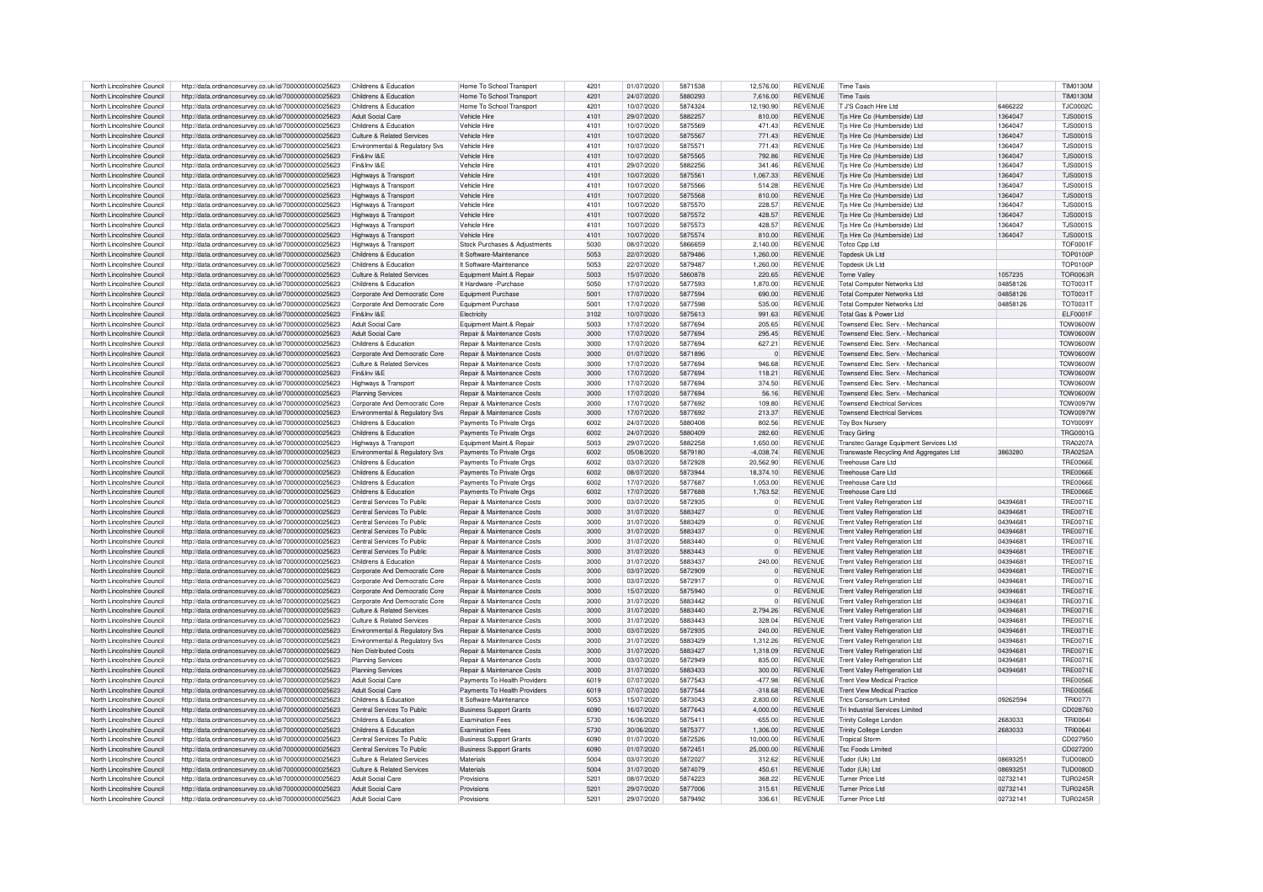| North Lincolnshire Council                               | http://data.ordnancesurvey.co.uk/id/7000000000025623                                                         | Childrens & Education                                    | Home To School Transport                           | 4201         | 01/07/2020               | 5871538            | 12,576.00             | <b>REVENUE</b>                   | <b>Time Taxis</b>                                           |                      | <b>TIM0130M</b>                    |
|----------------------------------------------------------|--------------------------------------------------------------------------------------------------------------|----------------------------------------------------------|----------------------------------------------------|--------------|--------------------------|--------------------|-----------------------|----------------------------------|-------------------------------------------------------------|----------------------|------------------------------------|
| North Lincolnshire Council                               | http://data.ordnancesurvey.co.uk/id/7000000000025623                                                         | Childrens & Education                                    | Home To School Transport                           | 4201         | 24/07/2020               | 5880293            | 7,616.00              | <b>REVENUE</b>                   | <b>Time Taxis</b>                                           |                      | <b>TIM0130M</b>                    |
| North Lincolnshire Council                               | http://data.ordnancesurvey.co.uk/id/7000000000025623                                                         | Childrens & Education                                    | Home To School Transport                           | 4201         | 10/07/2020               | 5874324            | 12.190.90             | <b>REVENUE</b>                   | T J'S Coach Hire Ltd                                        | 6466222              | <b>TJC0002C</b>                    |
| North Lincolnshire Council                               | http://data.ordnancesurvey.co.uk/id/7000000000025623                                                         | Adult Social Care                                        | Vehicle Hire                                       | 4101         | 29/07/2020               | 5882257            | 810.00                | <b>REVENUE</b>                   | Tis Hire Co (Humberside) Ltd                                | 1364047              | <b>TJS0001S</b>                    |
|                                                          |                                                                                                              |                                                          |                                                    |              |                          |                    |                       |                                  |                                                             |                      |                                    |
| North Lincolnshire Council                               | http://data.ordnancesurvey.co.uk/id/7000000000025623                                                         | Childrens & Education                                    | <b>Vehicle Hire</b>                                | 4101         | 10/07/2020               | 5875569            | 471.43                | <b>REVENUE</b>                   | Tis Hire Co (Humberside) Ltd                                | 1364047              | <b>TJS0001S</b>                    |
| North Lincolnshire Council                               | http://data.ordnancesurvey.co.uk/id/7000000000025623                                                         | Culture & Related Services                               | Vehicle Hire                                       | 4101         | 10/07/2020               | 5875567            | 771.43                | <b>REVENUE</b>                   | Tis Hire Co (Humberside) Ltd                                | 1364047              | <b>TJS0001S</b>                    |
| North Lincolnshire Council                               | http://data.ordnancesurvey.co.uk/id/7000000000025623                                                         | Environmental & Regulatory Svs                           | <b>Vehicle Hire</b>                                | 4101         | 10/07/2020               | 5875571            | 771.43                | <b>REVENUE</b>                   | Tis Hire Co (Humberside) Ltd                                | 1364047              | <b>TJS0001S</b>                    |
| North Lincolnshire Council                               | http://data.ordnancesurvey.co.uk/id/7000000000025623                                                         | Fin&Inv I&F                                              | Vehicle Hire                                       | 4101         | 10/07/2020               | 5875565            | 792.86                | <b>REVENUE</b>                   | Tjs Hire Co (Humberside) Ltd                                | 1364047              | <b>TJS0001S</b>                    |
| North Lincolnshire Council                               | http://data.ordnancesurvey.co.uk/id/7000000000025623                                                         | Fin&Inv I&F                                              | <b>Vehicle Hire</b>                                | 4101         | 29/07/2020               | 5882256            | 341.46                | <b>REVENUE</b>                   | Tis Hire Co (Humberside) Ltd                                | 1364047              | <b>TJS0001S</b>                    |
| North Lincolnshire Council                               | http://data.ordnancesurvey.co.uk/id/7000000000025623                                                         | Highways & Transport                                     | <b>Vehicle Hire</b>                                | 4101         | 10/07/2020               | 5875561            | 1,067.33              | <b>REVENUE</b>                   | Tis Hire Co (Humberside) Ltd                                | 1364047              | <b>TJS0001S</b>                    |
| North Lincolnshire Council                               | http://data.ordnancesurvey.co.uk/id/7000000000025623                                                         | Highways & Transpor                                      | <b>Vehicle Hire</b>                                | 4101         | 10/07/2020               | 5875566            | 514.28                | <b>REVENUE</b>                   | Tis Hire Co (Humberside) Ltd                                | 1364047              | <b>TJS0001S</b>                    |
| North Lincolnshire Council                               | http://data.ordnancesurvey.co.uk/id/7000000000025623                                                         | Highways & Transport                                     | Vehicle Hire                                       | 4101         | 10/07/2020               | 5875568            | 810.00                | <b>REVENUE</b>                   | Tjs Hire Co (Humberside) Ltd                                | 1364047              | <b>TJS0001S</b>                    |
| North Lincolnshire Council                               | http://data.ordnancesurvey.co.uk/id/7000000000025623                                                         | Highways & Transport                                     | Vehicle Hire                                       | 4101         | 10/07/2020               | 5875570            | 228.57                | <b>REVENUE</b>                   | Tis Hire Co (Humberside) Ltd                                | 1364047              | TJS0001S                           |
| North Lincolnshire Council                               | http://data.ordnancesurvey.co.uk/id/7000000000025623                                                         | Highways & Transport                                     | Vehicle Hire                                       | 4101         | 10/07/2020               | 5875572            | 428.57                | <b>REVENUE</b>                   | Tis Hire Co (Humberside) Ltd                                | 1364047              | <b>TJS0001S</b>                    |
| North Lincolnshire Council                               | http://data.ordnancesurvey.co.uk/id/7000000000025623                                                         | Highways & Transport                                     | Vehicle Hire                                       | 4101         | 10/07/2020               | 5875573            | 428.57                | <b>REVENUE</b>                   | Tis Hire Co (Humberside) I td                               | 1364047              | <b>TJS0001S</b>                    |
| North Lincolnshire Council                               | http://data.ordnancesurvey.co.uk/id/7000000000025623                                                         | Highways & Transport                                     | Vehicle Hire                                       | 4101         | 10/07/2020               | 5875574            | 810.00                | <b>REVENUE</b>                   | Tjs Hire Co (Humberside) Ltd                                | 1364047              | <b>TJS0001S</b>                    |
| North Lincolnshire Council                               | http://data.ordnancesurvey.co.uk/id/7000000000025623                                                         | Highways & Transport                                     | Stock Purchases & Adjustments                      | 5030         | 08/07/2020               | 5866659            | 2,140.00              | <b>REVENUE</b>                   | Tofco Cpp Ltd                                               |                      | <b>TOF0001F</b>                    |
| North Lincolnshire Council                               | http://data.ordnancesurvey.co.uk/id/7000000000025623                                                         | Childrens & Education                                    | It Software-Maintenance                            | 5053         | 22/07/2020               | 5879486            | 1.260.00              | <b>REVENUE</b>                   | Topdesk Uk Ltd                                              |                      | <b>TOP0100P</b>                    |
| North Lincolnshire Council                               | http://data.ordnancesurvey.co.uk/id/7000000000025623                                                         | Childrens & Education                                    | It Software-Maintenance                            | 5053         | 22/07/2020               | 5879487            | 1.260.00              | <b>REVENUE</b>                   | Topdesk Uk Ltd                                              |                      | <b>TOP0100P</b>                    |
| North Lincolnshire Council                               | http://data.ordnancesurvey.co.uk/id/7000000000025623                                                         | Culture & Related Services                               | Equipment Maint.& Repair                           | 5003         | 15/07/2020               | 5860878            | 220.65                | <b>REVENUE</b>                   | <b>Torne Valley</b>                                         | 1057235              | <b>TOR0063R</b>                    |
| North Lincolnshire Council                               | http://data.ordnancesurvey.co.uk/id/7000000000025623                                                         | Childrens & Education                                    | It Hardware - Purchase                             | 5050         | 17/07/2020               | 5877593            | 1.870.00              | <b>REVENUE</b>                   | <b>Total Computer Networks Ltd</b>                          | 04858126             | <b>TOT0031T</b>                    |
| North Lincolnshire Council                               |                                                                                                              | Corporate And Democratic Core                            | Equipment Purchase                                 | 5001         | 17/07/2020               | 5877594            | 690.00                | <b>REVENUE</b>                   |                                                             | 04858126             | <b>TOT0031T</b>                    |
|                                                          | http://data.ordnancesurvey.co.uk/id/7000000000025623                                                         |                                                          |                                                    | 5001         |                          |                    |                       | <b>REVENUE</b>                   | <b>Total Computer Networks Ltd</b>                          |                      |                                    |
| North Lincolnshire Council                               | http://data.ordnancesurvey.co.uk/id/7000000000025623                                                         | Corporate And Democratic Core<br>Fin&Inv I&F             | Equipment Purchase                                 | 3102         | 17/07/2020               | 5877598<br>5875613 | 535.00                | <b>REVENUE</b>                   | <b>Total Computer Networks Ltd</b><br>Total Gas & Power Ltd | 04858126             | <b>TOT0031T</b>                    |
| North Lincolnshire Council                               | http://data.ordnancesurvey.co.uk/id/7000000000025623                                                         |                                                          | Electricity                                        |              | 10/07/2020               |                    | 991.63                |                                  |                                                             |                      | ELF0001F                           |
| North Lincolnshire Council                               | http://data.ordnancesurvey.co.uk/id/7000000000025623                                                         | Adult Social Care                                        | Equipment Maint.& Repair                           | 5003         | 17/07/2020               | 5877694            | 205.65                | <b>REVENUE</b>                   | Townsend Elec. Serv. - Mechanical                           |                      | <b>TOW0600W</b>                    |
| North Lincolnshire Council                               | http://data.ordnancesurvey.co.uk/id/7000000000025623                                                         | Adult Social Care                                        | Repair & Maintenance Costs                         | 3000         | 17/07/2020               | 5877694            | 295.45                | <b>REVENUE</b>                   | Townsend Elec. Serv. - Mechanical                           |                      | V0080WOT                           |
| North Lincolnshire Council                               | http://data.ordnancesurvey.co.uk/id/7000000000025623                                                         | Childrens & Education                                    | <b>Benair &amp; Maintenance Costs</b>              | 3000         | 17/07/2020               | 5877694            | 627.21                | <b>REVENUE</b>                   | Townsend Flec. Serv. - Mechanical                           |                      | V0080WOT                           |
| North Lincolnshire Council                               | http://data.ordnancesurvey.co.uk/id/7000000000025623                                                         | Corporate And Democratic Core                            | <b>Benair &amp; Maintenance Costs</b>              | 3000         | 01/07/2020               | 5871896            | $\Omega$              | <b>REVENUE</b>                   | Townsend Flec. Serv. - Mechanical                           |                      | V00600W                            |
| North Lincolnshire Council                               | http://data.ordnancesurvey.co.uk/id/7000000000025623                                                         | Culture & Related Services                               | Repair & Maintenance Costs                         | 3000         | 17/07/2020               | 5877694            | 946.68                | <b>REVENUE</b>                   | Townsend Flec. Serv. - Mechanical                           |                      | TOW0600V                           |
| North Lincolnshire Council                               | http://data.ordnancesurvey.co.uk/id/7000000000025623                                                         | Fin&Inv I&F                                              | Repair & Maintenance Costs                         | 3000         | 17/07/2020               | 5877694            | 118.21                | <b>REVENUE</b>                   | Townsend Elec. Serv. - Mechanical                           |                      | <b>TOW0600V</b>                    |
| North Lincolnshire Council                               | http://data.ordnancesurvey.co.uk/id/7000000000025623                                                         | Highways & Transport                                     | Repair & Maintenance Costs                         | 3000         | 17/07/2020               | 5877694            | 374.50                | <b>REVENUE</b>                   | Townsend Elec. Serv. - Mechanical                           |                      | <b>TOW0600W</b>                    |
| North Lincolnshire Council                               | http://data.ordnancesurvey.co.uk/id/7000000000025623                                                         | Planning Services                                        | Repair & Maintenance Costs                         | 3000         | 17/07/2020               | 5877694            | 56.16                 | <b>REVENUE</b>                   | Townsend Elec. Serv. - Mechanical                           |                      | <b>TOW0600W</b>                    |
| North Lincolnshire Council                               | http://data.ordnancesurvey.co.uk/id/7000000000025623                                                         | Corporate And Democratic Core                            | <b>Benair &amp; Maintenance Costs</b>              | 3000         | 17/07/2020               | 5877692            | 109.80                | <b>REVENUE</b>                   | <b>Townsend Electrical Services</b>                         |                      | <b>TOW0097V</b>                    |
| North Lincolnshire Council                               | http://data.ordnancesurvey.co.uk/id/7000000000025623                                                         | Environmental & Regulatory Svs                           | Repair & Maintenance Costs                         | 3000         | 17/07/2020               | 5877692            | 213.37                | <b>REVENUE</b>                   | <b>Townsend Electrical Services</b>                         |                      | <b>TOW0097W</b>                    |
| North Lincolnshire Council                               | http://data.ordnancesurvey.co.uk/id/7000000000025623                                                         | Childrens & Education                                    | Payments To Private Orgs                           | 6002         | 24/07/2020               | 5880408            | 802.56                | <b>REVENUE</b>                   | <b>Toy Box Nursery</b>                                      |                      | <b>TOY0009Y</b>                    |
| North Lincolnshire Council                               | http://data.ordnancesurvey.co.uk/id/7000000000025623                                                         | Childrens & Education                                    | Payments To Private Orgs                           | 6002         | 24/07/2020               | 5880409            | 282.60                | <b>REVENUE</b>                   | <b>Tracy Girling</b>                                        |                      | <b>TRG0001G</b>                    |
| North Lincolnshire Council                               |                                                                                                              |                                                          |                                                    |              |                          |                    |                       |                                  |                                                             |                      |                                    |
|                                                          | http://data.ordnancesurvey.co.uk/id/7000000000025623                                                         |                                                          | Foujoment Maint & Repair                           |              |                          |                    |                       |                                  |                                                             |                      |                                    |
|                                                          |                                                                                                              | Highways & Transport                                     |                                                    | 5003         | 29/07/2020               | 5882258            | 1.650.00              | <b>REVENUE</b>                   | Transtec Garage Equipment Services Ltd                      |                      | <b>TRA0207A</b>                    |
| North Lincolnshire Council                               | http://data.ordnancesurvey.co.uk/id/7000000000025623                                                         | Environmental & Regulatory Sys                           | Payments To Private Orgs                           | 6002         | 05/08/2020               | 5879180            | $-4,038.74$           | <b>REVENUE</b>                   | Transwaste Recycling And Aggregates Ltd                     | 3863280              | TRA0252A                           |
| North Lincolnshire Council                               | http://data.ordnancesurvey.co.uk/id/7000000000025623                                                         | Childrens & Education                                    | Payments To Private Oras                           | 6002         | 03/07/2020               | 5872928            | 20.562.90             | <b>REVENUE</b>                   | Treehouse Care Ltd                                          |                      | <b>TRE0066E</b>                    |
| North Lincolnshire Council                               | http://data.ordnancesurvey.co.uk/id/7000000000025623                                                         | Childrens & Education                                    | Payments To Private Orgs                           | 6002         | 08/07/2020               | 5873944            | 18.374.10             | <b>REVENUE</b>                   | Treehouse Care Ltd                                          |                      | <b>TRE0066E</b>                    |
| North Lincolnshire Council                               | http://data.ordnancesurvey.co.uk/id/7000000000025623                                                         | Childrens & Education                                    | Payments To Private Orgs                           | 6002         | 17/07/2020               | 5877687            | 1,053.00              | <b>REVENUE</b>                   | Treehouse Care Ltd                                          |                      | <b>TRF0066F</b>                    |
| North Lincolnshire Council                               | http://data.ordnancesurvey.co.uk/id/7000000000025623                                                         | Childrens & Education                                    | Payments To Private Orgs                           | 6002         | 17/07/2020               | 5877688            | 1.763.52              | <b>REVENUE</b>                   | Treehouse Care Ltd                                          |                      | <b>TRE0066E</b>                    |
| North Lincolnshire Council                               | http://data.ordnancesurvey.co.uk/id/7000000000025623                                                         | Central Services To Public                               | Repair & Maintenance Costs                         | 3000         | 03/07/2020               | 5872935            | $\circ$               | <b>REVENUE</b>                   | <b>Trent Valley Refrigeration Ltd</b>                       | 0439468              | <b>TRE0071E</b>                    |
| North Lincolnshire Council                               | http://data.ordnancesurvey.co.uk/id/7000000000025623                                                         | Central Services To Public                               | Repair & Maintenance Costs                         | 3000         | 31/07/2020               | 5883427            | $\overline{0}$        | <b>REVENUE</b>                   | <b>Trent Valley Refrigeration Ltd</b>                       | 0439468              | <b>TRE0071E</b>                    |
| North Lincolnshire Council                               | http://data.ordnancesurvey.co.uk/id/7000000000025623                                                         | Central Services To Public                               | <b>Benair &amp; Maintenance Costs</b>              | 3000         | 31/07/2020               | 5883429            | $\Omega$              | <b>REVENUE</b>                   | <b>Trent Valley Refrigeration Ltd</b>                       | 04394681             | <b>TRF0071F</b>                    |
| North Lincolnshire Council                               | http://data.ordnancesurvey.co.uk/id/7000000000025623                                                         | Central Services To Public                               | Repair & Maintenance Costs                         | 3000         | 31/07/2020               | 5883437            | $\Omega$              | <b>REVENUE</b>                   | <b>Trent Valley Refrigeration Ltd</b>                       | 04394681             | <b>TRE0071E</b>                    |
| North Lincolnshire Council                               | http://data.ordnancesurvey.co.uk/id/7000000000025623                                                         | Central Services To Public                               | Repair & Maintenance Costs                         | 3000         | 31/07/2020               | 5883440            | $\Omega$              | <b>REVENUE</b>                   | <b>Trent Valley Refrigeration Ltd</b>                       | 04394681             | <b>TRE0071E</b>                    |
| North Lincolnshire Council                               | http://data.ordnancesurvey.co.uk/id/7000000000025623                                                         | Central Services To Public                               | <b>Benair &amp; Maintenance Costs</b>              | 3000         | 31/07/2020               | 5883443            | $\Omega$              | <b>REVENUE</b>                   | <b>Trent Valley Refrigeration Ltd</b>                       | 0439468              | <b>TRE0071E</b>                    |
| North Lincolnshire Council                               | http://data.ordnancesurvey.co.uk/id/7000000000025623                                                         | Childrens & Education                                    | <b>Benair &amp; Maintenance Costs</b>              | 3000         | 31/07/2020               | 5883437            | 240.00                | <b>REVENUE</b>                   | Trent Valley Refrigeration Ltd                              | 04394681             | <b>TRE0071E</b>                    |
| North Lincolnshire Council                               | http://data.ordnancesurvey.co.uk/id/7000000000025623                                                         | Corporate And Democratic Core                            | Repair & Maintenance Costs                         | 3000         | 03/07/2020               | 5872909            | $\Omega$              | <b>REVENUE</b>                   | Trent Valley Refrigeration Ltd                              | 0439468              | <b>TRE0071E</b>                    |
| North Lincolnshire Council                               | http://data.ordnancesurvey.co.uk/id/7000000000025623                                                         | Corporate And Democratic Core                            | Repair & Maintenance Costs                         | 3000         | 03/07/2020               | 5872917            | $\Omega$              | <b>REVENUE</b>                   | <b>Trent Valley Refrigeration Ltd</b>                       | 0439468              | <b>TRE0071E</b>                    |
| North Lincolnshire Council                               | http://data.ordnancesurvey.co.uk/id/7000000000025623                                                         | Corporate And Democratic Core                            | Repair & Maintenance Costs                         | 3000         | 15/07/2020               | 5875940            | $\overline{0}$        | <b>REVENUE</b>                   | <b>Trent Valley Refrigeration Ltd</b>                       | 04394681             | <b>TRE0071E</b>                    |
| North Lincolnshire Council                               | http://data.ordnancesurvey.co.uk/id/7000000000025623                                                         | Corporate And Democratic Core                            | Repair & Maintenance Costs                         | 3000         | 31/07/2020               | 5883442            | $\overline{0}$        | <b>REVENUE</b>                   | <b>Trent Valley Refrigeration Ltd</b>                       | 04394681             | <b>TRE0071E</b>                    |
| North Lincolnshire Council                               | http://data.ordnancesurvey.co.uk/id/7000000000025623                                                         | Culture & Related Services                               | Repair & Maintenance Costs                         | 3000         | 31/07/2020               | 5883440            | 2.794.26              | <b>REVENUE</b>                   | Trent Valley Refrigeration Ltd                              | 04394681             | <b>TRF0071F</b>                    |
| North Lincolnshire Council                               | http://data.ordnancesurvey.co.uk/id/7000000000025623                                                         | Culture & Related Services                               | Repair & Maintenance Costs                         | 3000         | 31/07/2020               | 5883443            | 328.04                | <b>REVENUE</b>                   | <b>Trent Valley Refrigeration Ltd</b>                       | 0439468              | <b>TRE0071E</b>                    |
| North Lincolnshire Council                               | http://data.ordnancesurvey.co.uk/id/7000000000025623                                                         | Environmental & Regulatory Svs                           | Repair & Maintenance Costs                         | 3000         | 03/07/2020               | 5872935            | 240.00                | <b>REVENUE</b>                   | <b>Trent Valley Refrigeration Ltd</b>                       | 04394681             | <b>TRF0071F</b>                    |
| North Lincolnshire Council                               | http://data.ordnancesurvey.co.uk/id/7000000000025623                                                         | Environmental & Regulatory Svs                           | <b>Benair &amp; Maintenance Costs</b>              | 3000         | 31/07/2020               | 5883429            | 1.312.26              | <b>REVENUE</b>                   | <b>Trent Valley Refrigeration Ltd</b>                       | 04394681             | <b>TRF0071F</b>                    |
| North Lincolnshire Council                               | http://data.ordnancesurvey.co.uk/id/7000000000025623                                                         | Non Distributed Costs                                    | Repair & Maintenance Costs                         | 3000         | 31/07/2020               | 5883427            | 1,318.09              | <b>REVENUE</b>                   | <b>Trent Valley Refrigeration Ltd</b>                       | 04394681             | <b>TRE0071E</b>                    |
| North Lincolnshire Council                               | http://data.ordnancesurvey.co.uk/id/7000000000025623                                                         | <b>Planning Services</b>                                 | Repair & Maintenance Costs                         | 3000         | 03/07/2020               | 5872949            | 835.00                | <b>REVENUE</b>                   | <b>Trent Valley Refrigeration Ltd</b>                       | 04394681             | <b>TRE0071E</b>                    |
| North Lincolnshire Council                               | http://data.ordnancesurvey.co.uk/id/7000000000025623                                                         | <b>Planning Services</b>                                 | Repair & Maintenance Costs                         | 3000         | 31/07/2020               | 5883433            | 300.00                | <b>REVENUE</b>                   | <b>Trent Valley Refrigeration Ltd</b>                       | 04394681             | <b>TRE0071E</b>                    |
| North Lincolnshire Council                               | http://data.ordnancesurvey.co.uk/id/7000000000025623                                                         | Adult Social Care                                        | Payments To Health Providers                       | 6019         | 07/07/2020               | 5877543            | $-47798$              | <b>REVENUE</b>                   | <b>Trent View Medical Practice</b>                          |                      | <b>TRE0056E</b>                    |
| North Lincolnshire Council                               | http://data.ordnancesurvey.co.uk/id/7000000000025623                                                         | Adult Social Care                                        | Payments To Health Providers                       | 6019         | 07/07/2020               | 5877544            | $-318.68$             | <b>REVENUE</b>                   | <b>Trent View Medical Practice</b>                          |                      | <b>TRE0056E</b>                    |
| North Lincolnshire Council                               | http://data.ordnancesurvey.co.uk/id/7000000000025623                                                         | Childrens & Education                                    | It Software-Maintenance                            | 5053         | 15/07/2020               | 5873043            | 2.830.00              | <b>REVENUE</b>                   | <b>Trics Consortium Limited</b>                             | 09262594             | <b>TRI00771</b>                    |
| North Lincolnshire Council                               | http://data.ordnancesurvey.co.uk/id/7000000000025623                                                         | Central Services To Public                               | <b>Business Support Grants</b>                     | 6090         | 16/07/2020               | 5877643            | 4.000.00              | <b>REVENUE</b>                   | Tri Industrial Services Limited                             |                      | CD028760                           |
|                                                          |                                                                                                              |                                                          |                                                    | 5730         |                          |                    |                       |                                  |                                                             |                      |                                    |
| North Lincolnshire Council<br>North Lincolnshire Council | http://data.ordnancesurvey.co.uk/id/7000000000025623                                                         | Childrens & Education<br>Childrens & Education           | <b>Examination Fees</b><br><b>Examination Fees</b> | 5730         | 16/06/2020<br>30/06/2020 | 5875411<br>5875377 | $-655.00$             | <b>REVENUE</b>                   | <b>Trinity College London</b>                               | 2683033              | TRI00641<br><b>TRI00641</b>        |
| North Lincolnshire Council                               | http://data.ordnancesurvey.co.uk/id/7000000000025623                                                         | Central Services To Public                               |                                                    | 6090         | 01/07/2020               | 5872526            | 1,306.00<br>10.000.00 | <b>REVENUE</b><br><b>REVENUE</b> | Trinity College London<br><b>Tropical Storm</b>             | 2683033              | CD027950                           |
|                                                          | http://data.ordnancesurvey.co.uk/id/7000000000025623                                                         |                                                          | <b>Business Support Grants</b>                     | 6090         |                          |                    |                       | <b>REVENUE</b>                   |                                                             |                      |                                    |
| North Lincolnshire Council                               | http://data.ordnancesurvey.co.uk/id/7000000000025623                                                         | Central Services To Public<br>Culture & Related Services | <b>Business Support Grants</b><br>Materials        | 5004         | 01/07/2020               | 5872451            | 25,000.00             | <b>REVENUE</b>                   | <b>Tsc Foods Limited</b>                                    | 0869325              | CD027200                           |
| North Lincolnshire Council                               | http://data.ordnancesurvey.co.uk/id/7000000000025623                                                         |                                                          |                                                    |              | 03/07/2020               | 5872027            | 312.62                |                                  | Tudor (Uk) Ltd                                              |                      | <b>TUD0080D</b>                    |
| North Lincolnshire Council                               | http://data.ordnancesurvey.co.uk/id/7000000000025623                                                         | Culture & Related Services                               | Materials                                          | 5004         | 31/07/2020               | 5874079            | 450.61                | <b>REVENUE</b>                   | Tudor (Uk) Ltd                                              | 08693251             | <b>TUD0080D</b>                    |
| North Lincolnshire Council                               | http://data.ordnancesurvey.co.uk/id/7000000000025623                                                         | Adult Social Care                                        | Provisions                                         | 520          | 08/07/2020               | 5874223            | 368.22                | <b>REVENUE</b>                   | Turner Price Ltd                                            | 02732141             | TUR0245B                           |
| North Lincolnshire Council<br>North Lincolnshire Council | http://data.ordnancesurvey.co.uk/id/7000000000025623<br>http://data.ordnancesurvey.co.uk/id/7000000000025623 | Adult Social Care<br>Adult Social Care                   | Provisions<br>Provisions                           | 5201<br>5201 | 29/07/2020<br>29/07/2020 | 5877006<br>5879492 | 315.61<br>336.61      | <b>REVENUE</b><br><b>REVENUE</b> | Turner Price Ltd<br>Turner Price Ltd                        | 02732141<br>02732141 | <b>TUR0245R</b><br><b>TUR0245R</b> |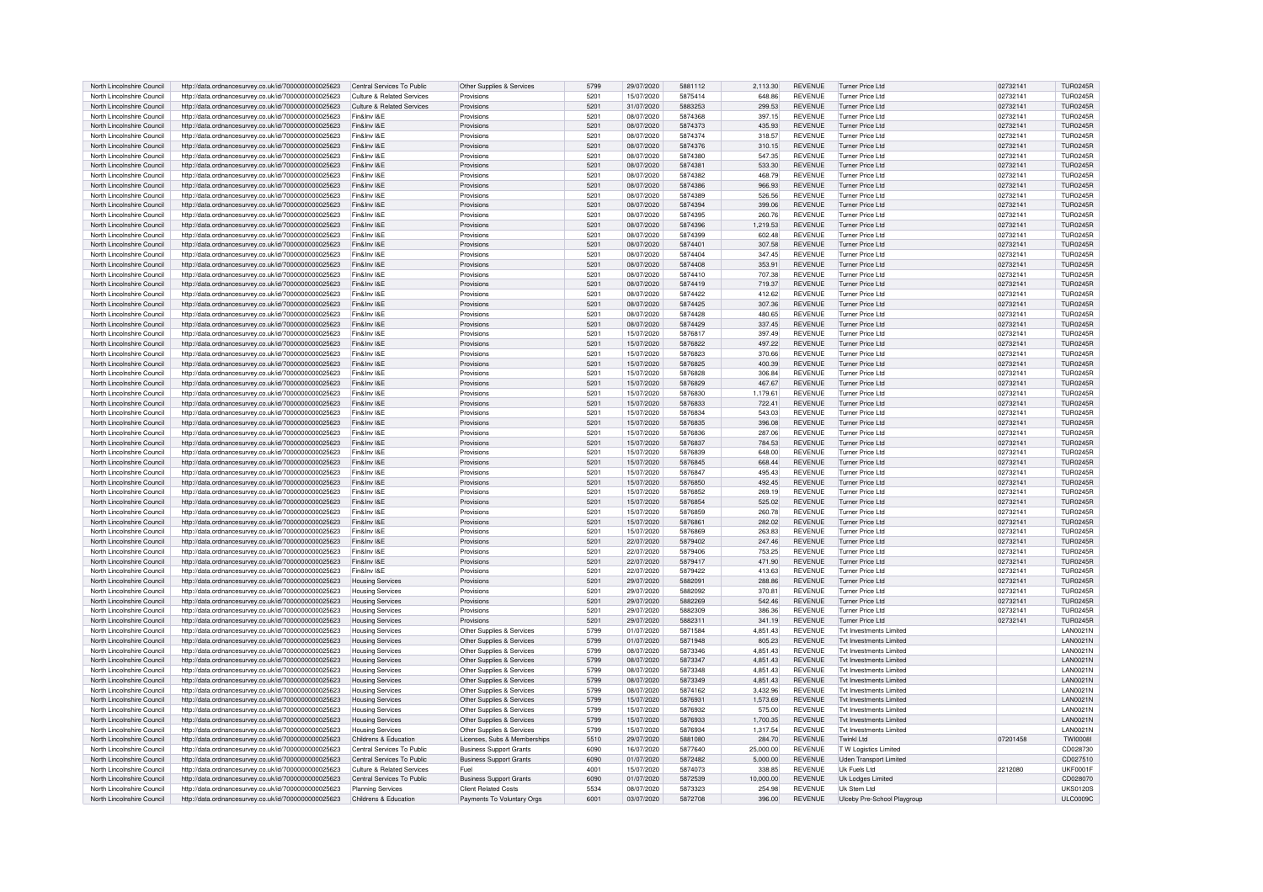| North Lincolnshire Council | http://data.ordnancesurvey.co.uk/id/7000000000025623 | Central Services To Public                       | Other Supplies & Services      | 5799 | 29/07/2020 | 5881112 | 2.113.30  | <b>REVENUE</b> | <b>Turner Price Ltd</b>       | 02732141 | <b>TUR0245R</b>  |
|----------------------------|------------------------------------------------------|--------------------------------------------------|--------------------------------|------|------------|---------|-----------|----------------|-------------------------------|----------|------------------|
| North Lincolnshire Council | http://data.ordnancesurvey.co.uk/id/7000000000025623 | Culture & Related Services                       | Provisions                     | 5201 | 15/07/2020 | 5875414 | 648.86    | <b>REVENUE</b> | Turner Price Ltd              | 02732141 | <b>TUR0245R</b>  |
| North Lincolnshire Council | http://data.ordnancesurvey.co.uk/id/7000000000025623 | Culture & Related Services                       | Provisions                     | 5201 | 31/07/2020 | 5883253 | 299.53    | <b>REVENUE</b> | Turner Price Ltd              | 02732141 | <b>TUR0245R</b>  |
| North Lincolnshire Council | http://data.ordnancesurvey.co.uk/id/7000000000025623 | Fin&Inv I&F                                      | Provisions                     | 5201 | 08/07/2020 | 5874368 | 397.15    | <b>REVENUE</b> | Turner Price Ltd              | 02732141 | <b>TUR0245R</b>  |
| North Lincolnshire Council | http://data.ordnancesurvey.co.uk/id/7000000000025623 | Fin&Inv I&F                                      | Provisions                     | 5201 | 08/07/2020 | 5874373 | 435.93    | <b>REVENUE</b> | Turner Price Ltd              | 0273214  | <b>TUR0245R</b>  |
| North Lincolnshire Council | http://data.ordnancesurvey.co.uk/id/7000000000025623 | Fin&Inv I&E                                      | Provisions                     | 5201 | 08/07/2020 | 5874374 | 318.57    | <b>REVENUE</b> | <b>Turner Price Ltd</b>       | 0273214  | <b>TUR0245R</b>  |
| North Lincolnshire Council | http://data.ordnancesurvey.co.uk/id/7000000000025623 | Fin&Inv I&F                                      | Provisions                     | 5201 | 08/07/2020 | 5874376 | 310.15    | <b>REVENUE</b> | Turner Price Ltd              | 02732141 | <b>TUR0245R</b>  |
|                            |                                                      |                                                  |                                |      |            |         |           |                |                               |          |                  |
| North Lincolnshire Council | http://data.ordnancesurvey.co.uk/id/7000000000025623 | Fin&Inv I&F                                      | Provisions                     | 5201 | 08/07/2020 | 5874380 | 547.35    | <b>REVENUE</b> | Turner Price Ltd              | 0273214  | <b>TUR0245R</b>  |
| North Lincolnshire Council | http://data.ordnancesurvey.co.uk/id/7000000000025623 | Fin&Inv I&F                                      | Provisions                     | 5201 | 08/07/2020 | 5874381 | 533.30    | <b>REVENUE</b> | Turner Price Ltd              | 02732141 | <b>TUR0245R</b>  |
| North Lincolnshire Council | http://data.ordnancesurvey.co.uk/id/7000000000025623 | Fin&Inv I&F                                      | Provisions                     | 5201 | 08/07/2020 | 5874382 | 468.79    | <b>REVENUE</b> | Turner Price Ltd              | 0273214  | <b>TUR0245R</b>  |
| North Lincolnshire Council | http://data.ordnancesurvey.co.uk/id/7000000000025623 | Fin&Inv I&F                                      | Provisions                     | 5201 | 08/07/2020 | 5874386 | 966.93    | <b>REVENUE</b> | Turner Price Ltd              | 02732141 | <b>TUR0245R</b>  |
| North Lincolnshire Council | http://data.ordnancesurvey.co.uk/id/7000000000025623 | Fin&Inv I&E                                      | Provisions                     | 5201 | 08/07/2020 | 5874389 | 526.56    | <b>REVENUE</b> | Turner Price Ltd              | 0273214  | <b>TUR0245R</b>  |
| North Lincolnshire Council | http://data.ordnancesurvey.co.uk/id/7000000000025623 | Fin&Inv I&E                                      | Provisions                     | 5201 | 08/07/2020 | 5874394 | 399.06    | <b>REVENUE</b> | Turner Price Ltd              | 02732141 | <b>TUR0245R</b>  |
| North Lincolnshire Council | http://data.ordnancesurvey.co.uk/id/7000000000025623 | Fin&Inv I&E                                      | Provisions                     | 5201 | 08/07/2020 | 5874395 | 260.76    | <b>REVENUE</b> | Turner Price I td             | 02732141 | <b>TUR0245R</b>  |
| North Lincolnshire Council | http://data.ordnancesurvey.co.uk/id/7000000000025623 | Fin&Inv I&E                                      | Provisions                     | 5201 | 08/07/2020 | 5874396 | 1.219.53  | <b>REVENUE</b> | <b>Turner Price Ltd</b>       | 02732141 | <b>TUR0245F</b>  |
| North Lincolnshire Council | http://data.ordnancesurvey.co.uk/id/7000000000025623 | Fin&Inv I&E                                      | Provisions                     | 5201 | 08/07/2020 | 5874399 | 602.48    | <b>REVENUE</b> | Turner Price Ltd              | 0273214  | <b>TUR0245R</b>  |
| North Lincolnshire Council | http://data.ordnancesurvey.co.uk/id/7000000000025623 | Fin&Inv I&F                                      | Provisions                     | 5201 | 08/07/2020 | 5874401 | 307.58    | <b>REVENUE</b> | Turner Price Ltd              | 02732141 | <b>TUR0245R</b>  |
| North Lincolnshire Council | http://data.ordnancesurvey.co.uk/id/7000000000025623 | Fin&Inv I&E                                      | Provisions                     | 5201 | 08/07/2020 | 5874404 | 347.45    | <b>REVENUE</b> | Turner Price Ltd              | 02732141 | <b>TUR0245R</b>  |
| North Lincolnshire Council | http://data.ordnancesurvey.co.uk/id/7000000000025623 | Fin&Inv I&E                                      | Provisions                     | 5201 | 08/07/2020 | 5874408 | 353.91    | <b>REVENUE</b> | Turner Price Ltd              | 02732141 | <b>TUR0245R</b>  |
|                            |                                                      |                                                  |                                |      |            |         |           |                |                               |          |                  |
| North Lincolnshire Council | http://data.ordnancesurvey.co.uk/id/7000000000025623 | Fin&Inv I&F                                      | Provisions                     | 5201 | 08/07/2020 | 5874410 | 707.38    | <b>REVENUE</b> | Turner Price Ltd              | 0273214  | TUR0245B         |
| North Lincolnshire Council | http://data.ordnancesurvey.co.uk/id/7000000000025623 | Fin&Inv I&F                                      | Provisions                     | 5201 | 08/07/2020 | 5874419 | 719.37    | <b>REVENUE</b> | <b>Turner Price Ltd</b>       | 02732141 | <b>TUR0245R</b>  |
| North Lincolnshire Council | http://data.ordnancesurvey.co.uk/id/7000000000025623 | Fin&Inv I&F                                      | Provisions                     | 5201 | 08/07/2020 | 5874422 | 412.62    | <b>REVENUE</b> | Turner Price Ltd              | 02732141 | <b>TUR0245R</b>  |
| North Lincolnshire Council | http://data.ordnancesurvey.co.uk/id/7000000000025623 | Fin&Inv I&F                                      | Provisions                     | 5201 | 08/07/2020 | 5874425 | 307.36    | <b>REVENUE</b> | Turner Price Ltd              | 02732141 | <b>TUR0245R</b>  |
| North Lincolnshire Council | http://data.ordnancesurvey.co.uk/id/7000000000025623 | Fin&Inv I&F                                      | Provisions                     | 5201 | 08/07/2020 | 5874428 | 480.65    | <b>REVENUE</b> | Turner Price Ltd              | 02732141 | <b>TUR0245R</b>  |
| North Lincolnshire Council | http://data.ordnancesurvey.co.uk/id/7000000000025623 | Fin&Inv I&E                                      | Provisions                     | 5201 | 08/07/2020 | 5874429 | 337.45    | <b>REVENUE</b> | <b>Turner Price Ltd</b>       | 02732141 | <b>TUR0245R</b>  |
| North Lincolnshire Council | http://data.ordnancesurvey.co.uk/id/7000000000025623 | Fin&Inv I&F                                      | Provisions                     | 5201 | 15/07/2020 | 5876817 | 397.49    | <b>REVENUE</b> | Turner Price Ltd              | 02732141 | <b>TUR0245R</b>  |
| North Lincolnshire Council | http://data.ordnancesurvey.co.uk/id/7000000000025623 | Fin&Inv I&F                                      | Provisions                     | 5201 | 15/07/2020 | 5876822 | 497.22    | <b>REVENUE</b> | Turner Price Ltd              | 02732141 | <b>TUR0245R</b>  |
| North Lincolnshire Council | http://data.ordnancesurvev.co.uk/id/7000000000025623 | Fin&Inv I&E                                      | Provisions                     | 5201 | 15/07/2020 | 5876823 | 370.66    | <b>REVENUE</b> | Turner Price Ltd              | 02732141 | <b>TUR0245R</b>  |
| North Lincolnshire Council | http://data.ordnancesurvey.co.uk/id/7000000000025623 | Fin&Inv I&E                                      | Provisions                     | 5201 | 15/07/2020 | 5876825 | 400.39    | <b>REVENUE</b> | Turner Price Ltd              | 02732141 | <b>TUR0245R</b>  |
| North Lincolnshire Council |                                                      | Fin&Inv I&F                                      | Provisions                     | 5201 |            | 5876828 | 306.84    | <b>REVENUE</b> | Turner Price Ltd              |          |                  |
|                            | http://data.ordnancesurvey.co.uk/id/7000000000025623 |                                                  |                                |      | 15/07/2020 |         |           |                |                               | 02732141 | <b>TUR0245R</b>  |
| North Lincolnshire Council | http://data.ordnancesurvey.co.uk/id/7000000000025623 | Fin&Inv I&F                                      | Provisions                     | 5201 | 15/07/2020 | 5876829 | 467.67    | <b>REVENUE</b> | Turner Price Ltd              | 02732141 | <b>TUR0245R</b>  |
| North Lincolnshire Council | http://data.ordnancesurvey.co.uk/id/7000000000025623 | Fin&Inv I&F                                      | Provisions                     | 5201 | 15/07/2020 | 5876830 | 1,179.61  | <b>REVENUE</b> | Turner Price Ltd              | 02732141 | <b>TUR0245R</b>  |
| North Lincolnshire Council | http://data.ordnancesurvey.co.uk/id/7000000000025623 | Fin&Inv I&F                                      | Provisions                     | 5201 | 15/07/2020 | 5876833 | 722.41    | <b>REVENUE</b> | Turner Price Ltd              | 02732141 | <b>TUR0245R</b>  |
| North Lincolnshire Council | http://data.ordnancesurvey.co.uk/id/7000000000025623 | Fin&Inv I&E                                      | Provisions                     | 5201 | 15/07/2020 | 5876834 | 543.03    | <b>REVENUE</b> | Turner Price Ltd              | 02732141 | <b>TUR0245R</b>  |
| North Lincolnshire Council | http://data.ordnancesurvey.co.uk/id/7000000000025623 | Fin&Inv I&E                                      | Provisions                     | 5201 | 15/07/2020 | 5876835 | 396.08    | <b>REVENUE</b> | Turner Price Ltd              | 02732141 | <b>TUR0245R</b>  |
| North Lincolnshire Council | http://data.ordnancesurvey.co.uk/id/7000000000025623 | Fin&Inv I&F                                      | Provisions                     | 5201 | 15/07/2020 | 5876836 | 287.06    | <b>REVENUE</b> | Turner Price Ltd              | 02732141 | TUR0245F         |
| North Lincolnshire Council | http://data.ordnancesurvey.co.uk/id/7000000000025623 | Fin&Inv I&F                                      | Provisions                     | 5201 | 15/07/2020 | 5876837 | 784.53    | <b>REVENUE</b> | Turner Price Ltd              | 02732141 | TUR0245F         |
| North Lincolnshire Council | http://data.ordnancesurvey.co.uk/id/7000000000025623 | Fin&Inv I&F                                      | Provisions                     | 5201 | 15/07/2020 | 5876839 | 648.00    | <b>REVENUE</b> | Turner Price Ltd              | 02732141 | <b>TUR0245R</b>  |
| North Lincolnshire Council | http://data.ordnancesurvey.co.uk/id/7000000000025623 | Fin&Inv I&F                                      | Provisions                     | 5201 | 15/07/2020 | 5876845 | 668.44    | <b>REVENUE</b> | Turner Price Ltd              | 02732141 | <b>TUR0245R</b>  |
| North Lincolnshire Council | http://data.ordnancesurvey.co.uk/id/7000000000025623 | Fin&Inv I&E                                      | Provisions                     | 5201 | 15/07/2020 | 5876847 | 495.43    | <b>REVENUE</b> | Turner Price Ltd              | 02732141 | <b>TUR0245R</b>  |
|                            |                                                      |                                                  |                                |      |            |         |           | <b>REVENUE</b> |                               |          |                  |
| North Lincolnshire Council | http://data.ordnancesurvey.co.uk/id/7000000000025623 | Fin&Inv I&E                                      | Provisions                     | 5201 | 15/07/2020 | 5876850 | 492.45    |                | Turner Price Ltd              | 02732141 | <b>TUR0245R</b>  |
| North Lincolnshire Council | http://data.ordnancesurvev.co.uk/id/7000000000025623 | Fin&Inv I&F                                      | Provisions                     | 5201 | 15/07/2020 | 5876852 | 269.19    | <b>REVENUE</b> | Turner Price Ltd              | 02732141 | <b>TUR0245R</b>  |
| North Lincolnshire Council | http://data.ordnancesurvey.co.uk/id/7000000000025623 | Fin&Inv I&E                                      | Provisions                     | 5201 | 15/07/2020 | 5876854 | 525.02    | <b>REVENUE</b> | <b>Turner Price Ltd</b>       | 0273214  | <b>TUR0245R</b>  |
| North Lincolnshire Council | http://data.ordnancesurvey.co.uk/id/7000000000025623 | Fin&Inv I&E                                      | Provisions                     | 5201 | 15/07/2020 | 5876859 | 260.78    | <b>REVENUE</b> | <b>Turner Price Ltd</b>       | 0273214  | <b>TUR0245R</b>  |
| North Lincolnshire Council | http://data.ordnancesurvey.co.uk/id/7000000000025623 | Fin&Inv I&E                                      | Provisions                     | 5201 | 15/07/2020 | 5876861 | 282.02    | <b>REVENUE</b> | <b>Turner Price Ltd</b>       | 0273214  | <b>TUR0245R</b>  |
| North Lincolnshire Council | http://data.ordnancesurvey.co.uk/id/7000000000025623 | Fin&Inv I&F                                      | Provisions                     | 5201 | 15/07/2020 | 5876869 | 263.83    | <b>REVENUE</b> | Turner Price I to             | 0273214  | TUR0245F         |
| North Lincolnshire Council | http://data.ordnancesurvey.co.uk/id/7000000000025623 | Fin&Inv I&F                                      | Provisions                     | 5201 | 22/07/2020 | 5879402 | 247.46    | <b>REVENUE</b> | Turner Price I to             | 0273214  | TUR0245F         |
| North Lincolnshire Council | http://data.ordnancesurvey.co.uk/id/7000000000025623 | Fin&Inv I&E                                      | Provisions                     | 5201 | 22/07/2020 | 5879406 | 753.25    | <b>REVENUE</b> | Turner Price Ltd              | 02732141 | <b>TUR0245F</b>  |
| North Lincolnshire Council | http://data.ordnancesurvey.co.uk/id/7000000000025623 | Fin&Inv I&E                                      | Provisions                     | 5201 | 22/07/2020 | 5879417 | 471.90    | <b>REVENUE</b> | Turner Price Ltd              | 02732141 | <b>TUR0245R</b>  |
| North Lincolnshire Council | http://data.ordnancesurvey.co.uk/id/7000000000025623 | Fin&Inv I&F                                      | Provisions                     | 5201 | 22/07/2020 | 5879422 | 413.63    | <b>REVENUE</b> | Turner Price Ltd              | 02732141 | <b>TUR0245R</b>  |
| North Lincolnshire Council | http://data.ordnancesurvey.co.uk/id/7000000000025623 | <b>Housing Services</b>                          | Provisions                     | 5201 | 29/07/2020 | 5882091 | 288.86    | <b>REVENUE</b> | Turner Price I td             | 02732141 | <b>TUR0245F</b>  |
| North Lincolnshire Council | http://data.ordnancesurvey.co.uk/id/7000000000025623 | <b>Housing Services</b>                          | Provisions                     | 5201 | 29/07/2020 | 5882092 | 370.81    | <b>REVENUE</b> | <b>Turner Price Ltd</b>       | 02732141 | <b>TUR0245F</b>  |
| North Lincolnshire Council |                                                      |                                                  | Provisions                     | 5201 | 29/07/2020 | 5882269 |           | <b>REVENUE</b> | <b>Turner Price Ltd</b>       | 02732141 | <b>TUR0245F</b>  |
|                            | http://data.ordnancesurvey.co.uk/id/7000000000025623 | <b>Housing Services</b>                          |                                | 5201 |            | 5882309 | 542.46    |                |                               |          |                  |
| North Lincolnshire Council | http://data.ordnancesurvey.co.uk/id/7000000000025623 | <b>Housing Services</b>                          | Provisions                     |      | 29/07/2020 |         | 386.36    | <b>REVENUE</b> | Turner Price Ltd              | 02732141 | <b>TUR0245F</b>  |
| North Lincolnshire Council | http://data.ordnancesurvey.co.uk/id/7000000000025623 | <b>Housing Services</b>                          | Provisions                     | 5201 | 29/07/2020 | 5882311 | 341.19    | <b>REVENUE</b> | Turner Price Ltd              | 02732141 | <b>TUR0245R</b>  |
| North Lincolnshire Council | http://data.ordnancesurvey.co.uk/id/7000000000025623 | <b>Housing Services</b>                          | Other Supplies & Services      | 5799 | 01/07/2020 | 5871584 | 4.851.43  | <b>REVENUE</b> | Tyt Investments Limited       |          | <b>I AN0021N</b> |
| North Lincolnshire Council | http://data.ordnancesurvey.co.uk/id/7000000000025623 | <b>Housing Services</b>                          | Other Supplies & Services      | 5799 | 01/07/2020 | 5871948 | 805.23    | <b>REVENUE</b> | Tyt Investments Limited       |          | <b>LAN0021N</b>  |
| North Lincolnshire Council | http://data.ordnancesurvey.co.uk/id/7000000000025623 | <b>Housing Services</b>                          | Other Supplies & Services      | 5799 | 08/07/2020 | 5873346 | 4,851.43  | <b>REVENUE</b> | Tyt Investments Limited       |          | LAN0021N         |
| North Lincolnshire Council | http://data.ordnancesurvey.co.uk/id/7000000000025623 | <b>Housing Services</b>                          | Other Supplies & Services      | 5799 | 08/07/2020 | 5873347 | 4.851.43  | <b>REVENUE</b> | Tyt Investments Limited       |          | <b>LAN0021N</b>  |
| North Lincolnshire Council | http://data.ordnancesurvev.co.uk/id/7000000000025623 | <b>Housing Services</b>                          | Other Supplies & Services      | 5799 | 08/07/2020 | 5873348 | 4.851.43  | <b>REVENUE</b> | Tyt Investments Limited       |          | <b>LAN0021N</b>  |
| North Lincolnshire Council | http://data.ordnancesurvey.co.uk/id/7000000000025623 | <b>Housing Services</b>                          | Other Supplies & Services      | 5799 | 08/07/2020 | 5873349 | 4,851.43  | <b>REVENUE</b> | Tyt Investments Limiter       |          | <b>LAN0021N</b>  |
| North Lincolnshire Council | http://data.ordnancesurvey.co.uk/id/7000000000025623 | <b>Housing Services</b>                          | Other Supplies & Services      | 5799 | 08/07/2020 | 5874162 | 3.432.96  | <b>REVENUE</b> | Tyt Investments Limited       |          | <b>I AN0021N</b> |
| North Lincolnshire Council | http://data.ordnancesurvey.co.uk/id/7000000000025623 | <b>Housing Services</b>                          | Other Supplies & Services      | 5799 | 15/07/2020 | 5876931 | 1,573.69  | <b>REVENUE</b> | Tyt Investments Limited       |          | <b>I AN0021N</b> |
| North Lincolnshire Council | http://data.ordnancesurvey.co.uk/id/7000000000025623 | <b>Housing Services</b>                          | Other Supplies & Services      | 5799 | 15/07/2020 | 5876932 | 575.00    | <b>REVENUE</b> | Tyt Investments Limited       |          | <b>I AN0021N</b> |
| North Lincolnshire Council | http://data.ordnancesurvey.co.uk/id/7000000000025623 | <b>Housing Services</b>                          | Other Supplies & Services      | 5799 | 15/07/2020 | 5876933 | 1,700.35  | <b>REVENUE</b> | Tyt Investments Limited       |          | <b>LAN0021N</b>  |
| North Lincolnshire Council |                                                      |                                                  | Other Supplies & Services      | 5799 | 15/07/2020 | 5876934 | 1.317.54  | REVENUE        | Tyt Investments Limited       |          | LAN0021N         |
| North Lincolnshire Council | http://data.ordnancesurvey.co.uk/id/7000000000025623 | <b>Housing Services</b><br>Childrens & Education | Licenses, Subs & Memberships   | 5510 | 29/07/2020 | 5881080 | 284.70    | REVENUE        | <b>Twinkl Ltd</b>             | 07201458 | <b>TWI0008I</b>  |
|                            | http://data.ordnancesurvey.co.uk/id/7000000000025623 |                                                  |                                |      |            |         |           |                |                               |          |                  |
| North Lincolnshire Council | http://data.ordnancesurvey.co.uk/id/7000000000025623 | Central Services To Public                       | <b>Business Support Grants</b> | 6090 | 16/07/2020 | 5877640 | 25,000.00 | <b>REVENUE</b> | TW Logistics Limited          |          | CD028730         |
| North Lincolnshire Council | http://data.ordnancesurvey.co.uk/id/7000000000025623 | Central Services To Public                       | <b>Business Support Grants</b> | 6090 | 01/07/2020 | 5872482 | 5,000.00  | <b>REVENUE</b> | <b>Uden Transport Limited</b> |          | CD027510         |
| North Lincolnshire Council | http://data.ordnancesurvey.co.uk/id/7000000000025623 | Culture & Related Services                       | Fuel                           | 4001 | 15/07/2020 | 5874073 | 338.85    | <b>REVENUE</b> | Uk Fuels Ltd                  | 2212080  | <b>UKF0001F</b>  |
| North Lincolnshire Council | http://data.ordnancesurvey.co.uk/id/7000000000025623 | Central Services To Public                       | <b>Business Support Grants</b> | 6090 | 01/07/2020 | 5872539 | 10.000.00 | <b>REVENUE</b> | Uk Lodges Limited             |          | CD028070         |
| North Lincolnshire Council | http://data.ordnancesurvey.co.uk/id/7000000000025623 | Planning Services                                | Client Related Costs           | 5534 | 08/07/2020 | 5873323 | 254.98    | <b>REVENUE</b> | Uk Stem Ltd                   |          | <b>UKS0120S</b>  |
| North Lincolnshire Council | http://data.ordnancesurvey.co.uk/id/7000000000025623 | Childrens & Education                            | Payments To Voluntary Orgs     | 6001 | 03/07/2020 | 5872708 | 396.00    | <b>REVENUE</b> | Ulceby Pre-School Playgroup   |          | <b>ULC0009C</b>  |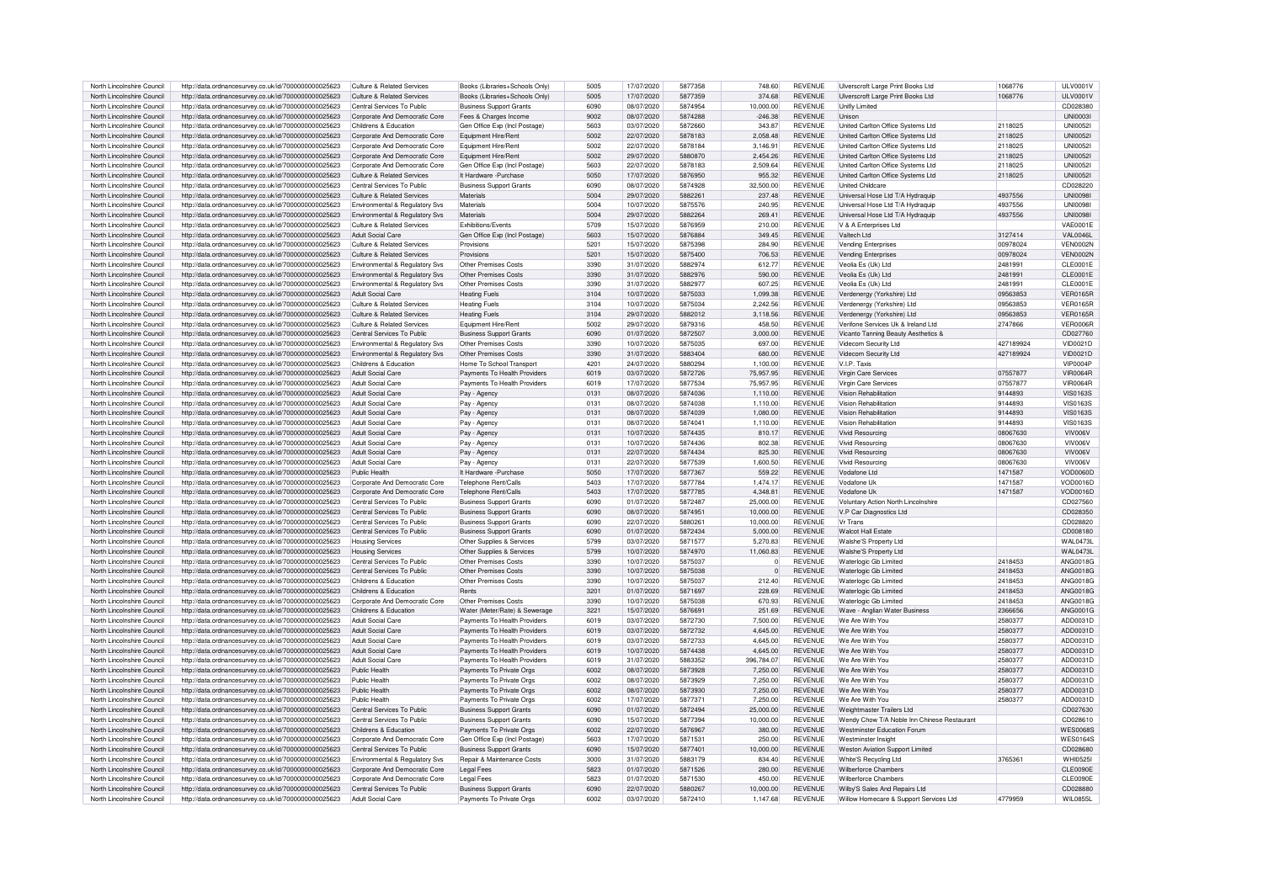| North Lincolnshire Council |                                                                                                              |                                |                                |                  |            |         |                |                |                                             |           |                 |
|----------------------------|--------------------------------------------------------------------------------------------------------------|--------------------------------|--------------------------------|------------------|------------|---------|----------------|----------------|---------------------------------------------|-----------|-----------------|
|                            | http://data.ordnancesurvey.co.uk/id/7000000000025623                                                         | Culture & Related Services     | Books (Libraries+Schools Only) | 5005             | 17/07/2020 | 5877358 | 748.60         | <b>REVENUE</b> | Ulverscroft Large Print Books Ltd           | 1068776   | <b>ULV0001V</b> |
| North Lincolnshire Council | http://data.ordnancesurvey.co.uk/id/7000000000025623                                                         | Culture & Related Services     | Books (Libraries+Schools Only  | 5005             | 17/07/2020 | 5877359 | 374.68         | <b>REVENUE</b> | Ulverscroft Large Print Books Ltd           | 1068776   | ULV0001V        |
| North Lincolnshire Council | http://data.ordnancesurvey.co.uk/id/7000000000025623                                                         | Central Services To Public     | <b>Business Support Grants</b> | 6090             | 08/07/2020 | 5874954 | 10,000.00      | <b>REVENUE</b> | Unifly Limited                              |           | CD028380        |
| North Lincolnshire Council | http://data.ordnancesurvey.co.uk/id/7000000000025623                                                         | Corporate And Democratic Core  | Fees & Charges Income          | 9002             | 08/07/2020 | 5874288 | $-246.38$      | <b>REVENUE</b> | Unison                                      |           | <b>UNI00031</b> |
|                            |                                                                                                              |                                |                                |                  |            |         |                |                |                                             |           |                 |
| North Lincolnshire Council | http://data.ordnancesurvey.co.uk/id/7000000000025623                                                         | Childrens & Education          | Gen Office Exp (Incl Postage)  | 5603             | 03/07/2020 | 5872660 | 343.87         | <b>REVENUE</b> | United Carlton Office Systems Ltd           | 2118025   | <b>UNI00521</b> |
| North Lincolnshire Council | http://data.ordnancesurvey.co.uk/id/7000000000025623                                                         | Corporate And Democratic Core  | Equipment Hire/Rent            | 5002             | 22/07/2020 | 5878183 | 2,058.48       | <b>REVENUE</b> | United Carlton Office Systems Ltd           | 2118025   | <b>UNI00521</b> |
| North Lincolnshire Council | http://data.ordnancesurvey.co.uk/id/7000000000025623                                                         | Corporate And Democratic Core  | Equipment Hire/Rent            | 5002             | 22/07/2020 | 5878184 | 3.146.91       | <b>REVENUE</b> | <b>United Carlton Office Systems Ltd</b>    | 2118025   | <b>UNI00521</b> |
| North Lincolnshire Council | http://data.ordnancesurvey.co.uk/id/7000000000025623                                                         | Corporate And Democratic Core  | Equipment Hire/Rent            | 5002             | 29/07/2020 | 5880870 | 2,454.26       | <b>REVENUE</b> | <b>United Carlton Office Systems Ltd</b>    | 2118025   | <b>UNI00521</b> |
| North Lincolnshire Council |                                                                                                              | Corporate And Democratic Core  |                                | 5603             | 22/07/2020 | 5878183 | 2.509.64       | <b>REVENUE</b> | <b>United Carlton Office Systems Ltd</b>    |           | LINI0052        |
|                            | http://data.ordnancesurvey.co.uk/id/7000000000025623                                                         |                                | Gen Office Exp (Incl Postage)  |                  |            |         |                |                |                                             | 2118025   |                 |
| North Lincolnshire Council | http://data.ordnancesurvey.co.uk/id/7000000000025623                                                         | Culture & Related Services     | It Hardware - Purchase         | 5050             | 17/07/2020 | 5876950 | 955.32         | <b>REVENUE</b> | United Carlton Office Systems Ltd           | 2118025   | <b>UNI00521</b> |
| North Lincolnshire Council | http://data.ordnancesurvey.co.uk/id/7000000000025623                                                         | Central Services To Public     | <b>Business Support Grants</b> | 6090             | 08/07/2020 | 5874928 | 32,500.00      | <b>REVENUE</b> | <b>United Childcare</b>                     |           | CD028220        |
| North Lincolnshire Council | http://data.ordnancesurvey.co.uk/id/7000000000025623                                                         | Culture & Related Services     | Materials                      | 5004             | 29/07/2020 | 5882261 | 237.48         | <b>REVENUE</b> | Universal Hose Ltd T/A Hydraguip            | 4937556   | <b>UNI0098I</b> |
| North Lincolnshire Council |                                                                                                              |                                | Materials                      | 5004             | 10/07/2020 | 5875576 | 240.95         | <b>REVENUE</b> |                                             | 4937556   | <b>UNI0098</b>  |
|                            | http://data.ordnancesurvey.co.uk/id/7000000000025623                                                         | Environmental & Regulatory Svs |                                |                  |            |         |                |                | Universal Hose Ltd T/A Hydraquip            |           |                 |
| North Lincolnshire Council | http://data.ordnancesurvey.co.uk/id/7000000000025623                                                         | Environmental & Regulatory Svs | Materials                      | 5004             | 29/07/2020 | 5882264 | 269.41         | <b>REVENUE</b> | Universal Hose Ltd T/A Hydraguip            | 4937556   | <b>UNI0098I</b> |
| North Lincolnshire Council | http://data.ordnancesurvey.co.uk/id/7000000000025623                                                         | Culture & Related Services     | <b>Fxhibitions/Fvents</b>      | 5709             | 15/07/2020 | 5876959 | 210.00         | <b>REVENUE</b> | V & A Enterprises Ltd                       |           | VAF0001F        |
| North Lincolnshire Council | http://data.ordnancesurvey.co.uk/id/7000000000025623                                                         | Adult Social Care              | Gen Office Exp (Incl Postage)  | 5603             | 15/07/2020 | 5876884 | 349.45         | <b>REVENUE</b> | Valtech Ltd                                 | 3127414   | VAI 0046L       |
| North Lincolnshire Council | http://data.ordnancesurvey.co.uk/id/7000000000025623                                                         | Culture & Related Services     | Provisions                     | 5201             | 15/07/2020 | 5875398 | 284.90         | <b>REVENUE</b> | <b>Vending Enterprises</b>                  | 00978024  | <b>VEN0002N</b> |
| North Lincolnshire Council |                                                                                                              | Culture & Related Services     | Provisions                     | 5201             | 15/07/2020 | 5875400 | 706.53         | <b>REVENUE</b> |                                             |           | <b>VEN0002N</b> |
|                            | http://data.ordnancesurvey.co.uk/id/7000000000025623                                                         |                                |                                |                  |            |         |                |                | <b>Vending Enterprises</b>                  | 00978024  |                 |
| North Lincolnshire Council | http://data.ordnancesurvey.co.uk/id/7000000000025623                                                         | Environmental & Regulatory Sys | Other Premises Costs           | 3390             | 31/07/2020 | 5882974 | 612.77         | <b>REVENUE</b> | Veolia Es (Uk) Ltd                          | 2481991   | CLE0001E        |
| North Lincolnshire Council | http://data.ordnancesurvey.co.uk/id/7000000000025623                                                         | Environmental & Regulatory Svs | Other Premises Costs           | 3390             | 31/07/2020 | 5882976 | 590.00         | <b>REVENUE</b> | Veolia Es (Uk) Ltd                          | 2481991   | CLE0001E        |
| North Lincolnshire Council | http://data.ordnancesurvey.co.uk/id/7000000000025623                                                         | Environmental & Regulatory Svs | Other Premises Costs           | 3390             | 31/07/2020 | 5882977 | 607.25         | <b>REVENUE</b> | Veolia Es (Uk) Ltd                          | 2481991   | CLE0001E        |
|                            |                                                                                                              | Adult Social Care              |                                | 3104             |            | 5875033 |                | <b>REVENUE</b> |                                             | 09563853  | <b>VFR0165F</b> |
| North Lincolnshire Council | http://data.ordnancesurvey.co.uk/id/7000000000025623                                                         |                                | <b>Heating Fuels</b>           |                  | 10/07/2020 |         | 1,099.38       |                | Verdenergy (Yorkshire) Ltd                  |           |                 |
| North Lincolnshire Council | http://data.ordnancesurvey.co.uk/id/7000000000025623                                                         | Culture & Related Services     | <b>Heating Fuels</b>           | 3104             | 10/07/2020 | 5875034 | 2,242.56       | <b>REVENUE</b> | Verdenergy (Yorkshire) Ltd                  | 09563853  | <b>VER0165R</b> |
| North Lincolnshire Council | http://data.ordnancesurvey.co.uk/id/7000000000025623                                                         | Culture & Related Services     | <b>Heating Fuels</b>           | 3104             | 29/07/2020 | 5882012 | 3,118.56       | <b>REVENUE</b> | Verdenergy (Yorkshire) Ltd                  | 09563853  | <b>VER0165R</b> |
| North Lincolnshire Council | http://data.ordnancesurvey.co.uk/id/7000000000025623                                                         | Culture & Related Services     | Equipment Hire/Rent            | 5002             | 29/07/2020 | 5879316 | 458.50         | <b>REVENUE</b> | Verifone Services Uk & Ireland Ltd          | 2747866   | VFR0006F        |
| North Lincolnshire Council | http://data.ordnancesurvey.co.uk/id/7000000000025623                                                         | Central Services To Public     | <b>Business Support Grants</b> | 6090             | 01/07/2020 | 5872507 | 3.000.00       | <b>REVENUE</b> | Vicanto Tanning Beauty Aesthetics &         |           | CD027760        |
| North Lincolnshire Council | http://data.ordnancesurvey.co.uk/id/7000000000025623                                                         | Environmental & Regulatory Sys | Other Premises Costs           | 3390             | 10/07/2020 | 5875035 | 697.00         | <b>REVENUE</b> | Videcom Security Ltd                        | 427189924 | VID0021D        |
|                            |                                                                                                              |                                |                                |                  |            |         |                |                |                                             |           |                 |
| North Lincolnshire Council | http://data.ordnancesurvey.co.uk/id/7000000000025623                                                         | Environmental & Regulatory Svs | Other Premises Costs           | 3390             | 31/07/2020 | 5883404 | 680.00         | <b>REVENUE</b> | Videcom Security Ltd                        | 427189924 | <b>VID0021D</b> |
| North Lincolnshire Council | http://data.ordnancesurvev.co.uk/id/7000000000025623                                                         | Childrens & Education          | Home To School Transport       | 4201             | 24/07/2020 | 5880294 | 1.100.00       | <b>REVENUE</b> | V.I.P. Taxis                                |           | <b>VIP0004P</b> |
| North Lincolnshire Council | http://data.ordnancesurvey.co.uk/id/7000000000025623                                                         | Adult Social Care              | Payments To Health Providers   | 6019             | 03/07/2020 | 5872726 | 75.957.95      | <b>REVENUE</b> | Virgin Care Services                        | 07557877  | <b>VIR0064R</b> |
| North Lincolnshire Council | http://data.ordnancesurvey.co.uk/id/7000000000025623                                                         | Adult Social Care              | Payments To Health Providers   | 6019             | 17/07/2020 | 5877534 | 75.957.95      | <b>REVENUE</b> | Virgin Care Services                        | 07557877  | <b>VIR0064R</b> |
|                            |                                                                                                              |                                |                                |                  |            |         |                |                |                                             |           |                 |
| North Lincolnshire Council | http://data.ordnancesurvey.co.uk/id/7000000000025623                                                         | Adult Social Care              | Pay - Agency                   | 0131             | 08/07/2020 | 5874036 | 1,110.00       | <b>REVENUE</b> | Vision Rehabilitation                       | 9144893   | <b>VIS0163S</b> |
| North Lincolnshire Council | http://data.ordnancesurvey.co.uk/id/7000000000025623                                                         | Adult Social Care              | Pay - Agency                   | 0131             | 08/07/2020 | 5874038 | 1,110.00       | <b>REVENUE</b> | <b>Vision Rehabilitation</b>                | 9144893   | <b>VIS0163S</b> |
| North Lincolnshire Council | http://data.ordnancesurvey.co.uk/id/7000000000025623                                                         | <b>Adult Social Care</b>       | Pay - Agency                   | 0131             | 08/07/2020 | 5874039 | 1,080.00       | <b>REVENUE</b> | Vision Rehabilitation                       | 9144893   | <b>VIS0163S</b> |
| North Lincolnshire Council | http://data.ordnancesurvey.co.uk/id/7000000000025623                                                         | Adult Social Care              | Pay - Agency                   | 0131             | 08/07/2020 | 5874041 | 1.110.00       | <b>REVENUE</b> | <b>Vision Rehabilitation</b>                | 9144893   | VIS0163S        |
| North Lincolnshire Council | http://data.ordnancesurvey.co.uk/id/7000000000025623                                                         | <b>Adult Social Care</b>       |                                | 0131             | 10/07/2020 | 5874435 | 810.17         | <b>REVENUE</b> | Vivid Resourcing                            | 08067630  | VIV006V         |
|                            |                                                                                                              |                                | Pay - Agency                   |                  |            |         |                |                |                                             |           |                 |
| North Lincolnshire Council | http://data.ordnancesurvey.co.uk/id/7000000000025623                                                         | <b>Adult Social Care</b>       | Pay - Agency                   | 0131             | 10/07/2020 | 5874436 | 802.38         | <b>REVENUE</b> | Vivid Resourcing                            | 08067630  | VIV006V         |
| North Lincolnshire Council | http://data.ordnancesurvey.co.uk/id/7000000000025623                                                         | Adult Social Care              | Pay - Agency                   | 0131             | 22/07/2020 | 5874434 | 825.30         | <b>REVENUE</b> | Vivid Resourcing                            | 08067630  | VIV006V         |
| North Lincolnshire Council | http://data.ordnancesurvey.co.uk/id/7000000000025623                                                         | Adult Social Care              | Pay - Agency                   | 0131             | 22/07/2020 | 5877539 | 1.600.50       | <b>REVENUE</b> | Vivid Resourcing                            | 08067630  | VIV006V         |
| North Lincolnshire Council | http://data.ordnancesurvey.co.uk/id/7000000000025623                                                         | Public Health                  | It Hardware - Purchase         | 5050             | 17/07/2020 | 5877367 | 559.22         | <b>REVENUE</b> | Vodafone Ltd                                | 1471587   | VOD0060E        |
|                            |                                                                                                              |                                |                                |                  | 17/07/2020 | 5877784 |                | <b>REVENUE</b> | Vodafone Ul                                 | 1471587   | VOD0016D        |
|                            |                                                                                                              |                                |                                |                  |            |         | 1,474.17       |                |                                             |           |                 |
| North Lincolnshire Council | http://data.ordnancesurvey.co.uk/id/7000000000025623                                                         | Corporate And Democratic Core  | Telephone Rent/Calls           | 5403             |            |         |                |                |                                             |           |                 |
| North Lincolnshire Council | http://data.ordnancesurvey.co.uk/id/7000000000025623                                                         | Corporate And Democratic Core  | Telephone Rent/Calls           | 5403             | 17/07/2020 | 5877785 | 4,348.81       | <b>REVENUE</b> | Vodafone U                                  | 1471587   | VOD0016D        |
| North Lincolnshire Council | http://data.ordnancesurvey.co.uk/id/7000000000025623                                                         | Central Services To Public     | <b>Business Support Grants</b> | 6090             | 01/07/2020 | 5872487 | 25,000.00      | <b>REVENUE</b> | <b>Voluntary Action North Lincolnshire</b>  |           | CD027560        |
|                            |                                                                                                              | Central Services To Public     |                                | 6090             |            | 587495  |                | <b>REVENUE</b> |                                             |           |                 |
| North Lincolnshire Council | http://data.ordnancesurvey.co.uk/id/7000000000025623                                                         |                                | <b>Business Support Grants</b> |                  | 08/07/2020 |         | 10,000.00      |                | V.P Car Diagnostics Ltd                     |           | CD028350        |
| North Lincolnshire Council | http://data.ordnancesurvey.co.uk/id/7000000000025623                                                         | Central Services To Public     | <b>Business Support Grants</b> | 6090             | 22/07/2020 | 588026  | 10.000.00      | <b>REVENUE</b> | Vr Trans                                    |           | CD028820        |
| North Lincolnshire Council | http://data.ordnancesurvey.co.uk/id/7000000000025623                                                         | Central Services To Public     | <b>Business Support Grants</b> | 6090             | 01/07/2020 | 5872434 | 5,000.00       | <b>REVENUE</b> | <b>Walcot Hall Estate</b>                   |           | CD008180        |
| North Lincolnshire Council | http://data.ordnancesurvey.co.uk/id/7000000000025623                                                         | <b>Housing Services</b>        | Other Supplies & Services      | 5799             | 03/07/2020 | 5871577 | 5,270.83       | <b>REVENUE</b> | Walshe'S Property Ltd                       |           | WAI 0473        |
| North Lincolnshire Council | http://data.ordnancesurvey.co.uk/id/7000000000025623                                                         | <b>Housing Services</b>        | Other Supplies & Services      | 5799             | 10/07/2020 | 5874970 | 11.060.83      | <b>REVENUE</b> | Walshe'S Property Ltd                       |           | <b>WAL0473I</b> |
|                            | http://data.ordnancesurvey.co.uk/id/7000000000025623                                                         | Central Services To Public     | Other Premises Costs           |                  |            |         | $\mathbf 0$    |                | Waterlogic Gb Limited                       |           |                 |
| North Lincolnshire Council |                                                                                                              |                                |                                | 3390             | 10/07/2020 | 5875037 |                | <b>REVENUE</b> |                                             | 2418453   | <b>ANG0018G</b> |
| North Lincolnshire Council | http://data.ordnancesurvey.co.uk/id/7000000000025623                                                         | Central Services To Public     | Other Premises Costs           | 3390             | 10/07/2020 | 5875038 | $\overline{0}$ | <b>REVENUE</b> | Waterlogic Gb Limited                       | 2418453   | <b>ANG0018G</b> |
| North Lincolnshire Council | http://data.ordnancesurvey.co.uk/id/7000000000025623                                                         | Childrens & Education          | Other Premises Costs           | 3390             | 10/07/2020 | 5875037 | 212.40         | <b>REVENUE</b> | Waterlogic Gb Limited                       | 2418453   | <b>ANG00180</b> |
| North Lincolnshire Council | http://data.ordnancesurvey.co.uk/id/7000000000025623                                                         | Childrens & Education          | Rents                          | 3201             | 01/07/2020 | 5871697 | 228.69         | <b>REVENUE</b> | Waterlogic Gb Limited                       | 2418453   | <b>ANG00180</b> |
| North Lincolnshire Council | http://data.ordnancesurvey.co.uk/id/7000000000025623                                                         | Corporate And Democratic Core  | Other Premises Costs           | 3390             | 10/07/2020 | 5875038 | 670.93         | REVENUE        | Waterlogic Gb Limited                       | 2418453   | <b>ANG0018G</b> |
|                            |                                                                                                              |                                |                                |                  |            | 5876691 |                |                |                                             |           |                 |
| North Lincolnshire Council | http://data.ordnancesurvey.co.uk/id/7000000000025623                                                         | Childrens & Education          | Water (Meter/Rate) & Sewerage  | 3221             | 15/07/2020 |         | 251.69         | <b>REVENUE</b> | Wave - Anglian Water Business               | 2366656   | ANG00010        |
| North Lincolnshire Council | http://data.ordnancesurvey.co.uk/id/7000000000025623                                                         | Adult Social Care              | Payments To Health Providers   | 6019             | 03/07/2020 | 5872730 | 7,500.00       | <b>REVENUE</b> | We Are With You                             | 2580377   | ADD0031D        |
| North Lincolnshire Council | http://data.ordnancesurvey.co.uk/id/7000000000025623                                                         | Adult Social Care              | Payments To Health Providers   | 6019             | 03/07/2020 | 5872732 | 4.645.00       | <b>REVENUE</b> | We Are With You                             | 2580377   | ADD0031E        |
| North Lincolnshire Council | http://data.ordnancesurvey.co.uk/id/7000000000025623                                                         | Adult Social Care              | Payments To Health Providers   | 6019             | 03/07/2020 | 5872733 | 4.645.00       | <b>REVENUE</b> | We Are With You                             | 2580377   | ADD0031E        |
| North Lincolnshire Council | http://data.ordnancesurvey.co.uk/id/7000000000025623                                                         | <b>Adult Social Care</b>       | Payments To Health Providers   | 6019             | 10/07/2020 | 5874438 | 4,645.00       | <b>REVENUE</b> | We Are With You                             | 2580377   | ADD0031D        |
|                            |                                                                                                              |                                |                                |                  |            |         |                |                |                                             |           |                 |
| North Lincolnshire Council | http://data.ordnancesurvey.co.uk/id/7000000000025623                                                         | Adult Social Care              | Payments To Health Providers   | 6019             | 31/07/2020 | 5883352 | 396,784.07     | <b>REVENUE</b> | We Are With You                             | 2580377   | ADD0031E        |
| North Lincolnshire Council | http://data.ordnancesurvey.co.uk/id/7000000000025623                                                         | Public Health                  | Payments To Private Orgs       | 6002             | 08/07/2020 | 5873928 | 7.250.00       | <b>REVENUE</b> | We Are With You                             | 2580377   | ADD0031D        |
| North Lincolnshire Council | http://data.ordnancesurvey.co.uk/id/7000000000025623                                                         | Public Health                  | Payments To Private Orgs       | 6002             | 08/07/2020 | 5873929 | 7.250.00       | <b>REVENUE</b> | We Are With You                             | 2580377   | ADD0031E        |
| North Lincolnshire Council | http://data.ordnancesurvey.co.uk/id/7000000000025623                                                         | Public Health                  | Payments To Private Orgs       | 6002             | 08/07/2020 | 5873930 | 7,250.00       | <b>REVENUE</b> | We Are With You                             | 2580377   | ADD0031E        |
| North Lincolnshire Council |                                                                                                              | Public Health                  |                                | 6002             |            | 587737  | 7.250.00       | <b>REVENUE</b> | We Are With You                             |           | ADD0031D        |
|                            | http://data.ordnancesurvey.co.uk/id/7000000000025623                                                         |                                | Payments To Private Orgs       |                  | 17/07/2020 |         |                |                |                                             | 2580377   |                 |
| North Lincolnshire Council | http://data.ordnancesurvey.co.uk/id/7000000000025623                                                         | Central Services To Public     | <b>Business Support Grants</b> | 6090             | 01/07/2020 | 5872494 | 25,000.00      | <b>REVENUE</b> | Weightmaster Trailers Ltd                   |           | CD027630        |
| North Lincolnshire Council | http://data.ordnancesurvey.co.uk/id/7000000000025623                                                         | Central Services To Public     | <b>Business Support Grants</b> | 6090             | 15/07/2020 | 5877394 | 10,000.00      | <b>REVENUE</b> | Wendy Chow T/A Noble Inn Chinese Restaurant |           | CD028610        |
| North Lincolnshire Council | http://data.ordnancesurvey.co.uk/id/7000000000025623                                                         | Childrens & Education          | Payments To Private Orgs       | 6002             | 22/07/2020 | 5876967 | 380.00         | <b>REVENUE</b> | <b>Westminster Education Forum</b>          |           | <b>WES0068S</b> |
| North Lincolnshire Council | http://data.ordnancesurvey.co.uk/id/7000000000025623                                                         | Corporate And Democratic Core  | Gen Office Exp (Incl Postage)  | 5603             | 17/07/2020 | 5871531 | 250.00         | REVENUE        | Westminster Insight                         |           | <b>WES01649</b> |
|                            |                                                                                                              | Central Services To Public     |                                | 6090             |            | 5877401 |                |                |                                             |           |                 |
| North Lincolnshire Council | http://data.ordnancesurvey.co.uk/id/7000000000025623                                                         |                                | <b>Business Support Grants</b> |                  | 15/07/2020 |         | 10,000.00      | REVENUE        | Weston Aviation Support Limited             |           | CD028680        |
| North Lincolnshire Council | http://data.ordnancesurvey.co.uk/id/7000000000025623                                                         | Environmental & Regulatory Svs | Repair & Maintenance Costs     | 3000             | 31/07/2020 | 5883179 | 834.40         | REVENUE        | White'S Recycling Ltd                       | 3765361   | WHI0525I        |
| North Lincolnshire Council | http://data.ordnancesurvey.co.uk/id/7000000000025623                                                         | Corporate And Democratic Core  | Legal Fees                     | 5823             | 01/07/2020 | 5871526 | 280.00         | <b>REVENUE</b> | <b>Wilberforce Chambers</b>                 |           | CLE0090E        |
| North Lincolnshire Council | http://data.ordnancesurvey.co.uk/id/7000000000025623                                                         | Corporate And Democratic Core  | Legal Fees                     | 5823             | 01/07/2020 | 5871530 | 450.00         | <b>REVENUE</b> | <b>Wilherforce Chambers</b>                 |           | CLE0090E        |
| North Lincolnshire Council |                                                                                                              | Central Services To Public     | <b>Business Support Grants</b> | 6090             | 22/07/2020 | 5880267 | 10.000.00      | <b>REVENUE</b> | Wilby'S Sales And Repairs Ltd               |           | CD028880        |
| North Lincolnshire Council | http://data.ordnancesurvey.co.uk/id/7000000000025623<br>http://data.ordnancesurvev.co.uk/id/7000000000025623 | Adult Social Care              | Payments To Private Oras       | SOO <sub>2</sub> | 03/07/2020 | 5872410 | 1.147.68       | <b>REVENUE</b> | Willow Homecare & Support Services Ltd      | 4779959   | <b>WIL0855L</b> |